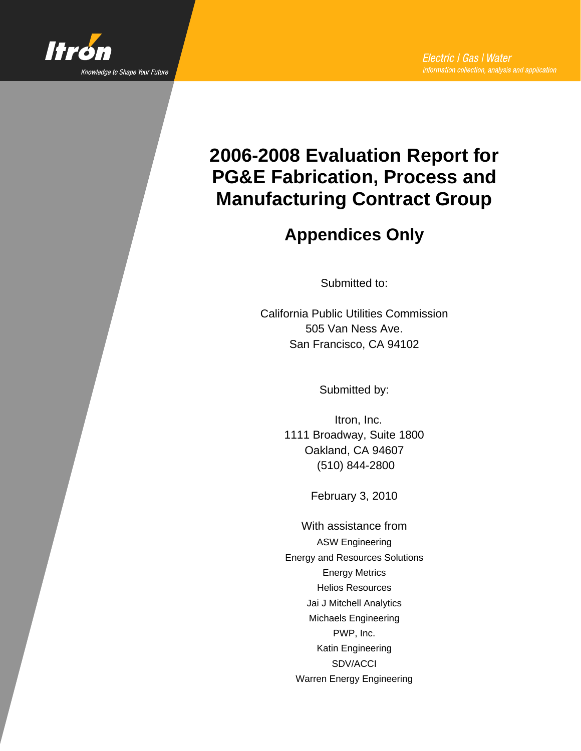

# **2006-2008 Evaluation Report for PG&E Fabrication, Process and Manufacturing Contract Group**

# **Appendices Only**

Submitted to:

California Public Utilities Commission 505 Van Ness Ave. San Francisco, CA 94102

Submitted by:

Itron, Inc. 1111 Broadway, Suite 1800 Oakland, CA 94607 (510) 844-2800

February 3, 2010

With assistance from ASW Engineering Energy and Resources Solutions Energy Metrics Helios Resources Jai J Mitchell Analytics Michaels Engineering PWP, Inc. Katin Engineering SDV/ACCI Warren Energy Engineering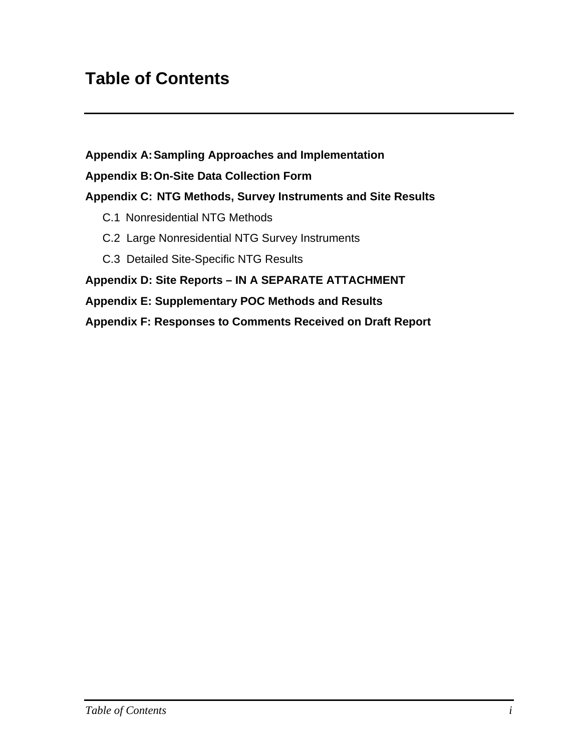# **Table of Contents**

**Appendix A: Sampling Approaches and Implementation** 

#### **Appendix B: On-Site Data Collection Form**

## **Appendix C: NTG Methods, Survey Instruments and Site Results**

- C.1 Nonresidential NTG Methods
- C.2 Large Nonresidential NTG Survey Instruments
- C.3 Detailed Site-Specific NTG Results

#### **Appendix D: Site Reports – IN A SEPARATE ATTACHMENT**

#### **Appendix E: Supplementary POC Methods and Results**

**Appendix F: Responses to Comments Received on Draft Report**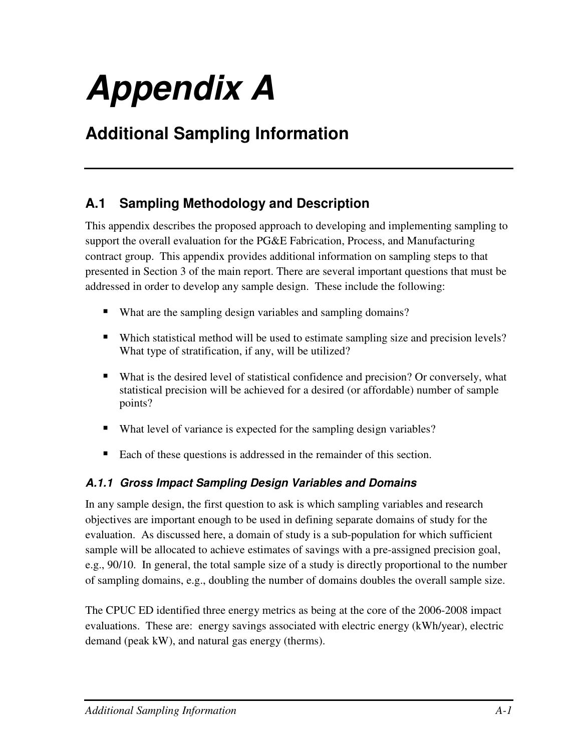# **Appendix A**

# **Additional Sampling Information**

# **A.1 Sampling Methodology and Description**

This appendix describes the proposed approach to developing and implementing sampling to support the overall evaluation for the PG&E Fabrication, Process, and Manufacturing contract group. This appendix provides additional information on sampling steps to that presented in Section 3 of the main report. There are several important questions that must be addressed in order to develop any sample design. These include the following:

- What are the sampling design variables and sampling domains?
- Which statistical method will be used to estimate sampling size and precision levels? What type of stratification, if any, will be utilized?
- What is the desired level of statistical confidence and precision? Or conversely, what statistical precision will be achieved for a desired (or affordable) number of sample points?
- What level of variance is expected for the sampling design variables?
- Each of these questions is addressed in the remainder of this section.

# **A.1.1 Gross Impact Sampling Design Variables and Domains**

In any sample design, the first question to ask is which sampling variables and research objectives are important enough to be used in defining separate domains of study for the evaluation. As discussed here, a domain of study is a sub-population for which sufficient sample will be allocated to achieve estimates of savings with a pre-assigned precision goal, e.g., 90/10. In general, the total sample size of a study is directly proportional to the number of sampling domains, e.g., doubling the number of domains doubles the overall sample size.

The CPUC ED identified three energy metrics as being at the core of the 2006-2008 impact evaluations. These are: energy savings associated with electric energy (kWh/year), electric demand (peak kW), and natural gas energy (therms).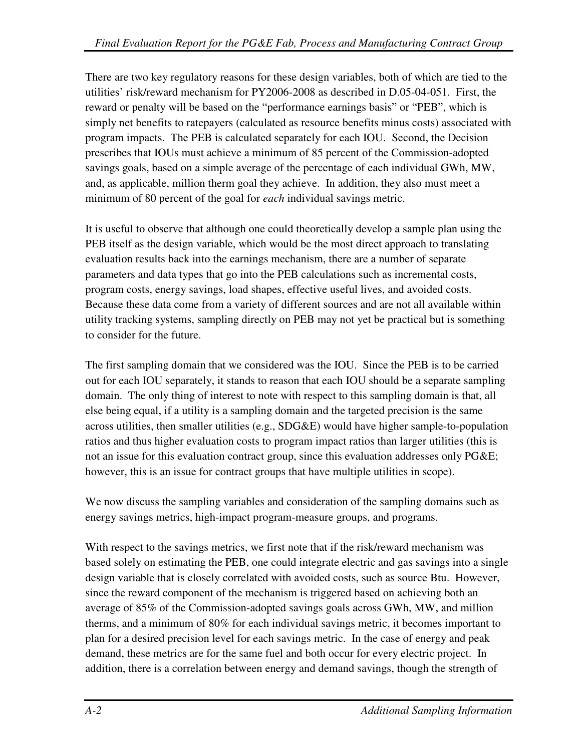There are two key regulatory reasons for these design variables, both of which are tied to the utilities' risk/reward mechanism for PY2006-2008 as described in D.05-04-051. First, the reward or penalty will be based on the "performance earnings basis" or "PEB", which is simply net benefits to ratepayers (calculated as resource benefits minus costs) associated with program impacts. The PEB is calculated separately for each IOU. Second, the Decision prescribes that IOUs must achieve a minimum of 85 percent of the Commission-adopted savings goals, based on a simple average of the percentage of each individual GWh, MW, and, as applicable, million therm goal they achieve. In addition, they also must meet a minimum of 80 percent of the goal for *each* individual savings metric.

It is useful to observe that although one could theoretically develop a sample plan using the PEB itself as the design variable, which would be the most direct approach to translating evaluation results back into the earnings mechanism, there are a number of separate parameters and data types that go into the PEB calculations such as incremental costs, program costs, energy savings, load shapes, effective useful lives, and avoided costs. Because these data come from a variety of different sources and are not all available within utility tracking systems, sampling directly on PEB may not yet be practical but is something to consider for the future.

The first sampling domain that we considered was the IOU. Since the PEB is to be carried out for each IOU separately, it stands to reason that each IOU should be a separate sampling domain. The only thing of interest to note with respect to this sampling domain is that, all else being equal, if a utility is a sampling domain and the targeted precision is the same across utilities, then smaller utilities (e.g., SDG&E) would have higher sample-to-population ratios and thus higher evaluation costs to program impact ratios than larger utilities (this is not an issue for this evaluation contract group, since this evaluation addresses only PG&E; however, this is an issue for contract groups that have multiple utilities in scope).

We now discuss the sampling variables and consideration of the sampling domains such as energy savings metrics, high-impact program-measure groups, and programs.

With respect to the savings metrics, we first note that if the risk/reward mechanism was based solely on estimating the PEB, one could integrate electric and gas savings into a single design variable that is closely correlated with avoided costs, such as source Btu. However, since the reward component of the mechanism is triggered based on achieving both an average of 85% of the Commission-adopted savings goals across GWh, MW, and million therms, and a minimum of 80% for each individual savings metric, it becomes important to plan for a desired precision level for each savings metric. In the case of energy and peak demand, these metrics are for the same fuel and both occur for every electric project. In addition, there is a correlation between energy and demand savings, though the strength of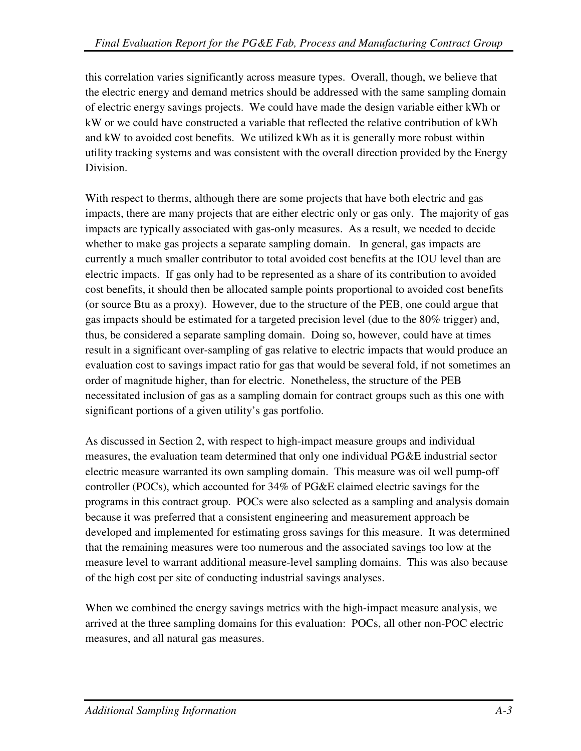this correlation varies significantly across measure types. Overall, though, we believe that the electric energy and demand metrics should be addressed with the same sampling domain of electric energy savings projects. We could have made the design variable either kWh or kW or we could have constructed a variable that reflected the relative contribution of kWh and kW to avoided cost benefits. We utilized kWh as it is generally more robust within utility tracking systems and was consistent with the overall direction provided by the Energy Division.

With respect to therms, although there are some projects that have both electric and gas impacts, there are many projects that are either electric only or gas only. The majority of gas impacts are typically associated with gas-only measures. As a result, we needed to decide whether to make gas projects a separate sampling domain. In general, gas impacts are currently a much smaller contributor to total avoided cost benefits at the IOU level than are electric impacts. If gas only had to be represented as a share of its contribution to avoided cost benefits, it should then be allocated sample points proportional to avoided cost benefits (or source Btu as a proxy). However, due to the structure of the PEB, one could argue that gas impacts should be estimated for a targeted precision level (due to the 80% trigger) and, thus, be considered a separate sampling domain. Doing so, however, could have at times result in a significant over-sampling of gas relative to electric impacts that would produce an evaluation cost to savings impact ratio for gas that would be several fold, if not sometimes an order of magnitude higher, than for electric. Nonetheless, the structure of the PEB necessitated inclusion of gas as a sampling domain for contract groups such as this one with significant portions of a given utility's gas portfolio.

As discussed in Section 2, with respect to high-impact measure groups and individual measures, the evaluation team determined that only one individual PG&E industrial sector electric measure warranted its own sampling domain. This measure was oil well pump-off controller (POCs), which accounted for 34% of PG&E claimed electric savings for the programs in this contract group. POCs were also selected as a sampling and analysis domain because it was preferred that a consistent engineering and measurement approach be developed and implemented for estimating gross savings for this measure. It was determined that the remaining measures were too numerous and the associated savings too low at the measure level to warrant additional measure-level sampling domains. This was also because of the high cost per site of conducting industrial savings analyses.

When we combined the energy savings metrics with the high-impact measure analysis, we arrived at the three sampling domains for this evaluation: POCs, all other non-POC electric measures, and all natural gas measures.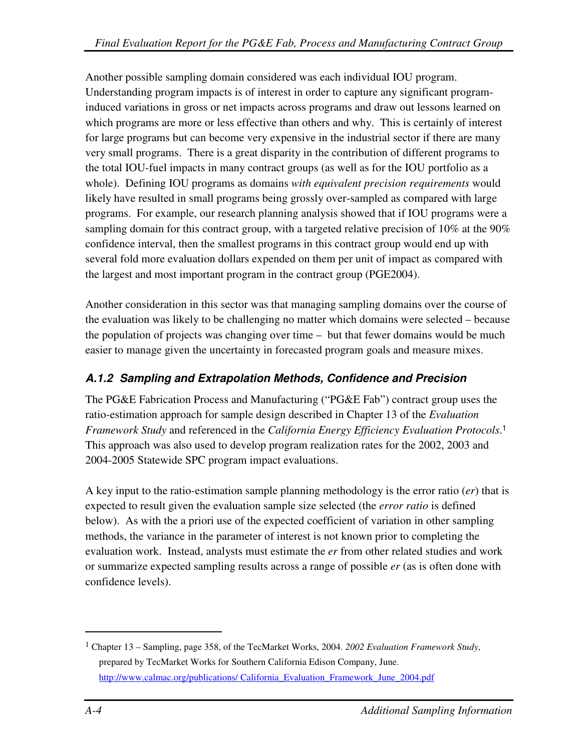Another possible sampling domain considered was each individual IOU program. Understanding program impacts is of interest in order to capture any significant programinduced variations in gross or net impacts across programs and draw out lessons learned on which programs are more or less effective than others and why. This is certainly of interest for large programs but can become very expensive in the industrial sector if there are many very small programs. There is a great disparity in the contribution of different programs to the total IOU-fuel impacts in many contract groups (as well as for the IOU portfolio as a whole). Defining IOU programs as domains *with equivalent precision requirements* would likely have resulted in small programs being grossly over-sampled as compared with large programs. For example, our research planning analysis showed that if IOU programs were a sampling domain for this contract group, with a targeted relative precision of 10% at the 90% confidence interval, then the smallest programs in this contract group would end up with several fold more evaluation dollars expended on them per unit of impact as compared with the largest and most important program in the contract group (PGE2004).

Another consideration in this sector was that managing sampling domains over the course of the evaluation was likely to be challenging no matter which domains were selected – because the population of projects was changing over time – but that fewer domains would be much easier to manage given the uncertainty in forecasted program goals and measure mixes.

# **A.1.2 Sampling and Extrapolation Methods, Confidence and Precision**

The PG&E Fabrication Process and Manufacturing ("PG&E Fab") contract group uses the ratio-estimation approach for sample design described in Chapter 13 of the *Evaluation Framework Study* and referenced in the *California Energy Efficiency Evaluation Protocols*. 1 This approach was also used to develop program realization rates for the 2002, 2003 and 2004-2005 Statewide SPC program impact evaluations.

A key input to the ratio-estimation sample planning methodology is the error ratio (*er*) that is expected to result given the evaluation sample size selected (the *error ratio* is defined below). As with the a priori use of the expected coefficient of variation in other sampling methods, the variance in the parameter of interest is not known prior to completing the evaluation work. Instead, analysts must estimate the *er* from other related studies and work or summarize expected sampling results across a range of possible *er* (as is often done with confidence levels).

 $\overline{a}$ 

<sup>1</sup> Chapter 13 – Sampling, page 358, of the TecMarket Works, 2004. *2002 Evaluation Framework Study*, prepared by TecMarket Works for Southern California Edison Company, June. http://www.calmac.org/publications/ California\_Evaluation\_Framework\_June\_2004.pdf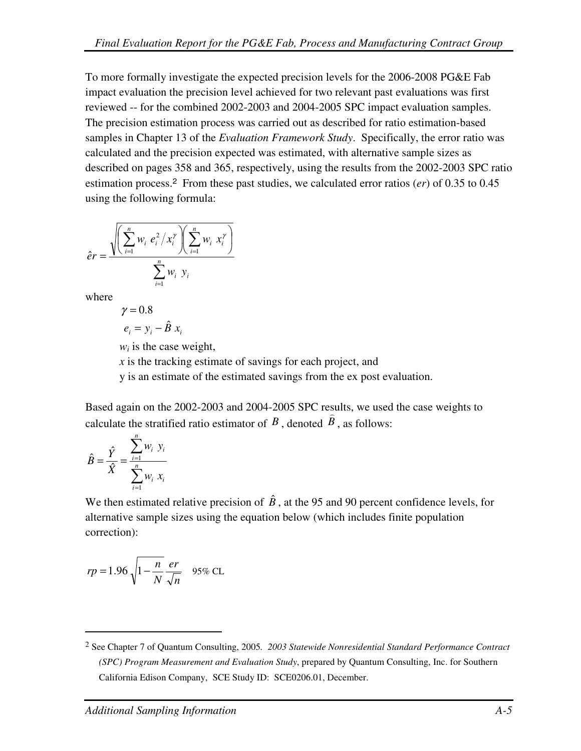To more formally investigate the expected precision levels for the 2006-2008 PG&E Fab impact evaluation the precision level achieved for two relevant past evaluations was first reviewed -- for the combined 2002-2003 and 2004-2005 SPC impact evaluation samples. The precision estimation process was carried out as described for ratio estimation-based samples in Chapter 13 of the *Evaluation Framework Study*. Specifically, the error ratio was calculated and the precision expected was estimated, with alternative sample sizes as described on pages 358 and 365, respectively, using the results from the 2002-2003 SPC ratio estimation process.<sup>2</sup> From these past studies, we calculated error ratios (*er*) of 0.35 to 0.45 using the following formula:

$$
\hat{e}r = \frac{\sqrt{\left(\sum_{i=1}^{n} w_i e_i^2 / x_i^{\gamma}\right) \left(\sum_{i=1}^{n} w_i x_i^{\gamma}\right)}}{\sum_{i=1}^{n} w_i y_i}
$$

where

$$
\gamma = 0.8
$$
  

$$
e_i = y_i - \hat{B} x_i
$$

 $w_i$  is the case weight,

*x* is the tracking estimate of savings for each project, and

y is an estimate of the estimated savings from the ex post evaluation.

Based again on the 2002-2003 and 2004-2005 SPC results, we used the case weights to calculate the stratified ratio estimator of  $B$ , denoted  $B$ , as follows:

$$
\hat{B} = \frac{\hat{Y}}{\hat{X}} = \frac{\sum_{i=1}^{n} w_i \ y_i}{\sum_{i=1}^{n} w_i \ x_i}
$$

 $\overline{a}$ 

We then estimated relative precision of  $\hat{B}$ , at the 95 and 90 percent confidence levels, for alternative sample sizes using the equation below (which includes finite population correction):

$$
rp = 1.96 \sqrt{1 - \frac{n}{N}} \frac{er}{\sqrt{n}}
$$
 95% CL

<sup>2</sup> See Chapter 7 of Quantum Consulting, 2005*. 2003 Statewide Nonresidential Standard Performance Contract (SPC) Program Measurement and Evaluation Study*, prepared by Quantum Consulting, Inc. for Southern California Edison Company, SCE Study ID: SCE0206.01, December.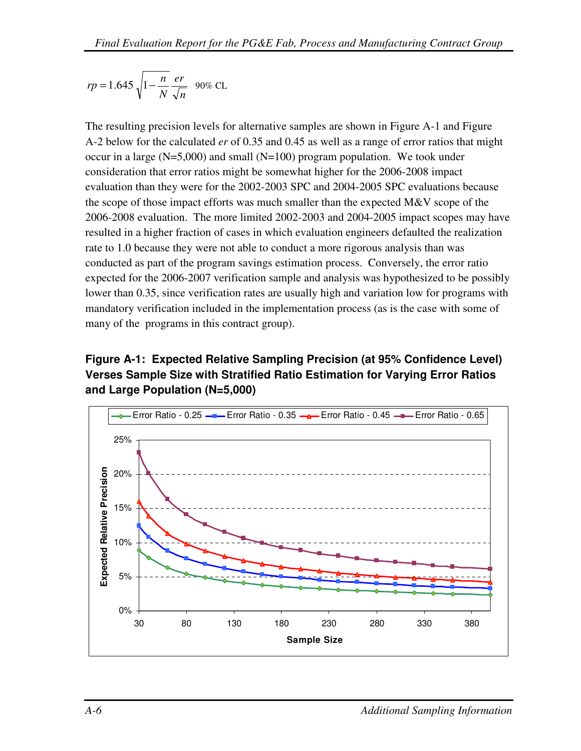$$
rp = 1.645 \sqrt{1 - \frac{n}{N}} \frac{er}{\sqrt{n}}
$$
 90% CL

The resulting precision levels for alternative samples are shown in Figure A-1 and Figure A-2 below for the calculated *er* of 0.35 and 0.45 as well as a range of error ratios that might occur in a large  $(N=5,000)$  and small  $(N=100)$  program population. We took under consideration that error ratios might be somewhat higher for the 2006-2008 impact evaluation than they were for the 2002-2003 SPC and 2004-2005 SPC evaluations because the scope of those impact efforts was much smaller than the expected M&V scope of the 2006-2008 evaluation. The more limited 2002-2003 and 2004-2005 impact scopes may have resulted in a higher fraction of cases in which evaluation engineers defaulted the realization rate to 1.0 because they were not able to conduct a more rigorous analysis than was conducted as part of the program savings estimation process. Conversely, the error ratio expected for the 2006-2007 verification sample and analysis was hypothesized to be possibly lower than 0.35, since verification rates are usually high and variation low for programs with mandatory verification included in the implementation process (as is the case with some of many of the programs in this contract group).

# **Figure A-1: Expected Relative Sampling Precision (at 95% Confidence Level) Verses Sample Size with Stratified Ratio Estimation for Varying Error Ratios and Large Population (N=5,000)**

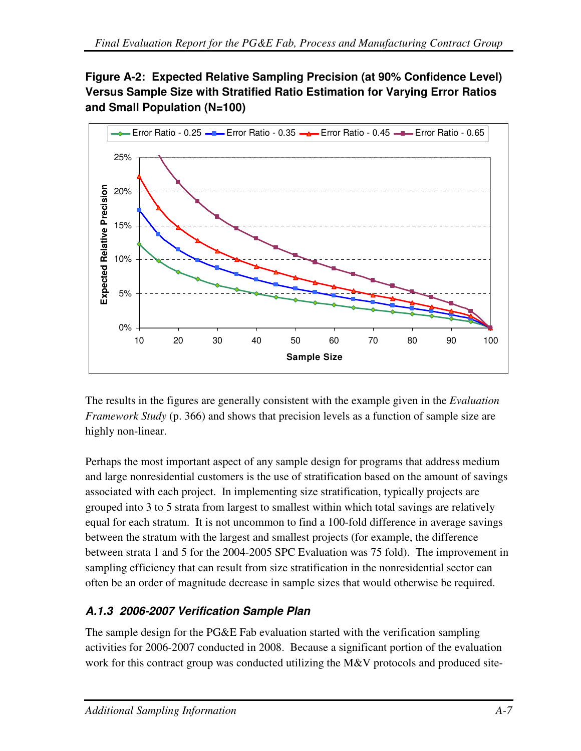# **Figure A-2: Expected Relative Sampling Precision (at 90% Confidence Level) Versus Sample Size with Stratified Ratio Estimation for Varying Error Ratios and Small Population (N=100)**



The results in the figures are generally consistent with the example given in the *Evaluation Framework Study* (p. 366) and shows that precision levels as a function of sample size are highly non-linear.

Perhaps the most important aspect of any sample design for programs that address medium and large nonresidential customers is the use of stratification based on the amount of savings associated with each project. In implementing size stratification, typically projects are grouped into 3 to 5 strata from largest to smallest within which total savings are relatively equal for each stratum. It is not uncommon to find a 100-fold difference in average savings between the stratum with the largest and smallest projects (for example, the difference between strata 1 and 5 for the 2004-2005 SPC Evaluation was 75 fold). The improvement in sampling efficiency that can result from size stratification in the nonresidential sector can often be an order of magnitude decrease in sample sizes that would otherwise be required.

# **A.1.3 2006-2007 Verification Sample Plan**

The sample design for the PG&E Fab evaluation started with the verification sampling activities for 2006-2007 conducted in 2008. Because a significant portion of the evaluation work for this contract group was conducted utilizing the M&V protocols and produced site-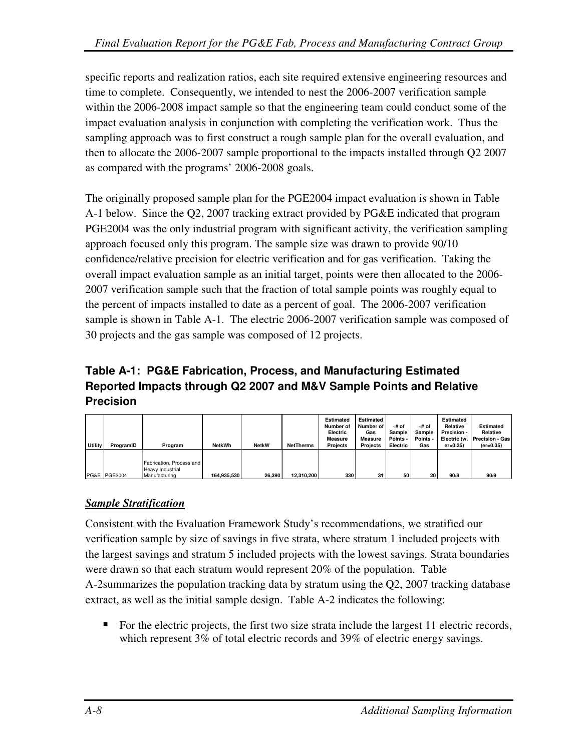specific reports and realization ratios, each site required extensive engineering resources and time to complete. Consequently, we intended to nest the 2006-2007 verification sample within the 2006-2008 impact sample so that the engineering team could conduct some of the impact evaluation analysis in conjunction with completing the verification work. Thus the sampling approach was to first construct a rough sample plan for the overall evaluation, and then to allocate the 2006-2007 sample proportional to the impacts installed through Q2 2007 as compared with the programs' 2006-2008 goals.

The originally proposed sample plan for the PGE2004 impact evaluation is shown in Table A-1 below. Since the Q2, 2007 tracking extract provided by PG&E indicated that program PGE2004 was the only industrial program with significant activity, the verification sampling approach focused only this program. The sample size was drawn to provide 90/10 confidence/relative precision for electric verification and for gas verification. Taking the overall impact evaluation sample as an initial target, points were then allocated to the 2006- 2007 verification sample such that the fraction of total sample points was roughly equal to the percent of impacts installed to date as a percent of goal. The 2006-2007 verification sample is shown in Table A-1. The electric 2006-2007 verification sample was composed of 30 projects and the gas sample was composed of 12 projects.

# **Table A-1: PG&E Fabrication, Process, and Manufacturing Estimated Reported Impacts through Q2 2007 and M&V Sample Points and Relative Precision**

| Utility | ProgramID    | Program                                                       | <b>NetkWh</b> | <b>NetkW</b> | <b>NetTherms</b> | <b>Estimated</b><br>Number of<br>Electric<br><b>Measure</b><br><b>Projects</b> | <b>Estimated</b><br>Number of<br>Gas<br><b>Measure</b><br><b>Projects</b> | ∼# of<br>Sample<br>Points -<br>Electric | ∼# of<br>Sample<br>Points -<br>Gas | <b>Estimated</b><br>Relative<br>Precision -<br>Electric (w.<br>$er = 0.35$ | <b>Estimated</b><br>Relative<br>Precision - Gas<br>$(er=0.35)$ |
|---------|--------------|---------------------------------------------------------------|---------------|--------------|------------------|--------------------------------------------------------------------------------|---------------------------------------------------------------------------|-----------------------------------------|------------------------------------|----------------------------------------------------------------------------|----------------------------------------------------------------|
|         | PG&E PGE2004 | Fabrication, Process and<br>Heavy Industrial<br>Manufacturing | 164.935.530   | 26,390       | 12.310.200       | 330                                                                            | 31                                                                        | 50                                      | 20                                 | 90/8                                                                       | 90/9                                                           |

## *Sample Stratification*

Consistent with the Evaluation Framework Study's recommendations, we stratified our verification sample by size of savings in five strata, where stratum 1 included projects with the largest savings and stratum 5 included projects with the lowest savings. Strata boundaries were drawn so that each stratum would represent 20% of the population. Table A-2summarizes the population tracking data by stratum using the Q2, 2007 tracking database extract, as well as the initial sample design. Table A-2 indicates the following:

For the electric projects, the first two size strata include the largest 11 electric records, which represent 3% of total electric records and 39% of electric energy savings.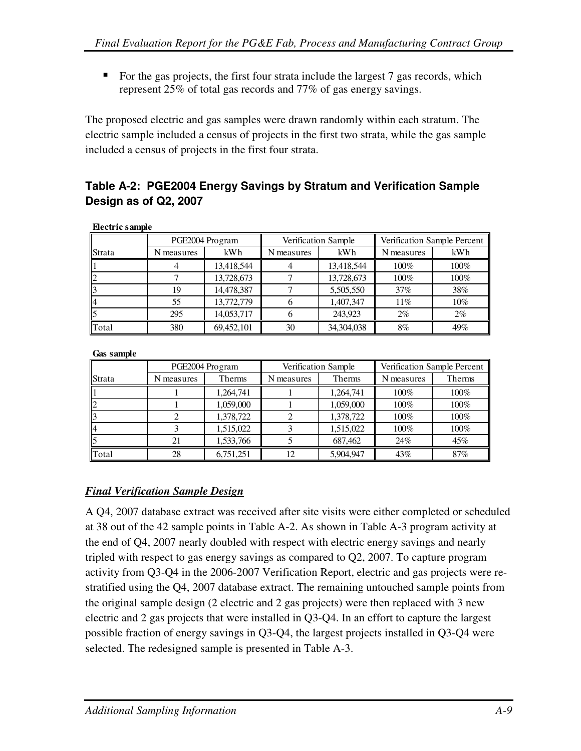For the gas projects, the first four strata include the largest  $7$  gas records, which represent 25% of total gas records and 77% of gas energy savings.

The proposed electric and gas samples were drawn randomly within each stratum. The electric sample included a census of projects in the first two strata, while the gas sample included a census of projects in the first four strata.

# **Table A-2: PGE2004 Energy Savings by Stratum and Verification Sample Design as of Q2, 2007**

| --------------- |            |                 |            |                            |                             |        |
|-----------------|------------|-----------------|------------|----------------------------|-----------------------------|--------|
|                 |            | PGE2004 Program |            | <b>Verification Sample</b> | Verification Sample Percent |        |
| <b>Strata</b>   | N measures | kWh             | N measures | kWh                        | N measures                  | kWh    |
|                 |            | 13,418,544      |            | 13,418,544                 | $100\%$                     | 100%   |
|                 |            | 13,728,673      |            | 13,728,673                 | 100%                        | 100%   |
|                 | 19         | 14,478,387      |            | 5,505,550                  | 37%                         | 38%    |
| ll4             | 55         | 13,772,779      |            | 1,407,347                  | 11%                         | $10\%$ |
|                 | 295        | 14.053.717      |            | 243.923                    | $2\%$                       | $2\%$  |
| <b>T</b> otal   | 380        | 69,452,101      | 30         | 34,304,038                 | 8%                          | 49%    |

#### **Electric sample**

**Gas sample**

|               |            | PGE2004 Program | Verification Sample |           | Verification Sample Percent |         |
|---------------|------------|-----------------|---------------------|-----------|-----------------------------|---------|
| <b>Strata</b> | N measures | Therms          | N measures          | Therms    | N measures                  | Therms  |
|               |            | 1,264,741       |                     | 1,264,741 | $100\%$                     | $100\%$ |
|               |            | 1,059,000       |                     | 1,059,000 | 100%                        | 100%    |
|               |            | 1,378,722       |                     | 1,378,722 | 100%                        | 100%    |
| ll4           |            | 1,515,022       |                     | 1,515,022 | 100%                        | 100%    |
|               | 21         | 1,533,766       |                     | 687,462   | 24%                         | 45%     |
| Total         | 28         | 6,751,251       | 12                  | 5,904,947 | 43%                         | 87%     |

#### *Final Verification Sample Design*

A Q4, 2007 database extract was received after site visits were either completed or scheduled at 38 out of the 42 sample points in Table A-2. As shown in Table A-3 program activity at the end of Q4, 2007 nearly doubled with respect with electric energy savings and nearly tripled with respect to gas energy savings as compared to Q2, 2007. To capture program activity from Q3-Q4 in the 2006-2007 Verification Report, electric and gas projects were restratified using the Q4, 2007 database extract. The remaining untouched sample points from the original sample design (2 electric and 2 gas projects) were then replaced with 3 new electric and 2 gas projects that were installed in Q3-Q4. In an effort to capture the largest possible fraction of energy savings in Q3-Q4, the largest projects installed in Q3-Q4 were selected. The redesigned sample is presented in Table A-3.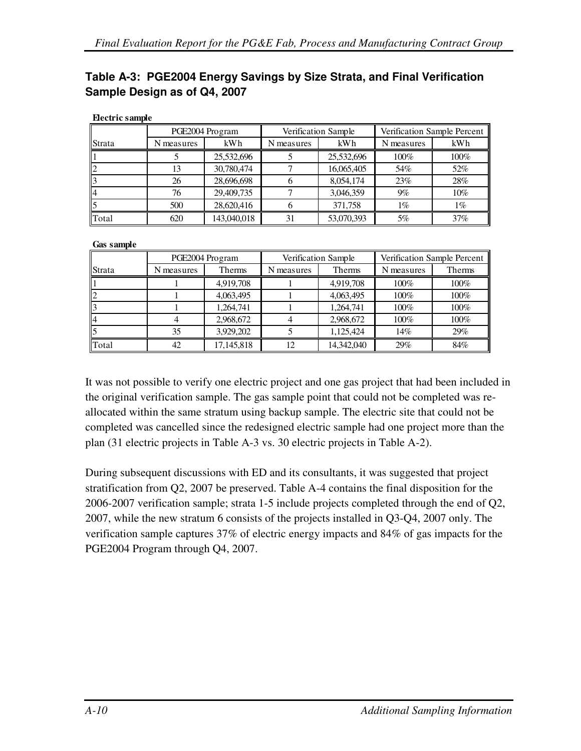## **Table A-3: PGE2004 Energy Savings by Size Strata, and Final Verification Sample Design as of Q4, 2007**

|               |            | PGE2004 Program |            | Verification Sample | Verification Sample Percent |        |
|---------------|------------|-----------------|------------|---------------------|-----------------------------|--------|
| <b>Strata</b> | N measures | kWh             | N measures | kWh                 | N measures                  | kWh    |
|               |            | 25,532,696      |            | 25,532,696          | 100%                        | 100%   |
|               | 13         | 30,780,474      |            | 16,065,405          | 54%                         | 52%    |
|               | 26         | 28,696,698      |            | 8,054,174           | 23%                         | 28%    |
|               | 76         | 29,409,735      |            | 3,046,359           | $9\%$                       | $10\%$ |
|               | 500        | 28,620,416      |            | 371,758             | $1\%$                       | 1%     |
| llTotal       | 620        | 143,040,018     |            | 53,070,393          | 5%                          | 37%    |

#### **Electric sample**

#### **Gas sample**

|               | PGE2004 Program |               |            | Verification Sample | Verification Sample Percent |        |
|---------------|-----------------|---------------|------------|---------------------|-----------------------------|--------|
| <b>Strata</b> | N measures      | <b>Therms</b> | N measures | <b>Therms</b>       | N measures                  | Therms |
|               |                 | 4,919,708     |            | 4,919,708           | 100%                        | 100%   |
|               |                 | 4,063,495     |            | 4,063,495           | 100%                        | 100%   |
|               |                 | 1,264,741     |            | 1,264,741           | 100%                        | 100%   |
| ll4           |                 | 2,968,672     |            | 2,968,672           | 100%                        | 100%   |
|               | 35              | 3.929.202     |            | 1,125,424           | 14%                         | 29%    |
| <b>T</b> otal | 42              | 17,145,818    | 12         | 14,342,040          | 29%                         | 84%    |

It was not possible to verify one electric project and one gas project that had been included in the original verification sample. The gas sample point that could not be completed was reallocated within the same stratum using backup sample. The electric site that could not be completed was cancelled since the redesigned electric sample had one project more than the plan (31 electric projects in Table A-3 vs. 30 electric projects in Table A-2).

During subsequent discussions with ED and its consultants, it was suggested that project stratification from Q2, 2007 be preserved. Table A-4 contains the final disposition for the 2006-2007 verification sample; strata 1-5 include projects completed through the end of Q2, 2007, while the new stratum 6 consists of the projects installed in Q3-Q4, 2007 only. The verification sample captures 37% of electric energy impacts and 84% of gas impacts for the PGE2004 Program through Q4, 2007.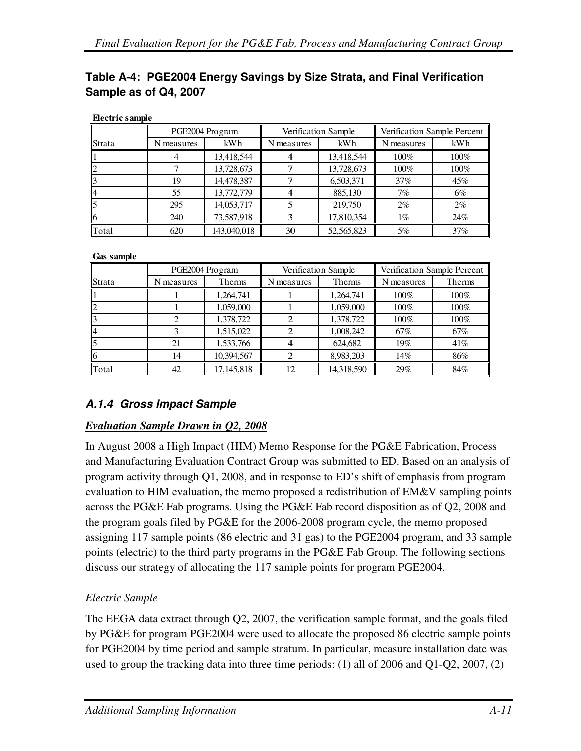| Table A-4: PGE2004 Energy Savings by Size Strata, and Final Verification |
|--------------------------------------------------------------------------|
| Sample as of Q4, 2007                                                    |
|                                                                          |

|               |            | PGE2004 Program |            | <b>Verification Sample</b> | Verification Sample Percent |       |
|---------------|------------|-----------------|------------|----------------------------|-----------------------------|-------|
| <b>Strata</b> | N measures | kWh             | N measures | kWh                        | N measures                  | kWh   |
|               |            | 13,418,544      |            | 13,418,544                 | $100\%$                     | 100%  |
|               |            | 13,728,673      |            | 13,728,673                 | 100%                        | 100%  |
|               | 19         | 14,478,387      |            | 6,503,371                  | 37%                         | 45%   |
| ll4           | 55         | 13,772,779      |            | 885,130                    | 7%                          | 6%    |
|               | 295        | 14,053,717      |            | 219,750                    | $2\%$                       | $2\%$ |
|               | 240        | 73,587,918      |            | 17,810,354                 | $1\%$                       | 24%   |
| llTotal       | 620        | 143,040,018     | 30         | 52,565,823                 | 5%                          | 37%   |

#### **Electric sample**

**Gas sample**

|        |            | PGE2004 Program | Verification Sample |            | Verification Sample Percent |        |
|--------|------------|-----------------|---------------------|------------|-----------------------------|--------|
| Strata | N measures | Therms          | N measures          | Therms     | N measures                  | Therms |
|        |            | 1,264,741       |                     | 1,264,741  | 100%                        | 100%   |
|        |            | 1,059,000       |                     | 1,059,000  | 100%                        | 100%   |
|        |            | 1,378,722       |                     | 1,378,722  | 100%                        | 100%   |
| ll4    |            | 1,515,022       |                     | 1,008,242  | 67%                         | 67%    |
|        | 21         | 1,533,766       |                     | 624,682    | 19%                         | 41%    |
| 116    | 14         | 10,394,567      |                     | 8,983,203  | 14%                         | 86%    |
| Total  | 42         | 17,145,818      | 12                  | 14,318,590 | 29%                         | 84%    |

## **A.1.4 Gross Impact Sample**

#### *Evaluation Sample Drawn in Q2, 2008*

In August 2008 a High Impact (HIM) Memo Response for the PG&E Fabrication, Process and Manufacturing Evaluation Contract Group was submitted to ED. Based on an analysis of program activity through Q1, 2008, and in response to ED's shift of emphasis from program evaluation to HIM evaluation, the memo proposed a redistribution of EM&V sampling points across the PG&E Fab programs. Using the PG&E Fab record disposition as of Q2, 2008 and the program goals filed by PG&E for the 2006-2008 program cycle, the memo proposed assigning 117 sample points (86 electric and 31 gas) to the PGE2004 program, and 33 sample points (electric) to the third party programs in the PG&E Fab Group. The following sections discuss our strategy of allocating the 117 sample points for program PGE2004.

## *Electric Sample*

The EEGA data extract through Q2, 2007, the verification sample format, and the goals filed by PG&E for program PGE2004 were used to allocate the proposed 86 electric sample points for PGE2004 by time period and sample stratum. In particular, measure installation date was used to group the tracking data into three time periods: (1) all of 2006 and Q1-Q2, 2007, (2)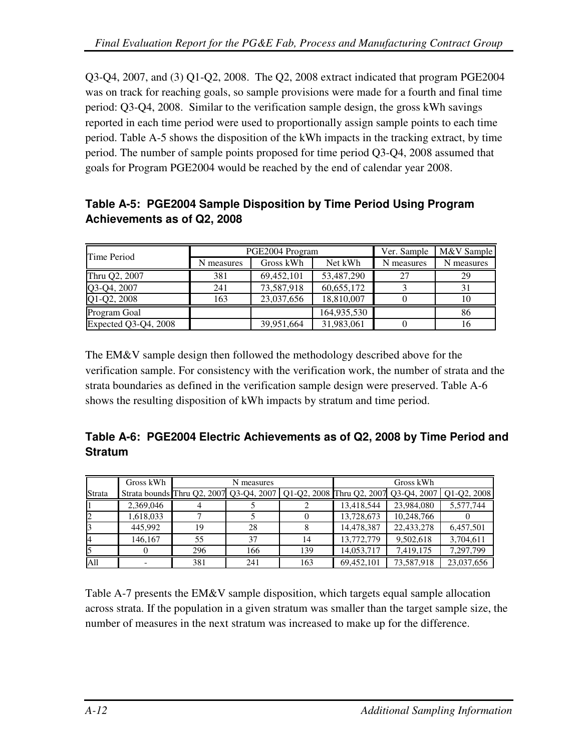Q3-Q4, 2007, and (3) Q1-Q2, 2008. The Q2, 2008 extract indicated that program PGE2004 was on track for reaching goals, so sample provisions were made for a fourth and final time period: Q3-Q4, 2008. Similar to the verification sample design, the gross kWh savings reported in each time period were used to proportionally assign sample points to each time period. Table A-5 shows the disposition of the kWh impacts in the tracking extract, by time period. The number of sample points proposed for time period Q3-Q4, 2008 assumed that goals for Program PGE2004 would be reached by the end of calendar year 2008.

# **Table A-5: PGE2004 Sample Disposition by Time Period Using Program Achievements as of Q2, 2008**

| Time Period          |            | PGE2004 Program | Ver. Sample | M&V Sample |            |
|----------------------|------------|-----------------|-------------|------------|------------|
|                      | N measures | Gross kWh       | Net kWh     | N measures | N measures |
| Thru Q2, 2007        | 381        | 69,452,101      | 53,487,290  | 27         | 29         |
| Q3-Q4, 2007          | 241        | 73,587,918      | 60,655,172  |            | 31         |
| Q1-Q2, 2008          | 163        | 23,037,656      | 18,810,007  |            | 10         |
| Program Goal         |            |                 | 164,935,530 |            | 86         |
| Expected Q3-Q4, 2008 |            | 39,951,664      | 31,983,061  |            | 16         |

The EM&V sample design then followed the methodology described above for the verification sample. For consistency with the verification work, the number of strata and the strata boundaries as defined in the verification sample design were preserved. Table A-6 shows the resulting disposition of kWh impacts by stratum and time period.

|         | Table A-6: PGE2004 Electric Achievements as of Q2, 2008 by Time Period and |
|---------|----------------------------------------------------------------------------|
| Stratum |                                                                            |

|        | Gross kWh |     | N measures |     |                                                                                           | Gross kWh  |            |
|--------|-----------|-----|------------|-----|-------------------------------------------------------------------------------------------|------------|------------|
| Strata |           |     |            |     | Strata bounds Thru Q2, 2007 Q3-Q4, 2007 Q1-Q2, 2008 Thru Q2, 2007 Q3-Q4, 2007 Q1-Q2, 2008 |            |            |
|        | 2,369,046 |     |            |     | 13,418,544                                                                                | 23,984,080 | 5,577,744  |
|        | 1.618.033 |     |            |     | 13,728,673                                                                                | 10,248,766 |            |
|        | 445.992   | 19  | 28         |     | 14,478,387                                                                                | 22,433,278 | 6,457,501  |
| 14     | 146.167   | 55  | 37         | 14  | 13,772,779                                                                                | 9,502,618  | 3,704,611  |
|        |           | 296 | 166        | 139 | 14,053,717                                                                                | 7,419,175  | 7,297,799  |
| A11    |           | 381 | 241        | 163 | 69,452,101                                                                                | 73,587,918 | 23,037,656 |

Table A-7 presents the EM&V sample disposition, which targets equal sample allocation across strata. If the population in a given stratum was smaller than the target sample size, the number of measures in the next stratum was increased to make up for the difference.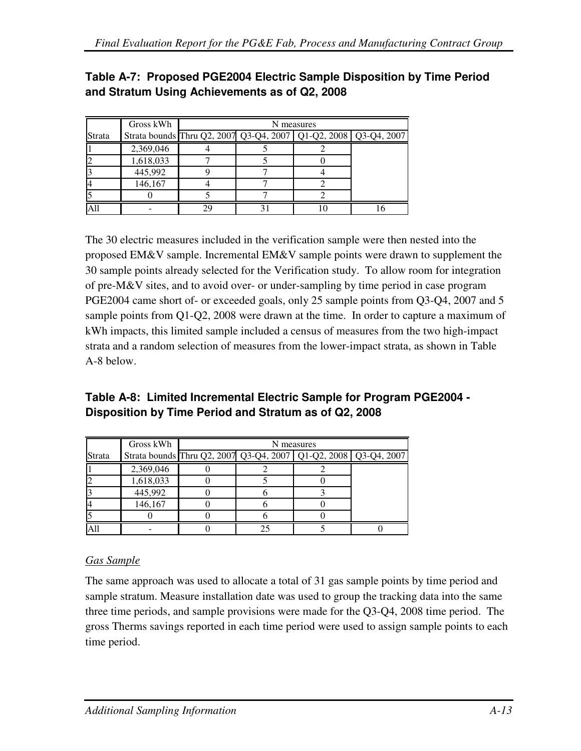|        | Gross kWh |                                                                     | N measures |  |  |  |  |  |
|--------|-----------|---------------------------------------------------------------------|------------|--|--|--|--|--|
| Strata |           | Strata bounds Thru Q2, 2007 Q3-Q4, 2007   Q1-Q2, 2008   Q3-Q4, 2007 |            |  |  |  |  |  |
|        | 2,369,046 |                                                                     |            |  |  |  |  |  |
|        | 1,618,033 |                                                                     |            |  |  |  |  |  |
|        | 445,992   |                                                                     |            |  |  |  |  |  |
|        | 146,167   |                                                                     |            |  |  |  |  |  |
|        |           |                                                                     |            |  |  |  |  |  |
|        |           | 7q                                                                  |            |  |  |  |  |  |

**Table A-7: Proposed PGE2004 Electric Sample Disposition by Time Period and Stratum Using Achievements as of Q2, 2008** 

The 30 electric measures included in the verification sample were then nested into the proposed EM&V sample. Incremental EM&V sample points were drawn to supplement the 30 sample points already selected for the Verification study. To allow room for integration of pre-M&V sites, and to avoid over- or under-sampling by time period in case program PGE2004 came short of- or exceeded goals, only 25 sample points from Q3-Q4, 2007 and 5 sample points from Q1-Q2, 2008 were drawn at the time. In order to capture a maximum of kWh impacts, this limited sample included a census of measures from the two high-impact strata and a random selection of measures from the lower-impact strata, as shown in Table A-8 below.

| Table A-8: Limited Incremental Electric Sample for Program PGE2004 - |
|----------------------------------------------------------------------|
| Disposition by Time Period and Stratum as of Q2, 2008                |

|        | Gross kWh | N measures                                                          |  |  |  |  |  |  |  |
|--------|-----------|---------------------------------------------------------------------|--|--|--|--|--|--|--|
| Strata |           | Strata bounds Thru Q2, 2007 Q3-Q4, 2007   Q1-Q2, 2008   Q3-Q4, 2007 |  |  |  |  |  |  |  |
|        | 2,369,046 |                                                                     |  |  |  |  |  |  |  |
|        | 1,618,033 |                                                                     |  |  |  |  |  |  |  |
|        | 445,992   |                                                                     |  |  |  |  |  |  |  |
|        | 146,167   |                                                                     |  |  |  |  |  |  |  |
|        |           |                                                                     |  |  |  |  |  |  |  |
|        |           |                                                                     |  |  |  |  |  |  |  |

## *Gas Sample*

The same approach was used to allocate a total of 31 gas sample points by time period and sample stratum. Measure installation date was used to group the tracking data into the same three time periods, and sample provisions were made for the Q3-Q4, 2008 time period. The gross Therms savings reported in each time period were used to assign sample points to each time period.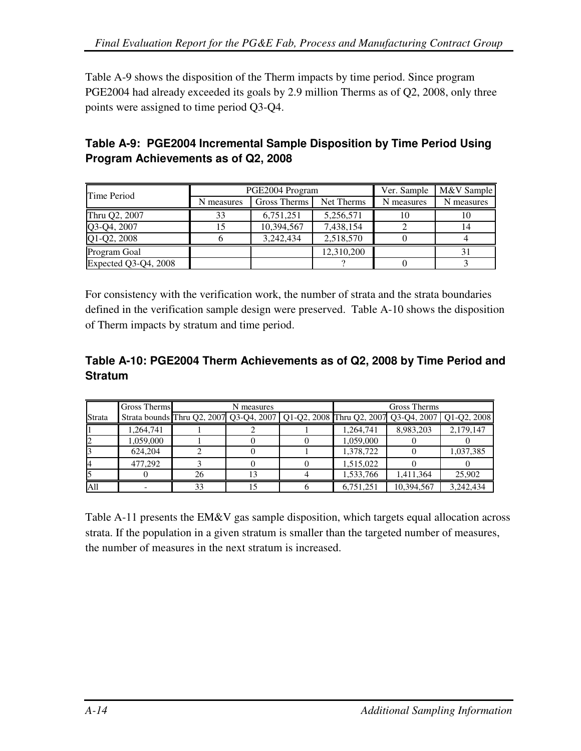Table A-9 shows the disposition of the Therm impacts by time period. Since program PGE2004 had already exceeded its goals by 2.9 million Therms as of Q2, 2008, only three points were assigned to time period Q3-Q4.

# **Table A-9: PGE2004 Incremental Sample Disposition by Time Period Using Program Achievements as of Q2, 2008**

| Time Period          |            | PGE2004 Program | Ver. Sample | M&V Sample |            |
|----------------------|------------|-----------------|-------------|------------|------------|
|                      | N measures | Gross Therms    | Net Therms  | N measures | N measures |
| Thru Q2, 2007        | 33         | 6,751,251       | 5,256,571   | 10         | 1 V        |
| Q3-Q4, 2007          | 15         | 10,394,567      | 7,438,154   |            | 14         |
| Q1-Q2, 2008          |            | 3,242,434       | 2,518,570   |            |            |
| Program Goal         |            |                 | 12,310,200  |            |            |
| Expected Q3-Q4, 2008 |            |                 |             |            |            |

For consistency with the verification work, the number of strata and the strata boundaries defined in the verification sample design were preserved. Table A-10 shows the disposition of Therm impacts by stratum and time period.

#### **Table A-10: PGE2004 Therm Achievements as of Q2, 2008 by Time Period and Stratum**

|                 | <b>Gross Therms</b> |                                                                                           | N measures | <b>Gross Therms</b> |            |           |  |
|-----------------|---------------------|-------------------------------------------------------------------------------------------|------------|---------------------|------------|-----------|--|
| Strata          |                     | Strata bounds Thru Q2, 2007 Q3-Q4, 2007 Q1-Q2, 2008 Thru Q2, 2007 Q3-Q4, 2007 Q1-Q2, 2008 |            |                     |            |           |  |
|                 | 1,264,741           |                                                                                           |            | 1,264,741           | 8,983,203  | 2,179,147 |  |
|                 | 1,059,000           |                                                                                           |            | 1,059,000           |            |           |  |
|                 | 624,204             |                                                                                           |            | 1,378,722           |            | 1,037,385 |  |
|                 | 477,292             |                                                                                           |            | 1,515,022           |            |           |  |
|                 |                     | 26                                                                                        |            | 1,533,766           | 1,411,364  | 25,902    |  |
| A <sub>11</sub> |                     | 33                                                                                        |            | 6,751,251           | 10,394,567 | 3,242,434 |  |

Table A-11 presents the EM&V gas sample disposition, which targets equal allocation across strata. If the population in a given stratum is smaller than the targeted number of measures, the number of measures in the next stratum is increased.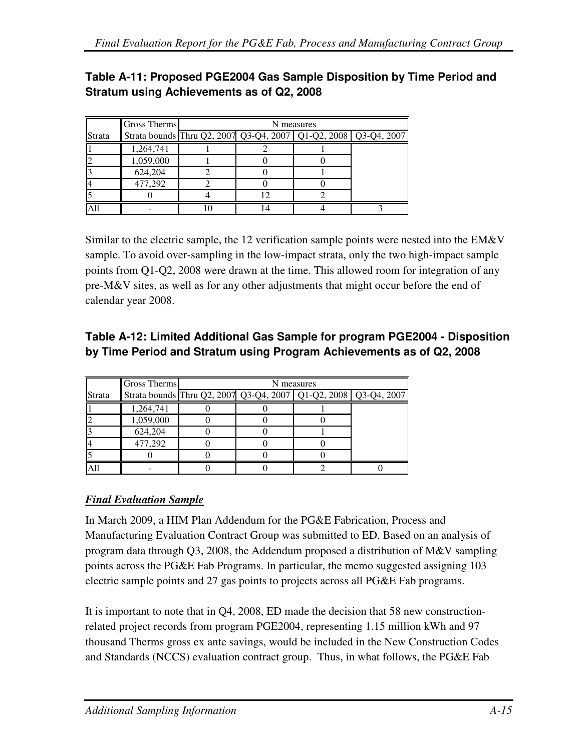# **Table A-11: Proposed PGE2004 Gas Sample Disposition by Time Period and Stratum using Achievements as of Q2, 2008**

|        | <b>Gross Therms</b> | N measures                                                          |  |  |  |  |  |  |
|--------|---------------------|---------------------------------------------------------------------|--|--|--|--|--|--|
| Strata |                     | Strata bounds Thru Q2, 2007 Q3-Q4, 2007   Q1-Q2, 2008   Q3-Q4, 2007 |  |  |  |  |  |  |
|        | 1,264,741           |                                                                     |  |  |  |  |  |  |
|        | 1,059,000           |                                                                     |  |  |  |  |  |  |
|        | 624,204             |                                                                     |  |  |  |  |  |  |
|        | 477,292             |                                                                     |  |  |  |  |  |  |
|        |                     |                                                                     |  |  |  |  |  |  |
|        |                     |                                                                     |  |  |  |  |  |  |

Similar to the electric sample, the 12 verification sample points were nested into the EM&V sample. To avoid over-sampling in the low-impact strata, only the two high-impact sample points from Q1-Q2, 2008 were drawn at the time. This allowed room for integration of any pre-M&V sites, as well as for any other adjustments that might occur before the end of calendar year 2008.

## **Table A-12: Limited Additional Gas Sample for program PGE2004 - Disposition by Time Period and Stratum using Program Achievements as of Q2, 2008**

|        | Gross Therms | N measures                                                          |  |  |  |  |  |  |  |
|--------|--------------|---------------------------------------------------------------------|--|--|--|--|--|--|--|
| Strata |              | Strata bounds Thru Q2, 2007 Q3-Q4, 2007   Q1-Q2, 2008   Q3-Q4, 2007 |  |  |  |  |  |  |  |
|        | 1,264,741    |                                                                     |  |  |  |  |  |  |  |
|        | 1,059,000    |                                                                     |  |  |  |  |  |  |  |
|        | 624,204      |                                                                     |  |  |  |  |  |  |  |
|        | 477,292      |                                                                     |  |  |  |  |  |  |  |
|        |              |                                                                     |  |  |  |  |  |  |  |
|        |              |                                                                     |  |  |  |  |  |  |  |

## *Final Evaluation Sample*

In March 2009, a HIM Plan Addendum for the PG&E Fabrication, Process and Manufacturing Evaluation Contract Group was submitted to ED. Based on an analysis of program data through Q3, 2008, the Addendum proposed a distribution of M&V sampling points across the PG&E Fab Programs. In particular, the memo suggested assigning 103 electric sample points and 27 gas points to projects across all PG&E Fab programs.

It is important to note that in Q4, 2008, ED made the decision that 58 new constructionrelated project records from program PGE2004, representing 1.15 million kWh and 97 thousand Therms gross ex ante savings, would be included in the New Construction Codes and Standards (NCCS) evaluation contract group. Thus, in what follows, the PG&E Fab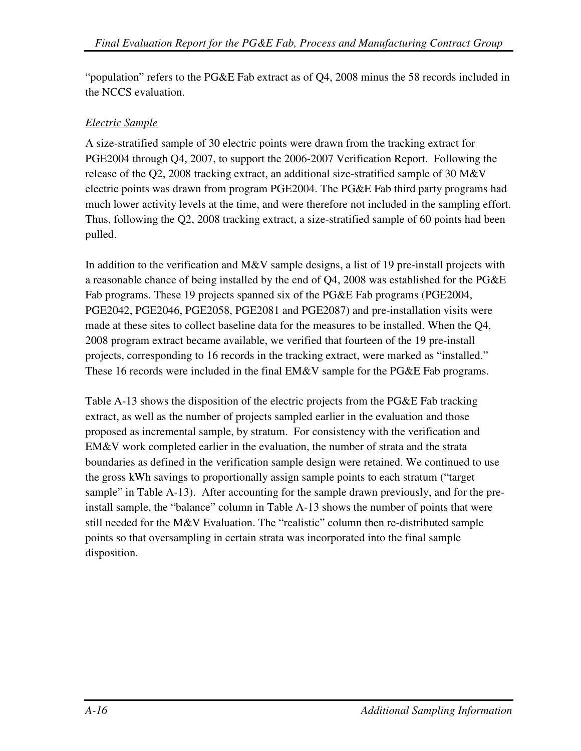"population" refers to the PG&E Fab extract as of Q4, 2008 minus the 58 records included in the NCCS evaluation.

#### *Electric Sample*

A size-stratified sample of 30 electric points were drawn from the tracking extract for PGE2004 through Q4, 2007, to support the 2006-2007 Verification Report. Following the release of the Q2, 2008 tracking extract, an additional size-stratified sample of 30 M&V electric points was drawn from program PGE2004. The PG&E Fab third party programs had much lower activity levels at the time, and were therefore not included in the sampling effort. Thus, following the Q2, 2008 tracking extract, a size-stratified sample of 60 points had been pulled.

In addition to the verification and M&V sample designs, a list of 19 pre-install projects with a reasonable chance of being installed by the end of Q4, 2008 was established for the PG&E Fab programs. These 19 projects spanned six of the PG&E Fab programs (PGE2004, PGE2042, PGE2046, PGE2058, PGE2081 and PGE2087) and pre-installation visits were made at these sites to collect baseline data for the measures to be installed. When the Q4, 2008 program extract became available, we verified that fourteen of the 19 pre-install projects, corresponding to 16 records in the tracking extract, were marked as "installed." These 16 records were included in the final EM&V sample for the PG&E Fab programs.

Table A-13 shows the disposition of the electric projects from the PG&E Fab tracking extract, as well as the number of projects sampled earlier in the evaluation and those proposed as incremental sample, by stratum. For consistency with the verification and EM&V work completed earlier in the evaluation, the number of strata and the strata boundaries as defined in the verification sample design were retained. We continued to use the gross kWh savings to proportionally assign sample points to each stratum ("target sample" in Table A-13). After accounting for the sample drawn previously, and for the preinstall sample, the "balance" column in Table A-13 shows the number of points that were still needed for the M&V Evaluation. The "realistic" column then re-distributed sample points so that oversampling in certain strata was incorporated into the final sample disposition.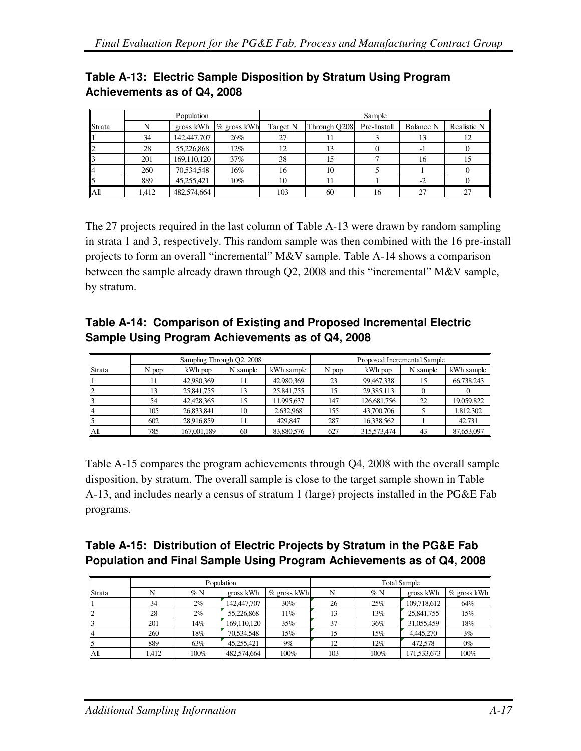|                 | Population |             |                          | Sample   |              |             |           |             |  |  |
|-----------------|------------|-------------|--------------------------|----------|--------------|-------------|-----------|-------------|--|--|
| Strata          | N          |             | gross kWh $\%$ gross kWh | Target N | Through Q208 | Pre-Install | Balance N | Realistic N |  |  |
|                 | 34         | 142,447,707 | 26%                      | 27       |              |             | 13        | 12          |  |  |
|                 | 28         | 55,226,868  | $12\%$                   | 12       |              |             | - 1       |             |  |  |
|                 | 201        | 169,110,120 | 37%                      | 38       |              |             | 16        | 15          |  |  |
|                 | 260        | 70,534,548  | 16%                      | 16       | 10           |             |           |             |  |  |
|                 | 889        | 45,255,421  | $10\%$                   | 10       |              |             | $-2$      |             |  |  |
| A <sup>II</sup> | 1,412      | 482,574,664 |                          | 103      | 60           | 16          | 27        | 27          |  |  |

# **Table A-13: Electric Sample Disposition by Stratum Using Program Achievements as of Q4, 2008**

The 27 projects required in the last column of Table A-13 were drawn by random sampling in strata 1 and 3, respectively. This random sample was then combined with the 16 pre-install projects to form an overall "incremental" M&V sample. Table A-14 shows a comparison between the sample already drawn through Q2, 2008 and this "incremental" M&V sample, by stratum.

## **Table A-14: Comparison of Existing and Proposed Incremental Electric Sample Using Program Achievements as of Q4, 2008**

|        |       |             | Sampling Through Q2, 2008 |            | Proposed Incremental Sample |             |          |            |
|--------|-------|-------------|---------------------------|------------|-----------------------------|-------------|----------|------------|
| Strata | N pop | kWh pop     | N sample                  | kWh sample | N pop                       | kWh pop     | N sample | kWh sample |
|        | 11    | 42,980,369  |                           | 42,980,369 | 23                          | 99,467,338  | 15       | 66,738,243 |
|        | 13    | 25,841,755  | 13                        | 25,841,755 | 15                          | 29,385,113  |          |            |
|        | 54    | 42,428,365  | 15                        | 11.995.637 | 147                         | 126,681,756 | 22       | 19,059,822 |
|        | 105   | 26,833,841  | 10                        | 2,632,968  | 155                         | 43,700,706  |          | 1,812,302  |
|        | 602   | 28.916.859  |                           | 429,847    | 287                         | 16.338.562  |          | 42.731     |
| Αll    | 785   | 167,001,189 | 60                        | 83,880,576 | 627                         | 315,573,474 | 43       | 87,653,097 |

Table A-15 compares the program achievements through Q4, 2008 with the overall sample disposition, by stratum. The overall sample is close to the target sample shown in Table A-13, and includes nearly a census of stratum 1 (large) projects installed in the PG&E Fab programs.

# **Table A-15: Distribution of Electric Projects by Stratum in the PG&E Fab Population and Final Sample Using Program Achievements as of Q4, 2008**

|        |       |       | Population  |               | <b>Total Sample</b> |      |             |                |  |
|--------|-------|-------|-------------|---------------|---------------------|------|-------------|----------------|--|
| Strata | N     | %N    | gross kWh   | $%$ gross kWh | N                   | %N   | gross kWh   | $\%$ gross kWh |  |
|        | 34    | $2\%$ | 142,447,707 | $30\%$        | 26                  | 25%  | 109,718,612 | 64%            |  |
|        | 28    | $2\%$ | 55.226.868  | 11%           | 13                  | 13%  | 25,841,755  | 15%            |  |
|        | 201   | 14%   | 169,110,120 | 35%           | 37                  | 36%  | 31,055,459  | 18%            |  |
|        | 260   | 18%   | 70.534.548  | 15%           | 15                  | 15%  | 4.445.270   | 3%             |  |
|        | 889   | 63%   | 45.255.421  | 9%            | 12                  | 12%  | 472,578     | $0\%$          |  |
| Αll    | 1.412 | 100%  | 482,574,664 | 100%          | 103                 | 100% | 171,533,673 | 100%           |  |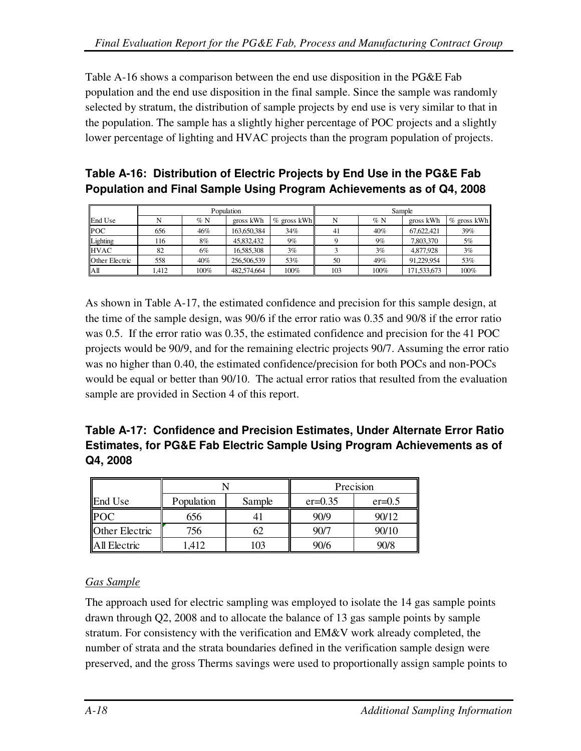Table A-16 shows a comparison between the end use disposition in the PG&E Fab population and the end use disposition in the final sample. Since the sample was randomly selected by stratum, the distribution of sample projects by end use is very similar to that in the population. The sample has a slightly higher percentage of POC projects and a slightly lower percentage of lighting and HVAC projects than the program population of projects.

#### **Table A-16: Distribution of Electric Projects by End Use in the PG&E Fab Population and Final Sample Using Program Achievements as of Q4, 2008**

|                |      |         | Population  |                | Sample |        |             |                |
|----------------|------|---------|-------------|----------------|--------|--------|-------------|----------------|
| End Use        |      | $\%$ N  | gross kWh   | $\%$ gross kWh | N      | $\%$ N | gross kWh   | $\%$ gross kWh |
| <b>POC</b>     | 656  | 46%     | 163,650,384 | 34%            | 41     | 40%    | 67.622.421  | 39%            |
| Lighting       | 116  | 8%      | 45.832.432  | $9\%$          |        | $9\%$  | 7.803.370   | 5%             |
| <b>HVAC</b>    | 82   | 6%      | 16.585.308  | 3%             |        | 3%     | 4,877,928   | 3%             |
| Other Electric | 558  | 40%     | 256,506,539 | 53%            | 50     | 49%    | 91.229.954  | 53%            |
| lАll           | .412 | $100\%$ | 482,574,664 | 100%           | 103    | 100%   | 171,533,673 | 100%           |

As shown in Table A-17, the estimated confidence and precision for this sample design, at the time of the sample design, was 90/6 if the error ratio was 0.35 and 90/8 if the error ratio was 0.5. If the error ratio was 0.35, the estimated confidence and precision for the 41 POC projects would be 90/9, and for the remaining electric projects 90/7. Assuming the error ratio was no higher than 0.40, the estimated confidence/precision for both POCs and non-POCs would be equal or better than 90/10. The actual error ratios that resulted from the evaluation sample are provided in Section 4 of this report.

# **Table A-17: Confidence and Precision Estimates, Under Alternate Error Ratio Estimates, for PG&E Fab Electric Sample Using Program Achievements as of Q4, 2008**

|                       |            |        | Precision |          |  |
|-----------------------|------------|--------|-----------|----------|--|
| End Use               | Population | Sample | $er=0.35$ | $er=0.5$ |  |
| POC                   | 656        |        | 90/9      | 90/12    |  |
| <b>Other Electric</b> | 756        | 62     | 90/7      | 90/10    |  |
| All Electric          | 1,412      | 103    | 90/6      | 90/8     |  |

## *Gas Sample*

The approach used for electric sampling was employed to isolate the 14 gas sample points drawn through Q2, 2008 and to allocate the balance of 13 gas sample points by sample stratum. For consistency with the verification and EM&V work already completed, the number of strata and the strata boundaries defined in the verification sample design were preserved, and the gross Therms savings were used to proportionally assign sample points to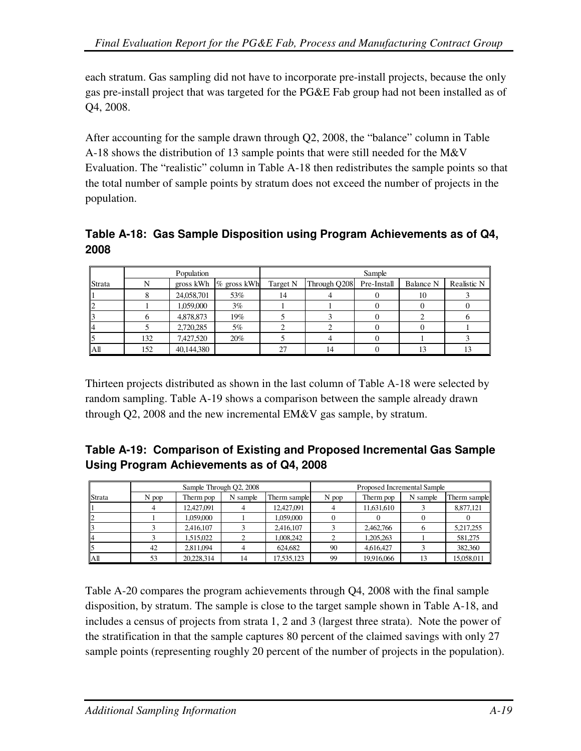each stratum. Gas sampling did not have to incorporate pre-install projects, because the only gas pre-install project that was targeted for the PG&E Fab group had not been installed as of Q4, 2008.

After accounting for the sample drawn through Q2, 2008, the "balance" column in Table A-18 shows the distribution of 13 sample points that were still needed for the M&V Evaluation. The "realistic" column in Table A-18 then redistributes the sample points so that the total number of sample points by stratum does not exceed the number of projects in the population.

**Table A-18: Gas Sample Disposition using Program Achievements as of Q4, 2008** 

|                 |     | Population |                          |          | Sample       |             |           |             |  |  |  |
|-----------------|-----|------------|--------------------------|----------|--------------|-------------|-----------|-------------|--|--|--|
| Strata          |     |            | gross kWh $\%$ gross kWh | Target N | Through Q208 | Pre-Install | Balance N | Realistic N |  |  |  |
|                 |     | 24,058,701 | 53%                      | 14       |              |             | 10        |             |  |  |  |
| ∠               |     | 1,059,000  | 3%                       |          |              |             |           |             |  |  |  |
|                 |     | 4,878,873  | 19%                      |          |              |             |           |             |  |  |  |
|                 |     | 2,720,285  | 5%                       |          |              |             |           |             |  |  |  |
|                 | 132 | 7,427,520  | 20%                      |          |              |             |           |             |  |  |  |
| A <sup>II</sup> | 152 | 40,144,380 |                          | 27       |              |             | 13        |             |  |  |  |

Thirteen projects distributed as shown in the last column of Table A-18 were selected by random sampling. Table A-19 shows a comparison between the sample already drawn through Q2, 2008 and the new incremental EM&V gas sample, by stratum.

**Table A-19: Comparison of Existing and Proposed Incremental Gas Sample Using Program Achievements as of Q4, 2008** 

|        | Sample Through Q2, 2008 |            |          |              | Proposed Incremental Sample |            |          |              |  |
|--------|-------------------------|------------|----------|--------------|-----------------------------|------------|----------|--------------|--|
| Strata | N pop                   | Therm pop  | N sample | Therm sample | N pop                       | Therm pop  | N sample | Therm sample |  |
|        |                         | 12,427,091 |          | 12,427,091   |                             | 11,631,610 |          | 8,877,121    |  |
|        |                         | 1.059.000  |          | 1.059.000    |                             |            |          |              |  |
|        |                         | 2.416.107  |          | 2,416,107    |                             | 2,462,766  |          | 5,217,255    |  |
|        |                         | 1.515.022  |          | 1.008.242    |                             | 1.205.263  |          | 581,275      |  |
|        | 42                      | 2,811,094  |          | 624,682      | 90                          | 4.616.427  |          | 382,360      |  |
| Аll    | 53                      | 20.228.314 | 14       | 17,535,123   | 99                          | 19.916.066 | 13       | 15,058,011   |  |

Table A-20 compares the program achievements through Q4, 2008 with the final sample disposition, by stratum. The sample is close to the target sample shown in Table A-18, and includes a census of projects from strata 1, 2 and 3 (largest three strata). Note the power of the stratification in that the sample captures 80 percent of the claimed savings with only 27 sample points (representing roughly 20 percent of the number of projects in the population).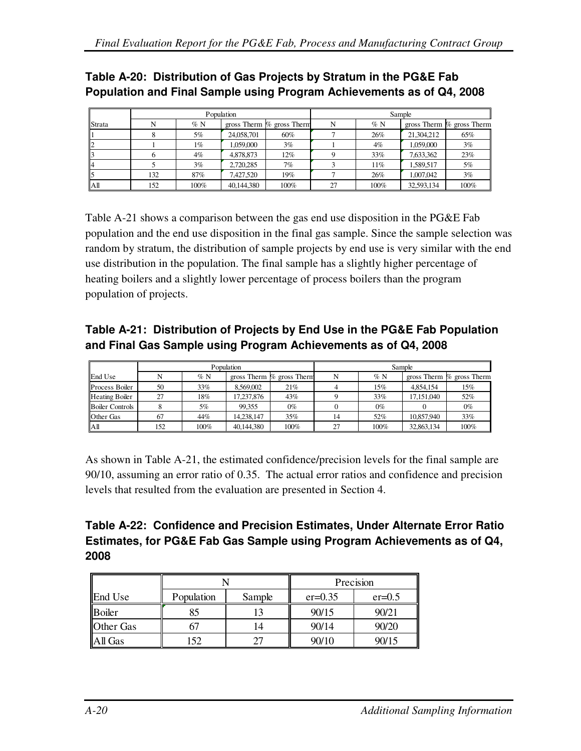# **Table A-20: Distribution of Gas Projects by Stratum in the PG&E Fab Population and Final Sample using Program Achievements as of Q4, 2008**

|        | Population |        |            |                             | Sample |        |            |                             |  |
|--------|------------|--------|------------|-----------------------------|--------|--------|------------|-----------------------------|--|
| Strata | N          | $\%$ N |            | gross Therm $%$ gross Therm | N      | %N     |            | gross Therm $%$ gross Therm |  |
|        |            | 5%     | 24,058,701 | 60%                         |        | 26%    | 21.304.212 | 65%                         |  |
|        |            | 1%     | 1.059.000  | $3\%$                       |        | $4\%$  | 1.059.000  | 3%                          |  |
|        |            | $4\%$  | 4,878,873  | $12\%$                      |        | 33%    | 7.633.362  | 23%                         |  |
|        |            | 3%     | 2.720.285  | 7%                          |        | $11\%$ | 1.589.517  | 5%                          |  |
|        | 132        | 87%    | 7.427.520  | 19%                         |        | 26%    | 1.007.042  | 3%                          |  |
| Αll    | 152        | 100%   | 40.144.380 | 100%                        | 27     | 100%   | 32,593,134 | 100%                        |  |

Table A-21 shows a comparison between the gas end use disposition in the PG&E Fab population and the end use disposition in the final gas sample. Since the sample selection was random by stratum, the distribution of sample projects by end use is very similar with the end use distribution in the population. The final sample has a slightly higher percentage of heating boilers and a slightly lower percentage of process boilers than the program population of projects.

# **Table A-21: Distribution of Projects by End Use in the PG&E Fab Population and Final Gas Sample using Program Achievements as of Q4, 2008**

|                        | Population |         |            |                           | Sample |        |            |                             |
|------------------------|------------|---------|------------|---------------------------|--------|--------|------------|-----------------------------|
| End Use                |            | $\%$ N  |            | gross Therm % gross Therm |        | $\%$ N |            | gross Therm $%$ gross Therm |
| Process Boiler         | 50         | 33%     | 8.569.002  | 21%                       |        | 15%    | 4.854.154  | 15%                         |
| <b>Heating Boiler</b>  | 27         | 18%     | 17.237.876 | 43%                       |        | 33%    | 17.151.040 | 52%                         |
| <b>Boiler Controls</b> |            | 5%      | 99.355     | $0\%$                     |        | $0\%$  |            | $0\%$                       |
| <b>Other Gas</b>       | 67         | 44%     | 14.238.147 | 35%                       | 14     | 52%    | 10,857,940 | 33%                         |
| AШ                     | 152        | $100\%$ | 40,144,380 | 100%                      | 27     | 100%   | 32,863,134 | 100%                        |

As shown in Table A-21, the estimated confidence/precision levels for the final sample are 90/10, assuming an error ratio of 0.35. The actual error ratios and confidence and precision levels that resulted from the evaluation are presented in Section 4.

# **Table A-22: Confidence and Precision Estimates, Under Alternate Error Ratio Estimates, for PG&E Fab Gas Sample using Program Achievements as of Q4, 2008**

|                  |            |        | Precision   |          |  |
|------------------|------------|--------|-------------|----------|--|
| End Use          | Population | Sample | $er = 0.35$ | $er=0.5$ |  |
| Boiler           | 85         |        | 90/15       | 90/21    |  |
| <b>Other Gas</b> |            | 14     | 90/14       | 90/20    |  |
| All Gas          | 52         |        | 90/10       | 90/15    |  |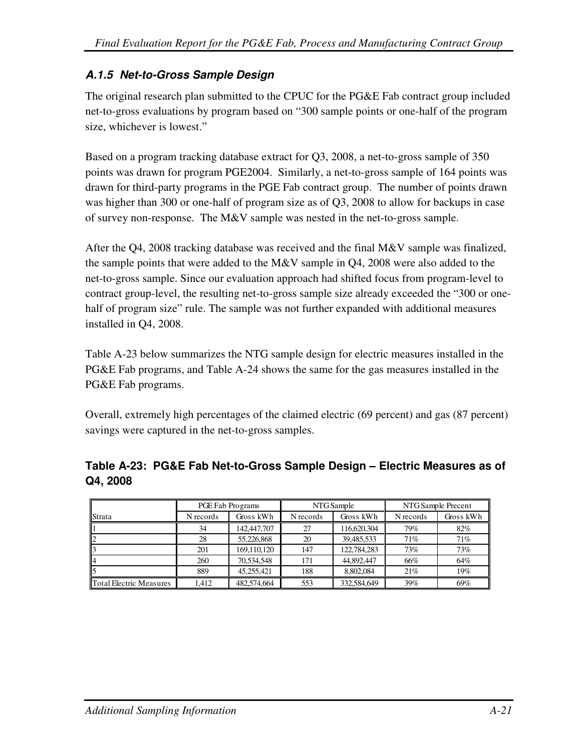# **A.1.5 Net-to-Gross Sample Design**

The original research plan submitted to the CPUC for the PG&E Fab contract group included net-to-gross evaluations by program based on "300 sample points or one-half of the program size, whichever is lowest."

Based on a program tracking database extract for Q3, 2008, a net-to-gross sample of 350 points was drawn for program PGE2004. Similarly, a net-to-gross sample of 164 points was drawn for third-party programs in the PGE Fab contract group. The number of points drawn was higher than 300 or one-half of program size as of Q3, 2008 to allow for backups in case of survey non-response. The M&V sample was nested in the net-to-gross sample.

After the Q4, 2008 tracking database was received and the final M&V sample was finalized, the sample points that were added to the M&V sample in Q4, 2008 were also added to the net-to-gross sample. Since our evaluation approach had shifted focus from program-level to contract group-level, the resulting net-to-gross sample size already exceeded the "300 or onehalf of program size" rule. The sample was not further expanded with additional measures installed in Q4, 2008.

Table A-23 below summarizes the NTG sample design for electric measures installed in the PG&E Fab programs, and Table A-24 shows the same for the gas measures installed in the PG&E Fab programs.

Overall, extremely high percentages of the claimed electric (69 percent) and gas (87 percent) savings were captured in the net-to-gross samples.

|                                | PGE Fab Programs |             |           | NTG Sample  | NTG Sample Precent |           |
|--------------------------------|------------------|-------------|-----------|-------------|--------------------|-----------|
| <b>Strata</b>                  | N records        | Gross kWh   | N records | Gross kWh   | N records          | Gross kWh |
|                                | 34               | 142,447,707 | 27        | 116,620,304 | 79%                | 82%       |
|                                | 28               | 55,226,868  | 20        | 39,485,533  | 71%                | 71%       |
|                                | 201              | 169,110,120 | 147       | 122,784,283 | 73%                | 73%       |
|                                | 260              | 70,534,548  | 171       | 44,892,447  | 66%                | 64%       |
|                                | 889              | 45.255.421  | 188       | 8,802,084   | 21%                | 19%       |
| <b>Total Electric Measures</b> | 1.412            | 482,574,664 | 553       | 332,584,649 | 39%                | 69%       |

#### **Table A-23: PG&E Fab Net-to-Gross Sample Design – Electric Measures as of Q4, 2008**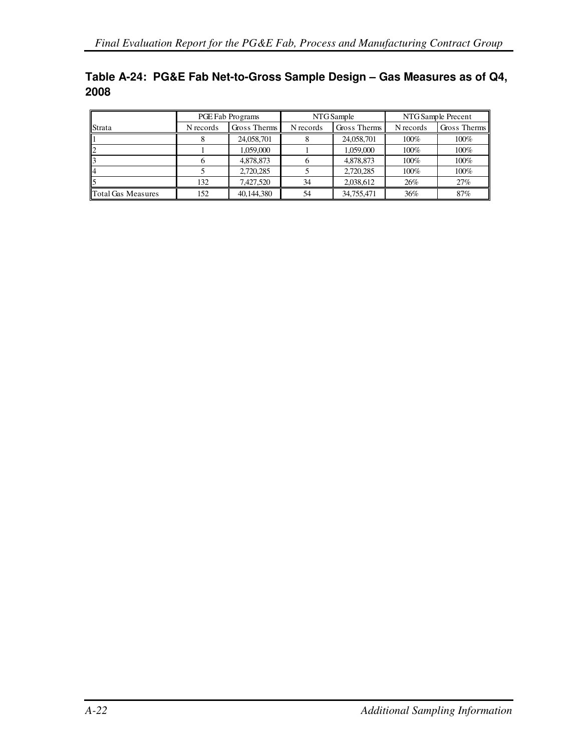|      | Table A-24: PG&E Fab Net-to-Gross Sample Design – Gas Measures as of Q4, |
|------|--------------------------------------------------------------------------|
| 2008 |                                                                          |

|                    | PGE Fab Programs |              |           | NTG Sample   | NTG Sample Precent |              |
|--------------------|------------------|--------------|-----------|--------------|--------------------|--------------|
| <b>Strata</b>      | N records        | Gross Therms | N records | Gross Therms | N records          | Gross Therms |
|                    |                  | 24,058,701   |           | 24,058,701   | 100%               | 100%         |
| $\mathbf{I}$       |                  | 1.059.000    |           | 1.059.000    | 100%               | 100%         |
|                    |                  | 4,878,873    |           | 4,878,873    | 100%               | 100%         |
| ll4                |                  | 2.720.285    |           | 2.720.285    | 100%               | 100%         |
| ll5                | 132              | 7.427.520    | 34        | 2.038.612    | 26%                | 27%          |
| Total Gas Measures | 152              | 40,144,380   | 54        | 34,755,471   | 36%                | 87%          |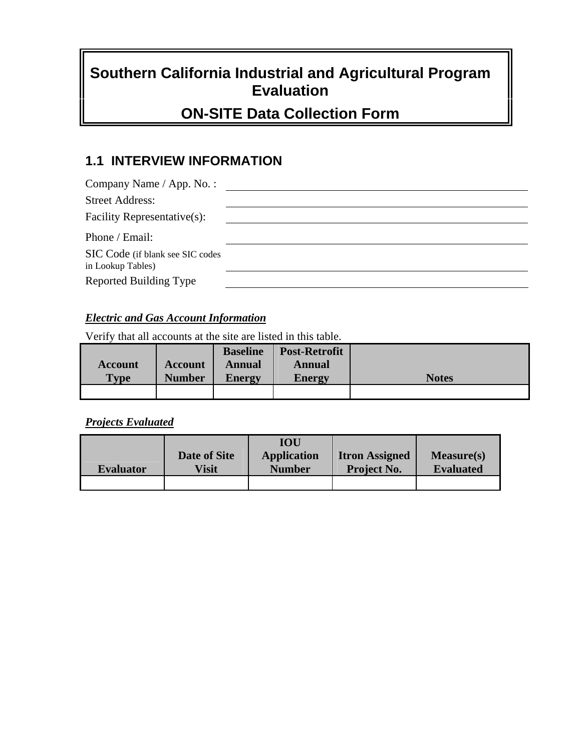# **Southern California Industrial and Agricultural Program Evaluation**

# **ON-SITE Data Collection Form**

# **1.1 INTERVIEW INFORMATION**

| Company Name / App. No. :                             |  |
|-------------------------------------------------------|--|
| <b>Street Address:</b>                                |  |
| Facility Representative(s):                           |  |
| Phone / Email:                                        |  |
| SIC Code (if blank see SIC codes<br>in Lookup Tables) |  |
| Reported Building Type                                |  |

#### *Electric and Gas Account Information*

Verify that all accounts at the site are listed in this table.

|             |                | <b>Baseline</b> | <b>Post-Retrofit</b> |              |
|-------------|----------------|-----------------|----------------------|--------------|
| Account     | <b>Account</b> | Annual          | Annual               |              |
| <b>Type</b> | <b>Number</b>  | <b>Energy</b>   | <b>Energy</b>        | <b>Notes</b> |
|             |                |                 |                      |              |

#### *Projects Evaluated*

|                  |              | IOU                |                       |                  |
|------------------|--------------|--------------------|-----------------------|------------------|
|                  | Date of Site | <b>Application</b> | <b>Itron Assigned</b> | Measure(s)       |
| <b>Evaluator</b> | <b>Visit</b> | <b>Number</b>      | <b>Project No.</b>    | <b>Evaluated</b> |
|                  |              |                    |                       |                  |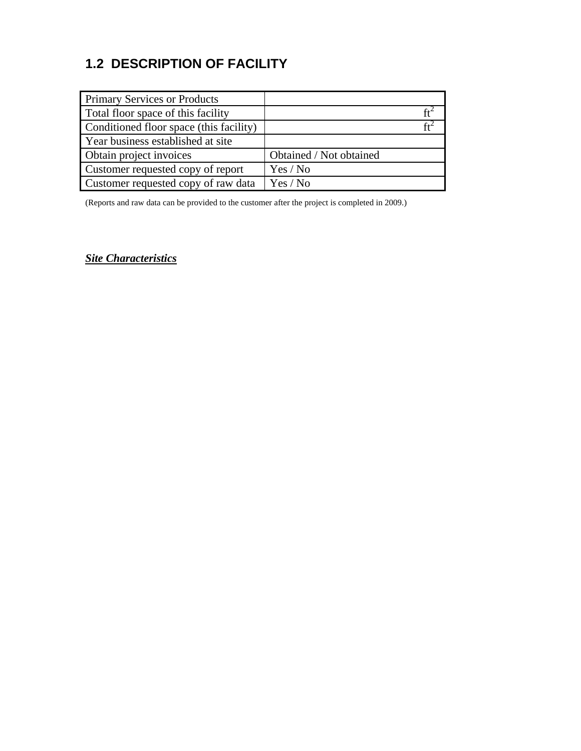# **1.2 DESCRIPTION OF FACILITY**

| <b>Primary Services or Products</b>     |                         |
|-----------------------------------------|-------------------------|
| Total floor space of this facility      |                         |
| Conditioned floor space (this facility) |                         |
| Year business established at site       |                         |
| Obtain project invoices                 | Obtained / Not obtained |
| Customer requested copy of report       | Yes / No                |
| Customer requested copy of raw data     | Yes / No                |

(Reports and raw data can be provided to the customer after the project is completed in 2009.)

*Site Characteristics*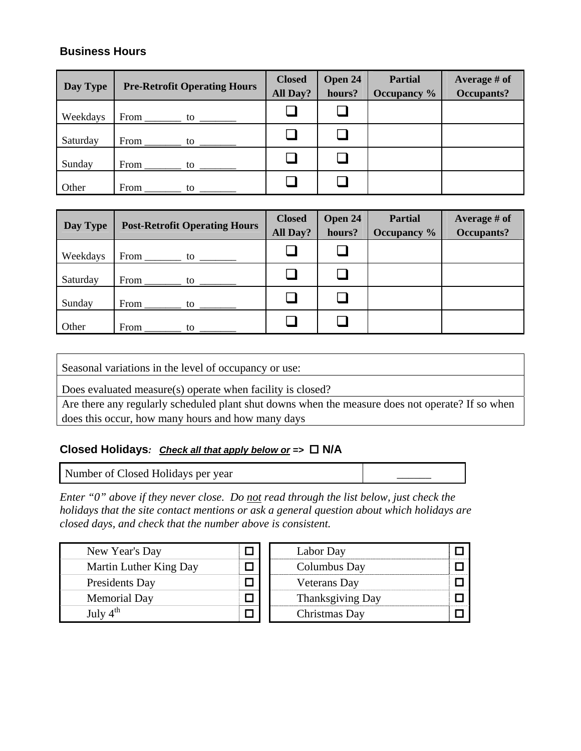#### **Business Hours**

| Day Type | <b>Pre-Retrofit Operating Hours</b> | <b>Closed</b><br>All Day? | Open 24<br>hours? | <b>Partial</b><br>Occupancy % | Average # of<br><b>Occupants?</b> |
|----------|-------------------------------------|---------------------------|-------------------|-------------------------------|-----------------------------------|
| Weekdays | From<br>to                          |                           |                   |                               |                                   |
| Saturday | From<br>to                          |                           |                   |                               |                                   |
| Sunday   | From<br>to                          |                           |                   |                               |                                   |
| Other    | From<br>to                          |                           |                   |                               |                                   |

| Day Type | <b>Post-Retrofit Operating Hours</b> | <b>Closed</b><br>All Day? | Open 24<br>hours? | <b>Partial</b><br>Occupancy % | Average # of<br>Occupants? |
|----------|--------------------------------------|---------------------------|-------------------|-------------------------------|----------------------------|
| Weekdays | From<br>to                           |                           |                   |                               |                            |
| Saturday | From<br>to                           |                           |                   |                               |                            |
| Sunday   | From<br>to                           |                           |                   |                               |                            |
| Other    | From<br>to                           |                           |                   |                               |                            |

Seasonal variations in the level of occupancy or use:

Does evaluated measure(s) operate when facility is closed?

Are there any regularly scheduled plant shut downs when the measure does not operate? If so when does this occur, how many hours and how many days

#### **Closed Holidays***: Check all that apply below or =>*  **N/A**

Number of Closed Holidays per year \_\_\_\_\_\_

*Enter "0" above if they never close. Do not read through the list below, just check the holidays that the site contact mentions or ask a general question about which holidays are closed days, and check that the number above is consistent.* 

| New Year's Day         | Labor Day               |  |
|------------------------|-------------------------|--|
| Martin Luther King Day | Columbus Day            |  |
| Presidents Day         | <b>Veterans</b> Day     |  |
| <b>Memorial Day</b>    | <b>Thanksgiving Day</b> |  |
| July $4^{\text{th}}$   | Christmas Day           |  |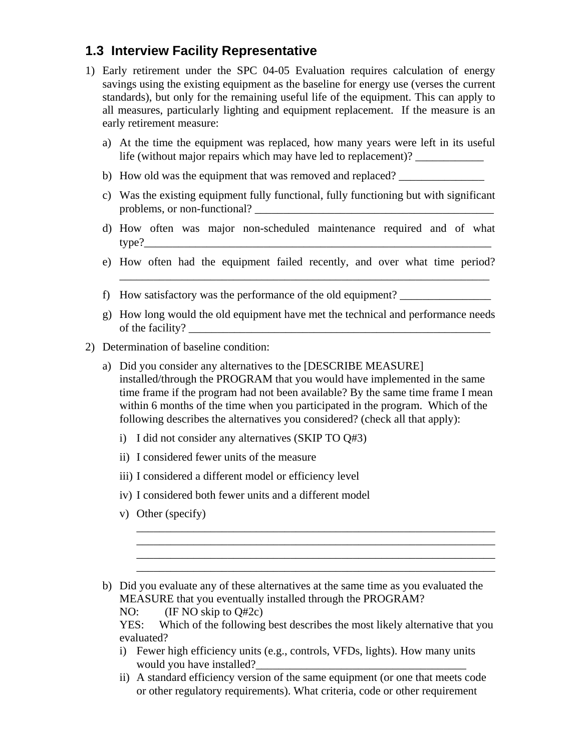# **1.3 Interview Facility Representative**

- 1) Early retirement under the SPC 04-05 Evaluation requires calculation of energy savings using the existing equipment as the baseline for energy use (verses the current standards), but only for the remaining useful life of the equipment. This can apply to all measures, particularly lighting and equipment replacement. If the measure is an early retirement measure:
	- a) At the time the equipment was replaced, how many years were left in its useful life (without major repairs which may have led to replacement)? \_\_\_\_\_\_\_\_\_\_\_\_\_\_\_\_
	- b) How old was the equipment that was removed and replaced?
	- c) Was the existing equipment fully functional, fully functioning but with significant problems, or non-functional?
	- d) How often was major non-scheduled maintenance required and of what type?\_\_\_\_\_\_\_\_\_\_\_\_\_\_\_\_\_\_\_\_\_\_\_\_\_\_\_\_\_\_\_\_\_\_\_\_\_\_\_\_\_\_\_\_\_\_\_\_\_\_\_\_\_\_\_\_\_\_\_\_\_
	- e) How often had the equipment failed recently, and over what time period?

\_\_\_\_\_\_\_\_\_\_\_\_\_\_\_\_\_\_\_\_\_\_\_\_\_\_\_\_\_\_\_\_\_\_\_\_\_\_\_\_\_\_\_\_\_\_\_\_\_\_\_\_\_\_\_\_\_\_\_\_\_\_\_\_\_

- f) How satisfactory was the performance of the old equipment? \_\_\_\_\_\_\_\_\_\_\_\_\_\_\_\_
- g) How long would the old equipment have met the technical and performance needs of the facility?
- 2) Determination of baseline condition:
	- a) Did you consider any alternatives to the [DESCRIBE MEASURE] installed/through the PROGRAM that you would have implemented in the same time frame if the program had not been available? By the same time frame I mean within 6 months of the time when you participated in the program. Which of the following describes the alternatives you considered? (check all that apply):
		- i) I did not consider any alternatives (SKIP TO Q#3)
		- ii) I considered fewer units of the measure
		- iii) I considered a different model or efficiency level
		- iv) I considered both fewer units and a different model
		- v) Other (specify)

\_\_\_\_\_\_\_\_\_\_\_\_\_\_\_\_\_\_\_\_\_\_\_\_\_\_\_\_\_\_\_\_\_\_\_\_\_\_\_\_\_\_\_\_\_\_\_\_\_\_\_\_\_\_\_\_\_\_\_\_\_\_\_ \_\_\_\_\_\_\_\_\_\_\_\_\_\_\_\_\_\_\_\_\_\_\_\_\_\_\_\_\_\_\_\_\_\_\_\_\_\_\_\_\_\_\_\_\_\_\_\_\_\_\_\_\_\_\_\_\_\_\_\_\_\_\_ \_\_\_\_\_\_\_\_\_\_\_\_\_\_\_\_\_\_\_\_\_\_\_\_\_\_\_\_\_\_\_\_\_\_\_\_\_\_\_\_\_\_\_\_\_\_\_\_\_\_\_\_\_\_\_\_\_\_\_\_\_\_\_ \_\_\_\_\_\_\_\_\_\_\_\_\_\_\_\_\_\_\_\_\_\_\_\_\_\_\_\_\_\_\_\_\_\_\_\_\_\_\_\_\_\_\_\_\_\_\_\_\_\_\_\_\_\_\_\_\_\_\_\_\_\_\_

- i) Fewer high efficiency units (e.g., controls, VFDs, lights). How many units would you have installed?
- ii) A standard efficiency version of the same equipment (or one that meets code or other regulatory requirements). What criteria, code or other requirement

b) Did you evaluate any of these alternatives at the same time as you evaluated the MEASURE that you eventually installed through the PROGRAM?

NO: (IF NO skip to Q#2c)

YES: Which of the following best describes the most likely alternative that you evaluated?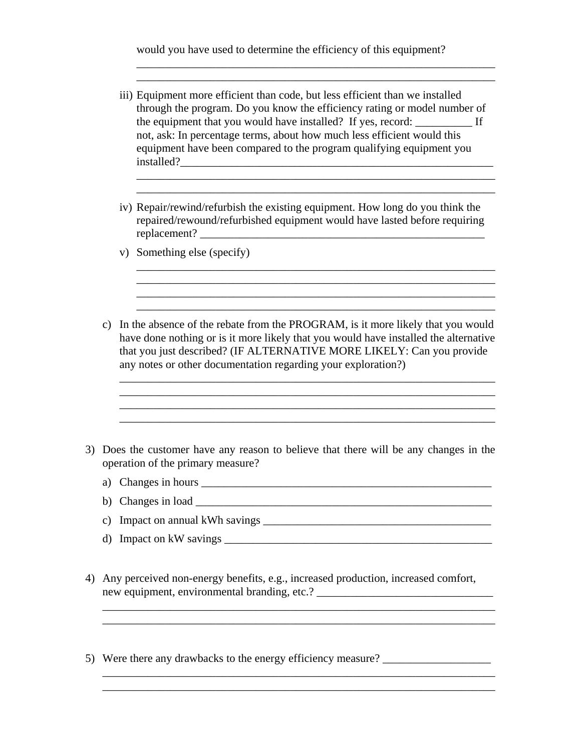would you have used to determine the efficiency of this equipment?

iii) Equipment more efficient than code, but less efficient than we installed through the program. Do you know the efficiency rating or model number of the equipment that you would have installed? If yes, record: If not, ask: In percentage terms, about how much less efficient would this equipment have been compared to the program qualifying equipment you installed?\_\_\_\_\_\_\_\_\_\_\_\_\_\_\_\_\_\_\_\_\_\_\_\_\_\_\_\_\_\_\_\_\_\_\_\_\_\_\_\_\_\_\_\_\_\_\_\_\_\_\_\_\_\_\_

\_\_\_\_\_\_\_\_\_\_\_\_\_\_\_\_\_\_\_\_\_\_\_\_\_\_\_\_\_\_\_\_\_\_\_\_\_\_\_\_\_\_\_\_\_\_\_\_\_\_\_\_\_\_\_\_\_\_\_\_\_\_\_ \_\_\_\_\_\_\_\_\_\_\_\_\_\_\_\_\_\_\_\_\_\_\_\_\_\_\_\_\_\_\_\_\_\_\_\_\_\_\_\_\_\_\_\_\_\_\_\_\_\_\_\_\_\_\_\_\_\_\_\_\_\_\_

\_\_\_\_\_\_\_\_\_\_\_\_\_\_\_\_\_\_\_\_\_\_\_\_\_\_\_\_\_\_\_\_\_\_\_\_\_\_\_\_\_\_\_\_\_\_\_\_\_\_\_\_\_\_\_\_\_\_\_\_\_\_\_

iv) Repair/rewind/refurbish the existing equipment. How long do you think the repaired/rewound/refurbished equipment would have lasted before requiring replacement? \_\_\_\_\_\_\_\_\_\_\_\_\_\_\_\_\_\_\_\_\_\_\_\_\_\_\_\_\_\_\_\_\_\_\_\_\_\_\_\_\_\_\_\_\_\_\_\_\_\_

\_\_\_\_\_\_\_\_\_\_\_\_\_\_\_\_\_\_\_\_\_\_\_\_\_\_\_\_\_\_\_\_\_\_\_\_\_\_\_\_\_\_\_\_\_\_\_\_\_\_\_\_\_\_\_\_\_\_\_\_\_\_\_ \_\_\_\_\_\_\_\_\_\_\_\_\_\_\_\_\_\_\_\_\_\_\_\_\_\_\_\_\_\_\_\_\_\_\_\_\_\_\_\_\_\_\_\_\_\_\_\_\_\_\_\_\_\_\_\_\_\_\_\_\_\_\_

\_\_\_\_\_\_\_\_\_\_\_\_\_\_\_\_\_\_\_\_\_\_\_\_\_\_\_\_\_\_\_\_\_\_\_\_\_\_\_\_\_\_\_\_\_\_\_\_\_\_\_\_\_\_\_\_\_\_\_\_\_\_\_

- v) Something else (specify)
- c) In the absence of the rebate from the PROGRAM, is it more likely that you would have done nothing or is it more likely that you would have installed the alternative that you just described? (IF ALTERNATIVE MORE LIKELY: Can you provide any notes or other documentation regarding your exploration?)

\_\_\_\_\_\_\_\_\_\_\_\_\_\_\_\_\_\_\_\_\_\_\_\_\_\_\_\_\_\_\_\_\_\_\_\_\_\_\_\_\_\_\_\_\_\_\_\_\_\_\_\_\_\_\_\_\_\_\_\_\_\_\_\_\_\_ \_\_\_\_\_\_\_\_\_\_\_\_\_\_\_\_\_\_\_\_\_\_\_\_\_\_\_\_\_\_\_\_\_\_\_\_\_\_\_\_\_\_\_\_\_\_\_\_\_\_\_\_\_\_\_\_\_\_\_\_\_\_\_\_\_\_

\_\_\_\_\_\_\_\_\_\_\_\_\_\_\_\_\_\_\_\_\_\_\_\_\_\_\_\_\_\_\_\_\_\_\_\_\_\_\_\_\_\_\_\_\_\_\_\_\_\_\_\_\_\_\_\_\_\_\_\_\_\_\_\_\_\_

- 3) Does the customer have any reason to believe that there will be any changes in the operation of the primary measure?
	- a) Changes in hours \_\_\_\_\_\_\_\_\_\_\_\_\_\_\_\_\_\_\_\_\_\_\_\_\_\_\_\_\_\_\_\_\_\_\_\_\_\_\_\_\_\_\_\_\_\_\_\_\_\_\_
	- b) Changes in load \_\_\_\_\_\_\_\_\_\_\_\_\_\_\_\_\_\_\_\_\_\_\_\_\_\_\_\_\_\_\_\_\_\_\_\_\_\_\_\_\_\_\_\_\_\_\_\_\_\_\_\_
	- c) Impact on annual kWh savings  $\Box$
	- d) Impact on kW savings \_\_\_\_\_\_\_\_\_\_\_\_\_\_\_\_\_\_\_\_\_\_\_\_\_\_\_\_\_\_\_\_\_\_\_\_\_\_\_\_\_\_\_\_\_\_\_

\_\_\_\_\_\_\_\_\_\_\_\_\_\_\_\_\_\_\_\_\_\_\_\_\_\_\_\_\_\_\_\_\_\_\_\_\_\_\_\_\_\_\_\_\_\_\_\_\_\_\_\_\_\_\_\_\_\_\_\_\_\_\_\_\_\_\_\_\_

\_\_\_\_\_\_\_\_\_\_\_\_\_\_\_\_\_\_\_\_\_\_\_\_\_\_\_\_\_\_\_\_\_\_\_\_\_\_\_\_\_\_\_\_\_\_\_\_\_\_\_\_\_\_\_\_\_\_\_\_\_\_\_\_\_\_\_\_\_ \_\_\_\_\_\_\_\_\_\_\_\_\_\_\_\_\_\_\_\_\_\_\_\_\_\_\_\_\_\_\_\_\_\_\_\_\_\_\_\_\_\_\_\_\_\_\_\_\_\_\_\_\_\_\_\_\_\_\_\_\_\_\_\_\_\_\_\_\_

- 4) Any perceived non-energy benefits, e.g., increased production, increased comfort, new equipment, environmental branding, etc.? \_\_\_\_\_\_\_\_\_\_\_\_\_\_\_\_\_\_\_\_\_\_\_\_\_\_\_\_\_\_\_\_\_\_\_
- 5) Were there any drawbacks to the energy efficiency measure?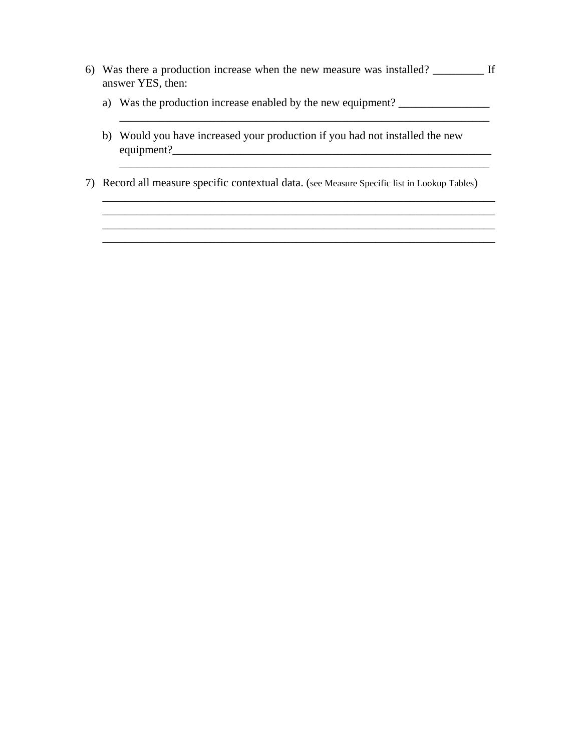6) Was there a production increase when the new measure was installed? \_\_\_\_\_\_\_\_\_ If answer YES, then:

\_\_\_\_\_\_\_\_\_\_\_\_\_\_\_\_\_\_\_\_\_\_\_\_\_\_\_\_\_\_\_\_\_\_\_\_\_\_\_\_\_\_\_\_\_\_\_\_\_\_\_\_\_\_\_\_\_\_\_\_\_\_\_\_\_

- a) Was the production increase enabled by the new equipment? \_\_\_\_\_\_\_\_\_\_\_\_\_\_\_\_\_\_\_
- b) Would you have increased your production if you had not installed the new equipment?\_\_\_\_\_\_\_\_\_\_\_\_\_\_\_\_\_\_\_\_\_\_\_\_\_\_\_\_\_\_\_\_\_\_\_\_\_\_\_\_\_\_\_\_\_\_\_\_\_\_\_\_\_\_\_\_
- 7) Record all measure specific contextual data. (see Measure Specific list in Lookup Tables)

\_\_\_\_\_\_\_\_\_\_\_\_\_\_\_\_\_\_\_\_\_\_\_\_\_\_\_\_\_\_\_\_\_\_\_\_\_\_\_\_\_\_\_\_\_\_\_\_\_\_\_\_\_\_\_\_\_\_\_\_\_\_\_\_\_\_\_\_\_ \_\_\_\_\_\_\_\_\_\_\_\_\_\_\_\_\_\_\_\_\_\_\_\_\_\_\_\_\_\_\_\_\_\_\_\_\_\_\_\_\_\_\_\_\_\_\_\_\_\_\_\_\_\_\_\_\_\_\_\_\_\_\_\_\_\_\_\_\_

\_\_\_\_\_\_\_\_\_\_\_\_\_\_\_\_\_\_\_\_\_\_\_\_\_\_\_\_\_\_\_\_\_\_\_\_\_\_\_\_\_\_\_\_\_\_\_\_\_\_\_\_\_\_\_\_\_\_\_\_\_\_\_\_\_\_\_\_\_

\_\_\_\_\_\_\_\_\_\_\_\_\_\_\_\_\_\_\_\_\_\_\_\_\_\_\_\_\_\_\_\_\_\_\_\_\_\_\_\_\_\_\_\_\_\_\_\_\_\_\_\_\_\_\_\_\_\_\_\_\_\_\_\_\_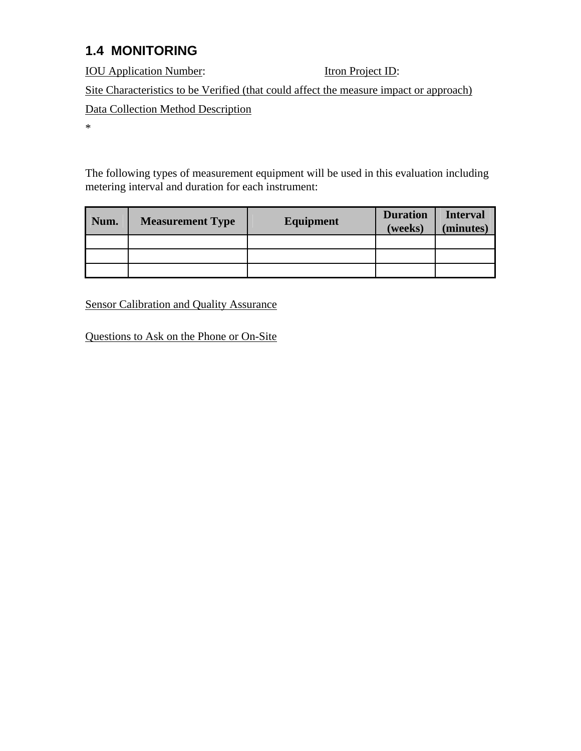# **1.4 MONITORING**

**IOU Application Number:** Itron Project ID: Site Characteristics to be Verified (that could affect the measure impact or approach) Data Collection Method Description \*

The following types of measurement equipment will be used in this evaluation including metering interval and duration for each instrument:

| Num. | <b>Measurement Type</b> | <b>Equipment</b> | <b>Duration</b><br>(weeks) | <b>Interval</b><br>(minutes) |
|------|-------------------------|------------------|----------------------------|------------------------------|
|      |                         |                  |                            |                              |
|      |                         |                  |                            |                              |
|      |                         |                  |                            |                              |

Sensor Calibration and Quality Assurance

Questions to Ask on the Phone or On-Site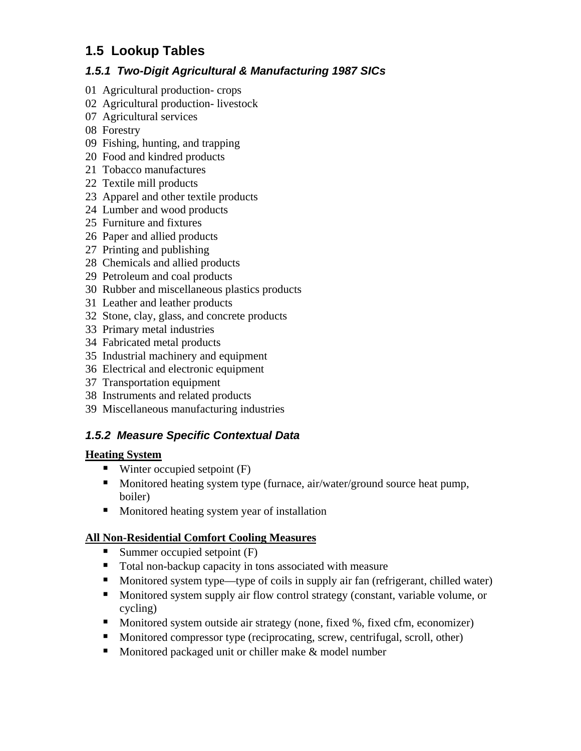# **1.5 Lookup Tables**

#### *1.5.1 Two-Digit Agricultural & Manufacturing 1987 SICs*

- 01 Agricultural production- crops
- 02 Agricultural production- livestock
- 07 Agricultural services
- 08 Forestry
- 09 Fishing, hunting, and trapping
- 20 Food and kindred products
- 21 Tobacco manufactures
- 22 Textile mill products
- 23 Apparel and other textile products
- 24 Lumber and wood products
- 25 Furniture and fixtures
- 26 Paper and allied products
- 27 Printing and publishing
- 28 Chemicals and allied products
- 29 Petroleum and coal products
- 30 Rubber and miscellaneous plastics products
- 31 Leather and leather products
- 32 Stone, clay, glass, and concrete products
- 33 Primary metal industries
- 34 Fabricated metal products
- 35 Industrial machinery and equipment
- 36 Electrical and electronic equipment
- 37 Transportation equipment
- 38 Instruments and related products
- 39 Miscellaneous manufacturing industries

## *1.5.2 Measure Specific Contextual Data*

#### **Heating System**

- $\blacksquare$  Winter occupied setpoint (F)
- **Monitored heating system type (furnace, air/water/ground source heat pump,** boiler)
- **Monitored heating system year of installation**

#### **All Non-Residential Comfort Cooling Measures**

- Summer occupied setpoint  $(F)$
- Total non-backup capacity in tons associated with measure
- Monitored system type—type of coils in supply air fan (refrigerant, chilled water)
- Monitored system supply air flow control strategy (constant, variable volume, or cycling)
- Monitored system outside air strategy (none, fixed %, fixed cfm, economizer)
- Monitored compressor type (reciprocating, screw, centrifugal, scroll, other)
- Monitored packaged unit or chiller make  $&$  model number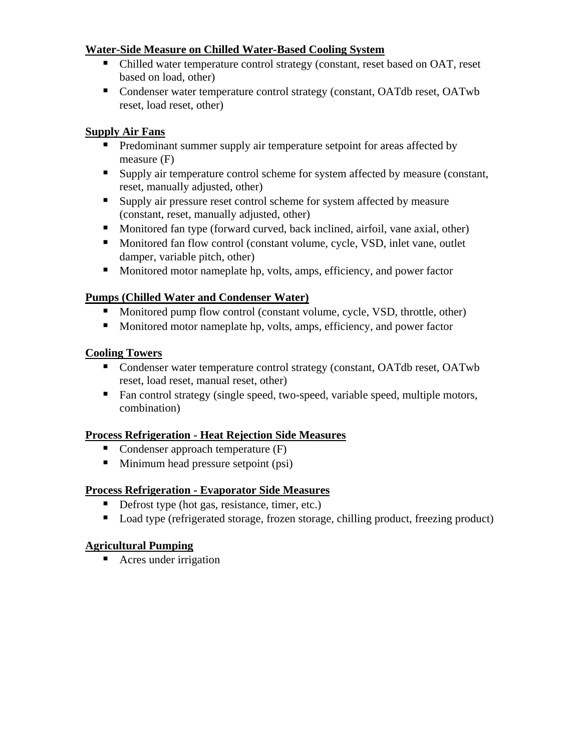#### **Water-Side Measure on Chilled Water-Based Cooling System**

- Chilled water temperature control strategy (constant, reset based on OAT, reset based on load, other)
- Condenser water temperature control strategy (constant, OATdb reset, OATwb reset, load reset, other)

#### **Supply Air Fans**

- **Predominant summer supply air temperature setpoint for areas affected by** measure (F)
- Supply air temperature control scheme for system affected by measure (constant, reset, manually adjusted, other)
- Supply air pressure reset control scheme for system affected by measure (constant, reset, manually adjusted, other)
- Monitored fan type (forward curved, back inclined, airfoil, vane axial, other)
- Monitored fan flow control (constant volume, cycle, VSD, inlet vane, outlet damper, variable pitch, other)
- Monitored motor nameplate hp, volts, amps, efficiency, and power factor

#### **Pumps (Chilled Water and Condenser Water)**

- Monitored pump flow control (constant volume, cycle, VSD, throttle, other)
- Monitored motor nameplate hp, volts, amps, efficiency, and power factor

#### **Cooling Towers**

- Condenser water temperature control strategy (constant, OATdb reset, OATwb reset, load reset, manual reset, other)
- Fan control strategy (single speed, two-speed, variable speed, multiple motors, combination)

#### **Process Refrigeration - Heat Rejection Side Measures**

- Condenser approach temperature  $(F)$
- $\blacksquare$  Minimum head pressure setpoint (psi)

#### **Process Refrigeration - Evaporator Side Measures**

- Defrost type (hot gas, resistance, timer, etc.)
- Load type (refrigerated storage, frozen storage, chilling product, freezing product)

## **Agricultural Pumping**

■ Acres under irrigation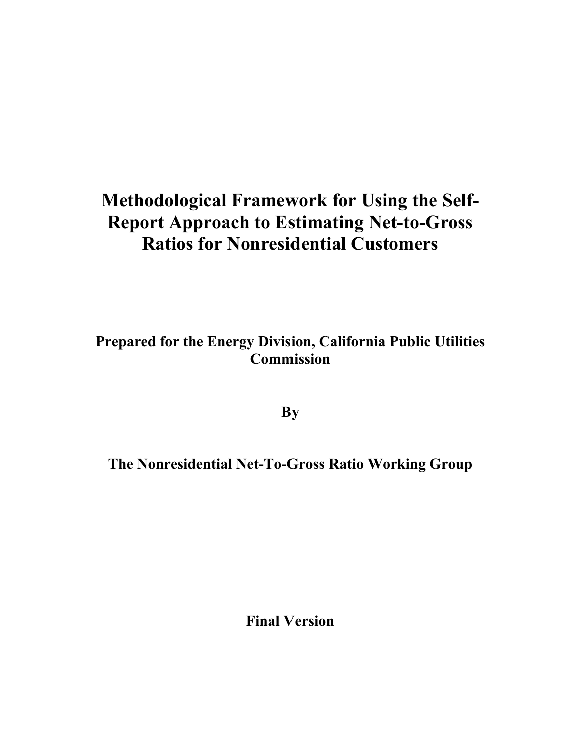# **Methodological Framework for Using the Self-Report Approach to Estimating Net-to-Gross Ratios for Nonresidential Customers**

**Prepared for the Energy Division, California Public Utilities Commission** 

**By** 

**The Nonresidential Net-To-Gross Ratio Working Group** 

**Final Version**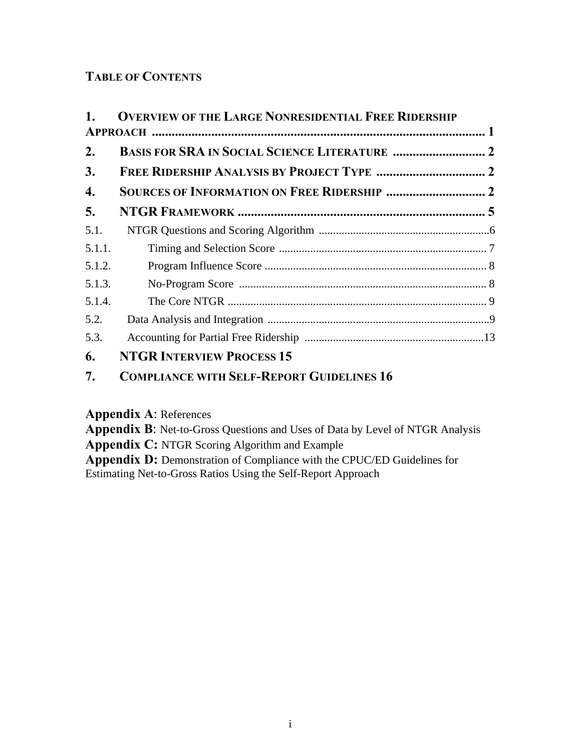## **TABLE OF CONTENTS**

| 1.     | <b>OVERVIEW OF THE LARGE NONRESIDENTIAL FREE RIDERSHIP</b> |  |
|--------|------------------------------------------------------------|--|
|        |                                                            |  |
| 2.     |                                                            |  |
| 3.     |                                                            |  |
| 4.     |                                                            |  |
| 5.     |                                                            |  |
| 5.1.   |                                                            |  |
| 5.1.1. |                                                            |  |
| 5.1.2. |                                                            |  |
| 5.1.3. |                                                            |  |
| 5.1.4. |                                                            |  |
| 5.2.   |                                                            |  |
| 5.3.   |                                                            |  |
| 6.     | <b>NTGR INTERVIEW PROCESS 15</b>                           |  |

## **7. COMPLIANCE WITH SELF-REPORT GUIDELINES 16**

**Appendix A**: References

**Appendix B**: Net-to-Gross Questions and Uses of Data by Level of NTGR Analysis **Appendix C:** NTGR Scoring Algorithm and Example Appendix D: Demonstration of Compliance with the CPUC/ED Guidelines for Estimating Net-to-Gross Ratios Using the Self-Report Approach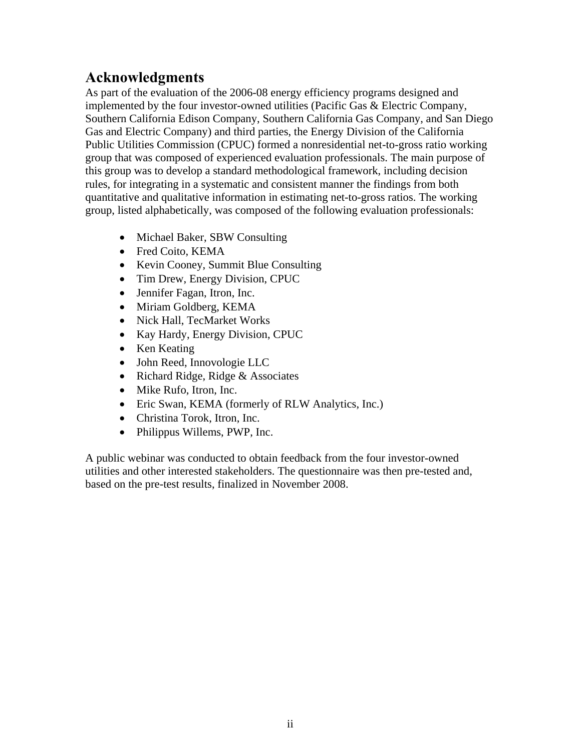## **Acknowledgments**

As part of the evaluation of the 2006-08 energy efficiency programs designed and implemented by the four investor-owned utilities (Pacific Gas & Electric Company, Southern California Edison Company, Southern California Gas Company, and San Diego Gas and Electric Company) and third parties, the Energy Division of the California Public Utilities Commission (CPUC) formed a nonresidential net-to-gross ratio working group that was composed of experienced evaluation professionals. The main purpose of this group was to develop a standard methodological framework, including decision rules, for integrating in a systematic and consistent manner the findings from both quantitative and qualitative information in estimating net-to-gross ratios. The working group, listed alphabetically, was composed of the following evaluation professionals:

- Michael Baker, SBW Consulting
- Fred Coito, KEMA
- Kevin Cooney, Summit Blue Consulting
- Tim Drew, Energy Division, CPUC
- Jennifer Fagan, Itron, Inc.
- Miriam Goldberg, KEMA
- Nick Hall, TecMarket Works
- Kay Hardy, Energy Division, CPUC
- Ken Keating
- John Reed, Innovologie LLC
- Richard Ridge, Ridge & Associates
- Mike Rufo, Itron, Inc.
- Eric Swan, KEMA (formerly of RLW Analytics, Inc.)
- Christina Torok, Itron, Inc.
- Philippus Willems, PWP, Inc.

A public webinar was conducted to obtain feedback from the four investor-owned utilities and other interested stakeholders. The questionnaire was then pre-tested and, based on the pre-test results, finalized in November 2008.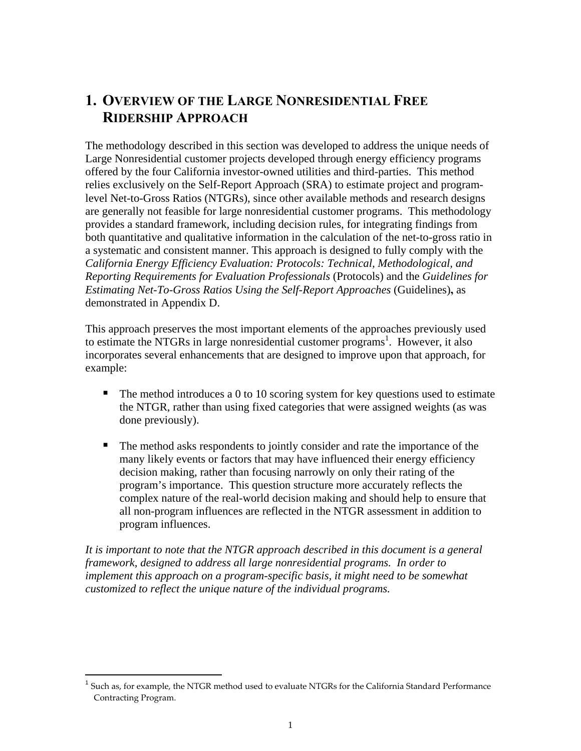## **1. OVERVIEW OF THE LARGE NONRESIDENTIAL FREE RIDERSHIP APPROACH**

The methodology described in this section was developed to address the unique needs of Large Nonresidential customer projects developed through energy efficiency programs offered by the four California investor-owned utilities and third-parties. This method relies exclusively on the Self-Report Approach (SRA) to estimate project and programlevel Net-to-Gross Ratios (NTGRs), since other available methods and research designs are generally not feasible for large nonresidential customer programs. This methodology provides a standard framework, including decision rules, for integrating findings from both quantitative and qualitative information in the calculation of the net-to-gross ratio in a systematic and consistent manner. This approach is designed to fully comply with the *California Energy Efficiency Evaluation: Protocols: Technical, Methodological, and Reporting Requirements for Evaluation Professionals* (Protocols) and the *Guidelines for Estimating Net-To-Gross Ratios Using the Self-Report Approaches* (Guidelines)**,** as demonstrated in Appendix D.

This approach preserves the most important elements of the approaches previously used to estimate the NTGRs in large nonresidential customer programs<sup>1</sup>. However, it also incorporates several enhancements that are designed to improve upon that approach, for example:

- $\blacksquare$  The method introduces a 0 to 10 scoring system for key questions used to estimate the NTGR, rather than using fixed categories that were assigned weights (as was done previously).
- The method asks respondents to jointly consider and rate the importance of the many likely events or factors that may have influenced their energy efficiency decision making, rather than focusing narrowly on only their rating of the program's importance. This question structure more accurately reflects the complex nature of the real-world decision making and should help to ensure that all non-program influences are reflected in the NTGR assessment in addition to program influences.

*It is important to note that the NTGR approach described in this document is a general framework, designed to address all large nonresidential programs. In order to implement this approach on a program-specific basis, it might need to be somewhat customized to reflect the unique nature of the individual programs.* 

 $\overline{a}$ 

 $<sup>1</sup>$  Such as, for example, the NTGR method used to evaluate NTGRs for the California Standard Performance</sup> Contracting Program.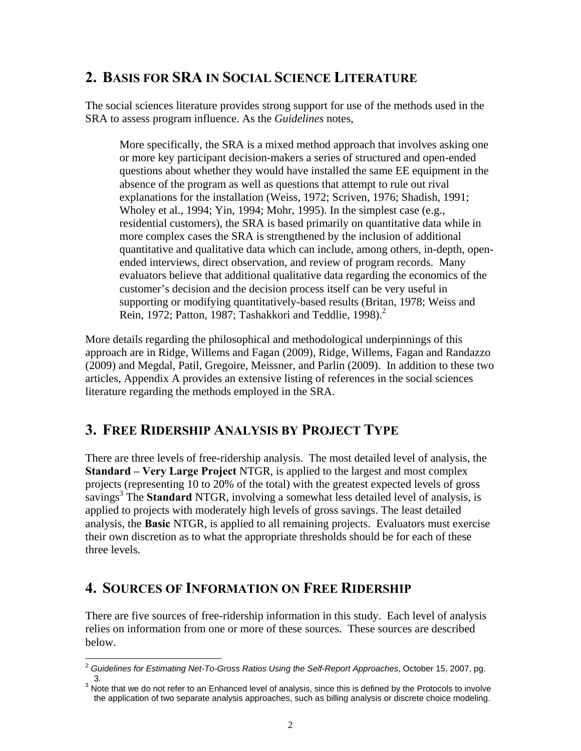## **2. BASIS FOR SRA IN SOCIAL SCIENCE LITERATURE**

The social sciences literature provides strong support for use of the methods used in the SRA to assess program influence. As the *Guidelines* notes,

More specifically, the SRA is a mixed method approach that involves asking one or more key participant decision-makers a series of structured and open-ended questions about whether they would have installed the same EE equipment in the absence of the program as well as questions that attempt to rule out rival explanations for the installation (Weiss, 1972; Scriven, 1976; Shadish, 1991; Wholey et al., 1994; Yin, 1994; Mohr, 1995). In the simplest case (e.g., residential customers), the SRA is based primarily on quantitative data while in more complex cases the SRA is strengthened by the inclusion of additional quantitative and qualitative data which can include, among others, in-depth, openended interviews, direct observation, and review of program records. Many evaluators believe that additional qualitative data regarding the economics of the customer's decision and the decision process itself can be very useful in supporting or modifying quantitatively-based results (Britan, 1978; Weiss and Rein, 1972; Patton, 1987; Tashakkori and Teddlie, 1998). $^2$ 

More details regarding the philosophical and methodological underpinnings of this approach are in Ridge, Willems and Fagan (2009), Ridge, Willems, Fagan and Randazzo (2009) and Megdal, Patil, Gregoire, Meissner, and Parlin (2009). In addition to these two articles, Appendix A provides an extensive listing of references in the social sciences literature regarding the methods employed in the SRA.

## **3. FREE RIDERSHIP ANALYSIS BY PROJECT TYPE**

There are three levels of free-ridership analysis. The most detailed level of analysis, the **Standard – Very Large Project** NTGR, is applied to the largest and most complex projects (representing 10 to 20% of the total) with the greatest expected levels of gross savings<sup>3</sup> The Standard NTGR, involving a somewhat less detailed level of analysis, is applied to projects with moderately high levels of gross savings. The least detailed analysis, the **Basic** NTGR, is applied to all remaining projects. Evaluators must exercise their own discretion as to what the appropriate thresholds should be for each of these three levels.

## **4. SOURCES OF INFORMATION ON FREE RIDERSHIP**

There are five sources of free-ridership information in this study. Each level of analysis relies on information from one or more of these sources. These sources are described below.

 $\overline{\phantom{a}}$ <sup>2</sup> *Guidelines for Estimating Net-To-Gross Ratios Using the Self-Report Approaches*, October 15, 2007, pg.

<sup>3.&</sup>lt;br><sup>3</sup> Note that we do not refer to an Enhanced level of analysis, since this is defined by the Protocols to involve the application of two separate analysis approaches, such as billing analysis or discrete choice modeling.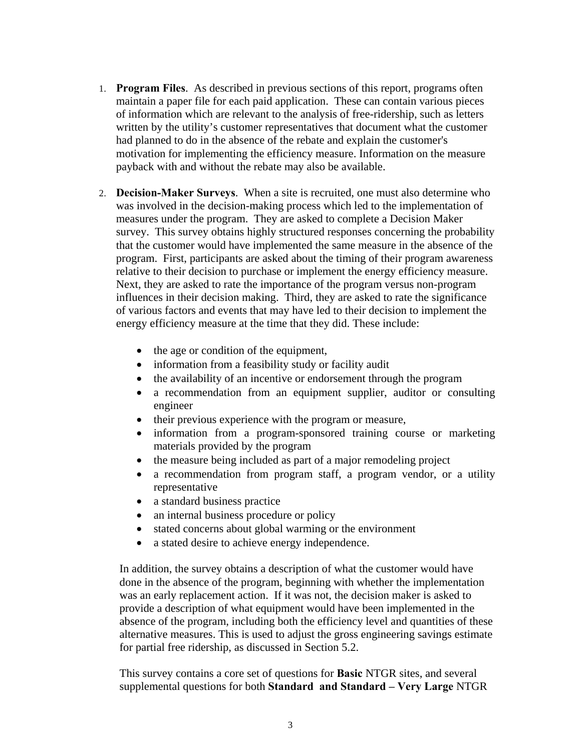- 1. **Program Files**. As described in previous sections of this report, programs often maintain a paper file for each paid application. These can contain various pieces of information which are relevant to the analysis of free-ridership, such as letters written by the utility's customer representatives that document what the customer had planned to do in the absence of the rebate and explain the customer's motivation for implementing the efficiency measure. Information on the measure payback with and without the rebate may also be available.
- 2. **Decision-Maker Surveys**. When a site is recruited, one must also determine who was involved in the decision-making process which led to the implementation of measures under the program. They are asked to complete a Decision Maker survey. This survey obtains highly structured responses concerning the probability that the customer would have implemented the same measure in the absence of the program. First, participants are asked about the timing of their program awareness relative to their decision to purchase or implement the energy efficiency measure. Next, they are asked to rate the importance of the program versus non-program influences in their decision making. Third, they are asked to rate the significance of various factors and events that may have led to their decision to implement the energy efficiency measure at the time that they did. These include:
	- the age or condition of the equipment,
	- information from a feasibility study or facility audit
	- the availability of an incentive or endorsement through the program
	- a recommendation from an equipment supplier, auditor or consulting engineer
	- their previous experience with the program or measure,
	- information from a program-sponsored training course or marketing materials provided by the program
	- the measure being included as part of a major remodeling project
	- a recommendation from program staff, a program vendor, or a utility representative
	- a standard business practice
	- an internal business procedure or policy
	- stated concerns about global warming or the environment
	- a stated desire to achieve energy independence.

In addition, the survey obtains a description of what the customer would have done in the absence of the program, beginning with whether the implementation was an early replacement action. If it was not, the decision maker is asked to provide a description of what equipment would have been implemented in the absence of the program, including both the efficiency level and quantities of these alternative measures. This is used to adjust the gross engineering savings estimate for partial free ridership, as discussed in Section 5.2.

This survey contains a core set of questions for **Basic** NTGR sites, and several supplemental questions for both **Standard and Standard – Very Large** NTGR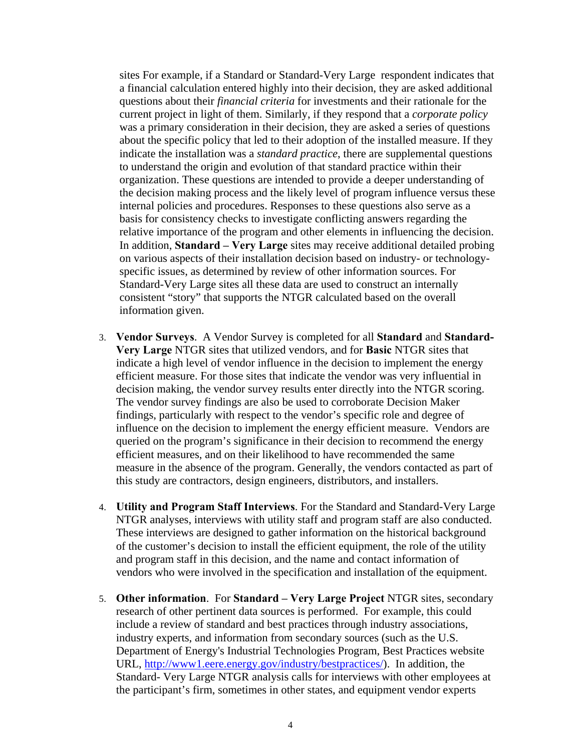sites For example, if a Standard or Standard-Very Large respondent indicates that a financial calculation entered highly into their decision, they are asked additional questions about their *financial criteria* for investments and their rationale for the current project in light of them. Similarly, if they respond that a *corporate policy* was a primary consideration in their decision, they are asked a series of questions about the specific policy that led to their adoption of the installed measure. If they indicate the installation was a *standard practice*, there are supplemental questions to understand the origin and evolution of that standard practice within their organization. These questions are intended to provide a deeper understanding of the decision making process and the likely level of program influence versus these internal policies and procedures. Responses to these questions also serve as a basis for consistency checks to investigate conflicting answers regarding the relative importance of the program and other elements in influencing the decision. In addition, **Standard – Very Large** sites may receive additional detailed probing on various aspects of their installation decision based on industry- or technologyspecific issues, as determined by review of other information sources. For Standard-Very Large sites all these data are used to construct an internally consistent "story" that supports the NTGR calculated based on the overall information given.

- 3. **Vendor Surveys**. A Vendor Survey is completed for all **Standard** and **Standard-Very Large** NTGR sites that utilized vendors, and for **Basic** NTGR sites that indicate a high level of vendor influence in the decision to implement the energy efficient measure. For those sites that indicate the vendor was very influential in decision making, the vendor survey results enter directly into the NTGR scoring. The vendor survey findings are also be used to corroborate Decision Maker findings, particularly with respect to the vendor's specific role and degree of influence on the decision to implement the energy efficient measure. Vendors are queried on the program's significance in their decision to recommend the energy efficient measures, and on their likelihood to have recommended the same measure in the absence of the program. Generally, the vendors contacted as part of this study are contractors, design engineers, distributors, and installers.
- 4. **Utility and Program Staff Interviews**. For the Standard and Standard-Very Large NTGR analyses, interviews with utility staff and program staff are also conducted. These interviews are designed to gather information on the historical background of the customer's decision to install the efficient equipment, the role of the utility and program staff in this decision, and the name and contact information of vendors who were involved in the specification and installation of the equipment.
- 5. **Other information**. For **Standard Very Large Project** NTGR sites, secondary research of other pertinent data sources is performed. For example, this could include a review of standard and best practices through industry associations, industry experts, and information from secondary sources (such as the U.S. Department of Energy's Industrial Technologies Program, Best Practices website URL, http://www1.eere.energy.gov/industry/bestpractices/). In addition, the Standard- Very Large NTGR analysis calls for interviews with other employees at the participant's firm, sometimes in other states, and equipment vendor experts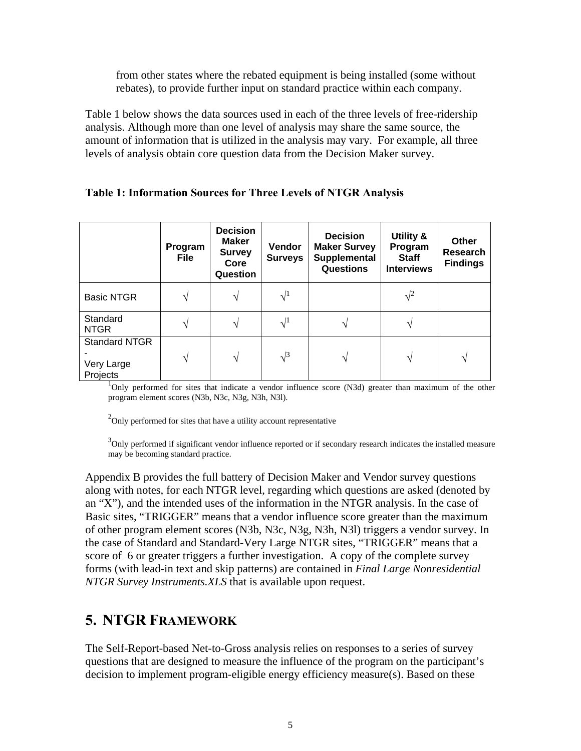from other states where the rebated equipment is being installed (some without rebates), to provide further input on standard practice within each company.

Table 1 below shows the data sources used in each of the three levels of free-ridership analysis. Although more than one level of analysis may share the same source, the amount of information that is utilized in the analysis may vary. For example, all three levels of analysis obtain core question data from the Decision Maker survey.

|                                                | Program<br>File | <b>Decision</b><br><b>Maker</b><br><b>Survey</b><br>Core<br>Question | <b>Vendor</b><br><b>Surveys</b> | <b>Decision</b><br><b>Maker Survey</b><br>Supplemental<br><b>Questions</b> | Utility &<br>Program<br><b>Staff</b><br><b>Interviews</b> | <b>Other</b><br><b>Research</b><br><b>Findings</b> |
|------------------------------------------------|-----------------|----------------------------------------------------------------------|---------------------------------|----------------------------------------------------------------------------|-----------------------------------------------------------|----------------------------------------------------|
| <b>Basic NTGR</b>                              |                 | V                                                                    | $\sqrt{1}$                      |                                                                            | $\sqrt{2}$                                                |                                                    |
| Standard<br><b>NTGR</b>                        |                 | V                                                                    | $\sqrt{1}$                      |                                                                            |                                                           |                                                    |
| <b>Standard NTGR</b><br>Very Large<br>Projects |                 | V                                                                    | $\sqrt{3}$                      | V                                                                          | ٦Ι                                                        | ٦                                                  |

#### **Table 1: Information Sources for Three Levels of NTGR Analysis**

<sup>1</sup>Only performed for sites that indicate a vendor influence score (N3d) greater than maximum of the other program element scores (N3b, N3c, N3g, N3h, N3l).

 $2^2$ Only performed for sites that have a utility account representative

 $3$ Only performed if significant vendor influence reported or if secondary research indicates the installed measure may be becoming standard practice.

Appendix B provides the full battery of Decision Maker and Vendor survey questions along with notes, for each NTGR level, regarding which questions are asked (denoted by an "X"), and the intended uses of the information in the NTGR analysis. In the case of Basic sites, "TRIGGER" means that a vendor influence score greater than the maximum of other program element scores (N3b, N3c, N3g, N3h, N3l) triggers a vendor survey. In the case of Standard and Standard-Very Large NTGR sites, "TRIGGER" means that a score of 6 or greater triggers a further investigation. A copy of the complete survey forms (with lead-in text and skip patterns) are contained in *Final Large Nonresidential NTGR Survey Instruments.XLS* that is available upon request.

## **5. NTGR FRAMEWORK**

The Self-Report-based Net-to-Gross analysis relies on responses to a series of survey questions that are designed to measure the influence of the program on the participant's decision to implement program-eligible energy efficiency measure(s). Based on these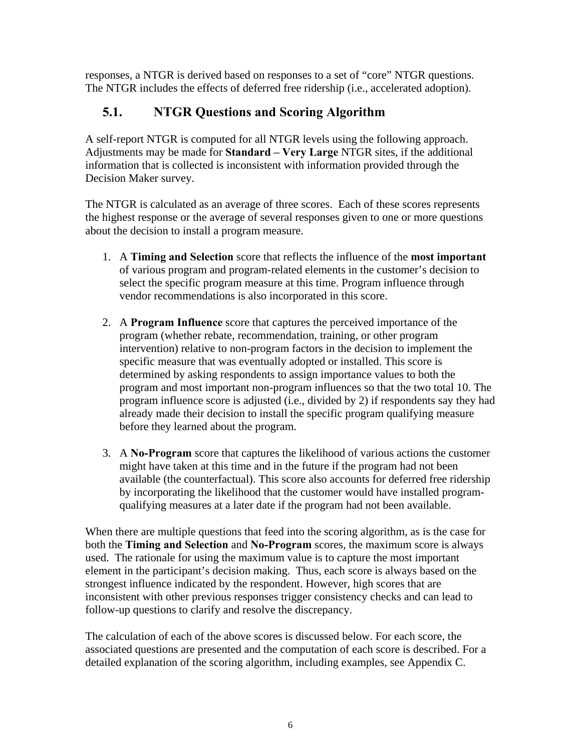responses, a NTGR is derived based on responses to a set of "core" NTGR questions. The NTGR includes the effects of deferred free ridership (i.e., accelerated adoption).

## **5.1. NTGR Questions and Scoring Algorithm**

A self-report NTGR is computed for all NTGR levels using the following approach. Adjustments may be made for **Standard – Very Large** NTGR sites, if the additional information that is collected is inconsistent with information provided through the Decision Maker survey.

The NTGR is calculated as an average of three scores. Each of these scores represents the highest response or the average of several responses given to one or more questions about the decision to install a program measure.

- 1. A **Timing and Selection** score that reflects the influence of the **most important** of various program and program-related elements in the customer's decision to select the specific program measure at this time. Program influence through vendor recommendations is also incorporated in this score.
- 2. A **Program Influence** score that captures the perceived importance of the program (whether rebate, recommendation, training, or other program intervention) relative to non-program factors in the decision to implement the specific measure that was eventually adopted or installed. This score is determined by asking respondents to assign importance values to both the program and most important non-program influences so that the two total 10. The program influence score is adjusted (i.e., divided by 2) if respondents say they had already made their decision to install the specific program qualifying measure before they learned about the program.
- 3. A **No-Program** score that captures the likelihood of various actions the customer might have taken at this time and in the future if the program had not been available (the counterfactual). This score also accounts for deferred free ridership by incorporating the likelihood that the customer would have installed programqualifying measures at a later date if the program had not been available.

When there are multiple questions that feed into the scoring algorithm, as is the case for both the **Timing and Selection** and **No-Program** scores, the maximum score is always used. The rationale for using the maximum value is to capture the most important element in the participant's decision making. Thus, each score is always based on the strongest influence indicated by the respondent. However, high scores that are inconsistent with other previous responses trigger consistency checks and can lead to follow-up questions to clarify and resolve the discrepancy.

The calculation of each of the above scores is discussed below. For each score, the associated questions are presented and the computation of each score is described. For a detailed explanation of the scoring algorithm, including examples, see Appendix C.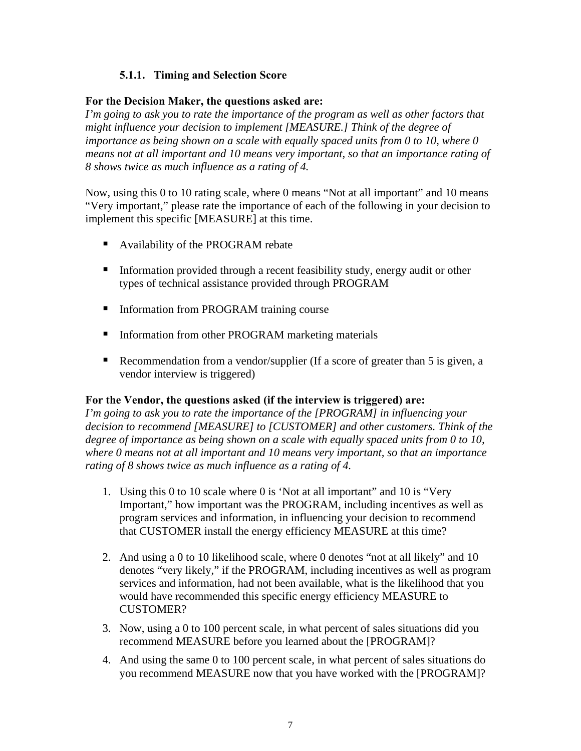#### **5.1.1. Timing and Selection Score**

#### **For the Decision Maker, the questions asked are:**

*I'm going to ask you to rate the importance of the program as well as other factors that might influence your decision to implement [MEASURE.] Think of the degree of importance as being shown on a scale with equally spaced units from 0 to 10, where 0 means not at all important and 10 means very important, so that an importance rating of 8 shows twice as much influence as a rating of 4.* 

Now, using this 0 to 10 rating scale, where 0 means "Not at all important" and 10 means "Very important," please rate the importance of each of the following in your decision to implement this specific [MEASURE] at this time.

- Availability of the PROGRAM rebate
- **Information provided through a recent feasibility study, energy audit or other** types of technical assistance provided through PROGRAM
- **Information from PROGRAM training course**
- **Information from other PROGRAM marketing materials**
- Recommendation from a vendor/supplier (If a score of greater than 5 is given, a vendor interview is triggered)

#### **For the Vendor, the questions asked (if the interview is triggered) are:**

*I'm going to ask you to rate the importance of the [PROGRAM] in influencing your decision to recommend [MEASURE] to [CUSTOMER] and other customers. Think of the degree of importance as being shown on a scale with equally spaced units from 0 to 10, where 0 means not at all important and 10 means very important, so that an importance rating of 8 shows twice as much influence as a rating of 4.*

- 1. Using this 0 to 10 scale where 0 is 'Not at all important" and 10 is "Very Important," how important was the PROGRAM, including incentives as well as program services and information, in influencing your decision to recommend that CUSTOMER install the energy efficiency MEASURE at this time?
- 2. And using a 0 to 10 likelihood scale, where 0 denotes "not at all likely" and 10 denotes "very likely," if the PROGRAM, including incentives as well as program services and information, had not been available, what is the likelihood that you would have recommended this specific energy efficiency MEASURE to CUSTOMER?
- 3. Now, using a 0 to 100 percent scale, in what percent of sales situations did you recommend MEASURE before you learned about the [PROGRAM]?
- 4. And using the same 0 to 100 percent scale, in what percent of sales situations do you recommend MEASURE now that you have worked with the [PROGRAM]?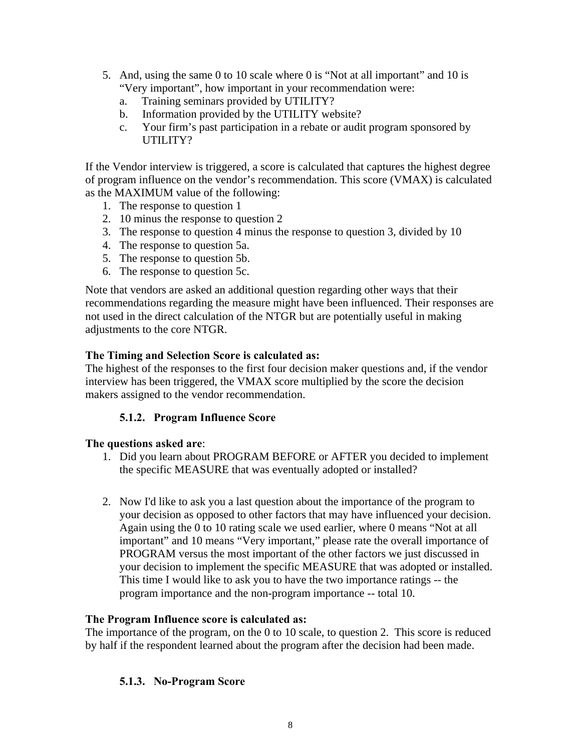- 5. And, using the same 0 to 10 scale where 0 is "Not at all important" and 10 is "Very important", how important in your recommendation were:
	- a. Training seminars provided by UTILITY?
	- b. Information provided by the UTILITY website?
	- c. Your firm's past participation in a rebate or audit program sponsored by UTILITY?

If the Vendor interview is triggered, a score is calculated that captures the highest degree of program influence on the vendor's recommendation. This score (VMAX) is calculated as the MAXIMUM value of the following:

- 1. The response to question 1
- 2. 10 minus the response to question 2
- 3. The response to question 4 minus the response to question 3, divided by 10
- 4. The response to question 5a.
- 5. The response to question 5b.
- 6. The response to question 5c.

Note that vendors are asked an additional question regarding other ways that their recommendations regarding the measure might have been influenced. Their responses are not used in the direct calculation of the NTGR but are potentially useful in making adjustments to the core NTGR.

#### **The Timing and Selection Score is calculated as:**

The highest of the responses to the first four decision maker questions and, if the vendor interview has been triggered, the VMAX score multiplied by the score the decision makers assigned to the vendor recommendation.

#### **5.1.2. Program Influence Score**

#### **The questions asked are**:

- 1. Did you learn about PROGRAM BEFORE or AFTER you decided to implement the specific MEASURE that was eventually adopted or installed?
- 2. Now I'd like to ask you a last question about the importance of the program to your decision as opposed to other factors that may have influenced your decision. Again using the 0 to 10 rating scale we used earlier, where 0 means "Not at all important" and 10 means "Very important," please rate the overall importance of PROGRAM versus the most important of the other factors we just discussed in your decision to implement the specific MEASURE that was adopted or installed. This time I would like to ask you to have the two importance ratings -- the program importance and the non-program importance -- total 10.

#### **The Program Influence score is calculated as:**

The importance of the program, on the 0 to 10 scale, to question 2. This score is reduced by half if the respondent learned about the program after the decision had been made.

#### **5.1.3. No-Program Score**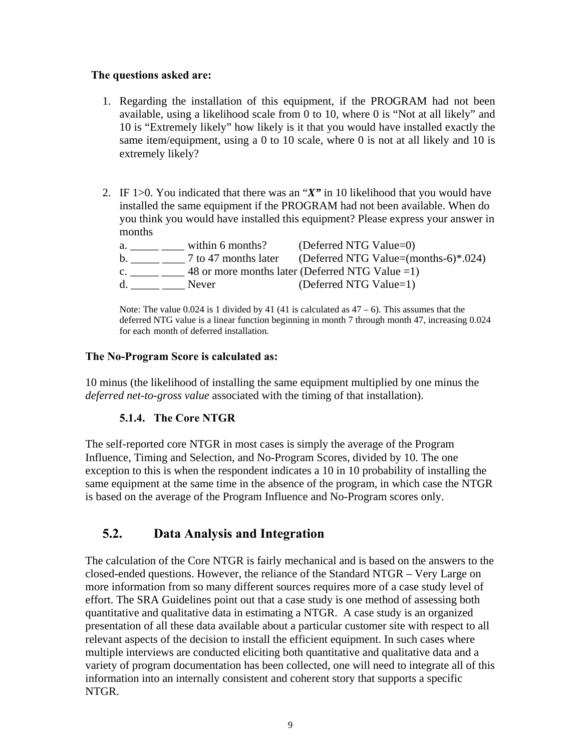#### **The questions asked are:**

- 1. Regarding the installation of this equipment, if the PROGRAM had not been available, using a likelihood scale from 0 to 10, where 0 is "Not at all likely" and 10 is "Extremely likely" how likely is it that you would have installed exactly the same item/equipment, using a 0 to 10 scale, where 0 is not at all likely and 10 is extremely likely?
- 2. IF 1>0. You indicated that there was an "*X"* in 10 likelihood that you would have installed the same equipment if the PROGRAM had not been available. When do you think you would have installed this equipment? Please express your answer in months

| a.             | within 6 months? | (Deferred NTG Value=0)                                    |
|----------------|------------------|-----------------------------------------------------------|
| b.             |                  | 7 to 47 months later (Deferred NTG Value=(months-6)*.024) |
| $\mathbf{C}$ . |                  | 48 or more months later (Deferred NTG Value $=1$ )        |
| d.             | Never            | (Deferred NTG Value=1)                                    |

Note: The value 0.024 is 1 divided by 41 (41 is calculated as  $47 - 6$ ). This assumes that the deferred NTG value is a linear function beginning in month 7 through month 47, increasing 0.024 for each month of deferred installation.

#### **The No-Program Score is calculated as:**

10 minus (the likelihood of installing the same equipment multiplied by one minus the *deferred net-to-gross value* associated with the timing of that installation).

#### **5.1.4. The Core NTGR**

The self-reported core NTGR in most cases is simply the average of the Program Influence, Timing and Selection, and No-Program Scores, divided by 10. The one exception to this is when the respondent indicates a 10 in 10 probability of installing the same equipment at the same time in the absence of the program, in which case the NTGR is based on the average of the Program Influence and No-Program scores only.

## **5.2. Data Analysis and Integration**

The calculation of the Core NTGR is fairly mechanical and is based on the answers to the closed-ended questions. However, the reliance of the Standard NTGR – Very Large on more information from so many different sources requires more of a case study level of effort. The SRA Guidelines point out that a case study is one method of assessing both quantitative and qualitative data in estimating a NTGR. A case study is an organized presentation of all these data available about a particular customer site with respect to all relevant aspects of the decision to install the efficient equipment. In such cases where multiple interviews are conducted eliciting both quantitative and qualitative data and a variety of program documentation has been collected, one will need to integrate all of this information into an internally consistent and coherent story that supports a specific NTGR.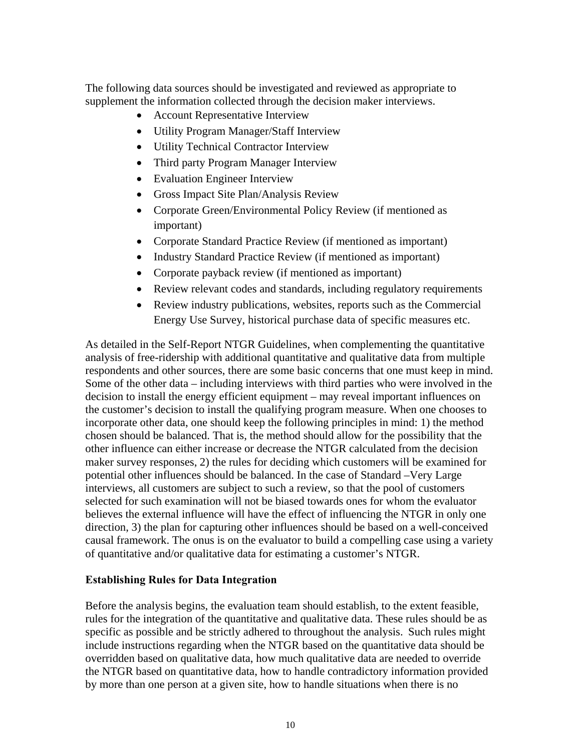The following data sources should be investigated and reviewed as appropriate to supplement the information collected through the decision maker interviews.

- Account Representative Interview
- Utility Program Manager/Staff Interview
- Utility Technical Contractor Interview
- Third party Program Manager Interview
- Evaluation Engineer Interview
- Gross Impact Site Plan/Analysis Review
- Corporate Green/Environmental Policy Review (if mentioned as important)
- Corporate Standard Practice Review (if mentioned as important)
- Industry Standard Practice Review (if mentioned as important)
- Corporate payback review (if mentioned as important)
- Review relevant codes and standards, including regulatory requirements
- Review industry publications, websites, reports such as the Commercial Energy Use Survey, historical purchase data of specific measures etc.

As detailed in the Self-Report NTGR Guidelines, when complementing the quantitative analysis of free-ridership with additional quantitative and qualitative data from multiple respondents and other sources, there are some basic concerns that one must keep in mind. Some of the other data – including interviews with third parties who were involved in the decision to install the energy efficient equipment – may reveal important influences on the customer's decision to install the qualifying program measure. When one chooses to incorporate other data, one should keep the following principles in mind: 1) the method chosen should be balanced. That is, the method should allow for the possibility that the other influence can either increase or decrease the NTGR calculated from the decision maker survey responses, 2) the rules for deciding which customers will be examined for potential other influences should be balanced. In the case of Standard –Very Large interviews, all customers are subject to such a review, so that the pool of customers selected for such examination will not be biased towards ones for whom the evaluator believes the external influence will have the effect of influencing the NTGR in only one direction, 3) the plan for capturing other influences should be based on a well-conceived causal framework. The onus is on the evaluator to build a compelling case using a variety of quantitative and/or qualitative data for estimating a customer's NTGR.

#### **Establishing Rules for Data Integration**

Before the analysis begins, the evaluation team should establish, to the extent feasible, rules for the integration of the quantitative and qualitative data. These rules should be as specific as possible and be strictly adhered to throughout the analysis. Such rules might include instructions regarding when the NTGR based on the quantitative data should be overridden based on qualitative data, how much qualitative data are needed to override the NTGR based on quantitative data, how to handle contradictory information provided by more than one person at a given site, how to handle situations when there is no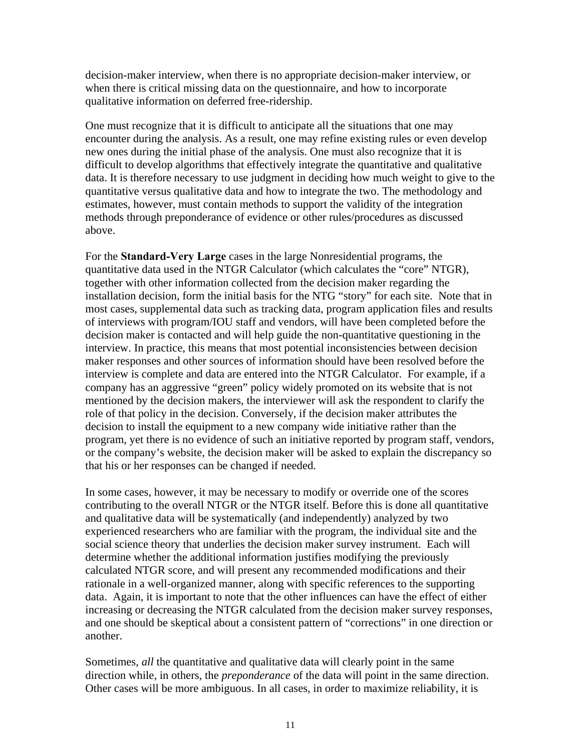decision-maker interview, when there is no appropriate decision-maker interview, or when there is critical missing data on the questionnaire, and how to incorporate qualitative information on deferred free-ridership.

One must recognize that it is difficult to anticipate all the situations that one may encounter during the analysis. As a result, one may refine existing rules or even develop new ones during the initial phase of the analysis. One must also recognize that it is difficult to develop algorithms that effectively integrate the quantitative and qualitative data. It is therefore necessary to use judgment in deciding how much weight to give to the quantitative versus qualitative data and how to integrate the two. The methodology and estimates, however, must contain methods to support the validity of the integration methods through preponderance of evidence or other rules/procedures as discussed above.

For the **Standard-Very Large** cases in the large Nonresidential programs, the quantitative data used in the NTGR Calculator (which calculates the "core" NTGR), together with other information collected from the decision maker regarding the installation decision, form the initial basis for the NTG "story" for each site. Note that in most cases, supplemental data such as tracking data, program application files and results of interviews with program/IOU staff and vendors, will have been completed before the decision maker is contacted and will help guide the non-quantitative questioning in the interview. In practice, this means that most potential inconsistencies between decision maker responses and other sources of information should have been resolved before the interview is complete and data are entered into the NTGR Calculator. For example, if a company has an aggressive "green" policy widely promoted on its website that is not mentioned by the decision makers, the interviewer will ask the respondent to clarify the role of that policy in the decision. Conversely, if the decision maker attributes the decision to install the equipment to a new company wide initiative rather than the program, yet there is no evidence of such an initiative reported by program staff, vendors, or the company's website, the decision maker will be asked to explain the discrepancy so that his or her responses can be changed if needed.

In some cases, however, it may be necessary to modify or override one of the scores contributing to the overall NTGR or the NTGR itself. Before this is done all quantitative and qualitative data will be systematically (and independently) analyzed by two experienced researchers who are familiar with the program, the individual site and the social science theory that underlies the decision maker survey instrument. Each will determine whether the additional information justifies modifying the previously calculated NTGR score, and will present any recommended modifications and their rationale in a well-organized manner, along with specific references to the supporting data. Again, it is important to note that the other influences can have the effect of either increasing or decreasing the NTGR calculated from the decision maker survey responses, and one should be skeptical about a consistent pattern of "corrections" in one direction or another.

Sometimes, *all* the quantitative and qualitative data will clearly point in the same direction while, in others, the *preponderance* of the data will point in the same direction. Other cases will be more ambiguous. In all cases, in order to maximize reliability, it is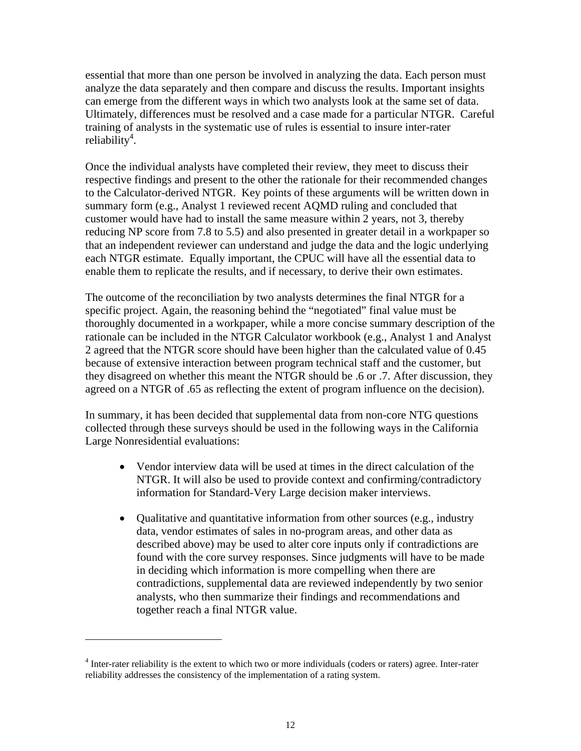essential that more than one person be involved in analyzing the data. Each person must analyze the data separately and then compare and discuss the results. Important insights can emerge from the different ways in which two analysts look at the same set of data. Ultimately, differences must be resolved and a case made for a particular NTGR. Careful training of analysts in the systematic use of rules is essential to insure inter-rater  $reliability<sup>4</sup>$ .

Once the individual analysts have completed their review, they meet to discuss their respective findings and present to the other the rationale for their recommended changes to the Calculator-derived NTGR. Key points of these arguments will be written down in summary form (e.g., Analyst 1 reviewed recent AQMD ruling and concluded that customer would have had to install the same measure within 2 years, not 3, thereby reducing NP score from 7.8 to 5.5) and also presented in greater detail in a workpaper so that an independent reviewer can understand and judge the data and the logic underlying each NTGR estimate. Equally important, the CPUC will have all the essential data to enable them to replicate the results, and if necessary, to derive their own estimates.

The outcome of the reconciliation by two analysts determines the final NTGR for a specific project. Again, the reasoning behind the "negotiated" final value must be thoroughly documented in a workpaper, while a more concise summary description of the rationale can be included in the NTGR Calculator workbook (e.g., Analyst 1 and Analyst 2 agreed that the NTGR score should have been higher than the calculated value of 0.45 because of extensive interaction between program technical staff and the customer, but they disagreed on whether this meant the NTGR should be .6 or .7. After discussion, they agreed on a NTGR of .65 as reflecting the extent of program influence on the decision).

In summary, it has been decided that supplemental data from non-core NTG questions collected through these surveys should be used in the following ways in the California Large Nonresidential evaluations:

- Vendor interview data will be used at times in the direct calculation of the NTGR. It will also be used to provide context and confirming/contradictory information for Standard-Very Large decision maker interviews.
- Qualitative and quantitative information from other sources (e.g., industry data, vendor estimates of sales in no-program areas, and other data as described above) may be used to alter core inputs only if contradictions are found with the core survey responses. Since judgments will have to be made in deciding which information is more compelling when there are contradictions, supplemental data are reviewed independently by two senior analysts, who then summarize their findings and recommendations and together reach a final NTGR value.

 $\overline{a}$ 

<sup>&</sup>lt;sup>4</sup> Inter-rater reliability is the extent to which two or more individuals (coders or raters) agree. Inter-rater reliability addresses the consistency of the implementation of a rating system.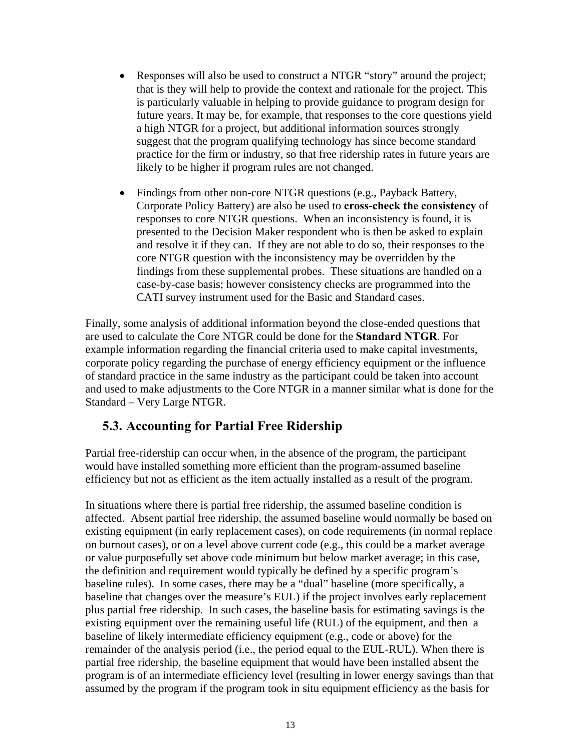- Responses will also be used to construct a NTGR "story" around the project; that is they will help to provide the context and rationale for the project. This is particularly valuable in helping to provide guidance to program design for future years. It may be, for example, that responses to the core questions yield a high NTGR for a project, but additional information sources strongly suggest that the program qualifying technology has since become standard practice for the firm or industry, so that free ridership rates in future years are likely to be higher if program rules are not changed.
- Findings from other non-core NTGR questions (e.g., Payback Battery, Corporate Policy Battery) are also be used to **cross-check the consistency** of responses to core NTGR questions. When an inconsistency is found, it is presented to the Decision Maker respondent who is then be asked to explain and resolve it if they can. If they are not able to do so, their responses to the core NTGR question with the inconsistency may be overridden by the findings from these supplemental probes. These situations are handled on a case-by-case basis; however consistency checks are programmed into the CATI survey instrument used for the Basic and Standard cases.

Finally, some analysis of additional information beyond the close-ended questions that are used to calculate the Core NTGR could be done for the **Standard NTGR**. For example information regarding the financial criteria used to make capital investments, corporate policy regarding the purchase of energy efficiency equipment or the influence of standard practice in the same industry as the participant could be taken into account and used to make adjustments to the Core NTGR in a manner similar what is done for the Standard – Very Large NTGR.

## **5.3. Accounting for Partial Free Ridership**

Partial free-ridership can occur when, in the absence of the program, the participant would have installed something more efficient than the program-assumed baseline efficiency but not as efficient as the item actually installed as a result of the program.

In situations where there is partial free ridership, the assumed baseline condition is affected. Absent partial free ridership, the assumed baseline would normally be based on existing equipment (in early replacement cases), on code requirements (in normal replace on burnout cases), or on a level above current code (e.g., this could be a market average or value purposefully set above code minimum but below market average; in this case, the definition and requirement would typically be defined by a specific program's baseline rules). In some cases, there may be a "dual" baseline (more specifically, a baseline that changes over the measure's EUL) if the project involves early replacement plus partial free ridership. In such cases, the baseline basis for estimating savings is the existing equipment over the remaining useful life (RUL) of the equipment, and then a baseline of likely intermediate efficiency equipment (e.g., code or above) for the remainder of the analysis period (i.e., the period equal to the EUL-RUL). When there is partial free ridership, the baseline equipment that would have been installed absent the program is of an intermediate efficiency level (resulting in lower energy savings than that assumed by the program if the program took in situ equipment efficiency as the basis for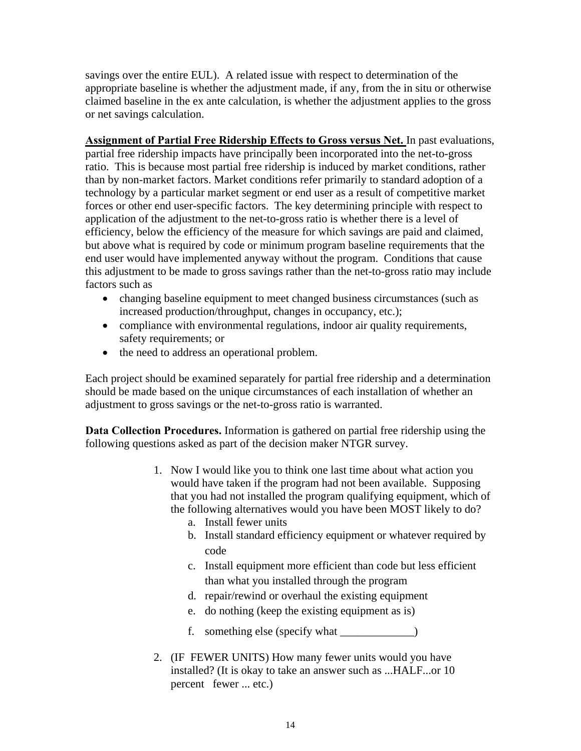savings over the entire EUL). A related issue with respect to determination of the appropriate baseline is whether the adjustment made, if any, from the in situ or otherwise claimed baseline in the ex ante calculation, is whether the adjustment applies to the gross or net savings calculation.

**Assignment of Partial Free Ridership Effects to Gross versus Net.** In past evaluations, partial free ridership impacts have principally been incorporated into the net-to-gross ratio. This is because most partial free ridership is induced by market conditions, rather than by non-market factors. Market conditions refer primarily to standard adoption of a technology by a particular market segment or end user as a result of competitive market forces or other end user-specific factors. The key determining principle with respect to application of the adjustment to the net-to-gross ratio is whether there is a level of efficiency, below the efficiency of the measure for which savings are paid and claimed, but above what is required by code or minimum program baseline requirements that the end user would have implemented anyway without the program. Conditions that cause this adjustment to be made to gross savings rather than the net-to-gross ratio may include factors such as

- changing baseline equipment to meet changed business circumstances (such as increased production/throughput, changes in occupancy, etc.);
- compliance with environmental regulations, indoor air quality requirements, safety requirements; or
- the need to address an operational problem.

Each project should be examined separately for partial free ridership and a determination should be made based on the unique circumstances of each installation of whether an adjustment to gross savings or the net-to-gross ratio is warranted.

**Data Collection Procedures.** Information is gathered on partial free ridership using the following questions asked as part of the decision maker NTGR survey.

- 1. Now I would like you to think one last time about what action you would have taken if the program had not been available. Supposing that you had not installed the program qualifying equipment, which of the following alternatives would you have been MOST likely to do?
	- a. Install fewer units
	- b. Install standard efficiency equipment or whatever required by code
	- c. Install equipment more efficient than code but less efficient than what you installed through the program
	- d. repair/rewind or overhaul the existing equipment
	- e. do nothing (keep the existing equipment as is)
	- f. something else (specify what \_\_\_\_\_\_\_\_\_\_\_\_\_)
- 2. (IF FEWER UNITS) How many fewer units would you have installed? (It is okay to take an answer such as ...HALF...or 10 percent fewer ... etc.)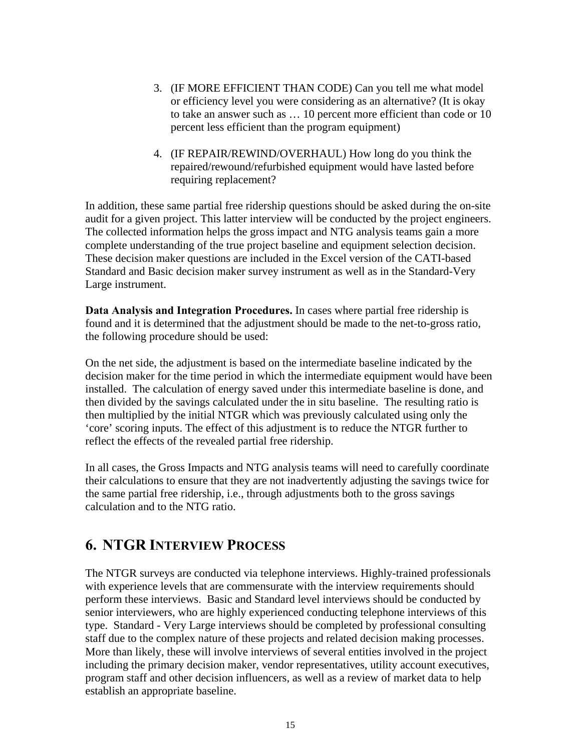- 3. (IF MORE EFFICIENT THAN CODE) Can you tell me what model or efficiency level you were considering as an alternative? (It is okay to take an answer such as … 10 percent more efficient than code or 10 percent less efficient than the program equipment)
- 4. (IF REPAIR/REWIND/OVERHAUL) How long do you think the repaired/rewound/refurbished equipment would have lasted before requiring replacement?

In addition, these same partial free ridership questions should be asked during the on-site audit for a given project. This latter interview will be conducted by the project engineers. The collected information helps the gross impact and NTG analysis teams gain a more complete understanding of the true project baseline and equipment selection decision. These decision maker questions are included in the Excel version of the CATI-based Standard and Basic decision maker survey instrument as well as in the Standard-Very Large instrument.

**Data Analysis and Integration Procedures.** In cases where partial free ridership is found and it is determined that the adjustment should be made to the net-to-gross ratio, the following procedure should be used:

On the net side, the adjustment is based on the intermediate baseline indicated by the decision maker for the time period in which the intermediate equipment would have been installed. The calculation of energy saved under this intermediate baseline is done, and then divided by the savings calculated under the in situ baseline. The resulting ratio is then multiplied by the initial NTGR which was previously calculated using only the 'core' scoring inputs. The effect of this adjustment is to reduce the NTGR further to reflect the effects of the revealed partial free ridership.

In all cases, the Gross Impacts and NTG analysis teams will need to carefully coordinate their calculations to ensure that they are not inadvertently adjusting the savings twice for the same partial free ridership, i.e., through adjustments both to the gross savings calculation and to the NTG ratio.

## **6. NTGR INTERVIEW PROCESS**

The NTGR surveys are conducted via telephone interviews. Highly-trained professionals with experience levels that are commensurate with the interview requirements should perform these interviews. Basic and Standard level interviews should be conducted by senior interviewers, who are highly experienced conducting telephone interviews of this type. Standard - Very Large interviews should be completed by professional consulting staff due to the complex nature of these projects and related decision making processes. More than likely, these will involve interviews of several entities involved in the project including the primary decision maker, vendor representatives, utility account executives, program staff and other decision influencers, as well as a review of market data to help establish an appropriate baseline.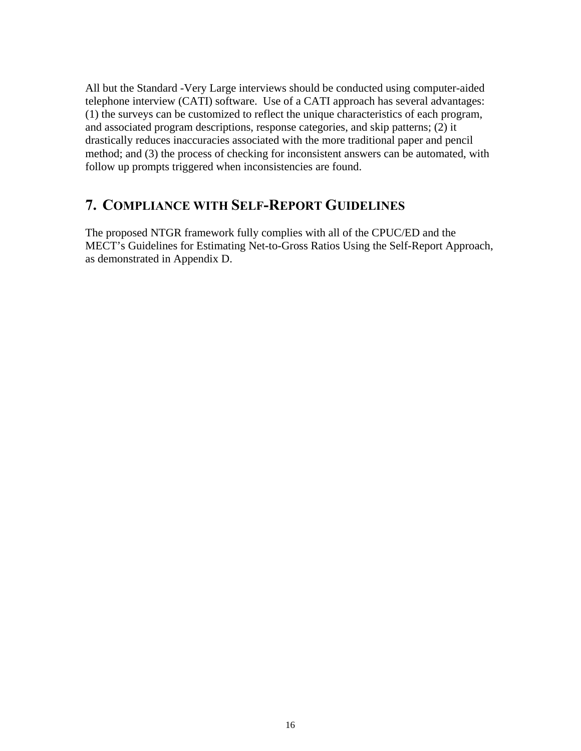All but the Standard -Very Large interviews should be conducted using computer-aided telephone interview (CATI) software. Use of a CATI approach has several advantages: (1) the surveys can be customized to reflect the unique characteristics of each program, and associated program descriptions, response categories, and skip patterns; (2) it drastically reduces inaccuracies associated with the more traditional paper and pencil method; and (3) the process of checking for inconsistent answers can be automated, with follow up prompts triggered when inconsistencies are found.

## **7. COMPLIANCE WITH SELF-REPORT GUIDELINES**

The proposed NTGR framework fully complies with all of the CPUC/ED and the MECT's Guidelines for Estimating Net-to-Gross Ratios Using the Self-Report Approach, as demonstrated in Appendix D.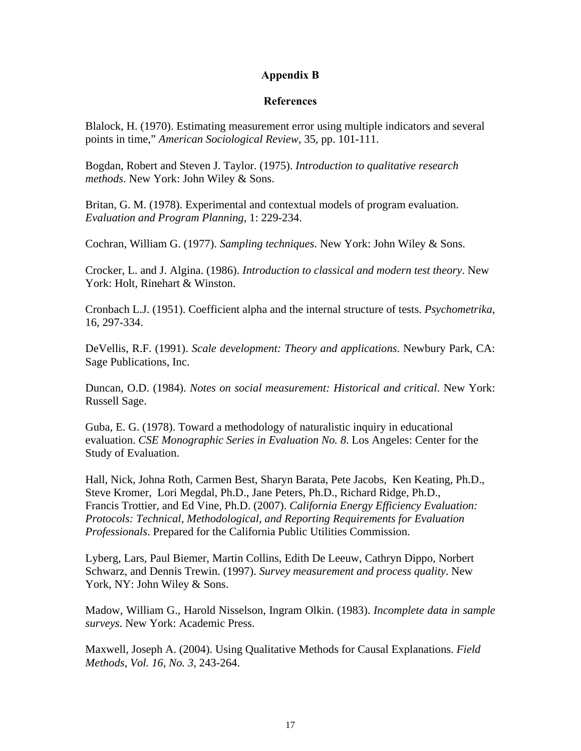#### **Appendix B**

#### **References**

Blalock, H. (1970). Estimating measurement error using multiple indicators and several points in time," *American Sociological Review*, 35, pp. 101-111.

Bogdan, Robert and Steven J. Taylor. (1975). *Introduction to qualitative research methods*. New York: John Wiley & Sons.

Britan, G. M. (1978). Experimental and contextual models of program evaluation. *Evaluation and Program Planning,* 1: 229-234.

Cochran, William G. (1977). *Sampling techniques*. New York: John Wiley & Sons.

Crocker, L. and J. Algina. (1986). *Introduction to classical and modern test theory*. New York: Holt, Rinehart & Winston.

Cronbach L.J. (1951). Coefficient alpha and the internal structure of tests. *Psychometrika*, 16, 297-334.

DeVellis, R.F. (1991). *Scale development: Theory and applications*. Newbury Park, CA: Sage Publications, Inc.

Duncan, O.D. (1984). *Notes on social measurement: Historical and critical*. New York: Russell Sage.

Guba, E. G. (1978). Toward a methodology of naturalistic inquiry in educational evaluation. *CSE Monographic Series in Evaluation No. 8*. Los Angeles: Center for the Study of Evaluation.

Hall, Nick, Johna Roth, Carmen Best, Sharyn Barata, Pete Jacobs, Ken Keating, Ph.D., Steve Kromer, Lori Megdal, Ph.D., Jane Peters, Ph.D., Richard Ridge, Ph.D., Francis Trottier, and Ed Vine, Ph.D. (2007). *California Energy Efficiency Evaluation: Protocols: Technical, Methodological, and Reporting Requirements for Evaluation Professionals*. Prepared for the California Public Utilities Commission.

Lyberg, Lars, Paul Biemer, Martin Collins, Edith De Leeuw, Cathryn Dippo, Norbert Schwarz, and Dennis Trewin. (1997). *Survey measurement and process quality*. New York, NY: John Wiley & Sons.

Madow, William G., Harold Nisselson, Ingram Olkin. (1983). *Incomplete data in sample surveys*. New York: Academic Press.

Maxwell, Joseph A. (2004). Using Qualitative Methods for Causal Explanations. *Field Methods*, *Vol. 16, No. 3*, 243-264.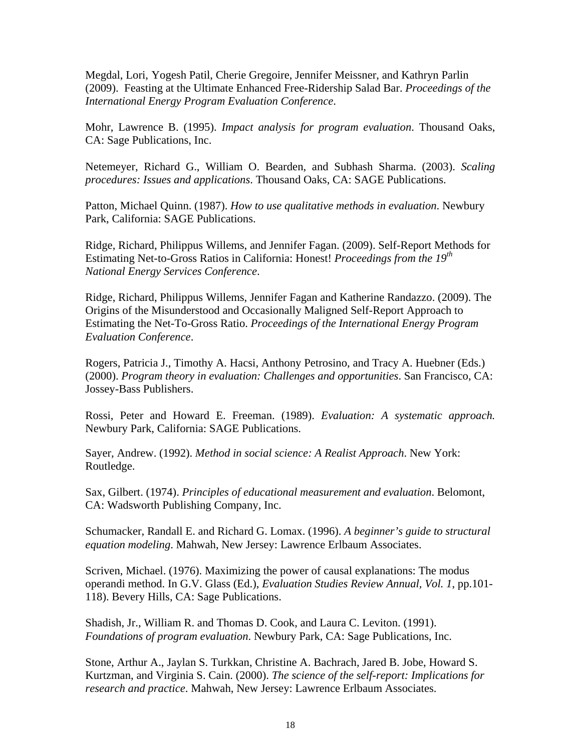Megdal, Lori, Yogesh Patil, Cherie Gregoire, Jennifer Meissner, and Kathryn Parlin (2009).Feasting at the Ultimate Enhanced Free-Ridership Salad Bar. *Proceedings of the International Energy Program Evaluation Conference*.

Mohr, Lawrence B. (1995). *Impact analysis for program evaluation*. Thousand Oaks, CA: Sage Publications, Inc.

Netemeyer, Richard G., William O. Bearden, and Subhash Sharma. (2003). *Scaling procedures: Issues and applications*. Thousand Oaks, CA: SAGE Publications.

Patton, Michael Quinn. (1987). *How to use qualitative methods in evaluation*. Newbury Park, California: SAGE Publications.

Ridge, Richard, Philippus Willems, and Jennifer Fagan. (2009). Self-Report Methods for Estimating Net-to-Gross Ratios in California: Honest! *Proceedings from the 19th National Energy Services Conference*.

Ridge, Richard, Philippus Willems, Jennifer Fagan and Katherine Randazzo. (2009). The Origins of the Misunderstood and Occasionally Maligned Self-Report Approach to Estimating the Net-To-Gross Ratio. *Proceedings of the International Energy Program Evaluation Conference*.

Rogers, Patricia J., Timothy A. Hacsi, Anthony Petrosino, and Tracy A. Huebner (Eds.) (2000). *Program theory in evaluation: Challenges and opportunities*. San Francisco, CA: Jossey-Bass Publishers.

Rossi, Peter and Howard E. Freeman. (1989). *Evaluation: A systematic approach.* Newbury Park, California: SAGE Publications.

Sayer, Andrew. (1992). *Method in social science: A Realist Approach*. New York: Routledge.

Sax, Gilbert. (1974). *Principles of educational measurement and evaluation*. Belomont, CA: Wadsworth Publishing Company, Inc.

Schumacker, Randall E. and Richard G. Lomax. (1996). *A beginner's guide to structural equation modeling*. Mahwah, New Jersey: Lawrence Erlbaum Associates.

Scriven, Michael. (1976). Maximizing the power of causal explanations: The modus operandi method. In G.V. Glass (Ed.), *Evaluation Studies Review Annual, Vol. 1*, pp.101- 118). Bevery Hills, CA: Sage Publications.

Shadish, Jr., William R. and Thomas D. Cook, and Laura C. Leviton. (1991). *Foundations of program evaluation*. Newbury Park, CA: Sage Publications, Inc.

Stone, Arthur A., Jaylan S. Turkkan, Christine A. Bachrach, Jared B. Jobe, Howard S. Kurtzman, and Virginia S. Cain. (2000). *The science of the self-report: Implications for research and practice*. Mahwah, New Jersey: Lawrence Erlbaum Associates.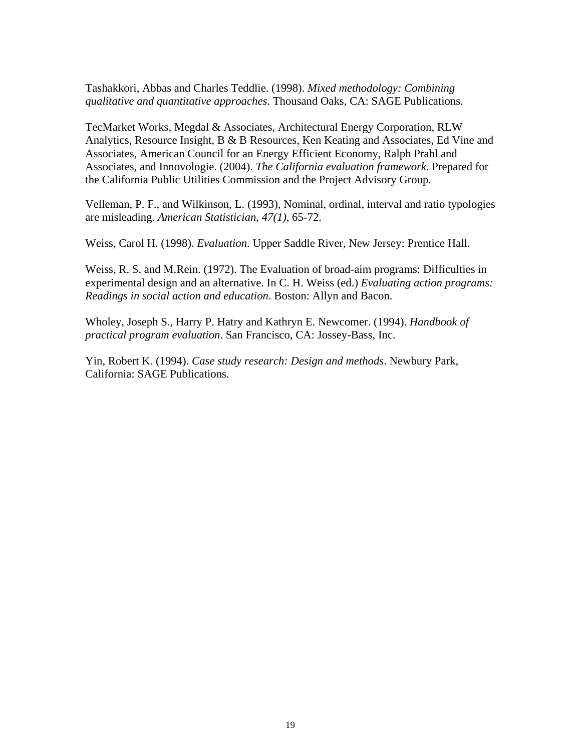Tashakkori, Abbas and Charles Teddlie. (1998). *Mixed methodology: Combining qualitative and quantitative approaches*. Thousand Oaks, CA: SAGE Publications.

TecMarket Works, Megdal & Associates, Architectural Energy Corporation, RLW Analytics, Resource Insight, B & B Resources, Ken Keating and Associates, Ed Vine and Associates, American Council for an Energy Efficient Economy, Ralph Prahl and Associates, and Innovologie. (2004). *The California evaluation framework.* Prepared for the California Public Utilities Commission and the Project Advisory Group.

Velleman, P. F., and Wilkinson, L. (1993), Nominal, ordinal, interval and ratio typologies are misleading. *American Statistician, 47(1)*, 65-72.

Weiss, Carol H. (1998). *Evaluation*. Upper Saddle River, New Jersey: Prentice Hall.

Weiss, R. S. and M.Rein. (1972). The Evaluation of broad-aim programs: Difficulties in experimental design and an alternative. In C. H. Weiss (ed.) *Evaluating action programs: Readings in social action and education*. Boston: Allyn and Bacon.

Wholey, Joseph S., Harry P. Hatry and Kathryn E. Newcomer. (1994). *Handbook of practical program evaluation*. San Francisco, CA: Jossey-Bass, Inc.

Yin, Robert K. (1994). *Case study research: Design and methods*. Newbury Park, California: SAGE Publications.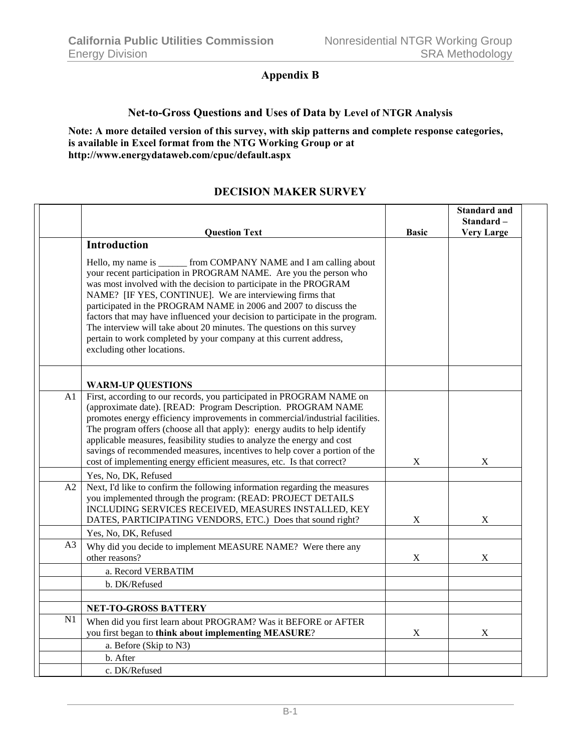## **Appendix B**

#### **Net-to-Gross Questions and Uses of Data by Level of NTGR Analysis**

**Note: A more detailed version of this survey, with skip patterns and complete response categories, is available in Excel format from the NTG Working Group or at http://www.energydataweb.com/cpuc/default.aspx**

#### **DECISION MAKER SURVEY**

|    | <b>Question Text</b>                                                                                                                                                                                                                                                                                                                                                                                                                                                                                                                                                                                         | <b>Basic</b>              | <b>Standard and</b><br>Standard-<br><b>Very Large</b> |
|----|--------------------------------------------------------------------------------------------------------------------------------------------------------------------------------------------------------------------------------------------------------------------------------------------------------------------------------------------------------------------------------------------------------------------------------------------------------------------------------------------------------------------------------------------------------------------------------------------------------------|---------------------------|-------------------------------------------------------|
|    | <b>Introduction</b>                                                                                                                                                                                                                                                                                                                                                                                                                                                                                                                                                                                          |                           |                                                       |
|    | Hello, my name is ________ from COMPANY NAME and I am calling about<br>your recent participation in PROGRAM NAME. Are you the person who<br>was most involved with the decision to participate in the PROGRAM<br>NAME? [IF YES, CONTINUE]. We are interviewing firms that<br>participated in the PROGRAM NAME in 2006 and 2007 to discuss the<br>factors that may have influenced your decision to participate in the program.<br>The interview will take about 20 minutes. The questions on this survey<br>pertain to work completed by your company at this current address,<br>excluding other locations. |                           |                                                       |
|    | <b>WARM-UP QUESTIONS</b>                                                                                                                                                                                                                                                                                                                                                                                                                                                                                                                                                                                     |                           |                                                       |
| A1 | First, according to our records, you participated in PROGRAM NAME on<br>(approximate date). [READ: Program Description. PROGRAM NAME<br>promotes energy efficiency improvements in commercial/industrial facilities.<br>The program offers (choose all that apply): energy audits to help identify<br>applicable measures, feasibility studies to analyze the energy and cost<br>savings of recommended measures, incentives to help cover a portion of the<br>cost of implementing energy efficient measures, etc. Is that correct?                                                                         | $\mathbf X$               | $\boldsymbol{\mathrm{X}}$                             |
|    | Yes, No, DK, Refused                                                                                                                                                                                                                                                                                                                                                                                                                                                                                                                                                                                         |                           |                                                       |
| A2 | Next, I'd like to confirm the following information regarding the measures<br>you implemented through the program: (READ: PROJECT DETAILS<br>INCLUDING SERVICES RECEIVED, MEASURES INSTALLED, KEY<br>DATES, PARTICIPATING VENDORS, ETC.) Does that sound right?                                                                                                                                                                                                                                                                                                                                              | $\boldsymbol{\mathrm{X}}$ | X                                                     |
| A3 | Yes, No, DK, Refused<br>Why did you decide to implement MEASURE NAME? Were there any                                                                                                                                                                                                                                                                                                                                                                                                                                                                                                                         |                           |                                                       |
|    | other reasons?                                                                                                                                                                                                                                                                                                                                                                                                                                                                                                                                                                                               | $\boldsymbol{\mathrm{X}}$ | X                                                     |
|    | a. Record VERBATIM                                                                                                                                                                                                                                                                                                                                                                                                                                                                                                                                                                                           |                           |                                                       |
|    | b. DK/Refused                                                                                                                                                                                                                                                                                                                                                                                                                                                                                                                                                                                                |                           |                                                       |
|    | <b>NET-TO-GROSS BATTERY</b>                                                                                                                                                                                                                                                                                                                                                                                                                                                                                                                                                                                  |                           |                                                       |
| N1 | When did you first learn about PROGRAM? Was it BEFORE or AFTER<br>you first began to think about implementing MEASURE?                                                                                                                                                                                                                                                                                                                                                                                                                                                                                       | $\boldsymbol{\mathrm{X}}$ | $\boldsymbol{\mathrm{X}}$                             |
|    | a. Before (Skip to N3)                                                                                                                                                                                                                                                                                                                                                                                                                                                                                                                                                                                       |                           |                                                       |
|    | b. After                                                                                                                                                                                                                                                                                                                                                                                                                                                                                                                                                                                                     |                           |                                                       |
|    | c. DK/Refused                                                                                                                                                                                                                                                                                                                                                                                                                                                                                                                                                                                                |                           |                                                       |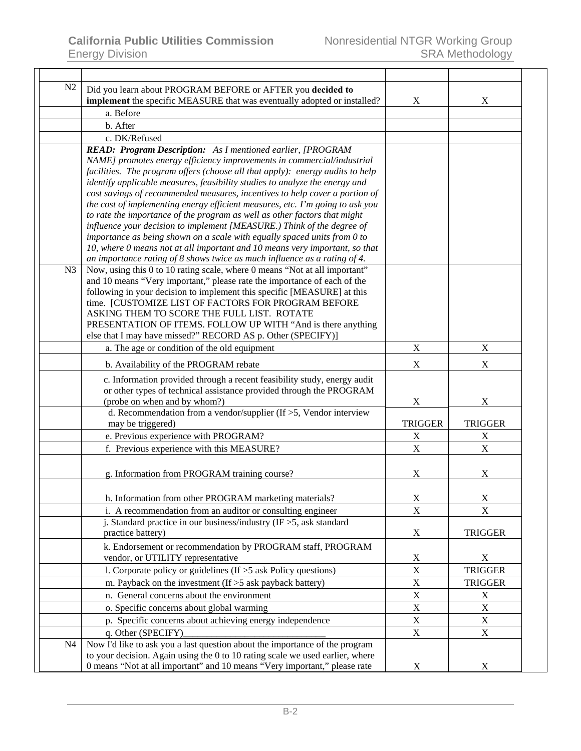| Did you learn about PROGRAM BEFORE or AFTER you decided to                       | X                                                                                                                                                                                                                                                                                                                                                                                                                                                                                                                                                                                                                                                                                                                                                                                                                                                                                                                                                                                                                                                                                                                                                                                                                                                                                                                                                                                                                                                                                                                                                                                                                                                                                                                                                                                                                                                                                                                             |
|----------------------------------------------------------------------------------|-------------------------------------------------------------------------------------------------------------------------------------------------------------------------------------------------------------------------------------------------------------------------------------------------------------------------------------------------------------------------------------------------------------------------------------------------------------------------------------------------------------------------------------------------------------------------------------------------------------------------------------------------------------------------------------------------------------------------------------------------------------------------------------------------------------------------------------------------------------------------------------------------------------------------------------------------------------------------------------------------------------------------------------------------------------------------------------------------------------------------------------------------------------------------------------------------------------------------------------------------------------------------------------------------------------------------------------------------------------------------------------------------------------------------------------------------------------------------------------------------------------------------------------------------------------------------------------------------------------------------------------------------------------------------------------------------------------------------------------------------------------------------------------------------------------------------------------------------------------------------------------------------------------------------------|
|                                                                                  |                                                                                                                                                                                                                                                                                                                                                                                                                                                                                                                                                                                                                                                                                                                                                                                                                                                                                                                                                                                                                                                                                                                                                                                                                                                                                                                                                                                                                                                                                                                                                                                                                                                                                                                                                                                                                                                                                                                               |
|                                                                                  |                                                                                                                                                                                                                                                                                                                                                                                                                                                                                                                                                                                                                                                                                                                                                                                                                                                                                                                                                                                                                                                                                                                                                                                                                                                                                                                                                                                                                                                                                                                                                                                                                                                                                                                                                                                                                                                                                                                               |
|                                                                                  |                                                                                                                                                                                                                                                                                                                                                                                                                                                                                                                                                                                                                                                                                                                                                                                                                                                                                                                                                                                                                                                                                                                                                                                                                                                                                                                                                                                                                                                                                                                                                                                                                                                                                                                                                                                                                                                                                                                               |
|                                                                                  |                                                                                                                                                                                                                                                                                                                                                                                                                                                                                                                                                                                                                                                                                                                                                                                                                                                                                                                                                                                                                                                                                                                                                                                                                                                                                                                                                                                                                                                                                                                                                                                                                                                                                                                                                                                                                                                                                                                               |
|                                                                                  |                                                                                                                                                                                                                                                                                                                                                                                                                                                                                                                                                                                                                                                                                                                                                                                                                                                                                                                                                                                                                                                                                                                                                                                                                                                                                                                                                                                                                                                                                                                                                                                                                                                                                                                                                                                                                                                                                                                               |
|                                                                                  |                                                                                                                                                                                                                                                                                                                                                                                                                                                                                                                                                                                                                                                                                                                                                                                                                                                                                                                                                                                                                                                                                                                                                                                                                                                                                                                                                                                                                                                                                                                                                                                                                                                                                                                                                                                                                                                                                                                               |
|                                                                                  |                                                                                                                                                                                                                                                                                                                                                                                                                                                                                                                                                                                                                                                                                                                                                                                                                                                                                                                                                                                                                                                                                                                                                                                                                                                                                                                                                                                                                                                                                                                                                                                                                                                                                                                                                                                                                                                                                                                               |
|                                                                                  |                                                                                                                                                                                                                                                                                                                                                                                                                                                                                                                                                                                                                                                                                                                                                                                                                                                                                                                                                                                                                                                                                                                                                                                                                                                                                                                                                                                                                                                                                                                                                                                                                                                                                                                                                                                                                                                                                                                               |
|                                                                                  |                                                                                                                                                                                                                                                                                                                                                                                                                                                                                                                                                                                                                                                                                                                                                                                                                                                                                                                                                                                                                                                                                                                                                                                                                                                                                                                                                                                                                                                                                                                                                                                                                                                                                                                                                                                                                                                                                                                               |
|                                                                                  |                                                                                                                                                                                                                                                                                                                                                                                                                                                                                                                                                                                                                                                                                                                                                                                                                                                                                                                                                                                                                                                                                                                                                                                                                                                                                                                                                                                                                                                                                                                                                                                                                                                                                                                                                                                                                                                                                                                               |
|                                                                                  |                                                                                                                                                                                                                                                                                                                                                                                                                                                                                                                                                                                                                                                                                                                                                                                                                                                                                                                                                                                                                                                                                                                                                                                                                                                                                                                                                                                                                                                                                                                                                                                                                                                                                                                                                                                                                                                                                                                               |
|                                                                                  |                                                                                                                                                                                                                                                                                                                                                                                                                                                                                                                                                                                                                                                                                                                                                                                                                                                                                                                                                                                                                                                                                                                                                                                                                                                                                                                                                                                                                                                                                                                                                                                                                                                                                                                                                                                                                                                                                                                               |
|                                                                                  |                                                                                                                                                                                                                                                                                                                                                                                                                                                                                                                                                                                                                                                                                                                                                                                                                                                                                                                                                                                                                                                                                                                                                                                                                                                                                                                                                                                                                                                                                                                                                                                                                                                                                                                                                                                                                                                                                                                               |
|                                                                                  |                                                                                                                                                                                                                                                                                                                                                                                                                                                                                                                                                                                                                                                                                                                                                                                                                                                                                                                                                                                                                                                                                                                                                                                                                                                                                                                                                                                                                                                                                                                                                                                                                                                                                                                                                                                                                                                                                                                               |
|                                                                                  |                                                                                                                                                                                                                                                                                                                                                                                                                                                                                                                                                                                                                                                                                                                                                                                                                                                                                                                                                                                                                                                                                                                                                                                                                                                                                                                                                                                                                                                                                                                                                                                                                                                                                                                                                                                                                                                                                                                               |
|                                                                                  |                                                                                                                                                                                                                                                                                                                                                                                                                                                                                                                                                                                                                                                                                                                                                                                                                                                                                                                                                                                                                                                                                                                                                                                                                                                                                                                                                                                                                                                                                                                                                                                                                                                                                                                                                                                                                                                                                                                               |
|                                                                                  |                                                                                                                                                                                                                                                                                                                                                                                                                                                                                                                                                                                                                                                                                                                                                                                                                                                                                                                                                                                                                                                                                                                                                                                                                                                                                                                                                                                                                                                                                                                                                                                                                                                                                                                                                                                                                                                                                                                               |
|                                                                                  |                                                                                                                                                                                                                                                                                                                                                                                                                                                                                                                                                                                                                                                                                                                                                                                                                                                                                                                                                                                                                                                                                                                                                                                                                                                                                                                                                                                                                                                                                                                                                                                                                                                                                                                                                                                                                                                                                                                               |
|                                                                                  |                                                                                                                                                                                                                                                                                                                                                                                                                                                                                                                                                                                                                                                                                                                                                                                                                                                                                                                                                                                                                                                                                                                                                                                                                                                                                                                                                                                                                                                                                                                                                                                                                                                                                                                                                                                                                                                                                                                               |
|                                                                                  |                                                                                                                                                                                                                                                                                                                                                                                                                                                                                                                                                                                                                                                                                                                                                                                                                                                                                                                                                                                                                                                                                                                                                                                                                                                                                                                                                                                                                                                                                                                                                                                                                                                                                                                                                                                                                                                                                                                               |
|                                                                                  |                                                                                                                                                                                                                                                                                                                                                                                                                                                                                                                                                                                                                                                                                                                                                                                                                                                                                                                                                                                                                                                                                                                                                                                                                                                                                                                                                                                                                                                                                                                                                                                                                                                                                                                                                                                                                                                                                                                               |
| $\mathbf X$                                                                      | $\mathbf X$                                                                                                                                                                                                                                                                                                                                                                                                                                                                                                                                                                                                                                                                                                                                                                                                                                                                                                                                                                                                                                                                                                                                                                                                                                                                                                                                                                                                                                                                                                                                                                                                                                                                                                                                                                                                                                                                                                                   |
| $\mathbf X$                                                                      | $\mathbf X$                                                                                                                                                                                                                                                                                                                                                                                                                                                                                                                                                                                                                                                                                                                                                                                                                                                                                                                                                                                                                                                                                                                                                                                                                                                                                                                                                                                                                                                                                                                                                                                                                                                                                                                                                                                                                                                                                                                   |
|                                                                                  |                                                                                                                                                                                                                                                                                                                                                                                                                                                                                                                                                                                                                                                                                                                                                                                                                                                                                                                                                                                                                                                                                                                                                                                                                                                                                                                                                                                                                                                                                                                                                                                                                                                                                                                                                                                                                                                                                                                               |
|                                                                                  |                                                                                                                                                                                                                                                                                                                                                                                                                                                                                                                                                                                                                                                                                                                                                                                                                                                                                                                                                                                                                                                                                                                                                                                                                                                                                                                                                                                                                                                                                                                                                                                                                                                                                                                                                                                                                                                                                                                               |
| $\boldsymbol{\mathrm{X}}$                                                        | X                                                                                                                                                                                                                                                                                                                                                                                                                                                                                                                                                                                                                                                                                                                                                                                                                                                                                                                                                                                                                                                                                                                                                                                                                                                                                                                                                                                                                                                                                                                                                                                                                                                                                                                                                                                                                                                                                                                             |
| d. Recommendation from a vendor/supplier (If $>5$ , Vendor interview             |                                                                                                                                                                                                                                                                                                                                                                                                                                                                                                                                                                                                                                                                                                                                                                                                                                                                                                                                                                                                                                                                                                                                                                                                                                                                                                                                                                                                                                                                                                                                                                                                                                                                                                                                                                                                                                                                                                                               |
| <b>TRIGGER</b>                                                                   | <b>TRIGGER</b>                                                                                                                                                                                                                                                                                                                                                                                                                                                                                                                                                                                                                                                                                                                                                                                                                                                                                                                                                                                                                                                                                                                                                                                                                                                                                                                                                                                                                                                                                                                                                                                                                                                                                                                                                                                                                                                                                                                |
| $\mathbf X$                                                                      | $\mathbf X$                                                                                                                                                                                                                                                                                                                                                                                                                                                                                                                                                                                                                                                                                                                                                                                                                                                                                                                                                                                                                                                                                                                                                                                                                                                                                                                                                                                                                                                                                                                                                                                                                                                                                                                                                                                                                                                                                                                   |
| $\mathbf X$                                                                      | $\mathbf X$                                                                                                                                                                                                                                                                                                                                                                                                                                                                                                                                                                                                                                                                                                                                                                                                                                                                                                                                                                                                                                                                                                                                                                                                                                                                                                                                                                                                                                                                                                                                                                                                                                                                                                                                                                                                                                                                                                                   |
|                                                                                  | X                                                                                                                                                                                                                                                                                                                                                                                                                                                                                                                                                                                                                                                                                                                                                                                                                                                                                                                                                                                                                                                                                                                                                                                                                                                                                                                                                                                                                                                                                                                                                                                                                                                                                                                                                                                                                                                                                                                             |
|                                                                                  |                                                                                                                                                                                                                                                                                                                                                                                                                                                                                                                                                                                                                                                                                                                                                                                                                                                                                                                                                                                                                                                                                                                                                                                                                                                                                                                                                                                                                                                                                                                                                                                                                                                                                                                                                                                                                                                                                                                               |
| h. Information from other PROGRAM marketing materials?<br>$\mathbf X$            | X                                                                                                                                                                                                                                                                                                                                                                                                                                                                                                                                                                                                                                                                                                                                                                                                                                                                                                                                                                                                                                                                                                                                                                                                                                                                                                                                                                                                                                                                                                                                                                                                                                                                                                                                                                                                                                                                                                                             |
|                                                                                  | $\mathbf X$                                                                                                                                                                                                                                                                                                                                                                                                                                                                                                                                                                                                                                                                                                                                                                                                                                                                                                                                                                                                                                                                                                                                                                                                                                                                                                                                                                                                                                                                                                                                                                                                                                                                                                                                                                                                                                                                                                                   |
|                                                                                  |                                                                                                                                                                                                                                                                                                                                                                                                                                                                                                                                                                                                                                                                                                                                                                                                                                                                                                                                                                                                                                                                                                                                                                                                                                                                                                                                                                                                                                                                                                                                                                                                                                                                                                                                                                                                                                                                                                                               |
|                                                                                  | <b>TRIGGER</b>                                                                                                                                                                                                                                                                                                                                                                                                                                                                                                                                                                                                                                                                                                                                                                                                                                                                                                                                                                                                                                                                                                                                                                                                                                                                                                                                                                                                                                                                                                                                                                                                                                                                                                                                                                                                                                                                                                                |
| k. Endorsement or recommendation by PROGRAM staff, PROGRAM                       |                                                                                                                                                                                                                                                                                                                                                                                                                                                                                                                                                                                                                                                                                                                                                                                                                                                                                                                                                                                                                                                                                                                                                                                                                                                                                                                                                                                                                                                                                                                                                                                                                                                                                                                                                                                                                                                                                                                               |
|                                                                                  | X                                                                                                                                                                                                                                                                                                                                                                                                                                                                                                                                                                                                                                                                                                                                                                                                                                                                                                                                                                                                                                                                                                                                                                                                                                                                                                                                                                                                                                                                                                                                                                                                                                                                                                                                                                                                                                                                                                                             |
| $\mathbf X$<br>1. Corporate policy or guidelines (If $>$ 5 ask Policy questions) | <b>TRIGGER</b>                                                                                                                                                                                                                                                                                                                                                                                                                                                                                                                                                                                                                                                                                                                                                                                                                                                                                                                                                                                                                                                                                                                                                                                                                                                                                                                                                                                                                                                                                                                                                                                                                                                                                                                                                                                                                                                                                                                |
| $\mathbf X$<br>m. Payback on the investment (If $>$ 5 ask payback battery)       | <b>TRIGGER</b>                                                                                                                                                                                                                                                                                                                                                                                                                                                                                                                                                                                                                                                                                                                                                                                                                                                                                                                                                                                                                                                                                                                                                                                                                                                                                                                                                                                                                                                                                                                                                                                                                                                                                                                                                                                                                                                                                                                |
| $\mathbf X$                                                                      | $\mathbf X$                                                                                                                                                                                                                                                                                                                                                                                                                                                                                                                                                                                                                                                                                                                                                                                                                                                                                                                                                                                                                                                                                                                                                                                                                                                                                                                                                                                                                                                                                                                                                                                                                                                                                                                                                                                                                                                                                                                   |
|                                                                                  | $\mathbf X$                                                                                                                                                                                                                                                                                                                                                                                                                                                                                                                                                                                                                                                                                                                                                                                                                                                                                                                                                                                                                                                                                                                                                                                                                                                                                                                                                                                                                                                                                                                                                                                                                                                                                                                                                                                                                                                                                                                   |
|                                                                                  | X                                                                                                                                                                                                                                                                                                                                                                                                                                                                                                                                                                                                                                                                                                                                                                                                                                                                                                                                                                                                                                                                                                                                                                                                                                                                                                                                                                                                                                                                                                                                                                                                                                                                                                                                                                                                                                                                                                                             |
|                                                                                  | $\mathbf X$                                                                                                                                                                                                                                                                                                                                                                                                                                                                                                                                                                                                                                                                                                                                                                                                                                                                                                                                                                                                                                                                                                                                                                                                                                                                                                                                                                                                                                                                                                                                                                                                                                                                                                                                                                                                                                                                                                                   |
|                                                                                  |                                                                                                                                                                                                                                                                                                                                                                                                                                                                                                                                                                                                                                                                                                                                                                                                                                                                                                                                                                                                                                                                                                                                                                                                                                                                                                                                                                                                                                                                                                                                                                                                                                                                                                                                                                                                                                                                                                                               |
|                                                                                  |                                                                                                                                                                                                                                                                                                                                                                                                                                                                                                                                                                                                                                                                                                                                                                                                                                                                                                                                                                                                                                                                                                                                                                                                                                                                                                                                                                                                                                                                                                                                                                                                                                                                                                                                                                                                                                                                                                                               |
| to your decision. Again using the 0 to 10 rating scale we used earlier, where    |                                                                                                                                                                                                                                                                                                                                                                                                                                                                                                                                                                                                                                                                                                                                                                                                                                                                                                                                                                                                                                                                                                                                                                                                                                                                                                                                                                                                                                                                                                                                                                                                                                                                                                                                                                                                                                                                                                                               |
| ASKING THEM TO SCORE THE FULL LIST. ROTATE                                       | implement the specific MEASURE that was eventually adopted or installed?<br>X<br>READ: Program Description: As I mentioned earlier, [PROGRAM<br>NAME] promotes energy efficiency improvements in commercial/industrial<br>facilities. The program offers (choose all that apply): energy audits to help<br>identify applicable measures, feasibility studies to analyze the energy and<br>cost savings of recommended measures, incentives to help cover a portion of<br>the cost of implementing energy efficient measures, etc. I'm going to ask you<br>to rate the importance of the program as well as other factors that might<br>influence your decision to implement [MEASURE.) Think of the degree of<br>importance as being shown on a scale with equally spaced units from 0 to<br>10, where 0 means not at all important and 10 means very important, so that<br>an importance rating of $8$ shows twice as much influence as a rating of $4$ .<br>Now, using this 0 to 10 rating scale, where 0 means "Not at all important"<br>and 10 means "Very important," please rate the importance of each of the<br>following in your decision to implement this specific [MEASURE] at this<br>time. [CUSTOMIZE LIST OF FACTORS FOR PROGRAM BEFORE<br>PRESENTATION OF ITEMS. FOLLOW UP WITH "And is there anything<br>else that I may have missed?" RECORD AS p. Other (SPECIFY)]<br>c. Information provided through a recent feasibility study, energy audit<br>or other types of technical assistance provided through the PROGRAM<br>$\boldsymbol{\mathrm{X}}$<br>$\mathbf X$<br>i. A recommendation from an auditor or consulting engineer<br>j. Standard practice in our business/industry (IF $>$ 5, ask standard<br>X<br>X<br>$\mathbf X$<br>$\mathbf X$<br>p. Specific concerns about achieving energy independence<br>$\mathbf X$<br>Now I'd like to ask you a last question about the importance of the program |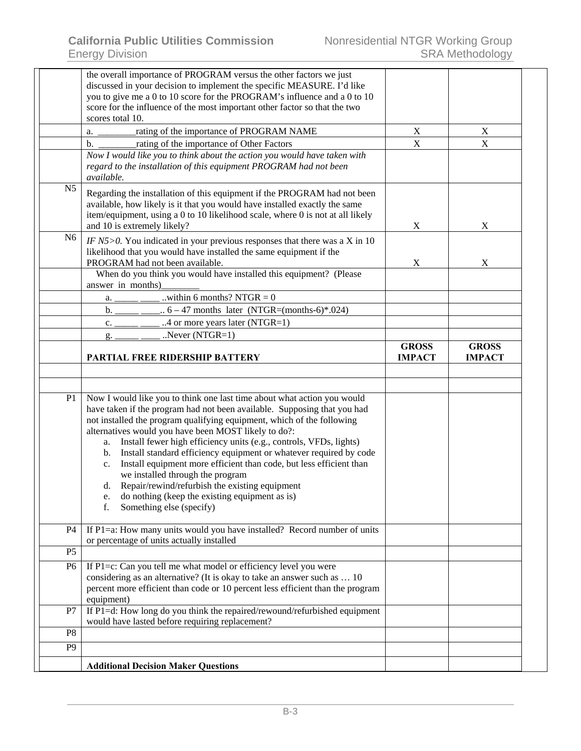|                | the overall importance of PROGRAM versus the other factors we just<br>discussed in your decision to implement the specific MEASURE. I'd like<br>you to give me a 0 to 10 score for the PROGRAM's influence and a 0 to 10<br>score for the influence of the most important other factor so that the two                                                                                                                                                                                                                                                                                                                                |                           |               |
|----------------|---------------------------------------------------------------------------------------------------------------------------------------------------------------------------------------------------------------------------------------------------------------------------------------------------------------------------------------------------------------------------------------------------------------------------------------------------------------------------------------------------------------------------------------------------------------------------------------------------------------------------------------|---------------------------|---------------|
|                | scores total 10.                                                                                                                                                                                                                                                                                                                                                                                                                                                                                                                                                                                                                      |                           |               |
|                | rating of the importance of PROGRAM NAME<br>a.                                                                                                                                                                                                                                                                                                                                                                                                                                                                                                                                                                                        | $\mathbf X$               | $\mathbf X$   |
|                | rating of the importance of Other Factors<br>$\mathbf{b}$ .                                                                                                                                                                                                                                                                                                                                                                                                                                                                                                                                                                           | $\mathbf X$               | X             |
|                | Now I would like you to think about the action you would have taken with<br>regard to the installation of this equipment PROGRAM had not been<br><i>available.</i>                                                                                                                                                                                                                                                                                                                                                                                                                                                                    |                           |               |
| N <sub>5</sub> | Regarding the installation of this equipment if the PROGRAM had not been<br>available, how likely is it that you would have installed exactly the same<br>item/equipment, using a 0 to 10 likelihood scale, where 0 is not at all likely<br>and 10 is extremely likely?                                                                                                                                                                                                                                                                                                                                                               | X                         | X             |
| N <sub>6</sub> | IF $N5 > 0$ . You indicated in your previous responses that there was a X in 10<br>likelihood that you would have installed the same equipment if the                                                                                                                                                                                                                                                                                                                                                                                                                                                                                 |                           |               |
|                | PROGRAM had not been available.                                                                                                                                                                                                                                                                                                                                                                                                                                                                                                                                                                                                       | $\boldsymbol{\mathrm{X}}$ | X             |
|                | When do you think you would have installed this equipment? (Please<br>answer in months)                                                                                                                                                                                                                                                                                                                                                                                                                                                                                                                                               |                           |               |
|                | within 6 months? NTGR $= 0$<br>a.                                                                                                                                                                                                                                                                                                                                                                                                                                                                                                                                                                                                     |                           |               |
|                | b.<br>$6 - 47$ months later (NTGR=(months-6)*.024)                                                                                                                                                                                                                                                                                                                                                                                                                                                                                                                                                                                    |                           |               |
|                | 4 or more years later (NTGR=1)<br>c.                                                                                                                                                                                                                                                                                                                                                                                                                                                                                                                                                                                                  |                           |               |
|                | Never $(NTGR=1)$<br>g.                                                                                                                                                                                                                                                                                                                                                                                                                                                                                                                                                                                                                |                           |               |
|                |                                                                                                                                                                                                                                                                                                                                                                                                                                                                                                                                                                                                                                       | <b>GROSS</b>              | <b>GROSS</b>  |
|                | PARTIAL FREE RIDERSHIP BATTERY                                                                                                                                                                                                                                                                                                                                                                                                                                                                                                                                                                                                        | <b>IMPACT</b>             | <b>IMPACT</b> |
|                | have taken if the program had not been available. Supposing that you had<br>not installed the program qualifying equipment, which of the following<br>alternatives would you have been MOST likely to do?:<br>Install fewer high efficiency units (e.g., controls, VFDs, lights)<br>a.<br>Install standard efficiency equipment or whatever required by code<br>b.<br>Install equipment more efficient than code, but less efficient than<br>c.<br>we installed through the program<br>Repair/rewind/refurbish the existing equipment<br>d.<br>do nothing (keep the existing equipment as is)<br>e.<br>f.<br>Something else (specify) |                           |               |
| <b>P4</b>      | If $P1=a$ : How many units would you have installed? Record number of units<br>or percentage of units actually installed                                                                                                                                                                                                                                                                                                                                                                                                                                                                                                              |                           |               |
| P <sub>5</sub> |                                                                                                                                                                                                                                                                                                                                                                                                                                                                                                                                                                                                                                       |                           |               |
| P <sub>6</sub> | If P1=c: Can you tell me what model or efficiency level you were<br>considering as an alternative? (It is okay to take an answer such as  10<br>percent more efficient than code or 10 percent less efficient than the program<br>equipment)                                                                                                                                                                                                                                                                                                                                                                                          |                           |               |
| P7             | If P1=d: How long do you think the repaired/rewound/refurbished equipment<br>would have lasted before requiring replacement?                                                                                                                                                                                                                                                                                                                                                                                                                                                                                                          |                           |               |
| P <sub>8</sub> |                                                                                                                                                                                                                                                                                                                                                                                                                                                                                                                                                                                                                                       |                           |               |
| P <sub>9</sub> |                                                                                                                                                                                                                                                                                                                                                                                                                                                                                                                                                                                                                                       |                           |               |
|                | <b>Additional Decision Maker Questions</b>                                                                                                                                                                                                                                                                                                                                                                                                                                                                                                                                                                                            |                           |               |
|                |                                                                                                                                                                                                                                                                                                                                                                                                                                                                                                                                                                                                                                       |                           |               |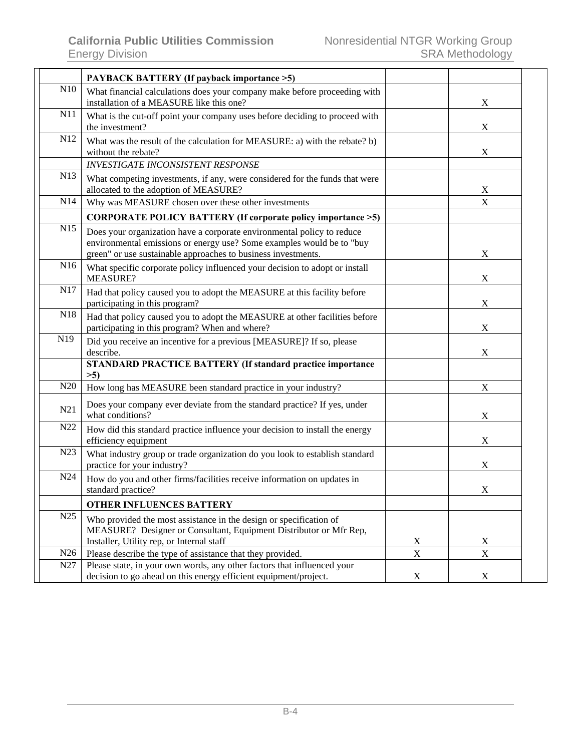|                 | <b>PAYBACK BATTERY (If payback importance &gt;5)</b>                                                                                                                                                             |             |             |
|-----------------|------------------------------------------------------------------------------------------------------------------------------------------------------------------------------------------------------------------|-------------|-------------|
| N10             | What financial calculations does your company make before proceeding with<br>installation of a MEASURE like this one?                                                                                            |             | X           |
| N11             | What is the cut-off point your company uses before deciding to proceed with<br>the investment?                                                                                                                   |             | X           |
| N12             | What was the result of the calculation for MEASURE: a) with the rebate? b)<br>without the rebate?                                                                                                                |             | X           |
|                 | <b>INVESTIGATE INCONSISTENT RESPONSE</b>                                                                                                                                                                         |             |             |
| N <sub>13</sub> | What competing investments, if any, were considered for the funds that were<br>allocated to the adoption of MEASURE?                                                                                             |             | X           |
| N <sub>14</sub> | Why was MEASURE chosen over these other investments                                                                                                                                                              |             | X           |
|                 | CORPORATE POLICY BATTERY (If corporate policy importance >5)                                                                                                                                                     |             |             |
| N15             | Does your organization have a corporate environmental policy to reduce<br>environmental emissions or energy use? Some examples would be to "buy<br>green" or use sustainable approaches to business investments. |             | X           |
| N16             | What specific corporate policy influenced your decision to adopt or install<br><b>MEASURE?</b>                                                                                                                   |             | X           |
| N17             | Had that policy caused you to adopt the MEASURE at this facility before<br>participating in this program?                                                                                                        |             | X           |
| N18             | Had that policy caused you to adopt the MEASURE at other facilities before<br>participating in this program? When and where?                                                                                     |             | X           |
| N19             | Did you receive an incentive for a previous [MEASURE]? If so, please<br>describe.                                                                                                                                |             | X           |
|                 | <b>STANDARD PRACTICE BATTERY (If standard practice importance</b><br>$>5$ )                                                                                                                                      |             |             |
| N20             | How long has MEASURE been standard practice in your industry?                                                                                                                                                    |             | X           |
| N21             | Does your company ever deviate from the standard practice? If yes, under<br>what conditions?                                                                                                                     |             | X           |
| N22             | How did this standard practice influence your decision to install the energy<br>efficiency equipment                                                                                                             |             | X           |
| N23             | What industry group or trade organization do you look to establish standard<br>practice for your industry?                                                                                                       |             | X           |
| N24             | How do you and other firms/facilities receive information on updates in<br>standard practice?                                                                                                                    |             | X           |
|                 | <b>OTHER INFLUENCES BATTERY</b>                                                                                                                                                                                  |             |             |
| N25             | Who provided the most assistance in the design or specification of<br>MEASURE? Designer or Consultant, Equipment Distributor or Mfr Rep,                                                                         |             |             |
|                 | Installer, Utility rep, or Internal staff                                                                                                                                                                        | X           | X           |
| N26             | Please describe the type of assistance that they provided.                                                                                                                                                       | $\mathbf X$ | $\mathbf X$ |
| N <sub>27</sub> | Please state, in your own words, any other factors that influenced your<br>decision to go ahead on this energy efficient equipment/project.                                                                      | $\mathbf X$ | X           |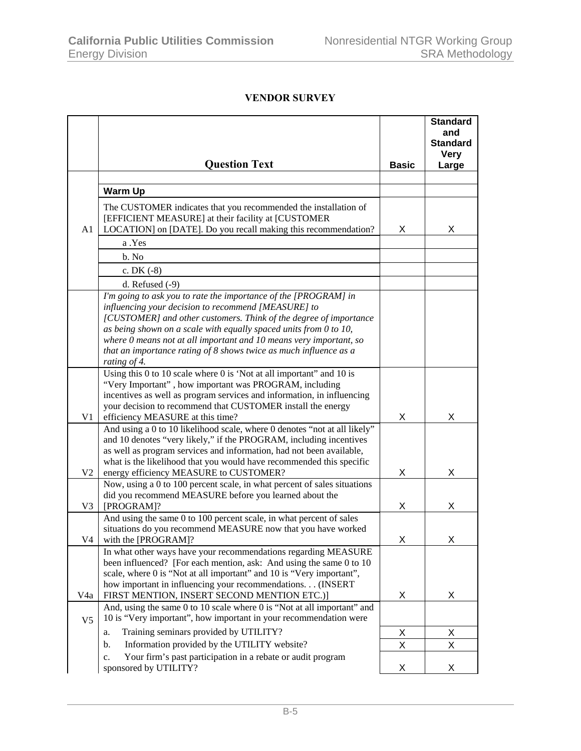## **VENDOR SURVEY**

|                |                                                                                                                                              |              | <b>Standard</b><br>and         |
|----------------|----------------------------------------------------------------------------------------------------------------------------------------------|--------------|--------------------------------|
|                |                                                                                                                                              |              | <b>Standard</b><br><b>Very</b> |
|                | <b>Question Text</b>                                                                                                                         | <b>Basic</b> | Large                          |
|                |                                                                                                                                              |              |                                |
|                | <b>Warm Up</b>                                                                                                                               |              |                                |
|                | The CUSTOMER indicates that you recommended the installation of                                                                              |              |                                |
| A1             | [EFFICIENT MEASURE] at their facility at [CUSTOMER<br>LOCATION] on [DATE]. Do you recall making this recommendation?                         | X            | X                              |
|                | a .Yes                                                                                                                                       |              |                                |
|                | b. No                                                                                                                                        |              |                                |
|                | c. DK $(-8)$                                                                                                                                 |              |                                |
|                | d. Refused $(-9)$                                                                                                                            |              |                                |
|                | I'm going to ask you to rate the importance of the [PROGRAM] in                                                                              |              |                                |
|                | influencing your decision to recommend [MEASURE] to                                                                                          |              |                                |
|                | [CUSTOMER] and other customers. Think of the degree of importance                                                                            |              |                                |
|                | as being shown on a scale with equally spaced units from $0$ to $10$ ,                                                                       |              |                                |
|                | where 0 means not at all important and 10 means very important, so<br>that an importance rating of 8 shows twice as much influence as a      |              |                                |
|                | rating of 4.                                                                                                                                 |              |                                |
|                | Using this $0$ to $10$ scale where $0$ is 'Not at all important' and $10$ is                                                                 |              |                                |
|                | "Very Important", how important was PROGRAM, including                                                                                       |              |                                |
|                | incentives as well as program services and information, in influencing<br>your decision to recommend that CUSTOMER install the energy        |              |                                |
| V <sub>1</sub> | efficiency MEASURE at this time?                                                                                                             | X            | X                              |
|                | And using a 0 to 10 likelihood scale, where 0 denotes "not at all likely"                                                                    |              |                                |
|                | and 10 denotes "very likely," if the PROGRAM, including incentives                                                                           |              |                                |
|                | as well as program services and information, had not been available,<br>what is the likelihood that you would have recommended this specific |              |                                |
| V <sub>2</sub> | energy efficiency MEASURE to CUSTOMER?                                                                                                       | Χ            | X                              |
|                | Now, using a 0 to 100 percent scale, in what percent of sales situations                                                                     |              |                                |
|                | did you recommend MEASURE before you learned about the                                                                                       |              |                                |
| V <sub>3</sub> | [PROGRAM]?                                                                                                                                   | Χ            | X                              |
|                | And using the same 0 to 100 percent scale, in what percent of sales<br>situations do you recommend MEASURE now that you have worked          |              |                                |
| V <sub>4</sub> | with the [PROGRAM]?                                                                                                                          | X            |                                |
|                | In what other ways have your recommendations regarding MEASURE                                                                               |              |                                |
|                | been influenced? [For each mention, ask: And using the same 0 to 10                                                                          |              |                                |
|                | scale, where 0 is "Not at all important" and 10 is "Very important",<br>how important in influencing your recommendations. (INSERT           |              |                                |
| V4a            | FIRST MENTION, INSERT SECOND MENTION ETC.)]                                                                                                  | Х            | X                              |
|                | And, using the same 0 to 10 scale where 0 is "Not at all important" and                                                                      |              |                                |
| V <sub>5</sub> | 10 is "Very important", how important in your recommendation were                                                                            |              |                                |
|                | Training seminars provided by UTILITY?<br>a.                                                                                                 | Х            | X                              |
|                | Information provided by the UTILITY website?<br>b.                                                                                           | X            | Χ                              |
|                | Your firm's past participation in a rebate or audit program<br>c.                                                                            |              |                                |
|                | sponsored by UTILITY?                                                                                                                        | Χ            | X                              |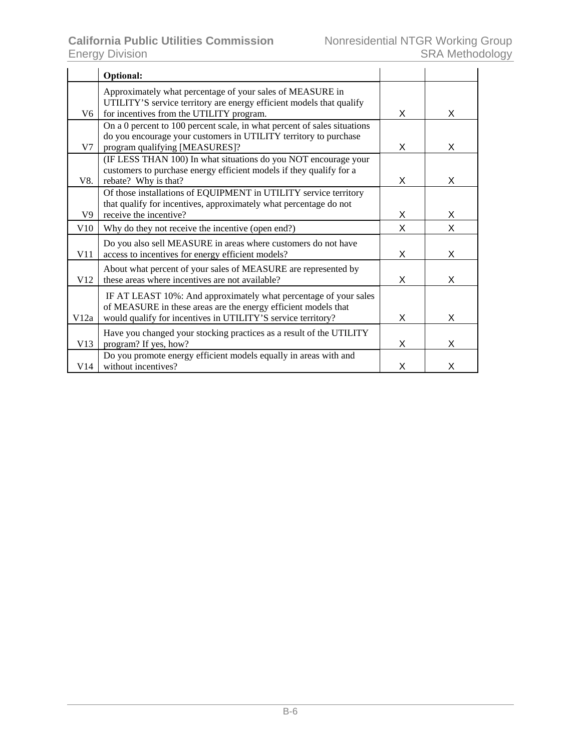|                | Optional:                                                                                                                                                                                          |   |   |
|----------------|----------------------------------------------------------------------------------------------------------------------------------------------------------------------------------------------------|---|---|
| V6             | Approximately what percentage of your sales of MEASURE in<br>UTILITY'S service territory are energy efficient models that qualify<br>for incentives from the UTILITY program.                      | X | X |
| V7             | On a 0 percent to 100 percent scale, in what percent of sales situations<br>do you encourage your customers in UTILITY territory to purchase<br>program qualifying [MEASURES]?                     | X | X |
| V8.            | (IF LESS THAN 100) In what situations do you NOT encourage your<br>customers to purchase energy efficient models if they qualify for a<br>rebate? Why is that?                                     | X | X |
| V <sub>9</sub> | Of those installations of EQUIPMENT in UTILITY service territory<br>that qualify for incentives, approximately what percentage do not<br>receive the incentive?                                    | Χ | X |
| V10            | Why do they not receive the incentive (open end?)                                                                                                                                                  | X | X |
| V11            | Do you also sell MEASURE in areas where customers do not have<br>access to incentives for energy efficient models?                                                                                 | X | X |
| V12            | About what percent of your sales of MEASURE are represented by<br>these areas where incentives are not available?                                                                                  | X | X |
| V12a           | IF AT LEAST 10%: And approximately what percentage of your sales<br>of MEASURE in these areas are the energy efficient models that<br>would qualify for incentives in UTILITY'S service territory? | X | X |
| V13            | Have you changed your stocking practices as a result of the UTILITY<br>program? If yes, how?                                                                                                       | X | X |
| V14            | Do you promote energy efficient models equally in areas with and<br>without incentives?                                                                                                            | X | X |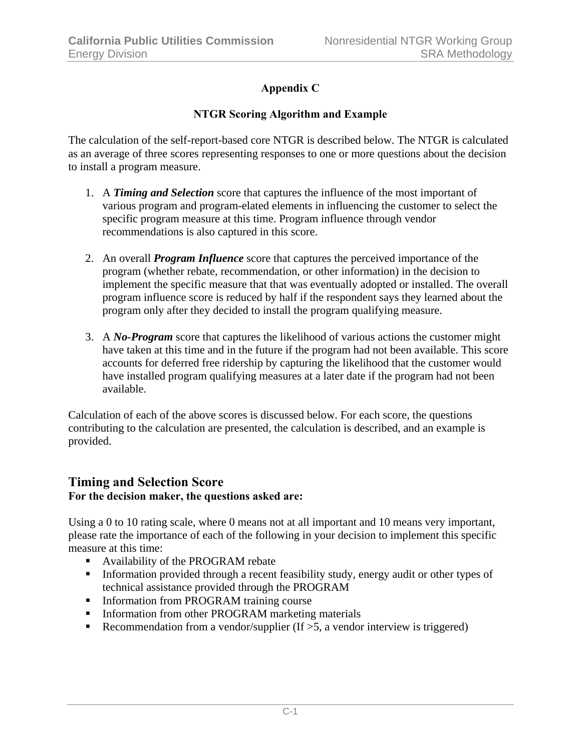## **Appendix C**

## **NTGR Scoring Algorithm and Example**

The calculation of the self-report-based core NTGR is described below. The NTGR is calculated as an average of three scores representing responses to one or more questions about the decision to install a program measure.

- 1. A *Timing and Selection* score that captures the influence of the most important of various program and program-elated elements in influencing the customer to select the specific program measure at this time. Program influence through vendor recommendations is also captured in this score.
- 2. An overall *Program Influence* score that captures the perceived importance of the program (whether rebate, recommendation, or other information) in the decision to implement the specific measure that that was eventually adopted or installed. The overall program influence score is reduced by half if the respondent says they learned about the program only after they decided to install the program qualifying measure.
- 3. A *No-Program* score that captures the likelihood of various actions the customer might have taken at this time and in the future if the program had not been available. This score accounts for deferred free ridership by capturing the likelihood that the customer would have installed program qualifying measures at a later date if the program had not been available.

Calculation of each of the above scores is discussed below. For each score, the questions contributing to the calculation are presented, the calculation is described, and an example is provided.

## **Timing and Selection Score For the decision maker, the questions asked are:**

Using a 0 to 10 rating scale, where 0 means not at all important and 10 means very important, please rate the importance of each of the following in your decision to implement this specific measure at this time:

- **Availability of the PROGRAM rebate**
- Information provided through a recent feasibility study, energy audit or other types of technical assistance provided through the PROGRAM
- **Information from PROGRAM training course**
- **Information from other PROGRAM marketing materials**
- Recommendation from a vendor/supplier (If  $>5$ , a vendor interview is triggered)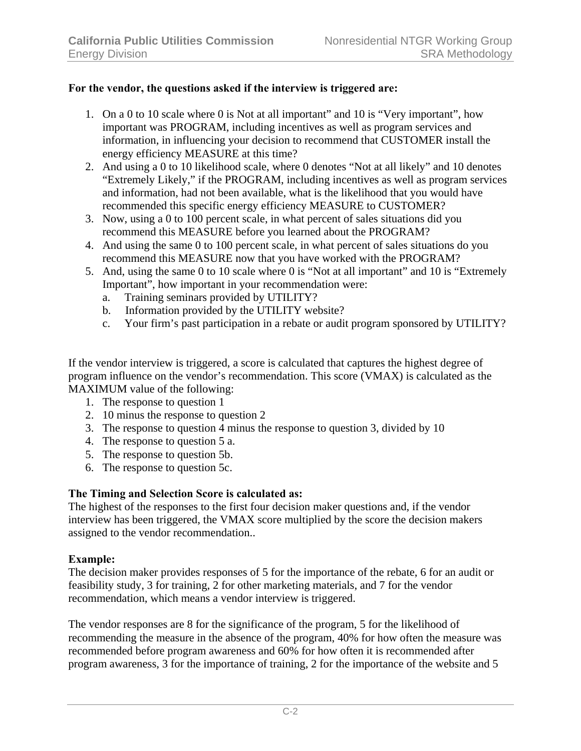#### **For the vendor, the questions asked if the interview is triggered are:**

- 1. On a 0 to 10 scale where 0 is Not at all important" and 10 is "Very important", how important was PROGRAM, including incentives as well as program services and information, in influencing your decision to recommend that CUSTOMER install the energy efficiency MEASURE at this time?
- 2. And using a 0 to 10 likelihood scale, where 0 denotes "Not at all likely" and 10 denotes "Extremely Likely," if the PROGRAM, including incentives as well as program services and information, had not been available, what is the likelihood that you would have recommended this specific energy efficiency MEASURE to CUSTOMER?
- 3. Now, using a 0 to 100 percent scale, in what percent of sales situations did you recommend this MEASURE before you learned about the PROGRAM?
- 4. And using the same 0 to 100 percent scale, in what percent of sales situations do you recommend this MEASURE now that you have worked with the PROGRAM?
- 5. And, using the same 0 to 10 scale where 0 is "Not at all important" and 10 is "Extremely Important", how important in your recommendation were:
	- a. Training seminars provided by UTILITY?
	- b. Information provided by the UTILITY website?
	- c. Your firm's past participation in a rebate or audit program sponsored by UTILITY?

If the vendor interview is triggered, a score is calculated that captures the highest degree of program influence on the vendor's recommendation. This score (VMAX) is calculated as the MAXIMUM value of the following:

- 1. The response to question 1
- 2. 10 minus the response to question 2
- 3. The response to question 4 minus the response to question 3, divided by 10
- 4. The response to question 5 a.
- 5. The response to question 5b.
- 6. The response to question 5c.

#### **The Timing and Selection Score is calculated as:**

The highest of the responses to the first four decision maker questions and, if the vendor interview has been triggered, the VMAX score multiplied by the score the decision makers assigned to the vendor recommendation..

#### **Example:**

The decision maker provides responses of 5 for the importance of the rebate, 6 for an audit or feasibility study, 3 for training, 2 for other marketing materials, and 7 for the vendor recommendation, which means a vendor interview is triggered.

The vendor responses are 8 for the significance of the program, 5 for the likelihood of recommending the measure in the absence of the program, 40% for how often the measure was recommended before program awareness and 60% for how often it is recommended after program awareness, 3 for the importance of training, 2 for the importance of the website and 5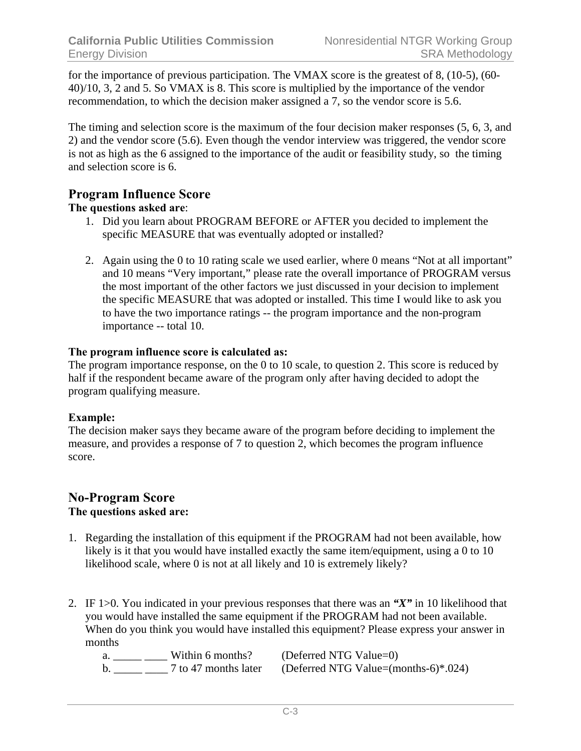for the importance of previous participation. The VMAX score is the greatest of 8, (10-5), (60- 40)/10, 3, 2 and 5. So VMAX is 8. This score is multiplied by the importance of the vendor recommendation, to which the decision maker assigned a 7, so the vendor score is 5.6.

The timing and selection score is the maximum of the four decision maker responses (5, 6, 3, and 2) and the vendor score (5.6). Even though the vendor interview was triggered, the vendor score is not as high as the 6 assigned to the importance of the audit or feasibility study, so the timing and selection score is 6.

## **Program Influence Score**

## **The questions asked are**:

- 1. Did you learn about PROGRAM BEFORE or AFTER you decided to implement the specific MEASURE that was eventually adopted or installed?
- 2. Again using the 0 to 10 rating scale we used earlier, where 0 means "Not at all important" and 10 means "Very important," please rate the overall importance of PROGRAM versus the most important of the other factors we just discussed in your decision to implement the specific MEASURE that was adopted or installed. This time I would like to ask you to have the two importance ratings -- the program importance and the non-program importance -- total 10.

## **The program influence score is calculated as:**

The program importance response, on the 0 to 10 scale, to question 2. This score is reduced by half if the respondent became aware of the program only after having decided to adopt the program qualifying measure.

## **Example:**

The decision maker says they became aware of the program before deciding to implement the measure, and provides a response of 7 to question 2, which becomes the program influence score.

#### **No-Program Score The questions asked are:**

- 1. Regarding the installation of this equipment if the PROGRAM had not been available, how likely is it that you would have installed exactly the same item/equipment, using a 0 to 10 likelihood scale, where 0 is not at all likely and 10 is extremely likely?
- 2. IF 1>0. You indicated in your previous responses that there was an *"X"* in 10 likelihood that you would have installed the same equipment if the PROGRAM had not been available. When do you think you would have installed this equipment? Please express your answer in months

a.  $\frac{1}{2}$  Within 6 months? (Deferred NTG Value=0)<br>b.  $\frac{1}{2}$  7 to 47 months later (Deferred NTG Value=(m  $b.$  (Deferred NTG Value=(months-6)\*.024)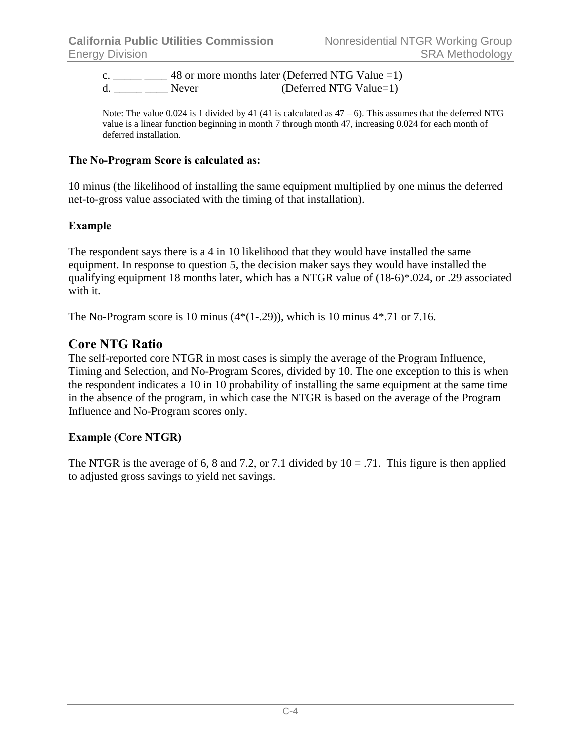c.  $\frac{1}{2}$  = 48 or more months later (Deferred NTG Value =1) d. Never (Deferred NTG Value=1)

Note: The value 0.024 is 1 divided by 41 (41 is calculated as  $47 - 6$ ). This assumes that the deferred NTG value is a linear function beginning in month 7 through month 47, increasing 0.024 for each month of deferred installation.

#### **The No-Program Score is calculated as:**

10 minus (the likelihood of installing the same equipment multiplied by one minus the deferred net-to-gross value associated with the timing of that installation).

## **Example**

The respondent says there is a 4 in 10 likelihood that they would have installed the same equipment. In response to question 5, the decision maker says they would have installed the qualifying equipment 18 months later, which has a NTGR value of (18-6)\*.024, or .29 associated with it.

The No-Program score is 10 minus  $(4*(1-.29))$ , which is 10 minus  $4*.71$  or 7.16.

## **Core NTG Ratio**

The self-reported core NTGR in most cases is simply the average of the Program Influence, Timing and Selection, and No-Program Scores, divided by 10. The one exception to this is when the respondent indicates a 10 in 10 probability of installing the same equipment at the same time in the absence of the program, in which case the NTGR is based on the average of the Program Influence and No-Program scores only.

## **Example (Core NTGR)**

The NTGR is the average of 6, 8 and 7.2, or 7.1 divided by  $10 = .71$ . This figure is then applied to adjusted gross savings to yield net savings.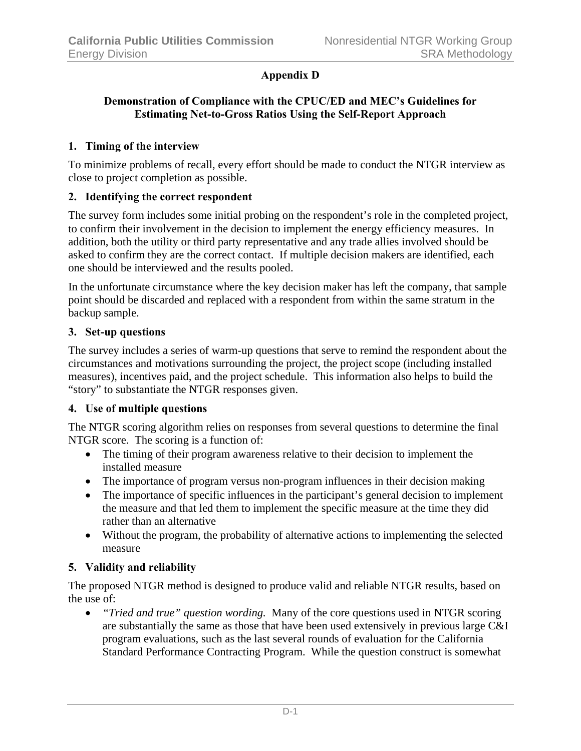## **Appendix D**

#### **Demonstration of Compliance with the CPUC/ED and MEC's Guidelines for Estimating Net-to-Gross Ratios Using the Self-Report Approach**

#### **1. Timing of the interview**

To minimize problems of recall, every effort should be made to conduct the NTGR interview as close to project completion as possible.

#### **2. Identifying the correct respondent**

The survey form includes some initial probing on the respondent's role in the completed project, to confirm their involvement in the decision to implement the energy efficiency measures. In addition, both the utility or third party representative and any trade allies involved should be asked to confirm they are the correct contact. If multiple decision makers are identified, each one should be interviewed and the results pooled.

In the unfortunate circumstance where the key decision maker has left the company, that sample point should be discarded and replaced with a respondent from within the same stratum in the backup sample.

#### **3. Set-up questions**

The survey includes a series of warm-up questions that serve to remind the respondent about the circumstances and motivations surrounding the project, the project scope (including installed measures), incentives paid, and the project schedule. This information also helps to build the "story" to substantiate the NTGR responses given.

#### **4. Use of multiple questions**

The NTGR scoring algorithm relies on responses from several questions to determine the final NTGR score. The scoring is a function of:

- The timing of their program awareness relative to their decision to implement the installed measure
- The importance of program versus non-program influences in their decision making
- The importance of specific influences in the participant's general decision to implement the measure and that led them to implement the specific measure at the time they did rather than an alternative
- Without the program, the probability of alternative actions to implementing the selected measure

## **5. Validity and reliability**

The proposed NTGR method is designed to produce valid and reliable NTGR results, based on the use of:

• *"Tried and true" question wording.* Many of the core questions used in NTGR scoring are substantially the same as those that have been used extensively in previous large C&I program evaluations, such as the last several rounds of evaluation for the California Standard Performance Contracting Program. While the question construct is somewhat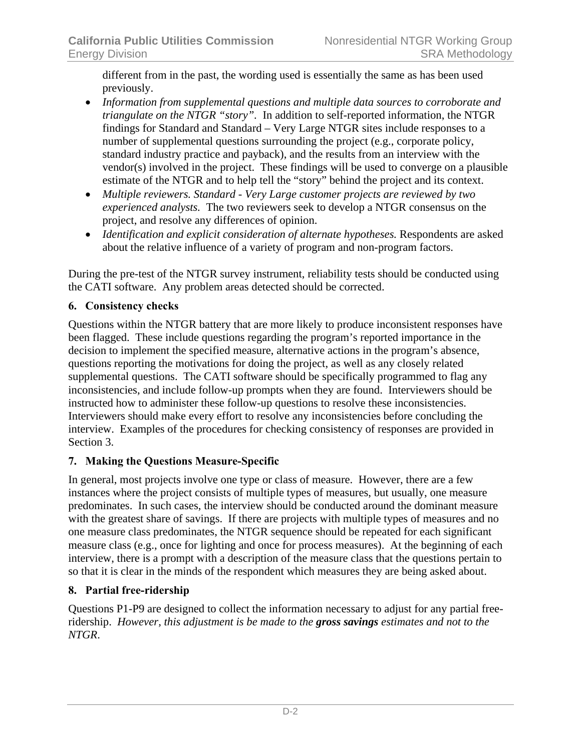different from in the past, the wording used is essentially the same as has been used previously.

- *Information from supplemental questions and multiple data sources to corroborate and triangulate on the NTGR "story".* In addition to self-reported information, the NTGR findings for Standard and Standard – Very Large NTGR sites include responses to a number of supplemental questions surrounding the project (e.g., corporate policy, standard industry practice and payback), and the results from an interview with the vendor(s) involved in the project. These findings will be used to converge on a plausible estimate of the NTGR and to help tell the "story" behind the project and its context.
- *Multiple reviewers. Standard Very Large customer projects are reviewed by two experienced analysts.* The two reviewers seek to develop a NTGR consensus on the project, and resolve any differences of opinion.
- *Identification and explicit consideration of alternate hypotheses.* Respondents are asked about the relative influence of a variety of program and non-program factors.

During the pre-test of the NTGR survey instrument, reliability tests should be conducted using the CATI software. Any problem areas detected should be corrected.

## **6. Consistency checks**

Questions within the NTGR battery that are more likely to produce inconsistent responses have been flagged. These include questions regarding the program's reported importance in the decision to implement the specified measure, alternative actions in the program's absence, questions reporting the motivations for doing the project, as well as any closely related supplemental questions. The CATI software should be specifically programmed to flag any inconsistencies, and include follow-up prompts when they are found. Interviewers should be instructed how to administer these follow-up questions to resolve these inconsistencies. Interviewers should make every effort to resolve any inconsistencies before concluding the interview. Examples of the procedures for checking consistency of responses are provided in Section 3.

## **7. Making the Questions Measure-Specific**

In general, most projects involve one type or class of measure. However, there are a few instances where the project consists of multiple types of measures, but usually, one measure predominates. In such cases, the interview should be conducted around the dominant measure with the greatest share of savings. If there are projects with multiple types of measures and no one measure class predominates, the NTGR sequence should be repeated for each significant measure class (e.g., once for lighting and once for process measures). At the beginning of each interview, there is a prompt with a description of the measure class that the questions pertain to so that it is clear in the minds of the respondent which measures they are being asked about.

## **8. Partial free-ridership**

Questions P1-P9 are designed to collect the information necessary to adjust for any partial freeridership. *However, this adjustment is be made to the gross savings estimates and not to the NTGR*.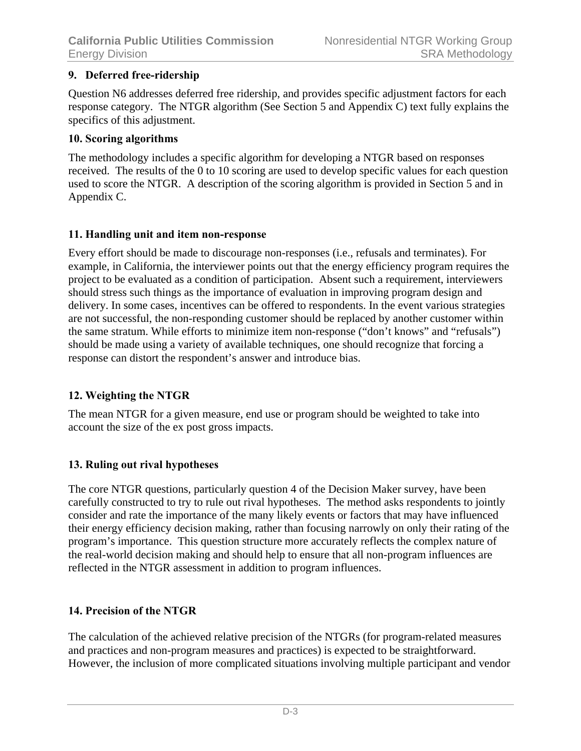## **9. Deferred free-ridership**

Question N6 addresses deferred free ridership, and provides specific adjustment factors for each response category. The NTGR algorithm (See Section 5 and Appendix C) text fully explains the specifics of this adjustment.

#### **10. Scoring algorithms**

The methodology includes a specific algorithm for developing a NTGR based on responses received. The results of the 0 to 10 scoring are used to develop specific values for each question used to score the NTGR. A description of the scoring algorithm is provided in Section 5 and in Appendix C.

## **11. Handling unit and item non-response**

Every effort should be made to discourage non-responses (i.e., refusals and terminates). For example, in California, the interviewer points out that the energy efficiency program requires the project to be evaluated as a condition of participation. Absent such a requirement, interviewers should stress such things as the importance of evaluation in improving program design and delivery. In some cases, incentives can be offered to respondents. In the event various strategies are not successful, the non-responding customer should be replaced by another customer within the same stratum. While efforts to minimize item non-response ("don't knows" and "refusals") should be made using a variety of available techniques, one should recognize that forcing a response can distort the respondent's answer and introduce bias.

## **12. Weighting the NTGR**

The mean NTGR for a given measure, end use or program should be weighted to take into account the size of the ex post gross impacts.

## **13. Ruling out rival hypotheses**

The core NTGR questions, particularly question 4 of the Decision Maker survey, have been carefully constructed to try to rule out rival hypotheses. The method asks respondents to jointly consider and rate the importance of the many likely events or factors that may have influenced their energy efficiency decision making, rather than focusing narrowly on only their rating of the program's importance. This question structure more accurately reflects the complex nature of the real-world decision making and should help to ensure that all non-program influences are reflected in the NTGR assessment in addition to program influences.

## **14. Precision of the NTGR**

The calculation of the achieved relative precision of the NTGRs (for program-related measures and practices and non-program measures and practices) is expected to be straightforward. However, the inclusion of more complicated situations involving multiple participant and vendor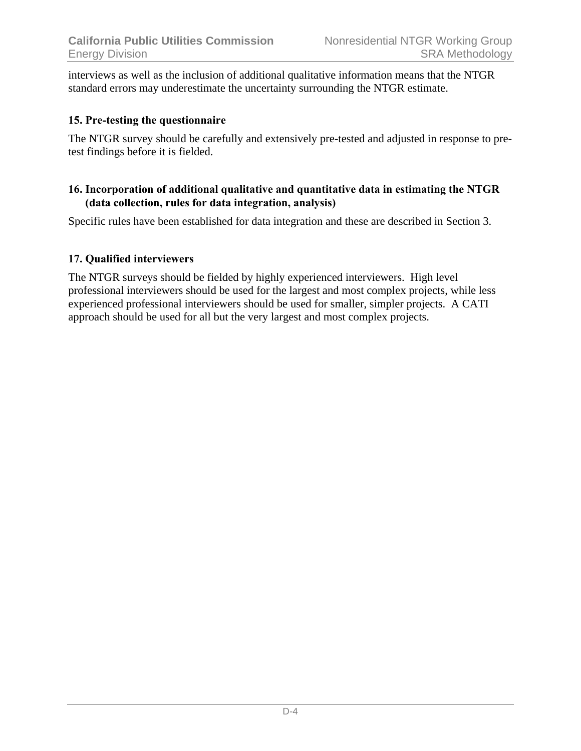interviews as well as the inclusion of additional qualitative information means that the NTGR standard errors may underestimate the uncertainty surrounding the NTGR estimate.

## **15. Pre-testing the questionnaire**

The NTGR survey should be carefully and extensively pre-tested and adjusted in response to pretest findings before it is fielded.

## **16. Incorporation of additional qualitative and quantitative data in estimating the NTGR (data collection, rules for data integration, analysis)**

Specific rules have been established for data integration and these are described in Section 3.

# **17. Qualified interviewers**

The NTGR surveys should be fielded by highly experienced interviewers. High level professional interviewers should be used for the largest and most complex projects, while less experienced professional interviewers should be used for smaller, simpler projects. A CATI approach should be used for all but the very largest and most complex projects.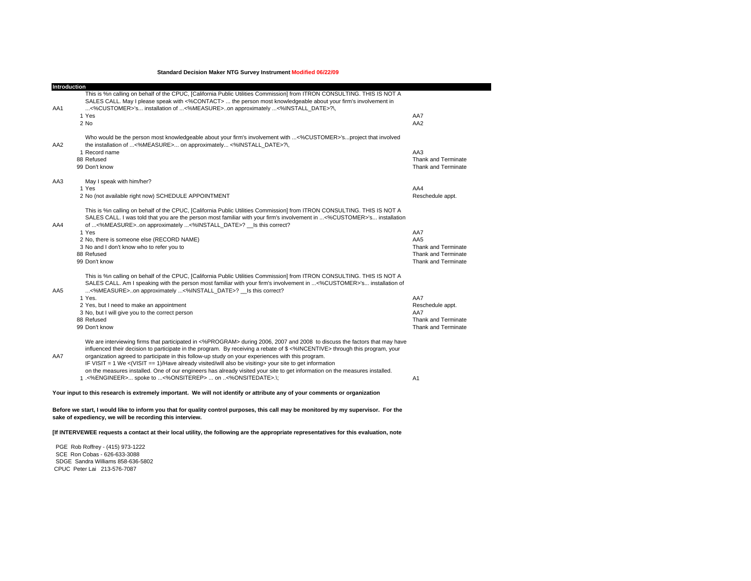**Standard Decision Maker NTG Survey Instrument Modified 06/22/09**

m.

| Introduction |                                                                                                                                                                                                                                                                                                                                                                                                                                                                                                                                                                                                              |                            |
|--------------|--------------------------------------------------------------------------------------------------------------------------------------------------------------------------------------------------------------------------------------------------------------------------------------------------------------------------------------------------------------------------------------------------------------------------------------------------------------------------------------------------------------------------------------------------------------------------------------------------------------|----------------------------|
| AA1          | This is %n calling on behalf of the CPUC, [California Public Utilities Commission] from ITRON CONSULTING. THIS IS NOT A<br>SALES CALL. May I please speak with <%CONTACT>  the person most knowledgeable about your firm's involvement in<br><%CUSTOMER>'s installation of <%MEASURE>on approximately <%INSTALL_DATE>?\,                                                                                                                                                                                                                                                                                     |                            |
|              | 1 Yes                                                                                                                                                                                                                                                                                                                                                                                                                                                                                                                                                                                                        | AA7                        |
|              | 2 No                                                                                                                                                                                                                                                                                                                                                                                                                                                                                                                                                                                                         | AA <sub>2</sub>            |
| AA2          | Who would be the person most knowledgeable about your firm's involvement with <%CUSTOMER>'sproject that involved<br>the installation of <%MEASURE> on approximately <%INSTALL DATE>?\,                                                                                                                                                                                                                                                                                                                                                                                                                       |                            |
|              | 1 Record name                                                                                                                                                                                                                                                                                                                                                                                                                                                                                                                                                                                                | AA3                        |
|              | 88 Refused                                                                                                                                                                                                                                                                                                                                                                                                                                                                                                                                                                                                   | <b>Thank and Terminate</b> |
|              | 99 Don't know                                                                                                                                                                                                                                                                                                                                                                                                                                                                                                                                                                                                | Thank and Terminate        |
| AA3          | May I speak with him/her?                                                                                                                                                                                                                                                                                                                                                                                                                                                                                                                                                                                    |                            |
|              | 1 Yes                                                                                                                                                                                                                                                                                                                                                                                                                                                                                                                                                                                                        | AA4                        |
|              | 2 No (not available right now) SCHEDULE APPOINTMENT                                                                                                                                                                                                                                                                                                                                                                                                                                                                                                                                                          | Reschedule appt.           |
| AA4          | This is %n calling on behalf of the CPUC, [California Public Utilities Commission] from ITRON CONSULTING. THIS IS NOT A<br>SALES CALL. I was told that you are the person most familiar with your firm's involvement in <%CUSTOMER>'s installation<br>of <%MEASURE>on approximately <%INSTALL DATE>? Is this correct?                                                                                                                                                                                                                                                                                        |                            |
|              | 1 Yes                                                                                                                                                                                                                                                                                                                                                                                                                                                                                                                                                                                                        | AA7                        |
|              | 2 No, there is someone else (RECORD NAME)                                                                                                                                                                                                                                                                                                                                                                                                                                                                                                                                                                    | AA <sub>5</sub>            |
|              | 3 No and I don't know who to refer you to                                                                                                                                                                                                                                                                                                                                                                                                                                                                                                                                                                    | <b>Thank and Terminate</b> |
|              | 88 Refused                                                                                                                                                                                                                                                                                                                                                                                                                                                                                                                                                                                                   | Thank and Terminate        |
|              | 99 Don't know                                                                                                                                                                                                                                                                                                                                                                                                                                                                                                                                                                                                | <b>Thank and Terminate</b> |
| AA5          | This is %n calling on behalf of the CPUC, [California Public Utilities Commission] from ITRON CONSULTING. THIS IS NOT A<br>SALES CALL. Am I speaking with the person most familiar with your firm's involvement in <%CUSTOMER>'s installation of<br><%MEASURE>on approximately <%INSTALL DATE>? Is this correct?                                                                                                                                                                                                                                                                                             |                            |
|              | 1 Yes.                                                                                                                                                                                                                                                                                                                                                                                                                                                                                                                                                                                                       | AA7                        |
|              | 2 Yes, but I need to make an appointment                                                                                                                                                                                                                                                                                                                                                                                                                                                                                                                                                                     | Reschedule appt.           |
|              | 3 No, but I will give you to the correct person                                                                                                                                                                                                                                                                                                                                                                                                                                                                                                                                                              | AA7                        |
|              | 88 Refused                                                                                                                                                                                                                                                                                                                                                                                                                                                                                                                                                                                                   | <b>Thank and Terminate</b> |
|              | 99 Don't know                                                                                                                                                                                                                                                                                                                                                                                                                                                                                                                                                                                                | <b>Thank and Terminate</b> |
| AA7          | We are interviewing firms that participated in <%PROGRAM> during 2006, 2007 and 2008 to discuss the factors that may have<br>influenced their decision to participate in the program. By receiving a rebate of \$ <%INCENTIVE> through this program, your<br>organization agreed to participate in this follow-up study on your experiences with this program.<br>IF VISIT = 1 We < (VISIT = $= 1$ )/Have already visited/will also be visiting> your site to get information<br>on the measures installed. One of our engineers has already visited your site to get information on the measures installed. |                            |
|              | 1.<%ENGINEER> spoke to <%ONSITEREP>  on <%ONSITEDATE>.\;                                                                                                                                                                                                                                                                                                                                                                                                                                                                                                                                                     | A1                         |
|              |                                                                                                                                                                                                                                                                                                                                                                                                                                                                                                                                                                                                              |                            |

**Your input to this research is extremely important. We will not identify or attribute any of your comments or organization** 

**Before we start, I would like to inform you that for quality control purposes, this call may be monitored by my supervisor. For the sake of expediency, we will be recording this interview.**

**[If INTERVEWEE requests a contact at their local utility, the following are the appropriate representatives for this evaluation, note** 

 PGE Rob Roffrey - (415) 973-1222 SCE Ron Cobas - 626-633-3088 SDGE Sandra Williams 858-636-5802 CPUC Peter Lai 213-576-7087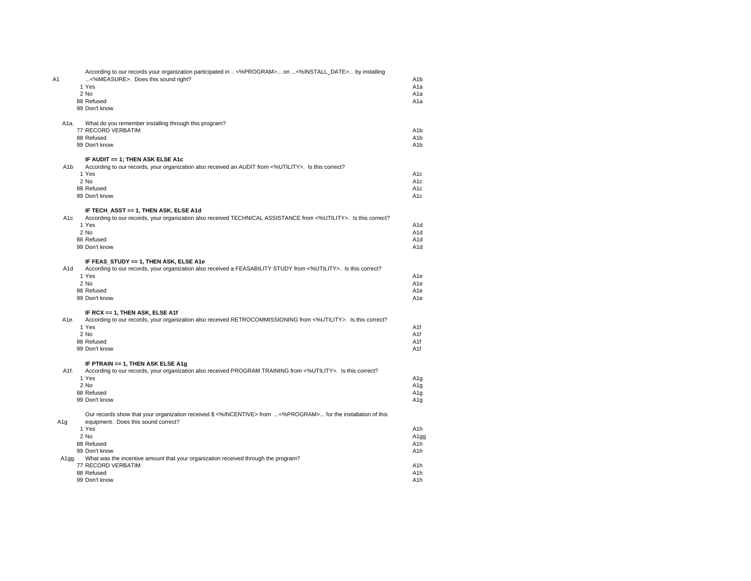| A1              |                   | According to our records your organization participated in  <%PROGRAM> on <%INSTALL_DATE> by installing<br><%MEASURE>. Does this sound right?<br>1 Yes | A <sub>1</sub> b<br>A <sub>1</sub> a |
|-----------------|-------------------|--------------------------------------------------------------------------------------------------------------------------------------------------------|--------------------------------------|
|                 |                   | 2 No                                                                                                                                                   | A1a                                  |
|                 |                   | 88 Refused                                                                                                                                             | A <sub>1</sub> a                     |
|                 |                   | 99 Don't know                                                                                                                                          |                                      |
|                 | A1a.              | What do you remember installing through this program?                                                                                                  |                                      |
|                 |                   | 77 RECORD VERBATIM                                                                                                                                     | A <sub>1</sub> b                     |
|                 |                   | 88 Refused                                                                                                                                             | A <sub>1</sub> b                     |
|                 |                   | 99 Don't know                                                                                                                                          | A <sub>1</sub> b                     |
|                 |                   | IF AUDIT == 1; THEN ASK ELSE A1c                                                                                                                       |                                      |
|                 | A <sub>1</sub> b  | According to our records, your organization also received an AUDIT from <%UTILITY>. Is this correct?                                                   |                                      |
|                 |                   | 1 Yes                                                                                                                                                  | A <sub>1</sub> c                     |
|                 |                   | 2 No<br>88 Refused                                                                                                                                     | A <sub>1</sub> c<br>A <sub>1c</sub>  |
|                 |                   | 99 Don't know                                                                                                                                          | A <sub>1</sub> c                     |
|                 |                   |                                                                                                                                                        |                                      |
|                 | A <sub>1</sub> c  | IF TECH_ASST == 1, THEN ASK, ELSE A1d                                                                                                                  |                                      |
|                 |                   | According to our records, your organization also received TECHNICAL ASSISTANCE from <%UTILITY>. Is this correct?<br>1 Yes                              | A <sub>1</sub> d                     |
|                 |                   | 2 No                                                                                                                                                   | A <sub>1</sub> d                     |
|                 |                   | 88 Refused                                                                                                                                             | A <sub>1</sub> d                     |
|                 |                   | 99 Don't know                                                                                                                                          | A <sub>1</sub> d                     |
|                 |                   |                                                                                                                                                        |                                      |
|                 |                   | IF FEAS_STUDY == 1, THEN ASK, ELSE A1e                                                                                                                 |                                      |
|                 | A <sub>1</sub> d  | According to our records, your organization also received a FEASABILITY STUDY from <%UTILITY>. Is this correct?                                        |                                      |
|                 |                   | 1 Yes<br>2 No                                                                                                                                          | A <sub>1e</sub><br>A <sub>1e</sub>   |
|                 |                   | 88 Refused                                                                                                                                             | A <sub>1e</sub>                      |
|                 |                   | 99 Don't know                                                                                                                                          | A <sub>1e</sub>                      |
|                 |                   |                                                                                                                                                        |                                      |
|                 |                   | IF RCX == 1, THEN ASK, ELSE A1f                                                                                                                        |                                      |
|                 | A1e.              | According to our records, your organization also received RETROCOMMISSIONING from <%UTILITY>. Is this correct?<br>1 Yes                                | A <sub>1f</sub>                      |
|                 |                   | 2 No                                                                                                                                                   | A <sub>1f</sub>                      |
|                 |                   | 88 Refused                                                                                                                                             | A1f                                  |
|                 |                   | 99 Don't know                                                                                                                                          | A1f                                  |
|                 |                   |                                                                                                                                                        |                                      |
|                 | A <sub>1f</sub> . | IF PTRAIN == 1, THEN ASK ELSE A1g                                                                                                                      |                                      |
|                 |                   | According to our records, your organization also received PROGRAM TRAINING from <%UTILITY>. Is this correct?<br>1 Yes                                  |                                      |
|                 |                   | 2 No                                                                                                                                                   | A1q                                  |
|                 |                   | 88 Refused                                                                                                                                             | A <sub>1g</sub><br>A <sub>1</sub> g  |
|                 |                   | 99 Don't know                                                                                                                                          | A1g                                  |
|                 |                   | Our records show that your organization received \$ <%INCENTIVE> from <%PROGRAM> for the installation of this                                          |                                      |
| A <sub>1g</sub> |                   | equipment. Does this sound correct?                                                                                                                    |                                      |
|                 |                   | 1 Yes                                                                                                                                                  | A <sub>1</sub> h                     |
|                 |                   | 2 No                                                                                                                                                   | A <sub>1gg</sub>                     |
|                 |                   | 88 Refused                                                                                                                                             | A <sub>1</sub> h                     |
|                 |                   | 99 Don't know                                                                                                                                          | A1h                                  |
|                 | A <sub>1gg</sub>  | What was the incentive amount that your organization received through the program?                                                                     |                                      |
|                 |                   | 77 RECORD VERBATIM                                                                                                                                     | A <sub>1</sub> h                     |
|                 |                   | 88 Refused                                                                                                                                             | A <sub>1</sub> h                     |
|                 |                   | 99 Don't know                                                                                                                                          | A1h                                  |
|                 |                   |                                                                                                                                                        |                                      |

A1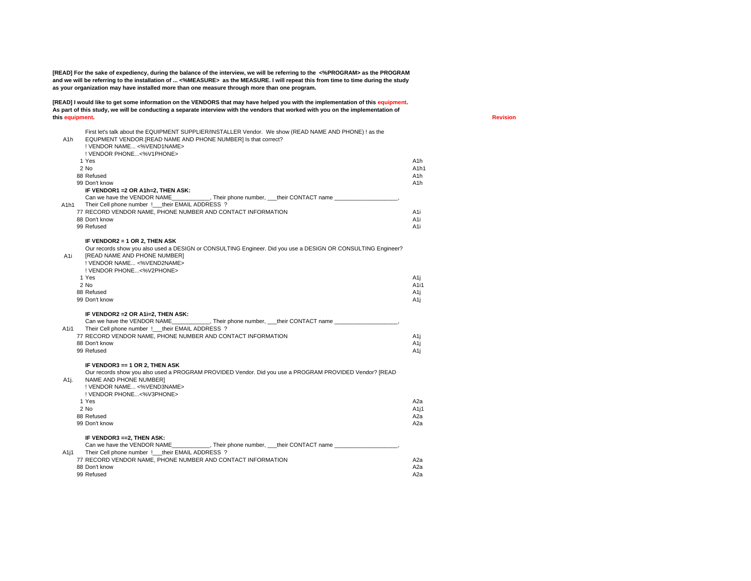**[READ] For the sake of expediency, during the balance of the interview, we will be referring to the <%PROGRAM> as the PROGRAM and we will be referring to the installation of ... <%MEASURE> as the MEASURE. I will repeat this from time to time during the study as your organization may have installed more than one measure through more than one program.**

**[READ] I would like to get some information on the VENDORS that may have helped you with the implementation of this equipment. As part of this study, we will be conducting a separate interview with the vendors that worked with you on the implementation of this equipment.** 

| A1h  | First let's talk about the EQUIPMENT SUPPLIER/INSTALLER Vendor. We show (READ NAME AND PHONE) ! as the<br>EQUPMENT VENDOR.[READ NAME AND PHONE NUMBER] Is that correct?<br>! VENDOR NAME <%VEND1NAME><br>! VENDOR PHONE<%V1PHONE>                         |                               |
|------|-----------------------------------------------------------------------------------------------------------------------------------------------------------------------------------------------------------------------------------------------------------|-------------------------------|
|      | 1 Yes                                                                                                                                                                                                                                                     | A1h                           |
|      | 2 No                                                                                                                                                                                                                                                      | A <sub>1</sub> h <sub>1</sub> |
|      | 88 Refused                                                                                                                                                                                                                                                | A1h                           |
|      | 99 Don't know                                                                                                                                                                                                                                             | A <sub>1</sub> h              |
|      | IF VENDOR1 = 2 OR A1h=2, THEN ASK:<br>Can we have the VENDOR NAME Their phone number, their CONTACT name                                                                                                                                                  |                               |
| A1h1 | Their Cell phone number !___ their EMAIL ADDRESS ?                                                                                                                                                                                                        |                               |
|      | 77 RECORD VENDOR NAME, PHONE NUMBER AND CONTACT INFORMATION                                                                                                                                                                                               | A1i                           |
|      | 88 Don't know                                                                                                                                                                                                                                             | A1i                           |
|      | 99 Refused                                                                                                                                                                                                                                                | A1i                           |
|      | IF VENDOR2 = 1 OR 2, THEN ASK                                                                                                                                                                                                                             |                               |
| A1i  | Our records show you also used a DESIGN or CONSULTING Engineer. Did you use a DESIGN OR CONSULTING Engineer?<br>[READ NAME AND PHONE NUMBER]<br>! VENDOR NAME <%VEND2NAME><br>! VENDOR PHONE<%V2PHONE>                                                    |                               |
|      | 1 Yes                                                                                                                                                                                                                                                     | A1j                           |
|      | 2 No                                                                                                                                                                                                                                                      | A1i1                          |
|      | 88 Refused                                                                                                                                                                                                                                                | A1j                           |
|      | 99 Don't know                                                                                                                                                                                                                                             | A1j                           |
| A1i1 | IF VENDOR2 = 2 OR A1i=2, THEN ASK:<br>Can we have the VENDOR NAME Their phone number, their CONTACT name<br>Their Cell phone number ! their EMAIL ADDRESS ?<br>77 RECORD VENDOR NAME, PHONE NUMBER AND CONTACT INFORMATION<br>88 Don't know<br>99 Refused | A1j<br>A1j<br>A1j             |
| A1j. | IF VENDOR3 == 1 OR 2, THEN ASK<br>Our records show you also used a PROGRAM PROVIDED Vendor. Did you use a PROGRAM PROVIDED Vendor? [READ<br>NAME AND PHONE NUMBER]<br>! VENDOR NAME <%VEND3NAME><br>! VENDOR PHONE<%V3PHONE>                              |                               |
|      | 1 Yes                                                                                                                                                                                                                                                     | A2a                           |
|      | 2 No                                                                                                                                                                                                                                                      | A1j1                          |
|      | 88 Refused<br>99 Don't know                                                                                                                                                                                                                               | A2a<br>A2a                    |
|      |                                                                                                                                                                                                                                                           |                               |
| A1j1 | IF VENDOR3 == 2, THEN ASK:<br>Can we have the VENDOR NAME _____________, Their phone number, ___their CONTACT name _____________________<br>Their Cell phone number !___their EMAIL ADDRESS ?                                                             |                               |
|      | 77 RECORD VENDOR NAME, PHONE NUMBER AND CONTACT INFORMATION                                                                                                                                                                                               | A2a                           |
|      | 88 Don't know                                                                                                                                                                                                                                             | A2a                           |
|      | 99 Refused                                                                                                                                                                                                                                                | A2a                           |

**Revision**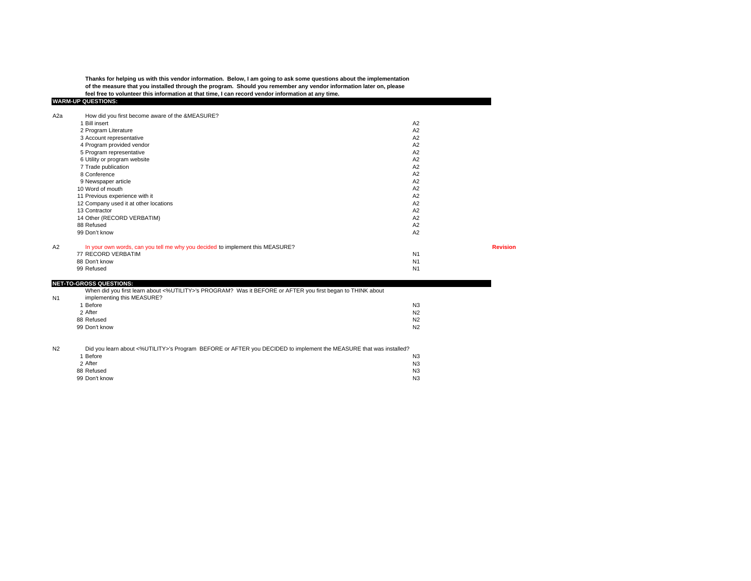**Thanks for helping us with this vendor information. Below, I am going to ask some questions about the implementation of the measure that you installed through the program. Should you remember any vendor information later on, please feel free to volunteer this information at that time, I can record vendor information at any time.**

#### **WARM-UP QUESTIONS:** A2a How did you first become aware of the &MEASURE? 1 Bill insert A2 $A2$ <br> $A2$ 2 Program Literature A2<br>
2 Account representative A2 3 Account representative A2<br>4 Program provided vendor A2 4 Program provided vendor A2 5 Program representative A2<br>6 Utility or program website A2 6 Utility or program website A2<br>
7 Trade publication A2 7 Trade publication A2<br>8 Conference A2 8 Conferencee and the contract of the contract of the contract of the contract of the contract of the contract of the contract of the contract of the contract of the contract of the contract of the contract of the contract of the cont 9 Newspaper article A2<br>10 Word of mouth A2 10 Word of mouthh A2 11 Previous experience with it A2<br>
12 Company used it at other locations A2 12 Company used it at other locations A2 13 Contractorr and the contract of the contract of the contract of the contract of the contract of the contract of the contract of the contract of the contract of the contract of the contract of the contract of the contract of the cont  $A2$ 14 Other (RECORD VERBATIM) And the state of the state of the state of the state of the state of the state of the state of the state of the state of the state of the state of the state of the state of the state of the state 88 Refusedd and the contract of the contract of the contract of the contract of the contract of the contract of the contract of the contract of the contract of the contract of the contract of the contract of the contract of the cont 99 Don't knoww and the contract of the contract of the contract of the contract of the contract of the contract of the contract of the contract of the contract of the contract of the contract of the contract of the contract of the cont A2 In your own words, can you tell me why you decided to implement this MEASURE? **Revision** 77 RECORD VERBATIMM<sub>N</sub> 88 Don't knoww and the contract of the contract of the contract of the contract of the contract of the contract of the contract of the contract of the contract of the contract of the contract of the contract of the contract of the cont

99 Refused

N1

**NET-TO-GROSS QUESTIONS:** When did you first learn about <%UTILITY>'s PROGRAM? Was it BEFORE or AFTER you first began to THINK about

| THIS IT ON THE REPORT OF A REPORT OF THE REPORT OF A REPORT OF A BUILDING OF A BUILDING OF A BUILDING OF A BUILDING ON THE REPORT OF A BUILDING OF A BUILDING OF A BUILDING OF A BUILDING OF A BUILDING OF A BUILDING OF A BUI |                |
|--------------------------------------------------------------------------------------------------------------------------------------------------------------------------------------------------------------------------------|----------------|
| implementing this MEASURE?                                                                                                                                                                                                     |                |
| Before                                                                                                                                                                                                                         | N <sub>3</sub> |
| 2 After                                                                                                                                                                                                                        | N <sub>2</sub> |
| 88 Refused                                                                                                                                                                                                                     | N <sub>2</sub> |
| 99 Don't know                                                                                                                                                                                                                  | N <sub>2</sub> |
|                                                                                                                                                                                                                                |                |

d and the contract of the contract of the contract of the contract of the contract of the contract of the contract of the contract of the contract of the contract of the contract of the contract of the contract of the cont

N2Did you learn about <%UTILITY>'s Program BEFORE or AFTER you DECIDED to implement the MEASURE that was installed?

| 1 Before      |  |  | N <sub>3</sub> |
|---------------|--|--|----------------|
| 2 After       |  |  | N <sub>3</sub> |
| 88 Refused    |  |  | N <sub>3</sub> |
| 99 Don't know |  |  | N <sub>3</sub> |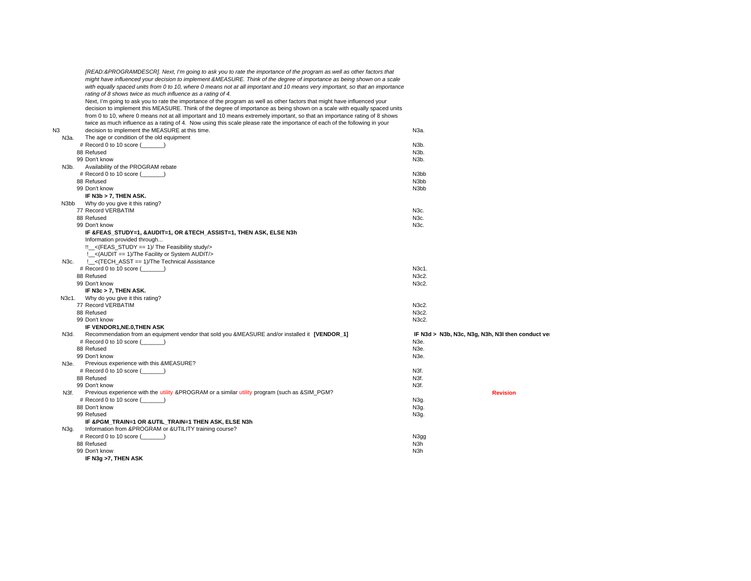|    |       | [READ:&PROGRAMDESCR]. Next, I'm going to ask you to rate the importance of the program as well as other factors that          |                                                   |
|----|-------|-------------------------------------------------------------------------------------------------------------------------------|---------------------------------------------------|
|    |       | might have influenced your decision to implement &MEASURE. Think of the degree of importance as being shown on a scale        |                                                   |
|    |       | with equally spaced units from 0 to 10, where 0 means not at all important and 10 means very important, so that an importance |                                                   |
|    |       | rating of 8 shows twice as much influence as a rating of 4.                                                                   |                                                   |
|    |       | Next, I'm going to ask you to rate the importance of the program as well as other factors that might have influenced your     |                                                   |
|    |       | decision to implement this MEASURE. Think of the degree of importance as being shown on a scale with equally spaced units     |                                                   |
|    |       | from 0 to 10, where 0 means not at all important and 10 means extremely important, so that an importance rating of 8 shows    |                                                   |
|    |       |                                                                                                                               |                                                   |
|    |       | twice as much influence as a rating of 4. Now using this scale please rate the importance of each of the following in your    |                                                   |
| N3 |       | decision to implement the MEASURE at this time.                                                                               | N3a.                                              |
|    | N3a.  | The age or condition of the old equipment                                                                                     |                                                   |
|    |       | # Record 0 to 10 score ()                                                                                                     | N3b.                                              |
|    |       | 88 Refused                                                                                                                    | N <sub>3</sub> b.                                 |
|    |       | 99 Don't know                                                                                                                 | N3b.                                              |
|    | N3b.  | Availability of the PROGRAM rebate                                                                                            |                                                   |
|    |       | # Record 0 to 10 score ()                                                                                                     | N <sub>3bb</sub>                                  |
|    |       | 88 Refused                                                                                                                    | N <sub>3</sub> bb                                 |
|    |       | 99 Don't know                                                                                                                 | N <sub>3</sub> bb                                 |
|    |       | IF N3b > 7, THEN ASK.                                                                                                         |                                                   |
|    | N3bb  | Why do you give it this rating?                                                                                               |                                                   |
|    |       | 77 Record VERBATIM                                                                                                            | N3c.                                              |
|    |       | 88 Refused                                                                                                                    | N3c.                                              |
|    |       | 99 Don't know                                                                                                                 | N3c.                                              |
|    |       | IF &FEAS_STUDY=1, &AUDIT=1, OR &TECH_ASSIST=1, THEN ASK, ELSE N3h                                                             |                                                   |
|    |       | Information provided through                                                                                                  |                                                   |
|    |       | !!_<(FEAS_STUDY == 1)/ The Feasibility study/>                                                                                |                                                   |
|    |       |                                                                                                                               |                                                   |
|    |       | !_<(AUDIT == 1)/The Facility or System AUDIT/>                                                                                |                                                   |
|    | N3c.  | : < (TECH ASST = = 1)/The Technical Assistance                                                                                |                                                   |
|    |       | # Record 0 to 10 score (                                                                                                      | N3c1.                                             |
|    |       | 88 Refused                                                                                                                    | N3c2.                                             |
|    |       | 99 Don't know                                                                                                                 | N3c2.                                             |
|    |       | IF N3c > 7, THEN ASK.                                                                                                         |                                                   |
|    | N3c1. | Why do you give it this rating?                                                                                               |                                                   |
|    |       | 77 Record VERBATIM                                                                                                            | N3c2.                                             |
|    |       | 88 Refused                                                                                                                    | N3c2.                                             |
|    |       | 99 Don't know                                                                                                                 | N3c2.                                             |
|    |       | IF VENDOR1, NE.0, THEN ASK                                                                                                    |                                                   |
|    | N3d.  | Recommendation from an equipment vendor that sold you &MEASURE and/or installed it [VENDOR_1]                                 | IF N3d > N3b, N3c, N3g, N3h, N3I then conduct ver |
|    |       | # Record 0 to 10 score (                                                                                                      | N <sub>3e</sub>                                   |
|    |       | 88 Refused                                                                                                                    | N3e.                                              |
|    |       | 99 Don't know                                                                                                                 | N <sub>3e</sub>                                   |
|    | N3e.  | Previous experience with this &MEASURE?                                                                                       |                                                   |
|    |       | # Record 0 to 10 score ()                                                                                                     | N3f.                                              |
|    |       | 88 Refused                                                                                                                    | N3f.                                              |
|    |       | 99 Don't know                                                                                                                 | N3f.                                              |
|    | N3f.  | Previous experience with the utility &PROGRAM or a similar utility program (such as &SIM_PGM?                                 | <b>Revision</b>                                   |
|    |       | # Record 0 to 10 score (                                                                                                      | N <sub>3g</sub>                                   |
|    |       | 88 Don't know                                                                                                                 |                                                   |
|    |       |                                                                                                                               | N3g.                                              |
|    |       | 99 Refused                                                                                                                    | N3g.                                              |
|    |       | IF & PGM_TRAIN=1 OR & UTIL_TRAIN=1 THEN ASK, ELSE N3h                                                                         |                                                   |
|    | N3q.  | Information from &PROGRAM or &UTILITY training course?                                                                        |                                                   |
|    |       | # Record 0 to 10 score (                                                                                                      | N <sub>3gg</sub>                                  |
|    |       | 88 Refused                                                                                                                    | N3h                                               |
|    |       | 99 Don't know                                                                                                                 | N3h                                               |
|    |       | IF N3g >7, THEN ASK                                                                                                           |                                                   |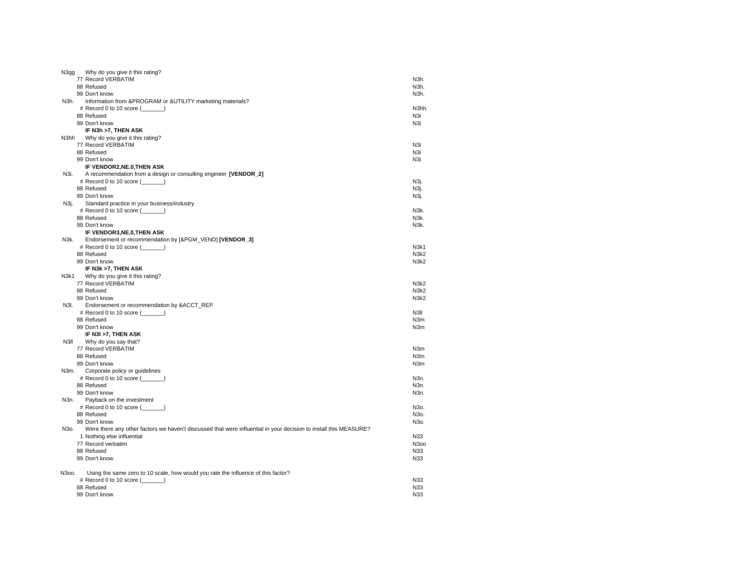| N3gg              | Why do you give it this rating?                                                                                   |                               |
|-------------------|-------------------------------------------------------------------------------------------------------------------|-------------------------------|
|                   | 77 Record VERBATIM                                                                                                | N3h.                          |
|                   | 88 Refused                                                                                                        | N3h.                          |
|                   | 99 Don't know                                                                                                     | N3h.                          |
| N3h.              | Information from &PROGRAM or &UTILITY marketing materials?                                                        |                               |
|                   | # Record 0 to 10 score $(\_\_ \_ \)$                                                                              | N3hh.                         |
|                   | 88 Refused                                                                                                        | N3i                           |
|                   | 99 Don't know                                                                                                     | N <sub>3</sub> i              |
|                   | IF N3h >7, THEN ASK                                                                                               |                               |
| N3hh              | Why do you give it this rating?                                                                                   |                               |
|                   | 77 Record VERBATIM                                                                                                | N <sub>3i</sub>               |
|                   | 88 Refused                                                                                                        | N3i                           |
|                   | 99 Don't know                                                                                                     | N3i                           |
|                   | IF VENDOR2, NE.0, THEN ASK                                                                                        |                               |
| N3i.              | A recommendation from a design or consulting engineer [VENDOR_2]                                                  |                               |
|                   | # Record 0 to 10 score $(\_\_ \_ \)$                                                                              | N3j.                          |
|                   | 88 Refused                                                                                                        | N3j.                          |
|                   | 99 Don't know                                                                                                     | N3j.                          |
| N3j.              | Standard practice in your business/industry                                                                       |                               |
|                   | # Record 0 to 10 score (_______)                                                                                  | N3k.                          |
|                   | 88 Refused                                                                                                        | N3k.                          |
|                   | 99 Don't know                                                                                                     | N3k.                          |
|                   | IF VENDOR3,NE.0,THEN ASK                                                                                          |                               |
| N3k.              | Endorsement or recommendation by [&PGM_VEND] [VENDOR_3]                                                           |                               |
|                   | # Record 0 to 10 score $(\_\_\_\_\_\_)\$                                                                          | N3k1                          |
|                   | 88 Refused                                                                                                        | N <sub>3</sub> k <sub>2</sub> |
|                   | 99 Don't know                                                                                                     | N <sub>3</sub> k <sub>2</sub> |
|                   | IF N3k >7, THEN ASK                                                                                               |                               |
| N3k1              | Why do you give it this rating?                                                                                   |                               |
|                   | 77 Record VERBATIM                                                                                                | N <sub>3</sub> k <sub>2</sub> |
|                   | 88 Refused                                                                                                        | N <sub>3</sub> k <sub>2</sub> |
|                   | 99 Don't know                                                                                                     | N3k2                          |
| N3I.              | Endorsement or recommendation by &ACCT_REP                                                                        |                               |
|                   | # Record 0 to 10 score $(\_\_ \_ \)$                                                                              | N3II                          |
|                   | 88 Refused                                                                                                        | N <sub>3</sub> m              |
|                   | 99 Don't know                                                                                                     | N <sub>3</sub> m              |
|                   | IF N3I >7, THEN ASK                                                                                               |                               |
| N3II              |                                                                                                                   |                               |
|                   | Why do you say that?                                                                                              |                               |
|                   | 77 Record VERBATIM                                                                                                | N <sub>3</sub> m              |
|                   | 88 Refused                                                                                                        | N <sub>3</sub> m              |
|                   | 99 Don't know                                                                                                     | N <sub>3</sub> m              |
| N3m.              | Corporate policy or guidelines                                                                                    |                               |
|                   | # Record 0 to 10 score (______)                                                                                   | N3n.                          |
|                   | 88 Refused                                                                                                        | N3n.                          |
|                   | 99 Don't know                                                                                                     | N3n.                          |
| N3n.              | Payback on the investment                                                                                         |                               |
|                   | # Record 0 to 10 score $(\_\_ \_ \)$                                                                              | N30.                          |
|                   | 88 Refused                                                                                                        | N30.                          |
|                   | 99 Don't know                                                                                                     | N30.                          |
| N <sub>30</sub> . | Were there any other factors we haven't discussed that were influential in your decision to install this MEASURE? |                               |
|                   | 1 Nothing else influential                                                                                        | N33                           |
|                   | 77 Record verbatim                                                                                                | N300                          |
|                   | 88 Refused                                                                                                        | N33                           |
|                   | 99 Don't know                                                                                                     | N33                           |
|                   |                                                                                                                   |                               |
| N300.             | Using the same zero to 10 scale, how would you rate the influence of this factor?                                 |                               |
|                   | # Record 0 to 10 score $(\_\_ \_ \)$                                                                              | N33                           |
|                   | 88 Refused                                                                                                        | N33                           |
|                   | 99 Don't know                                                                                                     | N33                           |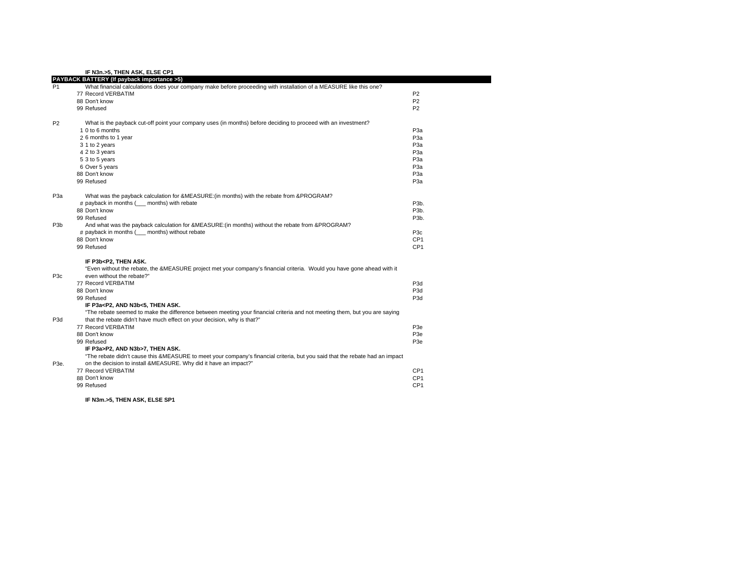**IF N3n.>5, THEN ASK, ELSE CP1**

| P <sub>1</sub>   | PAYBACK BATTERY (If payback importance >5)<br>What financial calculations does your company make before proceeding with installation of a MEASURE like this one? |                   |
|------------------|------------------------------------------------------------------------------------------------------------------------------------------------------------------|-------------------|
|                  | 77 Record VERBATIM                                                                                                                                               | P <sub>2</sub>    |
|                  | 88 Don't know                                                                                                                                                    | P <sub>2</sub>    |
|                  | 99 Refused                                                                                                                                                       | P <sub>2</sub>    |
| P <sub>2</sub>   | What is the payback cut-off point your company uses (in months) before deciding to proceed with an investment?                                                   |                   |
|                  | 1 0 to 6 months                                                                                                                                                  | P <sub>3</sub> a  |
|                  | 2 6 months to 1 year                                                                                                                                             | P <sub>3</sub> a  |
|                  | 3 1 to 2 years                                                                                                                                                   | P <sub>3</sub> a  |
|                  | 4 2 to 3 years                                                                                                                                                   | P <sub>3</sub> a  |
|                  | 5 3 to 5 years                                                                                                                                                   | P <sub>3</sub> a  |
|                  | 6 Over 5 years                                                                                                                                                   | P <sub>3</sub> a  |
|                  | 88 Don't know                                                                                                                                                    | P <sub>3</sub> a  |
|                  | 99 Refused                                                                                                                                                       | P <sub>3</sub> a  |
| P <sub>3</sub> a | What was the payback calculation for &MEASURE:(in months) with the rebate from &PROGRAM?                                                                         |                   |
|                  | # payback in months ( months) with rebate                                                                                                                        | P <sub>3</sub> b. |
|                  | 88 Don't know                                                                                                                                                    | P <sub>3</sub> b. |
|                  | 99 Refused                                                                                                                                                       | P <sub>3</sub> b. |
| P3b              | And what was the payback calculation for &MEASURE:(in months) without the rebate from &PROGRAM?                                                                  |                   |
|                  | # payback in months ( months) without rebate                                                                                                                     | P <sub>3</sub> c  |
|                  | 88 Don't know                                                                                                                                                    | CP <sub>1</sub>   |
|                  | 99 Refused                                                                                                                                                       | CP <sub>1</sub>   |
|                  | IF P3b <p2, ask.<="" td="" then=""><td></td></p2,>                                                                                                               |                   |
| P <sub>3</sub> c | "Even without the rebate, the &MEASURE project met your company's financial criteria. Would you have gone ahead with it<br>even without the rebate?"             |                   |
|                  | 77 Record VERBATIM                                                                                                                                               | P <sub>3d</sub>   |
|                  | 88 Don't know                                                                                                                                                    | P <sub>3</sub> d  |
|                  | 99 Refused                                                                                                                                                       | P <sub>3</sub> d  |
|                  | IF P3a <p2, and="" ask.<="" n3b<5,="" td="" then=""><td></td></p2,>                                                                                              |                   |
|                  | "The rebate seemed to make the difference between meeting your financial criteria and not meeting them, but you are saying                                       |                   |
| P <sub>3</sub> d | that the rebate didn't have much effect on your decision, why is that?"                                                                                          |                   |
|                  | 77 Record VERBATIM                                                                                                                                               | P <sub>3e</sub>   |
|                  | 88 Don't know                                                                                                                                                    | P <sub>3e</sub>   |
|                  | 99 Refused                                                                                                                                                       | P <sub>3e</sub>   |
|                  | IF P3a>P2, AND N3b>7, THEN ASK.                                                                                                                                  |                   |
|                  | "The rebate didn't cause this &MEASURE to meet your company's financial criteria, but you said that the rebate had an impact                                     |                   |
| P3e.             | on the decision to install &MEASURE. Why did it have an impact?"                                                                                                 |                   |
|                  | 77 Record VERBATIM                                                                                                                                               | CP <sub>1</sub>   |
|                  | 88 Don't know                                                                                                                                                    | CP <sub>1</sub>   |
|                  | 99 Refused                                                                                                                                                       | CP <sub>1</sub>   |
|                  | IF N3m.>5. THEN ASK. ELSE SP1                                                                                                                                    |                   |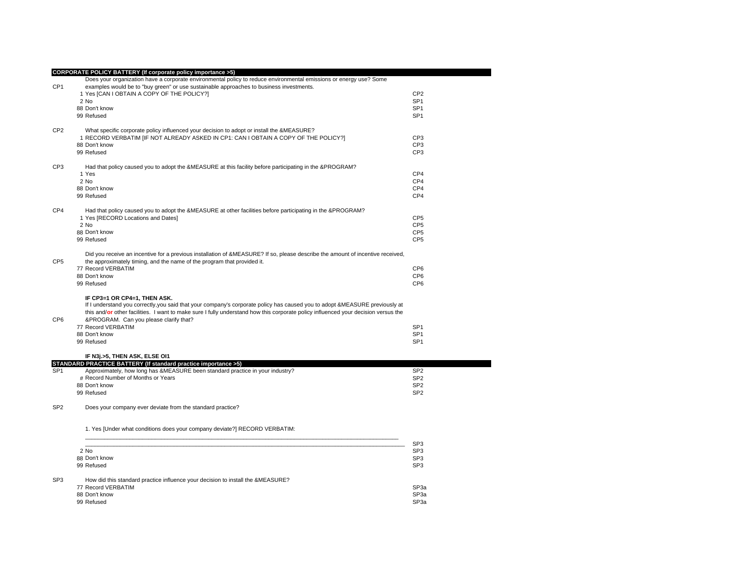|                 | <b>CORPORATE POLICY BATTERY (If corporate policy importance &gt;5)</b>                                                                                                                                        |                 |
|-----------------|---------------------------------------------------------------------------------------------------------------------------------------------------------------------------------------------------------------|-----------------|
| CP <sub>1</sub> | Does your organization have a corporate environmental policy to reduce environmental emissions or energy use? Some<br>examples would be to "buy green" or use sustainable approaches to business investments. |                 |
|                 | 1 Yes [CAN I OBTAIN A COPY OF THE POLICY?]                                                                                                                                                                    | CP <sub>2</sub> |
|                 | 2 No                                                                                                                                                                                                          | SP <sub>1</sub> |
|                 | 88 Don't know                                                                                                                                                                                                 | SP <sub>1</sub> |
|                 | 99 Refused                                                                                                                                                                                                    | SP <sub>1</sub> |
|                 |                                                                                                                                                                                                               |                 |
| CP <sub>2</sub> | What specific corporate policy influenced your decision to adopt or install the &MEASURE?                                                                                                                     |                 |
|                 | 1 RECORD VERBATIM [IF NOT ALREADY ASKED IN CP1: CAN I OBTAIN A COPY OF THE POLICY?]                                                                                                                           | CP <sub>3</sub> |
|                 | 88 Don't know                                                                                                                                                                                                 | CP <sub>3</sub> |
|                 | 99 Refused                                                                                                                                                                                                    | CP <sub>3</sub> |
| CP <sub>3</sub> | Had that policy caused you to adopt the &MEASURE at this facility before participating in the &PROGRAM?                                                                                                       |                 |
|                 | 1 Yes                                                                                                                                                                                                         | CP4             |
|                 | 2 No                                                                                                                                                                                                          | CP <sub>4</sub> |
|                 | 88 Don't know                                                                                                                                                                                                 | CP <sub>4</sub> |
|                 | 99 Refused                                                                                                                                                                                                    | CP <sub>4</sub> |
| CP4             | Had that policy caused you to adopt the &MEASURE at other facilities before participating in the &PROGRAM?                                                                                                    |                 |
|                 | 1 Yes [RECORD Locations and Dates]                                                                                                                                                                            | CP <sub>5</sub> |
|                 | 2 No                                                                                                                                                                                                          | CP <sub>5</sub> |
|                 | 88 Don't know                                                                                                                                                                                                 | CP <sub>5</sub> |
|                 | 99 Refused                                                                                                                                                                                                    | CP <sub>5</sub> |
|                 |                                                                                                                                                                                                               |                 |
|                 | Did you receive an incentive for a previous installation of &MEASURE? If so, please describe the amount of incentive received,                                                                                |                 |
| CP <sub>5</sub> | the approximately timing, and the name of the program that provided it.                                                                                                                                       |                 |
|                 | 77 Record VERBATIM                                                                                                                                                                                            | CP <sub>6</sub> |
|                 | 88 Don't know                                                                                                                                                                                                 | CP <sub>6</sub> |
|                 | 99 Refused                                                                                                                                                                                                    | CP <sub>6</sub> |
|                 | IF CP3=1 OR CP4=1, THEN ASK.                                                                                                                                                                                  |                 |
|                 | If I understand you correctly, you said that your company's corporate policy has caused you to adopt &MEASURE previously at                                                                                   |                 |
|                 | this and/or other facilities. I want to make sure I fully understand how this corporate policy influenced your decision versus the                                                                            |                 |
| CP6             | &PROGRAM. Can you please clarify that?                                                                                                                                                                        |                 |
|                 | 77 Record VERBATIM                                                                                                                                                                                            | SP <sub>1</sub> |
|                 | 88 Don't know                                                                                                                                                                                                 | SP <sub>1</sub> |
|                 | 99 Refused                                                                                                                                                                                                    | SP <sub>1</sub> |
|                 | IF N3j.>5, THEN ASK, ELSE OI1                                                                                                                                                                                 |                 |
|                 | STANDARD PRACTICE BATTERY (If standard practice importance >5)                                                                                                                                                |                 |
| SP <sub>1</sub> | Approximately, how long has &MEASURE been standard practice in your industry?                                                                                                                                 | SP <sub>2</sub> |
|                 | # Record Number of Months or Years                                                                                                                                                                            | SP <sub>2</sub> |
|                 | 88 Don't know                                                                                                                                                                                                 | SP <sub>2</sub> |
|                 | 99 Refused                                                                                                                                                                                                    | SP <sub>2</sub> |
| SP <sub>2</sub> | Does your company ever deviate from the standard practice?                                                                                                                                                    |                 |
|                 | 1. Yes [Under what conditions does your company deviate?] RECORD VERBATIM:                                                                                                                                    |                 |
|                 |                                                                                                                                                                                                               | SP <sub>3</sub> |
|                 | 2 No                                                                                                                                                                                                          | SP <sub>3</sub> |
|                 | 88 Don't know                                                                                                                                                                                                 | SP <sub>3</sub> |
|                 | 99 Refused                                                                                                                                                                                                    | SP <sub>3</sub> |

## SP3 How did this standard practice influence your decision to install the &MEASURE?

| SP <sub>3a</sub> |
|------------------|
| SP <sub>3a</sub> |
| SP <sub>3a</sub> |
|                  |

discovering the control of the control of the control of the control of the control of the control of the control of the control of the control of the control of the control of the control of the control of the control of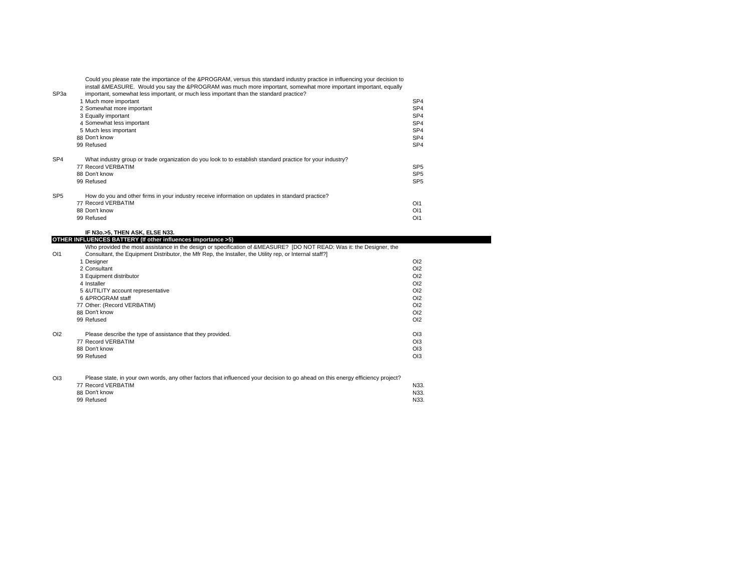| SP <sub>3</sub> a | Could you please rate the importance of the &PROGRAM, versus this standard industry practice in influencing your decision to<br>install &MEASURE. Would you say the &PROGRAM was much more important, somewhat more important important, equally<br>important, somewhat less important, or much less important than the standard practice? |                 |
|-------------------|--------------------------------------------------------------------------------------------------------------------------------------------------------------------------------------------------------------------------------------------------------------------------------------------------------------------------------------------|-----------------|
|                   | 1 Much more important                                                                                                                                                                                                                                                                                                                      | SP4             |
|                   | 2 Somewhat more important                                                                                                                                                                                                                                                                                                                  | SP <sub>4</sub> |
|                   | 3 Equally important                                                                                                                                                                                                                                                                                                                        | SP <sub>4</sub> |
|                   | 4 Somewhat less important                                                                                                                                                                                                                                                                                                                  | SP <sub>4</sub> |
|                   | 5 Much less important                                                                                                                                                                                                                                                                                                                      | SP <sub>4</sub> |
|                   | 88 Don't know                                                                                                                                                                                                                                                                                                                              | SP <sub>4</sub> |
|                   | 99 Refused                                                                                                                                                                                                                                                                                                                                 | SP <sub>4</sub> |
| SP <sub>4</sub>   | What industry group or trade organization do you look to to establish standard practice for your industry?                                                                                                                                                                                                                                 |                 |
|                   | 77 Record VERBATIM                                                                                                                                                                                                                                                                                                                         | SP <sub>5</sub> |
|                   | 88 Don't know                                                                                                                                                                                                                                                                                                                              | SP <sub>5</sub> |
|                   | 99 Refused                                                                                                                                                                                                                                                                                                                                 | SP <sub>5</sub> |
| SP <sub>5</sub>   | How do you and other firms in your industry receive information on updates in standard practice?                                                                                                                                                                                                                                           |                 |
|                   | 77 Record VERBATIM                                                                                                                                                                                                                                                                                                                         | O <sub>11</sub> |
|                   | 88 Don't know                                                                                                                                                                                                                                                                                                                              |                 |
|                   |                                                                                                                                                                                                                                                                                                                                            | O <sub>11</sub> |
|                   | 99 Refused                                                                                                                                                                                                                                                                                                                                 | O <sub>11</sub> |

## **IF N3o.>5, THEN ASK, ELSE N33.**

**OTHER INFLUENCES BATTERY (If other influences importance >5)** OI1Who provided the most assistance in the design or specification of &MEASURE? [DO NOT READ: Was it: the Designer, the Consultant, the Equipment Distributor, the Mfr Rep, the Installer, the Utility rep, or Internal staff?] 1 Designer designer to the control of the control of the control of the control of the control of the control of the control of the control of the control of the control of the control of the control of the control of the control of 2 Consultantt to the contract of the contract of the contract of the contract of the contract of the contract of the contract of the contract of the contract of the contract of the contract of the contract of the contract of the contr OI2<br>OI2 3 Equipment distributor OI2 4 Installerr d'an domhann an chomhann an chomhann an chomhann an chomhann an chomhann an chomhann an chomhann an chomhann  $O<sub>12</sub>$ 5 &UTILITY account representative OI2<br>
5 &PROGRAM staff OI2 6 &PROGRAM stafff the contract of the contract of the contract of the contract of the contract of the contract of the contract of the contract of the contract of the contract of the contract of the contract of the contract of the contract  $O<sub>12</sub>$ 77 Other: (Record VERBATIM) OI2 88 Don't knoww contract the contract of the contract of the contract of the contract of the contract of the contract of the contract of the contract of the contract of the contract of the contract of the contract of the contract of the 99 Refusedd and the contract of the contract of the contract of the contract of the contract of the contract of the contract of the contract of the contract of the contract of the contract of the contract of the contract of the cont OI2 Please describe the type of assistance that they provided.<br>
77 Record VERBATIM OI3 77 Record VERBATIMM<sub>o</sub>o ay ahaan iyo dhacaana iyo dhacaana iyo dhacaana iyo dhacaana iyo dhacaana iyo dhacaana iyo dhacaana iyo dhacaana iyo dhacaana iyo dhacaana iyo dhacaana iyo dhacaana iyo dhacaana iyo dhacaana iyo dhacaana iyo dhacaana 88 Don't know OI3 99 Refusedd and the contract of the contract of the contract of the contract of the contract of the contract of the contract of the contract of the contract of the contract of the contract of the contract of the contract of the cont

OI3Please state, in your own words, any other factors that influenced your decision to go ahead on this energy efficiency project? 77 Record VERBATIM N33.

| II REUVER VERDATINI | 19JJ. |
|---------------------|-------|
| 88 Don't know       | N33.  |
| 99 Refused          | N33.  |
|                     |       |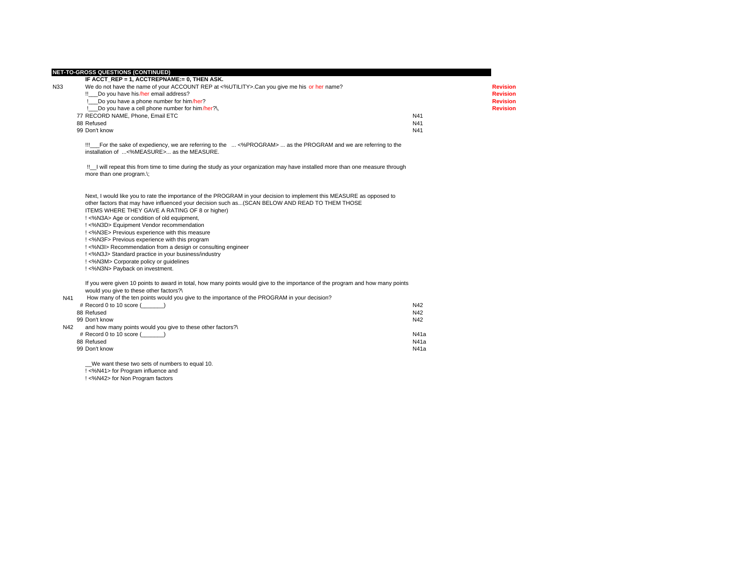|     | <b>NET-TO-GROSS QUESTIONS (CONTINUED)</b><br>IF ACCT REP = 1, ACCTREPNAME:= 0, THEN ASK.                                                                      |      |                 |
|-----|---------------------------------------------------------------------------------------------------------------------------------------------------------------|------|-----------------|
| N33 | We do not have the name of your ACCOUNT REP at <%UTILITY>.Can you give me his or her name?                                                                    |      | <b>Revision</b> |
|     | !! Do you have his/her email address?                                                                                                                         |      | <b>Revision</b> |
|     | Do you have a phone number for him/her?                                                                                                                       |      | <b>Revision</b> |
|     | Do you have a cell phone number for him/her?\,                                                                                                                |      | <b>Revision</b> |
|     | 77 RECORD NAME, Phone, Email ETC                                                                                                                              | N41  |                 |
|     | 88 Refused                                                                                                                                                    | N41  |                 |
|     | 99 Don't know                                                                                                                                                 | N41  |                 |
|     | !!! For the sake of expediency, we are referring to the  <%PROGRAM>  as the PROGRAM and we are referring to the<br>installation of <%MEASURE> as the MEASURE. |      |                 |
|     | If I will repeat this from time to time during the study as your organization may have installed more than one measure through<br>more than one program.\;    |      |                 |
|     | Next, I would like you to rate the importance of the PROGRAM in your decision to implement this MEASURE as opposed to                                         |      |                 |
|     | other factors that may have influenced your decision such as(SCAN BELOW AND READ TO THEM THOSE                                                                |      |                 |
|     | ITEMS WHERE THEY GAVE A RATING OF 8 or higher)                                                                                                                |      |                 |
|     | ! <%N3A> Age or condition of old equipment,                                                                                                                   |      |                 |
|     | !<%N3D> Equipment Vendor recommendation                                                                                                                       |      |                 |
|     | ! <%N3E> Previous experience with this measure                                                                                                                |      |                 |
|     | ! <%N3F> Previous experience with this program                                                                                                                |      |                 |
|     | !<%N3I> Recommendation from a design or consulting engineer                                                                                                   |      |                 |
|     | !<%N3J> Standard practice in your business/industry                                                                                                           |      |                 |
|     | ! <%N3M> Corporate policy or guidelines                                                                                                                       |      |                 |
|     | !<%N3N> Payback on investment.                                                                                                                                |      |                 |
|     | If you were given 10 points to award in total, how many points would give to the importance of the program and how many points                                |      |                 |
|     | would you give to these other factors?\                                                                                                                       |      |                 |
| N41 | How many of the ten points would you give to the importance of the PROGRAM in your decision?                                                                  |      |                 |
|     | # Record 0 to 10 score ()                                                                                                                                     | N42  |                 |
|     | 88 Refused                                                                                                                                                    | N42  |                 |
|     | 99 Don't know                                                                                                                                                 | N42  |                 |
| N42 | and how many points would you give to these other factors?\                                                                                                   |      |                 |
|     | # Record 0 to 10 score ()                                                                                                                                     | N41a |                 |
|     | 88 Refused                                                                                                                                                    | N41a |                 |
|     | 99 Don't know                                                                                                                                                 | N41a |                 |
|     | We want these two sets of numbers to equal 10.                                                                                                                |      |                 |
|     | ! <%N41> for Program influence and                                                                                                                            |      |                 |
|     | !<%N42> for Non Program factors                                                                                                                               |      |                 |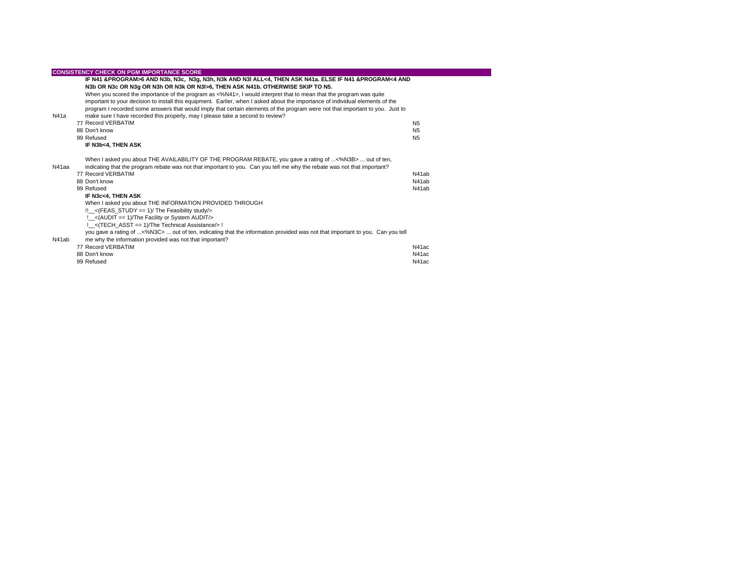|       | <b>CONSISTENCY CHECK ON PGM IMPORTANCE SCORE</b>                                                                                                                                                                                    |                |
|-------|-------------------------------------------------------------------------------------------------------------------------------------------------------------------------------------------------------------------------------------|----------------|
|       | IF N41 &PROGRAM>6 AND N3b, N3c, N3g, N3h, N3k AND N3l ALL<4, THEN ASK N41a. ELSE IF N41 &PROGRAM<4 AND                                                                                                                              |                |
|       | N3b OR N3c OR N3g OR N3h OR N3k OR N3l>6, THEN ASK N41b. OTHERWISE SKIP TO N5.                                                                                                                                                      |                |
|       | When you scored the importance of the program as <%N41>, I would interpret that to mean that the program was quite                                                                                                                  |                |
|       | important to your decision to install this equipment. Earlier, when I asked about the importance of individual elements of the                                                                                                      |                |
|       | program I recorded some answers that would imply that certain elements of the program were not that important to you. Just to                                                                                                       |                |
| N41a  | make sure I have recorded this properly, may I please take a second to review?                                                                                                                                                      |                |
|       | 77 Record VERBATIM                                                                                                                                                                                                                  | N <sub>5</sub> |
|       | 88 Don't know                                                                                                                                                                                                                       | N <sub>5</sub> |
|       | 99 Refused                                                                                                                                                                                                                          | N <sub>5</sub> |
|       | IF N3b<4, THEN ASK                                                                                                                                                                                                                  |                |
| N41aa | When I asked you about THE AVAILABILITY OF THE PROGRAM REBATE, you gave a rating of <%N3B>  out of ten,<br>indicating that the program rebate was not that important to you. Can you tell me why the rebate was not that important? |                |
|       | 77 Record VERBATIM                                                                                                                                                                                                                  | N41ab          |
|       | 88 Don't know                                                                                                                                                                                                                       | N41ab          |
|       | 99 Refused                                                                                                                                                                                                                          | N41ab          |
|       | IF N3c<4. THEN ASK                                                                                                                                                                                                                  |                |
|       | When I asked you about THE INFORMATION PROVIDED THROUGH                                                                                                                                                                             |                |
|       | $!!$ <sub>_&lt;</sub> (FEAS_STUDY == 1)/ The Feasibility study/>                                                                                                                                                                    |                |
|       | : < (AUDIT = = 1)/The Facility or System AUDIT/>                                                                                                                                                                                    |                |
|       | !_<(TECH_ASST == 1)/The Technical Assistance/> !                                                                                                                                                                                    |                |
| N41ab | you gave a rating of <%N3C>  out of ten, indicating that the information provided was not that important to you. Can you tell<br>me why the information provided was not that important?                                            |                |
|       | 77 Record VERBATIM                                                                                                                                                                                                                  | N41ac          |
|       | 88 Don't know                                                                                                                                                                                                                       | N41ac          |
|       | 99 Refused                                                                                                                                                                                                                          | N41ac          |
|       |                                                                                                                                                                                                                                     |                |

 $\mathcal{L}(\mathcal{L})$  is a set of  $\mathcal{L}(\mathcal{L})$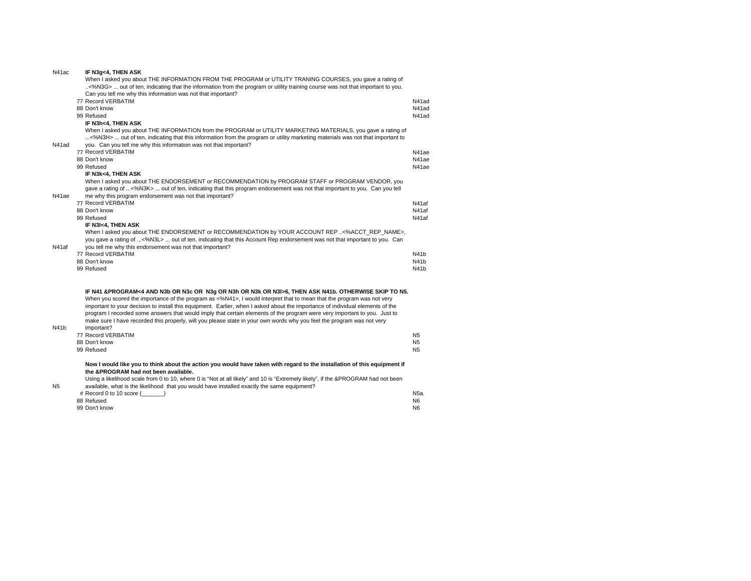| N41ac | IF N3g<4, THEN ASK                                                                                                             |                  |
|-------|--------------------------------------------------------------------------------------------------------------------------------|------------------|
|       | When I asked you about THE INFORMATION FROM THE PROGRAM or UTILITY TRANING COURSES, you gave a rating of                       |                  |
|       | <%N3G>  out of ten, indicating that the information from the program or utility training course was not that important to you. |                  |
|       | Can you tell me why this information was not that important?                                                                   |                  |
|       | 77 Record VERBATIM                                                                                                             | N41ad            |
|       | 88 Don't know                                                                                                                  | N41ad            |
|       | 99 Refused                                                                                                                     | N41ad            |
|       | IF N3h<4, THEN ASK                                                                                                             |                  |
|       | When I asked you about THE INFORMATION from the PROGRAM or UTILITY MARKETING MATERIALS, you gave a rating of                   |                  |
|       | <%N3H>  out of ten, indicating that this information from the program or utility marketing materials was not that important to |                  |
| N41ad | you. Can you tell me why this information was not that important?                                                              |                  |
|       | 77 Record VERBATIM                                                                                                             | N41ae            |
|       | 88 Don't know                                                                                                                  | N41ae            |
|       | 99 Refused                                                                                                                     | N41ae            |
|       | IF N3k<4, THEN ASK                                                                                                             |                  |
|       | When I asked you about THE ENDORSEMENT or RECOMMENDATION by PROGRAM STAFF or PROGRAM VENDOR, you                               |                  |
|       | gave a rating of <%N3K>  out of ten, indicating that this program endorsement was not that important to you. Can you tell      |                  |
| N41ae | me why this program endorsement was not that important?                                                                        |                  |
|       | 77 Record VERBATIM                                                                                                             | N41af            |
|       | 88 Don't know                                                                                                                  | N41af            |
|       | 99 Refused                                                                                                                     | N41af            |
|       | IF N3I<4, THEN ASK                                                                                                             |                  |
|       | When I asked you about THE ENDORSEMENT or RECOMMENDATION by YOUR ACCOUNT REP <%ACCT_REP_NAME>,                                 |                  |
|       | you gave a rating of <%N3L>  out of ten, indicating that this Account Rep endorsement was not that important to you. Can       |                  |
| N41af | you tell me why this endorsement was not that important?                                                                       |                  |
|       | 77 Record VERBATIM                                                                                                             | N41b             |
|       | 88 Don't know                                                                                                                  | N41 <sub>b</sub> |
|       | 99 Refused                                                                                                                     | N41b             |
|       |                                                                                                                                |                  |
|       |                                                                                                                                |                  |
|       | IF N41 & PROGRAM<4 AND N3b OR N3c OR N3g OR N3h OR N3k OR N3l>6, THEN ASK N41b. OTHERWISE SKIP TO N5.                          |                  |
|       | When you scored the importance of the program as <%N41>, I would interpret that to mean that the program was not very          |                  |
|       | important to your decision to install this equipment. Earlier, when I asked about the importance of individual elements of the |                  |
|       | program I recorded some answers that would imply that certain elements of the program were very important to you. Just to      |                  |
|       | make sure I have recorded this properly, will you please state in your own words why you feel the program was not very         |                  |
| N41b  | important?                                                                                                                     |                  |
|       | 77 Record VERBATIM                                                                                                             | N <sub>5</sub>   |
|       | 88 Don't know                                                                                                                  | N <sub>5</sub>   |
|       | 99 Refused                                                                                                                     | N <sub>5</sub>   |
|       | Now I would like you to think about the action you would have taken with regard to the installation of this equipment if       |                  |
|       | the &PROGRAM had not been available.                                                                                           |                  |
|       |                                                                                                                                |                  |

t**he &PROGRAM had not been available.**<br>Using a likelihood scale from 0 to 10, where 0 is "Not at all likely" and 10 is "Extremely likely", if the &PROGRAM had not been<br>available, what is the likelihood that you would have

N5

| # Record 0 to 10 score $(\_\_ \_ \)$ | N5a.           |
|--------------------------------------|----------------|
| 88 Refused                           | N <sub>6</sub> |
| 99 Don't know                        | N <sub>6</sub> |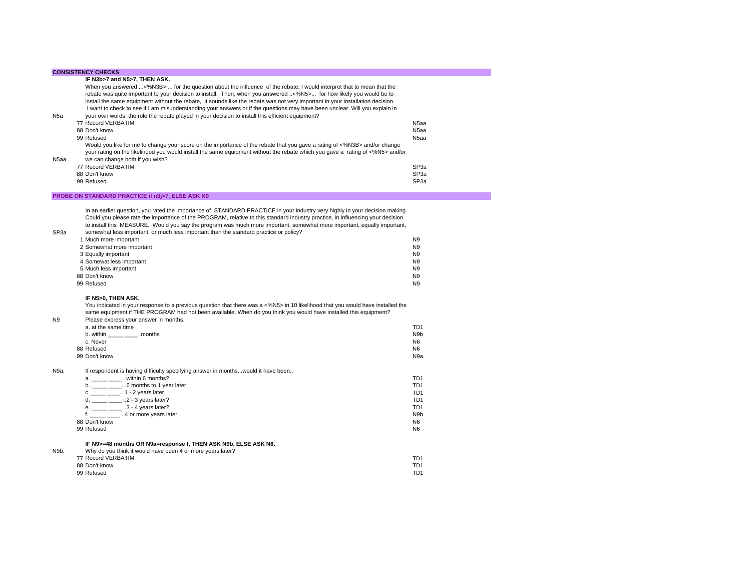|  | <b>CONSISTENCY CHECKS</b> |
|--|---------------------------|
|  |                           |

SP3a

N9b.

| N <sub>5a</sub> | When you answered <%N3B>  for the question about the influence of the rebate, I would interpret that to mean that the<br>rebate was quite important to your decision to install. Then, when you answered <%N5> for how likely you would be to<br>install the same equipment without the rebate, it sounds like the rebate was not very important in your installation decision.<br>I want to check to see if I am misunderstanding your answers or if the questions may have been unclear. Will you explain in<br>your own words, the role the rebate played in your decision to install this efficient equipment? |                   |
|-----------------|--------------------------------------------------------------------------------------------------------------------------------------------------------------------------------------------------------------------------------------------------------------------------------------------------------------------------------------------------------------------------------------------------------------------------------------------------------------------------------------------------------------------------------------------------------------------------------------------------------------------|-------------------|
|                 | 77 Record VERBATIM                                                                                                                                                                                                                                                                                                                                                                                                                                                                                                                                                                                                 | N <sub>5</sub> aa |
|                 | 88 Don't know                                                                                                                                                                                                                                                                                                                                                                                                                                                                                                                                                                                                      | N <sub>5</sub> aa |
|                 | 99 Refused                                                                                                                                                                                                                                                                                                                                                                                                                                                                                                                                                                                                         | N <sub>5</sub> aa |
| N5aa            | Would you like for me to change your score on the importance of the rebate that you gave a rating of <%N3B> and/or change<br>your rating on the likelihood you would install the same equipment without the rebate which you gave a rating of <%N5> and/or<br>we can change both if you wish?                                                                                                                                                                                                                                                                                                                      |                   |
|                 | 77 Record VERBATIM                                                                                                                                                                                                                                                                                                                                                                                                                                                                                                                                                                                                 | SP <sub>3</sub> a |
|                 | 88 Don't know                                                                                                                                                                                                                                                                                                                                                                                                                                                                                                                                                                                                      | SP <sub>3a</sub>  |
|                 | 99 Refused                                                                                                                                                                                                                                                                                                                                                                                                                                                                                                                                                                                                         | SP <sub>3a</sub>  |

## **PROBE ON STANDARD PRACTICE if n3j>7, ELSE ASK N9**

In an earlier question, you rated the importance of STANDARD PRACTICE in your industry very highly in your decision making. Could you please rate the importance of the PROGRAM, relative to this standard industry practice, in influencing your decision to install this MEASURE. Would you say the program was much more important, somewhat more important, equally important, somewhat less important, or much less important than the standard practice or policy?

| <u>0011101111010 1000 1111portanti or maon 1000 important inan ino otantaara praetice or pelicy i</u> |                |
|-------------------------------------------------------------------------------------------------------|----------------|
| 1 Much more important                                                                                 | N <sub>9</sub> |
| 2 Somewhat more important                                                                             | N <sub>9</sub> |
| 3 Equally important                                                                                   | N <sub>9</sub> |
| 4 Somewat less important                                                                              | N <sub>9</sub> |
| 5 Much less important                                                                                 | N <sub>9</sub> |
| 88 Don't know                                                                                         | N <sub>9</sub> |
| 99 Refused                                                                                            | N <sub>9</sub> |
|                                                                                                       |                |

### **IF N5>0, THEN ASK.**

You indicated in your response to a previous question that there was a <%N5> in 10 likelihood that you would have installed the same equipment if THE PROGRAM had not been available. When do you think you would have installed this equipment?

| N <sub>9</sub> | Please express your answer in months. |                  |
|----------------|---------------------------------------|------------------|
|                | a, at the same time                   | TD <sub>1</sub>  |
|                | b. within<br>.months                  | N <sub>9</sub> b |
|                | c. Never                              | N <sub>6</sub>   |
|                | 88 Refused                            | N <sub>6</sub>   |
|                | 99 Don't know                         | N9a.             |
|                |                                       |                  |

N9a.If respondent is having difficulty specifying answer in months...would it have been..

| within 6 months?<br>a           | TD1             |
|---------------------------------|-----------------|
| 6 months to 1 year later<br>b   | TD1             |
| $\ldots$ 1 - 2 years later<br>c | TD1             |
| $.2 - 3$ years later?           | TD1             |
| $3 - 4$ years later?<br>е.      | TD1             |
| 4 or more years later           | N <sub>9b</sub> |
| 88 Don't know                   | N <sub>6</sub>  |
| 99 Refused                      | N <sub>6</sub>  |
|                                 |                 |

## **IF N9>=48 months OR N9a=response f, THEN ASK N9b, ELSE ASK N6.**

| Why do you think it would have been 4 or more years later? |     |
|------------------------------------------------------------|-----|
| 77 Record VERBATIM                                         | TD1 |
| 88 Don't know                                              | TD1 |
| 99 Refused                                                 | TD1 |
|                                                            |     |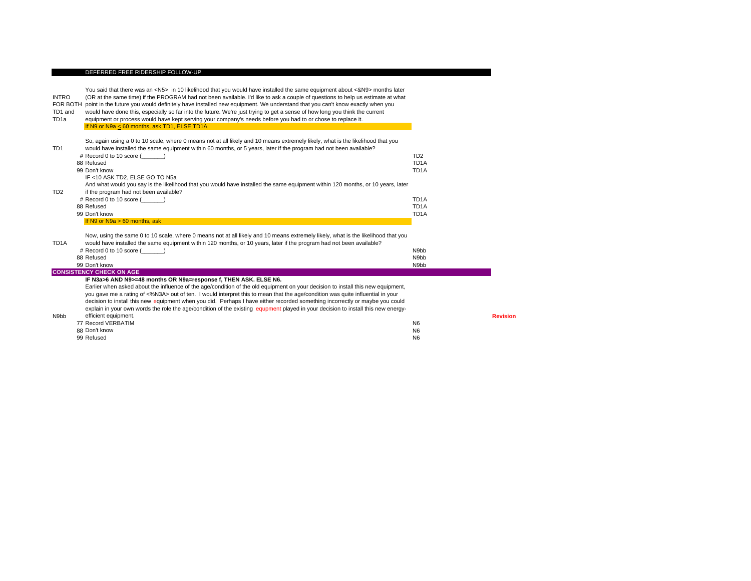#### DEFERRED FREE RIDERSHIP FOLLOW-UP

INTRO FOR BOTH point in the future you would definitely have installed new equipment. We understand that you can't know exactly when you TD1 and TD1aYou said that there was an <N5> in 10 likelihood that you would have installed the same equipment about <&N9> months later (OR at the same time) if the PROGRAM had not been available. I'd like to ask a couple of questions to help us estimate at what would have done this, especially so far into the future. We're just trying to get a sense of how long you think the current equipment or process would have kept serving your company's needs before you had to or chose to replace it. If N9 or N9a < 60 months, ask TD1, ELSE TD1A TD1So, again using a 0 to 10 scale, where 0 means not at all likely and 10 means extremely likely, what is the likelihood that you would have installed the same equipment within 60 months, or 5 years, later if the program had not been available? # Record 0 to 10 score (\_\_\_\_\_\_\_) TD2 88 Refusedd and the contract of the contract of the contract of the contract of the contract of the contract of the contract of the contract of the contract of the contract of the contract of the contract of the contract of the cont TD<sub>1</sub>A 99 Don't knoww the contract of the contract of the contract of the contract of the contract of the contract of the contract of the contract of the contract of the contract of the contract of the contract of the contract of the contract IF <10 ASK TD2, ELSE GO TO N5a TD2And what would you say is the likelihood that you would have installed the same equipment within 120 months, or 10 years, later if the program had not been available? # Record 0 to 10 score (\_\_\_\_\_\_\_) TD1A 88 Refusedd and the contract of the contract of the contract of the contract of the contract of the contract of the contract of the contract of the contract of the contract of the contract of the contract of the contract of the cont TD<sub>1</sub>A 99 Don't knoww the contract of the contract of the contract of the contract of the contract of the contract of the contract of the contract of the contract of the contract of the contract of the contract of the contract of the contract If N9 or N9a > 60 months, ask TD1ANow, using the same 0 to 10 scale, where 0 means not at all likely and 10 means extremely likely, what is the likelihood that you would have installed the same equipment within 120 months, or 10 years, later if the program had not been available? # Record 0 to 10 score (\_\_\_\_\_\_\_) N9bb 88 Refuseddiscontinued by the contract of the contract of the contract of the contract of the contract of the contract of the contract of the contract of the contract of the contract of the contract of the contract of the contract o 99 Don't know N9bb **CONSISTENCY CHECK ON AGE IF N3a>6 AND N9>=48 months OR N9a=response f, THEN ASK. ELSE N6.** N9bbEarlier when asked about the influence of the age/condition of the old equipment on your decision to install this new equipment, you gave me a rating of <%N3A> out of ten. I would interpret this to mean that the age/condition was quite influential in your decision to install this new equipment when you did. Perhaps I have either recorded something incorrectly or maybe you could explain in your own words the role the age/condition of the existing equpment played in your decision to install this new energy-<br>efficient equipment. efficient equipment. **Revision** 77 Record VERBATIMManagement of the contract of the contract of the contract of the contract of the contract of the contract of the contract of the contract of the contract of the contract of the contract of the contract of the contract of 88 Don't know N6 99 Refuseddiscussion of the contract of the contract of the contract of the contract of the contract of the contract of the contract of the contract of the contract of the contract of the contract of the contract of the contract of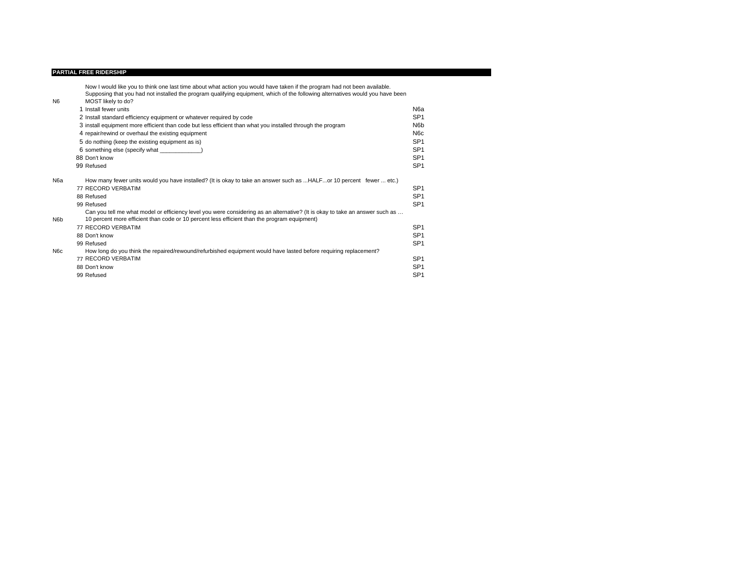#### **PARTIAL FREE RIDERSHIP**

Now I would like you to think one last time about what action you would have taken if the program had not been available.<br>Supposing that you had not installed the program qualifying equipment, which of the following altern

| N <sub>6</sub>   | MOST likely to do?                                                                                                                                                                                                           |                  |
|------------------|------------------------------------------------------------------------------------------------------------------------------------------------------------------------------------------------------------------------------|------------------|
|                  | 1 Install fewer units                                                                                                                                                                                                        | N6a              |
|                  | 2 Install standard efficiency equipment or whatever required by code                                                                                                                                                         | SP <sub>1</sub>  |
|                  | 3 install equipment more efficient than code but less efficient than what you installed through the program                                                                                                                  | N <sub>6</sub> b |
|                  | 4 repair/rewind or overhaul the existing equipment                                                                                                                                                                           | N <sub>6</sub> c |
|                  | 5 do nothing (keep the existing equipment as is)                                                                                                                                                                             | SP <sub>1</sub>  |
|                  | 6 something else (specify what )                                                                                                                                                                                             | SP <sub>1</sub>  |
|                  | 88 Don't know                                                                                                                                                                                                                | SP <sub>1</sub>  |
|                  | 99 Refused                                                                                                                                                                                                                   | SP <sub>1</sub>  |
| N6a              | How many fewer units would you have installed? (It is okay to take an answer such as HALFor 10 percent fewer  etc.)                                                                                                          |                  |
|                  | 77 RECORD VERBATIM                                                                                                                                                                                                           | SP <sub>1</sub>  |
|                  | 88 Refused                                                                                                                                                                                                                   | SP <sub>1</sub>  |
|                  | 99 Refused                                                                                                                                                                                                                   | SP <sub>1</sub>  |
| N <sub>6</sub> b | Can you tell me what model or efficiency level you were considering as an alternative? (It is okay to take an answer such as<br>10 percent more efficient than code or 10 percent less efficient than the program equipment) |                  |
|                  | 77 RECORD VERBATIM                                                                                                                                                                                                           | SP <sub>1</sub>  |
|                  | 88 Don't know                                                                                                                                                                                                                | SP <sub>1</sub>  |
|                  | 99 Refused                                                                                                                                                                                                                   | SP <sub>1</sub>  |
| N <sub>6</sub> c | How long do you think the repaired/rewound/refurbished equipment would have lasted before requiring replacement?                                                                                                             |                  |
|                  | 77 RECORD VERBATIM                                                                                                                                                                                                           | SP <sub>1</sub>  |
|                  | 88 Don't know                                                                                                                                                                                                                | SP <sub>1</sub>  |
|                  | 99 Refused                                                                                                                                                                                                                   | SP <sub>1</sub>  |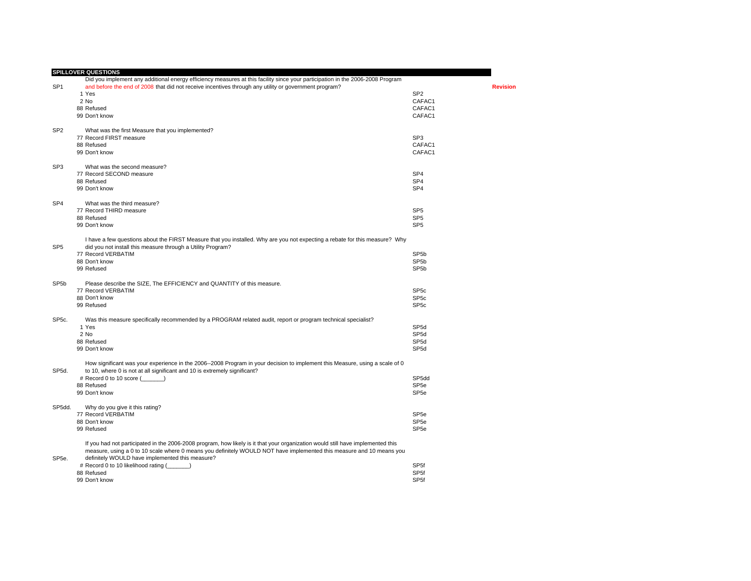|                    | <b>SPILLOVER QUESTIONS</b>                                                                                                                                                                                |                   |                 |
|--------------------|-----------------------------------------------------------------------------------------------------------------------------------------------------------------------------------------------------------|-------------------|-----------------|
|                    | Did you implement any additional energy efficiency measures at this facility since your participation in the 2006-2008 Program                                                                            |                   |                 |
| SP <sub>1</sub>    | and before the end of 2008 that did not receive incentives through any utility or government program?                                                                                                     |                   | <b>Revision</b> |
|                    | 1 Yes                                                                                                                                                                                                     | SP <sub>2</sub>   |                 |
|                    | 2 No                                                                                                                                                                                                      | CAFAC1            |                 |
|                    | 88 Refused                                                                                                                                                                                                | CAFAC1            |                 |
|                    | 99 Don't know                                                                                                                                                                                             | CAFAC1            |                 |
| SP <sub>2</sub>    | What was the first Measure that you implemented?                                                                                                                                                          |                   |                 |
|                    | 77 Record FIRST measure                                                                                                                                                                                   | SP <sub>3</sub>   |                 |
|                    | 88 Refused                                                                                                                                                                                                | CAFAC1            |                 |
|                    | 99 Don't know                                                                                                                                                                                             | CAFAC1            |                 |
| SP <sub>3</sub>    | What was the second measure?                                                                                                                                                                              |                   |                 |
|                    | 77 Record SECOND measure                                                                                                                                                                                  | SP <sub>4</sub>   |                 |
|                    | 88 Refused                                                                                                                                                                                                | SP <sub>4</sub>   |                 |
|                    |                                                                                                                                                                                                           |                   |                 |
|                    | 99 Don't know                                                                                                                                                                                             | SP <sub>4</sub>   |                 |
| SP <sub>4</sub>    | What was the third measure?                                                                                                                                                                               |                   |                 |
|                    | 77 Record THIRD measure                                                                                                                                                                                   | SP <sub>5</sub>   |                 |
|                    | 88 Refused                                                                                                                                                                                                | SP <sub>5</sub>   |                 |
|                    | 99 Don't know                                                                                                                                                                                             | SP <sub>5</sub>   |                 |
|                    | I have a few questions about the FIRST Measure that you installed. Why are you not expecting a rebate for this measure? Why                                                                               |                   |                 |
| SP <sub>5</sub>    | did you not install this measure through a Utility Program?                                                                                                                                               |                   |                 |
|                    | 77 Record VERBATIM                                                                                                                                                                                        | SP <sub>5</sub> b |                 |
|                    | 88 Don't know                                                                                                                                                                                             | SP <sub>5b</sub>  |                 |
|                    | 99 Refused                                                                                                                                                                                                | SP <sub>5</sub> b |                 |
| SP <sub>5</sub> b  | Please describe the SIZE, The EFFICIENCY and QUANTITY of this measure.                                                                                                                                    |                   |                 |
|                    | 77 Record VERBATIM                                                                                                                                                                                        | SP <sub>5c</sub>  |                 |
|                    | 88 Don't know                                                                                                                                                                                             | SP <sub>5c</sub>  |                 |
|                    | 99 Refused                                                                                                                                                                                                | SP <sub>5c</sub>  |                 |
| SP <sub>5c</sub> . | Was this measure specifically recommended by a PROGRAM related audit, report or program technical specialist?                                                                                             |                   |                 |
|                    | 1 Yes                                                                                                                                                                                                     | SP <sub>5d</sub>  |                 |
|                    | 2 No                                                                                                                                                                                                      | SP <sub>5d</sub>  |                 |
|                    | 88 Refused                                                                                                                                                                                                | SP <sub>5d</sub>  |                 |
|                    | 99 Don't know                                                                                                                                                                                             | SP <sub>5d</sub>  |                 |
|                    |                                                                                                                                                                                                           |                   |                 |
| SP5d.              | How significant was your experience in the 2006--2008 Program in your decision to implement this Measure, using a scale of 0<br>to 10, where 0 is not at all significant and 10 is extremely significant? |                   |                 |
|                    |                                                                                                                                                                                                           |                   |                 |
|                    | # Record 0 to 10 score (______)                                                                                                                                                                           | SP5dd             |                 |
|                    | 88 Refused                                                                                                                                                                                                | SP <sub>5e</sub>  |                 |
|                    | 99 Don't know                                                                                                                                                                                             | SP <sub>5e</sub>  |                 |
| SP5dd.             | Why do you give it this rating?                                                                                                                                                                           |                   |                 |
|                    | 77 Record VERBATIM                                                                                                                                                                                        | SP <sub>5e</sub>  |                 |
|                    | 88 Don't know                                                                                                                                                                                             | SP <sub>5e</sub>  |                 |
|                    | 99 Refused                                                                                                                                                                                                | SP <sub>5e</sub>  |                 |
|                    | If you had not participated in the 2006-2008 program, how likely is it that your organization would still have implemented this                                                                           |                   |                 |
|                    | measure, using a 0 to 10 scale where 0 means you definitely WOULD NOT have implemented this measure and 10 means you                                                                                      |                   |                 |
| SP <sub>5e</sub> . | definitely WOULD have implemented this measure?                                                                                                                                                           |                   |                 |
|                    | # Record 0 to 10 likelihood rating (                                                                                                                                                                      | SP <sub>5f</sub>  |                 |
|                    | 88 Refused                                                                                                                                                                                                | SP <sub>5f</sub>  |                 |
|                    | 99 Don't know                                                                                                                                                                                             | SP <sub>5f</sub>  |                 |
|                    |                                                                                                                                                                                                           |                   |                 |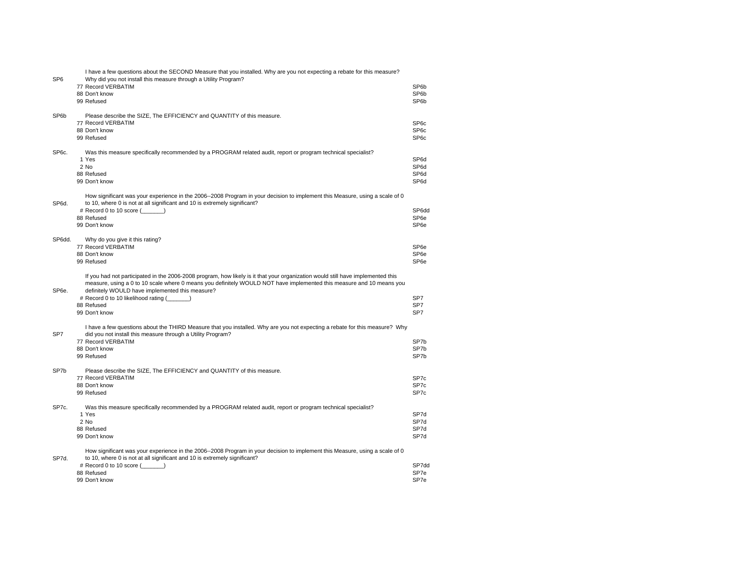| SP <sub>6</sub>    | I have a few questions about the SECOND Measure that you installed. Why are you not expecting a rebate for this measure?<br>Why did you not install this measure through a Utility Program?                                                                                                                                                                                        |                                                             |
|--------------------|------------------------------------------------------------------------------------------------------------------------------------------------------------------------------------------------------------------------------------------------------------------------------------------------------------------------------------------------------------------------------------|-------------------------------------------------------------|
|                    | 77 Record VERBATIM<br>88 Don't know<br>99 Refused                                                                                                                                                                                                                                                                                                                                  | SP <sub>6</sub> b<br>SP <sub>6</sub> b<br>SP <sub>6</sub> b |
| SP6b               | Please describe the SIZE, The EFFICIENCY and QUANTITY of this measure.<br>77 Record VERBATIM<br>88 Don't know<br>99 Refused                                                                                                                                                                                                                                                        | SP <sub>6</sub> c<br>SP <sub>6c</sub><br>SP <sub>6</sub> c  |
| SP6c.              | Was this measure specifically recommended by a PROGRAM related audit, report or program technical specialist?<br>1 Yes<br>2 No<br>88 Refused<br>99 Don't know                                                                                                                                                                                                                      | SP6d<br>SP6d<br>SP6d<br>SP6d                                |
| SP6d.              | How significant was your experience in the 2006--2008 Program in your decision to implement this Measure, using a scale of 0<br>to 10, where 0 is not at all significant and 10 is extremely significant?<br># Record 0 to 10 score $(\_\_ \_ )$<br>88 Refused<br>99 Don't know                                                                                                    | SP6dd<br>SP <sub>6e</sub><br>SP <sub>6e</sub>               |
| SP6dd.             | Why do you give it this rating?<br>77 Record VERBATIM<br>88 Don't know<br>99 Refused                                                                                                                                                                                                                                                                                               | SP <sub>6e</sub><br>SP <sub>6e</sub><br>SP <sub>6e</sub>    |
| SP <sub>6e</sub> . | If you had not participated in the 2006-2008 program, how likely is it that your organization would still have implemented this<br>measure, using a 0 to 10 scale where 0 means you definitely WOULD NOT have implemented this measure and 10 means you<br>definitely WOULD have implemented this measure?<br># Record 0 to 10 likelihood rating ()<br>88 Refused<br>99 Don't know | SP <sub>7</sub><br>SP7<br>SP7                               |
| SP7                | I have a few questions about the THIRD Measure that you installed. Why are you not expecting a rebate for this measure? Why<br>did you not install this measure through a Utility Program?<br>77 Record VERBATIM<br>88 Don't know<br>99 Refused                                                                                                                                    | SP7b<br>SP7b<br>SP7b                                        |
| SP7b               | Please describe the SIZE, The EFFICIENCY and QUANTITY of this measure.<br>77 Record VERBATIM<br>88 Don't know<br>99 Refused                                                                                                                                                                                                                                                        | SP <sub>7</sub> c<br>SP7c<br>SP <sub>7</sub> c              |
| SP7c.              | Was this measure specifically recommended by a PROGRAM related audit, report or program technical specialist?<br>1 Yes<br>2 No<br>88 Refused<br>99 Don't know                                                                                                                                                                                                                      | SP7d<br>SP7d<br>SP7d<br>SP7d                                |
| SP7d.              | How significant was your experience in the 2006--2008 Program in your decision to implement this Measure, using a scale of 0<br>to 10, where 0 is not at all significant and 10 is extremely significant?<br># Record 0 to 10 score (______)<br>88 Refused<br>99 Don't know                                                                                                        | SP7dc<br>SP7e<br>SP7e                                       |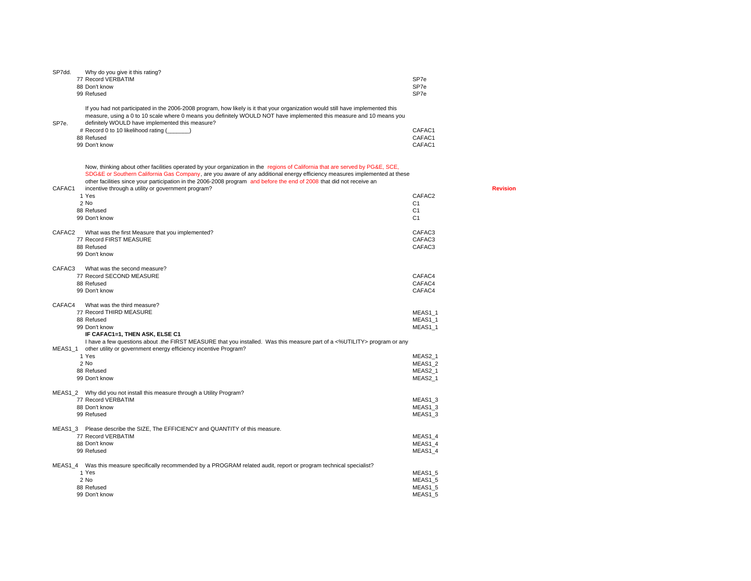| SP7dd.              | Why do you give it this rating?                                                                                                                                                                                                                                                                                                                                                                                                           |                  |  |
|---------------------|-------------------------------------------------------------------------------------------------------------------------------------------------------------------------------------------------------------------------------------------------------------------------------------------------------------------------------------------------------------------------------------------------------------------------------------------|------------------|--|
|                     | 77 Record VERBATIM                                                                                                                                                                                                                                                                                                                                                                                                                        | SP7e             |  |
|                     | 88 Don't know                                                                                                                                                                                                                                                                                                                                                                                                                             | SP7e             |  |
|                     | 99 Refused                                                                                                                                                                                                                                                                                                                                                                                                                                | SP7e             |  |
| SP7e.               | If you had not participated in the 2006-2008 program, how likely is it that your organization would still have implemented this<br>measure, using a 0 to 10 scale where 0 means you definitely WOULD NOT have implemented this measure and 10 means you<br>definitely WOULD have implemented this measure?                                                                                                                                |                  |  |
|                     | # Record 0 to 10 likelihood rating (                                                                                                                                                                                                                                                                                                                                                                                                      | CAFAC1           |  |
|                     | 88 Refused                                                                                                                                                                                                                                                                                                                                                                                                                                | CAFAC1           |  |
|                     | 99 Don't know                                                                                                                                                                                                                                                                                                                                                                                                                             | CAFAC1           |  |
| CAFAC1              | Now, thinking about other facilities operated by your organization in the regions of California that are served by PG&E, SCE,<br>SDG&E or Southern California Gas Company, are you aware of any additional energy efficiency measures implemented at these<br>other facilities since your participation in the 2006-2008 program and before the end of 2008 that did not receive an<br>incentive through a utility or government program? | <b>Revision</b>  |  |
|                     | 1 Yes                                                                                                                                                                                                                                                                                                                                                                                                                                     | CAFAC2           |  |
|                     | $2$ No                                                                                                                                                                                                                                                                                                                                                                                                                                    | C <sub>1</sub>   |  |
|                     | 88 Refused                                                                                                                                                                                                                                                                                                                                                                                                                                | C <sub>1</sub>   |  |
|                     | 99 Don't know                                                                                                                                                                                                                                                                                                                                                                                                                             | C <sub>1</sub>   |  |
|                     |                                                                                                                                                                                                                                                                                                                                                                                                                                           |                  |  |
| CAFAC2              | What was the first Measure that you implemented?                                                                                                                                                                                                                                                                                                                                                                                          | CAFAC3           |  |
|                     | 77 Record FIRST MEASURE                                                                                                                                                                                                                                                                                                                                                                                                                   | CAFAC3<br>CAFAC3 |  |
|                     | 88 Refused<br>99 Don't know                                                                                                                                                                                                                                                                                                                                                                                                               |                  |  |
|                     |                                                                                                                                                                                                                                                                                                                                                                                                                                           |                  |  |
| CAFAC3              | What was the second measure?                                                                                                                                                                                                                                                                                                                                                                                                              |                  |  |
|                     | 77 Record SECOND MEASURE                                                                                                                                                                                                                                                                                                                                                                                                                  | CAFAC4           |  |
|                     | 88 Refused                                                                                                                                                                                                                                                                                                                                                                                                                                | CAFAC4           |  |
|                     | 99 Don't know                                                                                                                                                                                                                                                                                                                                                                                                                             | CAFAC4           |  |
| CAFAC4              | What was the third measure?                                                                                                                                                                                                                                                                                                                                                                                                               |                  |  |
|                     | 77 Record THIRD MEASURE                                                                                                                                                                                                                                                                                                                                                                                                                   | MEAS1 1          |  |
|                     | 88 Refused                                                                                                                                                                                                                                                                                                                                                                                                                                | MEAS1_1          |  |
|                     | 99 Don't know                                                                                                                                                                                                                                                                                                                                                                                                                             | MEAS1_1          |  |
|                     | IF CAFAC1=1, THEN ASK, ELSE C1                                                                                                                                                                                                                                                                                                                                                                                                            |                  |  |
|                     | I have a few questions about .the FIRST MEASURE that you installed. Was this measure part of a <%UTILITY> program or any                                                                                                                                                                                                                                                                                                                  |                  |  |
| MEAS <sub>1</sub> 1 | other utility or government energy efficiency incentive Program?                                                                                                                                                                                                                                                                                                                                                                          |                  |  |
|                     | 1 Yes                                                                                                                                                                                                                                                                                                                                                                                                                                     | MEAS2_1          |  |
|                     | 2 No                                                                                                                                                                                                                                                                                                                                                                                                                                      | MEAS1 2          |  |
|                     | 88 Refused                                                                                                                                                                                                                                                                                                                                                                                                                                | MEAS2 1          |  |
|                     | 99 Don't know                                                                                                                                                                                                                                                                                                                                                                                                                             | MEAS2 1          |  |
|                     | MEAS1_2 Why did you not install this measure through a Utility Program?                                                                                                                                                                                                                                                                                                                                                                   |                  |  |
|                     | 77 Record VERBATIM                                                                                                                                                                                                                                                                                                                                                                                                                        | MEAS1 3          |  |
|                     | 88 Don't know                                                                                                                                                                                                                                                                                                                                                                                                                             | MEAS1 3          |  |
|                     | 99 Refused                                                                                                                                                                                                                                                                                                                                                                                                                                | MEAS1_3          |  |
|                     | MEAS1_3 Please describe the SIZE, The EFFICIENCY and QUANTITY of this measure.                                                                                                                                                                                                                                                                                                                                                            |                  |  |
|                     | 77 Record VERBATIM                                                                                                                                                                                                                                                                                                                                                                                                                        | MEAS1_4          |  |
|                     | 88 Don't know                                                                                                                                                                                                                                                                                                                                                                                                                             | MEAS1_4          |  |
|                     | 99 Refused                                                                                                                                                                                                                                                                                                                                                                                                                                | MEAS1 4          |  |
|                     |                                                                                                                                                                                                                                                                                                                                                                                                                                           |                  |  |
|                     | MEAS1_4 Was this measure specifically recommended by a PROGRAM related audit, report or program technical specialist?                                                                                                                                                                                                                                                                                                                     |                  |  |
|                     | 1 Yes                                                                                                                                                                                                                                                                                                                                                                                                                                     | MEAS1 5          |  |
|                     | 2 No                                                                                                                                                                                                                                                                                                                                                                                                                                      | MEAS1 5          |  |
|                     | 88 Refused                                                                                                                                                                                                                                                                                                                                                                                                                                | MEAS1 5          |  |
|                     | 99 Don't know                                                                                                                                                                                                                                                                                                                                                                                                                             | MEAS1 5          |  |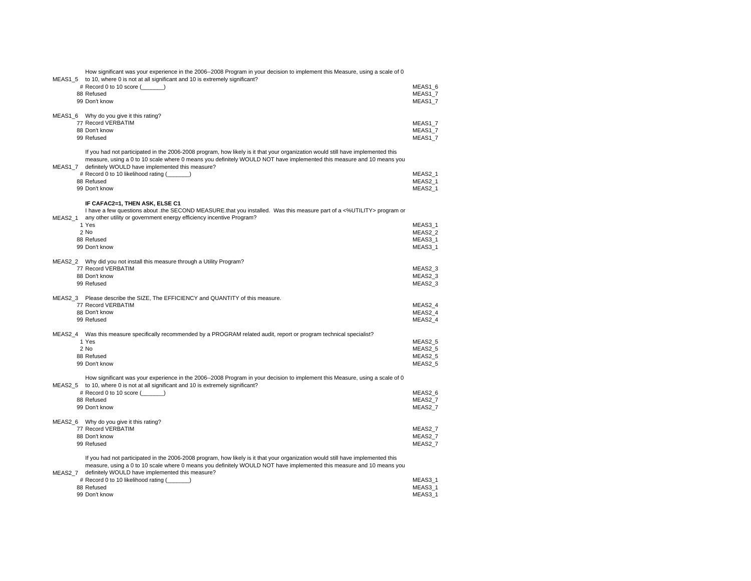| How significant was your experience in the 2006--2008 Program in your decision to implement this Measure, using a scale of 0<br>MEAS1_5 to 10, where 0 is not at all significant and 10 is extremely significant? |                               |
|-------------------------------------------------------------------------------------------------------------------------------------------------------------------------------------------------------------------|-------------------------------|
| # Record 0 to 10 score ()<br>88 Refused                                                                                                                                                                           | MEAS1 6<br>MEAS1_7            |
| 99 Don't know                                                                                                                                                                                                     | MEAS1_7                       |
|                                                                                                                                                                                                                   |                               |
| MEAS1_6 Why do you give it this rating?<br>77 Record VERBATIM                                                                                                                                                     | MEAS1 7                       |
| 88 Don't know                                                                                                                                                                                                     | MEAS1 7                       |
| 99 Refused                                                                                                                                                                                                        | MEAS1_7                       |
| If you had not participated in the 2006-2008 program, how likely is it that your organization would still have implemented this                                                                                   |                               |
| measure, using a 0 to 10 scale where 0 means you definitely WOULD NOT have implemented this measure and 10 means you                                                                                              |                               |
| MEAS1_7 definitely WOULD have implemented this measure?                                                                                                                                                           |                               |
| # Record 0 to 10 likelihood rating (______)<br>88 Refused                                                                                                                                                         | MEAS2 1<br>MEAS2 1            |
| 99 Don't know                                                                                                                                                                                                     | MEAS2_1                       |
|                                                                                                                                                                                                                   |                               |
| IF CAFAC2=1, THEN ASK, ELSE C1<br>I have a few questions about .the SECOND MEASURE.that you installed. Was this measure part of a <%UTILITY> program or                                                           |                               |
| any other utility or government energy efficiency incentive Program?<br>MEAS2 1                                                                                                                                   |                               |
| 1 Yes<br>$2$ No                                                                                                                                                                                                   | MEAS3 1                       |
| 88 Refused                                                                                                                                                                                                        | MEAS2_2<br>MEAS3_1            |
| 99 Don't know                                                                                                                                                                                                     | MEAS3_1                       |
|                                                                                                                                                                                                                   |                               |
| MEAS2_2  Why did you not install this measure through a Utility Program?<br>77 Record VERBATIM                                                                                                                    | MEAS2 3                       |
| 88 Don't know                                                                                                                                                                                                     | MEAS2 3                       |
| 99 Refused                                                                                                                                                                                                        | MEAS2_3                       |
| MEAS2 3 Please describe the SIZE, The EFFICIENCY and QUANTITY of this measure.                                                                                                                                    |                               |
| 77 Record VERBATIM                                                                                                                                                                                                | MEAS2_4                       |
| 88 Don't know                                                                                                                                                                                                     | MEAS2_4                       |
| 99 Refused                                                                                                                                                                                                        | MEAS2 4                       |
| MEAS2_4 Was this measure specifically recommended by a PROGRAM related audit, report or program technical specialist?                                                                                             |                               |
| 1 Yes                                                                                                                                                                                                             | MEAS2 5                       |
| 2 No<br>88 Refused                                                                                                                                                                                                | MEAS <sub>25</sub><br>MEAS2_5 |
| 99 Don't know                                                                                                                                                                                                     | MEAS2_5                       |
|                                                                                                                                                                                                                   |                               |
| How significant was your experience in the 2006--2008 Program in your decision to implement this Measure, using a scale of 0                                                                                      |                               |
|                                                                                                                                                                                                                   | MEAS2_6                       |
| MEAS2_5 to 10, where 0 is not at all significant and 10 is extremely significant?                                                                                                                                 |                               |
| # Record 0 to 10 score (______)<br>88 Refused                                                                                                                                                                     | MEAS2_7                       |
| 99 Don't know                                                                                                                                                                                                     | MEAS2_7                       |
| MEAS2_6 Why do you give it this rating?                                                                                                                                                                           |                               |
| 77 Record VERBATIM                                                                                                                                                                                                | MEAS2_7                       |
| 88 Don't know                                                                                                                                                                                                     | MEAS2 7                       |
| 99 Refused                                                                                                                                                                                                        | MEAS2_7                       |
| If you had not participated in the 2006-2008 program, how likely is it that your organization would still have implemented this                                                                                   |                               |
| measure, using a 0 to 10 scale where 0 means you definitely WOULD NOT have implemented this measure and 10 means you                                                                                              |                               |
| MEAS2 7 definitely WOULD have implemented this measure?                                                                                                                                                           | MEAS3 1                       |
| # Record 0 to 10 likelihood rating (______)<br>88 Refused<br>99 Don't know                                                                                                                                        | MEAS3 1<br>MEAS3 1            |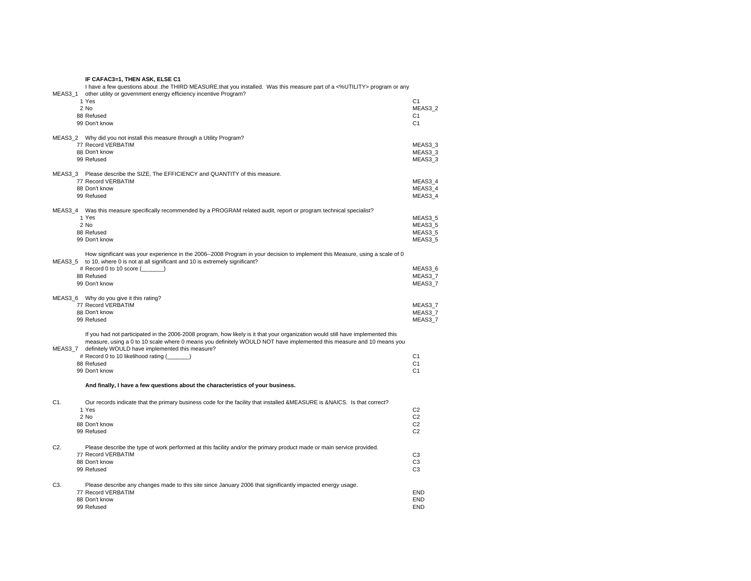|                  | IF CAFAC3=1, THEN ASK, ELSE C1                                                                                                                                                                                    |                                  |
|------------------|-------------------------------------------------------------------------------------------------------------------------------------------------------------------------------------------------------------------|----------------------------------|
|                  | I have a few questions about .the THIRD MEASURE that you installed. Was this measure part of a <%UTILITY> program or any                                                                                          |                                  |
| MEAS3 1          | other utility or government energy efficiency incentive Program?<br>1 Yes                                                                                                                                         | C <sub>1</sub>                   |
|                  | 2 No                                                                                                                                                                                                              | MEAS3 2                          |
|                  | 88 Refused                                                                                                                                                                                                        | C <sub>1</sub>                   |
|                  | 99 Don't know                                                                                                                                                                                                     | C <sub>1</sub>                   |
|                  |                                                                                                                                                                                                                   |                                  |
|                  | MEAS3_2 Why did you not install this measure through a Utility Program?                                                                                                                                           |                                  |
|                  | 77 Record VERBATIM                                                                                                                                                                                                | MEAS3 3                          |
|                  | 88 Don't know<br>99 Refused                                                                                                                                                                                       | MEAS3 3<br>MEAS3 3               |
|                  |                                                                                                                                                                                                                   |                                  |
|                  | MEAS3 3 Please describe the SIZE, The EFFICIENCY and QUANTITY of this measure.                                                                                                                                    |                                  |
|                  | 77 Record VERBATIM                                                                                                                                                                                                | MEAS3 4                          |
|                  | 88 Don't know                                                                                                                                                                                                     | MEAS3 4                          |
|                  | 99 Refused                                                                                                                                                                                                        | MEAS3_4                          |
|                  | MEAS3_4 Was this measure specifically recommended by a PROGRAM related audit, report or program technical specialist?                                                                                             |                                  |
|                  | 1 Yes                                                                                                                                                                                                             | MEAS3 5                          |
|                  | 2 No                                                                                                                                                                                                              | MEAS3 5                          |
|                  | 88 Refused                                                                                                                                                                                                        | MEAS3 5                          |
|                  | 99 Don't know                                                                                                                                                                                                     | MEAS3 5                          |
|                  |                                                                                                                                                                                                                   |                                  |
|                  | How significant was your experience in the 2006--2008 Program in your decision to implement this Measure, using a scale of 0<br>MEAS3 5 to 10, where 0 is not at all significant and 10 is extremely significant? |                                  |
|                  | # Record 0 to 10 score ()                                                                                                                                                                                         | MEAS3 6                          |
|                  | 88 Refused                                                                                                                                                                                                        | MEAS3 7                          |
|                  | 99 Don't know                                                                                                                                                                                                     | MEAS3_7                          |
|                  |                                                                                                                                                                                                                   |                                  |
|                  | MEAS3_6 Why do you give it this rating?<br>77 Record VERBATIM                                                                                                                                                     | MEAS3 7                          |
|                  | 88 Don't know                                                                                                                                                                                                     | MEAS3_7                          |
|                  | 99 Refused                                                                                                                                                                                                        | MEAS3 7                          |
|                  |                                                                                                                                                                                                                   |                                  |
|                  | If you had not participated in the 2006-2008 program, how likely is it that your organization would still have implemented this                                                                                   |                                  |
|                  | measure, using a 0 to 10 scale where 0 means you definitely WOULD NOT have implemented this measure and 10 means you                                                                                              |                                  |
| MEAS3 7          | definitely WOULD have implemented this measure?<br># Record 0 to 10 likelihood rating (_______)                                                                                                                   | C <sub>1</sub>                   |
|                  | 88 Refused                                                                                                                                                                                                        | C <sub>1</sub>                   |
|                  | 99 Don't know                                                                                                                                                                                                     | C <sub>1</sub>                   |
|                  |                                                                                                                                                                                                                   |                                  |
|                  | And finally, I have a few questions about the characteristics of your business.                                                                                                                                   |                                  |
|                  |                                                                                                                                                                                                                   |                                  |
| C <sub>1</sub> . | Our records indicate that the primary business code for the facility that installed &MEASURE is &NAICS. Is that correct?                                                                                          |                                  |
|                  | 1 Yes                                                                                                                                                                                                             | C <sub>2</sub>                   |
|                  |                                                                                                                                                                                                                   |                                  |
|                  | 2 No                                                                                                                                                                                                              | C <sub>2</sub>                   |
|                  | 88 Don't know<br>99 Refused                                                                                                                                                                                       | C <sub>2</sub><br>C <sub>2</sub> |
|                  |                                                                                                                                                                                                                   |                                  |
| C <sub>2</sub> . | Please describe the type of work performed at this facility and/or the primary product made or main service provided.                                                                                             |                                  |
|                  | 77 Record VERBATIM                                                                                                                                                                                                | C <sub>3</sub>                   |
|                  | 88 Don't know                                                                                                                                                                                                     | C <sub>3</sub>                   |
|                  | 99 Refused                                                                                                                                                                                                        | C <sub>3</sub>                   |
|                  |                                                                                                                                                                                                                   |                                  |
| C3.              | Please describe any changes made to this site since January 2006 that significantly impacted energy usage.<br>77 Record VERBATIM                                                                                  | <b>END</b>                       |
|                  | 88 Don't know                                                                                                                                                                                                     | <b>END</b><br><b>END</b>         |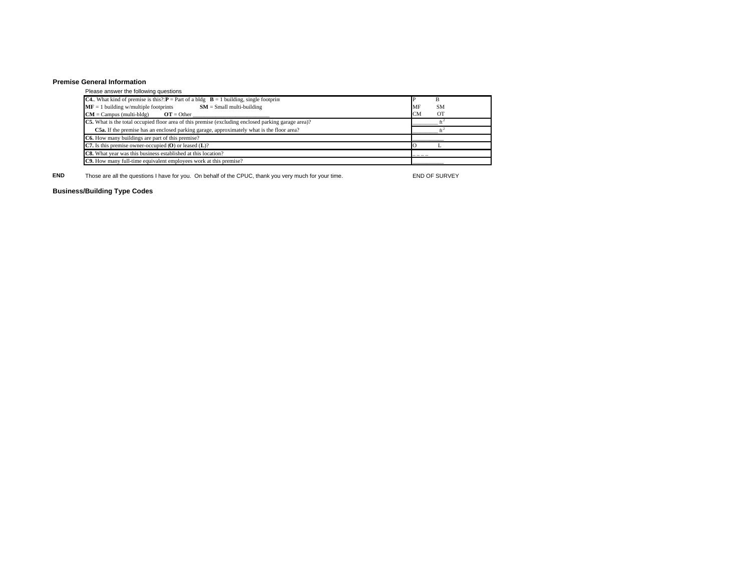#### **Premise General Information**

### Please answer the following questions **C4.**. What kind of premise is this?: **P** = Part of a bldg **B** = 1 building, single footprint P B **MF** = 1 building w/multiple footprints **SM** = Small multi-building **CM** = Campus (multi-bldg) **OT** = Other **SM**  $\overline{CM}$  = Other **CM**  $CM =$  Campus (multi-bldg)  $OT =$  Other  $\_\_$ **C5.** What is the total occupied floor area of this premise (excluding enclosed parking garage area)? \_\_\_\_\_\_\_\_\_\_ ft<sup>2</sup> **C5a.** If the premise has an enclosed parking garage, approximately what is the floor area?  $\text{ft}^2$ **C6.** How many buildings are part of this premise?  $\overline{C7}$ . Is this premise owner-occupied (O) or leased (L)? **C7.** Is this premise owner-occupied  $(O)$  or leased  $(L)$ ? C8. What year was this business established at this location? **C9.** How many full-time equivalent employees work at this premise? \_\_\_\_\_\_\_\_\_\_\_

**END**Those are all the questions I have for you. On behalf of the CPUC, thank you very much for your time. END OF SURVEY

## **Business/Building Type Codes**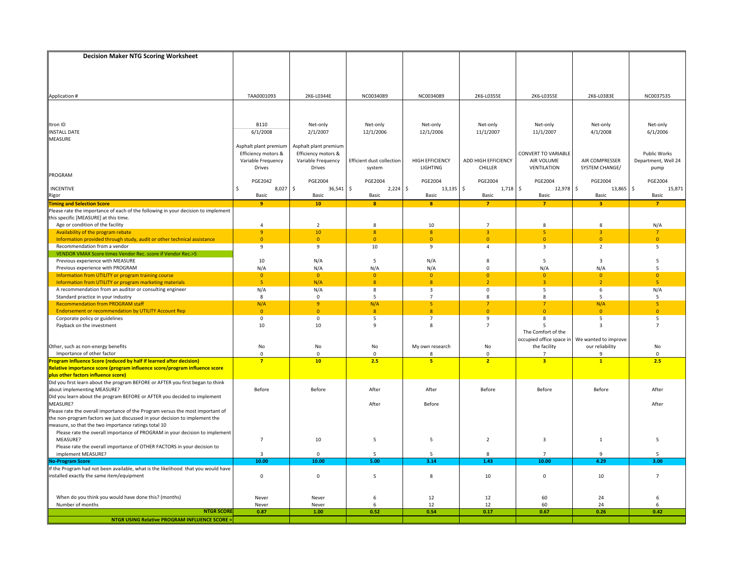| <b>Decision Maker NTG Scoring Worksheet</b>                                                                                |                                              |                                              |                           |                        |                     |                                  |                       |                               |
|----------------------------------------------------------------------------------------------------------------------------|----------------------------------------------|----------------------------------------------|---------------------------|------------------------|---------------------|----------------------------------|-----------------------|-------------------------------|
|                                                                                                                            |                                              |                                              |                           |                        |                     |                                  |                       |                               |
|                                                                                                                            |                                              |                                              |                           |                        |                     |                                  |                       |                               |
|                                                                                                                            |                                              |                                              |                           |                        |                     |                                  |                       |                               |
|                                                                                                                            |                                              |                                              |                           |                        |                     |                                  |                       |                               |
| Application #                                                                                                              | TAA0001093                                   | 2K6-L0344E                                   | NC0034089                 | NC0034089              | 2K6-L0355E          | 2K6-L0355E                       | 2K6-L0383E            | NC0037535                     |
|                                                                                                                            |                                              |                                              |                           |                        |                     |                                  |                       |                               |
|                                                                                                                            |                                              |                                              |                           |                        |                     |                                  |                       |                               |
|                                                                                                                            |                                              |                                              |                           |                        |                     |                                  |                       |                               |
| Itron ID                                                                                                                   | <b>B110</b>                                  | Net-only                                     | Net-only                  | Net-only               | Net-only            | Net-only                         | Net-only              | Net-only                      |
| <b>INSTALL DATE</b>                                                                                                        | 6/1/2008                                     | 2/1/2007                                     | 12/1/2006                 | 12/1/2006              | 11/1/2007           | 11/1/2007                        | 4/1/2008              | 6/1/2006                      |
| <b>MEASURE</b>                                                                                                             |                                              |                                              |                           |                        |                     |                                  |                       |                               |
|                                                                                                                            | Asphalt plant premium<br>Efficiency motors & | Asphalt plant premium<br>Efficiency motors & |                           |                        |                     | <b>CONVERT TO VARIABLE</b>       |                       | Public Works                  |
|                                                                                                                            | Variable Frequency                           | Variable Frequency                           | Efficient dust collection | <b>HIGH EFFICIENCY</b> | ADD HIGH EFFICIENCY | AIR VOLUME                       | AIR COMPRESSER        | Department, Well 24           |
|                                                                                                                            | <b>Drives</b>                                | <b>Drives</b>                                | system                    | <b>LIGHTING</b>        | CHILLER             | <b>VENTILATION</b>               | SYSTEM CHANGE/        | pump                          |
| PROGRAM                                                                                                                    |                                              |                                              |                           |                        |                     |                                  |                       |                               |
|                                                                                                                            | <b>PGE2042</b>                               | PGE2004                                      | PGE2004                   | PGE2004                | <b>PGE2004</b>      | <b>PGE2004</b>                   | PGE2004               | PGE2004                       |
| <b>INCENTIVE</b>                                                                                                           | $8,027$ \$<br>\$                             | $36,541$ \$                                  | $2,224$ \$                | $13,135$ \$            | $1,718$ \$          | 12,978 \$                        | 13,865                | $\ddot{\mathsf{S}}$<br>15,871 |
| Rigor                                                                                                                      | Basic                                        | Basic                                        | Basic                     | Basic                  | Basic               | Basic                            | Basic                 | Basic                         |
| <b>Timing and Selection Score</b>                                                                                          | $\overline{9}$                               | 10                                           | $\mathbf{8}$              | $\mathbf{8}$           | $\overline{7}$      | $\overline{7}$                   | R                     | $\overline{7}$                |
| Please rate the importance of each of the following in your decision to implement<br>this specific [MEASURE] at this time. |                                              |                                              |                           |                        |                     |                                  |                       |                               |
| Age or condition of the facility                                                                                           | $\overline{4}$                               | $\overline{2}$                               | 8                         | 10                     | $\overline{7}$      | 8                                | 8                     | N/A                           |
| Availability of the program rebate                                                                                         | $\overline{9}$                               | 10                                           | $\boldsymbol{8}$          | 8 <sup>1</sup>         | $\overline{3}$      | $\overline{\mathbf{5}}$          | $\overline{3}$        | $\overline{7}$                |
| Information provided through study, audit or other technical assistance                                                    | $\mathbf{0}$                                 | $\overline{0}$                               | $\overline{0}$            | $\mathbf{0}$           | $\overline{0}$      | $\overline{0}$                   | $\Omega$              | $\mathbf{0}$                  |
| Recommendation from a vendor                                                                                               | 9                                            | 9                                            | 10                        | 9                      | $\overline{4}$      | $\overline{\mathbf{3}}$          | $\overline{2}$        | 5                             |
| VENDOR VMAX Score times Vendor Rec. score if Vendor Rec.>5                                                                 |                                              |                                              |                           |                        |                     |                                  |                       |                               |
| Previous experience with MEASURE                                                                                           | 10                                           | N/A                                          | 5                         | N/A                    | 8                   | 5                                | 3                     | 5                             |
| Previous experience with PROGRAM                                                                                           | N/A                                          | N/A                                          | N/A                       | N/A                    | $\mathbf 0$         | N/A                              | N/A                   | 5                             |
| Information from UTILITY or program training course                                                                        | $\overline{0}$                               | $\overline{0}$                               | $\overline{0}$            | $\overline{0}$         | $\mathbf{0}$        | $\overline{0}$                   | $\Omega$              | $\overline{0}$                |
| Information from UTILITY or program marketing materials                                                                    | 5 <sup>1</sup>                               | N/A                                          | 8                         | 8                      | $\overline{2}$      | $\overline{3}$                   | $\overline{2}$        | -5                            |
| A recommendation from an auditor or consulting engineer                                                                    | N/A                                          | N/A                                          | 8                         | $\overline{3}$         | $\mathbf 0$         | 5                                | 6                     | N/A                           |
| Standard practice in your industry                                                                                         | 8                                            | $\mathbf 0$                                  | 5                         | $\overline{7}$         | 8                   | 8                                | 5                     | 5                             |
| <b>Recommendation from PROGRAM staff</b><br><b>Endorsement or recommendation by UTILITY Account Rep</b>                    | N/A<br>$\overline{0}$                        | $\overline{9}$<br>$\overline{0}$             | N/A<br>$\overline{8}$     | 5<br>$\overline{8}$    | 7<br>$\overline{0}$ | $\overline{7}$<br>$\overline{0}$ | N/A<br>$\overline{0}$ | 5<br>$\mathbf{0}$             |
| Corporate policy or guidelines                                                                                             | 0                                            | $\mathbf 0$                                  | 5                         | $\overline{7}$         | 9                   | 8                                | 5                     | 5                             |
| Payback on the investment                                                                                                  | 10                                           | 10                                           | 9                         | 8                      | $\overline{7}$      | 5                                | 3                     | $\overline{7}$                |
|                                                                                                                            |                                              |                                              |                           |                        |                     | The Comfort of the               |                       |                               |
|                                                                                                                            |                                              |                                              |                           |                        |                     | occupied office space in         | We wanted to improve  |                               |
| Other, such as non-energy benefits                                                                                         | No                                           | No                                           | No                        | My own research        | No                  | the facility                     | our reliability       | No                            |
| Importance of other factor                                                                                                 | $\mathbf 0$                                  | $\mathbf{0}$                                 | $\mathbf{0}$              | 8                      | $\mathbf 0$         | $\overline{7}$                   | 9                     | $\mathbf{0}$                  |
| F<br>rogram Influence Score (reduced by half if learned after decision)                                                    | $\overline{7}$                               | 10                                           | 2.5                       | 5                      | $\overline{2}$      | $\overline{\mathbf{3}}$          | $\mathbf{1}$          | 2.5                           |
| Relative importance score (program influence score/program influence score                                                 |                                              |                                              |                           |                        |                     |                                  |                       |                               |
| plus other factors influence score)<br>Did you first learn about the program BEFORE or AFTER you first began to think      |                                              |                                              |                           |                        |                     |                                  |                       |                               |
| about implementing MEASURE?                                                                                                | Before                                       | Before                                       | After                     | After                  | Before              | Before                           | Before                | After                         |
| Did you learn about the program BEFORE or AFTER you decided to implement                                                   |                                              |                                              |                           |                        |                     |                                  |                       |                               |
| MEASURE?                                                                                                                   |                                              |                                              | After                     | Before                 |                     |                                  |                       | After                         |
| Please rate the overall importance of the Program versus the most important of                                             |                                              |                                              |                           |                        |                     |                                  |                       |                               |
| the non-program factors we just discussed in your decision to implement the                                                |                                              |                                              |                           |                        |                     |                                  |                       |                               |
| measure, so that the two importance ratings total 10                                                                       |                                              |                                              |                           |                        |                     |                                  |                       |                               |
| Please rate the overall importance of PROGRAM in your decision to implement                                                |                                              |                                              |                           |                        |                     |                                  |                       |                               |
| MEASURE?                                                                                                                   | $\overline{7}$                               | 10                                           | 5                         | 5                      | $\overline{2}$      | $\overline{3}$                   | $\overline{1}$        | 5                             |
| Please rate the overall importance of OTHER FACTORS in your decision to                                                    |                                              |                                              |                           |                        |                     |                                  |                       |                               |
| implement MEASURE?                                                                                                         | $\mathbf{a}$                                 | $\mathbf{0}$                                 | -5                        | 5                      | $\mathbf{R}$        | $\overline{7}$                   | q                     | 5                             |
| <b>Io-Program Score</b><br>If the Program had not been available, what is the likelihood that you would have               | 10.00                                        | 10.00                                        | 5.00                      | 3.14                   | 1.43                | 10.00                            | 4.29                  | 3.00                          |
| installed exactly the same item/equipment                                                                                  | $\mathbf 0$                                  | 0                                            | 5                         | 8                      | 10                  | $\mathbf 0$                      | 10                    | $\overline{7}$                |
|                                                                                                                            |                                              |                                              |                           |                        |                     |                                  |                       |                               |
|                                                                                                                            |                                              |                                              |                           |                        |                     |                                  |                       |                               |
| When do you think you would have done this? (months)                                                                       | Never                                        | Never                                        | 6                         | 12                     | 12                  | 60                               | 24                    | 6                             |
| Number of months                                                                                                           | Never                                        | Never                                        | 6                         | 12                     | 12                  | 60                               | 24                    | 6                             |
| <b>NTGR SCORE</b>                                                                                                          | 0.87                                         | 1.00                                         | 0.52                      | 0.54                   | 0.17                | 0.67                             | 0.26                  | 0.42                          |
| NTGR USING Relative PROGRAM INFLUENCE SCORE =                                                                              |                                              |                                              |                           |                        |                     |                                  |                       |                               |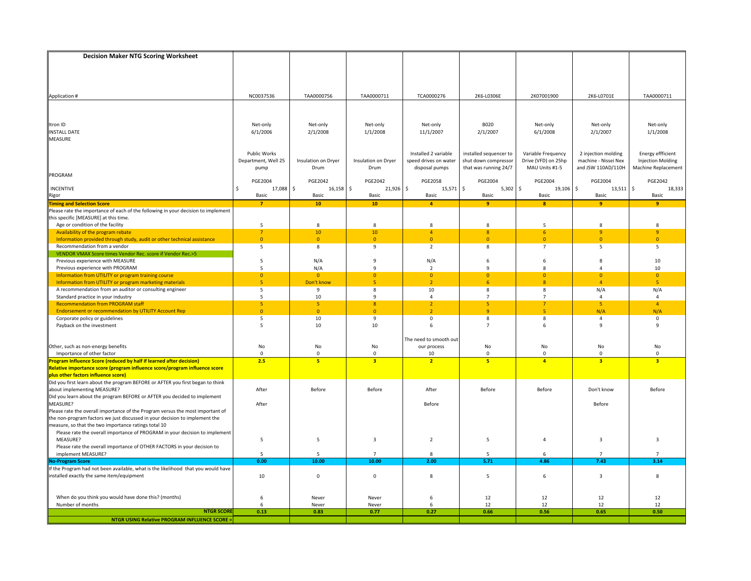| <b>Decision Maker NTG Scoring Worksheet</b>                                                                                                      |                     |                      |                                   |                                  |                        |                                  |                            |                                        |
|--------------------------------------------------------------------------------------------------------------------------------------------------|---------------------|----------------------|-----------------------------------|----------------------------------|------------------------|----------------------------------|----------------------------|----------------------------------------|
|                                                                                                                                                  |                     |                      |                                   |                                  |                        |                                  |                            |                                        |
|                                                                                                                                                  |                     |                      |                                   |                                  |                        |                                  |                            |                                        |
|                                                                                                                                                  |                     |                      |                                   |                                  |                        |                                  |                            |                                        |
|                                                                                                                                                  |                     |                      |                                   |                                  |                        |                                  |                            |                                        |
| Application #                                                                                                                                    | NC0037536           | TAA0000756           | TAA0000711                        | TCA0000276                       | 2K6-L0306E             | 2K07001900                       | 2K6-L0701E                 | TAA0000711                             |
|                                                                                                                                                  |                     |                      |                                   |                                  |                        |                                  |                            |                                        |
|                                                                                                                                                  |                     |                      |                                   |                                  |                        |                                  |                            |                                        |
| Itron ID                                                                                                                                         | Net-only            | Net-only             | Net-only                          | Net-only                         | <b>B020</b>            | Net-only                         | Net-only                   | Net-only                               |
| <b>INSTALL DATE</b>                                                                                                                              | 6/1/2006            | 2/1/2008             | 1/1/2008                          | 11/1/2007                        | 2/1/2007               | 6/1/2008                         | 2/1/2007                   | 1/1/2008                               |
| <b>MEASURE</b>                                                                                                                                   |                     |                      |                                   |                                  |                        |                                  |                            |                                        |
|                                                                                                                                                  |                     |                      |                                   |                                  |                        |                                  |                            |                                        |
|                                                                                                                                                  | Public Works        |                      |                                   | Installed 2 variable             | installed sequencer to | Variable Frequency               | 2 injection molding        | <b>Energy effficient</b>               |
|                                                                                                                                                  | Department, Well 25 | Insulation on Dryer  | Insulation on Dryer               | speed drives on water            | shut down compressor   | Drive (VFD) on 25hp              | machine - Nissei Nex       | <b>Injection Molding</b>               |
| PROGRAM                                                                                                                                          | pump                | Drum                 | Drum                              | disposal pumps                   | that was running 24/7  | MAU Units #1-5                   | and JSW 110AD/110H         | Machine Replacement                    |
|                                                                                                                                                  | <b>PGE2004</b>      | <b>PGE2042</b>       | <b>PGE2042</b>                    | <b>PGE2058</b>                   | <b>PGE2004</b>         | <b>PGE2004</b>                   | <b>PGE2004</b>             | PGE2042                                |
| <b>INCENTIVE</b>                                                                                                                                 | 17,088 \$<br>\$     | 16,158               | \$<br>21,926                      | $\frac{1}{2}$<br>15,571          | l s<br>$5,302$ \$      | 19,106 \$                        | 13,511                     | \$<br>18,333                           |
| Rigor                                                                                                                                            | Basic               | Basic                | Basic                             | Basic                            | Basic                  | Basic                            | Basic                      | Basic                                  |
| <b>Timing and Selection Score</b>                                                                                                                | $\overline{7}$      | 10                   | 10                                | 4                                | $\overline{9}$         | $\bf{8}$                         | 9                          | -9                                     |
| Please rate the importance of each of the following in your decision to implement                                                                |                     |                      |                                   |                                  |                        |                                  |                            |                                        |
| this specific [MEASURE] at this time.                                                                                                            |                     |                      |                                   |                                  |                        |                                  |                            |                                        |
| Age or condition of the facility                                                                                                                 | 5                   | 8                    | 8                                 | 8                                | 8                      | 5                                | 8                          | 8                                      |
| Availability of the program rebate<br>Information provided through study, audit or other technical assistance                                    | 7<br>$\overline{0}$ | 10<br>$\overline{0}$ | 10 <sup>°</sup><br>$\overline{0}$ | $\overline{4}$<br>$\overline{0}$ | 8<br>$\overline{0}$    | 6<br>$\overline{0}$              | $\overline{9}$<br>$\Omega$ | $\overline{9}$<br>$\overline{0}$       |
| Recommendation from a vendor                                                                                                                     | 5                   | 8                    | 9                                 | $\overline{2}$                   | 8                      | $\overline{7}$                   | 5                          | 5                                      |
| VENDOR VMAX Score times Vendor Rec. score if Vendor Rec.>5                                                                                       |                     |                      |                                   |                                  |                        |                                  |                            |                                        |
| Previous experience with MEASURE                                                                                                                 | 5                   | N/A                  | $\mathbf{q}$                      | N/A                              | 6                      | 6                                | 8                          | 10                                     |
| Previous experience with PROGRAM                                                                                                                 | 5                   | N/A                  | $\mathbf{q}$                      | $\overline{2}$                   | $\mathbf{q}$           | 8                                | $\Delta$                   | 10                                     |
| Information from UTILITY or program training course                                                                                              | $\overline{0}$      | $\overline{0}$       | $\Omega$                          | $\overline{0}$                   | $\overline{0}$         | $\Omega$                         | $\Omega$                   | $\overline{0}$                         |
| Information from UTILITY or program marketing materials                                                                                          | 5 <sup>1</sup>      | Don't know           | $\overline{\phantom{a}}$          | 2 <sup>1</sup>                   | 6                      | $\overline{8}$                   | $\Delta$                   | $\overline{5}$                         |
| A recommendation from an auditor or consulting engineer                                                                                          | 5                   | 9                    | 8                                 | 10                               | 8                      | 8                                | N/A                        | N/A                                    |
| Standard practice in your industry<br><b>Recommendation from PROGRAM staff</b>                                                                   | 5<br>5 <sub>5</sub> | 10<br>5              | 9<br>8                            | $\overline{4}$<br>2 <sup>7</sup> | $\overline{7}$<br>5    | $\overline{7}$<br>$\overline{7}$ | 4<br>5                     | $\overline{4}$<br>$\overline{4}$       |
| <b>Endorsement or recommendation by UTILITY Account Rep</b>                                                                                      | $\mathbf{0}$        | $\overline{0}$       | $\mathbf{0}$                      | $\overline{2}$                   | $\overline{q}$         | 5                                | N/A                        | N/A                                    |
| Corporate policy or guidelines                                                                                                                   | 5                   | 10                   | 9                                 | 0                                | 8                      | 8                                | $\overline{4}$             | 0                                      |
| Payback on the investment                                                                                                                        | 5                   | 10                   | 10                                | 6                                | $\overline{7}$         | 6                                | $\mathsf{q}$               | 9                                      |
|                                                                                                                                                  |                     |                      |                                   |                                  |                        |                                  |                            |                                        |
|                                                                                                                                                  |                     |                      |                                   | The need to smooth out           |                        |                                  |                            |                                        |
| Other, such as non-energy benefits                                                                                                               | No                  | No                   | No                                | our process                      | No                     | No                               | No                         | No                                     |
| Importance of other factor                                                                                                                       | $\mathbf 0$<br>2.5  | $\mathbf{0}$<br>5    | $\mathbf 0$<br>$\overline{3}$     | 10<br>2 <sup>7</sup>             | $\mathbf 0$<br>5       | $\mathbf 0$<br>$\overline{4}$    | $\Omega$<br>3              | $\mathbf 0$<br>$\overline{\mathbf{3}}$ |
| rogram Influence Score (reduced by half if learned after decision)<br>Relative importance score (program influence score/program influence score |                     |                      |                                   |                                  |                        |                                  |                            |                                        |
|                                                                                                                                                  |                     |                      |                                   |                                  |                        |                                  |                            |                                        |
| plus other factors influence score)<br>Did you first learn about the program BEFORE or AFTER you first began to think                            |                     |                      |                                   |                                  |                        |                                  |                            |                                        |
| about implementing MEASURE?                                                                                                                      | After               | Before               | Before                            | After                            | Before                 | Before                           | Don't know                 | Before                                 |
| Did you learn about the program BEFORE or AFTER you decided to implement<br>MEASURE?                                                             |                     |                      |                                   |                                  |                        |                                  |                            |                                        |
|                                                                                                                                                  | After               |                      |                                   | Before                           |                        |                                  | Before                     |                                        |
| Please rate the overall importance of the Program versus the most important of                                                                   |                     |                      |                                   |                                  |                        |                                  |                            |                                        |
| the non-program factors we just discussed in your decision to implement the<br>measure, so that the two importance ratings total 10              |                     |                      |                                   |                                  |                        |                                  |                            |                                        |
| Please rate the overall importance of PROGRAM in your decision to implement                                                                      |                     |                      |                                   |                                  |                        |                                  |                            |                                        |
| MEASURE?                                                                                                                                         | 5                   | 5                    | 3                                 | $\overline{2}$                   | 5                      | $\overline{4}$                   | 3                          | $\overline{3}$                         |
| Please rate the overall importance of OTHER FACTORS in your decision to                                                                          |                     |                      |                                   |                                  |                        |                                  |                            |                                        |
| implement MEASURE?                                                                                                                               | 5                   | 5                    | $\overline{7}$                    | 8                                | 5                      | 6                                | $\overline{7}$             | $\overline{7}$                         |
| <b>Jo-Program Score</b>                                                                                                                          | 0.00                | 10.00                | 10.00                             | 2.00                             | 5.71                   | 4.86                             | 7.43                       | 3.14                                   |
| If the Program had not been available, what is the likelihood that you would have                                                                |                     |                      |                                   |                                  |                        |                                  |                            |                                        |
| installed exactly the same item/equipment                                                                                                        | 10                  | $\Omega$             | $\mathbf 0$                       | 8                                | 5                      | 6                                | $\overline{3}$             | 8                                      |
|                                                                                                                                                  |                     |                      |                                   |                                  |                        |                                  |                            |                                        |
| When do you think you would have done this? (months)                                                                                             | 6                   | Never                | Never                             | 6                                | 12                     | 12                               | 12                         | 12                                     |
| Number of months                                                                                                                                 | 6                   | Never                | Never                             | 6                                | 12                     | 12                               | 12                         | 12                                     |
| <b>NTGR SCORE</b>                                                                                                                                | 0.13                | 0.83                 | 0.77                              | 0.27                             | 0.66                   | 0.56                             | 0.65                       | 0.50                                   |
| <b>NTGR USING Relative PROGRAM INFLUENCE SCORE =</b>                                                                                             |                     |                      |                                   |                                  |                        |                                  |                            |                                        |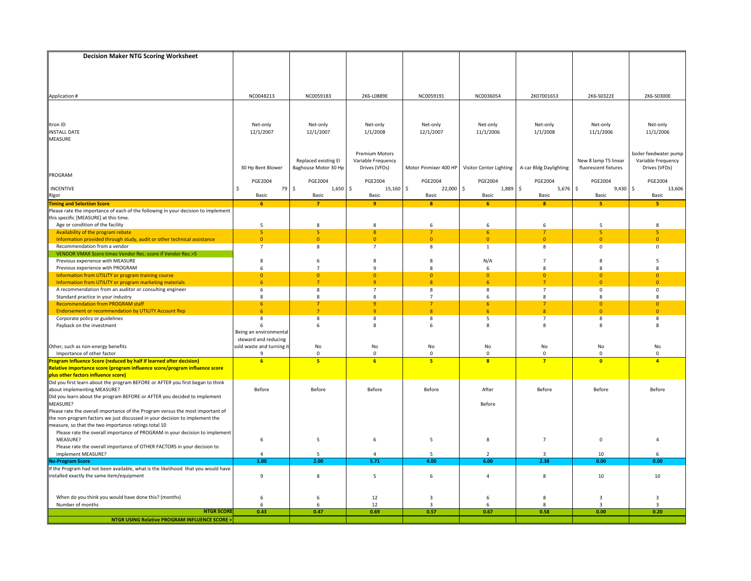| <b>Decision Maker NTG Scoring Worksheet</b>                                                                           |                                |                      |                       |                         |                         |                        |                            |                       |
|-----------------------------------------------------------------------------------------------------------------------|--------------------------------|----------------------|-----------------------|-------------------------|-------------------------|------------------------|----------------------------|-----------------------|
|                                                                                                                       |                                |                      |                       |                         |                         |                        |                            |                       |
|                                                                                                                       |                                |                      |                       |                         |                         |                        |                            |                       |
|                                                                                                                       |                                |                      |                       |                         |                         |                        |                            |                       |
|                                                                                                                       |                                |                      |                       |                         |                         |                        |                            |                       |
| Application #                                                                                                         | NC0048213                      | NC0059183            | 2K6-L0889E            | NC0059191               | NC0036054               | 2K07001653             | 2K6-S0322E                 | 2K6-S0300E            |
|                                                                                                                       |                                |                      |                       |                         |                         |                        |                            |                       |
|                                                                                                                       |                                |                      |                       |                         |                         |                        |                            |                       |
|                                                                                                                       |                                |                      |                       |                         |                         |                        |                            |                       |
| Itron ID                                                                                                              | Net-only                       | Net-only             | Net-only              | Net-only                | Net-only                | Net-only               | Net-only                   | Net-only              |
| <b>INSTALL DATE</b>                                                                                                   | 12/1/2007                      | 12/1/2007            | 1/1/2008              | 12/1/2007               | 11/1/2006               | 1/1/2008               | 11/1/2006                  | 11/1/2006             |
| MEASURE                                                                                                               |                                |                      |                       |                         |                         |                        |                            |                       |
|                                                                                                                       |                                |                      | <b>Premium Motors</b> |                         |                         |                        |                            | boiler feedwater pump |
|                                                                                                                       |                                | Replaced existing EI | Variable Frequency    |                         |                         |                        | New 8 lamp T5 linear       | Variable Frequency    |
|                                                                                                                       | 30 Hp Bent Blower              | Baghouse Motor 30 Hp | Drives (VFDs)         | Motor Pinmixer 400 HP   | Visitor Center Lighting | A-car Bldg Daylighting | fluorescent fixtures       | Drives (VFDs)         |
| PROGRAM                                                                                                               |                                |                      |                       |                         |                         |                        |                            |                       |
|                                                                                                                       | <b>PGE2004</b>                 | <b>PGE2004</b>       | <b>PGE2004</b>        | <b>PGE2004</b>          | <b>PGE2004</b>          | <b>PGE2004</b>         | <b>PGE2004</b>             | <b>PGE2004</b>        |
| INCENTIVE                                                                                                             | 79<br>\$.                      | \$<br>$1,650$ \$     | 15,160                | $\frac{1}{2}$<br>22,000 | $\sim$<br>1,889         | $5,676$ \$<br>\$       | $9,430$ \$                 | 13,606                |
| <b>Rigor</b><br>Timing and Selection Score                                                                            | Basic                          | Basic                | Basic                 | Basic                   | Basic                   | Basic                  | Basic                      | Basic                 |
|                                                                                                                       | 6                              | $\overline{7}$       | 9                     | $\mathbf{8}$            | 6                       | $\mathbf{8}$           | 5                          | 5                     |
| Please rate the importance of each of the following in your decision to implement                                     |                                |                      |                       |                         |                         |                        |                            |                       |
| this specific [MEASURE] at this time.                                                                                 |                                |                      |                       |                         |                         |                        |                            |                       |
| Age or condition of the facility                                                                                      | 5                              | 8                    | 8                     | 6                       | 6                       | 6                      | 5                          | $\mathbf{R}$          |
| Availability of the program rebate                                                                                    | 5 <sub>1</sub><br>$\mathbf{0}$ | 5<br>$\overline{0}$  | 8<br>$\mathbf{0}$     | $\mathbf{0}$            | 6<br>$\mathbf{0}$       | 7<br>$\mathbf{0}$      | 5 <sub>1</sub><br>$\Omega$ | 5<br>$\Omega$         |
| Information provided through study, audit or other technical assistance<br>Recommendation from a vendor               | $\overline{7}$                 | 8                    | $\overline{7}$        | 8                       | $\mathbf{1}$            | 8                      | $\Omega$                   | 0                     |
| VENDOR VMAX Score times Vendor Rec. score if Vendor Rec.>5                                                            |                                |                      |                       |                         |                         |                        |                            |                       |
| Previous experience with MEASURE                                                                                      | 8                              | 6                    | 8                     | 8                       | N/A                     | $\overline{7}$         | 8                          | 5                     |
| Previous experience with PROGRAM                                                                                      | 6                              | $\overline{7}$       | $\mathbf{q}$          | 8                       | 6                       | 8                      | 8                          | 8                     |
| Information from UTILITY or program training course                                                                   | $\overline{0}$                 | $\overline{0}$       | $\Omega$              | $\overline{0}$          | $\overline{0}$          | $\overline{0}$         | $\Omega$                   | $\overline{0}$        |
| Information from UTILITY or program marketing materials                                                               | 6 <sup>1</sup>                 | $\overline{7}$       | $\mathbf{q}$          | 8 <sup>°</sup>          | 6                       | $\overline{7}$         | $\Omega$                   | $\overline{0}$        |
| A recommendation from an auditor or consulting engineer                                                               | 6                              | 8                    | $\overline{7}$        | 8                       | 8                       | $\overline{7}$         | $\mathbf 0$                | 0                     |
| Standard practice in your industry                                                                                    | 8                              | 8                    | 8                     | $\overline{7}$          | 6                       | 8                      | 8                          | 8                     |
| <b>Recommendation from PROGRAM staff</b>                                                                              | 6                              | $\overline{7}$       | $\mathbf{q}$          | $\overline{7}$          | 6                       | $\overline{7}$         | $\overline{0}$             | $\Omega$              |
| <b>Endorsement or recommendation by UTILITY Account Rep</b>                                                           | 6                              | $\overline{7}$       | $\mathbf{q}$          | $\overline{8}$          | 6                       | 8                      | $\Omega$                   | $\Omega$              |
| Corporate policy or guidelines                                                                                        | 8<br>6                         | 8<br>6               | 8<br>8                | 8<br>6                  | 5<br>8                  | $\overline{7}$<br>8    | 8<br>8                     | 8<br>8                |
| Payback on the investment                                                                                             | Being an environmental         |                      |                       |                         |                         |                        |                            |                       |
|                                                                                                                       | steward and reducing           |                      |                       |                         |                         |                        |                            |                       |
| Other, such as non-energy benefits                                                                                    | sold waste and turning         | No                   | No                    | No                      | No                      | No                     | No                         | No                    |
| Importance of other factor                                                                                            | 9                              | $\mathbf{0}$         | $\Omega$              | $\mathbf{0}$            | $\mathbf 0$             | $\mathbf{0}$           | $\Omega$                   | $\Omega$              |
| Program Influence Score (reduced by half if learned after decision)                                                   | 6 <sup>1</sup>                 | 5                    | 6                     | 5 <sup>1</sup>          | $\overline{\mathbf{a}}$ | $\overline{7}$         | $\overline{0}$             | $\overline{a}$        |
| Relative importance score (program influence score/program influence score                                            |                                |                      |                       |                         |                         |                        |                            |                       |
| plus other factors influence score)<br>Did you first learn about the program BEFORE or AFTER you first began to think |                                |                      |                       |                         |                         |                        |                            |                       |
|                                                                                                                       |                                |                      |                       |                         |                         |                        |                            |                       |
| about implementing MEASURE?<br>Did you learn about the program BEFORE or AFTER you decided to implement               | Before                         | Before               | Before                | Before                  | After                   | Before                 | Before                     | Before                |
| MEASURE?                                                                                                              |                                |                      |                       |                         | Before                  |                        |                            |                       |
| Please rate the overall importance of the Program versus the most important of                                        |                                |                      |                       |                         |                         |                        |                            |                       |
| the non-program factors we just discussed in your decision to implement the                                           |                                |                      |                       |                         |                         |                        |                            |                       |
| measure, so that the two importance ratings total 10                                                                  |                                |                      |                       |                         |                         |                        |                            |                       |
| Please rate the overall importance of PROGRAM in your decision to implement                                           |                                |                      |                       |                         |                         |                        |                            |                       |
| MEASURE?                                                                                                              | 6                              | 5                    | 6                     | 5                       | 8                       | $\overline{7}$         | $\mathbf 0$                |                       |
| Please rate the overall importance of OTHER FACTORS in your decision to                                               |                                |                      |                       |                         |                         |                        |                            |                       |
| implement MEASURE?                                                                                                    | 4                              | 5                    |                       | 5                       | $\overline{2}$          | 3                      | 10                         | 6                     |
| <b>No-Program Score</b>                                                                                               | 1.00                           | 2.00                 | 5.71                  | 4.00                    | 6.00                    | 2.38                   | 0.00                       | 0.00                  |
| If the Program had not been available, what is the likelihood that you would have                                     |                                |                      |                       |                         |                         |                        |                            |                       |
| installed exactly the same item/equipment                                                                             | 9                              | 8                    | 5                     | 6                       | 4                       | 8                      | 10                         | 10                    |
|                                                                                                                       |                                |                      |                       |                         |                         |                        |                            |                       |
| When do you think you would have done this? (months)                                                                  | 6                              | 6                    | 12                    | 3                       | 6                       | 8                      | 3                          | $\overline{3}$        |
| Number of months                                                                                                      | 6                              | 6                    | 12                    | 3                       | 6                       | 8                      | $\overline{3}$             | $\overline{3}$        |
| <b>NTGR SCORE</b>                                                                                                     | 0.43                           | 0.47                 | 0.69                  | 0.57                    | 0.67                    | 0.58                   | 0.00                       | 0.20                  |
| <b>NTGR USING Relative PROGRAM INFLUENCE SCORE =</b>                                                                  |                                |                      |                       |                         |                         |                        |                            |                       |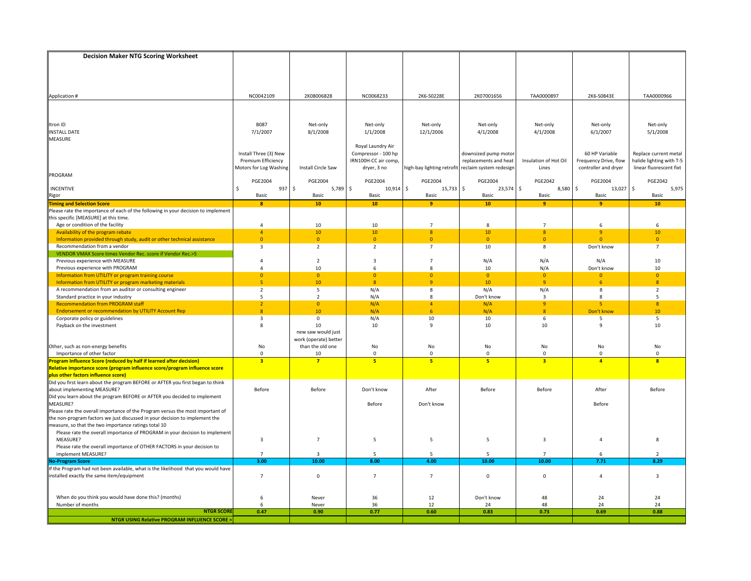| <b>Decision Maker NTG Scoring Worksheet</b>                                                                                  |                           |                       |                                          |                                                    |                       |                                        |                               |                                     |
|------------------------------------------------------------------------------------------------------------------------------|---------------------------|-----------------------|------------------------------------------|----------------------------------------------------|-----------------------|----------------------------------------|-------------------------------|-------------------------------------|
|                                                                                                                              |                           |                       |                                          |                                                    |                       |                                        |                               |                                     |
|                                                                                                                              |                           |                       |                                          |                                                    |                       |                                        |                               |                                     |
|                                                                                                                              |                           |                       |                                          |                                                    |                       |                                        |                               |                                     |
|                                                                                                                              |                           |                       |                                          |                                                    |                       |                                        |                               |                                     |
| Application #                                                                                                                | NC0042109                 | 2K08006828            | NC0068233                                | 2K6-S0228E                                         | 2K07001656            | TAA0000897                             | 2K6-S0843E                    | TAA0000966                          |
|                                                                                                                              |                           |                       |                                          |                                                    |                       |                                        |                               |                                     |
|                                                                                                                              |                           |                       |                                          |                                                    |                       |                                        |                               |                                     |
|                                                                                                                              |                           |                       |                                          |                                                    |                       |                                        |                               |                                     |
| Itron ID                                                                                                                     | <b>B087</b>               | Net-only              | Net-only                                 | Net-only                                           | Net-only              | Net-only                               | Net-only                      | Net-only                            |
| <b>INSTALL DATE</b>                                                                                                          | 7/1/2007                  | 8/1/2008              | 1/1/2008                                 | 12/1/2006                                          | 4/1/2008              | 4/1/2008                               | 6/1/2007                      | 5/1/2008                            |
| MEASURE                                                                                                                      |                           |                       |                                          |                                                    |                       |                                        |                               |                                     |
|                                                                                                                              | Install Three (3) New     |                       | Royal Laundry Air<br>Compressor - 100 hp |                                                    | downsized pump motor  |                                        | 60 HP Variable                | Replace current metal               |
|                                                                                                                              | <b>Premium Efficiency</b> |                       | IRN100H-CC air comp,                     |                                                    | replacements and heat | Insulation of Hot Oil                  | Frequency Drive, flow         | halide lighting with T-5            |
|                                                                                                                              | Motors for Log Washing    | Install Circle Saw    | dryer, 3 no                              | high-bay lighting retrofit reclaim system redesign |                       | Lines                                  | controller and dryer          | linear fluorescent fixt             |
| PROGRAM                                                                                                                      |                           |                       |                                          |                                                    |                       |                                        |                               |                                     |
|                                                                                                                              | <b>PGE2004</b>            | <b>PGE2004</b>        | <b>PGE2004</b>                           | <b>PGE2004</b>                                     | <b>PGE2004</b>        | <b>PGE2042</b>                         | <b>PGE2004</b>                | <b>PGE2042</b>                      |
| INCENTIVE                                                                                                                    | 937 \$<br>Ŝ.              | 5,789                 | \$<br>$10,914$ \$                        | 15,733 \$                                          | $23,574$ \$           | 8,580 \$                               | 13,027                        | \$<br>5,975                         |
| <b>Rigor</b><br>Timing and Selection Score                                                                                   | Basic                     | Basic                 | Basic                                    | Basic                                              | Basic                 | Basic                                  | Basic                         | Basic                               |
|                                                                                                                              | 8                         | 10                    | 10                                       | -9                                                 | 10                    | 9                                      | $\overline{9}$                | 10                                  |
| Please rate the importance of each of the following in your decision to implement                                            |                           |                       |                                          |                                                    |                       |                                        |                               |                                     |
| this specific [MEASURE] at this time.                                                                                        |                           |                       |                                          |                                                    |                       |                                        |                               |                                     |
| Age or condition of the facility                                                                                             | 4                         | 10                    | 10                                       | $\overline{7}$                                     | 8                     | $\overline{7}$                         | 6                             | 6                                   |
| Availability of the program rebate                                                                                           | $\overline{4}$            | 10                    | 10                                       | 8                                                  | 10                    | $\boldsymbol{8}$                       | $\overline{9}$                | 10                                  |
| Information provided through study, audit or other technical assistance                                                      | $\overline{0}$            | $\overline{0}$        | $\overline{0}$                           | $\overline{0}$                                     | $\overline{0}$        | $\overline{0}$                         | $\Omega$                      | $\overline{0}$                      |
| Recommendation from a vendor<br>VENDOR VMAX Score times Vendor Rec. score if Vendor Rec.>5                                   | 3                         | $\overline{2}$        | $\overline{2}$                           | $\overline{7}$                                     | 10                    | 8                                      | Don't know                    | $\overline{7}$                      |
| Previous experience with MEASURE                                                                                             | 4                         | $\overline{2}$        | 3                                        | $\overline{7}$                                     | N/A                   | N/A                                    | N/A                           | 10                                  |
| Previous experience with PROGRAM                                                                                             | 4                         | 10                    | 6                                        | 8                                                  | 10                    | N/A                                    | Don't know                    | 10                                  |
| Information from UTILITY or program training course                                                                          | $\overline{0}$            | $\overline{0}$        | $\mathbf{0}$                             | $\mathbf{0}$                                       | $\overline{0}$        | $\overline{0}$                         | $\Omega$                      | $\Omega$                            |
| Information from UTILITY or program marketing materials                                                                      | 5 <sup>1</sup>            | 10                    | 8 <sup>°</sup>                           | $\overline{q}$                                     | 10                    | $\overline{9}$                         | 6                             | $\overline{8}$                      |
| A recommendation from an auditor or consulting engineer                                                                      | $\overline{2}$            | 5                     | N/A                                      | 8                                                  | N/A                   | N/A                                    | 8                             | $\overline{2}$                      |
| Standard practice in your industry                                                                                           | 5                         | $\overline{2}$        | N/A                                      | 8                                                  | Don't know            | 3                                      | 8                             | -5                                  |
| <b>Recommendation from PROGRAM staff</b>                                                                                     | 2 <sup>1</sup>            | $\overline{0}$        | N/A                                      | $\overline{4}$                                     | N/A                   | 9                                      | 5 <sub>1</sub>                | $\mathbf{8}$                        |
| <b>Endorsement or recommendation by UTILITY Account Rep</b>                                                                  | $\boldsymbol{8}$          | 10                    | N/A                                      | 6                                                  | N/A                   | $\boldsymbol{8}$                       | Don't know                    | 10                                  |
| Corporate policy or guidelines                                                                                               | $\overline{3}$            | $\mathbf 0$           | N/A                                      | 10                                                 | 10                    | 6                                      | 5                             | 5                                   |
| Payback on the investment                                                                                                    | 8                         | 10                    | 10                                       | 9                                                  | 10                    | 10                                     | $\mathbf{q}$                  | 10                                  |
|                                                                                                                              |                           | new saw would just    |                                          |                                                    |                       |                                        |                               |                                     |
|                                                                                                                              |                           | work (operate) better |                                          |                                                    |                       |                                        |                               |                                     |
| Other, such as non-energy benefits                                                                                           | No                        | than the old one      | No                                       | No                                                 | No                    | No                                     | No                            | No                                  |
| Importance of other factor<br>Program Influence Score (reduced by half if learned after decision)                            | $\mathbf 0$<br>3          | 10<br>$\overline{7}$  | $\mathbf 0$<br>5                         | $\mathbf{0}$<br>5                                  | $\mathbf 0$<br>5      | $\mathbf 0$<br>$\overline{\mathbf{3}}$ | $\mathbf 0$<br>$\overline{a}$ | $\Omega$<br>$\overline{\mathbf{a}}$ |
| Relative importance score (program influence score/program influence score                                                   |                           |                       |                                          |                                                    |                       |                                        |                               |                                     |
|                                                                                                                              |                           |                       |                                          |                                                    |                       |                                        |                               |                                     |
| <b>plus other factors influence score)</b><br>Did you first learn about the program BEFORE or AFTER you first began to think |                           |                       |                                          |                                                    |                       |                                        |                               |                                     |
| about implementing MEASURE?                                                                                                  | Before                    | Before                | Don't know                               | After                                              | Before                | Before                                 | After                         | Before                              |
| Did you learn about the program BEFORE or AFTER you decided to implement                                                     |                           |                       |                                          |                                                    |                       |                                        |                               |                                     |
| MEASURE?                                                                                                                     |                           |                       | Before                                   | Don't know                                         |                       |                                        | Before                        |                                     |
| Please rate the overall importance of the Program versus the most important of                                               |                           |                       |                                          |                                                    |                       |                                        |                               |                                     |
| the non-program factors we just discussed in your decision to implement the                                                  |                           |                       |                                          |                                                    |                       |                                        |                               |                                     |
| measure, so that the two importance ratings total 10                                                                         |                           |                       |                                          |                                                    |                       |                                        |                               |                                     |
| Please rate the overall importance of PROGRAM in your decision to implement                                                  |                           |                       |                                          |                                                    |                       |                                        |                               |                                     |
| MEASURE?                                                                                                                     | 3                         | $\overline{7}$        | 5                                        | 5                                                  | 5                     | 3                                      | $\overline{4}$                | 8                                   |
| Please rate the overall importance of OTHER FACTORS in your decision to                                                      |                           |                       |                                          |                                                    |                       |                                        |                               |                                     |
| implement MEASURE?<br><b>No-Program Score</b>                                                                                | $\overline{7}$<br>3.00    | 3<br>10.00            | 5<br>8.00                                | 5<br>4.00                                          | 5<br>10.00            | $\overline{7}$<br>10.00                | 6<br>7.71                     | $\overline{2}$<br>8.29              |
| If the Program had not been available, what is the likelihood that you would have                                            |                           |                       |                                          |                                                    |                       |                                        |                               |                                     |
| installed exactly the same item/equipment                                                                                    | $\overline{7}$            | $\mathbf 0$           | $\overline{7}$                           | $\overline{7}$                                     | $\mathsf 0$           | $\mathbf 0$                            | $\overline{4}$                | $\overline{\mathbf{3}}$             |
|                                                                                                                              |                           |                       |                                          |                                                    |                       |                                        |                               |                                     |
|                                                                                                                              |                           |                       |                                          |                                                    |                       |                                        |                               |                                     |
| When do you think you would have done this? (months)                                                                         | 6                         | Never                 | 36                                       | 12                                                 | Don't know            | 48                                     | 24                            | 24                                  |
| Number of months                                                                                                             | 6                         | Never                 | 36                                       | 12                                                 | 24                    | 48                                     | 24                            | 24                                  |
| <b>NTGR SCORE</b>                                                                                                            | 0.47                      | 0.90                  | 0.77                                     | 0.60                                               | 0.83                  | 0.73                                   | 0.69                          | 0.88                                |
| <b>NTGR USING Relative PROGRAM INFLUENCE SCORE =</b>                                                                         |                           |                       |                                          |                                                    |                       |                                        |                               |                                     |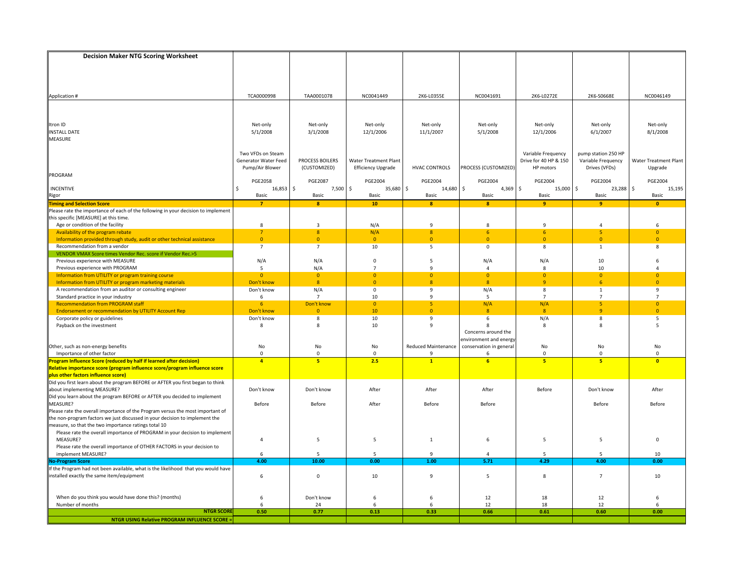| <b>Decision Maker NTG Scoring Worksheet</b>                                                                                                                   |                      |                                                    |                           |                      |                         |                               |                                     |                              |
|---------------------------------------------------------------------------------------------------------------------------------------------------------------|----------------------|----------------------------------------------------|---------------------------|----------------------|-------------------------|-------------------------------|-------------------------------------|------------------------------|
|                                                                                                                                                               |                      |                                                    |                           |                      |                         |                               |                                     |                              |
|                                                                                                                                                               |                      |                                                    |                           |                      |                         |                               |                                     |                              |
|                                                                                                                                                               |                      |                                                    |                           |                      |                         |                               |                                     |                              |
|                                                                                                                                                               |                      |                                                    |                           |                      |                         |                               |                                     |                              |
| Application #                                                                                                                                                 | TCA0000998           | TAA0001078                                         | NC0041449                 | 2K6-L0355E           | NC0041691               | 2K6-L0272E                    | 2K6-S0668E                          | NC0046149                    |
|                                                                                                                                                               |                      |                                                    |                           |                      |                         |                               |                                     |                              |
|                                                                                                                                                               |                      |                                                    |                           |                      |                         |                               |                                     |                              |
| Itron ID                                                                                                                                                      | Net-only             | Net-only                                           | Net-only                  | Net-only             | Net-only                | Net-only                      | Net-only                            | Net-only                     |
| <b>INSTALL DATE</b>                                                                                                                                           | 5/1/2008             | 3/1/2008                                           | 12/1/2006                 | 11/1/2007            | 5/1/2008                | 12/1/2006                     | 6/1/2007                            | 8/1/2008                     |
| MEASURE                                                                                                                                                       |                      |                                                    |                           |                      |                         |                               |                                     |                              |
|                                                                                                                                                               |                      |                                                    |                           |                      |                         |                               |                                     |                              |
|                                                                                                                                                               | Two VFDs on Steam    |                                                    |                           |                      |                         | Variable Frequency            | pump station 250 HP                 |                              |
|                                                                                                                                                               | Generator Water Feed | PROCESS BOILERS                                    | Water Treatment Plant     |                      |                         | Drive for 40 HP & 150         | Variable Frequency                  | <b>Water Treatment Plant</b> |
| PROGRAM                                                                                                                                                       | Pump/Air Blower      | (CUSTOMIZED)                                       | <b>Efficiency Upgrade</b> | <b>HVAC CONTROLS</b> | PROCESS (CUSTOMIZED)    | HP motors                     | Drives (VFDs)                       | Upgrade                      |
|                                                                                                                                                               | <b>PGE2058</b>       | <b>PGE2087</b>                                     | <b>PGE2004</b>            | <b>PGE2004</b>       | <b>PGE2004</b>          | <b>PGE2004</b>                | <b>PGE2004</b>                      | <b>PGE2004</b>               |
| INCENTIVE                                                                                                                                                     | $16,853$ \$<br>\$    | 7,500                                              | \$<br>35,680              | \$<br>14,680         | l\$<br>$4,369$ \$       | 15,000 \$                     | 23,288                              | \$<br>15,195                 |
| <b>Rigor</b><br>Timing and Selection Score                                                                                                                    | Basic                | Basic                                              | Basic                     | Basic                | Basic                   | <b>Basic</b>                  | Basic                               | Basic                        |
|                                                                                                                                                               | $\overline{7}$       | $\boldsymbol{8}$                                   | 10                        | 8                    | $\bf{8}$                | -9                            | $\overline{9}$                      | $\bullet$                    |
| Please rate the importance of each of the following in your decision to implement                                                                             |                      |                                                    |                           |                      |                         |                               |                                     |                              |
| this specific [MEASURE] at this time.                                                                                                                         |                      |                                                    |                           |                      |                         |                               |                                     |                              |
| Age or condition of the facility                                                                                                                              | 8                    | $\overline{\mathbf{3}}$<br>$\overline{\mathbf{8}}$ | N/A                       | 9<br>8               | 8<br>6                  | 9                             | $\overline{4}$<br>5                 | 6<br>$\overline{0}$          |
| Availability of the program rebate<br>Information provided through study, audit or other technical assistance                                                 | $\overline{0}$       | $\overline{0}$                                     | N/A<br>$\overline{0}$     | $\Omega$             | $\overline{0}$          | 6<br>$\overline{0}$           | $\Omega$                            | $\overline{0}$               |
| Recommendation from a vendor                                                                                                                                  | $\overline{7}$       | $\overline{7}$                                     | 10                        | 5                    | $\mathsf 0$             | 8                             | $\mathbf{1}$                        | 8                            |
| VENDOR VMAX Score times Vendor Rec. score if Vendor Rec.>5                                                                                                    |                      |                                                    |                           |                      |                         |                               |                                     |                              |
| Previous experience with MEASURE                                                                                                                              | N/A                  | N/A                                                | $\mathsf 0$               | 5                    | N/A                     | N/A                           | 10                                  | 6                            |
| Previous experience with PROGRAM                                                                                                                              | 5                    | N/A                                                | $\overline{7}$            | 9                    | 4                       | 8                             | 10                                  | $\Delta$                     |
| Information from UTILITY or program training course                                                                                                           | $\overline{0}$       | $\overline{0}$                                     | $\Omega$                  | $\overline{0}$       | $\overline{0}$          | $\mathbf{0}$                  | $\Omega$                            | $\Omega$                     |
| Information from UTILITY or program marketing materials                                                                                                       | Don't know           | $\boldsymbol{8}$                                   | $\mathbf{0}$              | $\overline{8}$       | $\overline{8}$          | $\overline{9}$                | 6                                   | $\Omega$                     |
| A recommendation from an auditor or consulting engineer                                                                                                       | Don't know           | N/A<br>$\overline{7}$                              | $\mathsf 0$               | 9                    | N/A                     | 8                             | $\mathbf{1}$                        | 9<br>$\overline{7}$          |
| Standard practice in your industry<br><b>Recommendation from PROGRAM staff</b>                                                                                | 6<br>6 <sup>1</sup>  | Don't know                                         | 10<br>$\overline{0}$      | 9<br>5 <sub>5</sub>  | 5<br>N/A                | $\overline{7}$<br>N/A         | $\overline{7}$<br>5 <sub>1</sub>    | $\overline{0}$               |
| <b>Endorsement or recommendation by UTILITY Account Rep</b>                                                                                                   | Don't know           | $\mathbf{0}$                                       | 10                        | $\overline{0}$       | $\bf{8}$                | $\mathbf{8}$                  | $\overline{9}$                      | $\mathbf{0}$                 |
| Corporate policy or guidelines                                                                                                                                | Don't know           | 8                                                  | 10                        | 9                    | 6                       | N/A                           | 8                                   | 5                            |
| Payback on the investment                                                                                                                                     | 8                    | 8                                                  | 10                        | 9                    | 8                       | 8                             | 8                                   | 5                            |
|                                                                                                                                                               |                      |                                                    |                           |                      | Concerns around the     |                               |                                     |                              |
|                                                                                                                                                               |                      |                                                    |                           |                      | environment and energy  |                               |                                     |                              |
| Other, such as non-energy benefits<br>Importance of other factor                                                                                              | No                   | No                                                 | No                        | Reduced Maintenance  | conservation in general | No                            | No                                  | No                           |
| Program Influence Score (reduced by half if learned after decision)                                                                                           | $\mathbf 0$<br>4     | $\mathbf 0$<br>5                                   | $\mathbf 0$<br>2.5        | q<br>$\mathbf{1}$    | 6<br>6                  | $\mathbf 0$<br>5 <sub>5</sub> | $\Omega$<br>$\overline{\mathbf{5}}$ | $\Omega$<br>$\overline{0}$   |
| Relative importance score (program influence score/program influence score                                                                                    |                      |                                                    |                           |                      |                         |                               |                                     |                              |
|                                                                                                                                                               |                      |                                                    |                           |                      |                         |                               |                                     |                              |
| <b>plus other factors influence score)</b><br>Did you first learn about the program BEFORE or AFTER you first began to think                                  |                      |                                                    |                           |                      |                         |                               |                                     |                              |
| about implementing MEASURE?                                                                                                                                   | Don't know           | Don't know                                         | After                     | After                | After                   | Before                        | Don't know                          | After                        |
| Did you learn about the program BEFORE or AFTER you decided to implement                                                                                      |                      |                                                    |                           |                      |                         |                               |                                     |                              |
| MEASURE?                                                                                                                                                      | Before               | Before                                             | After                     | Before               | Before                  |                               | Before                              | Before                       |
| Please rate the overall importance of the Program versus the most important of<br>the non-program factors we just discussed in your decision to implement the |                      |                                                    |                           |                      |                         |                               |                                     |                              |
| measure, so that the two importance ratings total 10                                                                                                          |                      |                                                    |                           |                      |                         |                               |                                     |                              |
| Please rate the overall importance of PROGRAM in your decision to implement                                                                                   |                      |                                                    |                           |                      |                         |                               |                                     |                              |
| MEASURE?                                                                                                                                                      | 4                    | 5                                                  | 5                         | $\mathbf{1}$         | 6                       | 5                             | 5                                   | 0                            |
| Please rate the overall importance of OTHER FACTORS in your decision to                                                                                       |                      |                                                    |                           |                      |                         |                               |                                     |                              |
| implement MEASURE?                                                                                                                                            | 6                    | 5                                                  | 5                         | 9                    | 4                       | 5                             | 5                                   | 10                           |
| <b>No-Program Score</b>                                                                                                                                       | 4.00                 | 10.00                                              | 0.00                      | 1.00                 | 5.71                    | 4.29                          | 4.00                                | 0.00                         |
| If the Program had not been available, what is the likelihood that you would have                                                                             |                      |                                                    |                           |                      |                         |                               |                                     |                              |
| installed exactly the same item/equipment                                                                                                                     | 6                    | $\mathbf 0$                                        | 10                        | 9                    | 5                       | 8                             | $\overline{7}$                      | 10                           |
|                                                                                                                                                               |                      |                                                    |                           |                      |                         |                               |                                     |                              |
| When do you think you would have done this? (months)                                                                                                          | 6                    | Don't know                                         | 6                         | 6                    | 12                      | 18                            | 12                                  | 6                            |
| Number of months                                                                                                                                              | 6                    | 24                                                 | 6                         | 6                    | 12                      | 18                            | 12                                  | -6                           |
| <b>NTGR SCORE</b>                                                                                                                                             | 0.50                 | 0.77                                               | 0.13                      | 0.33                 | 0.66                    | 0.61                          | 0.60                                | 0.00                         |
| <b>NTGR USING Relative PROGRAM INFLUENCE SCORE =</b>                                                                                                          |                      |                                                    |                           |                      |                         |                               |                                     |                              |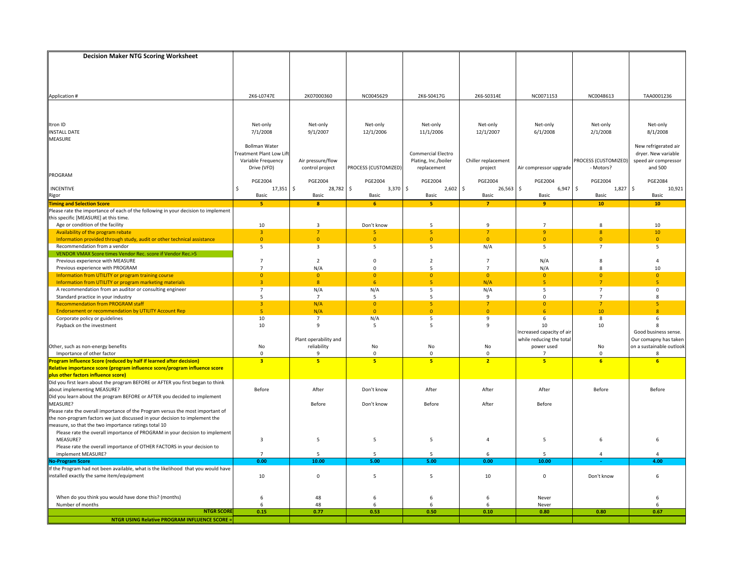| <b>Decision Maker NTG Scoring Worksheet</b>                                                                           |                                  |                                           |                      |                                  |                     |                                        |                            |                                                   |
|-----------------------------------------------------------------------------------------------------------------------|----------------------------------|-------------------------------------------|----------------------|----------------------------------|---------------------|----------------------------------------|----------------------------|---------------------------------------------------|
|                                                                                                                       |                                  |                                           |                      |                                  |                     |                                        |                            |                                                   |
|                                                                                                                       |                                  |                                           |                      |                                  |                     |                                        |                            |                                                   |
|                                                                                                                       |                                  |                                           |                      |                                  |                     |                                        |                            |                                                   |
|                                                                                                                       |                                  |                                           |                      |                                  |                     |                                        |                            |                                                   |
| Application #                                                                                                         | 2K6-L0747E                       | 2K07000360                                | NC0045629            | 2K6-S0417G                       | 2K6-S0314E          | NC0071153                              | NC0048613                  | TAA0001236                                        |
|                                                                                                                       |                                  |                                           |                      |                                  |                     |                                        |                            |                                                   |
|                                                                                                                       |                                  |                                           |                      |                                  |                     |                                        |                            |                                                   |
| Itron ID                                                                                                              | Net-only                         | Net-only                                  | Net-only             | Net-only                         | Net-only            | Net-only                               | Net-only                   | Net-only                                          |
| <b>INSTALL DATE</b>                                                                                                   | 7/1/2008                         | 9/1/2007                                  | 12/1/2006            | 11/1/2006                        | 12/1/2007           | 6/1/2008                               | 2/1/2008                   | 8/1/2008                                          |
| <b>MEASURE</b>                                                                                                        |                                  |                                           |                      |                                  |                     |                                        |                            |                                                   |
|                                                                                                                       | <b>Bollman Water</b>             |                                           |                      |                                  |                     |                                        |                            | New refrigerated air                              |
|                                                                                                                       | reatment Plant Low Lift          |                                           |                      | <b>Commercial Electro</b>        |                     |                                        |                            | dryer. New variable                               |
|                                                                                                                       | Variable Frequency               | Air pressure/flow                         |                      | Plating, Inc./boiler             | Chiller replacement |                                        | PROCESS (CUSTOMIZED)       | speed air compressor                              |
| PROGRAM                                                                                                               | Drive (VFD)                      | control project                           | PROCESS (CUSTOMIZED) | replacement                      | project             | Air compressor upgrade                 | - Motors?                  | and 500                                           |
|                                                                                                                       | <b>PGE2004</b>                   | <b>PGE2004</b>                            | <b>PGE2004</b>       | <b>PGE2004</b>                   | <b>PGE2004</b>      | <b>PGE2004</b>                         | <b>PGE2004</b>             | <b>PGE2084</b>                                    |
| <b>INCENTIVE</b>                                                                                                      | $17,351$ \$<br>\$                | 28,782                                    | \$<br>$3,370$ \$     | $2,602$ \$                       | $26,563$ \$         | $6,947$ \$                             | 1,827                      | \$<br>10,921                                      |
| Rigor                                                                                                                 | Basic                            | Basic                                     | Basic                | Basic                            | Basic               | Basic                                  | Basic                      | Basic                                             |
| <b>Timing and Selection Score</b>                                                                                     | $\overline{\mathbf{5}}$          | $\boldsymbol{8}$                          | 6                    | $\overline{\mathbf{5}}$          | $\overline{7}$      | 9                                      | 10                         | 10                                                |
| Please rate the importance of each of the following in your decision to implement                                     |                                  |                                           |                      |                                  |                     |                                        |                            |                                                   |
| this specific [MEASURE] at this time.                                                                                 | 10                               | $\overline{3}$                            | Don't know           | 5                                | $\mathbf{q}$        | $\overline{7}$                         | 8                          | 10                                                |
| Age or condition of the facility<br>Availability of the program rebate                                                | $\overline{3}$                   | 7                                         | 5                    | 5                                | $\overline{7}$      | $\overline{9}$                         | 8                          | 10                                                |
| Information provided through study, audit or other technical assistance                                               | $\overline{0}$                   | $\overline{0}$                            | $\Omega$             | $\overline{0}$                   | $\overline{0}$      | $\overline{0}$                         | $\Omega$                   | $\overline{0}$                                    |
| Recommendation from a vendor                                                                                          | 5                                | $\overline{\mathbf{3}}$                   | 5                    | 5                                | N/A                 | 5                                      | $\overline{7}$             | 5                                                 |
| VENDOR VMAX Score times Vendor Rec. score if Vendor Rec.>5                                                            |                                  |                                           |                      |                                  |                     |                                        |                            |                                                   |
| Previous experience with MEASURE                                                                                      | $\overline{7}$                   | $\overline{2}$                            | $\mathsf 0$          | $\overline{2}$                   | $\overline{7}$      | N/A                                    | 8                          | $\overline{a}$                                    |
| Previous experience with PROGRAM                                                                                      | $\overline{7}$                   | N/A                                       | $\Omega$             | 5                                | $\overline{7}$      | N/A                                    | $\mathbf{R}$               | 10                                                |
| Information from UTILITY or program training course                                                                   | $\overline{0}$<br>$\overline{3}$ | $\overline{0}$<br>$\overline{\mathbf{8}}$ | $\Omega$<br>6        | $\overline{0}$<br>5 <sup>1</sup> | $\overline{0}$      | $\overline{0}$<br>$\overline{5}$       | $\Omega$<br>$\overline{7}$ | $\Omega$<br>$\overline{\mathbf{5}}$               |
| Information from UTILITY or program marketing materials<br>A recommendation from an auditor or consulting engineer    | $\overline{7}$                   | N/A                                       | N/A                  | 5                                | N/A<br>N/A          | 5                                      | $\overline{7}$             | 0                                                 |
| Standard practice in your industry                                                                                    | 5                                | $\overline{7}$                            | 5                    | 5                                | 9                   | $\mathbf 0$                            | $\overline{7}$             | 8                                                 |
| <b>Recommendation from PROGRAM staff</b>                                                                              | $\overline{3}$                   | N/A                                       | $\overline{0}$       | 5 <sup>1</sup>                   | $\overline{7}$      | $\overline{0}$                         | $\overline{7}$             | 5                                                 |
| <b>Endorsement or recommendation by UTILITY Account Rep</b>                                                           | 5 <sub>o</sub>                   | N/A                                       | $\mathbf{0}$         | $\overline{0}$                   | $\overline{0}$      | 6                                      | 10 <sup>°</sup>            | $\overline{8}$                                    |
| Corporate policy or guidelines                                                                                        | 10                               | $\overline{7}$                            | N/A                  | 5                                | 9                   | 6                                      | 8                          | 6                                                 |
| Payback on the investment                                                                                             | $10\,$                           | $\overline{9}$                            | 5                    | 5                                | 9                   | 10                                     | 10                         | 8                                                 |
|                                                                                                                       |                                  |                                           |                      |                                  |                     | Increased capacity of air              |                            | Good business sense.                              |
| Other, such as non-energy benefits                                                                                    | No                               | Plant operability and<br>reliability      | No                   | No                               | No                  | while reducing the total<br>power used | No                         | Our comapny has taken<br>on a sustainable outlook |
| Importance of other factor                                                                                            | $\mathbf 0$                      | $\mathbf{q}$                              | $\Omega$             | 0                                | $\mathbf{0}$        | $\overline{7}$                         | $\Omega$                   | 8                                                 |
| rogram Influence Score (reduced by half if learned after decision)                                                    | $\overline{\mathbf{3}}$          | 5                                         | 5                    | 5 <sup>2</sup>                   | $\overline{2}$      | 5                                      | 6                          | 6                                                 |
| Relative importance score (program influence score/program influence score                                            |                                  |                                           |                      |                                  |                     |                                        |                            |                                                   |
| plus other factors influence score)<br>Did you first learn about the program BEFORE or AFTER you first began to think |                                  |                                           |                      |                                  |                     |                                        |                            |                                                   |
|                                                                                                                       |                                  |                                           |                      |                                  |                     |                                        |                            |                                                   |
| about implementing MEASURE?                                                                                           | Before                           | After                                     | Don't know           | After                            | After               | After                                  | Before                     | Before                                            |
| Did you learn about the program BEFORE or AFTER you decided to implement<br>MEASURE?                                  |                                  | Before                                    | Don't know           | Before                           | After               | Before                                 |                            |                                                   |
| Please rate the overall importance of the Program versus the most important of                                        |                                  |                                           |                      |                                  |                     |                                        |                            |                                                   |
| the non-program factors we just discussed in your decision to implement the                                           |                                  |                                           |                      |                                  |                     |                                        |                            |                                                   |
| measure, so that the two importance ratings total 10                                                                  |                                  |                                           |                      |                                  |                     |                                        |                            |                                                   |
| Please rate the overall importance of PROGRAM in your decision to implement                                           |                                  |                                           |                      |                                  |                     |                                        |                            |                                                   |
| MEASURE?                                                                                                              | 3                                | 5                                         | 5                    | 5                                | $\overline{4}$      | 5                                      | 6                          | 6                                                 |
| Please rate the overall importance of OTHER FACTORS in your decision to                                               |                                  |                                           |                      |                                  |                     |                                        |                            |                                                   |
| implement MEASURE?<br><b>Io-Program Score</b>                                                                         | $\overline{7}$<br>0.00           | 5<br>10.00                                | 5<br>5.00            | 5<br>5.00                        | 6<br>0.00           | 5<br>10.00                             | $\overline{4}$             | $\Delta$<br>4.00                                  |
| If the Program had not been available, what is the likelihood that you would have                                     |                                  |                                           |                      |                                  |                     |                                        |                            |                                                   |
| installed exactly the same item/equipment                                                                             | 10                               | $\mathbf{0}$                              | 5                    | 5                                | 10                  | $\mathbf 0$                            | Don't know                 | 6                                                 |
|                                                                                                                       |                                  |                                           |                      |                                  |                     |                                        |                            |                                                   |
|                                                                                                                       |                                  |                                           |                      |                                  |                     |                                        |                            |                                                   |
| When do you think you would have done this? (months)                                                                  | 6                                | 48                                        | 6                    | 6                                | 6                   | Never                                  |                            | 6                                                 |
| Number of months                                                                                                      | 6                                | 48                                        | 6                    | 6                                | 6                   | Never                                  |                            | 6                                                 |
| <b>NTGR SCORE</b>                                                                                                     | 0.15                             | 0.77                                      | 0.53                 | 0.50                             | 0.10                | 0.80                                   | 0.80                       | 0.67                                              |
| <b>NTGR USING Relative PROGRAM INFLUENCE SCORE =</b>                                                                  |                                  |                                           |                      |                                  |                     |                                        |                            |                                                   |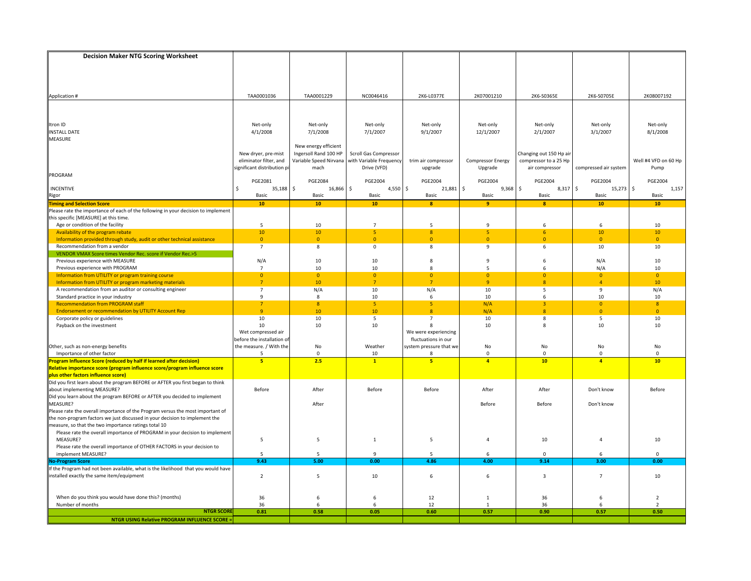| <b>Decision Maker NTG Scoring Worksheet</b>                                                                                         |                                                  |                                               |                         |                                             |                    |                         |                       |                      |
|-------------------------------------------------------------------------------------------------------------------------------------|--------------------------------------------------|-----------------------------------------------|-------------------------|---------------------------------------------|--------------------|-------------------------|-----------------------|----------------------|
|                                                                                                                                     |                                                  |                                               |                         |                                             |                    |                         |                       |                      |
|                                                                                                                                     |                                                  |                                               |                         |                                             |                    |                         |                       |                      |
|                                                                                                                                     |                                                  |                                               |                         |                                             |                    |                         |                       |                      |
|                                                                                                                                     |                                                  |                                               |                         |                                             |                    |                         |                       |                      |
| Application #                                                                                                                       | TAA0001036                                       | TAA0001229                                    | NC0046416               | 2K6-L0377E                                  | 2K07001210         | 2K6-S0365E              | 2K6-S0705E            | 2K08007192           |
|                                                                                                                                     |                                                  |                                               |                         |                                             |                    |                         |                       |                      |
|                                                                                                                                     |                                                  |                                               |                         |                                             |                    |                         |                       |                      |
|                                                                                                                                     |                                                  |                                               |                         |                                             |                    |                         |                       |                      |
| Itron ID                                                                                                                            | Net-only                                         | Net-only                                      | Net-only                | Net-only                                    | Net-only           | Net-only                | Net-only              | Net-only             |
| <b>INSTALL DATE</b>                                                                                                                 | 4/1/2008                                         | 7/1/2008                                      | 7/1/2007                | 9/1/2007                                    | 12/1/2007          | 2/1/2007                | 3/1/2007              | 8/1/2008             |
| MEASURE                                                                                                                             |                                                  |                                               |                         |                                             |                    |                         |                       |                      |
|                                                                                                                                     | New dryer, pre-mist                              | New energy efficient<br>Ingersoll Rand 100 HP | Scroll Gas Compressor   |                                             |                    | Changing out 150 Hp air |                       |                      |
|                                                                                                                                     | eliminator filter, and                           | Variable Speed Nirvana                        | with Variable Frequency | trim air compressor                         | Compressor Energy  | compressor to a 25 Hp   |                       | Well #4 VFD on 60 Hp |
|                                                                                                                                     | significant distribution p                       | mach                                          | Drive (VFD)             | upgrade                                     | Upgrade            | air compressor          | compressed air system | Pump                 |
| PROGRAM                                                                                                                             |                                                  |                                               |                         |                                             |                    |                         |                       |                      |
|                                                                                                                                     | PGE2081                                          | <b>PGE2084</b>                                | <b>PGE2004</b>          | <b>PGE2004</b>                              | <b>PGE2004</b>     | <b>PGE2004</b>          | <b>PGE2004</b>        | <b>PGE2004</b>       |
| <b>INCENTIVE</b>                                                                                                                    | 35,188<br>Ŝ.                                     | \$<br>16,866                                  | $4,550$ \$<br><b>S</b>  | 21,881                                      | ا \$<br>$9,368$ \$ | $8,317$ \$              | 15,273                | \$<br>1,157          |
| Rigor<br><mark>Timing and Selection Score</mark>                                                                                    | Basic                                            | Basic                                         | Basic                   | Basic                                       | Basic              | Basic                   | Basic                 | Basic                |
|                                                                                                                                     | ${\bf 10}$                                       | 10                                            | 10                      | $\mathbf{a}$                                | $\overline{9}$     | $\mathbf{8}$            | 10                    | 10                   |
| Please rate the importance of each of the following in your decision to implement                                                   |                                                  |                                               |                         |                                             |                    |                         |                       |                      |
| this specific [MEASURE] at this time.                                                                                               |                                                  |                                               |                         |                                             |                    |                         |                       |                      |
| Age or condition of the facility                                                                                                    | 5                                                | $10\,$                                        | $\overline{7}$          | $\overline{5}$                              | $\overline{9}$     | 6                       | 6                     | 10                   |
| Availability of the program rebate                                                                                                  | 10                                               | 10<br>$\overline{0}$                          | 5<br>$\mathbf{0}$       | $\boldsymbol{8}$<br>$\Omega$                | 5<br>$\mathbf{0}$  | 6<br>$\mathbf{0}$       | 10<br>$\overline{0}$  | 10                   |
| Information provided through study, audit or other technical assistance<br>Recommendation from a vendor                             | $\mathbf{0}$<br>$\overline{7}$                   | 8                                             | $\mathsf{O}\xspace$     | 8                                           | 9                  | 6                       | 10                    | $\overline{0}$<br>10 |
| VENDOR VMAX Score times Vendor Rec. score if Vendor Rec.>5                                                                          |                                                  |                                               |                         |                                             |                    |                         |                       |                      |
| Previous experience with MEASURE                                                                                                    | N/A                                              | 10                                            | 10                      | 8                                           | 9                  | 6                       | N/A                   | 10                   |
| Previous experience with PROGRAM                                                                                                    | $\overline{7}$                                   | 10                                            | 10                      | 8                                           | 5                  | 6                       | N/A                   | 10                   |
| Information from UTILITY or program training course                                                                                 | $\overline{0}$                                   | $\overline{0}$                                | $\mathbf{0}$            | $\overline{0}$                              | $\mathbf{0}$       | $\overline{0}$          | $\overline{0}$        | $\overline{0}$       |
| Information from UTILITY or program marketing materials                                                                             | $7^{\circ}$                                      | 10                                            | 7 <sup>7</sup>          | 7                                           | $\overline{9}$     | $\boldsymbol{8}$        | $\overline{4}$        | 10                   |
| A recommendation from an auditor or consulting engineer                                                                             | $\overline{7}$                                   | N/A                                           | 10                      | N/A                                         | 10                 | 5                       | 9                     | N/A                  |
| Standard practice in your industry                                                                                                  | 9                                                | 8                                             | 10                      | 6                                           | 10                 | 6                       | 10                    | 10                   |
| <b>Recommendation from PROGRAM staff</b>                                                                                            | $\overline{7}$                                   | $\overline{8}$                                | 5 <sup>1</sup>          | 5 <sup>°</sup>                              | N/A                | $\overline{3}$          | $\overline{0}$        | 8                    |
| <b>Endorsement or recommendation by UTILITY Account Rep</b>                                                                         | $\overline{9}$                                   | 10                                            | 10                      | 8                                           | N/A                | 8                       | $\overline{0}$        | $\mathbf{0}$         |
| Corporate policy or guidelines                                                                                                      | 10                                               | 10                                            | 5                       | $\overline{7}$                              | 10                 | 8                       | 5                     | 10                   |
| Payback on the investment                                                                                                           | 10                                               | 10                                            | 10                      | 8                                           | 10                 | 8                       | 10                    | 10                   |
|                                                                                                                                     | Wet compressed air<br>before the installation of |                                               |                         | We were experiencing<br>fluctuations in our |                    |                         |                       |                      |
| Other, such as non-energy benefits                                                                                                  | the measure. / With the                          | No                                            | Weather                 | system pressure that we                     | No                 | No                      | No                    | No                   |
| Importance of other factor                                                                                                          | 5                                                | $\mathbf{0}$                                  | 10                      | 8                                           | $\mathsf 0$        | $\mathbf 0$             | $\Omega$              | $\mathbf 0$          |
| Program Influence Score (reduced by half if learned after decision)                                                                 | 5 <sup>1</sup>                                   | 2.5                                           | $\mathbf{1}$            | 5 <sup>1</sup>                              | $\overline{4}$     | 10 <sup>2</sup>         | $\overline{a}$        | 10                   |
| Relative importance score (program influence score/program influence score                                                          |                                                  |                                               |                         |                                             |                    |                         |                       |                      |
|                                                                                                                                     |                                                  |                                               |                         |                                             |                    |                         |                       |                      |
| plus other factors influence score)<br>Did you first learn about the program BEFORE or AFTER you first began to think               |                                                  |                                               |                         |                                             |                    |                         |                       |                      |
| about implementing MEASURE?                                                                                                         | Before                                           | After                                         | Before                  | Before                                      | After              | After                   | Don't know            | Before               |
| Did you learn about the program BEFORE or AFTER you decided to implement                                                            |                                                  |                                               |                         |                                             |                    |                         |                       |                      |
| MEASURE?                                                                                                                            |                                                  | After                                         |                         |                                             | Before             | Before                  | Don't know            |                      |
| Please rate the overall importance of the Program versus the most important of                                                      |                                                  |                                               |                         |                                             |                    |                         |                       |                      |
| the non-program factors we just discussed in your decision to implement the                                                         |                                                  |                                               |                         |                                             |                    |                         |                       |                      |
| measure, so that the two importance ratings total 10<br>Please rate the overall importance of PROGRAM in your decision to implement |                                                  |                                               |                         |                                             |                    |                         |                       |                      |
| MEASURE?                                                                                                                            | 5                                                | 5                                             | $\mathbf{1}$            | 5                                           | $\overline{4}$     | 10                      | $\overline{4}$        | 10                   |
| Please rate the overall importance of OTHER FACTORS in your decision to                                                             |                                                  |                                               |                         |                                             |                    |                         |                       |                      |
| implement MEASURE?                                                                                                                  | 5                                                | 5                                             | 9                       | 5                                           | 6                  | 0                       | 6                     | $\mathbf 0$          |
| <b>No-Program Score</b>                                                                                                             | 9.43                                             | 5.00                                          | 0.00                    | 4.86                                        | 4.00               | 9.14                    | 3.00                  | 0.00                 |
| If the Program had not been available, what is the likelihood that you would have                                                   |                                                  |                                               |                         |                                             |                    |                         |                       |                      |
| installed exactly the same item/equipment                                                                                           | $\overline{2}$                                   | 5                                             | 10                      | 6                                           | 6                  | 3                       | $\overline{7}$        | 10                   |
|                                                                                                                                     |                                                  |                                               |                         |                                             |                    |                         |                       |                      |
|                                                                                                                                     |                                                  |                                               |                         |                                             |                    |                         |                       |                      |
| When do you think you would have done this? (months)                                                                                | 36                                               | 6                                             | 6                       | 12                                          | $\mathbf{1}$       | 36                      | 6                     | $\overline{2}$       |
| Number of months                                                                                                                    | 36                                               | 6                                             | 6                       | 12                                          | $\mathbf{1}$       | 36                      | 6                     | $\overline{2}$       |
| <b>NTGR SCOR</b>                                                                                                                    | 0.81                                             | 0.58                                          | 0.05                    | 0.60                                        | 0.57               | 0.90                    | 0.57                  | 0.50                 |
| <b>NTGR USING Relative PROGRAM INFLUENCE SCORE:</b>                                                                                 |                                                  |                                               |                         |                                             |                    |                         |                       |                      |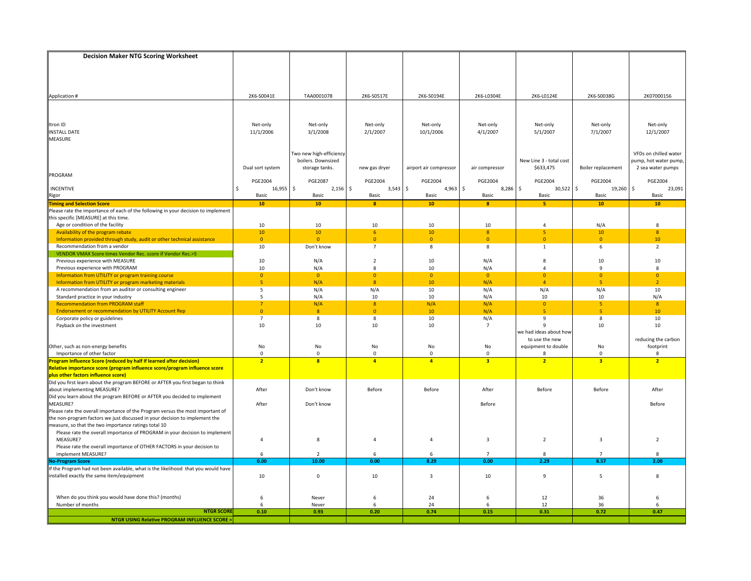| <b>Decision Maker NTG Scoring Worksheet</b>                                                                           |                                   |                         |                                  |                        |                         |                         |                         |                       |
|-----------------------------------------------------------------------------------------------------------------------|-----------------------------------|-------------------------|----------------------------------|------------------------|-------------------------|-------------------------|-------------------------|-----------------------|
|                                                                                                                       |                                   |                         |                                  |                        |                         |                         |                         |                       |
|                                                                                                                       |                                   |                         |                                  |                        |                         |                         |                         |                       |
|                                                                                                                       |                                   |                         |                                  |                        |                         |                         |                         |                       |
|                                                                                                                       |                                   |                         |                                  |                        |                         |                         |                         |                       |
| Application #                                                                                                         | 2K6-S0041E                        | TAA0001078              | 2K6-S0517E                       | 2K6-S0194E             | 2K6-L0304E              | 2K6-L0124E              | 2K6-S0038G              | 2K07000156            |
|                                                                                                                       |                                   |                         |                                  |                        |                         |                         |                         |                       |
|                                                                                                                       |                                   |                         |                                  |                        |                         |                         |                         |                       |
| Itron ID                                                                                                              | Net-only                          | Net-only                | Net-only                         | Net-only               | Net-only                | Net-only                | Net-only                | Net-only              |
| <b>INSTALL DATE</b>                                                                                                   | 11/1/2006                         | 3/1/2008                | 2/1/2007                         | 10/1/2006              | 4/1/2007                | 5/1/2007                | 7/1/2007                | 12/1/2007             |
| MEASURE                                                                                                               |                                   |                         |                                  |                        |                         |                         |                         |                       |
|                                                                                                                       |                                   |                         |                                  |                        |                         |                         |                         |                       |
|                                                                                                                       |                                   | Two new high-efficiency |                                  |                        |                         |                         |                         | VFDs on chilled water |
|                                                                                                                       |                                   | boilers. Downsized      |                                  |                        |                         | New Line 3 - total cost |                         | pump, hot water pump, |
|                                                                                                                       | Dual sort system                  | storage tanks.          | new gas dryer                    | airport air compressor | air compressor          | \$633,475               | Boiler replacement      | 2 sea water pumps     |
| PROGRAM                                                                                                               | <b>PGE2004</b>                    | <b>PGE2087</b>          | <b>PGE2004</b>                   | <b>PGE2004</b>         | <b>PGE2004</b>          | PGE2004                 | <b>PGE2004</b>          | <b>PGE2004</b>        |
| INCENTIVE                                                                                                             | $16,955$ \$<br>Ŝ.                 | $2,156$ \$              | 3,543                            | \$<br>$4,963$ \$       | $8,286$ \$              | $30,522$ \$             | 19,260                  | \$<br>23,091          |
|                                                                                                                       | Basic                             | Basic                   | Basic                            | Basic                  | Basic                   | Basic                   | Basic                   | Basic                 |
| <b>Rigor</b><br>Timing and Selection Score                                                                            | 10 <sub>1</sub>                   | 10                      | $\mathbf{8}$                     | 10                     | $\bf{8}$                | -5                      | 10                      | 10                    |
| Please rate the importance of each of the following in your decision to implement                                     |                                   |                         |                                  |                        |                         |                         |                         |                       |
| this specific [MEASURE] at this time.                                                                                 |                                   |                         |                                  |                        |                         |                         |                         |                       |
| Age or condition of the facility                                                                                      | 10                                | 10                      | 10                               | 10                     | 10                      | $\overline{a}$          | N/A                     | 8                     |
| Availability of the program rebate                                                                                    | 10 <sub>1</sub><br>$\overline{0}$ | 10<br>$\overline{0}$    | 6 <sup>1</sup><br>$\overline{0}$ | 10<br>$\overline{0}$   | 8<br>$\overline{0}$     | 5<br>$\overline{0}$     | 10<br>$\overline{0}$    | 8<br>10               |
| Information provided through study, audit or other technical assistance<br>Recommendation from a vendor               | 10                                | Don't know              | $\overline{7}$                   | 8                      | 8                       | 1                       | 6                       | $\overline{2}$        |
| VENDOR VMAX Score times Vendor Rec. score if Vendor Rec.>5                                                            |                                   |                         |                                  |                        |                         |                         |                         |                       |
| Previous experience with MEASURE                                                                                      | 10                                | N/A                     | $\overline{2}$                   | 10                     | N/A                     | 8                       | 10                      | 10                    |
| Previous experience with PROGRAM                                                                                      | 10                                | N/A                     | $\mathbf{R}$                     | 10                     | N/A                     | $\Delta$                | q                       | 8                     |
| Information from UTILITY or program training course                                                                   | $\overline{0}$                    | $\overline{0}$          | $\Omega$                         | $\overline{0}$         | $\overline{0}$          | $\overline{0}$          | $\Omega$                | $\Omega$              |
| Information from UTILITY or program marketing materials                                                               | 5 <sup>1</sup>                    | N/A                     | $\overline{8}$                   | 10                     | N/A                     | $\overline{4}$          | $\overline{\mathbf{5}}$ | $\overline{2}$        |
| A recommendation from an auditor or consulting engineer                                                               | 5                                 | N/A                     | N/A                              | 10                     | N/A                     | N/A                     | N/A                     | 10                    |
| Standard practice in your industry                                                                                    | 5                                 | N/A                     | 10                               | 10                     | N/A                     | 10                      | 10                      | N/A                   |
| <b>Recommendation from PROGRAM staff</b>                                                                              | 7 <sup>7</sup>                    | N/A                     | 8                                | N/A                    | N/A                     | $\overline{0}$          | 5 <sub>1</sub>          | 8                     |
| <b>Endorsement or recommendation by UTILITY Account Rep</b><br>Corporate policy or guidelines                         | $\mathbf{0}$<br>$\overline{7}$    | $\boldsymbol{8}$<br>8   | $\mathbf{0}$<br>8                | $10\,$<br>10           | N/A<br>N/A              | $\overline{5}$<br>9     | 5<br>8                  | $10\,$<br>10          |
| Payback on the investment                                                                                             | $10\,$                            | 10                      | 10                               | 10                     | $\overline{7}$          | $\mathbf{q}$            | 10                      | 10                    |
|                                                                                                                       |                                   |                         |                                  |                        |                         | we had ideas about how  |                         |                       |
|                                                                                                                       |                                   |                         |                                  |                        |                         | to use the new          |                         | reducing the carbon   |
| Other, such as non-energy benefits                                                                                    | No                                | No                      | No                               | No                     | No                      | equipment to double     | No                      | footprint             |
| Importance of other factor                                                                                            | $\mathbf 0$                       | $\mathbf 0$             | $\mathbf 0$                      | $\mathbf{0}$           | $\mathbf 0$             | 8                       | $\Omega$                | 8                     |
| Program Influence Score (reduced by half if learned after decision)                                                   | $\overline{2}$                    | $\overline{\mathbf{8}}$ | $\overline{4}$                   | $\overline{4}$         | $\overline{\mathbf{3}}$ | $\overline{2}$          | $\overline{\mathbf{3}}$ | $\overline{2}$        |
| Relative importance score (program influence score/program influence score                                            |                                   |                         |                                  |                        |                         |                         |                         |                       |
| plus other factors influence score)<br>Did you first learn about the program BEFORE or AFTER you first began to think |                                   |                         |                                  |                        |                         |                         |                         |                       |
| about implementing MEASURE?                                                                                           | After                             | Don't know              | Before                           | Before                 | After                   | Before                  | Before                  | After                 |
| Did you learn about the program BEFORE or AFTER you decided to implement                                              |                                   |                         |                                  |                        |                         |                         |                         |                       |
| MEASURE?                                                                                                              | After                             | Don't know              |                                  |                        | Before                  |                         |                         | Before                |
| Please rate the overall importance of the Program versus the most important of                                        |                                   |                         |                                  |                        |                         |                         |                         |                       |
| the non-program factors we just discussed in your decision to implement the                                           |                                   |                         |                                  |                        |                         |                         |                         |                       |
| measure, so that the two importance ratings total 10                                                                  |                                   |                         |                                  |                        |                         |                         |                         |                       |
| Please rate the overall importance of PROGRAM in your decision to implement                                           |                                   |                         |                                  |                        |                         |                         |                         |                       |
| MEASURE?                                                                                                              | $\overline{4}$                    | 8                       | $\overline{4}$                   | $\overline{4}$         | 3                       | $\overline{2}$          | 3                       | $\overline{2}$        |
| Please rate the overall importance of OTHER FACTORS in your decision to                                               |                                   |                         |                                  |                        |                         |                         |                         |                       |
| implement MEASURE?<br><b>No-Program Score</b>                                                                         | 6<br>0.00                         | $\overline{2}$<br>10.00 | 6<br>0.00                        | 6<br>8.29              | $\overline{7}$<br>0.00  | 8<br>2.29               | $\overline{7}$<br>8.57  | 8<br>2.00             |
| If the Program had not been available, what is the likelihood that you would have                                     |                                   |                         |                                  |                        |                         |                         |                         |                       |
| installed exactly the same item/equipment                                                                             | 10                                | $\mathbf 0$             | 10                               | 3                      | 10                      | 9                       | 5                       | 8                     |
|                                                                                                                       |                                   |                         |                                  |                        |                         |                         |                         |                       |
|                                                                                                                       |                                   |                         |                                  |                        |                         |                         |                         |                       |
| When do you think you would have done this? (months)                                                                  | 6                                 | Never                   | 6                                | 24                     | 6                       | 12                      | 36                      | 6                     |
| Number of months                                                                                                      | 6                                 | Never                   | 6                                | 24                     | 6                       | 12                      | 36                      | 6                     |
| <b>NTGR SCORE</b>                                                                                                     | 0.10                              | 0.93                    | 0.20                             | 0.74                   | 0.15                    | 0.31                    | 0.72                    | 0.47                  |
| <b>NTGR USING Relative PROGRAM INFLUENCE SCORE =</b>                                                                  |                                   |                         |                                  |                        |                         |                         |                         |                       |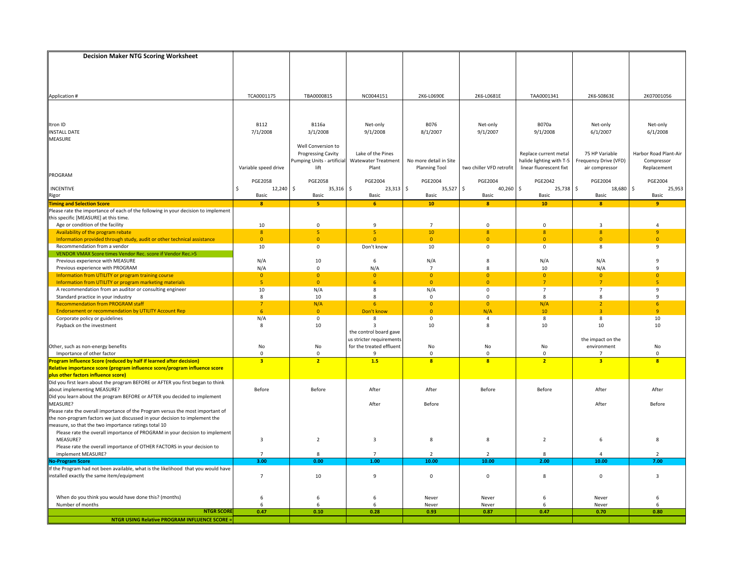| <b>Decision Maker NTG Scoring Worksheet</b>                                                                                                                   |                         |                           |                                          |                        |                            |                          |                               |                                  |
|---------------------------------------------------------------------------------------------------------------------------------------------------------------|-------------------------|---------------------------|------------------------------------------|------------------------|----------------------------|--------------------------|-------------------------------|----------------------------------|
|                                                                                                                                                               |                         |                           |                                          |                        |                            |                          |                               |                                  |
|                                                                                                                                                               |                         |                           |                                          |                        |                            |                          |                               |                                  |
|                                                                                                                                                               |                         |                           |                                          |                        |                            |                          |                               |                                  |
|                                                                                                                                                               |                         |                           |                                          |                        |                            |                          |                               |                                  |
| Application #                                                                                                                                                 | TCA0001175              | TBA0000815                | NC0044151                                | 2K6-L0690E             | 2K6-L0681E                 | TAA0001341               | 2K6-S0863E                    | 2K07001056                       |
|                                                                                                                                                               |                         |                           |                                          |                        |                            |                          |                               |                                  |
|                                                                                                                                                               |                         |                           |                                          |                        |                            |                          |                               |                                  |
| Itron ID                                                                                                                                                      | <b>B112</b>             | <b>B116a</b>              | Net-only                                 | B076                   | Net-only                   | <b>B070a</b>             | Net-only                      | Net-only                         |
| <b>INSTALL DATE</b>                                                                                                                                           | 7/1/2008                | 3/1/2008                  | 9/1/2008                                 | 8/1/2007               | 9/1/2007                   | 9/1/2008                 | 6/1/2007                      | 6/1/2008                         |
| <b>MEASURE</b>                                                                                                                                                |                         |                           |                                          |                        |                            |                          |                               |                                  |
|                                                                                                                                                               |                         | Well Conversion to        |                                          |                        |                            |                          |                               |                                  |
|                                                                                                                                                               |                         | <b>Progressing Cavity</b> | Lake of the Pines                        |                        |                            | Replace current metal    | 75 HP Variable                | Harbor Road Plant-Air            |
|                                                                                                                                                               |                         | umping Units - artificial | <b>Watewater Treatment</b>               | No more detail in Site |                            | halide lighting with T-5 | Frequency Drive (VFD)         | Compressor                       |
| PROGRAM                                                                                                                                                       | Variable speed drive    | lift                      | Plant                                    | Planning Tool          | two chiller VFD retrofit   | linear fluorescent fixt  | air compressor                | Replacement                      |
|                                                                                                                                                               | <b>PGE2058</b>          | <b>PGE2058</b>            | <b>PGE2004</b>                           | <b>PGE2004</b>         | <b>PGE2004</b>             | PGE2042                  | <b>PGE2004</b>                | PGE2004                          |
| INCENTIVE                                                                                                                                                     | 12,240 \$<br>Ś          | $35,316$ \$               | $23,313$ \$                              | 35,527                 | l \$<br>40,260             | 25,738 \$<br>l \$        | 18,680                        | \$<br>25,953                     |
| Rigor                                                                                                                                                         | Basic                   | Basic                     | Basic                                    | Basic                  | Basic                      | Basic                    | Basic                         | Basic                            |
| <b>Timing and Selection Score</b>                                                                                                                             | $\bf{8}$                | -5                        | 6 <sup>2</sup>                           | 10                     | $\bf{8}$                   | 10                       | $\mathbf{R}$                  | -9                               |
| Please rate the importance of each of the following in your decision to implement                                                                             |                         |                           |                                          |                        |                            |                          |                               |                                  |
| this specific [MEASURE] at this time.                                                                                                                         |                         |                           |                                          |                        |                            |                          |                               |                                  |
| Age or condition of the facility<br>Availability of the program rebate                                                                                        | 10<br>$\boldsymbol{8}$  | $\mathbf 0$<br>5          | 9<br>5                                   | $\overline{7}$<br>10   | $\mathbf{0}$<br>8          | $\mathbf 0$<br>8         | $\overline{3}$<br>8           | $\overline{a}$<br>$\overline{9}$ |
| Information provided through study, audit or other technical assistance                                                                                       | $\overline{0}$          | $\overline{0}$            | $\Omega$                                 | $\overline{0}$         | $\overline{0}$             | $\overline{0}$           | $\Omega$                      | $\Omega$                         |
| Recommendation from a vendor                                                                                                                                  | 10                      | $\mathbf 0$               | Don't know                               | 10                     | $\mathsf 0$                | $\mathbf 0$              | 8                             | 9                                |
| VENDOR VMAX Score times Vendor Rec. score if Vendor Rec.>5                                                                                                    |                         |                           |                                          |                        |                            |                          |                               |                                  |
| Previous experience with MEASURE                                                                                                                              | N/A                     | 10                        | 6                                        | N/A                    | 8                          | N/A                      | N/A                           | 9                                |
| Previous experience with PROGRAM                                                                                                                              | N/A                     | $\mathbf 0$               | N/A                                      | $\overline{7}$         | 8                          | 10                       | N/A                           | q                                |
| Information from UTILITY or program training course                                                                                                           | $\overline{0}$          | $\overline{0}$            | $\Omega$                                 | $\overline{0}$         | $\overline{0}$             | $\overline{0}$           | $\Omega$                      | $\Omega$                         |
| Information from UTILITY or program marketing materials                                                                                                       | 5 <sup>1</sup>          | $\overline{0}$            | 6                                        | $\Omega$               | $\overline{0}$             | $\overline{7}$           | $\overline{7}$                | $\overline{\mathbf{5}}$          |
| A recommendation from an auditor or consulting engineer<br>Standard practice in your industry                                                                 | 10<br>8                 | N/A<br>10                 | 8<br>8                                   | N/A<br>$^{\circ}$      | $\mathbf 0$<br>$\mathbf 0$ | $\overline{7}$<br>8      | $\overline{7}$<br>8           | $\mathbf{q}$<br>9                |
| <b>Recommendation from PROGRAM staff</b>                                                                                                                      | $7\overline{ }$         | N/A                       | 6                                        | $\overline{0}$         | $\overline{0}$             | N/A                      | $\overline{2}$                | 6                                |
| <b>Endorsement or recommendation by UTILITY Account Rep</b>                                                                                                   | $6\phantom{a}$          | $\overline{0}$            | Don't know                               | $\overline{0}$         | N/A                        | 10                       | $\overline{a}$                | $\overline{q}$                   |
| Corporate policy or guidelines                                                                                                                                | N/A                     | $\mathsf 0$               | 8                                        | 0                      | $\overline{4}$             | 8                        | 8                             | 10                               |
| Payback on the investment                                                                                                                                     | 8                       | 10                        | 3                                        | 10                     | 8                          | 10                       | 10                            | 10                               |
|                                                                                                                                                               |                         |                           | the control board gave                   |                        |                            |                          |                               |                                  |
|                                                                                                                                                               |                         |                           | us stricter requirements                 |                        |                            |                          | the impact on the             |                                  |
| Other, such as non-energy benefits<br>Importance of other factor                                                                                              | No<br>$\mathbf 0$       | No<br>$\mathbf{0}$        | for the treated effluent<br>$\mathbf{q}$ | No<br>$\mathbf 0$      | No<br>$\mathbf{0}$         | No<br>$\mathbf 0$        | environment<br>$\overline{7}$ | No<br>$\mathbf 0$                |
| rogram Influence Score (reduced by half if learned after decision)                                                                                            | $\overline{\mathbf{3}}$ | $\overline{2}$            | 1.5                                      | 8 <sup>2</sup>         | $\mathbf{a}$               | $\overline{2}$           | 3                             | $\overline{\mathbf{8}}$          |
| Relative importance score (program influence score/program influence score                                                                                    |                         |                           |                                          |                        |                            |                          |                               |                                  |
|                                                                                                                                                               |                         |                           |                                          |                        |                            |                          |                               |                                  |
| plus other factors influence score)<br>Did you first learn about the program BEFORE or AFTER you first began to think                                         |                         |                           |                                          |                        |                            |                          |                               |                                  |
| about implementing MEASURE?                                                                                                                                   | Before                  | Before                    | After                                    | After                  | Before                     | Before                   | After                         | After                            |
| Did you learn about the program BEFORE or AFTER you decided to implement<br>MEASURE?                                                                          |                         |                           |                                          |                        |                            |                          |                               |                                  |
|                                                                                                                                                               |                         |                           | After                                    | Before                 |                            |                          | After                         | Before                           |
| Please rate the overall importance of the Program versus the most important of<br>the non-program factors we just discussed in your decision to implement the |                         |                           |                                          |                        |                            |                          |                               |                                  |
| measure, so that the two importance ratings total 10                                                                                                          |                         |                           |                                          |                        |                            |                          |                               |                                  |
| Please rate the overall importance of PROGRAM in your decision to implement                                                                                   |                         |                           |                                          |                        |                            |                          |                               |                                  |
| MEASURE?                                                                                                                                                      | 3                       | $\overline{2}$            | 3                                        | 8                      | 8                          | $\overline{2}$           | 6                             | 8                                |
| Please rate the overall importance of OTHER FACTORS in your decision to                                                                                       |                         |                           |                                          |                        |                            |                          |                               |                                  |
| implement MEASURE?                                                                                                                                            | $\overline{7}$          | 8                         | $\overline{7}$                           | $\overline{2}$         | $\overline{2}$             | 8                        | 4                             | $\overline{2}$                   |
| <b>Jo-Program Score</b>                                                                                                                                       | 3.00                    | 0.00                      | 1.00                                     | 10.00                  | 10.00                      | 2.00                     | 10.00                         | 7.00                             |
| If the Program had not been available, what is the likelihood that you would have                                                                             | $\overline{7}$          | 10                        | 9                                        | 0                      | $\mathsf 0$                | 8                        | $\Omega$                      | $\overline{3}$                   |
| installed exactly the same item/equipment                                                                                                                     |                         |                           |                                          |                        |                            |                          |                               |                                  |
|                                                                                                                                                               |                         |                           |                                          |                        |                            |                          |                               |                                  |
| When do you think you would have done this? (months)                                                                                                          | 6                       | 6                         | 6                                        | Never                  | Never                      | 6                        | Never                         | 6                                |
| Number of months                                                                                                                                              | 6                       | 6                         | 6                                        | Never                  | Never                      | 6                        | Never                         | 6                                |
| <b>NTGR SCORE</b>                                                                                                                                             | 0.47                    | 0.10                      | 0.28                                     | 0.93                   | 0.87                       | 0.47                     | 0.70                          | 0.80                             |
| <b>NTGR USING Relative PROGRAM INFLUENCE SCORE =</b>                                                                                                          |                         |                           |                                          |                        |                            |                          |                               |                                  |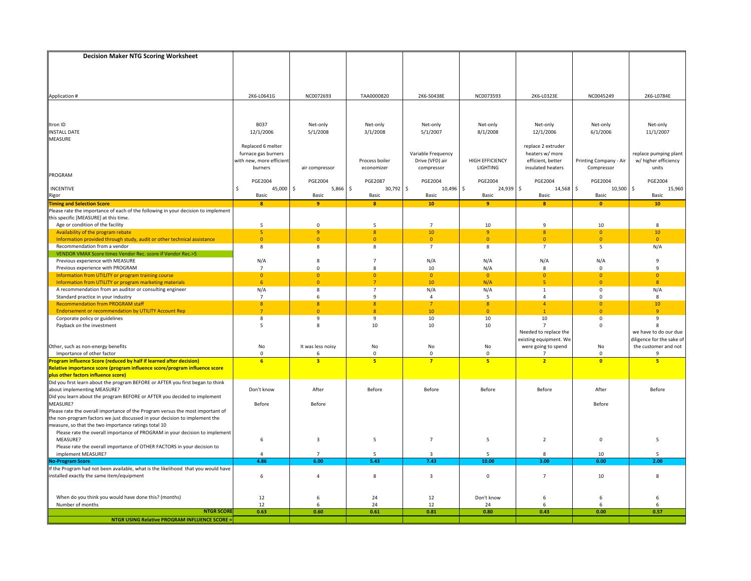| <b>Decision Maker NTG Scoring Worksheet</b>                                                                            |                          |                               |                     |                              |                        |                          |                         |                                      |
|------------------------------------------------------------------------------------------------------------------------|--------------------------|-------------------------------|---------------------|------------------------------|------------------------|--------------------------|-------------------------|--------------------------------------|
|                                                                                                                        |                          |                               |                     |                              |                        |                          |                         |                                      |
|                                                                                                                        |                          |                               |                     |                              |                        |                          |                         |                                      |
|                                                                                                                        |                          |                               |                     |                              |                        |                          |                         |                                      |
|                                                                                                                        |                          |                               |                     |                              |                        |                          |                         |                                      |
| Application #                                                                                                          | 2K6-L0641G               | NC0072693                     | TAA0000820          | 2K6-S0438E                   | NC0073593              | 2K6-L0323E               | NC0045249               | 2K6-L0784E                           |
|                                                                                                                        |                          |                               |                     |                              |                        |                          |                         |                                      |
|                                                                                                                        |                          |                               |                     |                              |                        |                          |                         |                                      |
| Itron ID                                                                                                               | <b>B037</b>              | Net-only                      | Net-only            | Net-only                     | Net-only               | Net-only                 | Net-only                | Net-only                             |
| <b>INSTALL DATE</b>                                                                                                    | 12/1/2006                | 5/1/2008                      | 3/1/2008            | 5/1/2007                     | 8/1/2008               | 12/1/2006                | 6/1/2006                | 11/1/2007                            |
| <b>MEASURE</b>                                                                                                         |                          |                               |                     |                              |                        |                          |                         |                                      |
|                                                                                                                        | Replaced 6 melter        |                               |                     |                              |                        | replace 2 extruder       |                         |                                      |
|                                                                                                                        | furnace gas burners      |                               |                     | Variable Frequency           |                        | heaters w/ more          |                         | replace pumping plant                |
|                                                                                                                        | with new, more efficient |                               | Process boiler      | Drive (VFD) air              | <b>HIGH EFFICIENCY</b> | efficient, better        | Printing Company - Air  | w/ higher efficiency                 |
| PROGRAM                                                                                                                | burners                  | air compressor                | economizer          | compressor                   | LIGHTING               | insulated heaters        | Compressor              | units                                |
|                                                                                                                        | PGE2004                  | PGE2004                       | PGE2087             | PGE2004                      | <b>PGE2004</b>         | PGE2004                  | PGE2004                 | PGE2004                              |
| <b>INCENTIVE</b>                                                                                                       | \$<br>45,000 \$          | 5,866                         | \$<br>30,792        | $\frac{1}{2}$<br>$10,496$ \$ | 24,939 \$              | $14,568$ \$              | 10,500                  | \$<br>15,960                         |
| Rigor                                                                                                                  | Basic                    | Basic                         | Basic               | Basic                        | Basic                  | Basic                    | Basic                   | Basic                                |
| <b>Timing and Selection Score</b>                                                                                      | $\boldsymbol{8}$         | 9                             | $\mathbf{8}$        | 10                           | $\overline{9}$         | $\boldsymbol{8}$         | $\mathbf{0}$            | 10                                   |
| Please rate the importance of each of the following in your decision to implement                                      |                          |                               |                     |                              |                        |                          |                         |                                      |
| this specific [MEASURE] at this time.                                                                                  |                          |                               |                     |                              |                        |                          |                         |                                      |
| Age or condition of the facility                                                                                       | 5<br>5 <sub>5</sub>      | $\mathbf 0$<br>$\overline{9}$ | 5<br>8              | $\overline{7}$<br>10         | 10<br>$\overline{9}$   | 9<br>$\overline{8}$      | 10<br>$\mathbf{0}$      | 8<br>10                              |
| Availability of the program rebate<br>Information provided through study, audit or other technical assistance          | $\overline{0}$           | $\overline{0}$                | $\Omega$            | $\overline{0}$               | $\overline{0}$         | $\overline{0}$           | $\Omega$                | $\overline{0}$                       |
| Recommendation from a vendor                                                                                           | 8                        | -8                            | 8                   | $\overline{7}$               | 8                      | $\overline{7}$           | 5                       | N/A                                  |
| VENDOR VMAX Score times Vendor Rec. score if Vendor Rec.>5                                                             |                          |                               |                     |                              |                        |                          |                         |                                      |
| Previous experience with MEASURE                                                                                       | N/A                      | 8                             | $\overline{7}$      | N/A                          | N/A                    | N/A                      | N/A                     | 9                                    |
| Previous experience with PROGRAM                                                                                       | $\overline{7}$           | $\Omega$                      | $\mathbf{8}$        | 10                           | N/A                    | 8                        | $\Omega$                | 9                                    |
| Information from UTILITY or program training course                                                                    | $\overline{0}$           | $\overline{0}$                | $\mathbf{0}$        | $\overline{0}$               | $\overline{0}$         | $\overline{0}$           | $\mathbf{0}$            | $\mathbf{0}$                         |
| Information from UTILITY or program marketing materials                                                                | 6                        | $\overline{0}$                | $\overline{7}$      | 10                           | N/A                    | -5                       | $\overline{0}$          | $\overline{8}$                       |
| A recommendation from an auditor or consulting engineer<br>Standard practice in your industry                          | N/A<br>$\overline{7}$    | 8<br>6                        | $\overline{7}$<br>9 | N/A<br>$\overline{4}$        | N/A<br>5               | 1<br>$\overline{4}$      | $\mathsf 0$<br>$\Omega$ | N/A<br>8                             |
| <b>Recommendation from PROGRAM staff</b>                                                                               | 8                        | 8                             | 8                   | 7 <sup>7</sup>               | 8                      | $\overline{4}$           | $\Omega$                | 10                                   |
| <b>Endorsement or recommendation by UTILITY Account Rep</b>                                                            | $\overline{7}$           | $\Omega$                      | $\mathbf{R}$        | 10                           | $\Omega$               | $\overline{1}$           | $\Omega$                | $\overline{q}$                       |
| Corporate policy or guidelines                                                                                         | 8                        | 9                             | 9                   | 10                           | 10                     | 10                       | $\mathsf 0$             | 9                                    |
| Payback on the investment                                                                                              | 5                        | $\mathbf{8}$                  | 10                  | 10                           | 10                     | $\overline{7}$           | $\mathbf 0$             | $\mathbf{R}$                         |
|                                                                                                                        |                          |                               |                     |                              |                        | Needed to replace the    |                         | we have to do our due                |
|                                                                                                                        |                          |                               |                     |                              |                        | existing equipment. We   |                         | diligence for the sake of            |
| Other, such as non-energy benefits<br>Importance of other factor                                                       | No<br>$\mathsf 0$        | It was less noisy<br>6        | No<br>$\mathbf 0$   | No<br>$\mathbf 0$            | No<br>$\mathbf 0$      | were going to spend<br>7 | No<br>$\Omega$          | the customer and not<br>$\mathsf{q}$ |
| F<br>rogram Influence Score (reduced by half if learned after decision)                                                | 6                        | $\overline{\mathbf{3}}$       | 5                   | $\overline{7}$               | 5                      | $\overline{2}$           | $\bullet$               | 5                                    |
| Relative importance score (program influence score/program influence score                                             |                          |                               |                     |                              |                        |                          |                         |                                      |
|                                                                                                                        |                          |                               |                     |                              |                        |                          |                         |                                      |
| plus other factors influence score)<br> Did you first learn about the program BEFORE or AFTER you first began to think |                          |                               |                     |                              |                        |                          |                         |                                      |
| about implementing MEASURE?                                                                                            | Don't know               | After                         | Before              | Before                       | Before                 | Before                   | After                   | Before                               |
| Did you learn about the program BEFORE or AFTER you decided to implement<br>MEASURE?                                   |                          |                               |                     |                              |                        |                          |                         |                                      |
| Please rate the overall importance of the Program versus the most important of                                         | Before                   | Before                        |                     |                              |                        |                          | Before                  |                                      |
| the non-program factors we just discussed in your decision to implement the                                            |                          |                               |                     |                              |                        |                          |                         |                                      |
| measure, so that the two importance ratings total 10                                                                   |                          |                               |                     |                              |                        |                          |                         |                                      |
| Please rate the overall importance of PROGRAM in your decision to implement                                            |                          |                               |                     |                              |                        |                          |                         |                                      |
| MEASURE?                                                                                                               | 6                        | $\overline{\mathbf{3}}$       | 5                   | $\overline{7}$               | 5                      | $\overline{2}$           | $\mathsf 0$             | 5                                    |
| Please rate the overall importance of OTHER FACTORS in your decision to                                                |                          |                               |                     |                              |                        |                          |                         |                                      |
| implement MEASURE?                                                                                                     | $\Delta$                 | $\overline{7}$                | 5                   | ર                            | 5                      | 8                        | 10                      | 5                                    |
| <b>Io-Program Score</b>                                                                                                | 4.86                     | 6.00                          | 5.43                | 7.43                         | 10.00                  | 3.00                     | 0.00                    | 2.00                                 |
| If the Program had not been available, what is the likelihood that you would have                                      | 6                        | $\overline{4}$                | 8                   | $\overline{3}$               | $\Omega$               | $\overline{7}$           | 10                      | 8                                    |
| installed exactly the same item/equipment                                                                              |                          |                               |                     |                              |                        |                          |                         |                                      |
|                                                                                                                        |                          |                               |                     |                              |                        |                          |                         |                                      |
| When do you think you would have done this? (months)                                                                   | 12                       | 6                             | 24                  | 12                           | Don't know             | 6                        | 6                       | 6                                    |
| Number of months                                                                                                       | 12                       | 6                             | 24                  | 12                           | 24                     | 6                        | 6                       | $\mathsf{f}$                         |
| <b>NTGR SCORE</b>                                                                                                      | 0.63                     | 0.60                          | 0.61                | 0.81                         | 0.80                   | 0.43                     | 0.00                    | 0.57                                 |
| <b>NTGR USING Relative PROGRAM INFLUENCE SCORE =</b>                                                                   |                          |                               |                     |                              |                        |                          |                         |                                      |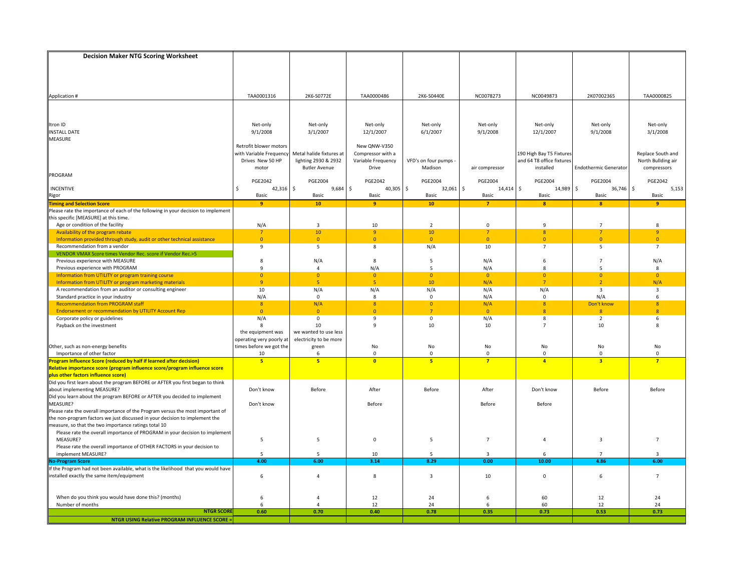| <b>Decision Maker NTG Scoring Worksheet</b>                                                                           |                                                   |                          |                                   |                       |                               |                           |                              |                    |
|-----------------------------------------------------------------------------------------------------------------------|---------------------------------------------------|--------------------------|-----------------------------------|-----------------------|-------------------------------|---------------------------|------------------------------|--------------------|
|                                                                                                                       |                                                   |                          |                                   |                       |                               |                           |                              |                    |
|                                                                                                                       |                                                   |                          |                                   |                       |                               |                           |                              |                    |
|                                                                                                                       |                                                   |                          |                                   |                       |                               |                           |                              |                    |
|                                                                                                                       |                                                   |                          |                                   |                       |                               |                           |                              |                    |
| Application #                                                                                                         | TAA0001316                                        | 2K6-S0772E               | TAA0000486                        | 2K6-S0440E            | NC0078273                     | NC0049873                 | 2K07002365                   | TAA0000825         |
|                                                                                                                       |                                                   |                          |                                   |                       |                               |                           |                              |                    |
|                                                                                                                       |                                                   |                          |                                   |                       |                               |                           |                              |                    |
|                                                                                                                       |                                                   |                          |                                   |                       |                               |                           |                              |                    |
| Itron ID                                                                                                              | Net-only                                          | Net-only                 | Net-only                          | Net-only              | Net-only                      | Net-only                  | Net-only                     | Net-only           |
| <b>INSTALL DATE</b>                                                                                                   | 9/1/2008                                          | 3/1/2007                 | 12/1/2007                         | 6/1/2007              | 9/1/2008                      | 12/1/2007                 | 9/1/2008                     | 3/1/2008           |
| MEASURE                                                                                                               |                                                   |                          |                                   |                       |                               |                           |                              |                    |
|                                                                                                                       | Retrofit blower motors<br>with Variable Frequency | Metal halide fixtures at | New QNW-V350<br>Compressor with a |                       |                               | 190 High Bay T5 Fixtures  |                              | Replace South and  |
|                                                                                                                       | Drives New 50 HP                                  | lighting 2930 & 2932     | Variable Frequency                | VFD's on four pumps - |                               | and 64 T8 office fixtures |                              | North Bullding air |
|                                                                                                                       | motor                                             | <b>Butler Avenue</b>     | Drive                             | Madison               | air compressor                | installed                 | <b>Endothermic Generator</b> | compressors        |
| PROGRAM                                                                                                               |                                                   |                          |                                   |                       |                               |                           |                              |                    |
|                                                                                                                       | <b>PGE2042</b>                                    | <b>PGE2004</b>           | <b>PGE2042</b>                    | <b>PGE2004</b>        | <b>PGE2004</b>                | <b>PGE2004</b>            | <b>PGE2004</b>               | <b>PGE2042</b>     |
| <b>INCENTIVE</b>                                                                                                      | $42,316$ \$<br>Ś                                  | 9,684                    | \$<br>$40,305$ \$                 | $32,061$ \$           | $14,414$ \$                   | 14,989                    | $\frac{1}{2}$<br>36,746      | \$<br>5,153        |
| Rigor<br><mark>Timing and Selection Score</mark>                                                                      | Basic                                             | Basic                    | Basic                             | Basic                 | Basic                         | Basic                     | Basic                        | Basic              |
|                                                                                                                       | 9                                                 | 10                       | 9                                 | 10 <sup>°</sup>       | $\overline{7}$                | $\mathbf{8}$              | $\mathbf{a}$                 | $\overline{9}$     |
| Please rate the importance of each of the following in your decision to implement                                     |                                                   |                          |                                   |                       |                               |                           |                              |                    |
| this specific [MEASURE] at this time.                                                                                 |                                                   |                          |                                   |                       |                               |                           |                              |                    |
| Age or condition of the facility                                                                                      | N/A                                               | $\overline{3}$           | 10                                | $\overline{2}$        | $\mathbf 0$                   | 9                         | $\overline{7}$               | 8                  |
| Availability of the program rebate                                                                                    | $\overline{7}$                                    | 10                       | 9                                 | $10\,$                | 7                             | $\boldsymbol{8}$          | 7                            | $\overline{9}$     |
| Information provided through study, audit or other technical assistance                                               | $\mathbf{0}$                                      | $\overline{0}$           | $\mathbf{0}$                      | $\overline{0}$        | $\mathbf{0}$                  | $\mathbf{0}$              | $\overline{0}$               | $\mathbf{0}$       |
| Recommendation from a vendor<br>VENDOR VMAX Score times Vendor Rec. score if Vendor Rec.>5                            | 9                                                 | 5                        | 8                                 | N/A                   | 10                            | $\overline{7}$            | 5                            | $\overline{7}$     |
| Previous experience with MEASURE                                                                                      | 8                                                 | N/A                      | 8                                 | 5                     | N/A                           | 6                         | $\overline{7}$               | N/A                |
| Previous experience with PROGRAM                                                                                      | 9                                                 | $\overline{4}$           | N/A                               | 5                     | N/A                           | 8                         | 5                            | 8                  |
| Information from UTILITY or program training course                                                                   | $\overline{0}$                                    | $\overline{0}$           | $\overline{0}$                    | $\overline{0}$        | $\overline{\mathbf{0}}$       | $\overline{0}$            | $\overline{0}$               | $\overline{0}$     |
| Information from UTILITY or program marketing materials                                                               | $\overline{9}$                                    | 5                        | 5 <sub>5</sub>                    | 10                    | N/A                           | $\overline{7}$            | $\overline{2}$               | N/A                |
| A recommendation from an auditor or consulting engineer                                                               | 10                                                | N/A                      | N/A                               | N/A                   | N/A                           | N/A                       | $\overline{3}$               | $\overline{3}$     |
| Standard practice in your industry                                                                                    | N/A                                               | $\mathbf 0$              | 8                                 | $\mathbf 0$           | N/A                           | 0                         | N/A                          | 6                  |
| <b>Recommendation from PROGRAM staff</b>                                                                              | 8                                                 | N/A                      | 8 <sup>°</sup>                    | $\overline{0}$        | N/A                           | 8                         | Don't know                   | $\mathbf{8}$       |
| <b>Endorsement or recommendation by UTILITY Account Rep</b>                                                           | $\mathbf{0}$                                      | $\mathbf{0}$             | $\mathbf{0}$                      | $\overline{7}$        | $\overline{0}$                | $\mathbf{8}$              | 8                            | $\mathbf{8}$       |
| Corporate policy or guidelines                                                                                        | N/A                                               | $\mathbf{0}$             | 9                                 | $\mathbf 0$           | N/A                           | 8                         | $\overline{2}$               | 6                  |
| Payback on the investment                                                                                             | 8                                                 | 10                       | 9                                 | 10                    | 10                            | $\overline{7}$            | 10                           | 8                  |
|                                                                                                                       | the equipment was                                 | we wanted to use less    |                                   |                       |                               |                           |                              |                    |
|                                                                                                                       | perating very poorly at                           | electricity to be more   |                                   |                       |                               |                           |                              |                    |
| Other, such as non-energy benefits<br>Importance of other factor                                                      | times before we got the                           | green<br>6               | No<br>$\mathbf 0$                 | No<br>$\mathbf 0$     | No                            | No<br>$\mathbf 0$         | No<br>$\mathbf 0$            | No<br>$\mathbf 0$  |
| Program Influence Score (reduced by half if learned after decision)                                                   | 10<br>5 <sup>1</sup>                              | 5                        | $\bullet$                         | 5 <sup>1</sup>        | $\mathbf 0$<br>$\overline{7}$ | $\overline{4}$            | $\overline{\mathbf{3}}$      | $\overline{7}$     |
| Relative importance score (program influence score/program influence score                                            |                                                   |                          |                                   |                       |                               |                           |                              |                    |
|                                                                                                                       |                                                   |                          |                                   |                       |                               |                           |                              |                    |
| plus other factors influence score)<br>Did you first learn about the program BEFORE or AFTER you first began to think |                                                   |                          |                                   |                       |                               |                           |                              |                    |
| about implementing MEASURE?                                                                                           | Don't know                                        | Before                   | After                             | Before                | After                         | Don't know                | Before                       | Before             |
| Did you learn about the program BEFORE or AFTER you decided to implement                                              |                                                   |                          |                                   |                       |                               |                           |                              |                    |
| MEASURE?                                                                                                              | Don't know                                        |                          | Before                            |                       | Before                        | Before                    |                              |                    |
| Please rate the overall importance of the Program versus the most important of                                        |                                                   |                          |                                   |                       |                               |                           |                              |                    |
| the non-program factors we just discussed in your decision to implement the                                           |                                                   |                          |                                   |                       |                               |                           |                              |                    |
| measure, so that the two importance ratings total 10                                                                  |                                                   |                          |                                   |                       |                               |                           |                              |                    |
| Please rate the overall importance of PROGRAM in your decision to implement                                           |                                                   |                          |                                   |                       |                               |                           |                              |                    |
| MEASURE?                                                                                                              | 5                                                 | 5                        | $\mathsf 0$                       | 5                     | $\overline{7}$                | $\overline{4}$            | $\overline{3}$               | $\overline{7}$     |
| Please rate the overall importance of OTHER FACTORS in your decision to<br>implement MEASURE?                         | 5                                                 | 5                        | 10                                | 5                     | 3                             | 6                         |                              | $\overline{3}$     |
| <b>No-Program Score</b>                                                                                               | 4.00                                              | 6.00                     | 3.14                              | 8.29                  | 0.00                          | 10.00                     | 4.86                         | 6.00               |
| If the Program had not been available, what is the likelihood that you would have                                     |                                                   |                          |                                   |                       |                               |                           |                              |                    |
| installed exactly the same item/equipment                                                                             | 6                                                 | $\overline{4}$           | 8                                 | $\overline{3}$        | 10                            | $\mathbf 0$               | 6                            | $\overline{7}$     |
|                                                                                                                       |                                                   |                          |                                   |                       |                               |                           |                              |                    |
|                                                                                                                       |                                                   |                          |                                   |                       |                               |                           |                              |                    |
| When do you think you would have done this? (months)                                                                  | 6                                                 | $\overline{4}$           | 12                                | 24                    | 6                             | 60                        | 12                           | 24                 |
| Number of months                                                                                                      | 6                                                 | $\overline{4}$           | 12                                | 24                    | 6                             | 60                        | 12                           | 24                 |
| <b>NTGR SCOR</b>                                                                                                      | 0.60                                              | 0.70                     | 0.40                              | 0.78                  | 0.35                          | 0.73                      | 0.53                         | 0.73               |
| <b>NTGR USING Relative PROGRAM INFLUENCE SCORE:</b>                                                                   |                                                   |                          |                                   |                       |                               |                           |                              |                    |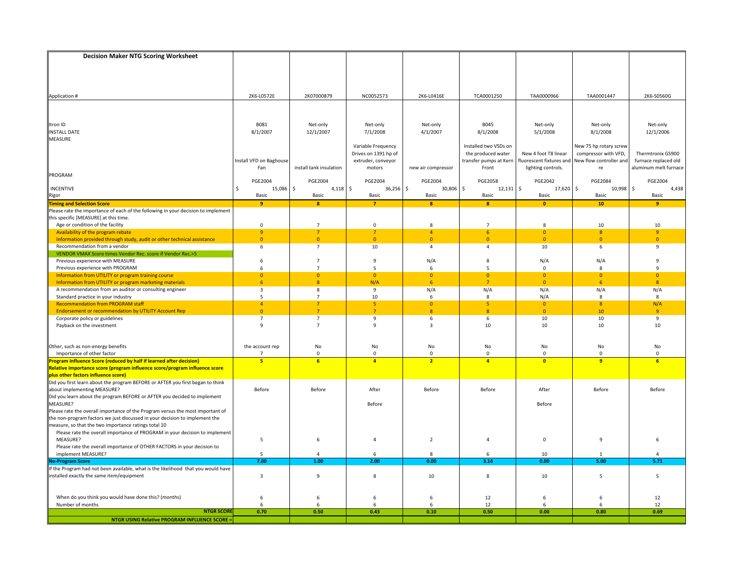| <b>Decision Maker NTG Scoring Worksheet</b>                                                                                                       |                                  |                                |                            |                                  |                                  |                                  |                                  |                                |
|---------------------------------------------------------------------------------------------------------------------------------------------------|----------------------------------|--------------------------------|----------------------------|----------------------------------|----------------------------------|----------------------------------|----------------------------------|--------------------------------|
|                                                                                                                                                   |                                  |                                |                            |                                  |                                  |                                  |                                  |                                |
|                                                                                                                                                   |                                  |                                |                            |                                  |                                  |                                  |                                  |                                |
|                                                                                                                                                   |                                  |                                |                            |                                  |                                  |                                  |                                  |                                |
|                                                                                                                                                   |                                  |                                |                            |                                  |                                  |                                  |                                  |                                |
| Application #                                                                                                                                     | 2K6-L0572E                       | 2K07000879                     | NC0052573                  | 2K6-L0416E                       | TCA0001250                       | TAA0000966                       | TAA0001447                       | 2K6-S0560G                     |
|                                                                                                                                                   |                                  |                                |                            |                                  |                                  |                                  |                                  |                                |
|                                                                                                                                                   |                                  |                                |                            |                                  |                                  |                                  |                                  |                                |
|                                                                                                                                                   |                                  |                                |                            |                                  |                                  |                                  |                                  |                                |
| Itron ID                                                                                                                                          | B081                             | Net-only                       | Net-only                   | Net-only                         | <b>B045</b>                      | Net-only                         | Net-only                         | Net-only                       |
| <b>INSTALL DATE</b>                                                                                                                               | 8/1/2007                         | 12/1/2007                      | 7/1/2008                   | 4/1/2007                         | 8/1/2008                         | 5/1/2008                         | 8/1/2008                         | 12/1/2006                      |
| MEASURE                                                                                                                                           |                                  |                                |                            |                                  |                                  |                                  |                                  |                                |
|                                                                                                                                                   |                                  |                                | Variable Frequency         |                                  | Installed two VSDs on            |                                  | New 75 hp rotary screw           |                                |
|                                                                                                                                                   |                                  |                                | Drives on 1391 hp of       |                                  | the produced water               | New 4 foot T8 linear             | compressor with VFD,             | Thermtronix GS900              |
|                                                                                                                                                   | Install VFD on Baghouse          |                                | extruder, conveyor         |                                  | transfer pumps at Kern           | fluorescent fixtures and         | New flow controller and          | furnace replaced old           |
|                                                                                                                                                   | Fan                              | install tank insulation        | motors                     | new air compressor               | Front                            | lighting controls.               | re                               | aluminum melt furnace          |
| PROGRAM                                                                                                                                           | <b>PGE2004</b>                   | <b>PGE2004</b>                 | <b>PGE2004</b>             | <b>PGE2004</b>                   | <b>PGE2058</b>                   | <b>PGE2042</b>                   | <b>PGE2084</b>                   | PGE2004                        |
| INCENTIVE                                                                                                                                         | 15,086<br>\$                     | \$<br>$4,118$ \$               | 36,256                     | \$<br>30,806 \$                  | $12,131$ \$                      | $17,620$ \$                      | 10,998                           | \$<br>4,438                    |
|                                                                                                                                                   | Basic                            | Basic                          | Basic                      | Basic                            | Basic                            | Basic                            | Basic                            | Basic                          |
| <b>Rigor</b><br>Timing and Selection Score                                                                                                        | 9                                | $\mathbf{8}$                   | $\overline{7}$             | $\mathbf{8}$                     | $\mathbf{8}$                     | $\mathbf{0}$                     | 10                               | 9                              |
| Please rate the importance of each of the following in your decision to implement                                                                 |                                  |                                |                            |                                  |                                  |                                  |                                  |                                |
| this specific [MEASURE] at this time.                                                                                                             |                                  |                                |                            |                                  |                                  |                                  |                                  |                                |
| Age or condition of the facility                                                                                                                  | $\mathsf 0$                      | $\overline{7}$                 | $\mathsf 0$                | 8                                | $\overline{7}$                   | 8                                | 10                               | 10                             |
| Availability of the program rebate                                                                                                                | 9                                | $\overline{7}$                 | $\overline{7}$             | $\overline{4}$                   | 6 <sup>1</sup>                   | $\mathbf{0}$                     | 8                                | 9                              |
| Information provided through study, audit or other technical assistance                                                                           | $\mathbf{0}$                     | $\overline{0}$                 | $\mathbf{0}$               | $\mathbf{0}$                     | $\mathbf{0}$                     | $\overline{0}$                   | $\Omega$                         | $\Omega$                       |
| Recommendation from a vendor                                                                                                                      | 6                                | $\overline{7}$                 | 10                         | 4                                | $\overline{4}$                   | 10                               | 6                                | 9                              |
| VENDOR VMAX Score times Vendor Rec. score if Vendor Rec.>5                                                                                        |                                  |                                |                            |                                  |                                  |                                  |                                  |                                |
| Previous experience with MEASURE                                                                                                                  | 6                                | $\overline{7}$                 | 9                          | N/A                              | 8                                | N/A                              | N/A                              | 9                              |
| Previous experience with PROGRAM                                                                                                                  | 6                                | $\overline{7}$                 | 5                          | 6                                | 5                                | $\mathbf 0$                      | 8                                | 9                              |
| Information from UTILITY or program training course<br>Information from UTILITY or program marketing materials                                    | $\overline{0}$<br>6 <sup>1</sup> | $\overline{0}$<br>$\mathbf{8}$ | $\overline{0}$<br>N/A      | $\overline{0}$<br>6 <sup>1</sup> | $\overline{0}$<br>$\overline{7}$ | $\overline{0}$<br>$\overline{0}$ | $\overline{0}$<br>6 <sup>5</sup> | $\overline{0}$<br>$\mathbf{8}$ |
| A recommendation from an auditor or consulting engineer                                                                                           | 3                                | 8                              | 9                          | N/A                              | N/A                              | N/A                              | N/A                              | N/A                            |
| Standard practice in your industry                                                                                                                | 5                                | $\overline{7}$                 | 10                         | 6                                | 8                                | N/A                              | 8                                | 8                              |
| <b>Recommendation from PROGRAM staff</b>                                                                                                          | $\overline{4}$                   | $\overline{7}$                 | 5 <sup>1</sup>             | $\overline{0}$                   | 5 <sup>1</sup>                   | $\overline{0}$                   | 8 <sup>°</sup>                   | N/A                            |
| <b>Endorsement or recommendation by UTILITY Account Rep</b>                                                                                       | $\mathbf{0}$                     | $\overline{7}$                 | 7                          | 8 <sup>°</sup>                   | $\mathbf{8}$                     | $\overline{0}$                   | 10 <sup>°</sup>                  | $\overline{q}$                 |
| Corporate policy or guidelines                                                                                                                    | $\overline{7}$                   | $\overline{7}$                 | 9                          | 6                                | 6                                | 10                               | 10                               | 9                              |
| Payback on the investment                                                                                                                         | $\mathbf{q}$                     | $\overline{7}$                 | 9                          | 3                                | 10                               | 10                               | 10                               | 10                             |
|                                                                                                                                                   |                                  |                                |                            |                                  |                                  |                                  |                                  |                                |
|                                                                                                                                                   |                                  |                                |                            |                                  |                                  |                                  |                                  |                                |
| Other, such as non-energy benefits                                                                                                                | the account rep                  | No                             | No                         | No                               | No                               | No                               | No                               | No                             |
| Importance of other factor                                                                                                                        | $\overline{ }$<br>5 <sup>1</sup> | $\overline{0}$                 | $\Omega$<br>$\overline{4}$ | $\mathbf{0}$                     | $\mathbf 0$<br>$\overline{a}$    | $\Omega$<br>$\bullet$            | $\Omega$<br>$\overline{q}$       | $\Omega$<br>6                  |
| Program Influence Score (reduced by half if learned after decision)<br>Relative importance score (program influence score/program influence score |                                  | 6                              |                            | $\overline{2}$                   |                                  |                                  |                                  |                                |
|                                                                                                                                                   |                                  |                                |                            |                                  |                                  |                                  |                                  |                                |
| plus other factors influence score)<br>Did you first learn about the program BEFORE or AFTER you first began to think                             |                                  |                                |                            |                                  |                                  |                                  |                                  |                                |
| about implementing MEASURE?                                                                                                                       | Before                           | Before                         | After                      | Before                           | Before                           | After                            | Before                           | Before                         |
| Did you learn about the program BEFORE or AFTER you decided to implement                                                                          |                                  |                                |                            |                                  |                                  |                                  |                                  |                                |
| MEASURE?                                                                                                                                          |                                  |                                | Before                     |                                  |                                  | Before                           |                                  |                                |
| Please rate the overall importance of the Program versus the most important of                                                                    |                                  |                                |                            |                                  |                                  |                                  |                                  |                                |
| the non-program factors we just discussed in your decision to implement the                                                                       |                                  |                                |                            |                                  |                                  |                                  |                                  |                                |
| measure, so that the two importance ratings total 10                                                                                              |                                  |                                |                            |                                  |                                  |                                  |                                  |                                |
| Please rate the overall importance of PROGRAM in your decision to implement                                                                       |                                  |                                |                            |                                  |                                  |                                  |                                  |                                |
| MEASURE?                                                                                                                                          | 5                                | 6                              | 4                          | $\overline{2}$                   | $\overline{4}$                   | $\mathbf 0$                      | 9                                | 6                              |
| Please rate the overall importance of OTHER FACTORS in your decision to                                                                           |                                  |                                |                            |                                  |                                  |                                  |                                  |                                |
| implement MEASURE?                                                                                                                                | 5                                |                                | 6                          | 8                                | 6                                | 10                               |                                  |                                |
| <b>No-Program Score</b>                                                                                                                           | 7.00                             | 1.00                           | 2.00                       | 0.00                             | 3.14                             | 0.00                             | 5.00                             | 5.71                           |
| If the Program had not been available, what is the likelihood that you would have<br>installed exactly the same item/equipment                    | 3                                | $\overline{9}$                 | 8                          | 10                               | 8                                | 10                               | 5                                | 5                              |
|                                                                                                                                                   |                                  |                                |                            |                                  |                                  |                                  |                                  |                                |
|                                                                                                                                                   |                                  |                                |                            |                                  |                                  |                                  |                                  |                                |
| When do you think you would have done this? (months)                                                                                              | 6                                | 6                              | 6                          | 6                                | 12                               | 6                                | 6                                | 12                             |
| Number of months                                                                                                                                  | 6                                | 6                              | 6                          | 6                                | 12                               | 6                                | 6                                | 12                             |
| <b>NTGR SCORE</b>                                                                                                                                 | 0.70                             | 0.50                           | 0.43                       | 0.10                             | 0.50                             | 0.00                             | 0.80                             | 0.69                           |
| <b>NTGR USING Relative PROGRAM INFLUENCE SCORE =</b>                                                                                              |                                  |                                |                            |                                  |                                  |                                  |                                  |                                |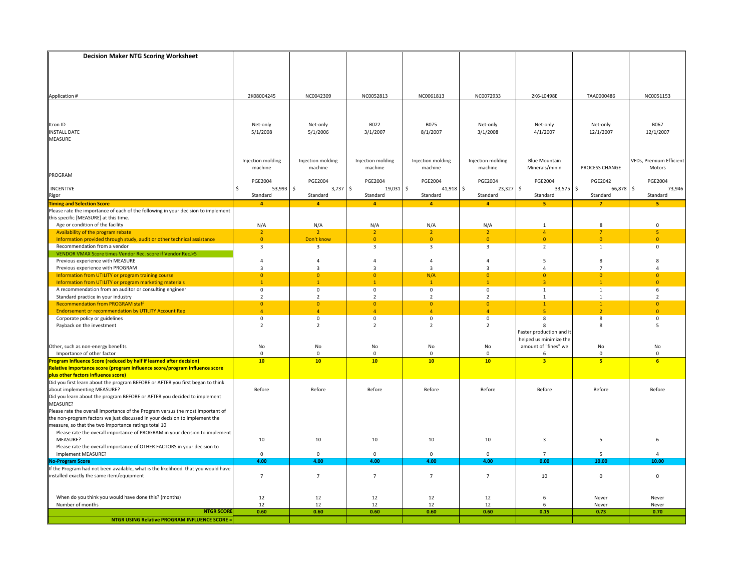| <b>Decision Maker NTG Scoring Worksheet</b>                                                                           |                               |                               |                               |                           |                               |                                |                                |                                |
|-----------------------------------------------------------------------------------------------------------------------|-------------------------------|-------------------------------|-------------------------------|---------------------------|-------------------------------|--------------------------------|--------------------------------|--------------------------------|
|                                                                                                                       |                               |                               |                               |                           |                               |                                |                                |                                |
|                                                                                                                       |                               |                               |                               |                           |                               |                                |                                |                                |
|                                                                                                                       |                               |                               |                               |                           |                               |                                |                                |                                |
|                                                                                                                       |                               |                               |                               |                           |                               |                                |                                |                                |
| Application #                                                                                                         | 2K08004245                    | NC0042309                     | NC0052813                     | NC0061813                 | NC0072933                     | 2K6-L0498E                     | TAA0000486                     | NC0051153                      |
|                                                                                                                       |                               |                               |                               |                           |                               |                                |                                |                                |
|                                                                                                                       |                               |                               |                               |                           |                               |                                |                                |                                |
|                                                                                                                       |                               |                               |                               |                           |                               |                                |                                |                                |
| Itron ID                                                                                                              | Net-only                      | Net-only                      | B022                          | <b>B075</b>               | Net-only                      | Net-only                       | Net-only                       | B067                           |
| <b>INSTALL DATE</b>                                                                                                   | 5/1/2008                      | 5/1/2006                      | 3/1/2007                      | 8/1/2007                  | 3/1/2008                      | 4/1/2007                       | 12/1/2007                      | 12/1/2007                      |
| <b>MEASURE</b>                                                                                                        |                               |                               |                               |                           |                               |                                |                                |                                |
|                                                                                                                       |                               |                               |                               |                           |                               |                                |                                |                                |
|                                                                                                                       |                               |                               |                               |                           |                               |                                |                                |                                |
|                                                                                                                       | Injection molding             | Injection molding             | Injection molding             | Injection molding         | Injection molding             | <b>Blue Mountain</b>           | PROCESS CHANGE                 | <b>VFDs, Premium Efficient</b> |
| PROGRAM                                                                                                               | machine                       | machine                       | machine                       | machine                   | machine                       | Minerals/minin                 |                                | Motors                         |
|                                                                                                                       | PGE2004                       | PGE2004                       | <b>PGE2004</b>                | PGE2004                   | <b>PGE2004</b>                | <b>PGE2004</b>                 | PGE2042                        | <b>PGE2004</b>                 |
| <b>INCENTIVE</b>                                                                                                      | \$<br>$53,993$ \$             | $3,737$ \$                    | 19,031                        | $\ddot{s}$<br>$41,918$ \$ | $23,327$ \$                   | 33,575 \$                      | 66,878                         | $\ddot{\mathsf{S}}$<br>73,946  |
| Rigor                                                                                                                 | Standard                      | Standard                      | Standard                      | Standard                  | Standard                      | Standard                       | Standard                       | Standard                       |
| <b>Timing and Selection Score</b>                                                                                     | $\overline{4}$                | $\overline{a}$                | $\overline{4}$                | $\overline{a}$            | $\overline{a}$                | 5                              |                                | <b>E</b>                       |
| Please rate the importance of each of the following in your decision to implement                                     |                               |                               |                               |                           |                               |                                |                                |                                |
| this specific [MEASURE] at this time.                                                                                 |                               |                               |                               |                           |                               |                                |                                |                                |
| Age or condition of the facility                                                                                      | N/A                           | N/A                           | N/A                           | N/A                       | N/A                           | $\mathbf{1}$                   | 8                              | $\mathbf 0$                    |
| Availability of the program rebate                                                                                    | $\overline{2}$                | $\overline{2}$                | $\overline{2}$                | 2 <sup>1</sup>            | $\overline{2}$                | $\overline{4}$                 | $\overline{7}$                 | $\overline{\mathbf{5}}$        |
| Information provided through study, audit or other technical assistance                                               | $\mathbf{0}$                  | Don't know                    | $\mathbf{0}$                  | $\overline{0}$            | $\mathbf{0}$                  | $\overline{0}$                 | $\Omega$                       | $\overline{0}$                 |
| Recommendation from a vendor                                                                                          | 3                             | 3                             | 3                             | 3                         | $\overline{3}$                | $\overline{2}$                 | $\mathbf{1}$                   | 0                              |
| VENDOR VMAX Score times Vendor Rec. score if Vendor Rec.>5                                                            |                               |                               |                               |                           |                               |                                |                                |                                |
| Previous experience with MEASURE                                                                                      | 4                             | $\overline{4}$                | 4                             | 4                         | 4                             | 5                              | 8                              | 8                              |
| Previous experience with PROGRAM                                                                                      | $\overline{3}$                | $\overline{3}$                | $\mathbf{3}$                  | $\overline{3}$            | $\overline{3}$                | $\overline{a}$                 | $\overline{7}$                 | 4                              |
| Information from UTILITY or program training course                                                                   | $\overline{0}$                | $\Omega$<br>$\overline{1}$    | $\Omega$                      | N/A                       | $\mathbf{0}$                  | $\Omega$                       | $\Omega$                       | $\Omega$                       |
| Information from UTILITY or program marketing materials                                                               | $\mathbf{1}$                  |                               | $\mathbf{1}$                  | $\mathbf{1}$              | $\mathbf{1}$                  | $\overline{3}$                 | $\mathbf{1}$                   | $\overline{0}$                 |
| A recommendation from an auditor or consulting engineer<br>Standard practice in your industry                         | $\mathsf 0$<br>$\overline{2}$ | $\mathsf 0$<br>$\overline{2}$ | $\mathsf 0$<br>$\overline{2}$ | 0<br>$\overline{2}$       | $\mathsf 0$<br>$\overline{2}$ | $\mathbf{1}$<br>$\overline{1}$ | $\mathbf{1}$<br>$\overline{1}$ | 6<br>$\overline{2}$            |
| <b>Recommendation from PROGRAM staff</b>                                                                              | $\overline{0}$                | $\overline{0}$                | $\mathbf{0}$                  | $\mathbf{0}$              | $\mathbf{0}$                  | $\mathbf{1}$                   | $\mathbf{1}$                   | $\overline{0}$                 |
| <b>Endorsement or recommendation by UTILITY Account Rep</b>                                                           | $\overline{4}$                | $\overline{4}$                | $\overline{4}$                | $\overline{4}$            | $\overline{4}$                | 5                              | $\overline{2}$                 | $\mathbf{0}$                   |
| Corporate policy or guidelines                                                                                        | 0                             | 0                             | 0                             | 0                         | 0                             | 8                              | 8                              | 0                              |
| Payback on the investment                                                                                             | $\overline{2}$                | $\overline{2}$                | $\overline{2}$                | $\overline{2}$            | $\overline{2}$                | 8                              | 8                              | 5                              |
|                                                                                                                       |                               |                               |                               |                           |                               | Faster production and it       |                                |                                |
|                                                                                                                       |                               |                               |                               |                           |                               | helped us minimize the         |                                |                                |
| Other, such as non-energy benefits                                                                                    | No                            | No                            | No                            | No                        | No                            | amount of "fines" we           | No                             | No                             |
| Importance of other factor                                                                                            | $\mathbf 0$                   | $\mathbf{0}$                  | $\mathbf 0$                   | 0                         | $\mathbf{0}$                  | 6                              | $\mathbf 0$                    | $\mathbf 0$                    |
| F<br>rogram Influence Score (reduced by half if learned after decision)                                               | 10                            | 10                            | 10                            | 10                        | 10                            | $\overline{\mathbf{3}}$        | -5                             | 6                              |
| Relative importance score (program influence score/program influence score                                            |                               |                               |                               |                           |                               |                                |                                |                                |
| plus other factors influence score)<br>Did you first learn about the program BEFORE or AFTER you first began to think |                               |                               |                               |                           |                               |                                |                                |                                |
| about implementing MEASURE?                                                                                           | Before                        | Before                        | Before                        | Before                    | Before                        | Before                         | Before                         | Before                         |
| Did you learn about the program BEFORE or AFTER you decided to implement                                              |                               |                               |                               |                           |                               |                                |                                |                                |
| MEASURE?                                                                                                              |                               |                               |                               |                           |                               |                                |                                |                                |
| Please rate the overall importance of the Program versus the most important of                                        |                               |                               |                               |                           |                               |                                |                                |                                |
| the non-program factors we just discussed in your decision to implement the                                           |                               |                               |                               |                           |                               |                                |                                |                                |
| measure, so that the two importance ratings total 10                                                                  |                               |                               |                               |                           |                               |                                |                                |                                |
| Please rate the overall importance of PROGRAM in your decision to implement                                           |                               |                               |                               |                           |                               |                                |                                |                                |
| MEASURE?                                                                                                              | 10                            | 10                            | 10                            | 10                        | 10                            | $\overline{3}$                 | 5                              | 6                              |
| Please rate the overall importance of OTHER FACTORS in your decision to                                               |                               |                               |                               |                           |                               |                                |                                |                                |
| implement MEASURE?                                                                                                    | $\mathbf 0$                   | $\Omega$                      | $\Omega$                      | $\mathbf{0}$              | $\mathbf 0$                   | $\overline{7}$                 | -5                             | $\Delta$                       |
| <b>Io-Program Score</b>                                                                                               | 4.00                          | 4.00                          | 4.00                          | 4.00                      | 4.00                          | 0.00                           | 10.00                          | 10.00                          |
| If the Program had not been available, what is the likelihood that you would have                                     |                               |                               |                               |                           |                               |                                |                                |                                |
| installed exactly the same item/equipment                                                                             | $\overline{7}$                | $\overline{7}$                | $\overline{7}$                | $\overline{7}$            | $\overline{7}$                | 10                             | 0                              | $\mathbf 0$                    |
|                                                                                                                       |                               |                               |                               |                           |                               |                                |                                |                                |
|                                                                                                                       |                               |                               |                               |                           |                               |                                |                                |                                |
| When do you think you would have done this? (months)                                                                  | 12                            | 12                            | 12                            | 12                        | 12                            | 6                              | Never                          | Never                          |
| Number of months<br><b>NTGR SCORE</b>                                                                                 | 12<br>0.60                    | 12<br>0.60                    | 12<br>0.60                    | 12<br>0.60                | 12<br>0.60                    | 6<br>0.15                      | Never<br>0.73                  | Never<br>0.70                  |
| <b>NTGR USING Relative PROGRAM INFLUENCE SCORE =</b>                                                                  |                               |                               |                               |                           |                               |                                |                                |                                |
|                                                                                                                       |                               |                               |                               |                           |                               |                                |                                |                                |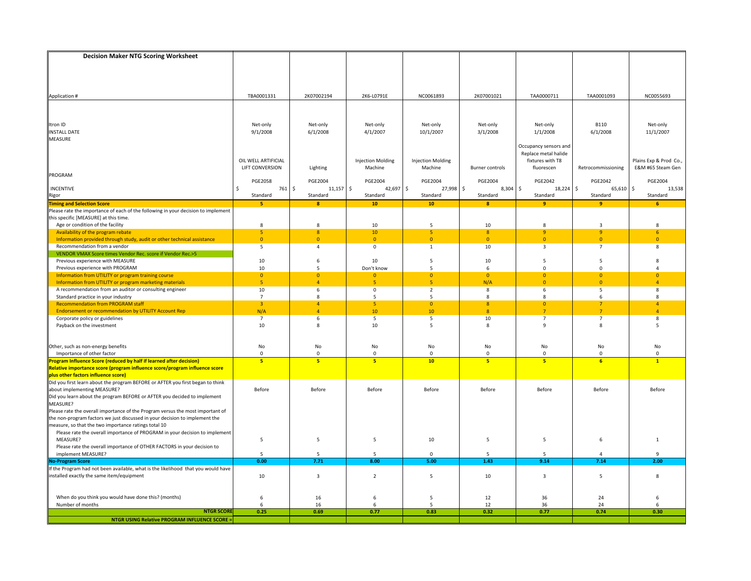| <b>Decision Maker NTG Scoring Worksheet</b>                                                                                                                   |                     |                                           |                          |                          |                        |                                               |                     |                       |
|---------------------------------------------------------------------------------------------------------------------------------------------------------------|---------------------|-------------------------------------------|--------------------------|--------------------------|------------------------|-----------------------------------------------|---------------------|-----------------------|
|                                                                                                                                                               |                     |                                           |                          |                          |                        |                                               |                     |                       |
|                                                                                                                                                               |                     |                                           |                          |                          |                        |                                               |                     |                       |
|                                                                                                                                                               |                     |                                           |                          |                          |                        |                                               |                     |                       |
|                                                                                                                                                               |                     |                                           |                          |                          |                        |                                               |                     |                       |
| Application #                                                                                                                                                 | TBA0001331          | 2K07002194                                | 2K6-L0791E               | NC0061893                | 2K07001021             | TAA0000711                                    | TAA0001093          | NC0055693             |
|                                                                                                                                                               |                     |                                           |                          |                          |                        |                                               |                     |                       |
|                                                                                                                                                               |                     |                                           |                          |                          |                        |                                               |                     |                       |
|                                                                                                                                                               |                     |                                           |                          |                          |                        |                                               |                     |                       |
| Itron ID                                                                                                                                                      | Net-only            | Net-only                                  | Net-only                 | Net-only                 | Net-only               | Net-only                                      | <b>B110</b>         | Net-only              |
| <b>INSTALL DATE</b>                                                                                                                                           | 9/1/2008            | 6/1/2008                                  | 4/1/2007                 | 10/1/2007                | 3/1/2008               | 1/1/2008                                      | 6/1/2008            | 11/1/2007             |
| MEASURE                                                                                                                                                       |                     |                                           |                          |                          |                        |                                               |                     |                       |
|                                                                                                                                                               |                     |                                           |                          |                          |                        | Occupancy sensors and<br>Replace metal halide |                     |                       |
|                                                                                                                                                               | OIL WELL ARTIFICIAL |                                           | <b>Injection Molding</b> | <b>Injection Molding</b> |                        | fixtures with T8                              |                     | Plains Exp & Prod Co. |
|                                                                                                                                                               | LIFT CONVERSION     | Lighting                                  | Machine                  | Machine                  | <b>Burner controls</b> | fluorescen                                    | Retrocommissioning  | E&M #65 Steam Gen     |
| PROGRAM                                                                                                                                                       |                     |                                           |                          |                          |                        |                                               |                     |                       |
|                                                                                                                                                               | <b>PGE2058</b>      | <b>PGE2004</b>                            | <b>PGE2004</b>           | PGE2004                  | <b>PGE2004</b>         | <b>PGE2042</b>                                | <b>PGE2042</b>      | <b>PGE2004</b>        |
| INCENTIVE                                                                                                                                                     | $761 \;$ \$<br>Š.   | $11,157$ \$                               | 42,697                   | \$<br>27,998 \$          | $8,304$ \$             | $18,224$ \$                                   | 65,610              | \$<br>13,538          |
| <b>Rigor</b><br>Timing and Selection Score                                                                                                                    | Standard            | Standard                                  | Standard                 | Standard                 | Standard               | Standard                                      | Standard            | Standard              |
|                                                                                                                                                               | 5                   | $\mathbf{8}$                              | 10                       | 10                       | $\bf{8}$               | 9                                             | 9                   | 6                     |
| Please rate the importance of each of the following in your decision to implement                                                                             |                     |                                           |                          |                          |                        |                                               |                     |                       |
| this specific [MEASURE] at this time.                                                                                                                         |                     |                                           |                          |                          |                        |                                               |                     |                       |
| Age or condition of the facility                                                                                                                              | 8                   | 8                                         | 10                       | -5                       | 10                     | 8                                             | $\overline{3}$      | 8                     |
| Availability of the program rebate                                                                                                                            | 5<br>$\overline{0}$ | $\overline{\mathbf{8}}$<br>$\overline{0}$ | 10<br>$\overline{0}$     | 5<br>$\overline{0}$      | 8<br>$\overline{0}$    | $\overline{9}$<br>$\overline{0}$              | 9<br>$\overline{0}$ | 6<br>$\overline{0}$   |
| Information provided through study, audit or other technical assistance<br>Recommendation from a vendor                                                       | 5                   | $\overline{4}$                            | $\mathsf 0$              | $\mathbf{1}$             | 10                     | 3                                             | $\overline{7}$      | 8                     |
| VENDOR VMAX Score times Vendor Rec. score if Vendor Rec.>5                                                                                                    |                     |                                           |                          |                          |                        |                                               |                     |                       |
| Previous experience with MEASURE                                                                                                                              | 10                  | 6                                         | 10                       | 5                        | 10                     | 5                                             | 5                   | 8                     |
| Previous experience with PROGRAM                                                                                                                              | 10                  | 5                                         | Don't know               | 5                        | 6                      | $\mathbf 0$                                   | $\Omega$            | $\Delta$              |
| Information from UTILITY or program training course                                                                                                           | $\overline{0}$      | $\overline{0}$                            | $\overline{0}$           | $\overline{0}$           | $\overline{0}$         | $\overline{0}$                                | $\Omega$            | $\Omega$              |
| Information from UTILITY or program marketing materials                                                                                                       | 5 <sup>1</sup>      | $\overline{4}$                            | $\overline{\mathbf{5}}$  | 5 <sup>1</sup>           | N/A                    | $\overline{0}$                                | $\overline{0}$      | $\Delta$              |
| A recommendation from an auditor or consulting engineer                                                                                                       | 10                  | 6                                         | $\mathsf 0$              | $\overline{2}$           | 8                      | 6                                             | 5                   | 8                     |
| Standard practice in your industry                                                                                                                            | $\overline{7}$      | 8                                         | 5                        | 5                        | 8                      | $\bf 8$                                       | 6                   | 8                     |
| <b>Recommendation from PROGRAM staff</b>                                                                                                                      | $\overline{3}$      | $\overline{4}$                            | 5 <sup>1</sup>           | $\overline{0}$           | 8                      | $\mathbf{0}$                                  | $\overline{7}$      | $\Delta$              |
| <b>Endorsement or recommendation by UTILITY Account Rep</b>                                                                                                   | N/A                 | $\overline{4}$                            | 10                       | 10                       | $\bf{8}$               | $\overline{7}$                                | $\overline{7}$      | $\lambda$             |
| Corporate policy or guidelines                                                                                                                                | $\overline{7}$      | 6                                         | 5                        | 5                        | 10                     | $\overline{7}$                                | $\overline{7}$      | 8                     |
| Payback on the investment                                                                                                                                     | 10                  | 8                                         | 10                       | 5                        | 8                      | $\overline{9}$                                | 8                   | 5                     |
|                                                                                                                                                               |                     |                                           |                          |                          |                        |                                               |                     |                       |
| Other, such as non-energy benefits                                                                                                                            | No                  | No                                        | No                       | No                       | No                     | No                                            | No                  | No                    |
| Importance of other factor                                                                                                                                    | $\mathbf 0$         | $\mathbf 0$                               | $\mathbf 0$              | $\mathbf{0}$             | $\mathsf 0$            | $\mathbf 0$                                   | $\mathbf 0$         | $\Omega$              |
| Program Influence Score (reduced by half if learned after decision)                                                                                           | 5                   | 5                                         | 5                        | 10                       | 5                      | 5 <sub>5</sub>                                | 6                   | $\overline{1}$        |
| Relative importance score (program influence score/program influence score                                                                                    |                     |                                           |                          |                          |                        |                                               |                     |                       |
| plus other factors influence score)<br>Did you first learn about the program BEFORE or AFTER you first began to think                                         |                     |                                           |                          |                          |                        |                                               |                     |                       |
|                                                                                                                                                               |                     |                                           |                          |                          |                        |                                               |                     |                       |
| about implementing MEASURE?                                                                                                                                   | Before              | Before                                    | Before                   | Before                   | Before                 | Before                                        | Before              | Before                |
| Did you learn about the program BEFORE or AFTER you decided to implement                                                                                      |                     |                                           |                          |                          |                        |                                               |                     |                       |
| MEASURE?                                                                                                                                                      |                     |                                           |                          |                          |                        |                                               |                     |                       |
| Please rate the overall importance of the Program versus the most important of<br>the non-program factors we just discussed in your decision to implement the |                     |                                           |                          |                          |                        |                                               |                     |                       |
| measure, so that the two importance ratings total 10                                                                                                          |                     |                                           |                          |                          |                        |                                               |                     |                       |
| Please rate the overall importance of PROGRAM in your decision to implement                                                                                   |                     |                                           |                          |                          |                        |                                               |                     |                       |
| MEASURE?                                                                                                                                                      | 5                   | 5                                         | 5                        | 10                       | 5                      | 5                                             | 6                   | 1                     |
| Please rate the overall importance of OTHER FACTORS in your decision to                                                                                       |                     |                                           |                          |                          |                        |                                               |                     |                       |
| implement MEASURE?                                                                                                                                            | 5                   | 5                                         | 5                        | $\mathbf 0$              | 5                      | 5                                             | $\overline{4}$      | 9                     |
| <b>No-Program Score</b>                                                                                                                                       | 0.00                | 7.71                                      | 8.00                     | 5.00                     | 1.43                   | 9.14                                          | 7.14                | 2.00                  |
| If the Program had not been available, what is the likelihood that you would have                                                                             |                     |                                           |                          |                          |                        |                                               |                     |                       |
| installed exactly the same item/equipment                                                                                                                     | 10                  | $\overline{3}$                            | $\overline{2}$           | 5                        | 10                     | $\overline{\mathbf{3}}$                       | 5                   | 8                     |
|                                                                                                                                                               |                     |                                           |                          |                          |                        |                                               |                     |                       |
|                                                                                                                                                               |                     |                                           |                          |                          |                        |                                               |                     |                       |
| When do you think you would have done this? (months)                                                                                                          | 6                   | 16                                        | 6                        | 5                        | 12                     | 36                                            | 24                  | 6                     |
| Number of months<br><b>NTGR SCORE</b>                                                                                                                         | 6<br>0.25           | 16<br>0.69                                | 6<br>0.77                | 5<br>0.83                | 12<br>0.32             | 36<br>0.77                                    | 24<br>0.74          | 6<br>0.30             |
| <b>NTGR USING Relative PROGRAM INFLUENCE SCORE =</b>                                                                                                          |                     |                                           |                          |                          |                        |                                               |                     |                       |
|                                                                                                                                                               |                     |                                           |                          |                          |                        |                                               |                     |                       |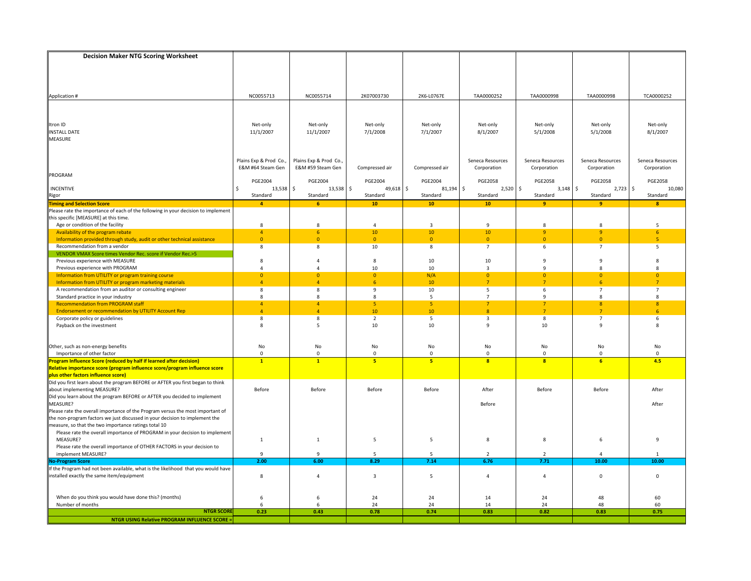| <b>Decision Maker NTG Scoring Worksheet</b>                                                                           |                        |                        |                      |                 |                         |                         |                                  |                  |
|-----------------------------------------------------------------------------------------------------------------------|------------------------|------------------------|----------------------|-----------------|-------------------------|-------------------------|----------------------------------|------------------|
|                                                                                                                       |                        |                        |                      |                 |                         |                         |                                  |                  |
|                                                                                                                       |                        |                        |                      |                 |                         |                         |                                  |                  |
|                                                                                                                       |                        |                        |                      |                 |                         |                         |                                  |                  |
|                                                                                                                       |                        |                        |                      |                 |                         |                         |                                  |                  |
| Application #                                                                                                         | NC0055713              | NC0055714              | 2K07003730           | 2K6-L0767E      | TAA0000252              | TAA0000998              | TAA0000998                       | TCA0000252       |
|                                                                                                                       |                        |                        |                      |                 |                         |                         |                                  |                  |
|                                                                                                                       |                        |                        |                      |                 |                         |                         |                                  |                  |
| Itron ID                                                                                                              | Net-only               | Net-only               | Net-only             | Net-only        | Net-only                | Net-only                | Net-only                         | Net-only         |
| <b>INSTALL DATE</b>                                                                                                   | 11/1/2007              | 11/1/2007              | 7/1/2008             | 7/1/2007        | 8/1/2007                | 5/1/2008                | 5/1/2008                         | 8/1/2007         |
| MEASURE                                                                                                               |                        |                        |                      |                 |                         |                         |                                  |                  |
|                                                                                                                       |                        |                        |                      |                 |                         |                         |                                  |                  |
|                                                                                                                       |                        |                        |                      |                 |                         |                         |                                  |                  |
|                                                                                                                       | Plains Exp & Prod Co., | Plains Exp & Prod Co., |                      |                 | Seneca Resources        | Seneca Resources        | Seneca Resources                 | Seneca Resources |
|                                                                                                                       | E&M #64 Steam Gen      | E&M #59 Steam Gen      | Compressed air       | Compressed air  | Corporation             | Corporation             | Corporation                      | Corporation      |
| PROGRAM                                                                                                               | <b>PGE2004</b>         | <b>PGE2004</b>         | <b>PGE2004</b>       | <b>PGE2004</b>  | <b>PGE2058</b>          | <b>PGE2058</b>          | <b>PGE2058</b>                   | <b>PGE2058</b>   |
| <b>INCENTIVE</b>                                                                                                      | 13,538<br>Ś            | $13,538$ \$<br>Ŝ.      | 49,618 \$            | 81,194 \$       | $2,520$ \$              | $3,148$ \$              | 2,723                            | \$<br>10,080     |
|                                                                                                                       | Standard               | Standard               | Standard             | Standard        | Standard                | Standard                | Standard                         | Standard         |
| Rigor<br><mark>Timing and Selection Score</mark>                                                                      | $\overline{4}$         | 6                      | 10 <sub>1</sub>      | 10 <sup>°</sup> | 10                      | 9                       | 9                                | $\mathbf{R}$     |
| Please rate the importance of each of the following in your decision to implement                                     |                        |                        |                      |                 |                         |                         |                                  |                  |
| this specific [MEASURE] at this time.                                                                                 |                        |                        |                      |                 |                         |                         |                                  |                  |
| Age or condition of the facility                                                                                      | 8                      | 8                      | $\Delta$             | $\overline{3}$  | $\overline{9}$          | $\bf 8$                 | 8                                | 5                |
| Availability of the program rebate                                                                                    | $\overline{4}$         | 6                      | 10                   | $10\,$          | 10                      | $\mathbf{9}$            | 9                                | 6                |
| Information provided through study, audit or other technical assistance                                               | $\mathbf{0}$           | $\overline{0}$         | $\mathbf{0}$         | $\mathbf{0}$    | $\mathbf{0}$            | $\mathbf{0}$            | $\overline{0}$                   | -5               |
| Recommendation from a vendor<br>VENDOR VMAX Score times Vendor Rec. score if Vendor Rec.>5                            | 8                      | 8                      | 10                   | 8               | $\overline{7}$          | 6                       | $\overline{7}$                   | 5                |
| Previous experience with MEASURE                                                                                      | 8                      | $\overline{4}$         | 8                    | 10              | 10                      | 9                       | 9                                | 8                |
| Previous experience with PROGRAM                                                                                      | 4                      | $\overline{4}$         | 10                   | 10              | 3                       | 9                       | 8                                | 8                |
| Information from UTILITY or program training course                                                                   | $\overline{0}$         | $\overline{0}$         | $\overline{0}$       | N/A             | $\overline{0}$          | $\overline{0}$          | $\overline{0}$                   | $\overline{0}$   |
| Information from UTILITY or program marketing materials                                                               | $\overline{4}$         | $\overline{4}$         | 6                    | 10 <sup>°</sup> | $7^{\circ}$             | $\overline{7}$          | 6 <sup>1</sup>                   | $\overline{7}$   |
| A recommendation from an auditor or consulting engineer                                                               | 8                      | 8                      | 9                    | 10              | 5                       | 6                       | $\overline{7}$                   | $\overline{7}$   |
| Standard practice in your industry                                                                                    | 8                      | 8                      | 8                    | 5               | $\overline{7}$          | 9                       | 8                                | 8                |
| <b>Recommendation from PROGRAM staff</b>                                                                              | $\overline{4}$         | $\overline{4}$         | 5 <sup>1</sup>       | 5 <sup>1</sup>  | $\overline{7}$          | $\overline{7}$          | 8 <sup>°</sup>                   | $\mathbf{8}$     |
| <b>Endorsement or recommendation by UTILITY Account Rep</b>                                                           | $\overline{a}$         | $\Delta$               | 10                   | 10              | 8                       | $\overline{7}$<br>8     | $\overline{7}$<br>$\overline{7}$ | 6                |
| Corporate policy or guidelines<br>Payback on the investment                                                           | 8<br>8                 | 8<br>5                 | $\overline{2}$<br>10 | 5<br>10         | 3<br>9                  | 10                      | $\mathbf{q}$                     | 6<br>8           |
|                                                                                                                       |                        |                        |                      |                 |                         |                         |                                  |                  |
|                                                                                                                       |                        |                        |                      |                 |                         |                         |                                  |                  |
| Other, such as non-energy benefits                                                                                    | No                     | No                     | No                   | No              | No                      | No                      | No                               | No               |
| Importance of other factor                                                                                            | $\mathbf 0$            | $\pmb{0}$              | $\mathbf 0$          | $\mathbf{0}$    | $\mathsf 0$             | $\mathbf 0$             | $\mathbf 0$                      | $\Omega$         |
| Program Influence Score (reduced by half if learned after decision)                                                   | $\mathbf{1}$           | $\mathbf{1}$           | 5 <sup>1</sup>       | 5 <sup>2</sup>  | $\overline{\mathbf{8}}$ | $\overline{\mathbf{8}}$ | 6                                | 4.5              |
| Relative importance score (program influence score/program influence score                                            |                        |                        |                      |                 |                         |                         |                                  |                  |
| plus other factors influence score)<br>Did you first learn about the program BEFORE or AFTER you first began to think |                        |                        |                      |                 |                         |                         |                                  |                  |
| about implementing MEASURE?                                                                                           | Before                 | Before                 | Before               | Before          | After                   | Before                  | Before                           | After            |
| Did you learn about the program BEFORE or AFTER you decided to implement                                              |                        |                        |                      |                 |                         |                         |                                  |                  |
| MEASURE?                                                                                                              |                        |                        |                      |                 | Before                  |                         |                                  | After            |
| Please rate the overall importance of the Program versus the most important of                                        |                        |                        |                      |                 |                         |                         |                                  |                  |
| the non-program factors we just discussed in your decision to implement the                                           |                        |                        |                      |                 |                         |                         |                                  |                  |
| measure, so that the two importance ratings total 10                                                                  |                        |                        |                      |                 |                         |                         |                                  |                  |
| Please rate the overall importance of PROGRAM in your decision to implement                                           |                        |                        |                      |                 |                         |                         |                                  |                  |
| MEASURE?                                                                                                              | $\mathbf{1}$           | $\mathbf{1}$           | 5                    | 5               | 8                       | 8                       | 6                                | 9                |
| Please rate the overall importance of OTHER FACTORS in your decision to                                               |                        |                        |                      |                 |                         |                         |                                  |                  |
| implement MEASURE?                                                                                                    | 9                      | $\mathbf{q}$           | 5                    | 5               | $\overline{2}$          | $\overline{2}$          | 4                                |                  |
| <b>No-Program Score</b><br>If the Program had not been available, what is the likelihood that you would have          | 2.00                   | 6.00                   | 8.29                 | 7.14            | 6.76                    | 7.71                    | 10.00                            | 10.00            |
| installed exactly the same item/equipment                                                                             | 8                      | $\overline{4}$         | 3                    | 5               | $\overline{4}$          | $\overline{4}$          | $\mathbf 0$                      | $\mathbf 0$      |
|                                                                                                                       |                        |                        |                      |                 |                         |                         |                                  |                  |
|                                                                                                                       |                        |                        |                      |                 |                         |                         |                                  |                  |
| When do you think you would have done this? (months)                                                                  | 6                      | 6                      | 24                   | 24              | 14                      | 24                      | 48                               | 60               |
| Number of months                                                                                                      | 6                      | 6                      | 24                   | 24              | 14                      | 24                      | 48                               | 60               |
| <b>NTGR SCOR</b>                                                                                                      | 0.23                   | 0.43                   | 0.78                 | 0.74            | 0.83                    | 0.82                    | 0.83                             | 0.75             |
| <b>NTGR USING Relative PROGRAM INFLUENCE SCORE:</b>                                                                   |                        |                        |                      |                 |                         |                         |                                  |                  |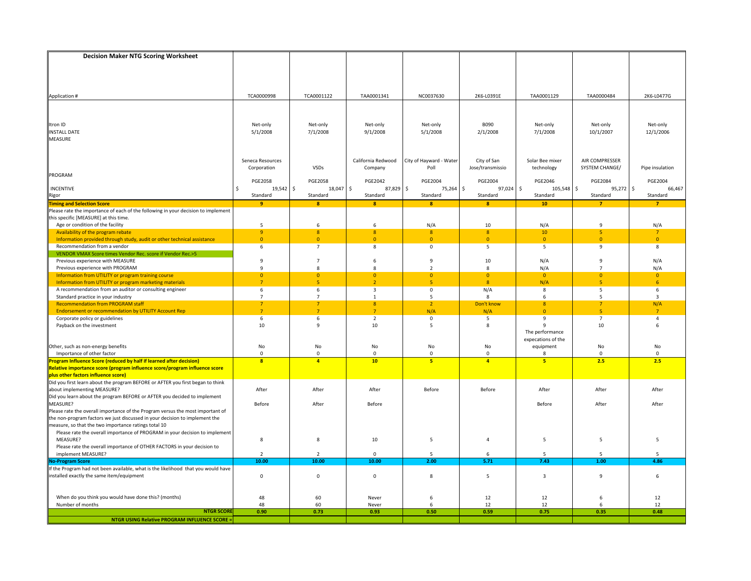| TCA0000998<br>TCA0001122<br>TAA0001341<br>NC0037630<br>2K6-L0391E<br>TAA0001129<br>TAA0000484<br>2K6-L0477G<br>Application #<br>Itron ID<br><b>B090</b><br>Net-only<br>Net-only<br>Net-only<br>Net-only<br>Net-only<br>Net-only<br>Net-only<br>5/1/2008<br>7/1/2008<br>9/1/2008<br>5/1/2008<br>2/1/2008<br>7/1/2008<br>10/1/2007<br>12/1/2006<br><b>INSTALL DATE</b><br><b>MEASURE</b><br>California Redwood<br>City of Hayward - Water<br>City of San<br>AIR COMPRESSER<br>Seneca Resources<br>Solar Bee mixer<br>SYSTEM CHANGE/<br>Corporation<br><b>VSDs</b><br>Poll<br>Jose/transmissio<br>technology<br>Pipe insulation<br>Company<br>PROGRAM<br><b>PGE2058</b><br>PGE2004<br><b>PGE2004</b><br>PGE2046<br><b>PGE2058</b><br><b>PGE2042</b><br><b>PGE2084</b><br><b>PGE2004</b><br>l \$<br>97,024 \$<br>105,548 \$<br>$19,542$ \$<br>87,829<br>$\frac{1}{2}$<br>75,264 \$<br>95,272 \$<br>66,467<br><b>INCENTIVE</b><br>\$<br>18,047<br>Standard<br>Rigor<br>Standard<br>Standard<br>Standard<br>Standard<br>Standard<br>Standard<br>Standard<br><b>Timing and Selection Score</b><br>9<br>$\bf{8}$<br>۰<br>10 <sub>1</sub><br>$\mathbf{8}$<br>$\bf{8}$<br>$\overline{7}$<br>$\overline{7}$<br>Please rate the importance of each of the following in your decision to implement<br>this specific [MEASURE] at this time.<br>Age or condition of the facility<br>5<br>6<br>N/A<br>10<br>N/A<br>N/A<br>6<br>9<br>9<br>$\boldsymbol{8}$<br>Availability of the program rebate<br>$\overline{\mathbf{8}}$<br>8<br>8<br>10<br>5<br>$\overline{7}$<br>$\overline{0}$<br>$\overline{0}$<br>Information provided through study, audit or other technical assistance<br>$\overline{0}$<br>$\overline{0}$<br>$\overline{0}$<br>$\overline{0}$<br>$\overline{0}$<br>$\Omega$<br>Recommendation from a vendor<br>6<br>$\overline{7}$<br>8<br>0<br>5<br>5<br>9<br>8<br>VENDOR VMAX Score times Vendor Rec. score if Vendor Rec.>5<br>Previous experience with MEASURE<br>9<br>$\overline{7}$<br>9<br>10<br>N/A<br>9<br>N/A<br>6<br>$\overline{9}$<br>Previous experience with PROGRAM<br>8<br>$\overline{2}$<br>8<br>N/A<br>N/A<br>$\mathbf{R}$<br>$\overline{7}$<br>Information from UTILITY or program training course<br>$\overline{0}$<br>$\overline{0}$<br>$\overline{0}$<br>$\overline{0}$<br>$\overline{0}$<br>$\Omega$<br>$\overline{0}$<br>$\Omega$<br>$\overline{7}$<br>5<br>5 <sup>1</sup><br>$\overline{8}$<br>N/A<br>6<br>Information from UTILITY or program marketing materials<br>$\mathcal{L}$<br>$\mathbf{r}_i$<br>A recommendation from an auditor or consulting engineer<br>6<br>6<br>$\overline{3}$<br>0<br>N/A<br>8<br>5<br>6<br>Standard practice in your industry<br>$\overline{7}$<br>$\overline{7}$<br>5<br>8<br>6<br>$\overline{\mathbf{3}}$<br>1<br>5<br><b>Recommendation from PROGRAM staff</b><br>$\overline{7}$<br>$\overline{7}$<br>8<br>$\overline{2}$<br>Don't know<br>8<br>$\overline{7}$<br>N/A<br>N/A<br><b>Endorsement or recommendation by UTILITY Account Rep</b><br>$\overline{7}$<br>$\overline{7}$<br>$\overline{7}$<br>N/A<br>$\overline{0}$<br>$\mathbf{R}$<br>$\overline{7}$<br>6<br>$\overline{2}$<br>5<br>9<br>$\overline{7}$<br>Corporate policy or guidelines<br>6<br>0<br>4<br>10<br>$\mathbf{q}$<br>10<br>5<br>8<br>9<br>10<br>6<br>Payback on the investment<br>The performance<br>expecations of the<br>Other, such as non-energy benefits<br>No<br>No<br>No<br>No<br>No<br>equipment<br>No<br>No<br>Importance of other factor<br>$\mathbf 0$<br>$\mathbf{0}$<br>0<br>$\mathbf{0}$<br>$\mathbf{0}$<br>$\Omega$<br>8<br>$\Omega$<br>5<br>F<br>rogram Influence Score (reduced by half if learned after decision)<br>$\overline{\mathbf{8}}$<br>$\overline{a}$<br>10 <sub>1</sub><br>5 <sup>2</sup><br>$\overline{4}$<br>2.5<br>2.5<br>Relative importance score (program influence score/program influence score<br>plus other factors influence score)<br>Did you first learn about the program BEFORE or AFTER you first began to think<br>about implementing MEASURE?<br>After<br>After<br>After<br>Before<br>Before<br>After<br>After<br>After<br>Did you learn about the program BEFORE or AFTER you decided to implement<br>MEASURE?<br>Before<br>After<br>Before<br>Before<br>After<br>After<br>Please rate the overall importance of the Program versus the most important of<br>the non-program factors we just discussed in your decision to implement the<br>measure, so that the two importance ratings total 10<br>Please rate the overall importance of PROGRAM in your decision to implement<br>MEASURE?<br>8<br>8<br>10<br>5<br>$\overline{4}$<br>5<br>5<br>5<br>Please rate the overall importance of OTHER FACTORS in your decision to<br>implement MEASURE?<br>$\overline{2}$<br>$\overline{2}$<br>0<br>5<br>6<br>5<br>5<br>5<br>10.00<br>10.00<br>10.00<br>2.00<br>7.43<br>1.00<br>4.86<br><b>No-Program Score</b><br>5.71<br>If the Program had not been available, what is the likelihood that you would have<br>$\overline{\mathbf{3}}$<br>installed exactly the same item/equipment<br>$\mathsf 0$<br>$\mathbf 0$<br>$\mathbf 0$<br>8<br>5<br>9<br>6<br>12<br>When do you think you would have done this? (months)<br>48<br>60<br>Never<br>6<br>12<br>12<br>6<br>48<br>Number of months<br>60<br>6<br>12<br>12<br>Never<br>12<br>6<br><b>NTGR SCORE</b><br>0.90<br>0.73<br>0.93<br>0.50<br>0.59<br>0.75<br>0.35<br>0.48<br><b>NTGR USING Relative PROGRAM INFLUENCE SCORE =</b> | <b>Decision Maker NTG Scoring Worksheet</b> |  |  |  |  |
|---------------------------------------------------------------------------------------------------------------------------------------------------------------------------------------------------------------------------------------------------------------------------------------------------------------------------------------------------------------------------------------------------------------------------------------------------------------------------------------------------------------------------------------------------------------------------------------------------------------------------------------------------------------------------------------------------------------------------------------------------------------------------------------------------------------------------------------------------------------------------------------------------------------------------------------------------------------------------------------------------------------------------------------------------------------------------------------------------------------------------------------------------------------------------------------------------------------------------------------------------------------------------------------------------------------------------------------------------------------------------------------------------------------------------------------------------------------------------------------------------------------------------------------------------------------------------------------------------------------------------------------------------------------------------------------------------------------------------------------------------------------------------------------------------------------------------------------------------------------------------------------------------------------------------------------------------------------------------------------------------------------------------------------------------------------------------------------------------------------------------------------------------------------------------------------------------------------------------------------------------------------------------------------------------------------------------------------------------------------------------------------------------------------------------------------------------------------------------------------------------------------------------------------------------------------------------------------------------------------------------------------------------------------------------------------------------------------------------------------------------------------------------------------------------------------------------------------------------------------------------------------------------------------------------------------------------------------------------------------------------------------------------------------------------------------------------------------------------------------------------------------------------------------------------------------------------------------------------------------------------------------------------------------------------------------------------------------------------------------------------------------------------------------------------------------------------------------------------------------------------------------------------------------------------------------------------------------------------------------------------------------------------------------------------------------------------------------------------------------------------------------------------------------------------------------------------------------------------------------------------------------------------------------------------------------------------------------------------------------------------------------------------------------------------------------------------------------------------------------------------------------------------------------------------------------------------------------------------------------------------------------------------------------------------------------------------------------------------------------------------------------------------------------------------------------------------------------------------------------------------------------------------------------------------------------------------------------------------------------------------------------------------------------------------------------------------------------------------------------------------------------------------------------------------------------------------------------------------------------------------------------------------------------------------------------------------------------------------------------------------------------------------------------------------------------------------------------------------------------------------------------------------------------------------------------------------------------------------------------------------------------------------------------------------------------------------------------------------------------------------------------------------------------------------------------------------------|---------------------------------------------|--|--|--|--|
|                                                                                                                                                                                                                                                                                                                                                                                                                                                                                                                                                                                                                                                                                                                                                                                                                                                                                                                                                                                                                                                                                                                                                                                                                                                                                                                                                                                                                                                                                                                                                                                                                                                                                                                                                                                                                                                                                                                                                                                                                                                                                                                                                                                                                                                                                                                                                                                                                                                                                                                                                                                                                                                                                                                                                                                                                                                                                                                                                                                                                                                                                                                                                                                                                                                                                                                                                                                                                                                                                                                                                                                                                                                                                                                                                                                                                                                                                                                                                                                                                                                                                                                                                                                                                                                                                                                                                                                                                                                                                                                                                                                                                                                                                                                                                                                                                                                                                                                                                                                                                                                                                                                                                                                                                                                                                                                                                                                                                                                         |                                             |  |  |  |  |
|                                                                                                                                                                                                                                                                                                                                                                                                                                                                                                                                                                                                                                                                                                                                                                                                                                                                                                                                                                                                                                                                                                                                                                                                                                                                                                                                                                                                                                                                                                                                                                                                                                                                                                                                                                                                                                                                                                                                                                                                                                                                                                                                                                                                                                                                                                                                                                                                                                                                                                                                                                                                                                                                                                                                                                                                                                                                                                                                                                                                                                                                                                                                                                                                                                                                                                                                                                                                                                                                                                                                                                                                                                                                                                                                                                                                                                                                                                                                                                                                                                                                                                                                                                                                                                                                                                                                                                                                                                                                                                                                                                                                                                                                                                                                                                                                                                                                                                                                                                                                                                                                                                                                                                                                                                                                                                                                                                                                                                                         |                                             |  |  |  |  |
|                                                                                                                                                                                                                                                                                                                                                                                                                                                                                                                                                                                                                                                                                                                                                                                                                                                                                                                                                                                                                                                                                                                                                                                                                                                                                                                                                                                                                                                                                                                                                                                                                                                                                                                                                                                                                                                                                                                                                                                                                                                                                                                                                                                                                                                                                                                                                                                                                                                                                                                                                                                                                                                                                                                                                                                                                                                                                                                                                                                                                                                                                                                                                                                                                                                                                                                                                                                                                                                                                                                                                                                                                                                                                                                                                                                                                                                                                                                                                                                                                                                                                                                                                                                                                                                                                                                                                                                                                                                                                                                                                                                                                                                                                                                                                                                                                                                                                                                                                                                                                                                                                                                                                                                                                                                                                                                                                                                                                                                         |                                             |  |  |  |  |
|                                                                                                                                                                                                                                                                                                                                                                                                                                                                                                                                                                                                                                                                                                                                                                                                                                                                                                                                                                                                                                                                                                                                                                                                                                                                                                                                                                                                                                                                                                                                                                                                                                                                                                                                                                                                                                                                                                                                                                                                                                                                                                                                                                                                                                                                                                                                                                                                                                                                                                                                                                                                                                                                                                                                                                                                                                                                                                                                                                                                                                                                                                                                                                                                                                                                                                                                                                                                                                                                                                                                                                                                                                                                                                                                                                                                                                                                                                                                                                                                                                                                                                                                                                                                                                                                                                                                                                                                                                                                                                                                                                                                                                                                                                                                                                                                                                                                                                                                                                                                                                                                                                                                                                                                                                                                                                                                                                                                                                                         |                                             |  |  |  |  |
|                                                                                                                                                                                                                                                                                                                                                                                                                                                                                                                                                                                                                                                                                                                                                                                                                                                                                                                                                                                                                                                                                                                                                                                                                                                                                                                                                                                                                                                                                                                                                                                                                                                                                                                                                                                                                                                                                                                                                                                                                                                                                                                                                                                                                                                                                                                                                                                                                                                                                                                                                                                                                                                                                                                                                                                                                                                                                                                                                                                                                                                                                                                                                                                                                                                                                                                                                                                                                                                                                                                                                                                                                                                                                                                                                                                                                                                                                                                                                                                                                                                                                                                                                                                                                                                                                                                                                                                                                                                                                                                                                                                                                                                                                                                                                                                                                                                                                                                                                                                                                                                                                                                                                                                                                                                                                                                                                                                                                                                         |                                             |  |  |  |  |
|                                                                                                                                                                                                                                                                                                                                                                                                                                                                                                                                                                                                                                                                                                                                                                                                                                                                                                                                                                                                                                                                                                                                                                                                                                                                                                                                                                                                                                                                                                                                                                                                                                                                                                                                                                                                                                                                                                                                                                                                                                                                                                                                                                                                                                                                                                                                                                                                                                                                                                                                                                                                                                                                                                                                                                                                                                                                                                                                                                                                                                                                                                                                                                                                                                                                                                                                                                                                                                                                                                                                                                                                                                                                                                                                                                                                                                                                                                                                                                                                                                                                                                                                                                                                                                                                                                                                                                                                                                                                                                                                                                                                                                                                                                                                                                                                                                                                                                                                                                                                                                                                                                                                                                                                                                                                                                                                                                                                                                                         |                                             |  |  |  |  |
|                                                                                                                                                                                                                                                                                                                                                                                                                                                                                                                                                                                                                                                                                                                                                                                                                                                                                                                                                                                                                                                                                                                                                                                                                                                                                                                                                                                                                                                                                                                                                                                                                                                                                                                                                                                                                                                                                                                                                                                                                                                                                                                                                                                                                                                                                                                                                                                                                                                                                                                                                                                                                                                                                                                                                                                                                                                                                                                                                                                                                                                                                                                                                                                                                                                                                                                                                                                                                                                                                                                                                                                                                                                                                                                                                                                                                                                                                                                                                                                                                                                                                                                                                                                                                                                                                                                                                                                                                                                                                                                                                                                                                                                                                                                                                                                                                                                                                                                                                                                                                                                                                                                                                                                                                                                                                                                                                                                                                                                         |                                             |  |  |  |  |
|                                                                                                                                                                                                                                                                                                                                                                                                                                                                                                                                                                                                                                                                                                                                                                                                                                                                                                                                                                                                                                                                                                                                                                                                                                                                                                                                                                                                                                                                                                                                                                                                                                                                                                                                                                                                                                                                                                                                                                                                                                                                                                                                                                                                                                                                                                                                                                                                                                                                                                                                                                                                                                                                                                                                                                                                                                                                                                                                                                                                                                                                                                                                                                                                                                                                                                                                                                                                                                                                                                                                                                                                                                                                                                                                                                                                                                                                                                                                                                                                                                                                                                                                                                                                                                                                                                                                                                                                                                                                                                                                                                                                                                                                                                                                                                                                                                                                                                                                                                                                                                                                                                                                                                                                                                                                                                                                                                                                                                                         |                                             |  |  |  |  |
|                                                                                                                                                                                                                                                                                                                                                                                                                                                                                                                                                                                                                                                                                                                                                                                                                                                                                                                                                                                                                                                                                                                                                                                                                                                                                                                                                                                                                                                                                                                                                                                                                                                                                                                                                                                                                                                                                                                                                                                                                                                                                                                                                                                                                                                                                                                                                                                                                                                                                                                                                                                                                                                                                                                                                                                                                                                                                                                                                                                                                                                                                                                                                                                                                                                                                                                                                                                                                                                                                                                                                                                                                                                                                                                                                                                                                                                                                                                                                                                                                                                                                                                                                                                                                                                                                                                                                                                                                                                                                                                                                                                                                                                                                                                                                                                                                                                                                                                                                                                                                                                                                                                                                                                                                                                                                                                                                                                                                                                         |                                             |  |  |  |  |
|                                                                                                                                                                                                                                                                                                                                                                                                                                                                                                                                                                                                                                                                                                                                                                                                                                                                                                                                                                                                                                                                                                                                                                                                                                                                                                                                                                                                                                                                                                                                                                                                                                                                                                                                                                                                                                                                                                                                                                                                                                                                                                                                                                                                                                                                                                                                                                                                                                                                                                                                                                                                                                                                                                                                                                                                                                                                                                                                                                                                                                                                                                                                                                                                                                                                                                                                                                                                                                                                                                                                                                                                                                                                                                                                                                                                                                                                                                                                                                                                                                                                                                                                                                                                                                                                                                                                                                                                                                                                                                                                                                                                                                                                                                                                                                                                                                                                                                                                                                                                                                                                                                                                                                                                                                                                                                                                                                                                                                                         |                                             |  |  |  |  |
|                                                                                                                                                                                                                                                                                                                                                                                                                                                                                                                                                                                                                                                                                                                                                                                                                                                                                                                                                                                                                                                                                                                                                                                                                                                                                                                                                                                                                                                                                                                                                                                                                                                                                                                                                                                                                                                                                                                                                                                                                                                                                                                                                                                                                                                                                                                                                                                                                                                                                                                                                                                                                                                                                                                                                                                                                                                                                                                                                                                                                                                                                                                                                                                                                                                                                                                                                                                                                                                                                                                                                                                                                                                                                                                                                                                                                                                                                                                                                                                                                                                                                                                                                                                                                                                                                                                                                                                                                                                                                                                                                                                                                                                                                                                                                                                                                                                                                                                                                                                                                                                                                                                                                                                                                                                                                                                                                                                                                                                         |                                             |  |  |  |  |
|                                                                                                                                                                                                                                                                                                                                                                                                                                                                                                                                                                                                                                                                                                                                                                                                                                                                                                                                                                                                                                                                                                                                                                                                                                                                                                                                                                                                                                                                                                                                                                                                                                                                                                                                                                                                                                                                                                                                                                                                                                                                                                                                                                                                                                                                                                                                                                                                                                                                                                                                                                                                                                                                                                                                                                                                                                                                                                                                                                                                                                                                                                                                                                                                                                                                                                                                                                                                                                                                                                                                                                                                                                                                                                                                                                                                                                                                                                                                                                                                                                                                                                                                                                                                                                                                                                                                                                                                                                                                                                                                                                                                                                                                                                                                                                                                                                                                                                                                                                                                                                                                                                                                                                                                                                                                                                                                                                                                                                                         |                                             |  |  |  |  |
|                                                                                                                                                                                                                                                                                                                                                                                                                                                                                                                                                                                                                                                                                                                                                                                                                                                                                                                                                                                                                                                                                                                                                                                                                                                                                                                                                                                                                                                                                                                                                                                                                                                                                                                                                                                                                                                                                                                                                                                                                                                                                                                                                                                                                                                                                                                                                                                                                                                                                                                                                                                                                                                                                                                                                                                                                                                                                                                                                                                                                                                                                                                                                                                                                                                                                                                                                                                                                                                                                                                                                                                                                                                                                                                                                                                                                                                                                                                                                                                                                                                                                                                                                                                                                                                                                                                                                                                                                                                                                                                                                                                                                                                                                                                                                                                                                                                                                                                                                                                                                                                                                                                                                                                                                                                                                                                                                                                                                                                         |                                             |  |  |  |  |
|                                                                                                                                                                                                                                                                                                                                                                                                                                                                                                                                                                                                                                                                                                                                                                                                                                                                                                                                                                                                                                                                                                                                                                                                                                                                                                                                                                                                                                                                                                                                                                                                                                                                                                                                                                                                                                                                                                                                                                                                                                                                                                                                                                                                                                                                                                                                                                                                                                                                                                                                                                                                                                                                                                                                                                                                                                                                                                                                                                                                                                                                                                                                                                                                                                                                                                                                                                                                                                                                                                                                                                                                                                                                                                                                                                                                                                                                                                                                                                                                                                                                                                                                                                                                                                                                                                                                                                                                                                                                                                                                                                                                                                                                                                                                                                                                                                                                                                                                                                                                                                                                                                                                                                                                                                                                                                                                                                                                                                                         |                                             |  |  |  |  |
|                                                                                                                                                                                                                                                                                                                                                                                                                                                                                                                                                                                                                                                                                                                                                                                                                                                                                                                                                                                                                                                                                                                                                                                                                                                                                                                                                                                                                                                                                                                                                                                                                                                                                                                                                                                                                                                                                                                                                                                                                                                                                                                                                                                                                                                                                                                                                                                                                                                                                                                                                                                                                                                                                                                                                                                                                                                                                                                                                                                                                                                                                                                                                                                                                                                                                                                                                                                                                                                                                                                                                                                                                                                                                                                                                                                                                                                                                                                                                                                                                                                                                                                                                                                                                                                                                                                                                                                                                                                                                                                                                                                                                                                                                                                                                                                                                                                                                                                                                                                                                                                                                                                                                                                                                                                                                                                                                                                                                                                         |                                             |  |  |  |  |
|                                                                                                                                                                                                                                                                                                                                                                                                                                                                                                                                                                                                                                                                                                                                                                                                                                                                                                                                                                                                                                                                                                                                                                                                                                                                                                                                                                                                                                                                                                                                                                                                                                                                                                                                                                                                                                                                                                                                                                                                                                                                                                                                                                                                                                                                                                                                                                                                                                                                                                                                                                                                                                                                                                                                                                                                                                                                                                                                                                                                                                                                                                                                                                                                                                                                                                                                                                                                                                                                                                                                                                                                                                                                                                                                                                                                                                                                                                                                                                                                                                                                                                                                                                                                                                                                                                                                                                                                                                                                                                                                                                                                                                                                                                                                                                                                                                                                                                                                                                                                                                                                                                                                                                                                                                                                                                                                                                                                                                                         |                                             |  |  |  |  |
|                                                                                                                                                                                                                                                                                                                                                                                                                                                                                                                                                                                                                                                                                                                                                                                                                                                                                                                                                                                                                                                                                                                                                                                                                                                                                                                                                                                                                                                                                                                                                                                                                                                                                                                                                                                                                                                                                                                                                                                                                                                                                                                                                                                                                                                                                                                                                                                                                                                                                                                                                                                                                                                                                                                                                                                                                                                                                                                                                                                                                                                                                                                                                                                                                                                                                                                                                                                                                                                                                                                                                                                                                                                                                                                                                                                                                                                                                                                                                                                                                                                                                                                                                                                                                                                                                                                                                                                                                                                                                                                                                                                                                                                                                                                                                                                                                                                                                                                                                                                                                                                                                                                                                                                                                                                                                                                                                                                                                                                         |                                             |  |  |  |  |
|                                                                                                                                                                                                                                                                                                                                                                                                                                                                                                                                                                                                                                                                                                                                                                                                                                                                                                                                                                                                                                                                                                                                                                                                                                                                                                                                                                                                                                                                                                                                                                                                                                                                                                                                                                                                                                                                                                                                                                                                                                                                                                                                                                                                                                                                                                                                                                                                                                                                                                                                                                                                                                                                                                                                                                                                                                                                                                                                                                                                                                                                                                                                                                                                                                                                                                                                                                                                                                                                                                                                                                                                                                                                                                                                                                                                                                                                                                                                                                                                                                                                                                                                                                                                                                                                                                                                                                                                                                                                                                                                                                                                                                                                                                                                                                                                                                                                                                                                                                                                                                                                                                                                                                                                                                                                                                                                                                                                                                                         |                                             |  |  |  |  |
|                                                                                                                                                                                                                                                                                                                                                                                                                                                                                                                                                                                                                                                                                                                                                                                                                                                                                                                                                                                                                                                                                                                                                                                                                                                                                                                                                                                                                                                                                                                                                                                                                                                                                                                                                                                                                                                                                                                                                                                                                                                                                                                                                                                                                                                                                                                                                                                                                                                                                                                                                                                                                                                                                                                                                                                                                                                                                                                                                                                                                                                                                                                                                                                                                                                                                                                                                                                                                                                                                                                                                                                                                                                                                                                                                                                                                                                                                                                                                                                                                                                                                                                                                                                                                                                                                                                                                                                                                                                                                                                                                                                                                                                                                                                                                                                                                                                                                                                                                                                                                                                                                                                                                                                                                                                                                                                                                                                                                                                         |                                             |  |  |  |  |
|                                                                                                                                                                                                                                                                                                                                                                                                                                                                                                                                                                                                                                                                                                                                                                                                                                                                                                                                                                                                                                                                                                                                                                                                                                                                                                                                                                                                                                                                                                                                                                                                                                                                                                                                                                                                                                                                                                                                                                                                                                                                                                                                                                                                                                                                                                                                                                                                                                                                                                                                                                                                                                                                                                                                                                                                                                                                                                                                                                                                                                                                                                                                                                                                                                                                                                                                                                                                                                                                                                                                                                                                                                                                                                                                                                                                                                                                                                                                                                                                                                                                                                                                                                                                                                                                                                                                                                                                                                                                                                                                                                                                                                                                                                                                                                                                                                                                                                                                                                                                                                                                                                                                                                                                                                                                                                                                                                                                                                                         |                                             |  |  |  |  |
|                                                                                                                                                                                                                                                                                                                                                                                                                                                                                                                                                                                                                                                                                                                                                                                                                                                                                                                                                                                                                                                                                                                                                                                                                                                                                                                                                                                                                                                                                                                                                                                                                                                                                                                                                                                                                                                                                                                                                                                                                                                                                                                                                                                                                                                                                                                                                                                                                                                                                                                                                                                                                                                                                                                                                                                                                                                                                                                                                                                                                                                                                                                                                                                                                                                                                                                                                                                                                                                                                                                                                                                                                                                                                                                                                                                                                                                                                                                                                                                                                                                                                                                                                                                                                                                                                                                                                                                                                                                                                                                                                                                                                                                                                                                                                                                                                                                                                                                                                                                                                                                                                                                                                                                                                                                                                                                                                                                                                                                         |                                             |  |  |  |  |
|                                                                                                                                                                                                                                                                                                                                                                                                                                                                                                                                                                                                                                                                                                                                                                                                                                                                                                                                                                                                                                                                                                                                                                                                                                                                                                                                                                                                                                                                                                                                                                                                                                                                                                                                                                                                                                                                                                                                                                                                                                                                                                                                                                                                                                                                                                                                                                                                                                                                                                                                                                                                                                                                                                                                                                                                                                                                                                                                                                                                                                                                                                                                                                                                                                                                                                                                                                                                                                                                                                                                                                                                                                                                                                                                                                                                                                                                                                                                                                                                                                                                                                                                                                                                                                                                                                                                                                                                                                                                                                                                                                                                                                                                                                                                                                                                                                                                                                                                                                                                                                                                                                                                                                                                                                                                                                                                                                                                                                                         |                                             |  |  |  |  |
|                                                                                                                                                                                                                                                                                                                                                                                                                                                                                                                                                                                                                                                                                                                                                                                                                                                                                                                                                                                                                                                                                                                                                                                                                                                                                                                                                                                                                                                                                                                                                                                                                                                                                                                                                                                                                                                                                                                                                                                                                                                                                                                                                                                                                                                                                                                                                                                                                                                                                                                                                                                                                                                                                                                                                                                                                                                                                                                                                                                                                                                                                                                                                                                                                                                                                                                                                                                                                                                                                                                                                                                                                                                                                                                                                                                                                                                                                                                                                                                                                                                                                                                                                                                                                                                                                                                                                                                                                                                                                                                                                                                                                                                                                                                                                                                                                                                                                                                                                                                                                                                                                                                                                                                                                                                                                                                                                                                                                                                         |                                             |  |  |  |  |
|                                                                                                                                                                                                                                                                                                                                                                                                                                                                                                                                                                                                                                                                                                                                                                                                                                                                                                                                                                                                                                                                                                                                                                                                                                                                                                                                                                                                                                                                                                                                                                                                                                                                                                                                                                                                                                                                                                                                                                                                                                                                                                                                                                                                                                                                                                                                                                                                                                                                                                                                                                                                                                                                                                                                                                                                                                                                                                                                                                                                                                                                                                                                                                                                                                                                                                                                                                                                                                                                                                                                                                                                                                                                                                                                                                                                                                                                                                                                                                                                                                                                                                                                                                                                                                                                                                                                                                                                                                                                                                                                                                                                                                                                                                                                                                                                                                                                                                                                                                                                                                                                                                                                                                                                                                                                                                                                                                                                                                                         |                                             |  |  |  |  |
|                                                                                                                                                                                                                                                                                                                                                                                                                                                                                                                                                                                                                                                                                                                                                                                                                                                                                                                                                                                                                                                                                                                                                                                                                                                                                                                                                                                                                                                                                                                                                                                                                                                                                                                                                                                                                                                                                                                                                                                                                                                                                                                                                                                                                                                                                                                                                                                                                                                                                                                                                                                                                                                                                                                                                                                                                                                                                                                                                                                                                                                                                                                                                                                                                                                                                                                                                                                                                                                                                                                                                                                                                                                                                                                                                                                                                                                                                                                                                                                                                                                                                                                                                                                                                                                                                                                                                                                                                                                                                                                                                                                                                                                                                                                                                                                                                                                                                                                                                                                                                                                                                                                                                                                                                                                                                                                                                                                                                                                         |                                             |  |  |  |  |
|                                                                                                                                                                                                                                                                                                                                                                                                                                                                                                                                                                                                                                                                                                                                                                                                                                                                                                                                                                                                                                                                                                                                                                                                                                                                                                                                                                                                                                                                                                                                                                                                                                                                                                                                                                                                                                                                                                                                                                                                                                                                                                                                                                                                                                                                                                                                                                                                                                                                                                                                                                                                                                                                                                                                                                                                                                                                                                                                                                                                                                                                                                                                                                                                                                                                                                                                                                                                                                                                                                                                                                                                                                                                                                                                                                                                                                                                                                                                                                                                                                                                                                                                                                                                                                                                                                                                                                                                                                                                                                                                                                                                                                                                                                                                                                                                                                                                                                                                                                                                                                                                                                                                                                                                                                                                                                                                                                                                                                                         |                                             |  |  |  |  |
|                                                                                                                                                                                                                                                                                                                                                                                                                                                                                                                                                                                                                                                                                                                                                                                                                                                                                                                                                                                                                                                                                                                                                                                                                                                                                                                                                                                                                                                                                                                                                                                                                                                                                                                                                                                                                                                                                                                                                                                                                                                                                                                                                                                                                                                                                                                                                                                                                                                                                                                                                                                                                                                                                                                                                                                                                                                                                                                                                                                                                                                                                                                                                                                                                                                                                                                                                                                                                                                                                                                                                                                                                                                                                                                                                                                                                                                                                                                                                                                                                                                                                                                                                                                                                                                                                                                                                                                                                                                                                                                                                                                                                                                                                                                                                                                                                                                                                                                                                                                                                                                                                                                                                                                                                                                                                                                                                                                                                                                         |                                             |  |  |  |  |
|                                                                                                                                                                                                                                                                                                                                                                                                                                                                                                                                                                                                                                                                                                                                                                                                                                                                                                                                                                                                                                                                                                                                                                                                                                                                                                                                                                                                                                                                                                                                                                                                                                                                                                                                                                                                                                                                                                                                                                                                                                                                                                                                                                                                                                                                                                                                                                                                                                                                                                                                                                                                                                                                                                                                                                                                                                                                                                                                                                                                                                                                                                                                                                                                                                                                                                                                                                                                                                                                                                                                                                                                                                                                                                                                                                                                                                                                                                                                                                                                                                                                                                                                                                                                                                                                                                                                                                                                                                                                                                                                                                                                                                                                                                                                                                                                                                                                                                                                                                                                                                                                                                                                                                                                                                                                                                                                                                                                                                                         |                                             |  |  |  |  |
|                                                                                                                                                                                                                                                                                                                                                                                                                                                                                                                                                                                                                                                                                                                                                                                                                                                                                                                                                                                                                                                                                                                                                                                                                                                                                                                                                                                                                                                                                                                                                                                                                                                                                                                                                                                                                                                                                                                                                                                                                                                                                                                                                                                                                                                                                                                                                                                                                                                                                                                                                                                                                                                                                                                                                                                                                                                                                                                                                                                                                                                                                                                                                                                                                                                                                                                                                                                                                                                                                                                                                                                                                                                                                                                                                                                                                                                                                                                                                                                                                                                                                                                                                                                                                                                                                                                                                                                                                                                                                                                                                                                                                                                                                                                                                                                                                                                                                                                                                                                                                                                                                                                                                                                                                                                                                                                                                                                                                                                         |                                             |  |  |  |  |
|                                                                                                                                                                                                                                                                                                                                                                                                                                                                                                                                                                                                                                                                                                                                                                                                                                                                                                                                                                                                                                                                                                                                                                                                                                                                                                                                                                                                                                                                                                                                                                                                                                                                                                                                                                                                                                                                                                                                                                                                                                                                                                                                                                                                                                                                                                                                                                                                                                                                                                                                                                                                                                                                                                                                                                                                                                                                                                                                                                                                                                                                                                                                                                                                                                                                                                                                                                                                                                                                                                                                                                                                                                                                                                                                                                                                                                                                                                                                                                                                                                                                                                                                                                                                                                                                                                                                                                                                                                                                                                                                                                                                                                                                                                                                                                                                                                                                                                                                                                                                                                                                                                                                                                                                                                                                                                                                                                                                                                                         |                                             |  |  |  |  |
|                                                                                                                                                                                                                                                                                                                                                                                                                                                                                                                                                                                                                                                                                                                                                                                                                                                                                                                                                                                                                                                                                                                                                                                                                                                                                                                                                                                                                                                                                                                                                                                                                                                                                                                                                                                                                                                                                                                                                                                                                                                                                                                                                                                                                                                                                                                                                                                                                                                                                                                                                                                                                                                                                                                                                                                                                                                                                                                                                                                                                                                                                                                                                                                                                                                                                                                                                                                                                                                                                                                                                                                                                                                                                                                                                                                                                                                                                                                                                                                                                                                                                                                                                                                                                                                                                                                                                                                                                                                                                                                                                                                                                                                                                                                                                                                                                                                                                                                                                                                                                                                                                                                                                                                                                                                                                                                                                                                                                                                         |                                             |  |  |  |  |
|                                                                                                                                                                                                                                                                                                                                                                                                                                                                                                                                                                                                                                                                                                                                                                                                                                                                                                                                                                                                                                                                                                                                                                                                                                                                                                                                                                                                                                                                                                                                                                                                                                                                                                                                                                                                                                                                                                                                                                                                                                                                                                                                                                                                                                                                                                                                                                                                                                                                                                                                                                                                                                                                                                                                                                                                                                                                                                                                                                                                                                                                                                                                                                                                                                                                                                                                                                                                                                                                                                                                                                                                                                                                                                                                                                                                                                                                                                                                                                                                                                                                                                                                                                                                                                                                                                                                                                                                                                                                                                                                                                                                                                                                                                                                                                                                                                                                                                                                                                                                                                                                                                                                                                                                                                                                                                                                                                                                                                                         |                                             |  |  |  |  |
|                                                                                                                                                                                                                                                                                                                                                                                                                                                                                                                                                                                                                                                                                                                                                                                                                                                                                                                                                                                                                                                                                                                                                                                                                                                                                                                                                                                                                                                                                                                                                                                                                                                                                                                                                                                                                                                                                                                                                                                                                                                                                                                                                                                                                                                                                                                                                                                                                                                                                                                                                                                                                                                                                                                                                                                                                                                                                                                                                                                                                                                                                                                                                                                                                                                                                                                                                                                                                                                                                                                                                                                                                                                                                                                                                                                                                                                                                                                                                                                                                                                                                                                                                                                                                                                                                                                                                                                                                                                                                                                                                                                                                                                                                                                                                                                                                                                                                                                                                                                                                                                                                                                                                                                                                                                                                                                                                                                                                                                         |                                             |  |  |  |  |
|                                                                                                                                                                                                                                                                                                                                                                                                                                                                                                                                                                                                                                                                                                                                                                                                                                                                                                                                                                                                                                                                                                                                                                                                                                                                                                                                                                                                                                                                                                                                                                                                                                                                                                                                                                                                                                                                                                                                                                                                                                                                                                                                                                                                                                                                                                                                                                                                                                                                                                                                                                                                                                                                                                                                                                                                                                                                                                                                                                                                                                                                                                                                                                                                                                                                                                                                                                                                                                                                                                                                                                                                                                                                                                                                                                                                                                                                                                                                                                                                                                                                                                                                                                                                                                                                                                                                                                                                                                                                                                                                                                                                                                                                                                                                                                                                                                                                                                                                                                                                                                                                                                                                                                                                                                                                                                                                                                                                                                                         |                                             |  |  |  |  |
|                                                                                                                                                                                                                                                                                                                                                                                                                                                                                                                                                                                                                                                                                                                                                                                                                                                                                                                                                                                                                                                                                                                                                                                                                                                                                                                                                                                                                                                                                                                                                                                                                                                                                                                                                                                                                                                                                                                                                                                                                                                                                                                                                                                                                                                                                                                                                                                                                                                                                                                                                                                                                                                                                                                                                                                                                                                                                                                                                                                                                                                                                                                                                                                                                                                                                                                                                                                                                                                                                                                                                                                                                                                                                                                                                                                                                                                                                                                                                                                                                                                                                                                                                                                                                                                                                                                                                                                                                                                                                                                                                                                                                                                                                                                                                                                                                                                                                                                                                                                                                                                                                                                                                                                                                                                                                                                                                                                                                                                         |                                             |  |  |  |  |
|                                                                                                                                                                                                                                                                                                                                                                                                                                                                                                                                                                                                                                                                                                                                                                                                                                                                                                                                                                                                                                                                                                                                                                                                                                                                                                                                                                                                                                                                                                                                                                                                                                                                                                                                                                                                                                                                                                                                                                                                                                                                                                                                                                                                                                                                                                                                                                                                                                                                                                                                                                                                                                                                                                                                                                                                                                                                                                                                                                                                                                                                                                                                                                                                                                                                                                                                                                                                                                                                                                                                                                                                                                                                                                                                                                                                                                                                                                                                                                                                                                                                                                                                                                                                                                                                                                                                                                                                                                                                                                                                                                                                                                                                                                                                                                                                                                                                                                                                                                                                                                                                                                                                                                                                                                                                                                                                                                                                                                                         |                                             |  |  |  |  |
|                                                                                                                                                                                                                                                                                                                                                                                                                                                                                                                                                                                                                                                                                                                                                                                                                                                                                                                                                                                                                                                                                                                                                                                                                                                                                                                                                                                                                                                                                                                                                                                                                                                                                                                                                                                                                                                                                                                                                                                                                                                                                                                                                                                                                                                                                                                                                                                                                                                                                                                                                                                                                                                                                                                                                                                                                                                                                                                                                                                                                                                                                                                                                                                                                                                                                                                                                                                                                                                                                                                                                                                                                                                                                                                                                                                                                                                                                                                                                                                                                                                                                                                                                                                                                                                                                                                                                                                                                                                                                                                                                                                                                                                                                                                                                                                                                                                                                                                                                                                                                                                                                                                                                                                                                                                                                                                                                                                                                                                         |                                             |  |  |  |  |
|                                                                                                                                                                                                                                                                                                                                                                                                                                                                                                                                                                                                                                                                                                                                                                                                                                                                                                                                                                                                                                                                                                                                                                                                                                                                                                                                                                                                                                                                                                                                                                                                                                                                                                                                                                                                                                                                                                                                                                                                                                                                                                                                                                                                                                                                                                                                                                                                                                                                                                                                                                                                                                                                                                                                                                                                                                                                                                                                                                                                                                                                                                                                                                                                                                                                                                                                                                                                                                                                                                                                                                                                                                                                                                                                                                                                                                                                                                                                                                                                                                                                                                                                                                                                                                                                                                                                                                                                                                                                                                                                                                                                                                                                                                                                                                                                                                                                                                                                                                                                                                                                                                                                                                                                                                                                                                                                                                                                                                                         |                                             |  |  |  |  |
|                                                                                                                                                                                                                                                                                                                                                                                                                                                                                                                                                                                                                                                                                                                                                                                                                                                                                                                                                                                                                                                                                                                                                                                                                                                                                                                                                                                                                                                                                                                                                                                                                                                                                                                                                                                                                                                                                                                                                                                                                                                                                                                                                                                                                                                                                                                                                                                                                                                                                                                                                                                                                                                                                                                                                                                                                                                                                                                                                                                                                                                                                                                                                                                                                                                                                                                                                                                                                                                                                                                                                                                                                                                                                                                                                                                                                                                                                                                                                                                                                                                                                                                                                                                                                                                                                                                                                                                                                                                                                                                                                                                                                                                                                                                                                                                                                                                                                                                                                                                                                                                                                                                                                                                                                                                                                                                                                                                                                                                         |                                             |  |  |  |  |
|                                                                                                                                                                                                                                                                                                                                                                                                                                                                                                                                                                                                                                                                                                                                                                                                                                                                                                                                                                                                                                                                                                                                                                                                                                                                                                                                                                                                                                                                                                                                                                                                                                                                                                                                                                                                                                                                                                                                                                                                                                                                                                                                                                                                                                                                                                                                                                                                                                                                                                                                                                                                                                                                                                                                                                                                                                                                                                                                                                                                                                                                                                                                                                                                                                                                                                                                                                                                                                                                                                                                                                                                                                                                                                                                                                                                                                                                                                                                                                                                                                                                                                                                                                                                                                                                                                                                                                                                                                                                                                                                                                                                                                                                                                                                                                                                                                                                                                                                                                                                                                                                                                                                                                                                                                                                                                                                                                                                                                                         |                                             |  |  |  |  |
|                                                                                                                                                                                                                                                                                                                                                                                                                                                                                                                                                                                                                                                                                                                                                                                                                                                                                                                                                                                                                                                                                                                                                                                                                                                                                                                                                                                                                                                                                                                                                                                                                                                                                                                                                                                                                                                                                                                                                                                                                                                                                                                                                                                                                                                                                                                                                                                                                                                                                                                                                                                                                                                                                                                                                                                                                                                                                                                                                                                                                                                                                                                                                                                                                                                                                                                                                                                                                                                                                                                                                                                                                                                                                                                                                                                                                                                                                                                                                                                                                                                                                                                                                                                                                                                                                                                                                                                                                                                                                                                                                                                                                                                                                                                                                                                                                                                                                                                                                                                                                                                                                                                                                                                                                                                                                                                                                                                                                                                         |                                             |  |  |  |  |
|                                                                                                                                                                                                                                                                                                                                                                                                                                                                                                                                                                                                                                                                                                                                                                                                                                                                                                                                                                                                                                                                                                                                                                                                                                                                                                                                                                                                                                                                                                                                                                                                                                                                                                                                                                                                                                                                                                                                                                                                                                                                                                                                                                                                                                                                                                                                                                                                                                                                                                                                                                                                                                                                                                                                                                                                                                                                                                                                                                                                                                                                                                                                                                                                                                                                                                                                                                                                                                                                                                                                                                                                                                                                                                                                                                                                                                                                                                                                                                                                                                                                                                                                                                                                                                                                                                                                                                                                                                                                                                                                                                                                                                                                                                                                                                                                                                                                                                                                                                                                                                                                                                                                                                                                                                                                                                                                                                                                                                                         |                                             |  |  |  |  |
|                                                                                                                                                                                                                                                                                                                                                                                                                                                                                                                                                                                                                                                                                                                                                                                                                                                                                                                                                                                                                                                                                                                                                                                                                                                                                                                                                                                                                                                                                                                                                                                                                                                                                                                                                                                                                                                                                                                                                                                                                                                                                                                                                                                                                                                                                                                                                                                                                                                                                                                                                                                                                                                                                                                                                                                                                                                                                                                                                                                                                                                                                                                                                                                                                                                                                                                                                                                                                                                                                                                                                                                                                                                                                                                                                                                                                                                                                                                                                                                                                                                                                                                                                                                                                                                                                                                                                                                                                                                                                                                                                                                                                                                                                                                                                                                                                                                                                                                                                                                                                                                                                                                                                                                                                                                                                                                                                                                                                                                         |                                             |  |  |  |  |
|                                                                                                                                                                                                                                                                                                                                                                                                                                                                                                                                                                                                                                                                                                                                                                                                                                                                                                                                                                                                                                                                                                                                                                                                                                                                                                                                                                                                                                                                                                                                                                                                                                                                                                                                                                                                                                                                                                                                                                                                                                                                                                                                                                                                                                                                                                                                                                                                                                                                                                                                                                                                                                                                                                                                                                                                                                                                                                                                                                                                                                                                                                                                                                                                                                                                                                                                                                                                                                                                                                                                                                                                                                                                                                                                                                                                                                                                                                                                                                                                                                                                                                                                                                                                                                                                                                                                                                                                                                                                                                                                                                                                                                                                                                                                                                                                                                                                                                                                                                                                                                                                                                                                                                                                                                                                                                                                                                                                                                                         |                                             |  |  |  |  |
|                                                                                                                                                                                                                                                                                                                                                                                                                                                                                                                                                                                                                                                                                                                                                                                                                                                                                                                                                                                                                                                                                                                                                                                                                                                                                                                                                                                                                                                                                                                                                                                                                                                                                                                                                                                                                                                                                                                                                                                                                                                                                                                                                                                                                                                                                                                                                                                                                                                                                                                                                                                                                                                                                                                                                                                                                                                                                                                                                                                                                                                                                                                                                                                                                                                                                                                                                                                                                                                                                                                                                                                                                                                                                                                                                                                                                                                                                                                                                                                                                                                                                                                                                                                                                                                                                                                                                                                                                                                                                                                                                                                                                                                                                                                                                                                                                                                                                                                                                                                                                                                                                                                                                                                                                                                                                                                                                                                                                                                         |                                             |  |  |  |  |
|                                                                                                                                                                                                                                                                                                                                                                                                                                                                                                                                                                                                                                                                                                                                                                                                                                                                                                                                                                                                                                                                                                                                                                                                                                                                                                                                                                                                                                                                                                                                                                                                                                                                                                                                                                                                                                                                                                                                                                                                                                                                                                                                                                                                                                                                                                                                                                                                                                                                                                                                                                                                                                                                                                                                                                                                                                                                                                                                                                                                                                                                                                                                                                                                                                                                                                                                                                                                                                                                                                                                                                                                                                                                                                                                                                                                                                                                                                                                                                                                                                                                                                                                                                                                                                                                                                                                                                                                                                                                                                                                                                                                                                                                                                                                                                                                                                                                                                                                                                                                                                                                                                                                                                                                                                                                                                                                                                                                                                                         |                                             |  |  |  |  |
|                                                                                                                                                                                                                                                                                                                                                                                                                                                                                                                                                                                                                                                                                                                                                                                                                                                                                                                                                                                                                                                                                                                                                                                                                                                                                                                                                                                                                                                                                                                                                                                                                                                                                                                                                                                                                                                                                                                                                                                                                                                                                                                                                                                                                                                                                                                                                                                                                                                                                                                                                                                                                                                                                                                                                                                                                                                                                                                                                                                                                                                                                                                                                                                                                                                                                                                                                                                                                                                                                                                                                                                                                                                                                                                                                                                                                                                                                                                                                                                                                                                                                                                                                                                                                                                                                                                                                                                                                                                                                                                                                                                                                                                                                                                                                                                                                                                                                                                                                                                                                                                                                                                                                                                                                                                                                                                                                                                                                                                         |                                             |  |  |  |  |
|                                                                                                                                                                                                                                                                                                                                                                                                                                                                                                                                                                                                                                                                                                                                                                                                                                                                                                                                                                                                                                                                                                                                                                                                                                                                                                                                                                                                                                                                                                                                                                                                                                                                                                                                                                                                                                                                                                                                                                                                                                                                                                                                                                                                                                                                                                                                                                                                                                                                                                                                                                                                                                                                                                                                                                                                                                                                                                                                                                                                                                                                                                                                                                                                                                                                                                                                                                                                                                                                                                                                                                                                                                                                                                                                                                                                                                                                                                                                                                                                                                                                                                                                                                                                                                                                                                                                                                                                                                                                                                                                                                                                                                                                                                                                                                                                                                                                                                                                                                                                                                                                                                                                                                                                                                                                                                                                                                                                                                                         |                                             |  |  |  |  |
|                                                                                                                                                                                                                                                                                                                                                                                                                                                                                                                                                                                                                                                                                                                                                                                                                                                                                                                                                                                                                                                                                                                                                                                                                                                                                                                                                                                                                                                                                                                                                                                                                                                                                                                                                                                                                                                                                                                                                                                                                                                                                                                                                                                                                                                                                                                                                                                                                                                                                                                                                                                                                                                                                                                                                                                                                                                                                                                                                                                                                                                                                                                                                                                                                                                                                                                                                                                                                                                                                                                                                                                                                                                                                                                                                                                                                                                                                                                                                                                                                                                                                                                                                                                                                                                                                                                                                                                                                                                                                                                                                                                                                                                                                                                                                                                                                                                                                                                                                                                                                                                                                                                                                                                                                                                                                                                                                                                                                                                         |                                             |  |  |  |  |
|                                                                                                                                                                                                                                                                                                                                                                                                                                                                                                                                                                                                                                                                                                                                                                                                                                                                                                                                                                                                                                                                                                                                                                                                                                                                                                                                                                                                                                                                                                                                                                                                                                                                                                                                                                                                                                                                                                                                                                                                                                                                                                                                                                                                                                                                                                                                                                                                                                                                                                                                                                                                                                                                                                                                                                                                                                                                                                                                                                                                                                                                                                                                                                                                                                                                                                                                                                                                                                                                                                                                                                                                                                                                                                                                                                                                                                                                                                                                                                                                                                                                                                                                                                                                                                                                                                                                                                                                                                                                                                                                                                                                                                                                                                                                                                                                                                                                                                                                                                                                                                                                                                                                                                                                                                                                                                                                                                                                                                                         |                                             |  |  |  |  |
|                                                                                                                                                                                                                                                                                                                                                                                                                                                                                                                                                                                                                                                                                                                                                                                                                                                                                                                                                                                                                                                                                                                                                                                                                                                                                                                                                                                                                                                                                                                                                                                                                                                                                                                                                                                                                                                                                                                                                                                                                                                                                                                                                                                                                                                                                                                                                                                                                                                                                                                                                                                                                                                                                                                                                                                                                                                                                                                                                                                                                                                                                                                                                                                                                                                                                                                                                                                                                                                                                                                                                                                                                                                                                                                                                                                                                                                                                                                                                                                                                                                                                                                                                                                                                                                                                                                                                                                                                                                                                                                                                                                                                                                                                                                                                                                                                                                                                                                                                                                                                                                                                                                                                                                                                                                                                                                                                                                                                                                         |                                             |  |  |  |  |
|                                                                                                                                                                                                                                                                                                                                                                                                                                                                                                                                                                                                                                                                                                                                                                                                                                                                                                                                                                                                                                                                                                                                                                                                                                                                                                                                                                                                                                                                                                                                                                                                                                                                                                                                                                                                                                                                                                                                                                                                                                                                                                                                                                                                                                                                                                                                                                                                                                                                                                                                                                                                                                                                                                                                                                                                                                                                                                                                                                                                                                                                                                                                                                                                                                                                                                                                                                                                                                                                                                                                                                                                                                                                                                                                                                                                                                                                                                                                                                                                                                                                                                                                                                                                                                                                                                                                                                                                                                                                                                                                                                                                                                                                                                                                                                                                                                                                                                                                                                                                                                                                                                                                                                                                                                                                                                                                                                                                                                                         |                                             |  |  |  |  |
|                                                                                                                                                                                                                                                                                                                                                                                                                                                                                                                                                                                                                                                                                                                                                                                                                                                                                                                                                                                                                                                                                                                                                                                                                                                                                                                                                                                                                                                                                                                                                                                                                                                                                                                                                                                                                                                                                                                                                                                                                                                                                                                                                                                                                                                                                                                                                                                                                                                                                                                                                                                                                                                                                                                                                                                                                                                                                                                                                                                                                                                                                                                                                                                                                                                                                                                                                                                                                                                                                                                                                                                                                                                                                                                                                                                                                                                                                                                                                                                                                                                                                                                                                                                                                                                                                                                                                                                                                                                                                                                                                                                                                                                                                                                                                                                                                                                                                                                                                                                                                                                                                                                                                                                                                                                                                                                                                                                                                                                         |                                             |  |  |  |  |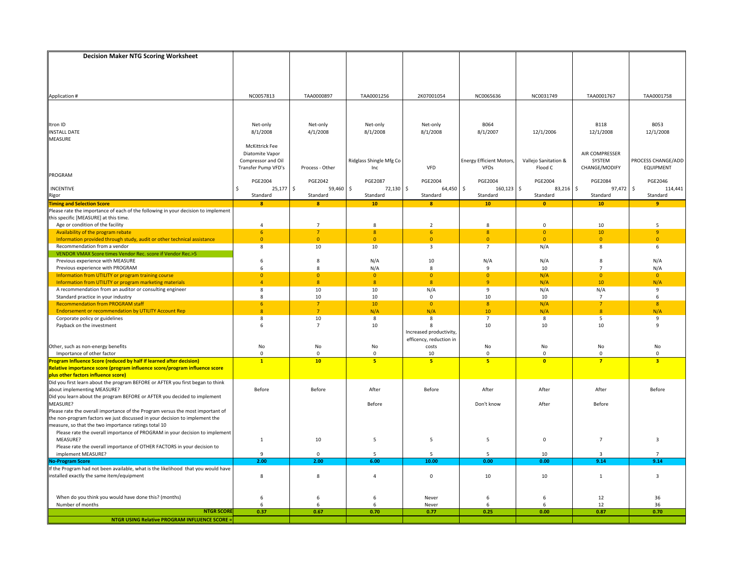| <b>Decision Maker NTG Scoring Worksheet</b>                                                                                         |                       |                         |                                |                           |                                 |                       |                |                          |
|-------------------------------------------------------------------------------------------------------------------------------------|-----------------------|-------------------------|--------------------------------|---------------------------|---------------------------------|-----------------------|----------------|--------------------------|
|                                                                                                                                     |                       |                         |                                |                           |                                 |                       |                |                          |
|                                                                                                                                     |                       |                         |                                |                           |                                 |                       |                |                          |
|                                                                                                                                     |                       |                         |                                |                           |                                 |                       |                |                          |
|                                                                                                                                     |                       |                         |                                |                           |                                 |                       |                |                          |
|                                                                                                                                     | NC0057813             | TAA0000897              | TAA0001256                     | 2K07001054                | NC0065636                       | NC0031749             | TAA0001767     | TAA0001758               |
| Application #                                                                                                                       |                       |                         |                                |                           |                                 |                       |                |                          |
|                                                                                                                                     |                       |                         |                                |                           |                                 |                       |                |                          |
|                                                                                                                                     |                       |                         |                                |                           |                                 |                       |                |                          |
| Itron ID                                                                                                                            | Net-only              | Net-only                | Net-only                       | Net-only                  | <b>B064</b>                     |                       | <b>B118</b>    | <b>B053</b>              |
| <b>INSTALL DATE</b>                                                                                                                 | 8/1/2008              | 4/1/2008                | 8/1/2008                       | 8/1/2008                  | 8/1/2007                        | 12/1/2006             | 12/1/2008      | 12/1/2008                |
| MEASURE                                                                                                                             |                       |                         |                                |                           |                                 |                       |                |                          |
|                                                                                                                                     | <b>McKittrick Fee</b> |                         |                                |                           |                                 |                       |                |                          |
|                                                                                                                                     | Diatomite Vapor       |                         |                                |                           |                                 |                       | AIR COMPRESSER |                          |
|                                                                                                                                     | Compressor and Oil    |                         | Ridglass Shingle Mfg Co        |                           | <b>Energy Efficient Motors,</b> | Vallejo Sanitation &  | SYSTEM         | PROCESS CHANGE/ADD       |
|                                                                                                                                     | Transfer Pump VFD's   | Process - Other         | Inc                            | <b>VFD</b>                | VFDs                            | Flood C               | CHANGE/MODIFY  | <b>EQUIPMENT</b>         |
| PROGRAM                                                                                                                             |                       |                         |                                |                           |                                 |                       |                |                          |
|                                                                                                                                     | <b>PGE2004</b>        | <b>PGE2042</b>          | <b>PGE2087</b><br>$\mathsf{S}$ | <b>PGE2004</b>            | <b>PGE2004</b>                  | <b>PGE2004</b>        | <b>PGE2084</b> | PGE2046<br>$\mathsf{\$}$ |
| INCENTIVE                                                                                                                           | $25,177$ \$<br>Ŝ.     | 59,460                  | 72,130                         | $\mathsf{S}$<br>64,450 \$ | $160, 123$ \$                   | 83,216 \$<br>Standard | 97,472         | 114,441                  |
| <b>Rigor</b><br>Timing and Selection Score                                                                                          | Standard              | Standard                | Standard<br>10 <sub>1</sub>    | Standard<br>$\mathbf{8}$  | Standard<br>10 <sub>1</sub>     |                       | Standard<br>10 | Standard<br>$\bullet$    |
| Please rate the importance of each of the following in your decision to implement                                                   | $\bf{8}$              | $\mathbf{8}$            |                                |                           |                                 | $\bullet$             |                |                          |
| this specific [MEASURE] at this time.                                                                                               |                       |                         |                                |                           |                                 |                       |                |                          |
| Age or condition of the facility                                                                                                    | 4                     | $\overline{7}$          | 8                              | $\overline{2}$            | 8                               | $\mathbf 0$           | 10             | 5                        |
| Availability of the program rebate                                                                                                  | 6                     | $\overline{7}$          | 8                              | 6                         | 8                               | $\overline{0}$        | 10             | 9                        |
| Information provided through study, audit or other technical assistance                                                             | $\overline{0}$        | $\overline{0}$          | $\overline{0}$                 | $\overline{0}$            | $\overline{0}$                  | $\overline{0}$        | $\Omega$       | $\overline{0}$           |
| Recommendation from a vendor                                                                                                        | 8                     | 10                      | 10                             | 3                         | $\overline{7}$                  | N/A                   | 8              | 6                        |
| VENDOR VMAX Score times Vendor Rec. score if Vendor Rec.>5                                                                          |                       |                         |                                |                           |                                 |                       |                |                          |
| Previous experience with MEASURE                                                                                                    | 6                     | 8                       | N/A                            | 10                        | N/A                             | N/A                   | 8              | N/A                      |
| Previous experience with PROGRAM                                                                                                    | 6                     | 8                       | N/A                            | 8                         | 9                               | 10                    | $\overline{7}$ | N/A                      |
| Information from UTILITY or program training course                                                                                 | $\overline{0}$        | $\mathbf{0}$            | $\overline{0}$                 | $\overline{0}$            | $\mathbf{0}$                    | N/A                   | $\Omega$       | $\overline{0}$           |
| Information from UTILITY or program marketing materials                                                                             | $\overline{4}$        | $\overline{\mathbf{8}}$ | 8 <sup>°</sup>                 | 8 <sup>°</sup>            | $\mathbf{q}$                    | N/A                   | 10             | N/A                      |
| A recommendation from an auditor or consulting engineer                                                                             | 8                     | 10                      | 10                             | N/A                       | 9                               | N/A                   | N/A            | 9                        |
| Standard practice in your industry                                                                                                  | 8                     | 10                      | 10                             | $\mathbf{0}$              | 10                              | 10                    | 7              | 6                        |
| <b>Recommendation from PROGRAM staff</b>                                                                                            | 6 <sup>1</sup>        | $\overline{7}$          | 10                             | $\overline{0}$            | 8                               | N/A                   | $\overline{7}$ | 8                        |
| <b>Endorsement or recommendation by UTILITY Account Rep</b>                                                                         | $\overline{8}$        | $\overline{7}$          | N/A                            | N/A                       | 10                              | N/A                   | 8 <sup>°</sup> | N/A                      |
| Corporate policy or guidelines                                                                                                      | 8<br>6                | 10<br>$\overline{7}$    | 8                              | 8<br>8                    | $\overline{7}$<br>10            | 8<br>10               | 5<br>10        | 9<br>9                   |
| Payback on the investment                                                                                                           |                       |                         | 10                             | Increased productivity,   |                                 |                       |                |                          |
|                                                                                                                                     |                       |                         |                                | efficency, reduction in   |                                 |                       |                |                          |
| Other, such as non-energy benefits                                                                                                  | No                    | No                      | No                             | costs                     | No                              | No                    | No             | No                       |
| Importance of other factor                                                                                                          | $\mathbf 0$           | $\overline{0}$          | $\mathbf 0$                    | 10                        | $\Omega$                        | $\mathbf 0$           | $\Omega$       | $\mathbf{0}$             |
| Program Influence Score (reduced by half if learned after decision)                                                                 | $\mathbf{1}$          | 10                      | 5                              | 5                         | 5                               | $\bullet$             | $\overline{7}$ | $\overline{\mathbf{3}}$  |
| Relative importance score (program influence score/program influence score                                                          |                       |                         |                                |                           |                                 |                       |                |                          |
|                                                                                                                                     |                       |                         |                                |                           |                                 |                       |                |                          |
| plus other factors influence score)<br>Did you first learn about the program BEFORE or AFTER you first began to think               |                       |                         |                                |                           |                                 |                       |                |                          |
| about implementing MEASURE?                                                                                                         | Before                | Before                  | After                          | Before                    | After                           | After                 | After          | Before                   |
| Did you learn about the program BEFORE or AFTER you decided to implement                                                            |                       |                         |                                |                           |                                 |                       |                |                          |
| MEASURE?                                                                                                                            |                       |                         | Before                         |                           | Don't know                      | After                 | Before         |                          |
| Please rate the overall importance of the Program versus the most important of                                                      |                       |                         |                                |                           |                                 |                       |                |                          |
| the non-program factors we just discussed in your decision to implement the                                                         |                       |                         |                                |                           |                                 |                       |                |                          |
| measure, so that the two importance ratings total 10<br>Please rate the overall importance of PROGRAM in your decision to implement |                       |                         |                                |                           |                                 |                       |                |                          |
| MEASURE?                                                                                                                            |                       |                         |                                | 5                         |                                 | $\mathbf 0$           | $\overline{7}$ | 3                        |
| Please rate the overall importance of OTHER FACTORS in your decision to                                                             | $\mathbf{1}$          | 10                      | 5                              |                           | 5                               |                       |                |                          |
| implement MEASURE?                                                                                                                  | 9                     | $\mathbf 0$             | 5                              | 5                         | 5                               | 10                    | 3              | $\overline{7}$           |
| <b>No-Program Score</b>                                                                                                             | 2.00                  | 2.00                    | 6.00                           | 10.00                     | 0.00                            | 0.00                  | 9.14           | 9.14                     |
| If the Program had not been available, what is the likelihood that you would have                                                   |                       |                         |                                |                           |                                 |                       |                |                          |
| installed exactly the same item/equipment                                                                                           | 8                     | 8                       | 4                              | $\mathbf 0$               | 10                              | 10                    | $\mathbf{1}$   | 3                        |
|                                                                                                                                     |                       |                         |                                |                           |                                 |                       |                |                          |
|                                                                                                                                     |                       |                         |                                |                           |                                 |                       |                |                          |
| When do you think you would have done this? (months)                                                                                | 6                     | 6                       | 6                              | Never                     | 6                               | 6                     | 12             | 36                       |
| Number of months                                                                                                                    | 6                     | 6                       | 6                              | Never                     | 6                               | 6                     | 12             | 36                       |
| <b>NTGR SCORE</b>                                                                                                                   | 0.37                  | 0.67                    | 0.70                           | 0.77                      | 0.25                            | 0.00                  | 0.87           | 0.70                     |
| <b>NTGR USING Relative PROGRAM INFLUENCE SCORE =</b>                                                                                |                       |                         |                                |                           |                                 |                       |                |                          |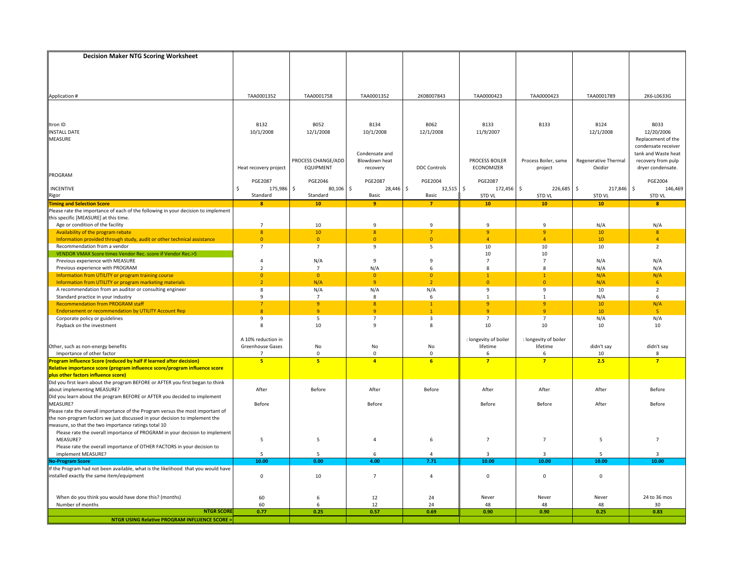| <b>Decision Maker NTG Scoring Worksheet</b>                                                                                                                   |                                  |                                  |                            |                     |                                  |                                    |                      |                     |
|---------------------------------------------------------------------------------------------------------------------------------------------------------------|----------------------------------|----------------------------------|----------------------------|---------------------|----------------------------------|------------------------------------|----------------------|---------------------|
|                                                                                                                                                               |                                  |                                  |                            |                     |                                  |                                    |                      |                     |
|                                                                                                                                                               |                                  |                                  |                            |                     |                                  |                                    |                      |                     |
|                                                                                                                                                               |                                  |                                  |                            |                     |                                  |                                    |                      |                     |
|                                                                                                                                                               |                                  |                                  |                            |                     |                                  |                                    |                      |                     |
| Application #                                                                                                                                                 | TAA0001352                       | TAA0001758                       | TAA0001352                 | 2K08007843          | TAA0000423                       | TAA0000423                         | TAA0001789           | 2K6-L0633G          |
|                                                                                                                                                               |                                  |                                  |                            |                     |                                  |                                    |                      |                     |
|                                                                                                                                                               |                                  |                                  |                            |                     |                                  |                                    |                      |                     |
| Itron ID                                                                                                                                                      | <b>B132</b>                      | <b>B052</b>                      | <b>B134</b>                | B062                | <b>B133</b>                      | <b>B133</b>                        | <b>B124</b>          | <b>B033</b>         |
| <b>INSTALL DATE</b>                                                                                                                                           | 10/1/2008                        | 12/1/2008                        | 10/1/2008                  | 12/1/2008           | 11/9/2007                        |                                    | 12/1/2008            | 12/20/2006          |
| <b>MEASURE</b>                                                                                                                                                |                                  |                                  |                            |                     |                                  |                                    |                      | Replacement of the  |
|                                                                                                                                                               |                                  |                                  |                            |                     |                                  |                                    |                      | condensate receiver |
|                                                                                                                                                               |                                  |                                  | Condensate and             |                     |                                  |                                    |                      | tank and Waste heat |
|                                                                                                                                                               |                                  | PROCESS CHANGE/ADD               | Blowdown heat              |                     | PROCESS BOILER                   | Process Boiler, same               | Regenerative Thermal | recovery from pulp  |
|                                                                                                                                                               | Heat recovery project            | <b>EQUIPMENT</b>                 | recovery                   | <b>DDC Controls</b> | ECONOMIZER                       | project                            | Oxidizr              | dryer condensate.   |
| PROGRAM                                                                                                                                                       | <b>PGE2087</b>                   | PGE2046                          | <b>PGE2087</b>             | <b>PGE2004</b>      | <b>PGE2087</b>                   |                                    |                      | PGE2004             |
| <b>INCENTIVE</b>                                                                                                                                              | Ŝ.<br>175,986                    | \$<br>80,106                     | \$<br>28,446 \$            | $32,515$ \$         | 172,456                          | $\mathsf{\hat{S}}$<br>$226,685$ \$ | 217,846              | \$<br>146,469       |
| Rigor                                                                                                                                                         | Standard                         | Standard                         | Basic                      | <b>Basic</b>        | STD VL                           | STD VL                             | STD VL               | <b>STD VL</b>       |
| <b>Timing and Selection Score</b>                                                                                                                             | $\bf{8}$                         | 10                               | 9                          | $\overline{7}$      | 10                               | 10                                 | 10                   | $\mathbf{8}$        |
| Please rate the importance of each of the following in your decision to implement                                                                             |                                  |                                  |                            |                     |                                  |                                    |                      |                     |
| this specific [MEASURE] at this time.                                                                                                                         |                                  |                                  |                            |                     |                                  |                                    |                      |                     |
| Age or condition of the facility                                                                                                                              | $\overline{7}$                   | 10                               | $\mathbf{q}$               | 9                   | $\mathbf{q}$                     | 9                                  | N/A                  | N/A                 |
| Availability of the program rebate<br>Information provided through study, audit or other technical assistance                                                 | 8<br>$\overline{0}$              | 10<br>$\overline{0}$             | 8<br>$\overline{0}$        | 7<br>$\overline{0}$ | $\overline{9}$<br>$\overline{a}$ | $\overline{9}$<br>$\overline{4}$   | 10<br>10             | 8<br>$\overline{4}$ |
| Recommendation from a vendor                                                                                                                                  | $\overline{7}$                   | $\overline{7}$                   | 9                          | 5                   | 10                               | 10                                 | 10                   | $\overline{2}$      |
| VENDOR VMAX Score times Vendor Rec. score if Vendor Rec.>5                                                                                                    |                                  |                                  |                            |                     | 10                               | 10                                 |                      |                     |
| Previous experience with MEASURE                                                                                                                              | $\overline{4}$                   | N/A                              | 9                          | 9                   | $\overline{7}$                   | $\overline{7}$                     | N/A                  | N/A                 |
| Previous experience with PROGRAM                                                                                                                              | $\overline{2}$                   | $\overline{7}$                   | N/A                        | 6                   | 8                                | 8                                  | N/A                  | N/A                 |
| Information from UTILITY or program training course                                                                                                           | $\overline{0}$                   | $\overline{0}$                   | $\Omega$                   | $\overline{0}$      | $\mathbf{1}$                     | $\overline{1}$                     | N/A                  | N/A                 |
| Information from UTILITY or program marketing materials                                                                                                       | $\overline{2}$                   | N/A                              | $\overline{q}$             | $\overline{2}$      | $\overline{0}$                   | $\overline{0}$                     | N/A                  | 6                   |
| A recommendation from an auditor or consulting engineer                                                                                                       | 8                                | N/A                              | N/A                        | N/A                 | 9                                | 9                                  | 10                   | $\overline{2}$      |
| Standard practice in your industry<br><b>Recommendation from PROGRAM staff</b>                                                                                | 9<br>$\overline{7}$              | $\overline{7}$<br>$\overline{9}$ | 8<br>8                     | 6<br>$\mathbf{1}$   | 1<br>$\overline{9}$              | 1<br>$\overline{9}$                | N/A<br>10            | 6<br>N/A            |
| <b>Endorsement or recommendation by UTILITY Account Rep</b>                                                                                                   | $\overline{8}$                   | $\overline{9}$                   | $\overline{9}$             | $\mathbf{1}$        | $\overline{9}$                   | $\overline{9}$                     | 10                   | - 5                 |
| Corporate policy or guidelines                                                                                                                                | 9                                | 5                                | $\overline{7}$             | 3                   | $\overline{7}$                   | $\overline{7}$                     | N/A                  | N/A                 |
| Payback on the investment                                                                                                                                     | 8                                | 10                               | 9                          | 8                   | 10                               | 10                                 | 10                   | 10                  |
|                                                                                                                                                               |                                  |                                  |                            |                     |                                  |                                    |                      |                     |
|                                                                                                                                                               | A 10% reduction in               |                                  |                            |                     | : longevity of boiler            | : longevity of boiler              |                      |                     |
| Other, such as non-energy benefits                                                                                                                            | Greenhouse Gases                 | No                               | No                         | No                  | lifetime                         | lifetime                           | didn't say           | didn't say          |
| Importance of other factor<br>rogram Influence Score (reduced by half if learned after decision)                                                              | $\overline{7}$<br>5 <sub>5</sub> | $\mathbf{0}$<br>5                | $\Omega$<br>$\overline{4}$ | $\mathbf 0$<br>6    | 6<br>$\overline{7}$              | 6<br>$\overline{7}$                | 10<br>2.5            | 8<br>$\overline{7}$ |
| Relative importance score (program influence score/program influence score                                                                                    |                                  |                                  |                            |                     |                                  |                                    |                      |                     |
|                                                                                                                                                               |                                  |                                  |                            |                     |                                  |                                    |                      |                     |
| plus other factors influence score)<br>Did you first learn about the program BEFORE or AFTER you first began to think                                         |                                  |                                  |                            |                     |                                  |                                    |                      |                     |
| about implementing MEASURE?                                                                                                                                   | After                            | Before                           | After                      | Before              | After                            | After                              | After                | Before              |
| Did you learn about the program BEFORE or AFTER you decided to implement<br>MEASURE?                                                                          |                                  |                                  |                            |                     |                                  |                                    |                      |                     |
|                                                                                                                                                               | Before                           |                                  | Before                     |                     | Before                           | Before                             | After                | Before              |
| Please rate the overall importance of the Program versus the most important of<br>the non-program factors we just discussed in your decision to implement the |                                  |                                  |                            |                     |                                  |                                    |                      |                     |
| measure, so that the two importance ratings total 10                                                                                                          |                                  |                                  |                            |                     |                                  |                                    |                      |                     |
| Please rate the overall importance of PROGRAM in your decision to implement                                                                                   |                                  |                                  |                            |                     |                                  |                                    |                      |                     |
| MEASURE?                                                                                                                                                      | 5                                | 5                                | $\overline{4}$             | 6                   | $\overline{7}$                   | $\overline{7}$                     | 5                    | $\overline{7}$      |
| Please rate the overall importance of OTHER FACTORS in your decision to                                                                                       |                                  |                                  |                            |                     |                                  |                                    |                      |                     |
| implement MEASURE?                                                                                                                                            | 5                                | 5                                | 6                          | 4                   | 3                                | 3                                  | 5                    | $\overline{3}$      |
| <b>No-Program Score</b>                                                                                                                                       | 10.00                            | 0.00                             | 4.00                       | 7.71                | 10.00                            | 10.00                              | 10.00                | 10.00               |
| If the Program had not been available, what is the likelihood that you would have                                                                             |                                  |                                  |                            |                     |                                  |                                    |                      |                     |
| installed exactly the same item/equipment                                                                                                                     | $\pmb{0}$                        | 10                               | $\overline{7}$             | $\overline{a}$      | $\mathbf 0$                      | $\mathbf 0$                        | 0                    |                     |
|                                                                                                                                                               |                                  |                                  |                            |                     |                                  |                                    |                      |                     |
| When do you think you would have done this? (months)                                                                                                          | 60                               | 6                                | 12                         | 24                  | Never                            | Never                              | Never                | 24 to 36 mos        |
| Number of months                                                                                                                                              | 60                               | 6                                | 12                         | 24                  | 48                               | 48                                 | 48                   | 30                  |
| <b>NTGR SCORE</b>                                                                                                                                             | 0.77                             | 0.25                             | 0.57                       | 0.69                | 0.90                             | 0.90                               | 0.25                 | 0.83                |
| <b>NTGR USING Relative PROGRAM INFLUENCE SCORE =</b>                                                                                                          |                                  |                                  |                            |                     |                                  |                                    |                      |                     |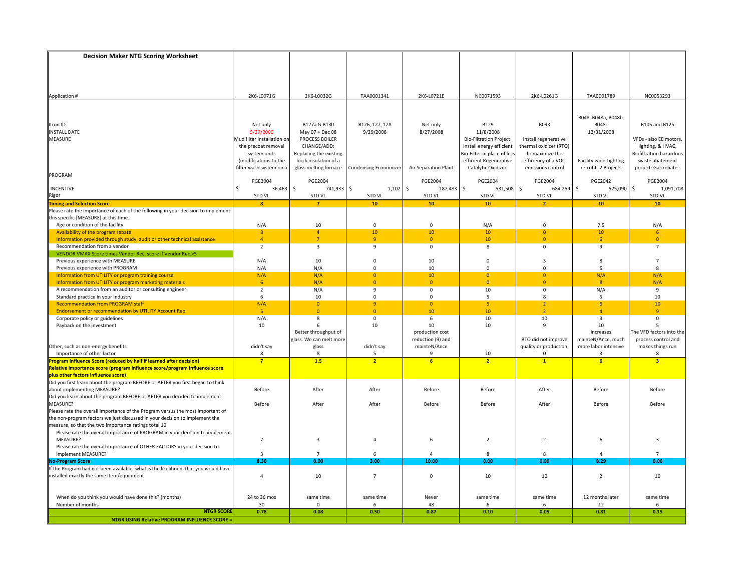| <b>Decision Maker NTG Scoring Worksheet</b>                                                                                                                   |                            |                         |                              |                          |                                |                            |                        |                                |
|---------------------------------------------------------------------------------------------------------------------------------------------------------------|----------------------------|-------------------------|------------------------------|--------------------------|--------------------------------|----------------------------|------------------------|--------------------------------|
|                                                                                                                                                               |                            |                         |                              |                          |                                |                            |                        |                                |
|                                                                                                                                                               |                            |                         |                              |                          |                                |                            |                        |                                |
|                                                                                                                                                               |                            |                         |                              |                          |                                |                            |                        |                                |
|                                                                                                                                                               |                            |                         |                              |                          |                                |                            |                        |                                |
|                                                                                                                                                               | 2K6-L0071G                 | 2K6-L0032G              | TAA0001341                   | 2K6-L0721E               | NC0071593                      | 2K6-L0261G                 | TAA0001789             | NC0053293                      |
| Application #                                                                                                                                                 |                            |                         |                              |                          |                                |                            |                        |                                |
|                                                                                                                                                               |                            |                         |                              |                          |                                |                            |                        |                                |
|                                                                                                                                                               |                            |                         |                              |                          |                                |                            | B048, B048a, B048b,    |                                |
| Itron ID                                                                                                                                                      | Net only                   | B127a & B130            | B126, 127, 128               | Net only                 | <b>B129</b>                    | B093                       | B048c                  | B105 and B125                  |
| <b>INSTALL DATE</b>                                                                                                                                           | 9/29/2006                  | May 07 + Dec 08         | 9/29/2008                    | 8/27/2008                | 11/8/2008                      |                            | 12/31/2008             |                                |
| MEASURE                                                                                                                                                       | Mud filter installation on | <b>PROCESS BOILER</b>   |                              |                          | <b>Bio-Filtration Project:</b> | Install regenerative       |                        | VFDs - also EE motors,         |
|                                                                                                                                                               | the precoat removal        | CHANGE/ADD:             |                              |                          | Install energy efficient       | thermal oxidizer (RTO)     |                        | lighting, & HVAC,              |
|                                                                                                                                                               | system units               | Replacing the existing  |                              |                          | Bio-Filter in place of less    | to maximize the            |                        | <b>Biofiltration hazardous</b> |
|                                                                                                                                                               | (modifications to the      | brick insulation of a   |                              |                          | efficient Regenerative         | efficiency of a VOC        | Facility wide Lighting | waste abatement                |
|                                                                                                                                                               | filter wash system on a    | glass melting furnace   | <b>Condensing Economizer</b> | Air Separation Plant     | Catalytic Oxidizer.            | emissions control          | retrofit -2 Projects   | project: Gas rebate :          |
| PROGRAM                                                                                                                                                       |                            |                         |                              |                          |                                |                            |                        |                                |
|                                                                                                                                                               | <b>PGE2004</b>             | <b>PGE2004</b>          |                              | <b>PGE2004</b>           | <b>PGE2004</b>                 | PGE2004                    | <b>PGE2042</b>         | PGE2004                        |
| INCENTIVE                                                                                                                                                     | Ŝ.<br>36,463               | \$<br>741,933           | $\mathsf{S}$<br>1,102        | $\mathsf{\$}$<br>187,483 | $\mathsf{S}$<br>531,508        | $\mathsf{S}$<br>684,259 \$ | 525,090                | \$<br>1,091,708                |
| Rigor                                                                                                                                                         | STD VL                     | STD VL                  | STD VL                       | STD VL                   | STD VL                         | STD VL                     | STD VL                 | <b>STD VL</b>                  |
| <b>Timing and Selection Score</b>                                                                                                                             | $\bf{8}$                   | $\overline{7}$          | 10 <sub>1</sub>              | 10 <sub>1</sub>          | 10                             | $\overline{2}$             | 10                     | 10                             |
| Please rate the importance of each of the following in your decision to implement                                                                             |                            |                         |                              |                          |                                |                            |                        |                                |
| this specific [MEASURE] at this time.                                                                                                                         |                            |                         |                              |                          |                                |                            |                        |                                |
| Age or condition of the facility                                                                                                                              | N/A                        | 10                      | $\mathbf 0$                  | $\mathbf 0$              | N/A                            | $\mathbf 0$                | 7.5                    | N/A                            |
| Availability of the program rebate                                                                                                                            | 8 <sup>°</sup>             | $\overline{4}$          | 10 <sup>°</sup>              | 10                       | 10                             | $\overline{0}$             | 10                     | 6                              |
| Information provided through study, audit or other technical assistance                                                                                       | $\overline{4}$             | $\overline{7}$          | $\mathbf{q}$                 | $\overline{0}$           | 10                             | $\overline{0}$             | 6                      | $\overline{0}$                 |
| Recommendation from a vendor<br>VENDOR VMAX Score times Vendor Rec. score if Vendor Rec.>5                                                                    | $\overline{2}$             | $\overline{\mathbf{3}}$ | 9                            | $\mathbf 0$              | 8                              | $\mathbf 0$                | $\mathbf{q}$           | $\overline{7}$                 |
| Previous experience with MEASURE                                                                                                                              | N/A                        | 10                      | $\Omega$                     | 10                       | $\Omega$                       | $\overline{3}$             | 8                      | $\overline{7}$                 |
| Previous experience with PROGRAM                                                                                                                              | N/A                        | N/A                     | $\Omega$                     | 10                       | $\Omega$                       | $\Omega$                   | .5                     | 8                              |
| Information from UTILITY or program training course                                                                                                           | N/A                        | N/A                     | $\Omega$                     | 10                       | $\Omega$                       | $\Omega$                   | N/A                    | N/A                            |
| Information from UTILITY or program marketing materials                                                                                                       | 6 <sup>1</sup>             | N/A                     | $\Omega$                     | $\overline{0}$           | $\Omega$                       | $\overline{0}$             | $\mathbf{R}$           | N/A                            |
| A recommendation from an auditor or consulting engineer                                                                                                       | $\overline{2}$             | N/A                     | 9                            | $\mathsf 0$              | 10                             | $\mathsf 0$                | N/A                    | 9                              |
| Standard practice in your industry                                                                                                                            | 6                          | 10                      | 0                            | $\mathbf 0$              | 5                              | 8                          | -5                     | 10                             |
| <b>Recommendation from PROGRAM staff</b>                                                                                                                      | N/A                        | $\overline{0}$          | $\mathbf{q}$                 | $\overline{0}$           | 5 <sub>5</sub>                 | $\overline{2}$             | 6 <sup>1</sup>         | 10                             |
| <b>Endorsement or recommendation by UTILITY Account Rep</b>                                                                                                   | 5 <sub>1</sub>             | $\overline{0}$          | $\Omega$                     | 10                       | 10                             | $\overline{2}$             | $\Lambda$              | $\overline{9}$                 |
| Corporate policy or guidelines                                                                                                                                | N/A                        | 8                       | 0                            | 6                        | 10                             | 10                         | 9                      | 0                              |
| Payback on the investment                                                                                                                                     | 10                         | 6                       | 10                           | 10                       | 10                             | 9                          | 10                     | 5                              |
|                                                                                                                                                               |                            | Better throughput of    |                              | production cost          |                                |                            | increases              | The VFD factors into the       |
|                                                                                                                                                               |                            | glass. We can melt more |                              | reduction (9) and        |                                | RTO did not improve        | mainteN/Ance, much     | process control and            |
| Other, such as non-energy benefits                                                                                                                            | didn't say                 | glass                   | didn't say                   | mainteN/Ance             |                                | quality or production.     | more labor intensive   | makes things run               |
| Importance of other factor                                                                                                                                    | 8                          | -8                      | 5                            | q                        | 10                             | 0                          |                        | 8                              |
| Program Influence Score (reduced by half if learned after decision)                                                                                           | $\overline{7}$             | 1.5                     | $\overline{2}$               | 6 <sup>2</sup>           | $\overline{2}$                 | $\mathbf{1}$               | $\overline{6}$         | $\overline{\mathbf{3}}$        |
| Relative importance score (program influence score/program influence score                                                                                    |                            |                         |                              |                          |                                |                            |                        |                                |
|                                                                                                                                                               |                            |                         |                              |                          |                                |                            |                        |                                |
|                                                                                                                                                               |                            |                         |                              |                          |                                |                            |                        |                                |
| about implementing MEASURE?                                                                                                                                   | Before                     | After                   | After                        | Before                   | Before                         | After                      | Before                 | Before                         |
| Did you learn about the program BEFORE or AFTER you decided to implement                                                                                      |                            |                         |                              |                          |                                |                            |                        |                                |
| MEASURE?                                                                                                                                                      | Before                     | After                   | After                        | Before                   | Before                         | After                      | Before                 | Before                         |
| Please rate the overall importance of the Program versus the most important of<br>the non-program factors we just discussed in your decision to implement the |                            |                         |                              |                          |                                |                            |                        |                                |
| measure, so that the two importance ratings total 10                                                                                                          |                            |                         |                              |                          |                                |                            |                        |                                |
| Please rate the overall importance of PROGRAM in your decision to implement                                                                                   |                            |                         |                              |                          |                                |                            |                        |                                |
| MEASURE?                                                                                                                                                      | $\overline{7}$             | 3                       | $\overline{4}$               | 6                        | $\overline{2}$                 | $\overline{2}$             | 6                      | 3                              |
| Please rate the overall importance of OTHER FACTORS in your decision to                                                                                       |                            |                         |                              |                          |                                |                            |                        |                                |
| implement MEASURE?                                                                                                                                            | 3                          | $\overline{7}$          | 6                            | 4                        | 8                              | 8                          | $\overline{4}$         | $\overline{7}$                 |
| <b>No-Program Score</b>                                                                                                                                       | 8.30                       | 0.00                    | 3.00                         | 10.00                    | 0.00                           | 0.00                       | 8.29                   | 0.00                           |
| If the Program had not been available, what is the likelihood that you would have                                                                             |                            |                         |                              |                          |                                |                            |                        |                                |
| installed exactly the same item/equipment                                                                                                                     | $\overline{a}$             | 10                      | $\overline{7}$               | $\mathbf 0$              | 10                             | 10                         | $\overline{2}$         | 10                             |
|                                                                                                                                                               |                            |                         |                              |                          |                                |                            |                        |                                |
|                                                                                                                                                               |                            |                         |                              |                          |                                |                            |                        |                                |
| When do you think you would have done this? (months)                                                                                                          | 24 to 36 mos               | same time               | same time                    | Never                    | same time                      | same time                  | 12 months later        | same time                      |
| Number of months                                                                                                                                              | 30                         | $\Omega$                | 6                            | 48                       | 6                              | 6                          | 12                     | 6                              |
| <b>NTGR SCORE</b>                                                                                                                                             | 0.78                       | 0.08                    | 0.50                         | 0.87                     | 0.10                           | 0.05                       | 0.81                   | 0.15                           |
| <b>NTGR USING Relative PROGRAM INFLUENCE SCORE =</b>                                                                                                          |                            |                         |                              |                          |                                |                            |                        |                                |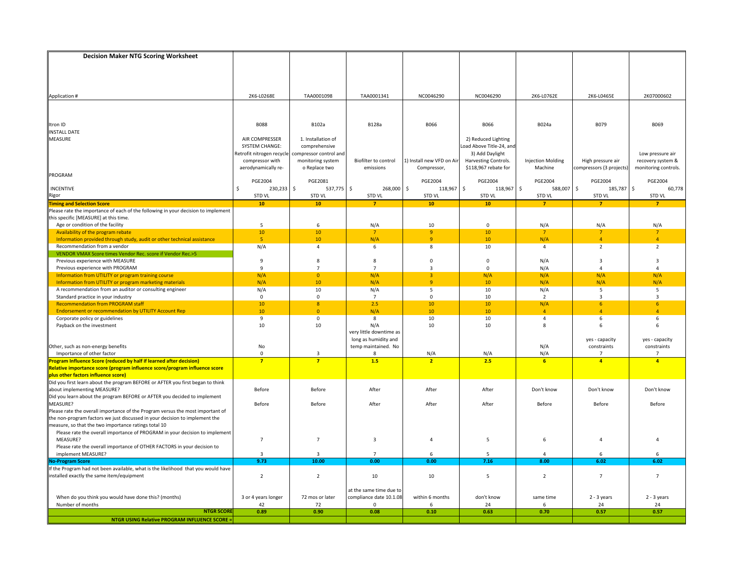| <b>Decision Maker NTG Scoring Worksheet</b>                                                                                                                   |                          |                        |                                                 |                                |                          |                          |                          |                      |
|---------------------------------------------------------------------------------------------------------------------------------------------------------------|--------------------------|------------------------|-------------------------------------------------|--------------------------------|--------------------------|--------------------------|--------------------------|----------------------|
|                                                                                                                                                               |                          |                        |                                                 |                                |                          |                          |                          |                      |
|                                                                                                                                                               |                          |                        |                                                 |                                |                          |                          |                          |                      |
|                                                                                                                                                               |                          |                        |                                                 |                                |                          |                          |                          |                      |
|                                                                                                                                                               |                          |                        |                                                 |                                |                          |                          |                          |                      |
| Application #                                                                                                                                                 | 2K6-L0268E               | TAA0001098             | TAA0001341                                      | NC0046290                      | NC0046290                | 2K6-L0762E               | 2K6-L0465E               | 2K07000602           |
|                                                                                                                                                               |                          |                        |                                                 |                                |                          |                          |                          |                      |
|                                                                                                                                                               |                          |                        |                                                 |                                |                          |                          |                          |                      |
| Itron ID                                                                                                                                                      | <b>B088</b>              | B102a                  | <b>B128a</b>                                    | <b>B066</b>                    | <b>B066</b>              | B024a                    | B079                     | B069                 |
| <b>INSTALL DATE</b>                                                                                                                                           |                          |                        |                                                 |                                |                          |                          |                          |                      |
| MEASURE                                                                                                                                                       | AIR COMPRESSER           | 1. Installation of     |                                                 |                                | 2) Reduced Lighting      |                          |                          |                      |
|                                                                                                                                                               | <b>SYSTEM CHANGE:</b>    | comprehensive          |                                                 |                                | oad Above Title-24, and  |                          |                          |                      |
|                                                                                                                                                               | etrofit nitrogen recycle | compressor control and |                                                 |                                | 3) Add Daylight          |                          |                          | Low pressure air     |
|                                                                                                                                                               | compressor with          | monitoring system      | Biofilter to control                            | 1) Install new VFD on Air      | Harvesting Controls.     | <b>Injection Molding</b> | High pressure air        | recovery system &    |
|                                                                                                                                                               | aerodynamically re-      | o Replace two          | emissions                                       | Compressor,                    | \$118,967 rebate for     | Machine                  | compressors (3 projects) | monitoring controls. |
| PROGRAM                                                                                                                                                       | <b>PGE2004</b>           | PGE2081                |                                                 | PGE2004                        | <b>PGE2004</b>           | PGE2004                  | <b>PGE2004</b>           | PGE2004              |
| <b>INCENTIVE</b>                                                                                                                                              | $230,233$ \$<br>Ŝ.       | 537,775 \$             | 268,000                                         | $\ddot{\mathsf{s}}$<br>118,967 | 118,967 \$<br>$\sqrt{5}$ | 588,007 \$               | 185,787                  | \$<br>60,778         |
|                                                                                                                                                               | STD VL                   | STD VL                 | STD VL                                          | STD VL                         | STD VL                   | STD VL                   | STD VL                   | STD VL               |
| Rigor<br>Timing and Selection Score                                                                                                                           | 10 <sub>1</sub>          | 10                     | $\overline{7}$                                  | 10 <sub>1</sub>                | 10                       | $\overline{7}$           | $\overline{7}$           | $\overline{7}$       |
| Please rate the importance of each of the following in your decision to implement                                                                             |                          |                        |                                                 |                                |                          |                          |                          |                      |
| this specific [MEASURE] at this time.                                                                                                                         |                          |                        |                                                 |                                |                          |                          |                          |                      |
| Age or condition of the facility                                                                                                                              | 5                        | 6                      | N/A                                             | 10                             | $\mathbf 0$              | N/A                      | N/A                      | N/A                  |
| Availability of the program rebate                                                                                                                            | 10 <sup>°</sup>          | 10                     | $\overline{7}$                                  | 9                              | 10                       | $\overline{7}$           |                          | $\overline{7}$       |
| Information provided through study, audit or other technical assistance                                                                                       | 5 <sup>1</sup>           | 10                     | N/A                                             | $\mathbf{q}$                   | 10                       | N/A                      | $\Delta$                 | $\overline{a}$       |
| Recommendation from a vendor                                                                                                                                  | N/A                      | $\overline{4}$         | 6                                               | 8                              | 10                       | $\overline{4}$           | $\overline{2}$           | $\overline{2}$       |
| VENDOR VMAX Score times Vendor Rec. score if Vendor Rec.>5<br>Previous experience with MEASURE                                                                | 9                        | 8                      | 8                                               | $\mathbf 0$                    | $\mathsf 0$              | N/A                      | 3                        | 3                    |
| Previous experience with PROGRAM                                                                                                                              | $\mathbf{q}$             | $\overline{7}$         | $\overline{7}$                                  | $\overline{3}$                 | $\Omega$                 | N/A                      | $\Delta$                 | 4                    |
| Information from UTILITY or program training course                                                                                                           | N/A                      | $\overline{0}$         | N/A                                             | 3                              | N/A                      | N/A                      | N/A                      | N/A                  |
| Information from UTILITY or program marketing materials                                                                                                       | N/A                      | 10                     | N/A                                             | $\overline{9}$                 | 10                       | N/A                      | N/A                      | N/A                  |
| A recommendation from an auditor or consulting engineer                                                                                                       | N/A                      | 10                     | N/A                                             | 5                              | 10                       | N/A                      | 5                        | 5                    |
| Standard practice in your industry                                                                                                                            | $\mathsf 0$              | $\mathbf 0$            | $\overline{7}$                                  | $\mathbf 0$                    | 10                       | $\overline{2}$           | 3                        | 3                    |
| <b>Recommendation from PROGRAM staff</b>                                                                                                                      | 10                       | 8                      | 2.5                                             | 10                             | 10                       | N/A                      | 6 <sup>1</sup>           | 6                    |
| <b>Endorsement or recommendation by UTILITY Account Rep</b>                                                                                                   | 10 <sup>°</sup>          | $\overline{0}$         | N/A                                             | $10\,$                         | $10\,$                   | $\overline{4}$           | $\Lambda$                | $\Delta$             |
| Corporate policy or guidelines                                                                                                                                | 9                        | $\mathbf 0$            | 8                                               | 10                             | 10                       | $\overline{4}$           | 6                        | 6                    |
| Payback on the investment                                                                                                                                     | 10                       | 10                     | N/A                                             | 10                             | 10                       | 8                        | 6                        | 6                    |
|                                                                                                                                                               |                          |                        | very little downtime as<br>long as humidity and |                                |                          |                          | yes - capacity           | yes - capacity       |
| Other, such as non-energy benefits                                                                                                                            | No                       |                        | temp maintained. No                             |                                |                          | N/A                      | constraints              | constraints          |
| Importance of other factor                                                                                                                                    | 0                        | 3                      | 8                                               | N/A                            | N/A                      | N/A                      | -7                       | $\overline{ }$       |
| Program Influence Score (reduced by half if learned after decision)                                                                                           | $\overline{7}$           | $\overline{7}$         | 1.5                                             | $\overline{2}$                 | 2.5                      | 6                        | $\overline{4}$           | $\overline{4}$       |
| Relative importance score (program influence score/program influence score                                                                                    |                          |                        |                                                 |                                |                          |                          |                          |                      |
| plus other factors influence score)<br>Did you first learn about the program BEFORE or AFTER you first began to think                                         |                          |                        |                                                 |                                |                          |                          |                          |                      |
|                                                                                                                                                               |                          |                        |                                                 |                                |                          |                          |                          |                      |
| about implementing MEASURE?                                                                                                                                   | Before                   | Before                 | After                                           | After                          | After                    | Don't know               | Don't know               | Don't know           |
| Did you learn about the program BEFORE or AFTER you decided to implement                                                                                      |                          |                        |                                                 |                                |                          |                          |                          |                      |
| MEASURE?                                                                                                                                                      | Before                   | Before                 | After                                           | After                          | After                    | Before                   | Before                   | Before               |
| Please rate the overall importance of the Program versus the most important of<br>the non-program factors we just discussed in your decision to implement the |                          |                        |                                                 |                                |                          |                          |                          |                      |
| measure, so that the two importance ratings total 10                                                                                                          |                          |                        |                                                 |                                |                          |                          |                          |                      |
| Please rate the overall importance of PROGRAM in your decision to implement                                                                                   |                          |                        |                                                 |                                |                          |                          |                          |                      |
| MEASURE?                                                                                                                                                      | $\overline{7}$           | $\overline{7}$         | 3                                               | $\overline{a}$                 | 5                        | 6                        | $\overline{4}$           |                      |
| Please rate the overall importance of OTHER FACTORS in your decision to                                                                                       |                          |                        |                                                 |                                |                          |                          |                          |                      |
| implement MEASURE?                                                                                                                                            | 3                        | $\mathbf{3}$           | $\overline{7}$                                  | 6                              |                          | $\overline{a}$           | 6                        | 6                    |
| <b>No-Program Score</b>                                                                                                                                       | 9.73                     | 10.00                  | 0.00                                            | 0.00                           | 7.16                     | 8.00                     | 6.02                     | 6.02                 |
| If the Program had not been available, what is the likelihood that you would have                                                                             |                          |                        |                                                 |                                |                          |                          |                          |                      |
| installed exactly the same item/equipment                                                                                                                     | $\overline{2}$           | $\overline{2}$         | 10                                              | 10                             | 5                        | $\overline{2}$           | $\overline{7}$           | $\overline{7}$       |
|                                                                                                                                                               |                          |                        |                                                 |                                |                          |                          |                          |                      |
|                                                                                                                                                               |                          |                        | at the same time due to                         |                                |                          |                          |                          |                      |
| When do you think you would have done this? (months)                                                                                                          | 3 or 4 years longer      | 72 mos or later        | compliance date 10.1.08                         | within 6 months                | don't know               | same time                | 2 - 3 years              | $2 - 3$ years        |
| Number of months<br><b>NTGR SCORE</b>                                                                                                                         | 42<br>0.89               | 72<br>0.90             | 0<br>0.08                                       | 6<br>0.10                      | 24<br>0.63               | 6<br>0.70                | 24<br>0.57               | 24<br>0.57           |
| <b>NTGR USING Relative PROGRAM INFLUENCE SCORE =</b>                                                                                                          |                          |                        |                                                 |                                |                          |                          |                          |                      |
|                                                                                                                                                               |                          |                        |                                                 |                                |                          |                          |                          |                      |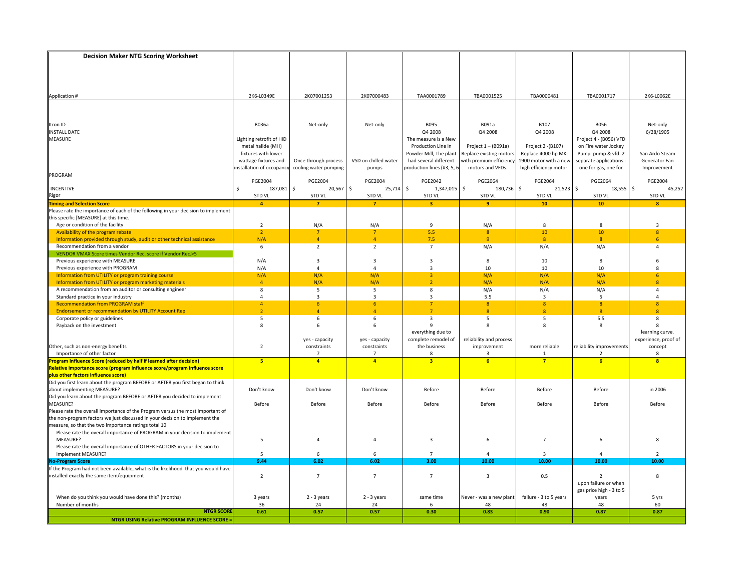| TBA0001717<br>Application #<br>2K6-L0349E<br>2K07001253<br>2K07000483<br>TAA0001789<br>TBA0001525<br>TBA0000481<br>2K6-L0062E<br>Itron ID<br>B036a<br>Net-only<br>B095<br>B091a<br>B107<br><b>B056</b><br>Net-only<br>Net-only<br>Q4 2008<br>Q4 2008<br>Q4 2008<br>Q4 2008<br>6/28/1905<br><b>INSTALL DATE</b><br>MEASURE<br>Lighting retrofit of HID<br>The measure is a New<br>Project 4 - (B056) VFD<br>metal halide (MH)<br>on Fire water Jockey<br>Production Line in<br>Project 1 - (B091a)<br>Project 2 - (B107)<br>fixtures with lower<br>Powder Mill, The plant<br>Replace existing motors<br>Replace 4000 hp MK-<br>Pump. pump & vfd. 2<br>San Ardo Steam<br>wattage fixtures and<br>VSD on chilled water<br>had several different<br>with premium efficiency<br>1900 motor with a new<br>separate applications<br>Generator Fan<br>Once through process<br>nstallation of occupancy<br>production lines (#3, 5, 6<br>cooling water pumping<br>motors and VFDs.<br>high efficiency motor.<br>one for gas, one for<br>Improvement<br>pumps<br>PROGRAM<br>PGE2042<br>PGE2064<br>PGE2064<br>PGE2004<br><b>PGE2004</b><br><b>PGE2004</b><br><b>PGE2004</b><br>PGE2064<br>$20,567$ \$<br>$\ddot{\mathsf{S}}$<br>$21,523$ \$<br>$\ddot{\mathsf{s}}$<br>187,081<br>\$<br>1,347,015 \$<br>\$<br>18,555<br>45,252<br><b>INCENTIVE</b><br>\$<br>25,714<br>180,736<br>STD VL<br>STD VL<br>STD VL<br>STD VL<br>STD VL<br>Rigor<br><b>STD VL</b><br><b>STD VL</b><br><b>STD VL</b><br>Timing and Selection Score<br>$\overline{\mathbf{4}}$<br>$\overline{7}$<br>$\overline{\mathbf{3}}$<br>9<br>10 <sub>1</sub><br>10<br>$\overline{7}$<br>8<br>Please rate the importance of each of the following in your decision to implement<br>this specific [MEASURE] at this time.<br>Age or condition of the facility<br>$\overline{2}$<br>N/A<br>N/A<br>$\mathbf{q}$<br>N/A<br>8<br>3<br>8<br>5.5<br>8<br>10<br>10 <sup>°</sup><br>Availability of the program rebate<br>$\overline{2}$<br>$\overline{7}$<br>$\overline{7}$<br>8<br>N/A<br>$\overline{4}$<br>7.5<br>$\overline{9}$<br>Information provided through study, audit or other technical assistance<br>$\Delta$<br>8<br>$\overline{8}$<br>6<br>$\overline{2}$<br>Recommendation from a vendor<br>$\overline{2}$<br>$\overline{7}$<br>N/A<br>N/A<br>N/A<br>6<br>$\overline{a}$<br>VENDOR VMAX Score times Vendor Rec. score if Vendor Rec.>5<br>Previous experience with MEASURE<br>N/A<br>$\overline{3}$<br>3<br>3<br>8<br>10<br>8<br>6<br>10<br>10<br>Previous experience with PROGRAM<br>N/A<br>$\Delta$<br>$\overline{3}$<br>10<br>$\Delta$<br>Information from UTILITY or program training course<br>N/A<br>N/A<br>N/A<br>N/A<br>N/A<br>N/A<br>3<br>6<br>$\overline{4}$<br>N/A<br>N/A<br>$\overline{2}$<br>N/A<br>N/A<br>N/A<br>$\overline{8}$<br>Information from UTILITY or program marketing materials<br>A recommendation from an auditor or consulting engineer<br>5<br>N/A<br>8<br>5<br>8<br>N/A<br>N/A<br>$\overline{a}$<br>Standard practice in your industry<br>$\overline{a}$<br>$\overline{\mathbf{3}}$<br>3<br>3<br>5.5<br>$\overline{\mathbf{3}}$<br>5<br>4<br><b>Recommendation from PROGRAM staff</b><br>$\overline{4}$<br>6<br>6 <sup>1</sup><br>$\overline{7}$<br>8<br>8<br>8<br>8<br><b>Endorsement or recommendation by UTILITY Account Rep</b><br>$\overline{2}$<br>$\overline{7}$<br>$\mathbf{8}$<br>$\overline{A}$<br>8<br>8<br>$\overline{\mathbf{R}}$<br>$\Lambda$<br>6<br>3<br>5<br>5<br>5.5<br>Corporate policy or guidelines<br>5<br>6<br>8<br>Payback on the investment<br>8<br>6<br>8<br>8<br>8<br>6<br>я<br>everything due to<br>learning curve.<br>complete remodel of<br>reliability and process<br>experience, proof of<br>yes - capacity<br>yes - capacity<br>Other, such as non-energy benefits<br>$\overline{2}$<br>constraints<br>constraints<br>the business<br>improvement<br>more reliable<br>reliability improvements<br>concept<br>Importance of other factor<br>$\mathcal{L}$<br>8<br>3<br>8<br>7<br>1<br>Program Influence Score (reduced by half if learned after decision)<br>5 <sup>2</sup><br>$\overline{4}$<br>$\overline{\mathbf{3}}$<br>6<br>$\overline{7}$<br>$\overline{\mathbf{8}}$<br>$\overline{a}$<br>6<br>Relative importance score (program influence score/program influence score<br>plus other factors influence score)<br>Did you first learn about the program BEFORE or AFTER you first began to think<br>about implementing MEASURE?<br>Don't know<br>Don't know<br>Don't know<br>Before<br>Before<br>Before<br>Before<br>in 2006<br>Did you learn about the program BEFORE or AFTER you decided to implement<br>MEASURE?<br>Before<br>Before<br>Before<br>Before<br>Before<br>Before<br>Before<br>Before<br>Please rate the overall importance of the Program versus the most important of<br>the non-program factors we just discussed in your decision to implement the<br>measure, so that the two importance ratings total 10<br>Please rate the overall importance of PROGRAM in your decision to implement<br>MEASURE?<br>5<br>$\overline{3}$<br>6<br>$\overline{7}$<br>$\overline{4}$<br>4<br>6<br>Please rate the overall importance of OTHER FACTORS in your decision to<br>implement MEASURE?<br>5<br>6<br>3<br>6<br>9.44<br>6.02<br>6.02<br>3.00<br>10.00<br>10.00<br>10.00<br>10.00<br><b>No-Program Score</b><br>If the Program had not been available, what is the likelihood that you would have<br>$\overline{7}$<br>$\overline{7}$<br>$\overline{7}$<br>$\mathbf{3}$<br>installed exactly the same item/equipment<br>$\overline{2}$<br>0.5<br>8<br>$\overline{2}$<br>upon failure or when<br>gas price high - 3 to 5<br>failure - 3 to 5 years<br>When do you think you would have done this? (months)<br>$2 - 3$ years<br>2 - 3 years<br>5 yrs<br>3 years<br>same time<br>Never - was a new plant<br>years<br>Number of months<br>36<br>24<br>24<br>48<br>60<br>6<br>48<br>48<br><b>NTGR SCORE</b><br>0.57<br>0.83<br>0.90<br>0.87<br>0.61<br>0.57<br>0.30<br>0.87<br><b>NTGR USING Relative PROGRAM INFLUENCE SCORE:</b> | <b>Decision Maker NTG Scoring Worksheet</b> |  |  |  |  |
|----------------------------------------------------------------------------------------------------------------------------------------------------------------------------------------------------------------------------------------------------------------------------------------------------------------------------------------------------------------------------------------------------------------------------------------------------------------------------------------------------------------------------------------------------------------------------------------------------------------------------------------------------------------------------------------------------------------------------------------------------------------------------------------------------------------------------------------------------------------------------------------------------------------------------------------------------------------------------------------------------------------------------------------------------------------------------------------------------------------------------------------------------------------------------------------------------------------------------------------------------------------------------------------------------------------------------------------------------------------------------------------------------------------------------------------------------------------------------------------------------------------------------------------------------------------------------------------------------------------------------------------------------------------------------------------------------------------------------------------------------------------------------------------------------------------------------------------------------------------------------------------------------------------------------------------------------------------------------------------------------------------------------------------------------------------------------------------------------------------------------------------------------------------------------------------------------------------------------------------------------------------------------------------------------------------------------------------------------------------------------------------------------------------------------------------------------------------------------------------------------------------------------------------------------------------------------------------------------------------------------------------------------------------------------------------------------------------------------------------------------------------------------------------------------------------------------------------------------------------------------------------------------------------------------------------------------------------------------------------------------------------------------------------------------------------------------------------------------------------------------------------------------------------------------------------------------------------------------------------------------------------------------------------------------------------------------------------------------------------------------------------------------------------------------------------------------------------------------------------------------------------------------------------------------------------------------------------------------------------------------------------------------------------------------------------------------------------------------------------------------------------------------------------------------------------------------------------------------------------------------------------------------------------------------------------------------------------------------------------------------------------------------------------------------------------------------------------------------------------------------------------------------------------------------------------------------------------------------------------------------------------------------------------------------------------------------------------------------------------------------------------------------------------------------------------------------------------------------------------------------------------------------------------------------------------------------------------------------------------------------------------------------------------------------------------------------------------------------------------------------------------------------------------------------------------------------------------------------------------------------------------------------------------------------------------------------------------------------------------------------------------------------------------------------------------------------------------------------------------------------------------------------------------------------------------------------------------------------------------------------------------------------------------------------------------------------------------------------------------------------------------------------------------------------------------------------------------------------------------------------------------------------------------------------------------------------------------------------------------------------------------------------------------------------------------------------------------------------------------------------------------------------------------------------------------------------------------------------------------------------------------------------------------------------------------------------------------------------------------------------------------------------------------------------------------------|---------------------------------------------|--|--|--|--|
|                                                                                                                                                                                                                                                                                                                                                                                                                                                                                                                                                                                                                                                                                                                                                                                                                                                                                                                                                                                                                                                                                                                                                                                                                                                                                                                                                                                                                                                                                                                                                                                                                                                                                                                                                                                                                                                                                                                                                                                                                                                                                                                                                                                                                                                                                                                                                                                                                                                                                                                                                                                                                                                                                                                                                                                                                                                                                                                                                                                                                                                                                                                                                                                                                                                                                                                                                                                                                                                                                                                                                                                                                                                                                                                                                                                                                                                                                                                                                                                                                                                                                                                                                                                                                                                                                                                                                                                                                                                                                                                                                                                                                                                                                                                                                                                                                                                                                                                                                                                                                                                                                                                                                                                                                                                                                                                                                                                                                                                                                                                                                                                                                                                                                                                                                                                                                                                                                                                                                                                                                                                                      |                                             |  |  |  |  |
|                                                                                                                                                                                                                                                                                                                                                                                                                                                                                                                                                                                                                                                                                                                                                                                                                                                                                                                                                                                                                                                                                                                                                                                                                                                                                                                                                                                                                                                                                                                                                                                                                                                                                                                                                                                                                                                                                                                                                                                                                                                                                                                                                                                                                                                                                                                                                                                                                                                                                                                                                                                                                                                                                                                                                                                                                                                                                                                                                                                                                                                                                                                                                                                                                                                                                                                                                                                                                                                                                                                                                                                                                                                                                                                                                                                                                                                                                                                                                                                                                                                                                                                                                                                                                                                                                                                                                                                                                                                                                                                                                                                                                                                                                                                                                                                                                                                                                                                                                                                                                                                                                                                                                                                                                                                                                                                                                                                                                                                                                                                                                                                                                                                                                                                                                                                                                                                                                                                                                                                                                                                                      |                                             |  |  |  |  |
|                                                                                                                                                                                                                                                                                                                                                                                                                                                                                                                                                                                                                                                                                                                                                                                                                                                                                                                                                                                                                                                                                                                                                                                                                                                                                                                                                                                                                                                                                                                                                                                                                                                                                                                                                                                                                                                                                                                                                                                                                                                                                                                                                                                                                                                                                                                                                                                                                                                                                                                                                                                                                                                                                                                                                                                                                                                                                                                                                                                                                                                                                                                                                                                                                                                                                                                                                                                                                                                                                                                                                                                                                                                                                                                                                                                                                                                                                                                                                                                                                                                                                                                                                                                                                                                                                                                                                                                                                                                                                                                                                                                                                                                                                                                                                                                                                                                                                                                                                                                                                                                                                                                                                                                                                                                                                                                                                                                                                                                                                                                                                                                                                                                                                                                                                                                                                                                                                                                                                                                                                                                                      |                                             |  |  |  |  |
|                                                                                                                                                                                                                                                                                                                                                                                                                                                                                                                                                                                                                                                                                                                                                                                                                                                                                                                                                                                                                                                                                                                                                                                                                                                                                                                                                                                                                                                                                                                                                                                                                                                                                                                                                                                                                                                                                                                                                                                                                                                                                                                                                                                                                                                                                                                                                                                                                                                                                                                                                                                                                                                                                                                                                                                                                                                                                                                                                                                                                                                                                                                                                                                                                                                                                                                                                                                                                                                                                                                                                                                                                                                                                                                                                                                                                                                                                                                                                                                                                                                                                                                                                                                                                                                                                                                                                                                                                                                                                                                                                                                                                                                                                                                                                                                                                                                                                                                                                                                                                                                                                                                                                                                                                                                                                                                                                                                                                                                                                                                                                                                                                                                                                                                                                                                                                                                                                                                                                                                                                                                                      |                                             |  |  |  |  |
|                                                                                                                                                                                                                                                                                                                                                                                                                                                                                                                                                                                                                                                                                                                                                                                                                                                                                                                                                                                                                                                                                                                                                                                                                                                                                                                                                                                                                                                                                                                                                                                                                                                                                                                                                                                                                                                                                                                                                                                                                                                                                                                                                                                                                                                                                                                                                                                                                                                                                                                                                                                                                                                                                                                                                                                                                                                                                                                                                                                                                                                                                                                                                                                                                                                                                                                                                                                                                                                                                                                                                                                                                                                                                                                                                                                                                                                                                                                                                                                                                                                                                                                                                                                                                                                                                                                                                                                                                                                                                                                                                                                                                                                                                                                                                                                                                                                                                                                                                                                                                                                                                                                                                                                                                                                                                                                                                                                                                                                                                                                                                                                                                                                                                                                                                                                                                                                                                                                                                                                                                                                                      |                                             |  |  |  |  |
|                                                                                                                                                                                                                                                                                                                                                                                                                                                                                                                                                                                                                                                                                                                                                                                                                                                                                                                                                                                                                                                                                                                                                                                                                                                                                                                                                                                                                                                                                                                                                                                                                                                                                                                                                                                                                                                                                                                                                                                                                                                                                                                                                                                                                                                                                                                                                                                                                                                                                                                                                                                                                                                                                                                                                                                                                                                                                                                                                                                                                                                                                                                                                                                                                                                                                                                                                                                                                                                                                                                                                                                                                                                                                                                                                                                                                                                                                                                                                                                                                                                                                                                                                                                                                                                                                                                                                                                                                                                                                                                                                                                                                                                                                                                                                                                                                                                                                                                                                                                                                                                                                                                                                                                                                                                                                                                                                                                                                                                                                                                                                                                                                                                                                                                                                                                                                                                                                                                                                                                                                                                                      |                                             |  |  |  |  |
|                                                                                                                                                                                                                                                                                                                                                                                                                                                                                                                                                                                                                                                                                                                                                                                                                                                                                                                                                                                                                                                                                                                                                                                                                                                                                                                                                                                                                                                                                                                                                                                                                                                                                                                                                                                                                                                                                                                                                                                                                                                                                                                                                                                                                                                                                                                                                                                                                                                                                                                                                                                                                                                                                                                                                                                                                                                                                                                                                                                                                                                                                                                                                                                                                                                                                                                                                                                                                                                                                                                                                                                                                                                                                                                                                                                                                                                                                                                                                                                                                                                                                                                                                                                                                                                                                                                                                                                                                                                                                                                                                                                                                                                                                                                                                                                                                                                                                                                                                                                                                                                                                                                                                                                                                                                                                                                                                                                                                                                                                                                                                                                                                                                                                                                                                                                                                                                                                                                                                                                                                                                                      |                                             |  |  |  |  |
|                                                                                                                                                                                                                                                                                                                                                                                                                                                                                                                                                                                                                                                                                                                                                                                                                                                                                                                                                                                                                                                                                                                                                                                                                                                                                                                                                                                                                                                                                                                                                                                                                                                                                                                                                                                                                                                                                                                                                                                                                                                                                                                                                                                                                                                                                                                                                                                                                                                                                                                                                                                                                                                                                                                                                                                                                                                                                                                                                                                                                                                                                                                                                                                                                                                                                                                                                                                                                                                                                                                                                                                                                                                                                                                                                                                                                                                                                                                                                                                                                                                                                                                                                                                                                                                                                                                                                                                                                                                                                                                                                                                                                                                                                                                                                                                                                                                                                                                                                                                                                                                                                                                                                                                                                                                                                                                                                                                                                                                                                                                                                                                                                                                                                                                                                                                                                                                                                                                                                                                                                                                                      |                                             |  |  |  |  |
|                                                                                                                                                                                                                                                                                                                                                                                                                                                                                                                                                                                                                                                                                                                                                                                                                                                                                                                                                                                                                                                                                                                                                                                                                                                                                                                                                                                                                                                                                                                                                                                                                                                                                                                                                                                                                                                                                                                                                                                                                                                                                                                                                                                                                                                                                                                                                                                                                                                                                                                                                                                                                                                                                                                                                                                                                                                                                                                                                                                                                                                                                                                                                                                                                                                                                                                                                                                                                                                                                                                                                                                                                                                                                                                                                                                                                                                                                                                                                                                                                                                                                                                                                                                                                                                                                                                                                                                                                                                                                                                                                                                                                                                                                                                                                                                                                                                                                                                                                                                                                                                                                                                                                                                                                                                                                                                                                                                                                                                                                                                                                                                                                                                                                                                                                                                                                                                                                                                                                                                                                                                                      |                                             |  |  |  |  |
|                                                                                                                                                                                                                                                                                                                                                                                                                                                                                                                                                                                                                                                                                                                                                                                                                                                                                                                                                                                                                                                                                                                                                                                                                                                                                                                                                                                                                                                                                                                                                                                                                                                                                                                                                                                                                                                                                                                                                                                                                                                                                                                                                                                                                                                                                                                                                                                                                                                                                                                                                                                                                                                                                                                                                                                                                                                                                                                                                                                                                                                                                                                                                                                                                                                                                                                                                                                                                                                                                                                                                                                                                                                                                                                                                                                                                                                                                                                                                                                                                                                                                                                                                                                                                                                                                                                                                                                                                                                                                                                                                                                                                                                                                                                                                                                                                                                                                                                                                                                                                                                                                                                                                                                                                                                                                                                                                                                                                                                                                                                                                                                                                                                                                                                                                                                                                                                                                                                                                                                                                                                                      |                                             |  |  |  |  |
|                                                                                                                                                                                                                                                                                                                                                                                                                                                                                                                                                                                                                                                                                                                                                                                                                                                                                                                                                                                                                                                                                                                                                                                                                                                                                                                                                                                                                                                                                                                                                                                                                                                                                                                                                                                                                                                                                                                                                                                                                                                                                                                                                                                                                                                                                                                                                                                                                                                                                                                                                                                                                                                                                                                                                                                                                                                                                                                                                                                                                                                                                                                                                                                                                                                                                                                                                                                                                                                                                                                                                                                                                                                                                                                                                                                                                                                                                                                                                                                                                                                                                                                                                                                                                                                                                                                                                                                                                                                                                                                                                                                                                                                                                                                                                                                                                                                                                                                                                                                                                                                                                                                                                                                                                                                                                                                                                                                                                                                                                                                                                                                                                                                                                                                                                                                                                                                                                                                                                                                                                                                                      |                                             |  |  |  |  |
|                                                                                                                                                                                                                                                                                                                                                                                                                                                                                                                                                                                                                                                                                                                                                                                                                                                                                                                                                                                                                                                                                                                                                                                                                                                                                                                                                                                                                                                                                                                                                                                                                                                                                                                                                                                                                                                                                                                                                                                                                                                                                                                                                                                                                                                                                                                                                                                                                                                                                                                                                                                                                                                                                                                                                                                                                                                                                                                                                                                                                                                                                                                                                                                                                                                                                                                                                                                                                                                                                                                                                                                                                                                                                                                                                                                                                                                                                                                                                                                                                                                                                                                                                                                                                                                                                                                                                                                                                                                                                                                                                                                                                                                                                                                                                                                                                                                                                                                                                                                                                                                                                                                                                                                                                                                                                                                                                                                                                                                                                                                                                                                                                                                                                                                                                                                                                                                                                                                                                                                                                                                                      |                                             |  |  |  |  |
|                                                                                                                                                                                                                                                                                                                                                                                                                                                                                                                                                                                                                                                                                                                                                                                                                                                                                                                                                                                                                                                                                                                                                                                                                                                                                                                                                                                                                                                                                                                                                                                                                                                                                                                                                                                                                                                                                                                                                                                                                                                                                                                                                                                                                                                                                                                                                                                                                                                                                                                                                                                                                                                                                                                                                                                                                                                                                                                                                                                                                                                                                                                                                                                                                                                                                                                                                                                                                                                                                                                                                                                                                                                                                                                                                                                                                                                                                                                                                                                                                                                                                                                                                                                                                                                                                                                                                                                                                                                                                                                                                                                                                                                                                                                                                                                                                                                                                                                                                                                                                                                                                                                                                                                                                                                                                                                                                                                                                                                                                                                                                                                                                                                                                                                                                                                                                                                                                                                                                                                                                                                                      |                                             |  |  |  |  |
|                                                                                                                                                                                                                                                                                                                                                                                                                                                                                                                                                                                                                                                                                                                                                                                                                                                                                                                                                                                                                                                                                                                                                                                                                                                                                                                                                                                                                                                                                                                                                                                                                                                                                                                                                                                                                                                                                                                                                                                                                                                                                                                                                                                                                                                                                                                                                                                                                                                                                                                                                                                                                                                                                                                                                                                                                                                                                                                                                                                                                                                                                                                                                                                                                                                                                                                                                                                                                                                                                                                                                                                                                                                                                                                                                                                                                                                                                                                                                                                                                                                                                                                                                                                                                                                                                                                                                                                                                                                                                                                                                                                                                                                                                                                                                                                                                                                                                                                                                                                                                                                                                                                                                                                                                                                                                                                                                                                                                                                                                                                                                                                                                                                                                                                                                                                                                                                                                                                                                                                                                                                                      |                                             |  |  |  |  |
|                                                                                                                                                                                                                                                                                                                                                                                                                                                                                                                                                                                                                                                                                                                                                                                                                                                                                                                                                                                                                                                                                                                                                                                                                                                                                                                                                                                                                                                                                                                                                                                                                                                                                                                                                                                                                                                                                                                                                                                                                                                                                                                                                                                                                                                                                                                                                                                                                                                                                                                                                                                                                                                                                                                                                                                                                                                                                                                                                                                                                                                                                                                                                                                                                                                                                                                                                                                                                                                                                                                                                                                                                                                                                                                                                                                                                                                                                                                                                                                                                                                                                                                                                                                                                                                                                                                                                                                                                                                                                                                                                                                                                                                                                                                                                                                                                                                                                                                                                                                                                                                                                                                                                                                                                                                                                                                                                                                                                                                                                                                                                                                                                                                                                                                                                                                                                                                                                                                                                                                                                                                                      |                                             |  |  |  |  |
|                                                                                                                                                                                                                                                                                                                                                                                                                                                                                                                                                                                                                                                                                                                                                                                                                                                                                                                                                                                                                                                                                                                                                                                                                                                                                                                                                                                                                                                                                                                                                                                                                                                                                                                                                                                                                                                                                                                                                                                                                                                                                                                                                                                                                                                                                                                                                                                                                                                                                                                                                                                                                                                                                                                                                                                                                                                                                                                                                                                                                                                                                                                                                                                                                                                                                                                                                                                                                                                                                                                                                                                                                                                                                                                                                                                                                                                                                                                                                                                                                                                                                                                                                                                                                                                                                                                                                                                                                                                                                                                                                                                                                                                                                                                                                                                                                                                                                                                                                                                                                                                                                                                                                                                                                                                                                                                                                                                                                                                                                                                                                                                                                                                                                                                                                                                                                                                                                                                                                                                                                                                                      |                                             |  |  |  |  |
|                                                                                                                                                                                                                                                                                                                                                                                                                                                                                                                                                                                                                                                                                                                                                                                                                                                                                                                                                                                                                                                                                                                                                                                                                                                                                                                                                                                                                                                                                                                                                                                                                                                                                                                                                                                                                                                                                                                                                                                                                                                                                                                                                                                                                                                                                                                                                                                                                                                                                                                                                                                                                                                                                                                                                                                                                                                                                                                                                                                                                                                                                                                                                                                                                                                                                                                                                                                                                                                                                                                                                                                                                                                                                                                                                                                                                                                                                                                                                                                                                                                                                                                                                                                                                                                                                                                                                                                                                                                                                                                                                                                                                                                                                                                                                                                                                                                                                                                                                                                                                                                                                                                                                                                                                                                                                                                                                                                                                                                                                                                                                                                                                                                                                                                                                                                                                                                                                                                                                                                                                                                                      |                                             |  |  |  |  |
|                                                                                                                                                                                                                                                                                                                                                                                                                                                                                                                                                                                                                                                                                                                                                                                                                                                                                                                                                                                                                                                                                                                                                                                                                                                                                                                                                                                                                                                                                                                                                                                                                                                                                                                                                                                                                                                                                                                                                                                                                                                                                                                                                                                                                                                                                                                                                                                                                                                                                                                                                                                                                                                                                                                                                                                                                                                                                                                                                                                                                                                                                                                                                                                                                                                                                                                                                                                                                                                                                                                                                                                                                                                                                                                                                                                                                                                                                                                                                                                                                                                                                                                                                                                                                                                                                                                                                                                                                                                                                                                                                                                                                                                                                                                                                                                                                                                                                                                                                                                                                                                                                                                                                                                                                                                                                                                                                                                                                                                                                                                                                                                                                                                                                                                                                                                                                                                                                                                                                                                                                                                                      |                                             |  |  |  |  |
|                                                                                                                                                                                                                                                                                                                                                                                                                                                                                                                                                                                                                                                                                                                                                                                                                                                                                                                                                                                                                                                                                                                                                                                                                                                                                                                                                                                                                                                                                                                                                                                                                                                                                                                                                                                                                                                                                                                                                                                                                                                                                                                                                                                                                                                                                                                                                                                                                                                                                                                                                                                                                                                                                                                                                                                                                                                                                                                                                                                                                                                                                                                                                                                                                                                                                                                                                                                                                                                                                                                                                                                                                                                                                                                                                                                                                                                                                                                                                                                                                                                                                                                                                                                                                                                                                                                                                                                                                                                                                                                                                                                                                                                                                                                                                                                                                                                                                                                                                                                                                                                                                                                                                                                                                                                                                                                                                                                                                                                                                                                                                                                                                                                                                                                                                                                                                                                                                                                                                                                                                                                                      |                                             |  |  |  |  |
|                                                                                                                                                                                                                                                                                                                                                                                                                                                                                                                                                                                                                                                                                                                                                                                                                                                                                                                                                                                                                                                                                                                                                                                                                                                                                                                                                                                                                                                                                                                                                                                                                                                                                                                                                                                                                                                                                                                                                                                                                                                                                                                                                                                                                                                                                                                                                                                                                                                                                                                                                                                                                                                                                                                                                                                                                                                                                                                                                                                                                                                                                                                                                                                                                                                                                                                                                                                                                                                                                                                                                                                                                                                                                                                                                                                                                                                                                                                                                                                                                                                                                                                                                                                                                                                                                                                                                                                                                                                                                                                                                                                                                                                                                                                                                                                                                                                                                                                                                                                                                                                                                                                                                                                                                                                                                                                                                                                                                                                                                                                                                                                                                                                                                                                                                                                                                                                                                                                                                                                                                                                                      |                                             |  |  |  |  |
|                                                                                                                                                                                                                                                                                                                                                                                                                                                                                                                                                                                                                                                                                                                                                                                                                                                                                                                                                                                                                                                                                                                                                                                                                                                                                                                                                                                                                                                                                                                                                                                                                                                                                                                                                                                                                                                                                                                                                                                                                                                                                                                                                                                                                                                                                                                                                                                                                                                                                                                                                                                                                                                                                                                                                                                                                                                                                                                                                                                                                                                                                                                                                                                                                                                                                                                                                                                                                                                                                                                                                                                                                                                                                                                                                                                                                                                                                                                                                                                                                                                                                                                                                                                                                                                                                                                                                                                                                                                                                                                                                                                                                                                                                                                                                                                                                                                                                                                                                                                                                                                                                                                                                                                                                                                                                                                                                                                                                                                                                                                                                                                                                                                                                                                                                                                                                                                                                                                                                                                                                                                                      |                                             |  |  |  |  |
|                                                                                                                                                                                                                                                                                                                                                                                                                                                                                                                                                                                                                                                                                                                                                                                                                                                                                                                                                                                                                                                                                                                                                                                                                                                                                                                                                                                                                                                                                                                                                                                                                                                                                                                                                                                                                                                                                                                                                                                                                                                                                                                                                                                                                                                                                                                                                                                                                                                                                                                                                                                                                                                                                                                                                                                                                                                                                                                                                                                                                                                                                                                                                                                                                                                                                                                                                                                                                                                                                                                                                                                                                                                                                                                                                                                                                                                                                                                                                                                                                                                                                                                                                                                                                                                                                                                                                                                                                                                                                                                                                                                                                                                                                                                                                                                                                                                                                                                                                                                                                                                                                                                                                                                                                                                                                                                                                                                                                                                                                                                                                                                                                                                                                                                                                                                                                                                                                                                                                                                                                                                                      |                                             |  |  |  |  |
|                                                                                                                                                                                                                                                                                                                                                                                                                                                                                                                                                                                                                                                                                                                                                                                                                                                                                                                                                                                                                                                                                                                                                                                                                                                                                                                                                                                                                                                                                                                                                                                                                                                                                                                                                                                                                                                                                                                                                                                                                                                                                                                                                                                                                                                                                                                                                                                                                                                                                                                                                                                                                                                                                                                                                                                                                                                                                                                                                                                                                                                                                                                                                                                                                                                                                                                                                                                                                                                                                                                                                                                                                                                                                                                                                                                                                                                                                                                                                                                                                                                                                                                                                                                                                                                                                                                                                                                                                                                                                                                                                                                                                                                                                                                                                                                                                                                                                                                                                                                                                                                                                                                                                                                                                                                                                                                                                                                                                                                                                                                                                                                                                                                                                                                                                                                                                                                                                                                                                                                                                                                                      |                                             |  |  |  |  |
|                                                                                                                                                                                                                                                                                                                                                                                                                                                                                                                                                                                                                                                                                                                                                                                                                                                                                                                                                                                                                                                                                                                                                                                                                                                                                                                                                                                                                                                                                                                                                                                                                                                                                                                                                                                                                                                                                                                                                                                                                                                                                                                                                                                                                                                                                                                                                                                                                                                                                                                                                                                                                                                                                                                                                                                                                                                                                                                                                                                                                                                                                                                                                                                                                                                                                                                                                                                                                                                                                                                                                                                                                                                                                                                                                                                                                                                                                                                                                                                                                                                                                                                                                                                                                                                                                                                                                                                                                                                                                                                                                                                                                                                                                                                                                                                                                                                                                                                                                                                                                                                                                                                                                                                                                                                                                                                                                                                                                                                                                                                                                                                                                                                                                                                                                                                                                                                                                                                                                                                                                                                                      |                                             |  |  |  |  |
|                                                                                                                                                                                                                                                                                                                                                                                                                                                                                                                                                                                                                                                                                                                                                                                                                                                                                                                                                                                                                                                                                                                                                                                                                                                                                                                                                                                                                                                                                                                                                                                                                                                                                                                                                                                                                                                                                                                                                                                                                                                                                                                                                                                                                                                                                                                                                                                                                                                                                                                                                                                                                                                                                                                                                                                                                                                                                                                                                                                                                                                                                                                                                                                                                                                                                                                                                                                                                                                                                                                                                                                                                                                                                                                                                                                                                                                                                                                                                                                                                                                                                                                                                                                                                                                                                                                                                                                                                                                                                                                                                                                                                                                                                                                                                                                                                                                                                                                                                                                                                                                                                                                                                                                                                                                                                                                                                                                                                                                                                                                                                                                                                                                                                                                                                                                                                                                                                                                                                                                                                                                                      |                                             |  |  |  |  |
|                                                                                                                                                                                                                                                                                                                                                                                                                                                                                                                                                                                                                                                                                                                                                                                                                                                                                                                                                                                                                                                                                                                                                                                                                                                                                                                                                                                                                                                                                                                                                                                                                                                                                                                                                                                                                                                                                                                                                                                                                                                                                                                                                                                                                                                                                                                                                                                                                                                                                                                                                                                                                                                                                                                                                                                                                                                                                                                                                                                                                                                                                                                                                                                                                                                                                                                                                                                                                                                                                                                                                                                                                                                                                                                                                                                                                                                                                                                                                                                                                                                                                                                                                                                                                                                                                                                                                                                                                                                                                                                                                                                                                                                                                                                                                                                                                                                                                                                                                                                                                                                                                                                                                                                                                                                                                                                                                                                                                                                                                                                                                                                                                                                                                                                                                                                                                                                                                                                                                                                                                                                                      |                                             |  |  |  |  |
|                                                                                                                                                                                                                                                                                                                                                                                                                                                                                                                                                                                                                                                                                                                                                                                                                                                                                                                                                                                                                                                                                                                                                                                                                                                                                                                                                                                                                                                                                                                                                                                                                                                                                                                                                                                                                                                                                                                                                                                                                                                                                                                                                                                                                                                                                                                                                                                                                                                                                                                                                                                                                                                                                                                                                                                                                                                                                                                                                                                                                                                                                                                                                                                                                                                                                                                                                                                                                                                                                                                                                                                                                                                                                                                                                                                                                                                                                                                                                                                                                                                                                                                                                                                                                                                                                                                                                                                                                                                                                                                                                                                                                                                                                                                                                                                                                                                                                                                                                                                                                                                                                                                                                                                                                                                                                                                                                                                                                                                                                                                                                                                                                                                                                                                                                                                                                                                                                                                                                                                                                                                                      |                                             |  |  |  |  |
|                                                                                                                                                                                                                                                                                                                                                                                                                                                                                                                                                                                                                                                                                                                                                                                                                                                                                                                                                                                                                                                                                                                                                                                                                                                                                                                                                                                                                                                                                                                                                                                                                                                                                                                                                                                                                                                                                                                                                                                                                                                                                                                                                                                                                                                                                                                                                                                                                                                                                                                                                                                                                                                                                                                                                                                                                                                                                                                                                                                                                                                                                                                                                                                                                                                                                                                                                                                                                                                                                                                                                                                                                                                                                                                                                                                                                                                                                                                                                                                                                                                                                                                                                                                                                                                                                                                                                                                                                                                                                                                                                                                                                                                                                                                                                                                                                                                                                                                                                                                                                                                                                                                                                                                                                                                                                                                                                                                                                                                                                                                                                                                                                                                                                                                                                                                                                                                                                                                                                                                                                                                                      |                                             |  |  |  |  |
|                                                                                                                                                                                                                                                                                                                                                                                                                                                                                                                                                                                                                                                                                                                                                                                                                                                                                                                                                                                                                                                                                                                                                                                                                                                                                                                                                                                                                                                                                                                                                                                                                                                                                                                                                                                                                                                                                                                                                                                                                                                                                                                                                                                                                                                                                                                                                                                                                                                                                                                                                                                                                                                                                                                                                                                                                                                                                                                                                                                                                                                                                                                                                                                                                                                                                                                                                                                                                                                                                                                                                                                                                                                                                                                                                                                                                                                                                                                                                                                                                                                                                                                                                                                                                                                                                                                                                                                                                                                                                                                                                                                                                                                                                                                                                                                                                                                                                                                                                                                                                                                                                                                                                                                                                                                                                                                                                                                                                                                                                                                                                                                                                                                                                                                                                                                                                                                                                                                                                                                                                                                                      |                                             |  |  |  |  |
|                                                                                                                                                                                                                                                                                                                                                                                                                                                                                                                                                                                                                                                                                                                                                                                                                                                                                                                                                                                                                                                                                                                                                                                                                                                                                                                                                                                                                                                                                                                                                                                                                                                                                                                                                                                                                                                                                                                                                                                                                                                                                                                                                                                                                                                                                                                                                                                                                                                                                                                                                                                                                                                                                                                                                                                                                                                                                                                                                                                                                                                                                                                                                                                                                                                                                                                                                                                                                                                                                                                                                                                                                                                                                                                                                                                                                                                                                                                                                                                                                                                                                                                                                                                                                                                                                                                                                                                                                                                                                                                                                                                                                                                                                                                                                                                                                                                                                                                                                                                                                                                                                                                                                                                                                                                                                                                                                                                                                                                                                                                                                                                                                                                                                                                                                                                                                                                                                                                                                                                                                                                                      |                                             |  |  |  |  |
|                                                                                                                                                                                                                                                                                                                                                                                                                                                                                                                                                                                                                                                                                                                                                                                                                                                                                                                                                                                                                                                                                                                                                                                                                                                                                                                                                                                                                                                                                                                                                                                                                                                                                                                                                                                                                                                                                                                                                                                                                                                                                                                                                                                                                                                                                                                                                                                                                                                                                                                                                                                                                                                                                                                                                                                                                                                                                                                                                                                                                                                                                                                                                                                                                                                                                                                                                                                                                                                                                                                                                                                                                                                                                                                                                                                                                                                                                                                                                                                                                                                                                                                                                                                                                                                                                                                                                                                                                                                                                                                                                                                                                                                                                                                                                                                                                                                                                                                                                                                                                                                                                                                                                                                                                                                                                                                                                                                                                                                                                                                                                                                                                                                                                                                                                                                                                                                                                                                                                                                                                                                                      |                                             |  |  |  |  |
|                                                                                                                                                                                                                                                                                                                                                                                                                                                                                                                                                                                                                                                                                                                                                                                                                                                                                                                                                                                                                                                                                                                                                                                                                                                                                                                                                                                                                                                                                                                                                                                                                                                                                                                                                                                                                                                                                                                                                                                                                                                                                                                                                                                                                                                                                                                                                                                                                                                                                                                                                                                                                                                                                                                                                                                                                                                                                                                                                                                                                                                                                                                                                                                                                                                                                                                                                                                                                                                                                                                                                                                                                                                                                                                                                                                                                                                                                                                                                                                                                                                                                                                                                                                                                                                                                                                                                                                                                                                                                                                                                                                                                                                                                                                                                                                                                                                                                                                                                                                                                                                                                                                                                                                                                                                                                                                                                                                                                                                                                                                                                                                                                                                                                                                                                                                                                                                                                                                                                                                                                                                                      |                                             |  |  |  |  |
|                                                                                                                                                                                                                                                                                                                                                                                                                                                                                                                                                                                                                                                                                                                                                                                                                                                                                                                                                                                                                                                                                                                                                                                                                                                                                                                                                                                                                                                                                                                                                                                                                                                                                                                                                                                                                                                                                                                                                                                                                                                                                                                                                                                                                                                                                                                                                                                                                                                                                                                                                                                                                                                                                                                                                                                                                                                                                                                                                                                                                                                                                                                                                                                                                                                                                                                                                                                                                                                                                                                                                                                                                                                                                                                                                                                                                                                                                                                                                                                                                                                                                                                                                                                                                                                                                                                                                                                                                                                                                                                                                                                                                                                                                                                                                                                                                                                                                                                                                                                                                                                                                                                                                                                                                                                                                                                                                                                                                                                                                                                                                                                                                                                                                                                                                                                                                                                                                                                                                                                                                                                                      |                                             |  |  |  |  |
|                                                                                                                                                                                                                                                                                                                                                                                                                                                                                                                                                                                                                                                                                                                                                                                                                                                                                                                                                                                                                                                                                                                                                                                                                                                                                                                                                                                                                                                                                                                                                                                                                                                                                                                                                                                                                                                                                                                                                                                                                                                                                                                                                                                                                                                                                                                                                                                                                                                                                                                                                                                                                                                                                                                                                                                                                                                                                                                                                                                                                                                                                                                                                                                                                                                                                                                                                                                                                                                                                                                                                                                                                                                                                                                                                                                                                                                                                                                                                                                                                                                                                                                                                                                                                                                                                                                                                                                                                                                                                                                                                                                                                                                                                                                                                                                                                                                                                                                                                                                                                                                                                                                                                                                                                                                                                                                                                                                                                                                                                                                                                                                                                                                                                                                                                                                                                                                                                                                                                                                                                                                                      |                                             |  |  |  |  |
|                                                                                                                                                                                                                                                                                                                                                                                                                                                                                                                                                                                                                                                                                                                                                                                                                                                                                                                                                                                                                                                                                                                                                                                                                                                                                                                                                                                                                                                                                                                                                                                                                                                                                                                                                                                                                                                                                                                                                                                                                                                                                                                                                                                                                                                                                                                                                                                                                                                                                                                                                                                                                                                                                                                                                                                                                                                                                                                                                                                                                                                                                                                                                                                                                                                                                                                                                                                                                                                                                                                                                                                                                                                                                                                                                                                                                                                                                                                                                                                                                                                                                                                                                                                                                                                                                                                                                                                                                                                                                                                                                                                                                                                                                                                                                                                                                                                                                                                                                                                                                                                                                                                                                                                                                                                                                                                                                                                                                                                                                                                                                                                                                                                                                                                                                                                                                                                                                                                                                                                                                                                                      |                                             |  |  |  |  |
|                                                                                                                                                                                                                                                                                                                                                                                                                                                                                                                                                                                                                                                                                                                                                                                                                                                                                                                                                                                                                                                                                                                                                                                                                                                                                                                                                                                                                                                                                                                                                                                                                                                                                                                                                                                                                                                                                                                                                                                                                                                                                                                                                                                                                                                                                                                                                                                                                                                                                                                                                                                                                                                                                                                                                                                                                                                                                                                                                                                                                                                                                                                                                                                                                                                                                                                                                                                                                                                                                                                                                                                                                                                                                                                                                                                                                                                                                                                                                                                                                                                                                                                                                                                                                                                                                                                                                                                                                                                                                                                                                                                                                                                                                                                                                                                                                                                                                                                                                                                                                                                                                                                                                                                                                                                                                                                                                                                                                                                                                                                                                                                                                                                                                                                                                                                                                                                                                                                                                                                                                                                                      |                                             |  |  |  |  |
|                                                                                                                                                                                                                                                                                                                                                                                                                                                                                                                                                                                                                                                                                                                                                                                                                                                                                                                                                                                                                                                                                                                                                                                                                                                                                                                                                                                                                                                                                                                                                                                                                                                                                                                                                                                                                                                                                                                                                                                                                                                                                                                                                                                                                                                                                                                                                                                                                                                                                                                                                                                                                                                                                                                                                                                                                                                                                                                                                                                                                                                                                                                                                                                                                                                                                                                                                                                                                                                                                                                                                                                                                                                                                                                                                                                                                                                                                                                                                                                                                                                                                                                                                                                                                                                                                                                                                                                                                                                                                                                                                                                                                                                                                                                                                                                                                                                                                                                                                                                                                                                                                                                                                                                                                                                                                                                                                                                                                                                                                                                                                                                                                                                                                                                                                                                                                                                                                                                                                                                                                                                                      |                                             |  |  |  |  |
|                                                                                                                                                                                                                                                                                                                                                                                                                                                                                                                                                                                                                                                                                                                                                                                                                                                                                                                                                                                                                                                                                                                                                                                                                                                                                                                                                                                                                                                                                                                                                                                                                                                                                                                                                                                                                                                                                                                                                                                                                                                                                                                                                                                                                                                                                                                                                                                                                                                                                                                                                                                                                                                                                                                                                                                                                                                                                                                                                                                                                                                                                                                                                                                                                                                                                                                                                                                                                                                                                                                                                                                                                                                                                                                                                                                                                                                                                                                                                                                                                                                                                                                                                                                                                                                                                                                                                                                                                                                                                                                                                                                                                                                                                                                                                                                                                                                                                                                                                                                                                                                                                                                                                                                                                                                                                                                                                                                                                                                                                                                                                                                                                                                                                                                                                                                                                                                                                                                                                                                                                                                                      |                                             |  |  |  |  |
|                                                                                                                                                                                                                                                                                                                                                                                                                                                                                                                                                                                                                                                                                                                                                                                                                                                                                                                                                                                                                                                                                                                                                                                                                                                                                                                                                                                                                                                                                                                                                                                                                                                                                                                                                                                                                                                                                                                                                                                                                                                                                                                                                                                                                                                                                                                                                                                                                                                                                                                                                                                                                                                                                                                                                                                                                                                                                                                                                                                                                                                                                                                                                                                                                                                                                                                                                                                                                                                                                                                                                                                                                                                                                                                                                                                                                                                                                                                                                                                                                                                                                                                                                                                                                                                                                                                                                                                                                                                                                                                                                                                                                                                                                                                                                                                                                                                                                                                                                                                                                                                                                                                                                                                                                                                                                                                                                                                                                                                                                                                                                                                                                                                                                                                                                                                                                                                                                                                                                                                                                                                                      |                                             |  |  |  |  |
|                                                                                                                                                                                                                                                                                                                                                                                                                                                                                                                                                                                                                                                                                                                                                                                                                                                                                                                                                                                                                                                                                                                                                                                                                                                                                                                                                                                                                                                                                                                                                                                                                                                                                                                                                                                                                                                                                                                                                                                                                                                                                                                                                                                                                                                                                                                                                                                                                                                                                                                                                                                                                                                                                                                                                                                                                                                                                                                                                                                                                                                                                                                                                                                                                                                                                                                                                                                                                                                                                                                                                                                                                                                                                                                                                                                                                                                                                                                                                                                                                                                                                                                                                                                                                                                                                                                                                                                                                                                                                                                                                                                                                                                                                                                                                                                                                                                                                                                                                                                                                                                                                                                                                                                                                                                                                                                                                                                                                                                                                                                                                                                                                                                                                                                                                                                                                                                                                                                                                                                                                                                                      |                                             |  |  |  |  |
|                                                                                                                                                                                                                                                                                                                                                                                                                                                                                                                                                                                                                                                                                                                                                                                                                                                                                                                                                                                                                                                                                                                                                                                                                                                                                                                                                                                                                                                                                                                                                                                                                                                                                                                                                                                                                                                                                                                                                                                                                                                                                                                                                                                                                                                                                                                                                                                                                                                                                                                                                                                                                                                                                                                                                                                                                                                                                                                                                                                                                                                                                                                                                                                                                                                                                                                                                                                                                                                                                                                                                                                                                                                                                                                                                                                                                                                                                                                                                                                                                                                                                                                                                                                                                                                                                                                                                                                                                                                                                                                                                                                                                                                                                                                                                                                                                                                                                                                                                                                                                                                                                                                                                                                                                                                                                                                                                                                                                                                                                                                                                                                                                                                                                                                                                                                                                                                                                                                                                                                                                                                                      |                                             |  |  |  |  |
|                                                                                                                                                                                                                                                                                                                                                                                                                                                                                                                                                                                                                                                                                                                                                                                                                                                                                                                                                                                                                                                                                                                                                                                                                                                                                                                                                                                                                                                                                                                                                                                                                                                                                                                                                                                                                                                                                                                                                                                                                                                                                                                                                                                                                                                                                                                                                                                                                                                                                                                                                                                                                                                                                                                                                                                                                                                                                                                                                                                                                                                                                                                                                                                                                                                                                                                                                                                                                                                                                                                                                                                                                                                                                                                                                                                                                                                                                                                                                                                                                                                                                                                                                                                                                                                                                                                                                                                                                                                                                                                                                                                                                                                                                                                                                                                                                                                                                                                                                                                                                                                                                                                                                                                                                                                                                                                                                                                                                                                                                                                                                                                                                                                                                                                                                                                                                                                                                                                                                                                                                                                                      |                                             |  |  |  |  |
|                                                                                                                                                                                                                                                                                                                                                                                                                                                                                                                                                                                                                                                                                                                                                                                                                                                                                                                                                                                                                                                                                                                                                                                                                                                                                                                                                                                                                                                                                                                                                                                                                                                                                                                                                                                                                                                                                                                                                                                                                                                                                                                                                                                                                                                                                                                                                                                                                                                                                                                                                                                                                                                                                                                                                                                                                                                                                                                                                                                                                                                                                                                                                                                                                                                                                                                                                                                                                                                                                                                                                                                                                                                                                                                                                                                                                                                                                                                                                                                                                                                                                                                                                                                                                                                                                                                                                                                                                                                                                                                                                                                                                                                                                                                                                                                                                                                                                                                                                                                                                                                                                                                                                                                                                                                                                                                                                                                                                                                                                                                                                                                                                                                                                                                                                                                                                                                                                                                                                                                                                                                                      |                                             |  |  |  |  |
|                                                                                                                                                                                                                                                                                                                                                                                                                                                                                                                                                                                                                                                                                                                                                                                                                                                                                                                                                                                                                                                                                                                                                                                                                                                                                                                                                                                                                                                                                                                                                                                                                                                                                                                                                                                                                                                                                                                                                                                                                                                                                                                                                                                                                                                                                                                                                                                                                                                                                                                                                                                                                                                                                                                                                                                                                                                                                                                                                                                                                                                                                                                                                                                                                                                                                                                                                                                                                                                                                                                                                                                                                                                                                                                                                                                                                                                                                                                                                                                                                                                                                                                                                                                                                                                                                                                                                                                                                                                                                                                                                                                                                                                                                                                                                                                                                                                                                                                                                                                                                                                                                                                                                                                                                                                                                                                                                                                                                                                                                                                                                                                                                                                                                                                                                                                                                                                                                                                                                                                                                                                                      |                                             |  |  |  |  |
|                                                                                                                                                                                                                                                                                                                                                                                                                                                                                                                                                                                                                                                                                                                                                                                                                                                                                                                                                                                                                                                                                                                                                                                                                                                                                                                                                                                                                                                                                                                                                                                                                                                                                                                                                                                                                                                                                                                                                                                                                                                                                                                                                                                                                                                                                                                                                                                                                                                                                                                                                                                                                                                                                                                                                                                                                                                                                                                                                                                                                                                                                                                                                                                                                                                                                                                                                                                                                                                                                                                                                                                                                                                                                                                                                                                                                                                                                                                                                                                                                                                                                                                                                                                                                                                                                                                                                                                                                                                                                                                                                                                                                                                                                                                                                                                                                                                                                                                                                                                                                                                                                                                                                                                                                                                                                                                                                                                                                                                                                                                                                                                                                                                                                                                                                                                                                                                                                                                                                                                                                                                                      |                                             |  |  |  |  |
|                                                                                                                                                                                                                                                                                                                                                                                                                                                                                                                                                                                                                                                                                                                                                                                                                                                                                                                                                                                                                                                                                                                                                                                                                                                                                                                                                                                                                                                                                                                                                                                                                                                                                                                                                                                                                                                                                                                                                                                                                                                                                                                                                                                                                                                                                                                                                                                                                                                                                                                                                                                                                                                                                                                                                                                                                                                                                                                                                                                                                                                                                                                                                                                                                                                                                                                                                                                                                                                                                                                                                                                                                                                                                                                                                                                                                                                                                                                                                                                                                                                                                                                                                                                                                                                                                                                                                                                                                                                                                                                                                                                                                                                                                                                                                                                                                                                                                                                                                                                                                                                                                                                                                                                                                                                                                                                                                                                                                                                                                                                                                                                                                                                                                                                                                                                                                                                                                                                                                                                                                                                                      |                                             |  |  |  |  |
|                                                                                                                                                                                                                                                                                                                                                                                                                                                                                                                                                                                                                                                                                                                                                                                                                                                                                                                                                                                                                                                                                                                                                                                                                                                                                                                                                                                                                                                                                                                                                                                                                                                                                                                                                                                                                                                                                                                                                                                                                                                                                                                                                                                                                                                                                                                                                                                                                                                                                                                                                                                                                                                                                                                                                                                                                                                                                                                                                                                                                                                                                                                                                                                                                                                                                                                                                                                                                                                                                                                                                                                                                                                                                                                                                                                                                                                                                                                                                                                                                                                                                                                                                                                                                                                                                                                                                                                                                                                                                                                                                                                                                                                                                                                                                                                                                                                                                                                                                                                                                                                                                                                                                                                                                                                                                                                                                                                                                                                                                                                                                                                                                                                                                                                                                                                                                                                                                                                                                                                                                                                                      |                                             |  |  |  |  |
|                                                                                                                                                                                                                                                                                                                                                                                                                                                                                                                                                                                                                                                                                                                                                                                                                                                                                                                                                                                                                                                                                                                                                                                                                                                                                                                                                                                                                                                                                                                                                                                                                                                                                                                                                                                                                                                                                                                                                                                                                                                                                                                                                                                                                                                                                                                                                                                                                                                                                                                                                                                                                                                                                                                                                                                                                                                                                                                                                                                                                                                                                                                                                                                                                                                                                                                                                                                                                                                                                                                                                                                                                                                                                                                                                                                                                                                                                                                                                                                                                                                                                                                                                                                                                                                                                                                                                                                                                                                                                                                                                                                                                                                                                                                                                                                                                                                                                                                                                                                                                                                                                                                                                                                                                                                                                                                                                                                                                                                                                                                                                                                                                                                                                                                                                                                                                                                                                                                                                                                                                                                                      |                                             |  |  |  |  |
|                                                                                                                                                                                                                                                                                                                                                                                                                                                                                                                                                                                                                                                                                                                                                                                                                                                                                                                                                                                                                                                                                                                                                                                                                                                                                                                                                                                                                                                                                                                                                                                                                                                                                                                                                                                                                                                                                                                                                                                                                                                                                                                                                                                                                                                                                                                                                                                                                                                                                                                                                                                                                                                                                                                                                                                                                                                                                                                                                                                                                                                                                                                                                                                                                                                                                                                                                                                                                                                                                                                                                                                                                                                                                                                                                                                                                                                                                                                                                                                                                                                                                                                                                                                                                                                                                                                                                                                                                                                                                                                                                                                                                                                                                                                                                                                                                                                                                                                                                                                                                                                                                                                                                                                                                                                                                                                                                                                                                                                                                                                                                                                                                                                                                                                                                                                                                                                                                                                                                                                                                                                                      |                                             |  |  |  |  |
|                                                                                                                                                                                                                                                                                                                                                                                                                                                                                                                                                                                                                                                                                                                                                                                                                                                                                                                                                                                                                                                                                                                                                                                                                                                                                                                                                                                                                                                                                                                                                                                                                                                                                                                                                                                                                                                                                                                                                                                                                                                                                                                                                                                                                                                                                                                                                                                                                                                                                                                                                                                                                                                                                                                                                                                                                                                                                                                                                                                                                                                                                                                                                                                                                                                                                                                                                                                                                                                                                                                                                                                                                                                                                                                                                                                                                                                                                                                                                                                                                                                                                                                                                                                                                                                                                                                                                                                                                                                                                                                                                                                                                                                                                                                                                                                                                                                                                                                                                                                                                                                                                                                                                                                                                                                                                                                                                                                                                                                                                                                                                                                                                                                                                                                                                                                                                                                                                                                                                                                                                                                                      |                                             |  |  |  |  |
|                                                                                                                                                                                                                                                                                                                                                                                                                                                                                                                                                                                                                                                                                                                                                                                                                                                                                                                                                                                                                                                                                                                                                                                                                                                                                                                                                                                                                                                                                                                                                                                                                                                                                                                                                                                                                                                                                                                                                                                                                                                                                                                                                                                                                                                                                                                                                                                                                                                                                                                                                                                                                                                                                                                                                                                                                                                                                                                                                                                                                                                                                                                                                                                                                                                                                                                                                                                                                                                                                                                                                                                                                                                                                                                                                                                                                                                                                                                                                                                                                                                                                                                                                                                                                                                                                                                                                                                                                                                                                                                                                                                                                                                                                                                                                                                                                                                                                                                                                                                                                                                                                                                                                                                                                                                                                                                                                                                                                                                                                                                                                                                                                                                                                                                                                                                                                                                                                                                                                                                                                                                                      |                                             |  |  |  |  |
|                                                                                                                                                                                                                                                                                                                                                                                                                                                                                                                                                                                                                                                                                                                                                                                                                                                                                                                                                                                                                                                                                                                                                                                                                                                                                                                                                                                                                                                                                                                                                                                                                                                                                                                                                                                                                                                                                                                                                                                                                                                                                                                                                                                                                                                                                                                                                                                                                                                                                                                                                                                                                                                                                                                                                                                                                                                                                                                                                                                                                                                                                                                                                                                                                                                                                                                                                                                                                                                                                                                                                                                                                                                                                                                                                                                                                                                                                                                                                                                                                                                                                                                                                                                                                                                                                                                                                                                                                                                                                                                                                                                                                                                                                                                                                                                                                                                                                                                                                                                                                                                                                                                                                                                                                                                                                                                                                                                                                                                                                                                                                                                                                                                                                                                                                                                                                                                                                                                                                                                                                                                                      |                                             |  |  |  |  |
|                                                                                                                                                                                                                                                                                                                                                                                                                                                                                                                                                                                                                                                                                                                                                                                                                                                                                                                                                                                                                                                                                                                                                                                                                                                                                                                                                                                                                                                                                                                                                                                                                                                                                                                                                                                                                                                                                                                                                                                                                                                                                                                                                                                                                                                                                                                                                                                                                                                                                                                                                                                                                                                                                                                                                                                                                                                                                                                                                                                                                                                                                                                                                                                                                                                                                                                                                                                                                                                                                                                                                                                                                                                                                                                                                                                                                                                                                                                                                                                                                                                                                                                                                                                                                                                                                                                                                                                                                                                                                                                                                                                                                                                                                                                                                                                                                                                                                                                                                                                                                                                                                                                                                                                                                                                                                                                                                                                                                                                                                                                                                                                                                                                                                                                                                                                                                                                                                                                                                                                                                                                                      |                                             |  |  |  |  |
|                                                                                                                                                                                                                                                                                                                                                                                                                                                                                                                                                                                                                                                                                                                                                                                                                                                                                                                                                                                                                                                                                                                                                                                                                                                                                                                                                                                                                                                                                                                                                                                                                                                                                                                                                                                                                                                                                                                                                                                                                                                                                                                                                                                                                                                                                                                                                                                                                                                                                                                                                                                                                                                                                                                                                                                                                                                                                                                                                                                                                                                                                                                                                                                                                                                                                                                                                                                                                                                                                                                                                                                                                                                                                                                                                                                                                                                                                                                                                                                                                                                                                                                                                                                                                                                                                                                                                                                                                                                                                                                                                                                                                                                                                                                                                                                                                                                                                                                                                                                                                                                                                                                                                                                                                                                                                                                                                                                                                                                                                                                                                                                                                                                                                                                                                                                                                                                                                                                                                                                                                                                                      |                                             |  |  |  |  |
|                                                                                                                                                                                                                                                                                                                                                                                                                                                                                                                                                                                                                                                                                                                                                                                                                                                                                                                                                                                                                                                                                                                                                                                                                                                                                                                                                                                                                                                                                                                                                                                                                                                                                                                                                                                                                                                                                                                                                                                                                                                                                                                                                                                                                                                                                                                                                                                                                                                                                                                                                                                                                                                                                                                                                                                                                                                                                                                                                                                                                                                                                                                                                                                                                                                                                                                                                                                                                                                                                                                                                                                                                                                                                                                                                                                                                                                                                                                                                                                                                                                                                                                                                                                                                                                                                                                                                                                                                                                                                                                                                                                                                                                                                                                                                                                                                                                                                                                                                                                                                                                                                                                                                                                                                                                                                                                                                                                                                                                                                                                                                                                                                                                                                                                                                                                                                                                                                                                                                                                                                                                                      |                                             |  |  |  |  |
|                                                                                                                                                                                                                                                                                                                                                                                                                                                                                                                                                                                                                                                                                                                                                                                                                                                                                                                                                                                                                                                                                                                                                                                                                                                                                                                                                                                                                                                                                                                                                                                                                                                                                                                                                                                                                                                                                                                                                                                                                                                                                                                                                                                                                                                                                                                                                                                                                                                                                                                                                                                                                                                                                                                                                                                                                                                                                                                                                                                                                                                                                                                                                                                                                                                                                                                                                                                                                                                                                                                                                                                                                                                                                                                                                                                                                                                                                                                                                                                                                                                                                                                                                                                                                                                                                                                                                                                                                                                                                                                                                                                                                                                                                                                                                                                                                                                                                                                                                                                                                                                                                                                                                                                                                                                                                                                                                                                                                                                                                                                                                                                                                                                                                                                                                                                                                                                                                                                                                                                                                                                                      |                                             |  |  |  |  |
|                                                                                                                                                                                                                                                                                                                                                                                                                                                                                                                                                                                                                                                                                                                                                                                                                                                                                                                                                                                                                                                                                                                                                                                                                                                                                                                                                                                                                                                                                                                                                                                                                                                                                                                                                                                                                                                                                                                                                                                                                                                                                                                                                                                                                                                                                                                                                                                                                                                                                                                                                                                                                                                                                                                                                                                                                                                                                                                                                                                                                                                                                                                                                                                                                                                                                                                                                                                                                                                                                                                                                                                                                                                                                                                                                                                                                                                                                                                                                                                                                                                                                                                                                                                                                                                                                                                                                                                                                                                                                                                                                                                                                                                                                                                                                                                                                                                                                                                                                                                                                                                                                                                                                                                                                                                                                                                                                                                                                                                                                                                                                                                                                                                                                                                                                                                                                                                                                                                                                                                                                                                                      |                                             |  |  |  |  |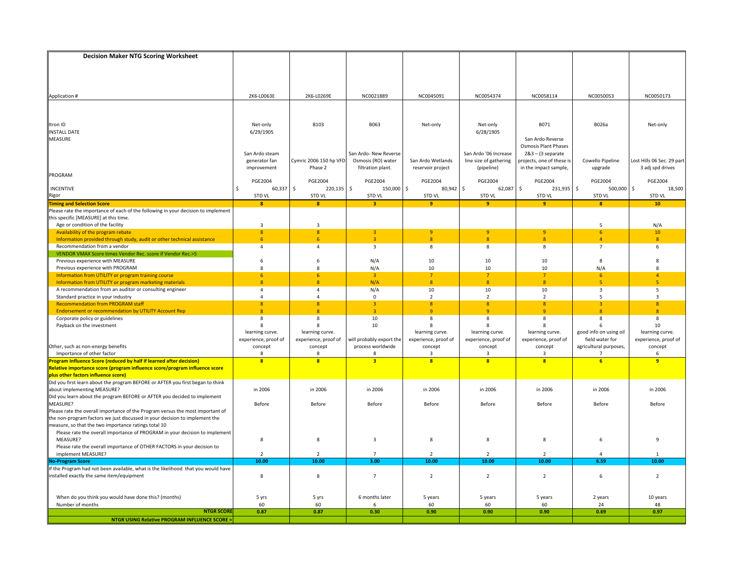| <b>Decision Maker NTG Scoring Worksheet</b>                                                                                         |                                         |                                         |                          |                                         |                                         |                                                    |                                           |                                         |
|-------------------------------------------------------------------------------------------------------------------------------------|-----------------------------------------|-----------------------------------------|--------------------------|-----------------------------------------|-----------------------------------------|----------------------------------------------------|-------------------------------------------|-----------------------------------------|
|                                                                                                                                     |                                         |                                         |                          |                                         |                                         |                                                    |                                           |                                         |
|                                                                                                                                     |                                         |                                         |                          |                                         |                                         |                                                    |                                           |                                         |
|                                                                                                                                     |                                         |                                         |                          |                                         |                                         |                                                    |                                           |                                         |
|                                                                                                                                     |                                         |                                         |                          |                                         |                                         |                                                    |                                           |                                         |
| Application #                                                                                                                       | 2K6-L0063E                              | 2K6-L0269E                              | NC0021889                | NC0045091                               | NC0054374                               | NC0058114                                          | NC0050053                                 | NC0050173                               |
|                                                                                                                                     |                                         |                                         |                          |                                         |                                         |                                                    |                                           |                                         |
|                                                                                                                                     |                                         |                                         |                          |                                         |                                         |                                                    |                                           |                                         |
|                                                                                                                                     |                                         |                                         |                          |                                         |                                         |                                                    |                                           |                                         |
| Itron ID                                                                                                                            | Net-only                                | <b>B103</b>                             | B063                     | Net-only                                | Net-only                                | B071                                               | B026a                                     | Net-only                                |
| <b>INSTALL DATE</b>                                                                                                                 | 6/29/1905                               |                                         |                          |                                         | 6/28/1905                               |                                                    |                                           |                                         |
| MEASURE                                                                                                                             |                                         |                                         |                          |                                         |                                         | San Ardo Reverse                                   |                                           |                                         |
|                                                                                                                                     | San Ardo steam                          |                                         | San Ardo- New Reverse    |                                         | San Ardo '06 Increase                   | <b>Osmosis Plant Phases</b><br>$283 - (3$ separate |                                           |                                         |
|                                                                                                                                     | generator fan                           | Cymric 2006 150 hp VFD                  | Osmosis (RO) water       | San Ardo Wetlands                       | line size of gathering                  | projects, one of these is                          | Cowello Pipeline                          | Lost Hills 06 Sec. 29 part              |
|                                                                                                                                     | improvement                             | Phase 2                                 | filtration plant.        | reservoir project                       | (pipeline)                              | in the impact sample,                              | upgrade                                   | 3 adj spd drives                        |
| PROGRAM                                                                                                                             |                                         |                                         |                          |                                         |                                         |                                                    |                                           |                                         |
|                                                                                                                                     | <b>PGE2004</b>                          | <b>PGE2004</b>                          | <b>PGE2004</b>           | <b>PGE2004</b>                          | <b>PGE2004</b>                          | <b>PGE2004</b>                                     | <b>PGE2004</b>                            | <b>PGE2004</b>                          |
| <b>INCENTIVE</b>                                                                                                                    | 60,337<br>\$                            | \$<br>$220,135$ \$                      | 150,000                  | \$<br>$80,942$ \$                       | 62,087                                  | \$<br>231,935 \$                                   | 500,000                                   | \$<br>18,500                            |
| Rigor                                                                                                                               | <b>STD VL</b>                           | STD VL                                  | <b>STD VL</b>            | <b>STD VL</b>                           | <b>STD VL</b>                           | STD VL                                             | <b>STD VL</b>                             | <b>STD VL</b>                           |
| <b>Timing and Selection Score</b>                                                                                                   | $\mathbf{8}$                            | $\mathbf{8}$                            | $\overline{\mathbf{3}}$  | 9                                       | 9                                       | 9                                                  | $\mathbf{R}$                              | 10                                      |
| Please rate the importance of each of the following in your decision to implement                                                   |                                         |                                         |                          |                                         |                                         |                                                    |                                           |                                         |
| this specific [MEASURE] at this time.                                                                                               |                                         |                                         |                          |                                         |                                         |                                                    |                                           |                                         |
| Age or condition of the facility                                                                                                    | $\overline{3}$                          | $\overline{3}$                          |                          |                                         |                                         |                                                    | 5                                         | N/A                                     |
| Availability of the program rebate                                                                                                  | $\boldsymbol{8}$<br>6                   | $\boldsymbol{8}$<br>6                   | 3<br>$\overline{a}$      | 9<br>$\overline{\mathbf{R}}$            | 9<br>$\overline{8}$                     | $\overline{9}$<br>$\mathbf{8}$                     | 6 <sup>1</sup>                            | 10<br>$\mathbf{R}$                      |
| Information provided through study, audit or other technical assistance<br>Recommendation from a vendor                             | 4                                       | $\overline{4}$                          | $\overline{\mathbf{3}}$  | 8                                       | 8                                       | 8                                                  | $\overline{7}$                            | 6                                       |
| VENDOR VMAX Score times Vendor Rec. score if Vendor Rec.>5                                                                          |                                         |                                         |                          |                                         |                                         |                                                    |                                           |                                         |
| Previous experience with MEASURE                                                                                                    | 6                                       | 6                                       | N/A                      | 10                                      | 10                                      | 10                                                 | 8                                         | 8                                       |
| Previous experience with PROGRAM                                                                                                    | 8                                       | 8                                       | N/A                      | 10                                      | 10                                      | 10                                                 | N/A                                       | 8                                       |
| Information from UTILITY or program training course                                                                                 | 6 <sup>1</sup>                          | 6                                       | $\overline{3}$           | 7 <sup>2</sup>                          | $\overline{7}$                          | $\overline{7}$                                     | 6 <sup>5</sup>                            | $\overline{a}$                          |
| Information from UTILITY or program marketing materials                                                                             | 8                                       | $\overline{\mathbf{8}}$                 | N/A                      | 8                                       | $\mathbf{8}$                            | $\mathbf{8}$                                       | $\overline{5}$                            | 5                                       |
| A recommendation from an auditor or consulting engineer                                                                             | $\overline{4}$                          | $\overline{a}$                          | N/A                      | 10                                      | 10                                      | 10                                                 | $\overline{3}$                            | 5                                       |
| Standard practice in your industry                                                                                                  | $\overline{4}$                          | $\overline{4}$                          | 0                        | $\overline{2}$                          | $\overline{2}$                          | $\overline{2}$                                     | 5                                         | $\overline{3}$                          |
| <b>Recommendation from PROGRAM staff</b>                                                                                            | $\mathbf{8}$                            | $\overline{8}$                          | $\overline{3}$           | 8 <sup>°</sup>                          | $\mathbf{8}$                            | $\overline{8}$                                     | $\overline{3}$                            | $\overline{8}$                          |
| <b>Endorsement or recommendation by UTILITY Account Rep</b>                                                                         | $\mathbf{8}$                            | $\overline{8}$                          | $\overline{3}$           | $\mathbf{q}$                            | $\mathbf{q}$                            | <sub>9</sub>                                       | $\mathbf{R}$                              | $\overline{8}$                          |
| Corporate policy or guidelines                                                                                                      | 8                                       | 8                                       | 10                       | 8                                       | 8                                       | 8                                                  | 8                                         | 8                                       |
| Payback on the investment                                                                                                           | 8                                       | $\mathbf{R}$                            | 10                       | 8                                       | 8                                       | 8                                                  | 6                                         | 10                                      |
|                                                                                                                                     | learning curve.<br>experience, proof of | learning curve.<br>experience, proof of | will probably export the | learning curve.<br>experience, proof of | learning curve.<br>experience, proof of | learning curve.<br>experience, proof of            | good info on using oil<br>field water for | learning curve.<br>experience, proof of |
| Other, such as non-energy benefits                                                                                                  | concept                                 | concept                                 | process worldwide        | concept                                 | concept                                 | concept                                            | agricultural purposes,                    | concept                                 |
| Importance of other factor                                                                                                          | 8                                       | 8                                       | R                        | $\overline{\mathbf{a}}$                 | 3                                       | 3                                                  |                                           | 6                                       |
| Program Influence Score (reduced by half if learned after decision)                                                                 | $\overline{\mathbf{8}}$                 | $\overline{\mathbf{8}}$                 | $\overline{\mathbf{3}}$  | $\overline{\mathbf{8}}$                 | $\overline{\mathbf{a}}$                 | $\overline{\mathbf{8}}$                            | $\overline{6}$                            | 9                                       |
| Relative importance score (program influence score/program influence score                                                          |                                         |                                         |                          |                                         |                                         |                                                    |                                           |                                         |
| plus other factors influence score)<br>Did you first learn about the program BEFORE or AFTER you first began to think               |                                         |                                         |                          |                                         |                                         |                                                    |                                           |                                         |
|                                                                                                                                     |                                         |                                         |                          |                                         |                                         |                                                    |                                           |                                         |
| about implementing MEASURE?                                                                                                         | in 2006                                 | in 2006                                 | in 2006                  | in 2006                                 | in 2006                                 | in 2006                                            | in 2006                                   | in 2006                                 |
| Did you learn about the program BEFORE or AFTER you decided to implement                                                            |                                         |                                         |                          |                                         |                                         |                                                    |                                           |                                         |
| MEASURE?                                                                                                                            | Before                                  | Before                                  | Before                   | Before                                  | Before                                  | Before                                             | Before                                    | Before                                  |
| Please rate the overall importance of the Program versus the most important of                                                      |                                         |                                         |                          |                                         |                                         |                                                    |                                           |                                         |
| the non-program factors we just discussed in your decision to implement the<br>measure, so that the two importance ratings total 10 |                                         |                                         |                          |                                         |                                         |                                                    |                                           |                                         |
| Please rate the overall importance of PROGRAM in your decision to implement                                                         |                                         |                                         |                          |                                         |                                         |                                                    |                                           |                                         |
| MEASURE?                                                                                                                            | 8                                       | 8                                       | 3                        | 8                                       | 8                                       | 8                                                  | 6                                         | 9                                       |
| Please rate the overall importance of OTHER FACTORS in your decision to                                                             |                                         |                                         |                          |                                         |                                         |                                                    |                                           |                                         |
| implement MEASURE?                                                                                                                  | $\overline{2}$                          | $\overline{2}$                          | $\overline{7}$           | $\overline{2}$                          | $\overline{2}$                          | $\overline{2}$                                     |                                           |                                         |
| <b>No-Program Score</b>                                                                                                             | 10.00                                   | 10.00                                   | 3.00                     | 10.00                                   | 10.00                                   | 10.00                                              | 6.59                                      | 10.00                                   |
| If the Program had not been available, what is the likelihood that you would have                                                   |                                         |                                         |                          |                                         |                                         |                                                    |                                           |                                         |
| installed exactly the same item/equipment                                                                                           | 8                                       | 8                                       | $\overline{7}$           | $\overline{2}$                          | $\overline{2}$                          | $\overline{2}$                                     | 6                                         | $\overline{2}$                          |
|                                                                                                                                     |                                         |                                         |                          |                                         |                                         |                                                    |                                           |                                         |
|                                                                                                                                     |                                         |                                         |                          |                                         |                                         |                                                    |                                           |                                         |
| When do you think you would have done this? (months)                                                                                | 5 yrs                                   | 5 yrs                                   | 6 months later           | 5 years                                 | 5 years                                 | 5 years                                            | 2 years                                   | 10 years                                |
| Number of months<br><b>NTGR SCORE</b>                                                                                               | 60                                      | 60<br>0.87                              | 6                        | 60                                      | 60                                      | 60                                                 | 24                                        | 48                                      |
| <b>NTGR USING Relative PROGRAM INFLUENCE SCORE =</b>                                                                                | 0.87                                    |                                         | 0.30                     | 0.90                                    | 0.90                                    | 0.90                                               | 0.69                                      | 0.97                                    |
|                                                                                                                                     |                                         |                                         |                          |                                         |                                         |                                                    |                                           |                                         |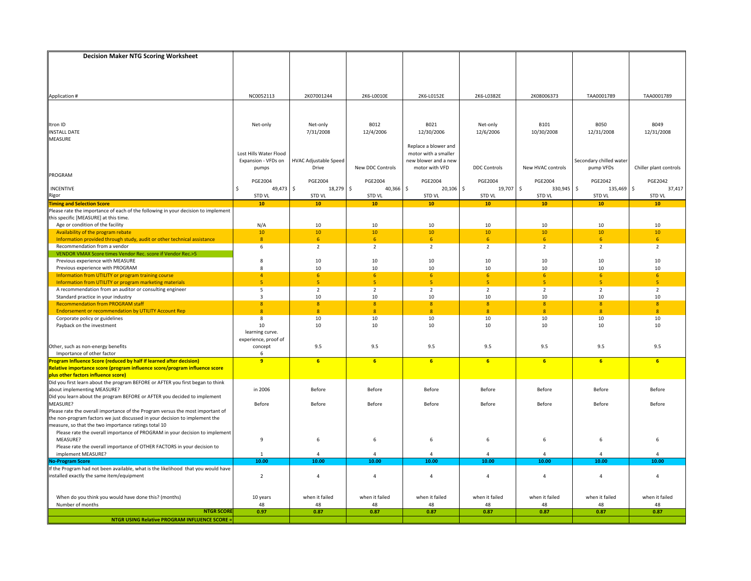| NC0052113<br>2K07001244<br>2K6-L0152E<br>2K08006373<br>TAA0001789<br>TAA0001789<br>Application #<br>2K6-L0010E<br>2K6-L0382E<br>B012<br>B021<br><b>B101</b><br><b>B050</b><br>B049<br>Itron ID<br>Net-only<br>Net-only<br>Net-only<br>7/31/2008<br>12/4/2006<br>12/30/2006<br>12/6/2006<br>10/30/2008<br>12/31/2008<br>12/31/2008<br><b>INSTALL DATE</b><br><b>MEASURE</b><br>Replace a blower and<br>Lost Hills Water Flood<br>motor with a smaller<br>Expansion - VFDs on<br><b>HVAC Adjustable Speed</b><br>Secondary chilled water<br>new blower and a new<br>Drive<br>New DDC Controls<br>motor with VFD<br><b>DDC Controls</b><br>New HVAC controls<br>pump VFDs<br>Chiller plant controls<br>pumps<br>PROGRAM<br><b>PGE2004</b><br><b>PGE2004</b><br><b>PGE2004</b><br><b>PGE2004</b><br><b>PGE2004</b><br><b>PGE2042</b><br>PGE2042<br><b>PGE2004</b><br>49,473 \$<br>\$<br>$40,366$ \$<br>$\mathsf{\hat{S}}$<br>330,945 \$<br>$\ddot{\mathsf{S}}$<br>\$<br>18,279<br>$20,106$ \$<br>19,707<br>135,469<br>37,417<br><b>INCENTIVE</b><br>STD VL<br>Rigor<br><b>STD VL</b><br><b>STD VL</b><br><b>STD VL</b><br><b>STD VL</b><br><b>STD VL</b><br><b>STD VL</b><br><b>STD VL</b><br><b>Timing and Selection Score</b><br>10<br>10 <sup>°</sup><br>$10$<br>$10$<br>10<br>10<br>10<br>10<br>Please rate the importance of each of the following in your decision to implement<br>this specific [MEASURE] at this time.<br>N/A<br>$10\,$<br>10<br>$10\,$<br>10<br>10<br>10<br>Age or condition of the facility<br>10<br>$10\,$<br>10<br>Availability of the program rebate<br>10<br>10<br>10 <sup>°</sup><br>10<br>10<br>10<br>$\boldsymbol{8}$<br>6<br>6 <sup>1</sup><br>6<br>6 <sup>1</sup><br>Information provided through study, audit or other technical assistance<br>6<br>6<br>6<br>Recommendation from a vendor<br>$\overline{2}$<br>$\overline{2}$<br>$\overline{2}$<br>$\overline{2}$<br>$\overline{2}$<br>6<br>$\overline{2}$<br>$\overline{2}$<br>VENDOR VMAX Score times Vendor Rec. score if Vendor Rec.>5<br>10<br>10<br>10<br>10<br>10<br>10<br>10<br>Previous experience with MEASURE<br>8<br>10<br>10<br>10<br>10<br>Previous experience with PROGRAM<br>8<br>10<br>10<br>10<br>Information from UTILITY or program training course<br>$\overline{4}$<br>6<br>6<br>6 <sup>1</sup><br>6<br>-6<br>6<br>6<br>5 <sub>o</sub><br>-5<br>5 <sub>5</sub><br>5 <sup>7</sup><br>5<br>-5<br>5<br>5<br>Information from UTILITY or program marketing materials<br>$\overline{2}$<br>$\overline{2}$<br>$\overline{2}$<br>A recommendation from an auditor or consulting engineer<br>5<br>$\overline{2}$<br>2<br>$\overline{2}$<br>$\overline{2}$<br>Standard practice in your industry<br>10<br>10<br>10<br>10<br>10<br>3<br>10<br>10<br><b>Recommendation from PROGRAM staff</b><br>8<br>$\overline{8}$<br>8 <sup>°</sup><br>8<br>8 <sup>°</sup><br>8<br>$\overline{8}$<br>$\overline{8}$<br><b>Endorsement or recommendation by UTILITY Account Rep</b><br>$\overline{8}$<br>8<br>$\overline{8}$<br>8<br>8<br>$\mathbf{8}$<br>$\overline{8}$<br>8<br>10<br>Corporate policy or guidelines<br>8<br>10<br>10<br>10<br>10<br>10<br>10<br>10<br>10<br>10<br>10<br>10<br>10<br>10<br>Payback on the investment<br>10<br>learning curve.<br>experience, proof of<br>Other, such as non-energy benefits<br>concept<br>9.5<br>9.5<br>9.5<br>9.5<br>9.5<br>9.5<br>9.5<br>Importance of other factor<br>6<br>9<br>Ŀ<br>rogram Influence Score (reduced by half if learned after decision)<br>6<br>6<br>6<br>6<br>6 <sup>2</sup><br>6<br>6<br>Relative importance score (program influence score/program influence score<br>plus other factors influence score)<br>Did you first learn about the program BEFORE or AFTER you first began to think<br>about implementing MEASURE?<br>in 2006<br>Before<br>Before<br>Before<br>Before<br>Before<br>Before<br>Before<br>Did you learn about the program BEFORE or AFTER you decided to implement<br>MEASURE?<br>Before<br>Before<br>Before<br>Before<br>Before<br>Before<br>Before<br>Before<br>Please rate the overall importance of the Program versus the most important of<br>the non-program factors we just discussed in your decision to implement the<br>measure, so that the two importance ratings total 10<br>Please rate the overall importance of PROGRAM in your decision to implement<br>MEASURE?<br>9<br>6<br>6<br>6<br>6<br>6<br>6<br>6<br>Please rate the overall importance of OTHER FACTORS in your decision to<br>implement MEASURE?<br>4<br>$\overline{a}$<br>$\mathbf{1}$<br><b>No-Program Score</b><br>10.00<br>10.00<br>10.00<br>10.00<br>10.00<br>10.00<br>10.00<br>10.00<br>If the Program had not been available, what is the likelihood that you would have<br>$\overline{2}$<br>$\overline{4}$<br>$\overline{a}$<br>installed exactly the same item/equipment<br>$\overline{4}$<br>$\overline{4}$<br>$\overline{4}$<br>$\overline{4}$<br>$\overline{4}$<br>when it failed<br>when it failed<br>when it failed<br>when it failed<br>When do you think you would have done this? (months)<br>10 years<br>when it failed<br>when it failed<br>when it failed<br>Number of months<br>48<br>48<br>48<br>48<br>48<br>48<br>48<br>48<br><b>NTGR SCORE</b><br>0.87<br>0.87<br>0.87<br>0.87<br>0.87<br>0.97<br>0.87<br>0.87<br><b>NTGR USING Relative PROGRAM INFLUENCE SCORE =</b> | <b>Decision Maker NTG Scoring Worksheet</b> |  |  |  |  |
|------------------------------------------------------------------------------------------------------------------------------------------------------------------------------------------------------------------------------------------------------------------------------------------------------------------------------------------------------------------------------------------------------------------------------------------------------------------------------------------------------------------------------------------------------------------------------------------------------------------------------------------------------------------------------------------------------------------------------------------------------------------------------------------------------------------------------------------------------------------------------------------------------------------------------------------------------------------------------------------------------------------------------------------------------------------------------------------------------------------------------------------------------------------------------------------------------------------------------------------------------------------------------------------------------------------------------------------------------------------------------------------------------------------------------------------------------------------------------------------------------------------------------------------------------------------------------------------------------------------------------------------------------------------------------------------------------------------------------------------------------------------------------------------------------------------------------------------------------------------------------------------------------------------------------------------------------------------------------------------------------------------------------------------------------------------------------------------------------------------------------------------------------------------------------------------------------------------------------------------------------------------------------------------------------------------------------------------------------------------------------------------------------------------------------------------------------------------------------------------------------------------------------------------------------------------------------------------------------------------------------------------------------------------------------------------------------------------------------------------------------------------------------------------------------------------------------------------------------------------------------------------------------------------------------------------------------------------------------------------------------------------------------------------------------------------------------------------------------------------------------------------------------------------------------------------------------------------------------------------------------------------------------------------------------------------------------------------------------------------------------------------------------------------------------------------------------------------------------------------------------------------------------------------------------------------------------------------------------------------------------------------------------------------------------------------------------------------------------------------------------------------------------------------------------------------------------------------------------------------------------------------------------------------------------------------------------------------------------------------------------------------------------------------------------------------------------------------------------------------------------------------------------------------------------------------------------------------------------------------------------------------------------------------------------------------------------------------------------------------------------------------------------------------------------------------------------------------------------------------------------------------------------------------------------------------------------------------------------------------------------------------------------------------------------------------------------------------------------------------------------------------------------------------------------------------------------------------------------------------------------------------------------------------------------------------------------------------------------------------------------------------------------------------------------------------------------------------------------------------------------------------------------------------------------------------------------------------------------------------------------------------------------------------------------------------------------------------------------|---------------------------------------------|--|--|--|--|
|                                                                                                                                                                                                                                                                                                                                                                                                                                                                                                                                                                                                                                                                                                                                                                                                                                                                                                                                                                                                                                                                                                                                                                                                                                                                                                                                                                                                                                                                                                                                                                                                                                                                                                                                                                                                                                                                                                                                                                                                                                                                                                                                                                                                                                                                                                                                                                                                                                                                                                                                                                                                                                                                                                                                                                                                                                                                                                                                                                                                                                                                                                                                                                                                                                                                                                                                                                                                                                                                                                                                                                                                                                                                                                                                                                                                                                                                                                                                                                                                                                                                                                                                                                                                                                                                                                                                                                                                                                                                                                                                                                                                                                                                                                                                                                                                                                                                                                                                                                                                                                                                                                                                                                                                                                                                                                                                                      |                                             |  |  |  |  |
|                                                                                                                                                                                                                                                                                                                                                                                                                                                                                                                                                                                                                                                                                                                                                                                                                                                                                                                                                                                                                                                                                                                                                                                                                                                                                                                                                                                                                                                                                                                                                                                                                                                                                                                                                                                                                                                                                                                                                                                                                                                                                                                                                                                                                                                                                                                                                                                                                                                                                                                                                                                                                                                                                                                                                                                                                                                                                                                                                                                                                                                                                                                                                                                                                                                                                                                                                                                                                                                                                                                                                                                                                                                                                                                                                                                                                                                                                                                                                                                                                                                                                                                                                                                                                                                                                                                                                                                                                                                                                                                                                                                                                                                                                                                                                                                                                                                                                                                                                                                                                                                                                                                                                                                                                                                                                                                                                      |                                             |  |  |  |  |
|                                                                                                                                                                                                                                                                                                                                                                                                                                                                                                                                                                                                                                                                                                                                                                                                                                                                                                                                                                                                                                                                                                                                                                                                                                                                                                                                                                                                                                                                                                                                                                                                                                                                                                                                                                                                                                                                                                                                                                                                                                                                                                                                                                                                                                                                                                                                                                                                                                                                                                                                                                                                                                                                                                                                                                                                                                                                                                                                                                                                                                                                                                                                                                                                                                                                                                                                                                                                                                                                                                                                                                                                                                                                                                                                                                                                                                                                                                                                                                                                                                                                                                                                                                                                                                                                                                                                                                                                                                                                                                                                                                                                                                                                                                                                                                                                                                                                                                                                                                                                                                                                                                                                                                                                                                                                                                                                                      |                                             |  |  |  |  |
|                                                                                                                                                                                                                                                                                                                                                                                                                                                                                                                                                                                                                                                                                                                                                                                                                                                                                                                                                                                                                                                                                                                                                                                                                                                                                                                                                                                                                                                                                                                                                                                                                                                                                                                                                                                                                                                                                                                                                                                                                                                                                                                                                                                                                                                                                                                                                                                                                                                                                                                                                                                                                                                                                                                                                                                                                                                                                                                                                                                                                                                                                                                                                                                                                                                                                                                                                                                                                                                                                                                                                                                                                                                                                                                                                                                                                                                                                                                                                                                                                                                                                                                                                                                                                                                                                                                                                                                                                                                                                                                                                                                                                                                                                                                                                                                                                                                                                                                                                                                                                                                                                                                                                                                                                                                                                                                                                      |                                             |  |  |  |  |
|                                                                                                                                                                                                                                                                                                                                                                                                                                                                                                                                                                                                                                                                                                                                                                                                                                                                                                                                                                                                                                                                                                                                                                                                                                                                                                                                                                                                                                                                                                                                                                                                                                                                                                                                                                                                                                                                                                                                                                                                                                                                                                                                                                                                                                                                                                                                                                                                                                                                                                                                                                                                                                                                                                                                                                                                                                                                                                                                                                                                                                                                                                                                                                                                                                                                                                                                                                                                                                                                                                                                                                                                                                                                                                                                                                                                                                                                                                                                                                                                                                                                                                                                                                                                                                                                                                                                                                                                                                                                                                                                                                                                                                                                                                                                                                                                                                                                                                                                                                                                                                                                                                                                                                                                                                                                                                                                                      |                                             |  |  |  |  |
|                                                                                                                                                                                                                                                                                                                                                                                                                                                                                                                                                                                                                                                                                                                                                                                                                                                                                                                                                                                                                                                                                                                                                                                                                                                                                                                                                                                                                                                                                                                                                                                                                                                                                                                                                                                                                                                                                                                                                                                                                                                                                                                                                                                                                                                                                                                                                                                                                                                                                                                                                                                                                                                                                                                                                                                                                                                                                                                                                                                                                                                                                                                                                                                                                                                                                                                                                                                                                                                                                                                                                                                                                                                                                                                                                                                                                                                                                                                                                                                                                                                                                                                                                                                                                                                                                                                                                                                                                                                                                                                                                                                                                                                                                                                                                                                                                                                                                                                                                                                                                                                                                                                                                                                                                                                                                                                                                      |                                             |  |  |  |  |
|                                                                                                                                                                                                                                                                                                                                                                                                                                                                                                                                                                                                                                                                                                                                                                                                                                                                                                                                                                                                                                                                                                                                                                                                                                                                                                                                                                                                                                                                                                                                                                                                                                                                                                                                                                                                                                                                                                                                                                                                                                                                                                                                                                                                                                                                                                                                                                                                                                                                                                                                                                                                                                                                                                                                                                                                                                                                                                                                                                                                                                                                                                                                                                                                                                                                                                                                                                                                                                                                                                                                                                                                                                                                                                                                                                                                                                                                                                                                                                                                                                                                                                                                                                                                                                                                                                                                                                                                                                                                                                                                                                                                                                                                                                                                                                                                                                                                                                                                                                                                                                                                                                                                                                                                                                                                                                                                                      |                                             |  |  |  |  |
|                                                                                                                                                                                                                                                                                                                                                                                                                                                                                                                                                                                                                                                                                                                                                                                                                                                                                                                                                                                                                                                                                                                                                                                                                                                                                                                                                                                                                                                                                                                                                                                                                                                                                                                                                                                                                                                                                                                                                                                                                                                                                                                                                                                                                                                                                                                                                                                                                                                                                                                                                                                                                                                                                                                                                                                                                                                                                                                                                                                                                                                                                                                                                                                                                                                                                                                                                                                                                                                                                                                                                                                                                                                                                                                                                                                                                                                                                                                                                                                                                                                                                                                                                                                                                                                                                                                                                                                                                                                                                                                                                                                                                                                                                                                                                                                                                                                                                                                                                                                                                                                                                                                                                                                                                                                                                                                                                      |                                             |  |  |  |  |
|                                                                                                                                                                                                                                                                                                                                                                                                                                                                                                                                                                                                                                                                                                                                                                                                                                                                                                                                                                                                                                                                                                                                                                                                                                                                                                                                                                                                                                                                                                                                                                                                                                                                                                                                                                                                                                                                                                                                                                                                                                                                                                                                                                                                                                                                                                                                                                                                                                                                                                                                                                                                                                                                                                                                                                                                                                                                                                                                                                                                                                                                                                                                                                                                                                                                                                                                                                                                                                                                                                                                                                                                                                                                                                                                                                                                                                                                                                                                                                                                                                                                                                                                                                                                                                                                                                                                                                                                                                                                                                                                                                                                                                                                                                                                                                                                                                                                                                                                                                                                                                                                                                                                                                                                                                                                                                                                                      |                                             |  |  |  |  |
|                                                                                                                                                                                                                                                                                                                                                                                                                                                                                                                                                                                                                                                                                                                                                                                                                                                                                                                                                                                                                                                                                                                                                                                                                                                                                                                                                                                                                                                                                                                                                                                                                                                                                                                                                                                                                                                                                                                                                                                                                                                                                                                                                                                                                                                                                                                                                                                                                                                                                                                                                                                                                                                                                                                                                                                                                                                                                                                                                                                                                                                                                                                                                                                                                                                                                                                                                                                                                                                                                                                                                                                                                                                                                                                                                                                                                                                                                                                                                                                                                                                                                                                                                                                                                                                                                                                                                                                                                                                                                                                                                                                                                                                                                                                                                                                                                                                                                                                                                                                                                                                                                                                                                                                                                                                                                                                                                      |                                             |  |  |  |  |
|                                                                                                                                                                                                                                                                                                                                                                                                                                                                                                                                                                                                                                                                                                                                                                                                                                                                                                                                                                                                                                                                                                                                                                                                                                                                                                                                                                                                                                                                                                                                                                                                                                                                                                                                                                                                                                                                                                                                                                                                                                                                                                                                                                                                                                                                                                                                                                                                                                                                                                                                                                                                                                                                                                                                                                                                                                                                                                                                                                                                                                                                                                                                                                                                                                                                                                                                                                                                                                                                                                                                                                                                                                                                                                                                                                                                                                                                                                                                                                                                                                                                                                                                                                                                                                                                                                                                                                                                                                                                                                                                                                                                                                                                                                                                                                                                                                                                                                                                                                                                                                                                                                                                                                                                                                                                                                                                                      |                                             |  |  |  |  |
|                                                                                                                                                                                                                                                                                                                                                                                                                                                                                                                                                                                                                                                                                                                                                                                                                                                                                                                                                                                                                                                                                                                                                                                                                                                                                                                                                                                                                                                                                                                                                                                                                                                                                                                                                                                                                                                                                                                                                                                                                                                                                                                                                                                                                                                                                                                                                                                                                                                                                                                                                                                                                                                                                                                                                                                                                                                                                                                                                                                                                                                                                                                                                                                                                                                                                                                                                                                                                                                                                                                                                                                                                                                                                                                                                                                                                                                                                                                                                                                                                                                                                                                                                                                                                                                                                                                                                                                                                                                                                                                                                                                                                                                                                                                                                                                                                                                                                                                                                                                                                                                                                                                                                                                                                                                                                                                                                      |                                             |  |  |  |  |
|                                                                                                                                                                                                                                                                                                                                                                                                                                                                                                                                                                                                                                                                                                                                                                                                                                                                                                                                                                                                                                                                                                                                                                                                                                                                                                                                                                                                                                                                                                                                                                                                                                                                                                                                                                                                                                                                                                                                                                                                                                                                                                                                                                                                                                                                                                                                                                                                                                                                                                                                                                                                                                                                                                                                                                                                                                                                                                                                                                                                                                                                                                                                                                                                                                                                                                                                                                                                                                                                                                                                                                                                                                                                                                                                                                                                                                                                                                                                                                                                                                                                                                                                                                                                                                                                                                                                                                                                                                                                                                                                                                                                                                                                                                                                                                                                                                                                                                                                                                                                                                                                                                                                                                                                                                                                                                                                                      |                                             |  |  |  |  |
|                                                                                                                                                                                                                                                                                                                                                                                                                                                                                                                                                                                                                                                                                                                                                                                                                                                                                                                                                                                                                                                                                                                                                                                                                                                                                                                                                                                                                                                                                                                                                                                                                                                                                                                                                                                                                                                                                                                                                                                                                                                                                                                                                                                                                                                                                                                                                                                                                                                                                                                                                                                                                                                                                                                                                                                                                                                                                                                                                                                                                                                                                                                                                                                                                                                                                                                                                                                                                                                                                                                                                                                                                                                                                                                                                                                                                                                                                                                                                                                                                                                                                                                                                                                                                                                                                                                                                                                                                                                                                                                                                                                                                                                                                                                                                                                                                                                                                                                                                                                                                                                                                                                                                                                                                                                                                                                                                      |                                             |  |  |  |  |
|                                                                                                                                                                                                                                                                                                                                                                                                                                                                                                                                                                                                                                                                                                                                                                                                                                                                                                                                                                                                                                                                                                                                                                                                                                                                                                                                                                                                                                                                                                                                                                                                                                                                                                                                                                                                                                                                                                                                                                                                                                                                                                                                                                                                                                                                                                                                                                                                                                                                                                                                                                                                                                                                                                                                                                                                                                                                                                                                                                                                                                                                                                                                                                                                                                                                                                                                                                                                                                                                                                                                                                                                                                                                                                                                                                                                                                                                                                                                                                                                                                                                                                                                                                                                                                                                                                                                                                                                                                                                                                                                                                                                                                                                                                                                                                                                                                                                                                                                                                                                                                                                                                                                                                                                                                                                                                                                                      |                                             |  |  |  |  |
|                                                                                                                                                                                                                                                                                                                                                                                                                                                                                                                                                                                                                                                                                                                                                                                                                                                                                                                                                                                                                                                                                                                                                                                                                                                                                                                                                                                                                                                                                                                                                                                                                                                                                                                                                                                                                                                                                                                                                                                                                                                                                                                                                                                                                                                                                                                                                                                                                                                                                                                                                                                                                                                                                                                                                                                                                                                                                                                                                                                                                                                                                                                                                                                                                                                                                                                                                                                                                                                                                                                                                                                                                                                                                                                                                                                                                                                                                                                                                                                                                                                                                                                                                                                                                                                                                                                                                                                                                                                                                                                                                                                                                                                                                                                                                                                                                                                                                                                                                                                                                                                                                                                                                                                                                                                                                                                                                      |                                             |  |  |  |  |
|                                                                                                                                                                                                                                                                                                                                                                                                                                                                                                                                                                                                                                                                                                                                                                                                                                                                                                                                                                                                                                                                                                                                                                                                                                                                                                                                                                                                                                                                                                                                                                                                                                                                                                                                                                                                                                                                                                                                                                                                                                                                                                                                                                                                                                                                                                                                                                                                                                                                                                                                                                                                                                                                                                                                                                                                                                                                                                                                                                                                                                                                                                                                                                                                                                                                                                                                                                                                                                                                                                                                                                                                                                                                                                                                                                                                                                                                                                                                                                                                                                                                                                                                                                                                                                                                                                                                                                                                                                                                                                                                                                                                                                                                                                                                                                                                                                                                                                                                                                                                                                                                                                                                                                                                                                                                                                                                                      |                                             |  |  |  |  |
|                                                                                                                                                                                                                                                                                                                                                                                                                                                                                                                                                                                                                                                                                                                                                                                                                                                                                                                                                                                                                                                                                                                                                                                                                                                                                                                                                                                                                                                                                                                                                                                                                                                                                                                                                                                                                                                                                                                                                                                                                                                                                                                                                                                                                                                                                                                                                                                                                                                                                                                                                                                                                                                                                                                                                                                                                                                                                                                                                                                                                                                                                                                                                                                                                                                                                                                                                                                                                                                                                                                                                                                                                                                                                                                                                                                                                                                                                                                                                                                                                                                                                                                                                                                                                                                                                                                                                                                                                                                                                                                                                                                                                                                                                                                                                                                                                                                                                                                                                                                                                                                                                                                                                                                                                                                                                                                                                      |                                             |  |  |  |  |
|                                                                                                                                                                                                                                                                                                                                                                                                                                                                                                                                                                                                                                                                                                                                                                                                                                                                                                                                                                                                                                                                                                                                                                                                                                                                                                                                                                                                                                                                                                                                                                                                                                                                                                                                                                                                                                                                                                                                                                                                                                                                                                                                                                                                                                                                                                                                                                                                                                                                                                                                                                                                                                                                                                                                                                                                                                                                                                                                                                                                                                                                                                                                                                                                                                                                                                                                                                                                                                                                                                                                                                                                                                                                                                                                                                                                                                                                                                                                                                                                                                                                                                                                                                                                                                                                                                                                                                                                                                                                                                                                                                                                                                                                                                                                                                                                                                                                                                                                                                                                                                                                                                                                                                                                                                                                                                                                                      |                                             |  |  |  |  |
|                                                                                                                                                                                                                                                                                                                                                                                                                                                                                                                                                                                                                                                                                                                                                                                                                                                                                                                                                                                                                                                                                                                                                                                                                                                                                                                                                                                                                                                                                                                                                                                                                                                                                                                                                                                                                                                                                                                                                                                                                                                                                                                                                                                                                                                                                                                                                                                                                                                                                                                                                                                                                                                                                                                                                                                                                                                                                                                                                                                                                                                                                                                                                                                                                                                                                                                                                                                                                                                                                                                                                                                                                                                                                                                                                                                                                                                                                                                                                                                                                                                                                                                                                                                                                                                                                                                                                                                                                                                                                                                                                                                                                                                                                                                                                                                                                                                                                                                                                                                                                                                                                                                                                                                                                                                                                                                                                      |                                             |  |  |  |  |
|                                                                                                                                                                                                                                                                                                                                                                                                                                                                                                                                                                                                                                                                                                                                                                                                                                                                                                                                                                                                                                                                                                                                                                                                                                                                                                                                                                                                                                                                                                                                                                                                                                                                                                                                                                                                                                                                                                                                                                                                                                                                                                                                                                                                                                                                                                                                                                                                                                                                                                                                                                                                                                                                                                                                                                                                                                                                                                                                                                                                                                                                                                                                                                                                                                                                                                                                                                                                                                                                                                                                                                                                                                                                                                                                                                                                                                                                                                                                                                                                                                                                                                                                                                                                                                                                                                                                                                                                                                                                                                                                                                                                                                                                                                                                                                                                                                                                                                                                                                                                                                                                                                                                                                                                                                                                                                                                                      |                                             |  |  |  |  |
|                                                                                                                                                                                                                                                                                                                                                                                                                                                                                                                                                                                                                                                                                                                                                                                                                                                                                                                                                                                                                                                                                                                                                                                                                                                                                                                                                                                                                                                                                                                                                                                                                                                                                                                                                                                                                                                                                                                                                                                                                                                                                                                                                                                                                                                                                                                                                                                                                                                                                                                                                                                                                                                                                                                                                                                                                                                                                                                                                                                                                                                                                                                                                                                                                                                                                                                                                                                                                                                                                                                                                                                                                                                                                                                                                                                                                                                                                                                                                                                                                                                                                                                                                                                                                                                                                                                                                                                                                                                                                                                                                                                                                                                                                                                                                                                                                                                                                                                                                                                                                                                                                                                                                                                                                                                                                                                                                      |                                             |  |  |  |  |
|                                                                                                                                                                                                                                                                                                                                                                                                                                                                                                                                                                                                                                                                                                                                                                                                                                                                                                                                                                                                                                                                                                                                                                                                                                                                                                                                                                                                                                                                                                                                                                                                                                                                                                                                                                                                                                                                                                                                                                                                                                                                                                                                                                                                                                                                                                                                                                                                                                                                                                                                                                                                                                                                                                                                                                                                                                                                                                                                                                                                                                                                                                                                                                                                                                                                                                                                                                                                                                                                                                                                                                                                                                                                                                                                                                                                                                                                                                                                                                                                                                                                                                                                                                                                                                                                                                                                                                                                                                                                                                                                                                                                                                                                                                                                                                                                                                                                                                                                                                                                                                                                                                                                                                                                                                                                                                                                                      |                                             |  |  |  |  |
|                                                                                                                                                                                                                                                                                                                                                                                                                                                                                                                                                                                                                                                                                                                                                                                                                                                                                                                                                                                                                                                                                                                                                                                                                                                                                                                                                                                                                                                                                                                                                                                                                                                                                                                                                                                                                                                                                                                                                                                                                                                                                                                                                                                                                                                                                                                                                                                                                                                                                                                                                                                                                                                                                                                                                                                                                                                                                                                                                                                                                                                                                                                                                                                                                                                                                                                                                                                                                                                                                                                                                                                                                                                                                                                                                                                                                                                                                                                                                                                                                                                                                                                                                                                                                                                                                                                                                                                                                                                                                                                                                                                                                                                                                                                                                                                                                                                                                                                                                                                                                                                                                                                                                                                                                                                                                                                                                      |                                             |  |  |  |  |
|                                                                                                                                                                                                                                                                                                                                                                                                                                                                                                                                                                                                                                                                                                                                                                                                                                                                                                                                                                                                                                                                                                                                                                                                                                                                                                                                                                                                                                                                                                                                                                                                                                                                                                                                                                                                                                                                                                                                                                                                                                                                                                                                                                                                                                                                                                                                                                                                                                                                                                                                                                                                                                                                                                                                                                                                                                                                                                                                                                                                                                                                                                                                                                                                                                                                                                                                                                                                                                                                                                                                                                                                                                                                                                                                                                                                                                                                                                                                                                                                                                                                                                                                                                                                                                                                                                                                                                                                                                                                                                                                                                                                                                                                                                                                                                                                                                                                                                                                                                                                                                                                                                                                                                                                                                                                                                                                                      |                                             |  |  |  |  |
|                                                                                                                                                                                                                                                                                                                                                                                                                                                                                                                                                                                                                                                                                                                                                                                                                                                                                                                                                                                                                                                                                                                                                                                                                                                                                                                                                                                                                                                                                                                                                                                                                                                                                                                                                                                                                                                                                                                                                                                                                                                                                                                                                                                                                                                                                                                                                                                                                                                                                                                                                                                                                                                                                                                                                                                                                                                                                                                                                                                                                                                                                                                                                                                                                                                                                                                                                                                                                                                                                                                                                                                                                                                                                                                                                                                                                                                                                                                                                                                                                                                                                                                                                                                                                                                                                                                                                                                                                                                                                                                                                                                                                                                                                                                                                                                                                                                                                                                                                                                                                                                                                                                                                                                                                                                                                                                                                      |                                             |  |  |  |  |
|                                                                                                                                                                                                                                                                                                                                                                                                                                                                                                                                                                                                                                                                                                                                                                                                                                                                                                                                                                                                                                                                                                                                                                                                                                                                                                                                                                                                                                                                                                                                                                                                                                                                                                                                                                                                                                                                                                                                                                                                                                                                                                                                                                                                                                                                                                                                                                                                                                                                                                                                                                                                                                                                                                                                                                                                                                                                                                                                                                                                                                                                                                                                                                                                                                                                                                                                                                                                                                                                                                                                                                                                                                                                                                                                                                                                                                                                                                                                                                                                                                                                                                                                                                                                                                                                                                                                                                                                                                                                                                                                                                                                                                                                                                                                                                                                                                                                                                                                                                                                                                                                                                                                                                                                                                                                                                                                                      |                                             |  |  |  |  |
|                                                                                                                                                                                                                                                                                                                                                                                                                                                                                                                                                                                                                                                                                                                                                                                                                                                                                                                                                                                                                                                                                                                                                                                                                                                                                                                                                                                                                                                                                                                                                                                                                                                                                                                                                                                                                                                                                                                                                                                                                                                                                                                                                                                                                                                                                                                                                                                                                                                                                                                                                                                                                                                                                                                                                                                                                                                                                                                                                                                                                                                                                                                                                                                                                                                                                                                                                                                                                                                                                                                                                                                                                                                                                                                                                                                                                                                                                                                                                                                                                                                                                                                                                                                                                                                                                                                                                                                                                                                                                                                                                                                                                                                                                                                                                                                                                                                                                                                                                                                                                                                                                                                                                                                                                                                                                                                                                      |                                             |  |  |  |  |
|                                                                                                                                                                                                                                                                                                                                                                                                                                                                                                                                                                                                                                                                                                                                                                                                                                                                                                                                                                                                                                                                                                                                                                                                                                                                                                                                                                                                                                                                                                                                                                                                                                                                                                                                                                                                                                                                                                                                                                                                                                                                                                                                                                                                                                                                                                                                                                                                                                                                                                                                                                                                                                                                                                                                                                                                                                                                                                                                                                                                                                                                                                                                                                                                                                                                                                                                                                                                                                                                                                                                                                                                                                                                                                                                                                                                                                                                                                                                                                                                                                                                                                                                                                                                                                                                                                                                                                                                                                                                                                                                                                                                                                                                                                                                                                                                                                                                                                                                                                                                                                                                                                                                                                                                                                                                                                                                                      |                                             |  |  |  |  |
|                                                                                                                                                                                                                                                                                                                                                                                                                                                                                                                                                                                                                                                                                                                                                                                                                                                                                                                                                                                                                                                                                                                                                                                                                                                                                                                                                                                                                                                                                                                                                                                                                                                                                                                                                                                                                                                                                                                                                                                                                                                                                                                                                                                                                                                                                                                                                                                                                                                                                                                                                                                                                                                                                                                                                                                                                                                                                                                                                                                                                                                                                                                                                                                                                                                                                                                                                                                                                                                                                                                                                                                                                                                                                                                                                                                                                                                                                                                                                                                                                                                                                                                                                                                                                                                                                                                                                                                                                                                                                                                                                                                                                                                                                                                                                                                                                                                                                                                                                                                                                                                                                                                                                                                                                                                                                                                                                      |                                             |  |  |  |  |
|                                                                                                                                                                                                                                                                                                                                                                                                                                                                                                                                                                                                                                                                                                                                                                                                                                                                                                                                                                                                                                                                                                                                                                                                                                                                                                                                                                                                                                                                                                                                                                                                                                                                                                                                                                                                                                                                                                                                                                                                                                                                                                                                                                                                                                                                                                                                                                                                                                                                                                                                                                                                                                                                                                                                                                                                                                                                                                                                                                                                                                                                                                                                                                                                                                                                                                                                                                                                                                                                                                                                                                                                                                                                                                                                                                                                                                                                                                                                                                                                                                                                                                                                                                                                                                                                                                                                                                                                                                                                                                                                                                                                                                                                                                                                                                                                                                                                                                                                                                                                                                                                                                                                                                                                                                                                                                                                                      |                                             |  |  |  |  |
|                                                                                                                                                                                                                                                                                                                                                                                                                                                                                                                                                                                                                                                                                                                                                                                                                                                                                                                                                                                                                                                                                                                                                                                                                                                                                                                                                                                                                                                                                                                                                                                                                                                                                                                                                                                                                                                                                                                                                                                                                                                                                                                                                                                                                                                                                                                                                                                                                                                                                                                                                                                                                                                                                                                                                                                                                                                                                                                                                                                                                                                                                                                                                                                                                                                                                                                                                                                                                                                                                                                                                                                                                                                                                                                                                                                                                                                                                                                                                                                                                                                                                                                                                                                                                                                                                                                                                                                                                                                                                                                                                                                                                                                                                                                                                                                                                                                                                                                                                                                                                                                                                                                                                                                                                                                                                                                                                      |                                             |  |  |  |  |
|                                                                                                                                                                                                                                                                                                                                                                                                                                                                                                                                                                                                                                                                                                                                                                                                                                                                                                                                                                                                                                                                                                                                                                                                                                                                                                                                                                                                                                                                                                                                                                                                                                                                                                                                                                                                                                                                                                                                                                                                                                                                                                                                                                                                                                                                                                                                                                                                                                                                                                                                                                                                                                                                                                                                                                                                                                                                                                                                                                                                                                                                                                                                                                                                                                                                                                                                                                                                                                                                                                                                                                                                                                                                                                                                                                                                                                                                                                                                                                                                                                                                                                                                                                                                                                                                                                                                                                                                                                                                                                                                                                                                                                                                                                                                                                                                                                                                                                                                                                                                                                                                                                                                                                                                                                                                                                                                                      |                                             |  |  |  |  |
|                                                                                                                                                                                                                                                                                                                                                                                                                                                                                                                                                                                                                                                                                                                                                                                                                                                                                                                                                                                                                                                                                                                                                                                                                                                                                                                                                                                                                                                                                                                                                                                                                                                                                                                                                                                                                                                                                                                                                                                                                                                                                                                                                                                                                                                                                                                                                                                                                                                                                                                                                                                                                                                                                                                                                                                                                                                                                                                                                                                                                                                                                                                                                                                                                                                                                                                                                                                                                                                                                                                                                                                                                                                                                                                                                                                                                                                                                                                                                                                                                                                                                                                                                                                                                                                                                                                                                                                                                                                                                                                                                                                                                                                                                                                                                                                                                                                                                                                                                                                                                                                                                                                                                                                                                                                                                                                                                      |                                             |  |  |  |  |
|                                                                                                                                                                                                                                                                                                                                                                                                                                                                                                                                                                                                                                                                                                                                                                                                                                                                                                                                                                                                                                                                                                                                                                                                                                                                                                                                                                                                                                                                                                                                                                                                                                                                                                                                                                                                                                                                                                                                                                                                                                                                                                                                                                                                                                                                                                                                                                                                                                                                                                                                                                                                                                                                                                                                                                                                                                                                                                                                                                                                                                                                                                                                                                                                                                                                                                                                                                                                                                                                                                                                                                                                                                                                                                                                                                                                                                                                                                                                                                                                                                                                                                                                                                                                                                                                                                                                                                                                                                                                                                                                                                                                                                                                                                                                                                                                                                                                                                                                                                                                                                                                                                                                                                                                                                                                                                                                                      |                                             |  |  |  |  |
|                                                                                                                                                                                                                                                                                                                                                                                                                                                                                                                                                                                                                                                                                                                                                                                                                                                                                                                                                                                                                                                                                                                                                                                                                                                                                                                                                                                                                                                                                                                                                                                                                                                                                                                                                                                                                                                                                                                                                                                                                                                                                                                                                                                                                                                                                                                                                                                                                                                                                                                                                                                                                                                                                                                                                                                                                                                                                                                                                                                                                                                                                                                                                                                                                                                                                                                                                                                                                                                                                                                                                                                                                                                                                                                                                                                                                                                                                                                                                                                                                                                                                                                                                                                                                                                                                                                                                                                                                                                                                                                                                                                                                                                                                                                                                                                                                                                                                                                                                                                                                                                                                                                                                                                                                                                                                                                                                      |                                             |  |  |  |  |
|                                                                                                                                                                                                                                                                                                                                                                                                                                                                                                                                                                                                                                                                                                                                                                                                                                                                                                                                                                                                                                                                                                                                                                                                                                                                                                                                                                                                                                                                                                                                                                                                                                                                                                                                                                                                                                                                                                                                                                                                                                                                                                                                                                                                                                                                                                                                                                                                                                                                                                                                                                                                                                                                                                                                                                                                                                                                                                                                                                                                                                                                                                                                                                                                                                                                                                                                                                                                                                                                                                                                                                                                                                                                                                                                                                                                                                                                                                                                                                                                                                                                                                                                                                                                                                                                                                                                                                                                                                                                                                                                                                                                                                                                                                                                                                                                                                                                                                                                                                                                                                                                                                                                                                                                                                                                                                                                                      |                                             |  |  |  |  |
|                                                                                                                                                                                                                                                                                                                                                                                                                                                                                                                                                                                                                                                                                                                                                                                                                                                                                                                                                                                                                                                                                                                                                                                                                                                                                                                                                                                                                                                                                                                                                                                                                                                                                                                                                                                                                                                                                                                                                                                                                                                                                                                                                                                                                                                                                                                                                                                                                                                                                                                                                                                                                                                                                                                                                                                                                                                                                                                                                                                                                                                                                                                                                                                                                                                                                                                                                                                                                                                                                                                                                                                                                                                                                                                                                                                                                                                                                                                                                                                                                                                                                                                                                                                                                                                                                                                                                                                                                                                                                                                                                                                                                                                                                                                                                                                                                                                                                                                                                                                                                                                                                                                                                                                                                                                                                                                                                      |                                             |  |  |  |  |
|                                                                                                                                                                                                                                                                                                                                                                                                                                                                                                                                                                                                                                                                                                                                                                                                                                                                                                                                                                                                                                                                                                                                                                                                                                                                                                                                                                                                                                                                                                                                                                                                                                                                                                                                                                                                                                                                                                                                                                                                                                                                                                                                                                                                                                                                                                                                                                                                                                                                                                                                                                                                                                                                                                                                                                                                                                                                                                                                                                                                                                                                                                                                                                                                                                                                                                                                                                                                                                                                                                                                                                                                                                                                                                                                                                                                                                                                                                                                                                                                                                                                                                                                                                                                                                                                                                                                                                                                                                                                                                                                                                                                                                                                                                                                                                                                                                                                                                                                                                                                                                                                                                                                                                                                                                                                                                                                                      |                                             |  |  |  |  |
|                                                                                                                                                                                                                                                                                                                                                                                                                                                                                                                                                                                                                                                                                                                                                                                                                                                                                                                                                                                                                                                                                                                                                                                                                                                                                                                                                                                                                                                                                                                                                                                                                                                                                                                                                                                                                                                                                                                                                                                                                                                                                                                                                                                                                                                                                                                                                                                                                                                                                                                                                                                                                                                                                                                                                                                                                                                                                                                                                                                                                                                                                                                                                                                                                                                                                                                                                                                                                                                                                                                                                                                                                                                                                                                                                                                                                                                                                                                                                                                                                                                                                                                                                                                                                                                                                                                                                                                                                                                                                                                                                                                                                                                                                                                                                                                                                                                                                                                                                                                                                                                                                                                                                                                                                                                                                                                                                      |                                             |  |  |  |  |
|                                                                                                                                                                                                                                                                                                                                                                                                                                                                                                                                                                                                                                                                                                                                                                                                                                                                                                                                                                                                                                                                                                                                                                                                                                                                                                                                                                                                                                                                                                                                                                                                                                                                                                                                                                                                                                                                                                                                                                                                                                                                                                                                                                                                                                                                                                                                                                                                                                                                                                                                                                                                                                                                                                                                                                                                                                                                                                                                                                                                                                                                                                                                                                                                                                                                                                                                                                                                                                                                                                                                                                                                                                                                                                                                                                                                                                                                                                                                                                                                                                                                                                                                                                                                                                                                                                                                                                                                                                                                                                                                                                                                                                                                                                                                                                                                                                                                                                                                                                                                                                                                                                                                                                                                                                                                                                                                                      |                                             |  |  |  |  |
|                                                                                                                                                                                                                                                                                                                                                                                                                                                                                                                                                                                                                                                                                                                                                                                                                                                                                                                                                                                                                                                                                                                                                                                                                                                                                                                                                                                                                                                                                                                                                                                                                                                                                                                                                                                                                                                                                                                                                                                                                                                                                                                                                                                                                                                                                                                                                                                                                                                                                                                                                                                                                                                                                                                                                                                                                                                                                                                                                                                                                                                                                                                                                                                                                                                                                                                                                                                                                                                                                                                                                                                                                                                                                                                                                                                                                                                                                                                                                                                                                                                                                                                                                                                                                                                                                                                                                                                                                                                                                                                                                                                                                                                                                                                                                                                                                                                                                                                                                                                                                                                                                                                                                                                                                                                                                                                                                      |                                             |  |  |  |  |
|                                                                                                                                                                                                                                                                                                                                                                                                                                                                                                                                                                                                                                                                                                                                                                                                                                                                                                                                                                                                                                                                                                                                                                                                                                                                                                                                                                                                                                                                                                                                                                                                                                                                                                                                                                                                                                                                                                                                                                                                                                                                                                                                                                                                                                                                                                                                                                                                                                                                                                                                                                                                                                                                                                                                                                                                                                                                                                                                                                                                                                                                                                                                                                                                                                                                                                                                                                                                                                                                                                                                                                                                                                                                                                                                                                                                                                                                                                                                                                                                                                                                                                                                                                                                                                                                                                                                                                                                                                                                                                                                                                                                                                                                                                                                                                                                                                                                                                                                                                                                                                                                                                                                                                                                                                                                                                                                                      |                                             |  |  |  |  |
|                                                                                                                                                                                                                                                                                                                                                                                                                                                                                                                                                                                                                                                                                                                                                                                                                                                                                                                                                                                                                                                                                                                                                                                                                                                                                                                                                                                                                                                                                                                                                                                                                                                                                                                                                                                                                                                                                                                                                                                                                                                                                                                                                                                                                                                                                                                                                                                                                                                                                                                                                                                                                                                                                                                                                                                                                                                                                                                                                                                                                                                                                                                                                                                                                                                                                                                                                                                                                                                                                                                                                                                                                                                                                                                                                                                                                                                                                                                                                                                                                                                                                                                                                                                                                                                                                                                                                                                                                                                                                                                                                                                                                                                                                                                                                                                                                                                                                                                                                                                                                                                                                                                                                                                                                                                                                                                                                      |                                             |  |  |  |  |
|                                                                                                                                                                                                                                                                                                                                                                                                                                                                                                                                                                                                                                                                                                                                                                                                                                                                                                                                                                                                                                                                                                                                                                                                                                                                                                                                                                                                                                                                                                                                                                                                                                                                                                                                                                                                                                                                                                                                                                                                                                                                                                                                                                                                                                                                                                                                                                                                                                                                                                                                                                                                                                                                                                                                                                                                                                                                                                                                                                                                                                                                                                                                                                                                                                                                                                                                                                                                                                                                                                                                                                                                                                                                                                                                                                                                                                                                                                                                                                                                                                                                                                                                                                                                                                                                                                                                                                                                                                                                                                                                                                                                                                                                                                                                                                                                                                                                                                                                                                                                                                                                                                                                                                                                                                                                                                                                                      |                                             |  |  |  |  |
|                                                                                                                                                                                                                                                                                                                                                                                                                                                                                                                                                                                                                                                                                                                                                                                                                                                                                                                                                                                                                                                                                                                                                                                                                                                                                                                                                                                                                                                                                                                                                                                                                                                                                                                                                                                                                                                                                                                                                                                                                                                                                                                                                                                                                                                                                                                                                                                                                                                                                                                                                                                                                                                                                                                                                                                                                                                                                                                                                                                                                                                                                                                                                                                                                                                                                                                                                                                                                                                                                                                                                                                                                                                                                                                                                                                                                                                                                                                                                                                                                                                                                                                                                                                                                                                                                                                                                                                                                                                                                                                                                                                                                                                                                                                                                                                                                                                                                                                                                                                                                                                                                                                                                                                                                                                                                                                                                      |                                             |  |  |  |  |
|                                                                                                                                                                                                                                                                                                                                                                                                                                                                                                                                                                                                                                                                                                                                                                                                                                                                                                                                                                                                                                                                                                                                                                                                                                                                                                                                                                                                                                                                                                                                                                                                                                                                                                                                                                                                                                                                                                                                                                                                                                                                                                                                                                                                                                                                                                                                                                                                                                                                                                                                                                                                                                                                                                                                                                                                                                                                                                                                                                                                                                                                                                                                                                                                                                                                                                                                                                                                                                                                                                                                                                                                                                                                                                                                                                                                                                                                                                                                                                                                                                                                                                                                                                                                                                                                                                                                                                                                                                                                                                                                                                                                                                                                                                                                                                                                                                                                                                                                                                                                                                                                                                                                                                                                                                                                                                                                                      |                                             |  |  |  |  |
|                                                                                                                                                                                                                                                                                                                                                                                                                                                                                                                                                                                                                                                                                                                                                                                                                                                                                                                                                                                                                                                                                                                                                                                                                                                                                                                                                                                                                                                                                                                                                                                                                                                                                                                                                                                                                                                                                                                                                                                                                                                                                                                                                                                                                                                                                                                                                                                                                                                                                                                                                                                                                                                                                                                                                                                                                                                                                                                                                                                                                                                                                                                                                                                                                                                                                                                                                                                                                                                                                                                                                                                                                                                                                                                                                                                                                                                                                                                                                                                                                                                                                                                                                                                                                                                                                                                                                                                                                                                                                                                                                                                                                                                                                                                                                                                                                                                                                                                                                                                                                                                                                                                                                                                                                                                                                                                                                      |                                             |  |  |  |  |
|                                                                                                                                                                                                                                                                                                                                                                                                                                                                                                                                                                                                                                                                                                                                                                                                                                                                                                                                                                                                                                                                                                                                                                                                                                                                                                                                                                                                                                                                                                                                                                                                                                                                                                                                                                                                                                                                                                                                                                                                                                                                                                                                                                                                                                                                                                                                                                                                                                                                                                                                                                                                                                                                                                                                                                                                                                                                                                                                                                                                                                                                                                                                                                                                                                                                                                                                                                                                                                                                                                                                                                                                                                                                                                                                                                                                                                                                                                                                                                                                                                                                                                                                                                                                                                                                                                                                                                                                                                                                                                                                                                                                                                                                                                                                                                                                                                                                                                                                                                                                                                                                                                                                                                                                                                                                                                                                                      |                                             |  |  |  |  |
|                                                                                                                                                                                                                                                                                                                                                                                                                                                                                                                                                                                                                                                                                                                                                                                                                                                                                                                                                                                                                                                                                                                                                                                                                                                                                                                                                                                                                                                                                                                                                                                                                                                                                                                                                                                                                                                                                                                                                                                                                                                                                                                                                                                                                                                                                                                                                                                                                                                                                                                                                                                                                                                                                                                                                                                                                                                                                                                                                                                                                                                                                                                                                                                                                                                                                                                                                                                                                                                                                                                                                                                                                                                                                                                                                                                                                                                                                                                                                                                                                                                                                                                                                                                                                                                                                                                                                                                                                                                                                                                                                                                                                                                                                                                                                                                                                                                                                                                                                                                                                                                                                                                                                                                                                                                                                                                                                      |                                             |  |  |  |  |
|                                                                                                                                                                                                                                                                                                                                                                                                                                                                                                                                                                                                                                                                                                                                                                                                                                                                                                                                                                                                                                                                                                                                                                                                                                                                                                                                                                                                                                                                                                                                                                                                                                                                                                                                                                                                                                                                                                                                                                                                                                                                                                                                                                                                                                                                                                                                                                                                                                                                                                                                                                                                                                                                                                                                                                                                                                                                                                                                                                                                                                                                                                                                                                                                                                                                                                                                                                                                                                                                                                                                                                                                                                                                                                                                                                                                                                                                                                                                                                                                                                                                                                                                                                                                                                                                                                                                                                                                                                                                                                                                                                                                                                                                                                                                                                                                                                                                                                                                                                                                                                                                                                                                                                                                                                                                                                                                                      |                                             |  |  |  |  |
|                                                                                                                                                                                                                                                                                                                                                                                                                                                                                                                                                                                                                                                                                                                                                                                                                                                                                                                                                                                                                                                                                                                                                                                                                                                                                                                                                                                                                                                                                                                                                                                                                                                                                                                                                                                                                                                                                                                                                                                                                                                                                                                                                                                                                                                                                                                                                                                                                                                                                                                                                                                                                                                                                                                                                                                                                                                                                                                                                                                                                                                                                                                                                                                                                                                                                                                                                                                                                                                                                                                                                                                                                                                                                                                                                                                                                                                                                                                                                                                                                                                                                                                                                                                                                                                                                                                                                                                                                                                                                                                                                                                                                                                                                                                                                                                                                                                                                                                                                                                                                                                                                                                                                                                                                                                                                                                                                      |                                             |  |  |  |  |
|                                                                                                                                                                                                                                                                                                                                                                                                                                                                                                                                                                                                                                                                                                                                                                                                                                                                                                                                                                                                                                                                                                                                                                                                                                                                                                                                                                                                                                                                                                                                                                                                                                                                                                                                                                                                                                                                                                                                                                                                                                                                                                                                                                                                                                                                                                                                                                                                                                                                                                                                                                                                                                                                                                                                                                                                                                                                                                                                                                                                                                                                                                                                                                                                                                                                                                                                                                                                                                                                                                                                                                                                                                                                                                                                                                                                                                                                                                                                                                                                                                                                                                                                                                                                                                                                                                                                                                                                                                                                                                                                                                                                                                                                                                                                                                                                                                                                                                                                                                                                                                                                                                                                                                                                                                                                                                                                                      |                                             |  |  |  |  |
|                                                                                                                                                                                                                                                                                                                                                                                                                                                                                                                                                                                                                                                                                                                                                                                                                                                                                                                                                                                                                                                                                                                                                                                                                                                                                                                                                                                                                                                                                                                                                                                                                                                                                                                                                                                                                                                                                                                                                                                                                                                                                                                                                                                                                                                                                                                                                                                                                                                                                                                                                                                                                                                                                                                                                                                                                                                                                                                                                                                                                                                                                                                                                                                                                                                                                                                                                                                                                                                                                                                                                                                                                                                                                                                                                                                                                                                                                                                                                                                                                                                                                                                                                                                                                                                                                                                                                                                                                                                                                                                                                                                                                                                                                                                                                                                                                                                                                                                                                                                                                                                                                                                                                                                                                                                                                                                                                      |                                             |  |  |  |  |
|                                                                                                                                                                                                                                                                                                                                                                                                                                                                                                                                                                                                                                                                                                                                                                                                                                                                                                                                                                                                                                                                                                                                                                                                                                                                                                                                                                                                                                                                                                                                                                                                                                                                                                                                                                                                                                                                                                                                                                                                                                                                                                                                                                                                                                                                                                                                                                                                                                                                                                                                                                                                                                                                                                                                                                                                                                                                                                                                                                                                                                                                                                                                                                                                                                                                                                                                                                                                                                                                                                                                                                                                                                                                                                                                                                                                                                                                                                                                                                                                                                                                                                                                                                                                                                                                                                                                                                                                                                                                                                                                                                                                                                                                                                                                                                                                                                                                                                                                                                                                                                                                                                                                                                                                                                                                                                                                                      |                                             |  |  |  |  |
|                                                                                                                                                                                                                                                                                                                                                                                                                                                                                                                                                                                                                                                                                                                                                                                                                                                                                                                                                                                                                                                                                                                                                                                                                                                                                                                                                                                                                                                                                                                                                                                                                                                                                                                                                                                                                                                                                                                                                                                                                                                                                                                                                                                                                                                                                                                                                                                                                                                                                                                                                                                                                                                                                                                                                                                                                                                                                                                                                                                                                                                                                                                                                                                                                                                                                                                                                                                                                                                                                                                                                                                                                                                                                                                                                                                                                                                                                                                                                                                                                                                                                                                                                                                                                                                                                                                                                                                                                                                                                                                                                                                                                                                                                                                                                                                                                                                                                                                                                                                                                                                                                                                                                                                                                                                                                                                                                      |                                             |  |  |  |  |
|                                                                                                                                                                                                                                                                                                                                                                                                                                                                                                                                                                                                                                                                                                                                                                                                                                                                                                                                                                                                                                                                                                                                                                                                                                                                                                                                                                                                                                                                                                                                                                                                                                                                                                                                                                                                                                                                                                                                                                                                                                                                                                                                                                                                                                                                                                                                                                                                                                                                                                                                                                                                                                                                                                                                                                                                                                                                                                                                                                                                                                                                                                                                                                                                                                                                                                                                                                                                                                                                                                                                                                                                                                                                                                                                                                                                                                                                                                                                                                                                                                                                                                                                                                                                                                                                                                                                                                                                                                                                                                                                                                                                                                                                                                                                                                                                                                                                                                                                                                                                                                                                                                                                                                                                                                                                                                                                                      |                                             |  |  |  |  |
|                                                                                                                                                                                                                                                                                                                                                                                                                                                                                                                                                                                                                                                                                                                                                                                                                                                                                                                                                                                                                                                                                                                                                                                                                                                                                                                                                                                                                                                                                                                                                                                                                                                                                                                                                                                                                                                                                                                                                                                                                                                                                                                                                                                                                                                                                                                                                                                                                                                                                                                                                                                                                                                                                                                                                                                                                                                                                                                                                                                                                                                                                                                                                                                                                                                                                                                                                                                                                                                                                                                                                                                                                                                                                                                                                                                                                                                                                                                                                                                                                                                                                                                                                                                                                                                                                                                                                                                                                                                                                                                                                                                                                                                                                                                                                                                                                                                                                                                                                                                                                                                                                                                                                                                                                                                                                                                                                      |                                             |  |  |  |  |
|                                                                                                                                                                                                                                                                                                                                                                                                                                                                                                                                                                                                                                                                                                                                                                                                                                                                                                                                                                                                                                                                                                                                                                                                                                                                                                                                                                                                                                                                                                                                                                                                                                                                                                                                                                                                                                                                                                                                                                                                                                                                                                                                                                                                                                                                                                                                                                                                                                                                                                                                                                                                                                                                                                                                                                                                                                                                                                                                                                                                                                                                                                                                                                                                                                                                                                                                                                                                                                                                                                                                                                                                                                                                                                                                                                                                                                                                                                                                                                                                                                                                                                                                                                                                                                                                                                                                                                                                                                                                                                                                                                                                                                                                                                                                                                                                                                                                                                                                                                                                                                                                                                                                                                                                                                                                                                                                                      |                                             |  |  |  |  |
|                                                                                                                                                                                                                                                                                                                                                                                                                                                                                                                                                                                                                                                                                                                                                                                                                                                                                                                                                                                                                                                                                                                                                                                                                                                                                                                                                                                                                                                                                                                                                                                                                                                                                                                                                                                                                                                                                                                                                                                                                                                                                                                                                                                                                                                                                                                                                                                                                                                                                                                                                                                                                                                                                                                                                                                                                                                                                                                                                                                                                                                                                                                                                                                                                                                                                                                                                                                                                                                                                                                                                                                                                                                                                                                                                                                                                                                                                                                                                                                                                                                                                                                                                                                                                                                                                                                                                                                                                                                                                                                                                                                                                                                                                                                                                                                                                                                                                                                                                                                                                                                                                                                                                                                                                                                                                                                                                      |                                             |  |  |  |  |
|                                                                                                                                                                                                                                                                                                                                                                                                                                                                                                                                                                                                                                                                                                                                                                                                                                                                                                                                                                                                                                                                                                                                                                                                                                                                                                                                                                                                                                                                                                                                                                                                                                                                                                                                                                                                                                                                                                                                                                                                                                                                                                                                                                                                                                                                                                                                                                                                                                                                                                                                                                                                                                                                                                                                                                                                                                                                                                                                                                                                                                                                                                                                                                                                                                                                                                                                                                                                                                                                                                                                                                                                                                                                                                                                                                                                                                                                                                                                                                                                                                                                                                                                                                                                                                                                                                                                                                                                                                                                                                                                                                                                                                                                                                                                                                                                                                                                                                                                                                                                                                                                                                                                                                                                                                                                                                                                                      |                                             |  |  |  |  |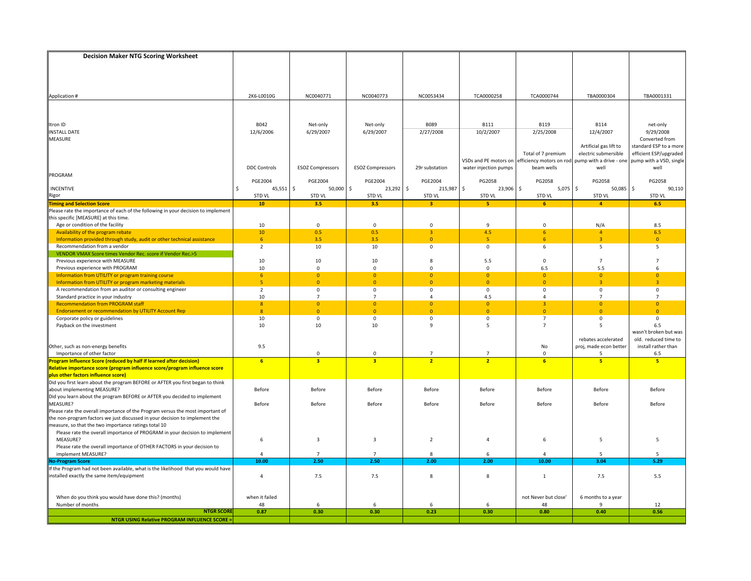| <b>Decision Maker NTG Scoring Worksheet</b>                                                             |                     |                                |                            |                                  |                                |                             |                             |                             |
|---------------------------------------------------------------------------------------------------------|---------------------|--------------------------------|----------------------------|----------------------------------|--------------------------------|-----------------------------|-----------------------------|-----------------------------|
|                                                                                                         |                     |                                |                            |                                  |                                |                             |                             |                             |
|                                                                                                         |                     |                                |                            |                                  |                                |                             |                             |                             |
|                                                                                                         |                     |                                |                            |                                  |                                |                             |                             |                             |
|                                                                                                         | 2K6-L0010G          | NC0040771                      | NC0040773                  | NC0053434                        | TCA0000258                     | TCA0000744                  | TBA0000304                  | TBA0001331                  |
| Application #                                                                                           |                     |                                |                            |                                  |                                |                             |                             |                             |
|                                                                                                         |                     |                                |                            |                                  |                                |                             |                             |                             |
|                                                                                                         |                     |                                |                            |                                  |                                |                             |                             |                             |
| Itron ID                                                                                                | B042                | Net-only                       | Net-only                   | <b>B089</b>                      | <b>B111</b>                    | <b>B119</b>                 | <b>B114</b>                 | net-only                    |
| <b>INSTALL DATE</b><br>MEASURE                                                                          | 12/6/2006           | 6/29/2007                      | 6/29/2007                  | 2/27/2008                        | 10/2/2007                      | 2/25/2008                   | 12/4/2007                   | 9/29/2008<br>Converted from |
|                                                                                                         |                     |                                |                            |                                  |                                |                             | Artificial gas lift to      | standard ESP to a more      |
|                                                                                                         |                     |                                |                            |                                  |                                | Total of 7 premium          | electric submersible        | efficient ESP/upgraded      |
|                                                                                                         |                     |                                |                            |                                  | VSDs and PE motors on          | efficiency motors on rod    | pump with a drive - one     | pump with a VSD, single     |
|                                                                                                         | <b>DDC Controls</b> | <b>ESOZ Compressors</b>        | <b>ESOZ Compressors</b>    | 29r substation                   | water injection pumps          | beam wells                  | well                        | well                        |
| PROGRAM                                                                                                 | <b>PGE2004</b>      | <b>PGE2004</b>                 | <b>PGE2004</b>             | <b>PGE2004</b>                   | PG2058                         | PG2058                      | PG2058                      | PG2058                      |
| <b>INCENTIVE</b>                                                                                        | $45,551$ \$<br>Ŝ.   | $50,000$ \$                    | 23,292                     | \$<br>215,987                    | $\ddot{s}$<br>23,906 \$        | $5,075$ \$                  | 50,085                      | \$<br>90,110                |
| <b>Rigor</b><br>Timing and Selection Score                                                              | STD VL              | STD VL                         | STD VL                     | STD VL                           | STD VL                         | STD VL                      | STD VL                      | <b>STD VL</b>               |
|                                                                                                         | 10 <sub>1</sub>     | 3.5                            | 3.5                        | $\overline{\mathbf{3}}$          | 5                              | 6                           | $\overline{4}$              | 6.5                         |
| Please rate the importance of each of the following in your decision to implement                       |                     |                                |                            |                                  |                                |                             |                             |                             |
| this specific [MEASURE] at this time.<br>Age or condition of the facility                               | 10                  | $\mathbf 0$                    | $\mathbf 0$                | $\mathbf 0$                      | 9                              | $\mathbf 0$                 | N/A                         | 8.5                         |
| Availability of the program rebate                                                                      | 10 <sup>°</sup>     | 0.5                            | 0.5                        | 3                                | 4.5                            | $6^{\circ}$                 | $\overline{4}$              | 6.5                         |
| Information provided through study, audit or other technical assistance                                 | 6 <sup>1</sup>      | 3.5                            | 3.5                        | $\mathbf{0}$                     | $\overline{5}$                 | 6                           | $\overline{a}$              | $\mathbf{0}$                |
| Recommendation from a vendor                                                                            | $\overline{2}$      | 10                             | 10                         | $\mathbf 0$                      | $\mathsf 0$                    | 6                           | 5                           | 5                           |
| VENDOR VMAX Score times Vendor Rec. score if Vendor Rec.>5                                              |                     |                                |                            |                                  |                                |                             |                             |                             |
| Previous experience with MEASURE<br>Previous experience with PROGRAM                                    | 10<br>10            | 10<br>$\mathbf{0}$             | 10<br>$\mathbf 0$          | 8<br>$\mathbf 0$                 | 5.5<br>$\mathbf 0$             | $\mathbf 0$<br>6.5          | $\overline{7}$<br>5.5       | 7<br>6                      |
| Information from UTILITY or program training course                                                     | 6 <sup>1</sup>      | $\overline{0}$                 | $\mathbf{0}$               | $\overline{0}$                   | $\overline{0}$                 | $\overline{0}$              | $\mathbf{0}$                | $\mathbf{0}$                |
| Information from UTILITY or program marketing materials                                                 | 5 <sup>1</sup>      | $\overline{0}$                 | $\overline{0}$             | $\overline{0}$                   | $\overline{0}$                 | $\overline{0}$              | $\overline{3}$              | $\overline{3}$              |
| A recommendation from an auditor or consulting engineer                                                 | $\overline{2}$      | $\mathbf 0$                    | $\mathbf 0$                | $\mathbf 0$                      | $\mathbf 0$                    | $\mathbf 0$                 | $\mathbf 0$                 | $\mathbf 0$                 |
| Standard practice in your industry                                                                      | 10                  | $\overline{7}$                 | $\overline{7}$             | 4                                | 4.5                            | $\overline{4}$              | $\overline{7}$              | $\overline{7}$              |
| <b>Recommendation from PROGRAM staff</b><br><b>Endorsement or recommendation by UTILITY Account Rep</b> | 8<br>$\overline{8}$ | $\mathbf{0}$<br>$\overline{0}$ | $\overline{0}$<br>$\Omega$ | $\overline{0}$<br>$\overline{0}$ | $\overline{0}$<br>$\mathbf{0}$ | $\overline{3}$<br>$\bullet$ | $\Omega$<br>$\overline{0}$  | $\overline{0}$<br>$\Omega$  |
| Corporate policy or guidelines                                                                          | 10                  | $\mathbf 0$                    | $\mathbf 0$                | 0                                | 0                              | $\overline{7}$              | $\mathbf 0$                 | 0                           |
| Payback on the investment                                                                               | 10                  | 10                             | 10                         | $\mathbf{q}$                     | 5                              | $\overline{7}$              | .5                          | 6.5                         |
|                                                                                                         |                     |                                |                            |                                  |                                |                             |                             | wasn't broken but was       |
|                                                                                                         |                     |                                |                            |                                  |                                |                             | rebates accelerated         | old. reduced time to        |
| Other, such as non-energy benefits<br>Importance of other factor                                        | 9.5                 | $\mathbf 0$                    | $\Omega$                   |                                  | $\overline{7}$                 | No<br>$\mathbf{0}$          | proj, made econ better<br>5 | install rather than<br>6.5  |
| Program Influence Score (reduced by half if learned after decision)                                     | 6 <sup>2</sup>      | $\overline{\mathbf{3}}$        | 3 <sup>1</sup>             | $\overline{2}$                   | $\overline{2}$                 | 6                           | 5 <sup>2</sup>              | -5                          |
| Relative importance score (program influence score/program influence score                              |                     |                                |                            |                                  |                                |                             |                             |                             |
|                                                                                                         |                     |                                |                            |                                  |                                |                             |                             |                             |
|                                                                                                         |                     |                                |                            |                                  |                                |                             |                             |                             |
| about implementing MEASURE?<br>Did you learn about the program BEFORE or AFTER you decided to implement | Before              | Before                         | Before                     | Before                           | Before                         | Before                      | Before                      | Before                      |
| MEASURE?                                                                                                | Before              | Before                         | Before                     | Before                           | Before                         | Before                      | Before                      | Before                      |
| Please rate the overall importance of the Program versus the most important of                          |                     |                                |                            |                                  |                                |                             |                             |                             |
| the non-program factors we just discussed in your decision to implement the                             |                     |                                |                            |                                  |                                |                             |                             |                             |
| measure, so that the two importance ratings total 10                                                    |                     |                                |                            |                                  |                                |                             |                             |                             |
| Please rate the overall importance of PROGRAM in your decision to implement<br>MEASURE?                 | 6                   | $\overline{\mathbf{3}}$        | 3                          | $\overline{2}$                   | $\overline{4}$                 | 6                           | 5                           | 5                           |
| Please rate the overall importance of OTHER FACTORS in your decision to                                 |                     |                                |                            |                                  |                                |                             |                             |                             |
| implement MEASURE?                                                                                      | 4                   | $\overline{7}$                 | $\overline{7}$             | 8                                | 6                              | $\Delta$                    | 5                           | 5                           |
| <b>No-Program Score</b>                                                                                 | 10.00               | 2.50                           | 2.50                       | 2.00                             | 2.00                           | 10.00                       | 3.04                        | 5.29                        |
| If the Program had not been available, what is the likelihood that you would have                       |                     |                                |                            |                                  |                                |                             |                             |                             |
| installed exactly the same item/equipment                                                               | $\overline{a}$      | 7.5                            | 7.5                        | 8                                | 8                              | 1                           | 7.5                         | 5.5                         |
|                                                                                                         |                     |                                |                            |                                  |                                |                             |                             |                             |
| When do you think you would have done this? (months)                                                    | when it failed      |                                |                            |                                  |                                | not Never but close'        | 6 months to a year          |                             |
| Number of months                                                                                        | 48                  | 6                              | 6                          | 6                                | 6                              | 48                          | q                           | 12                          |
| <b>NTGR SCORE</b>                                                                                       | 0.87                | 0.30                           | 0.30                       | 0.23                             | 0.30                           | 0.80                        | 0.40                        | 0.56                        |
| <b>NTGR USING Relative PROGRAM INFLUENCE SCORE =</b>                                                    |                     |                                |                            |                                  |                                |                             |                             |                             |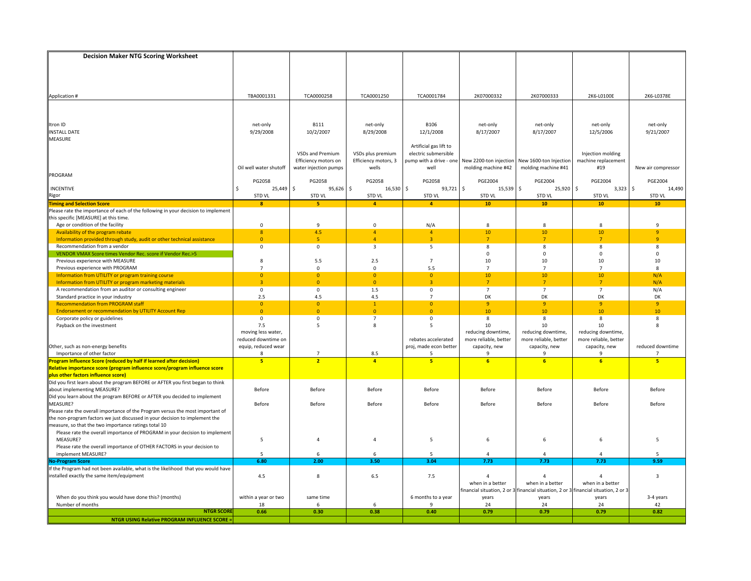| <b>Decision Maker NTG Scoring Worksheet</b>                                                                                                                   |                                |                                  |                                |                                  |                                 |                                                                                     |                                   |                               |
|---------------------------------------------------------------------------------------------------------------------------------------------------------------|--------------------------------|----------------------------------|--------------------------------|----------------------------------|---------------------------------|-------------------------------------------------------------------------------------|-----------------------------------|-------------------------------|
|                                                                                                                                                               |                                |                                  |                                |                                  |                                 |                                                                                     |                                   |                               |
|                                                                                                                                                               |                                |                                  |                                |                                  |                                 |                                                                                     |                                   |                               |
|                                                                                                                                                               |                                |                                  |                                |                                  |                                 |                                                                                     |                                   |                               |
|                                                                                                                                                               |                                |                                  |                                |                                  |                                 |                                                                                     |                                   |                               |
|                                                                                                                                                               | TBA0001331                     | TCA0000258                       | TCA0001250                     | TCA0001784                       | 2K07000332                      | 2K07000333                                                                          | 2K6-L0100E                        | 2K6-L0378E                    |
| Application #                                                                                                                                                 |                                |                                  |                                |                                  |                                 |                                                                                     |                                   |                               |
|                                                                                                                                                               |                                |                                  |                                |                                  |                                 |                                                                                     |                                   |                               |
|                                                                                                                                                               |                                |                                  |                                |                                  |                                 |                                                                                     |                                   |                               |
| Itron ID                                                                                                                                                      | net-only                       | <b>B111</b>                      | net-only                       | <b>B106</b>                      | net-only                        | net-only                                                                            | net-only                          | net-only                      |
| <b>INSTALL DATE</b>                                                                                                                                           | 9/29/2008                      | 10/2/2007                        | 8/29/2008                      | 12/1/2008                        | 8/17/2007                       | 8/17/2007                                                                           | 12/5/2006                         | 9/21/2007                     |
| MEASURE                                                                                                                                                       |                                |                                  |                                |                                  |                                 |                                                                                     |                                   |                               |
|                                                                                                                                                               |                                |                                  |                                | Artificial gas lift to           |                                 |                                                                                     |                                   |                               |
|                                                                                                                                                               |                                | VSDs and Premium                 | VSDs plus premium              | electric submersible             |                                 |                                                                                     | Injection molding                 |                               |
|                                                                                                                                                               |                                | Efficiency motors on             | Efficiency motors, 3           | pump with a drive - one          | New 2200-ton injection          | New 1600-ton Injection                                                              | machine replacement               |                               |
|                                                                                                                                                               | Oil well water shutoff         | water injection pumps            | wells                          | well                             | molding machine #42             | molding machine #41                                                                 | #19                               | New air compressor            |
| PROGRAM                                                                                                                                                       |                                |                                  |                                |                                  |                                 |                                                                                     |                                   |                               |
|                                                                                                                                                               | PG2058                         | PG2058                           | PG2058                         | PG2058                           | <b>PGE2004</b>                  | <b>PGE2004</b><br>$25,920$ \$<br>\$                                                 | <b>PGE2004</b>                    | <b>PGE2004</b>                |
| <b>INCENTIVE</b>                                                                                                                                              | $25,449$ \$<br>Ŝ.<br>STD VL    | $95,626$ \$<br><b>STD VL</b>     | 16,530<br><b>STD VL</b>        | \$<br>93,721<br><b>STD VL</b>    | l \$<br>15,539<br><b>STD VL</b> | <b>STD VL</b>                                                                       | 3,323<br><b>STD VL</b>            | \$<br>14,490<br><b>STD VL</b> |
| Rigor<br><b>Timing and Selection Score</b>                                                                                                                    | $\mathbf{8}$                   | 5                                | $\overline{4}$                 | $\overline{4}$                   | 10                              | 10                                                                                  | 10                                | 10                            |
| Please rate the importance of each of the following in your decision to implement                                                                             |                                |                                  |                                |                                  |                                 |                                                                                     |                                   |                               |
| this specific [MEASURE] at this time.                                                                                                                         |                                |                                  |                                |                                  |                                 |                                                                                     |                                   |                               |
| Age or condition of the facility                                                                                                                              | $\mathbf 0$                    | $\overline{9}$                   | $\mathsf 0$                    | N/A                              | 8                               | 8                                                                                   | $\mathbf{R}$                      | $\mathbf{q}$                  |
| Availability of the program rebate                                                                                                                            | $\boldsymbol{8}$               | 4.5                              | $\overline{4}$                 | $\overline{4}$                   | 10                              | 10                                                                                  | 10                                | 9                             |
| Information provided through study, audit or other technical assistance                                                                                       | $\mathbf{0}$                   | 5                                | $\Lambda$                      | $\overline{a}$                   | $\overline{7}$                  | $\overline{7}$                                                                      | 7                                 | q                             |
| Recommendation from a vendor                                                                                                                                  | $\mathbf 0$                    | $\mathbf 0$                      | $\overline{\mathbf{3}}$        | 5                                | 8                               | 8                                                                                   | 8                                 | 8                             |
| VENDOR VMAX Score times Vendor Rec. score if Vendor Rec.>5                                                                                                    |                                |                                  |                                |                                  | $\mathbf 0$                     | 0                                                                                   | $\Omega$                          | 0                             |
| Previous experience with MEASURE                                                                                                                              | 8                              | 5.5                              | 2.5                            | $7\overline{ }$                  | 10                              | 10                                                                                  | 10                                | 10                            |
| Previous experience with PROGRAM                                                                                                                              | $\overline{7}$                 | $\mathbf 0$                      | 0                              | 5.5                              | $\overline{7}$                  | $\overline{7}$                                                                      | $\overline{7}$                    | 8                             |
| Information from UTILITY or program training course                                                                                                           | $\overline{0}$                 | $\overline{0}$                   | $\overline{0}$                 | $\overline{0}$                   | 10                              | 10                                                                                  | 10                                | N/A                           |
| Information from UTILITY or program marketing materials                                                                                                       | $\overline{3}$                 | $\overline{0}$                   | $\overline{0}$                 | $\overline{3}$                   | $\overline{7}$                  | $\overline{7}$                                                                      | $\overline{7}$                    | N/A                           |
| A recommendation from an auditor or consulting engineer                                                                                                       | $\mathbf 0$                    | $\mathbf{0}$                     | 1.5                            | $\mathbf 0$                      | $\overline{7}$                  | $\overline{7}$                                                                      | $\overline{7}$                    | N/A                           |
| Standard practice in your industry                                                                                                                            | 2.5                            | 4.5                              | 4.5                            | $\overline{7}$                   | DK                              | DK                                                                                  | DK                                | DK                            |
| <b>Recommendation from PROGRAM staff</b><br><b>Endorsement or recommendation by UTILITY Account Rep</b>                                                       | $\overline{0}$<br>$\mathbf{0}$ | $\overline{0}$<br>$\overline{0}$ | $\mathbf{1}$<br>$\overline{0}$ | $\overline{0}$<br>$\overline{0}$ | $\overline{9}$<br>10            | 9<br>10                                                                             | $\overline{9}$<br>10 <sup>°</sup> | $\overline{9}$<br>10          |
| Corporate policy or guidelines                                                                                                                                | $\mathbf 0$                    | $\mathbf{0}$                     | $\overline{7}$                 | $\mathbf 0$                      | 8                               | 8                                                                                   | 8                                 | 8                             |
| Payback on the investment                                                                                                                                     | 7.5                            | 5                                | 8                              | 5                                | 10                              | 10                                                                                  | 10                                | 8                             |
|                                                                                                                                                               | moving less water,             |                                  |                                |                                  | reducing downtime,              | reducing downtime,                                                                  | reducing downtime,                |                               |
|                                                                                                                                                               | reduced downtime on            |                                  |                                | rebates accelerated              | more reliable, better           | more reliable, better                                                               | more reliable, better             |                               |
| Other, such as non-energy benefits                                                                                                                            | equip, reduced wear            |                                  |                                | proj, made econ better           | capacity, new                   | capacity, new                                                                       | capacity, new                     | reduced downtime              |
| Importance of other factor                                                                                                                                    | 8                              | $\overline{7}$                   | 8.5                            | 5                                | $\mathbf{q}$                    | 9                                                                                   | ۰Q                                | 7                             |
| Program Influence Score (reduced by half if learned after decision)                                                                                           | 5 <sup>1</sup>                 | $\overline{ }$                   | $\overline{a}$                 | 5 <sup>1</sup>                   | 6                               | 6 <sup>2</sup>                                                                      | $\overline{6}$                    | 5                             |
| Relative importance score (program influence score/program influence score                                                                                    |                                |                                  |                                |                                  |                                 |                                                                                     |                                   |                               |
| plus other factors influence score)<br>Did you first learn about the program BEFORE or AFTER you first began to think                                         |                                |                                  |                                |                                  |                                 |                                                                                     |                                   |                               |
|                                                                                                                                                               |                                |                                  |                                |                                  |                                 |                                                                                     |                                   |                               |
| about implementing MEASURE?                                                                                                                                   | Before                         | Before                           | Before                         | Before                           | Before                          | Before                                                                              | Before                            | Before                        |
| Did you learn about the program BEFORE or AFTER you decided to implement                                                                                      |                                |                                  |                                |                                  |                                 |                                                                                     |                                   |                               |
| MEASURE?                                                                                                                                                      | Before                         | Before                           | Before                         | Before                           | Before                          | Before                                                                              | Before                            | Before                        |
| Please rate the overall importance of the Program versus the most important of<br>the non-program factors we just discussed in your decision to implement the |                                |                                  |                                |                                  |                                 |                                                                                     |                                   |                               |
| measure, so that the two importance ratings total 10                                                                                                          |                                |                                  |                                |                                  |                                 |                                                                                     |                                   |                               |
| Please rate the overall importance of PROGRAM in your decision to implement                                                                                   |                                |                                  |                                |                                  |                                 |                                                                                     |                                   |                               |
| MEASURE?                                                                                                                                                      | 5                              | $\overline{4}$                   | 4                              | 5                                | 6                               | 6                                                                                   | 6                                 | 5                             |
| Please rate the overall importance of OTHER FACTORS in your decision to                                                                                       |                                |                                  |                                |                                  |                                 |                                                                                     |                                   |                               |
| implement MEASURE?                                                                                                                                            | 5                              | 6                                | 6                              | 5                                |                                 | $\overline{a}$                                                                      |                                   | 5                             |
| <b>No-Program Score</b>                                                                                                                                       | 6.80                           | 2.00                             | 3.50                           | 3.04                             | 7.73                            | 7.73                                                                                | 7.73                              | 9.59                          |
| If the Program had not been available, what is the likelihood that you would have                                                                             |                                |                                  |                                |                                  |                                 |                                                                                     |                                   |                               |
| installed exactly the same item/equipment                                                                                                                     | 4.5                            | 8                                | 6.5                            | 7.5                              | 4                               | $\overline{4}$                                                                      | 4                                 | $\overline{3}$                |
|                                                                                                                                                               |                                |                                  |                                |                                  | when in a better                | when in a better                                                                    | when in a better                  |                               |
|                                                                                                                                                               |                                |                                  |                                |                                  |                                 | financial situation, 2 or 3 financial situation, 2 or 3 financial situation, 2 or 3 |                                   |                               |
| When do you think you would have done this? (months)                                                                                                          | within a year or two           | same time                        |                                | 6 months to a year               | years                           | years                                                                               | years                             | 3-4 years                     |
| Number of months<br><b>NTGR SCORE</b>                                                                                                                         | 18                             | 6                                | 6                              | 9                                | 24                              | 24                                                                                  | 24                                | 42                            |
|                                                                                                                                                               | 0.66                           | 0.30                             | 0.38                           | 0.40                             | 0.79                            | 0.79                                                                                | 0.79                              | 0.82                          |
| <b>NTGR USING Relative PROGRAM INFLUENCE SCORE =</b>                                                                                                          |                                |                                  |                                |                                  |                                 |                                                                                     |                                   |                               |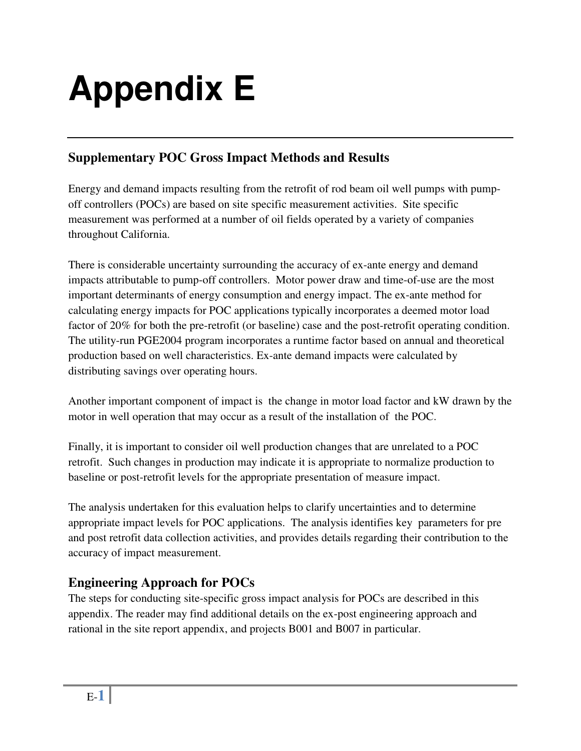# **Appendix E**

## **Supplementary POC Gross Impact Methods and Results**

Energy and demand impacts resulting from the retrofit of rod beam oil well pumps with pumpoff controllers (POCs) are based on site specific measurement activities. Site specific measurement was performed at a number of oil fields operated by a variety of companies throughout California.

There is considerable uncertainty surrounding the accuracy of ex-ante energy and demand impacts attributable to pump-off controllers. Motor power draw and time-of-use are the most important determinants of energy consumption and energy impact. The ex-ante method for calculating energy impacts for POC applications typically incorporates a deemed motor load factor of 20% for both the pre-retrofit (or baseline) case and the post-retrofit operating condition. The utility-run PGE2004 program incorporates a runtime factor based on annual and theoretical production based on well characteristics. Ex-ante demand impacts were calculated by distributing savings over operating hours.

Another important component of impact is the change in motor load factor and kW drawn by the motor in well operation that may occur as a result of the installation of the POC.

Finally, it is important to consider oil well production changes that are unrelated to a POC retrofit. Such changes in production may indicate it is appropriate to normalize production to baseline or post-retrofit levels for the appropriate presentation of measure impact.

The analysis undertaken for this evaluation helps to clarify uncertainties and to determine appropriate impact levels for POC applications. The analysis identifies key parameters for pre and post retrofit data collection activities, and provides details regarding their contribution to the accuracy of impact measurement.

## **Engineering Approach for POCs**

The steps for conducting site-specific gross impact analysis for POCs are described in this appendix. The reader may find additional details on the ex-post engineering approach and rational in the site report appendix, and projects B001 and B007 in particular.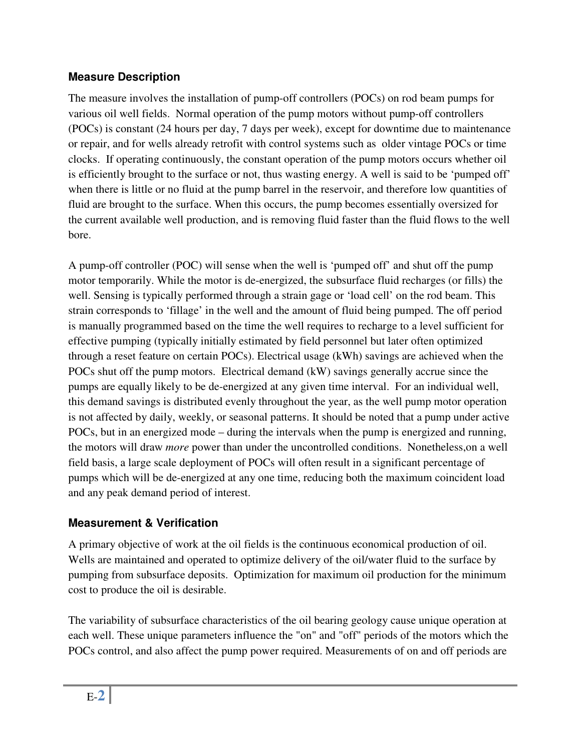#### **Measure Description**

The measure involves the installation of pump-off controllers (POCs) on rod beam pumps for various oil well fields. Normal operation of the pump motors without pump-off controllers (POCs) is constant (24 hours per day, 7 days per week), except for downtime due to maintenance or repair, and for wells already retrofit with control systems such as older vintage POCs or time clocks. If operating continuously, the constant operation of the pump motors occurs whether oil is efficiently brought to the surface or not, thus wasting energy. A well is said to be 'pumped off' when there is little or no fluid at the pump barrel in the reservoir, and therefore low quantities of fluid are brought to the surface. When this occurs, the pump becomes essentially oversized for the current available well production, and is removing fluid faster than the fluid flows to the well bore.

A pump-off controller (POC) will sense when the well is 'pumped off' and shut off the pump motor temporarily. While the motor is de-energized, the subsurface fluid recharges (or fills) the well. Sensing is typically performed through a strain gage or 'load cell' on the rod beam. This strain corresponds to 'fillage' in the well and the amount of fluid being pumped. The off period is manually programmed based on the time the well requires to recharge to a level sufficient for effective pumping (typically initially estimated by field personnel but later often optimized through a reset feature on certain POCs). Electrical usage (kWh) savings are achieved when the POCs shut off the pump motors. Electrical demand (kW) savings generally accrue since the pumps are equally likely to be de-energized at any given time interval. For an individual well, this demand savings is distributed evenly throughout the year, as the well pump motor operation is not affected by daily, weekly, or seasonal patterns. It should be noted that a pump under active POCs, but in an energized mode – during the intervals when the pump is energized and running, the motors will draw *more* power than under the uncontrolled conditions. Nonetheless,on a well field basis, a large scale deployment of POCs will often result in a significant percentage of pumps which will be de-energized at any one time, reducing both the maximum coincident load and any peak demand period of interest.

### **Measurement & Verification**

A primary objective of work at the oil fields is the continuous economical production of oil. Wells are maintained and operated to optimize delivery of the oil/water fluid to the surface by pumping from subsurface deposits. Optimization for maximum oil production for the minimum cost to produce the oil is desirable.

The variability of subsurface characteristics of the oil bearing geology cause unique operation at each well. These unique parameters influence the "on" and "off" periods of the motors which the POCs control, and also affect the pump power required. Measurements of on and off periods are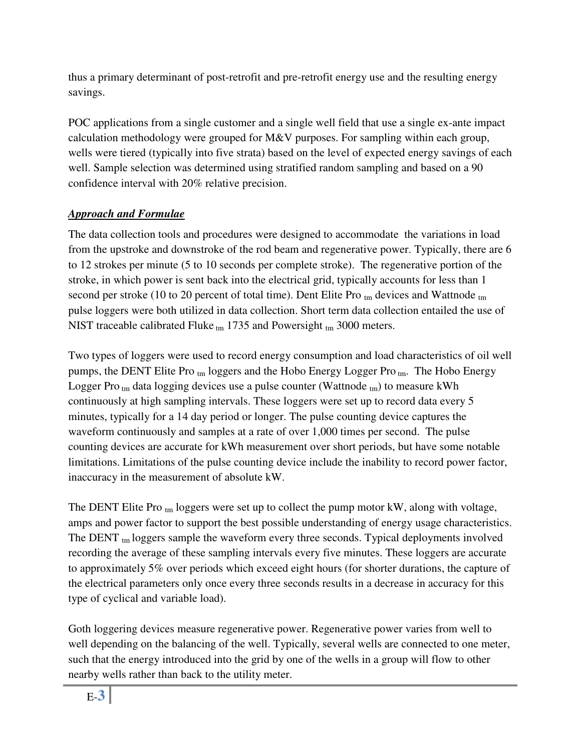thus a primary determinant of post-retrofit and pre-retrofit energy use and the resulting energy savings.

POC applications from a single customer and a single well field that use a single ex-ante impact calculation methodology were grouped for M&V purposes. For sampling within each group, wells were tiered (typically into five strata) based on the level of expected energy savings of each well. Sample selection was determined using stratified random sampling and based on a 90 confidence interval with 20% relative precision.

#### *Approach and Formulae*

The data collection tools and procedures were designed to accommodate the variations in load from the upstroke and downstroke of the rod beam and regenerative power. Typically, there are 6 to 12 strokes per minute (5 to 10 seconds per complete stroke). The regenerative portion of the stroke, in which power is sent back into the electrical grid, typically accounts for less than 1 second per stroke (10 to 20 percent of total time). Dent Elite Pro  $_{tm}$  devices and Wattnode  $_{tm}$ pulse loggers were both utilized in data collection. Short term data collection entailed the use of NIST traceable calibrated Fluke  $_{tm}$  1735 and Powersight  $_{tm}$  3000 meters.

Two types of loggers were used to record energy consumption and load characteristics of oil well pumps, the DENT Elite Pro  $_{tm}$  loggers and the Hobo Energy Logger Pro  $_{tm}$ . The Hobo Energy Logger Pro  $_{tm}$  data logging devices use a pulse counter (Wattnode  $_{tm}$ ) to measure kWh continuously at high sampling intervals. These loggers were set up to record data every 5 minutes, typically for a 14 day period or longer. The pulse counting device captures the waveform continuously and samples at a rate of over 1,000 times per second. The pulse counting devices are accurate for kWh measurement over short periods, but have some notable limitations. Limitations of the pulse counting device include the inability to record power factor, inaccuracy in the measurement of absolute kW.

The DENT Elite Pro  $_{tm}$  loggers were set up to collect the pump motor kW, along with voltage, amps and power factor to support the best possible understanding of energy usage characteristics. The DENT tm loggers sample the waveform every three seconds. Typical deployments involved recording the average of these sampling intervals every five minutes. These loggers are accurate to approximately 5% over periods which exceed eight hours (for shorter durations, the capture of the electrical parameters only once every three seconds results in a decrease in accuracy for this type of cyclical and variable load).

Goth loggering devices measure regenerative power. Regenerative power varies from well to well depending on the balancing of the well. Typically, several wells are connected to one meter, such that the energy introduced into the grid by one of the wells in a group will flow to other nearby wells rather than back to the utility meter.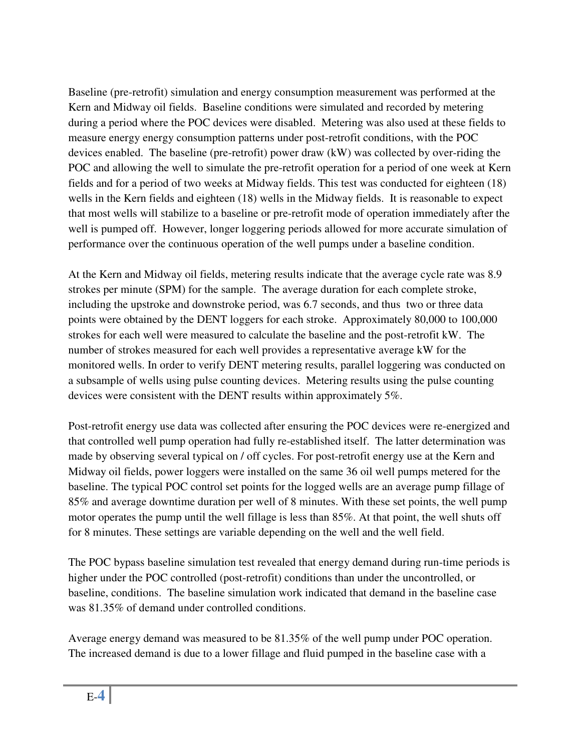Baseline (pre-retrofit) simulation and energy consumption measurement was performed at the Kern and Midway oil fields. Baseline conditions were simulated and recorded by metering during a period where the POC devices were disabled. Metering was also used at these fields to measure energy energy consumption patterns under post-retrofit conditions, with the POC devices enabled. The baseline (pre-retrofit) power draw (kW) was collected by over-riding the POC and allowing the well to simulate the pre-retrofit operation for a period of one week at Kern fields and for a period of two weeks at Midway fields. This test was conducted for eighteen (18) wells in the Kern fields and eighteen (18) wells in the Midway fields. It is reasonable to expect that most wells will stabilize to a baseline or pre-retrofit mode of operation immediately after the well is pumped off. However, longer loggering periods allowed for more accurate simulation of performance over the continuous operation of the well pumps under a baseline condition.

At the Kern and Midway oil fields, metering results indicate that the average cycle rate was 8.9 strokes per minute (SPM) for the sample. The average duration for each complete stroke, including the upstroke and downstroke period, was 6.7 seconds, and thus two or three data points were obtained by the DENT loggers for each stroke. Approximately 80,000 to 100,000 strokes for each well were measured to calculate the baseline and the post-retrofit kW. The number of strokes measured for each well provides a representative average kW for the monitored wells. In order to verify DENT metering results, parallel loggering was conducted on a subsample of wells using pulse counting devices. Metering results using the pulse counting devices were consistent with the DENT results within approximately 5%.

Post-retrofit energy use data was collected after ensuring the POC devices were re-energized and that controlled well pump operation had fully re-established itself. The latter determination was made by observing several typical on / off cycles. For post-retrofit energy use at the Kern and Midway oil fields, power loggers were installed on the same 36 oil well pumps metered for the baseline. The typical POC control set points for the logged wells are an average pump fillage of 85% and average downtime duration per well of 8 minutes. With these set points, the well pump motor operates the pump until the well fillage is less than 85%. At that point, the well shuts off for 8 minutes. These settings are variable depending on the well and the well field.

The POC bypass baseline simulation test revealed that energy demand during run-time periods is higher under the POC controlled (post-retrofit) conditions than under the uncontrolled, or baseline, conditions. The baseline simulation work indicated that demand in the baseline case was 81.35% of demand under controlled conditions.

Average energy demand was measured to be 81.35% of the well pump under POC operation. The increased demand is due to a lower fillage and fluid pumped in the baseline case with a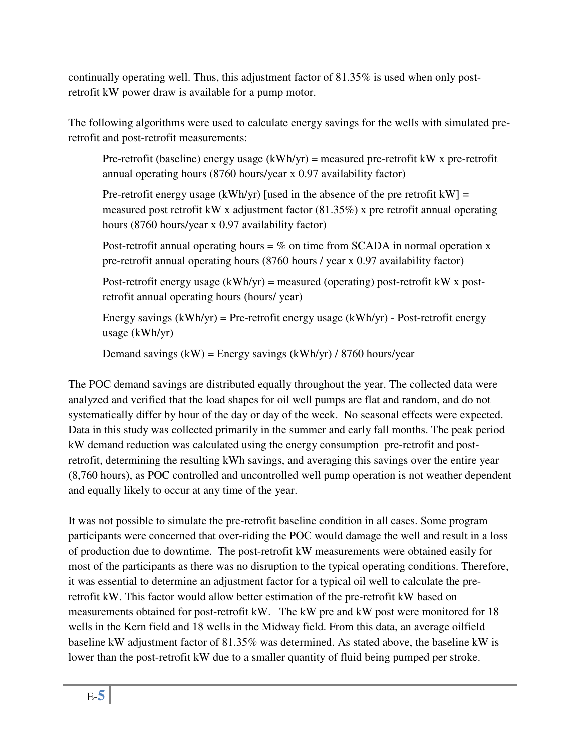continually operating well. Thus, this adjustment factor of 81.35% is used when only postretrofit kW power draw is available for a pump motor.

The following algorithms were used to calculate energy savings for the wells with simulated preretrofit and post-retrofit measurements:

Pre-retrofit (baseline) energy usage  $(kWh/yr)$  = measured pre-retrofit kW x pre-retrofit annual operating hours (8760 hours/year x 0.97 availability factor)

Pre-retrofit energy usage (kWh/yr) [used in the absence of the pre retrofit kW] = measured post retrofit kW x adjustment factor (81.35%) x pre retrofit annual operating hours (8760 hours/year x 0.97 availability factor)

Post-retrofit annual operating hours  $=$  % on time from SCADA in normal operation x pre-retrofit annual operating hours (8760 hours / year x 0.97 availability factor)

Post-retrofit energy usage  $(kWh/yr)$  = measured (operating) post-retrofit kW x postretrofit annual operating hours (hours/ year)

Energy savings  $(kWh/yr)$  = Pre-retrofit energy usage  $(kWh/yr)$  - Post-retrofit energy usage (kWh/yr)

Demand savings  $(kW)$  = Energy savings  $(kWh/yr)$  / 8760 hours/year

The POC demand savings are distributed equally throughout the year. The collected data were analyzed and verified that the load shapes for oil well pumps are flat and random, and do not systematically differ by hour of the day or day of the week. No seasonal effects were expected. Data in this study was collected primarily in the summer and early fall months. The peak period kW demand reduction was calculated using the energy consumption pre-retrofit and postretrofit, determining the resulting kWh savings, and averaging this savings over the entire year (8,760 hours), as POC controlled and uncontrolled well pump operation is not weather dependent and equally likely to occur at any time of the year.

It was not possible to simulate the pre-retrofit baseline condition in all cases. Some program participants were concerned that over-riding the POC would damage the well and result in a loss of production due to downtime. The post-retrofit kW measurements were obtained easily for most of the participants as there was no disruption to the typical operating conditions. Therefore, it was essential to determine an adjustment factor for a typical oil well to calculate the preretrofit kW. This factor would allow better estimation of the pre-retrofit kW based on measurements obtained for post-retrofit kW. The kW pre and kW post were monitored for 18 wells in the Kern field and 18 wells in the Midway field. From this data, an average oilfield baseline kW adjustment factor of 81.35% was determined. As stated above, the baseline kW is lower than the post-retrofit kW due to a smaller quantity of fluid being pumped per stroke.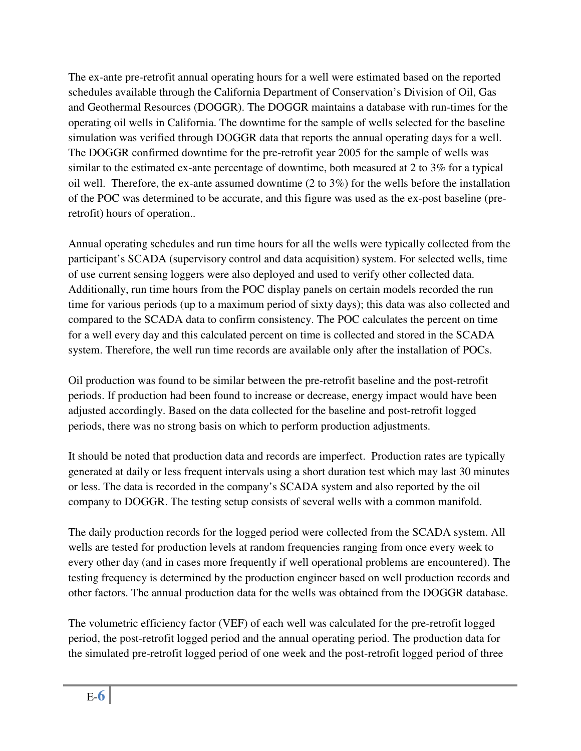The ex-ante pre-retrofit annual operating hours for a well were estimated based on the reported schedules available through the California Department of Conservation's Division of Oil, Gas and Geothermal Resources (DOGGR). The DOGGR maintains a database with run-times for the operating oil wells in California. The downtime for the sample of wells selected for the baseline simulation was verified through DOGGR data that reports the annual operating days for a well. The DOGGR confirmed downtime for the pre-retrofit year 2005 for the sample of wells was similar to the estimated ex-ante percentage of downtime, both measured at 2 to 3% for a typical oil well. Therefore, the ex-ante assumed downtime (2 to 3%) for the wells before the installation of the POC was determined to be accurate, and this figure was used as the ex-post baseline (preretrofit) hours of operation..

Annual operating schedules and run time hours for all the wells were typically collected from the participant's SCADA (supervisory control and data acquisition) system. For selected wells, time of use current sensing loggers were also deployed and used to verify other collected data. Additionally, run time hours from the POC display panels on certain models recorded the run time for various periods (up to a maximum period of sixty days); this data was also collected and compared to the SCADA data to confirm consistency. The POC calculates the percent on time for a well every day and this calculated percent on time is collected and stored in the SCADA system. Therefore, the well run time records are available only after the installation of POCs.

Oil production was found to be similar between the pre-retrofit baseline and the post-retrofit periods. If production had been found to increase or decrease, energy impact would have been adjusted accordingly. Based on the data collected for the baseline and post-retrofit logged periods, there was no strong basis on which to perform production adjustments.

It should be noted that production data and records are imperfect. Production rates are typically generated at daily or less frequent intervals using a short duration test which may last 30 minutes or less. The data is recorded in the company's SCADA system and also reported by the oil company to DOGGR. The testing setup consists of several wells with a common manifold.

The daily production records for the logged period were collected from the SCADA system. All wells are tested for production levels at random frequencies ranging from once every week to every other day (and in cases more frequently if well operational problems are encountered). The testing frequency is determined by the production engineer based on well production records and other factors. The annual production data for the wells was obtained from the DOGGR database.

The volumetric efficiency factor (VEF) of each well was calculated for the pre-retrofit logged period, the post-retrofit logged period and the annual operating period. The production data for the simulated pre-retrofit logged period of one week and the post-retrofit logged period of three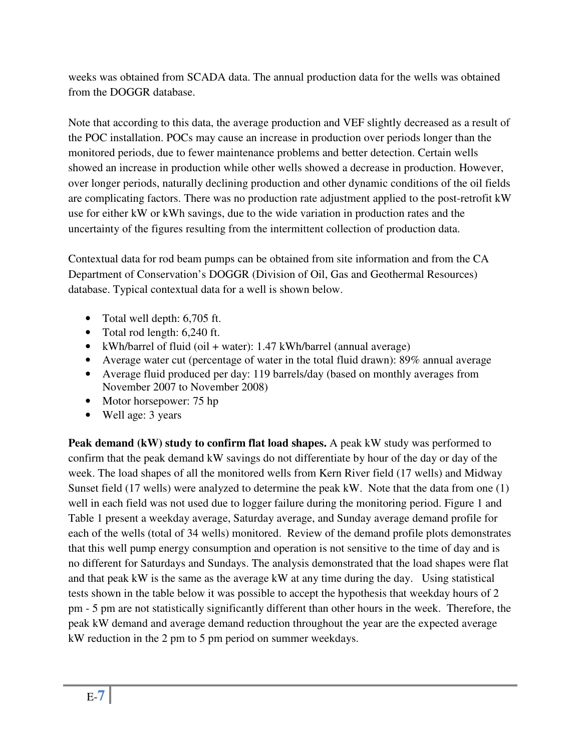weeks was obtained from SCADA data. The annual production data for the wells was obtained from the DOGGR database.

Note that according to this data, the average production and VEF slightly decreased as a result of the POC installation. POCs may cause an increase in production over periods longer than the monitored periods, due to fewer maintenance problems and better detection. Certain wells showed an increase in production while other wells showed a decrease in production. However, over longer periods, naturally declining production and other dynamic conditions of the oil fields are complicating factors. There was no production rate adjustment applied to the post-retrofit kW use for either kW or kWh savings, due to the wide variation in production rates and the uncertainty of the figures resulting from the intermittent collection of production data.

Contextual data for rod beam pumps can be obtained from site information and from the CA Department of Conservation's DOGGR (Division of Oil, Gas and Geothermal Resources) database. Typical contextual data for a well is shown below.

- Total well depth: 6,705 ft.
- Total rod length: 6,240 ft.
- kWh/barrel of fluid (oil + water): 1.47 kWh/barrel (annual average)
- Average water cut (percentage of water in the total fluid drawn): 89% annual average
- Average fluid produced per day: 119 barrels/day (based on monthly averages from November 2007 to November 2008)
- Motor horsepower: 75 hp
- Well age: 3 years

**Peak demand (kW) study to confirm flat load shapes.** A peak kW study was performed to confirm that the peak demand kW savings do not differentiate by hour of the day or day of the week. The load shapes of all the monitored wells from Kern River field (17 wells) and Midway Sunset field (17 wells) were analyzed to determine the peak kW. Note that the data from one (1) well in each field was not used due to logger failure during the monitoring period. Figure 1 and Table 1 present a weekday average, Saturday average, and Sunday average demand profile for each of the wells (total of 34 wells) monitored. Review of the demand profile plots demonstrates that this well pump energy consumption and operation is not sensitive to the time of day and is no different for Saturdays and Sundays. The analysis demonstrated that the load shapes were flat and that peak kW is the same as the average kW at any time during the day. Using statistical tests shown in the table below it was possible to accept the hypothesis that weekday hours of 2 pm - 5 pm are not statistically significantly different than other hours in the week. Therefore, the peak kW demand and average demand reduction throughout the year are the expected average kW reduction in the 2 pm to 5 pm period on summer weekdays.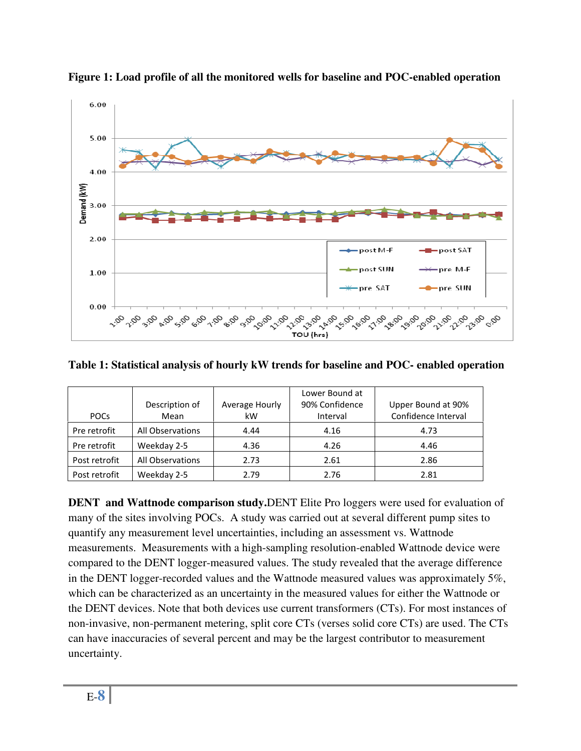

**Figure 1: Load profile of all the monitored wells for baseline and POC-enabled operation** 

**Table 1: Statistical analysis of hourly kW trends for baseline and POC- enabled operation** 

|               |                  |                | Lower Bound at |                     |
|---------------|------------------|----------------|----------------|---------------------|
|               | Description of   | Average Hourly | 90% Confidence | Upper Bound at 90%  |
| <b>POCs</b>   | Mean             | kW             | Interval       | Confidence Interval |
| Pre retrofit  | All Observations | 4.44           | 4.16           | 4.73                |
| Pre retrofit  | Weekday 2-5      | 4.36           | 4.26           | 4.46                |
| Post retrofit | All Observations | 2.73           | 2.61           | 2.86                |
| Post retrofit | Weekday 2-5      | 2.79           | 2.76           | 2.81                |

**DENT and Wattnode comparison study.**DENT Elite Pro loggers were used for evaluation of many of the sites involving POCs. A study was carried out at several different pump sites to quantify any measurement level uncertainties, including an assessment vs. Wattnode measurements. Measurements with a high-sampling resolution-enabled Wattnode device were compared to the DENT logger-measured values. The study revealed that the average difference in the DENT logger-recorded values and the Wattnode measured values was approximately 5%, which can be characterized as an uncertainty in the measured values for either the Wattnode or the DENT devices. Note that both devices use current transformers (CTs). For most instances of non-invasive, non-permanent metering, split core CTs (verses solid core CTs) are used. The CTs can have inaccuracies of several percent and may be the largest contributor to measurement uncertainty.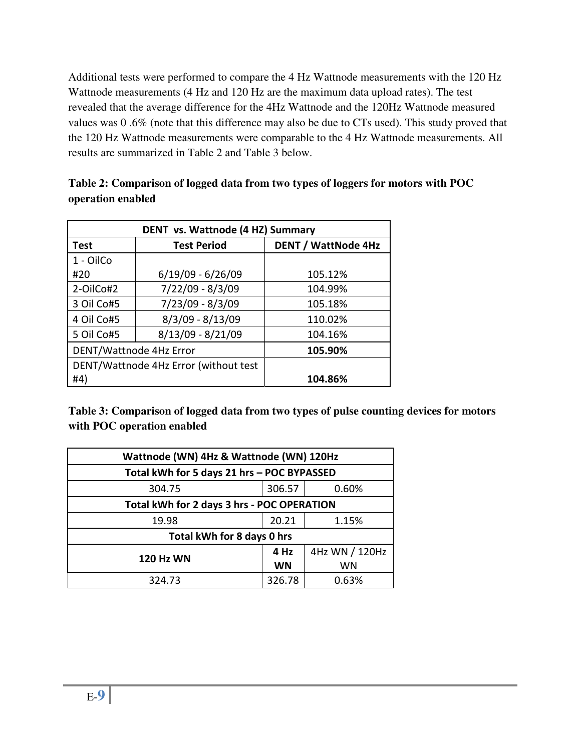Additional tests were performed to compare the 4 Hz Wattnode measurements with the 120 Hz Wattnode measurements (4 Hz and 120 Hz are the maximum data upload rates). The test revealed that the average difference for the 4Hz Wattnode and the 120Hz Wattnode measured values was 0 .6% (note that this difference may also be due to CTs used). This study proved that the 120 Hz Wattnode measurements were comparable to the 4 Hz Wattnode measurements. All results are summarized in Table 2 and Table 3 below.

| DENT vs. Wattnode (4 HZ) Summary |                                       |                            |  |  |
|----------------------------------|---------------------------------------|----------------------------|--|--|
| <b>Test</b>                      | <b>Test Period</b>                    | <b>DENT / WattNode 4Hz</b> |  |  |
| 1 - OilCo                        |                                       |                            |  |  |
| #20                              | $6/19/09 - 6/26/09$                   | 105.12%                    |  |  |
| 2-OilCo#2                        | 7/22/09 - 8/3/09                      | 104.99%                    |  |  |
| 3 Oil Co#5                       | 7/23/09 - 8/3/09                      | 105.18%                    |  |  |
| 4 Oil Co#5                       | $8/3/09 - 8/13/09$                    | 110.02%                    |  |  |
| 5 Oil Co#5                       | $8/13/09 - 8/21/09$                   | 104.16%                    |  |  |
| DENT/Wattnode 4Hz Error          |                                       | 105.90%                    |  |  |
|                                  | DENT/Wattnode 4Hz Error (without test |                            |  |  |
| #4)                              |                                       | 104.86%                    |  |  |

| Table 2: Comparison of logged data from two types of loggers for motors with POC |  |
|----------------------------------------------------------------------------------|--|
| operation enabled                                                                |  |

**Table 3: Comparison of logged data from two types of pulse counting devices for motors with POC operation enabled** 

| Wattnode (WN) 4Hz & Wattnode (WN) 120Hz    |                 |                |  |  |  |
|--------------------------------------------|-----------------|----------------|--|--|--|
| Total kWh for 5 days 21 hrs - POC BYPASSED |                 |                |  |  |  |
| 304.75                                     | 306.57<br>0.60% |                |  |  |  |
| Total kWh for 2 days 3 hrs - POC OPERATION |                 |                |  |  |  |
| 19.98                                      | 20.21           | 1.15%          |  |  |  |
| Total kWh for 8 days 0 hrs                 |                 |                |  |  |  |
| <b>120 Hz WN</b>                           | 4 Hz            | 4Hz WN / 120Hz |  |  |  |
|                                            | <b>WN</b>       | WN             |  |  |  |
| 324.73                                     | 326.78          | 0.63%          |  |  |  |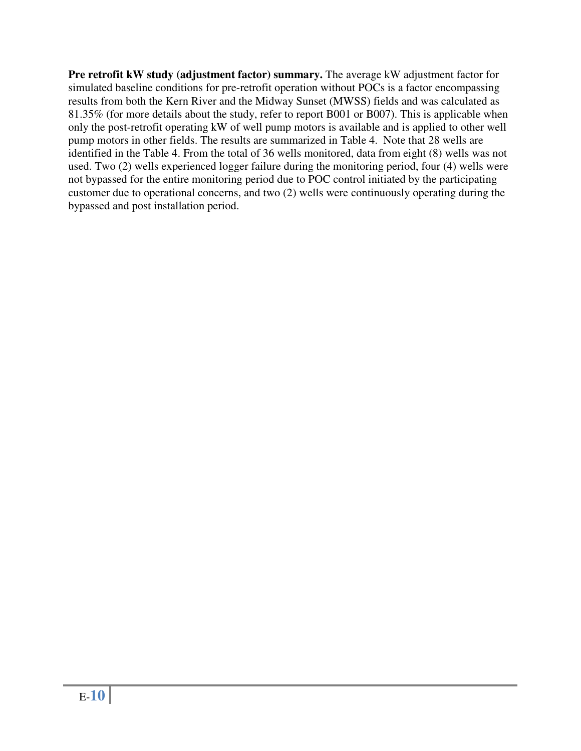**Pre retrofit kW study (adjustment factor) summary.** The average kW adjustment factor for simulated baseline conditions for pre-retrofit operation without POCs is a factor encompassing results from both the Kern River and the Midway Sunset (MWSS) fields and was calculated as 81.35% (for more details about the study, refer to report B001 or B007). This is applicable when only the post-retrofit operating kW of well pump motors is available and is applied to other well pump motors in other fields. The results are summarized in Table 4. Note that 28 wells are identified in the Table 4. From the total of 36 wells monitored, data from eight (8) wells was not used. Two (2) wells experienced logger failure during the monitoring period, four (4) wells were not bypassed for the entire monitoring period due to POC control initiated by the participating customer due to operational concerns, and two (2) wells were continuously operating during the bypassed and post installation period.